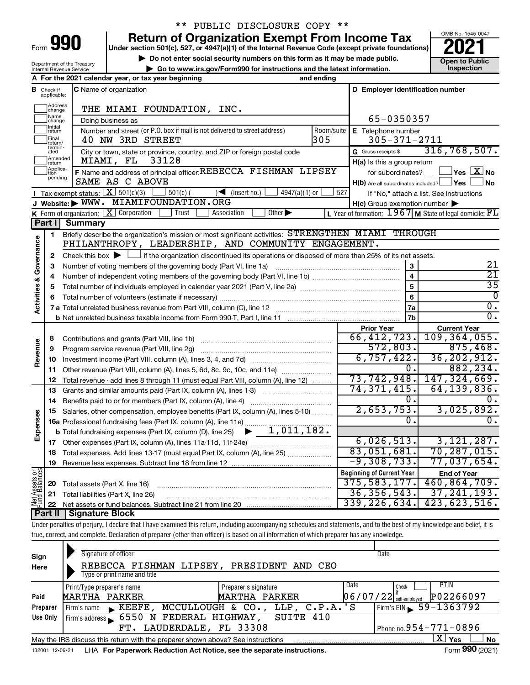| ⊦orm<br>ı |  |  |
|-----------|--|--|

Department of the Treasury Internal Revenue Service

## \*\* PUBLIC DISCLOSURE COPY \*\*

**990 Return of Organization Exempt From Income Tax Punce 1845-004 2021** 

**▶ Do not enter social security numbers on this form as it may be made public. Open to Public**<br> **▶ Go to www.irs.gov/Form990 for instructions and the latest information.** Inspection **| Go to www.irs.gov/Form990 for instructions and the latest information. Inspection**



|                         |                            | A For the 2021 calendar year, or tax year beginning                                                                                         | and ending |                                                      |                                                             |
|-------------------------|----------------------------|---------------------------------------------------------------------------------------------------------------------------------------------|------------|------------------------------------------------------|-------------------------------------------------------------|
| В                       | Check if<br>applicable:    | <b>C</b> Name of organization                                                                                                               |            | D Employer identification number                     |                                                             |
|                         | Address<br>change          | THE MIAMI FOUNDATION,<br>INC.                                                                                                               |            |                                                      |                                                             |
|                         | Name<br>change             | Doing business as                                                                                                                           |            | 65-0350357                                           |                                                             |
|                         | Initial<br>return<br>Final | Number and street (or P.O. box if mail is not delivered to street address)<br>40 NW 3RD STREET                                              | Room/suite | E Telephone number                                   |                                                             |
|                         | return/<br>termin-         |                                                                                                                                             | 305        | $305 - 371 - 2711$                                   | 316, 768, 507.                                              |
|                         | ated<br>Amended            | City or town, state or province, country, and ZIP or foreign postal code<br>33128<br>MIAMI, FL                                              |            | G Gross receipts \$<br>$H(a)$ is this a group return |                                                             |
|                         | return<br>Applica-         | F Name and address of principal officer: REBECCA FISHMAN LIPSEY                                                                             |            | for subordinates?                                    | $\exists$ Yes $\boxed{\text{X}}$ No                         |
|                         | pending                    | SAME AS C ABOVE                                                                                                                             |            | $H(b)$ Are all subordinates included? $\Box$ Yes     | ∣No                                                         |
|                         |                            | <b>I</b> Tax-exempt status: $X \overline{301(c)(3)}$<br>$501(c)$ (<br>$\sqrt{\left( \text{insert no.} \right)}$<br>$4947(a)(1)$ or          | 527        |                                                      | If "No," attach a list. See instructions                    |
|                         |                            | J Website: WWW. MIAMIFOUNDATION.ORG                                                                                                         |            | $H(c)$ Group exemption number $\blacktriangleright$  |                                                             |
|                         |                            | K Form of organization: $X$ Corporation<br>Trust<br>Other $\blacktriangleright$<br>Association                                              |            |                                                      | L Year of formation: $1967$ M State of legal domicile: $FL$ |
|                         | Part I                     | <b>Summary</b>                                                                                                                              |            |                                                      |                                                             |
|                         | 1                          | Briefly describe the organization's mission or most significant activities: STRENGTHEN MIAMI THROUGH                                        |            |                                                      |                                                             |
| Activities & Governance |                            | PHILANTHROPY, LEADERSHIP, AND COMMUNITY ENGAGEMENT.                                                                                         |            |                                                      |                                                             |
|                         | 2                          | Check this box $\blacktriangleright$ $\Box$ if the organization discontinued its operations or disposed of more than 25% of its net assets. |            |                                                      |                                                             |
|                         | З                          | Number of voting members of the governing body (Part VI, line 1a)                                                                           |            | 3                                                    | 21                                                          |
|                         | 4                          | Number of independent voting members of the governing body (Part VI, line 1b)                                                               |            | $\overline{\mathbf{4}}$                              | $\overline{21}$                                             |
|                         | 5                          |                                                                                                                                             |            | $\overline{5}$                                       | $\overline{35}$                                             |
|                         | 6                          |                                                                                                                                             |            | 6                                                    | 0<br>$\overline{0}$ .                                       |
|                         |                            |                                                                                                                                             |            | 7a                                                   | $\overline{0}$ .                                            |
|                         |                            |                                                                                                                                             |            | 7b<br><b>Prior Year</b>                              |                                                             |
|                         | 8                          |                                                                                                                                             |            | 66,412,723.                                          | <b>Current Year</b><br>109, 364, 055.                       |
| Revenue                 | 9                          | Contributions and grants (Part VIII, line 1h)<br>Program service revenue (Part VIII, line 2g)                                               |            | 572,803.                                             | 875,468.                                                    |
|                         | 10                         |                                                                                                                                             |            | 6,757,422.                                           | 36, 202, 912.                                               |
|                         | 11                         | Other revenue (Part VIII, column (A), lines 5, 6d, 8c, 9c, 10c, and 11e)                                                                    |            | 0.                                                   | 882, 234.                                                   |
|                         | 12                         | Total revenue - add lines 8 through 11 (must equal Part VIII, column (A), line 12)                                                          |            | 73,742,948.                                          | 147, 324, 669.                                              |
|                         | 13                         | Grants and similar amounts paid (Part IX, column (A), lines 1-3) <i></i>                                                                    |            | 74, 371, 415.                                        | 64, 139, 836.                                               |
|                         | 14                         | Benefits paid to or for members (Part IX, column (A), line 4)                                                                               |            | Ο.                                                   |                                                             |
|                         |                            | Salaries, other compensation, employee benefits (Part IX, column (A), lines 5-10)                                                           |            | 2,653,753.                                           | 3,025,892.                                                  |
| Expenses                |                            |                                                                                                                                             |            | Ω.                                                   |                                                             |
|                         |                            |                                                                                                                                             |            |                                                      |                                                             |
|                         | 17                         |                                                                                                                                             |            | 6,026,513.                                           | 3,121,287.                                                  |
|                         | 18                         | Total expenses. Add lines 13-17 (must equal Part IX, column (A), line 25)                                                                   |            | 83,051,681.                                          | 70, 287, 015.                                               |
|                         | 19                         |                                                                                                                                             |            | $-9,308,733.$                                        | 77,037,654.                                                 |
| οrg<br>Οθ<br>ءَ بَہِ    |                            |                                                                                                                                             |            | <b>Beginning of Current Year</b>                     | <b>End of Year</b>                                          |
|                         | 20                         | Total assets (Part X, line 16)                                                                                                              |            | 375, 583, 177.                                       | 460,864,709.                                                |
|                         | 21                         | Total liabilities (Part X, line 26)                                                                                                         |            | 36, 356, 543.                                        | 37, 241, 193.                                               |
|                         |                            |                                                                                                                                             |            | 339, 226, 634.                                       | 423,623,516.                                                |
|                         | Part II                    | Signature Block                                                                                                                             |            |                                                      |                                                             |

Under penalties of perjury, I declare that I have examined this return, including accompanying schedules and statements, and to the best of my knowledge and belief, it is true, correct, and complete. Declaration of preparer (other than officer) is based on all information of which preparer has any knowledge.

| Sign<br>Here       | Signature of officer<br>REBECCA FISHMAN LIPSEY, PRESIDENT AND<br>CEO<br>Type or print name and title | Date                                                   |
|--------------------|------------------------------------------------------------------------------------------------------|--------------------------------------------------------|
| Paid               | Date<br>Print/Type preparer's name<br>Preparer's signature<br>MARTHA PARKER<br>MARTHA PARKER         | PTIN<br>Check<br>P02266097<br>$06/07/22$ self-employed |
| Preparer           | LLP, C.P.A.'S<br>KEEFE,<br>MCCULLOUGH & CO.,<br>Firm's name                                          | 59-1363792<br>Firm's EIN                               |
| Use Only           | 6550 N FEDERAL HIGHWAY, SUITE 410<br>Firm's address<br>FT. LAUDERDALE, FL 33308                      | Phone no. $954 - 771 - 0896$                           |
|                    | May the IRS discuss this return with the preparer shown above? See instructions                      | ΧI<br>Yes<br><b>No</b>                                 |
| 12-09-21<br>132001 | LHA For Paperwork Reduction Act Notice, see the separate instructions.                               | Form 990 (2021)                                        |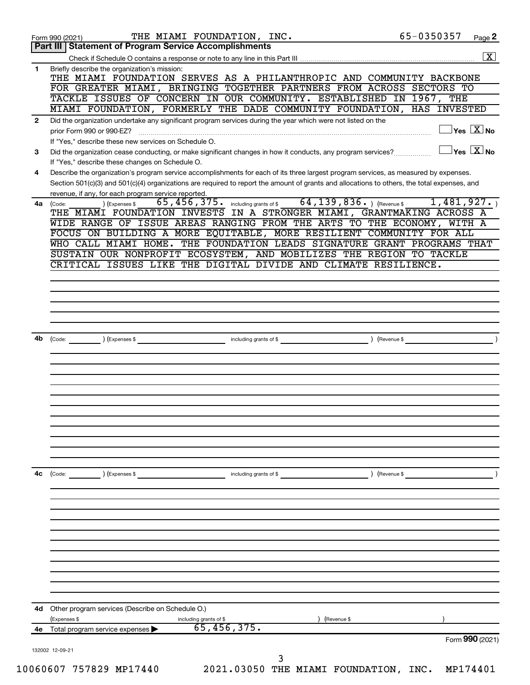|    | THE MIAMI FOUNDATION, INC.<br>Form 990 (2021)                                                                                                                                                                                                                                        | 65-0350357 | Page 2                              |
|----|--------------------------------------------------------------------------------------------------------------------------------------------------------------------------------------------------------------------------------------------------------------------------------------|------------|-------------------------------------|
|    | <b>Statement of Program Service Accomplishments</b><br>Part III                                                                                                                                                                                                                      |            |                                     |
|    |                                                                                                                                                                                                                                                                                      |            | $\boxed{\text{X}}$                  |
| 1  | Briefly describe the organization's mission:                                                                                                                                                                                                                                         |            |                                     |
|    | THE MIAMI FOUNDATION SERVES AS A PHILANTHROPIC AND COMMUNITY BACKBONE<br>FOR GREATER MIAMI, BRINGING TOGETHER PARTNERS FROM ACROSS SECTORS TO                                                                                                                                        |            |                                     |
|    | TACKLE ISSUES OF CONCERN IN OUR COMMUNITY. ESTABLISHED IN 1967, THE                                                                                                                                                                                                                  |            |                                     |
|    | MIAMI FOUNDATION, FORMERLY THE DADE COMMUNITY FOUNDATION, HAS INVESTED                                                                                                                                                                                                               |            |                                     |
| 2  | Did the organization undertake any significant program services during the year which were not listed on the                                                                                                                                                                         |            |                                     |
|    | prior Form 990 or 990-EZ?                                                                                                                                                                                                                                                            |            | $\exists$ Yes $\boxed{\text{X}}$ No |
|    | If "Yes," describe these new services on Schedule O.                                                                                                                                                                                                                                 |            |                                     |
| 3  | Did the organization cease conducting, or make significant changes in how it conducts, any program services?                                                                                                                                                                         |            | $\gamma$ es $\boxed{X}$ No          |
|    | If "Yes," describe these changes on Schedule O.                                                                                                                                                                                                                                      |            |                                     |
| 4  | Describe the organization's program service accomplishments for each of its three largest program services, as measured by expenses.<br>Section 501(c)(3) and 501(c)(4) organizations are required to report the amount of grants and allocations to others, the total expenses, and |            |                                     |
|    | revenue, if any, for each program service reported.                                                                                                                                                                                                                                  |            |                                     |
|    | $64, 139, 836.$ (Revenue \$<br>$\overline{65}$ , $\overline{456}$ , $\overline{375}$ a including grants of \$<br>) (Expenses \$<br>4a (Code:                                                                                                                                         |            | 1,481,927.                          |
|    | THE MIAMI FOUNDATION INVESTS IN A STRONGER MIAMI, GRANTMAKING ACROSS A                                                                                                                                                                                                               |            |                                     |
|    | WIDE RANGE OF ISSUE AREAS RANGING FROM THE ARTS TO THE ECONOMY, WITH A                                                                                                                                                                                                               |            |                                     |
|    | FOCUS ON BUILDING A MORE EQUITABLE, MORE RESILIENT COMMUNITY FOR ALL                                                                                                                                                                                                                 |            |                                     |
|    | WHO CALL MIAMI HOME. THE FOUNDATION LEADS SIGNATURE GRANT PROGRAMS THAT                                                                                                                                                                                                              |            |                                     |
|    | SUSTAIN OUR NONPROFIT ECOSYSTEM, AND MOBILIZES THE REGION TO TACKLE<br>CRITICAL ISSUES LIKE THE DIGITAL DIVIDE AND CLIMATE RESILIENCE.                                                                                                                                               |            |                                     |
|    |                                                                                                                                                                                                                                                                                      |            |                                     |
|    |                                                                                                                                                                                                                                                                                      |            |                                     |
|    |                                                                                                                                                                                                                                                                                      |            |                                     |
|    |                                                                                                                                                                                                                                                                                      |            |                                     |
|    |                                                                                                                                                                                                                                                                                      |            |                                     |
|    |                                                                                                                                                                                                                                                                                      |            |                                     |
| 4b | ) (Expenses \$<br>including grants of \$<br>(Code: will be a face of $\sim$                                                                                                                                                                                                          | Revenue \$ |                                     |
|    |                                                                                                                                                                                                                                                                                      |            |                                     |
|    |                                                                                                                                                                                                                                                                                      |            |                                     |
|    |                                                                                                                                                                                                                                                                                      |            |                                     |
|    |                                                                                                                                                                                                                                                                                      |            |                                     |
|    |                                                                                                                                                                                                                                                                                      |            |                                     |
|    |                                                                                                                                                                                                                                                                                      |            |                                     |
|    |                                                                                                                                                                                                                                                                                      |            |                                     |
|    |                                                                                                                                                                                                                                                                                      |            |                                     |
|    |                                                                                                                                                                                                                                                                                      |            |                                     |
|    |                                                                                                                                                                                                                                                                                      |            |                                     |
| 4с | (Code: ) (Expenses \$                                                                                                                                                                                                                                                                |            |                                     |
|    |                                                                                                                                                                                                                                                                                      |            |                                     |
|    |                                                                                                                                                                                                                                                                                      |            |                                     |
|    |                                                                                                                                                                                                                                                                                      |            |                                     |
|    |                                                                                                                                                                                                                                                                                      |            |                                     |
|    |                                                                                                                                                                                                                                                                                      |            |                                     |
|    |                                                                                                                                                                                                                                                                                      |            |                                     |
|    |                                                                                                                                                                                                                                                                                      |            |                                     |
|    |                                                                                                                                                                                                                                                                                      |            |                                     |
|    |                                                                                                                                                                                                                                                                                      |            |                                     |
|    |                                                                                                                                                                                                                                                                                      |            |                                     |
|    |                                                                                                                                                                                                                                                                                      |            |                                     |
|    |                                                                                                                                                                                                                                                                                      |            |                                     |
|    | 4d Other program services (Describe on Schedule O.)                                                                                                                                                                                                                                  |            |                                     |
|    | (Expenses \$<br>(Revenue \$<br>including grants of \$                                                                                                                                                                                                                                |            |                                     |
| 4e | 65, 456, 375.<br>Total program service expenses                                                                                                                                                                                                                                      |            |                                     |
|    | 132002 12-09-21                                                                                                                                                                                                                                                                      |            | Form 990 (2021)                     |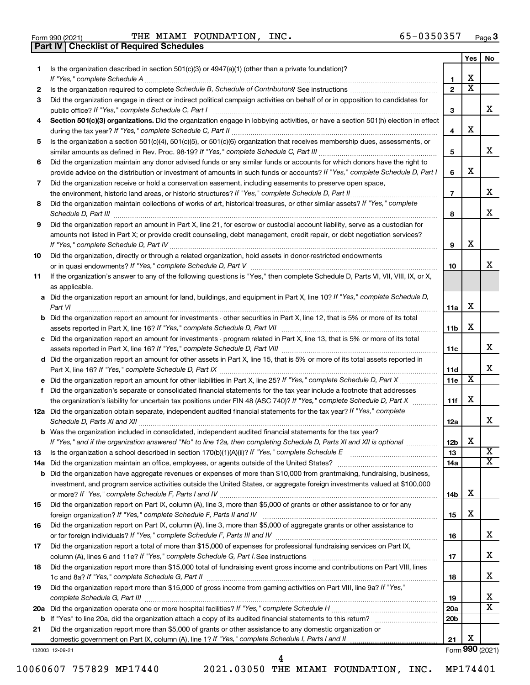|  | Form 990 (2021) |
|--|-----------------|

Form 990 (2021) THE MIAMI FOUNDATION, INC.  $65-0350357$  Page

**Part IV Checklist of Required Schedules**

|     |                                                                                                                                                                                                                                     |                          | Yes                     | No                      |
|-----|-------------------------------------------------------------------------------------------------------------------------------------------------------------------------------------------------------------------------------------|--------------------------|-------------------------|-------------------------|
| 1   | Is the organization described in section $501(c)(3)$ or $4947(a)(1)$ (other than a private foundation)?                                                                                                                             |                          |                         |                         |
|     | If "Yes," complete Schedule A                                                                                                                                                                                                       | 1                        | х                       |                         |
| 2   |                                                                                                                                                                                                                                     | $\mathbf{2}$             | $\overline{\textbf{x}}$ |                         |
| З   | Did the organization engage in direct or indirect political campaign activities on behalf of or in opposition to candidates for                                                                                                     |                          |                         |                         |
|     | public office? If "Yes," complete Schedule C, Part I                                                                                                                                                                                | 3                        |                         | x.                      |
| 4   | Section 501(c)(3) organizations. Did the organization engage in lobbying activities, or have a section 501(h) election in effect                                                                                                    | 4                        | х                       |                         |
| 5   | Is the organization a section 501(c)(4), 501(c)(5), or 501(c)(6) organization that receives membership dues, assessments, or                                                                                                        |                          |                         |                         |
|     |                                                                                                                                                                                                                                     | 5                        |                         | х                       |
| 6   | Did the organization maintain any donor advised funds or any similar funds or accounts for which donors have the right to                                                                                                           |                          | х                       |                         |
|     | provide advice on the distribution or investment of amounts in such funds or accounts? If "Yes," complete Schedule D, Part I                                                                                                        | 6                        |                         |                         |
| 7   | Did the organization receive or hold a conservation easement, including easements to preserve open space,                                                                                                                           | $\overline{\phantom{a}}$ |                         | x.                      |
| 8   | .<br>Did the organization maintain collections of works of art, historical treasures, or other similar assets? If "Yes," complete                                                                                                   |                          |                         |                         |
|     | Schedule D, Part III <b>Marting Communities</b> and the contract of the contract of the contract of the contract of the contract of the contract of the contract of the contract of the contract of the contract of the contract of | 8                        |                         | x                       |
| 9   | Did the organization report an amount in Part X, line 21, for escrow or custodial account liability, serve as a custodian for                                                                                                       |                          |                         |                         |
|     | amounts not listed in Part X; or provide credit counseling, debt management, credit repair, or debt negotiation services?                                                                                                           | 9                        | х                       |                         |
| 10  | Did the organization, directly or through a related organization, hold assets in donor-restricted endowments                                                                                                                        |                          |                         |                         |
|     |                                                                                                                                                                                                                                     | 10                       |                         | x.                      |
| 11  | If the organization's answer to any of the following questions is "Yes," then complete Schedule D, Parts VI, VII, VIII, IX, or X,<br>as applicable.                                                                                 |                          |                         |                         |
|     | a Did the organization report an amount for land, buildings, and equipment in Part X, line 10? If "Yes," complete Schedule D,                                                                                                       |                          |                         |                         |
|     | Part VI                                                                                                                                                                                                                             | 11a                      | х                       |                         |
|     | Did the organization report an amount for investments - other securities in Part X, line 12, that is 5% or more of its total                                                                                                        |                          |                         |                         |
|     |                                                                                                                                                                                                                                     | 11 <sub>b</sub>          | х                       |                         |
|     | c Did the organization report an amount for investments - program related in Part X, line 13, that is 5% or more of its total                                                                                                       |                          |                         |                         |
|     |                                                                                                                                                                                                                                     | 11c                      |                         | x.                      |
|     | d Did the organization report an amount for other assets in Part X, line 15, that is 5% or more of its total assets reported in                                                                                                     |                          |                         |                         |
|     |                                                                                                                                                                                                                                     | 11d                      |                         | x                       |
|     |                                                                                                                                                                                                                                     | 11e                      | х                       |                         |
| f   | Did the organization's separate or consolidated financial statements for the tax year include a footnote that addresses                                                                                                             |                          |                         |                         |
|     | the organization's liability for uncertain tax positions under FIN 48 (ASC 740)? If "Yes," complete Schedule D, Part X                                                                                                              | 11f                      | х                       |                         |
|     | 12a Did the organization obtain separate, independent audited financial statements for the tax year? If "Yes," complete<br>Schedule D, Parts XI and XII                                                                             | 12a                      |                         | x                       |
|     | <b>b</b> Was the organization included in consolidated, independent audited financial statements for the tax year?                                                                                                                  |                          |                         |                         |
|     | If "Yes," and if the organization answered "No" to line 12a, then completing Schedule D, Parts XI and XII is optional                                                                                                               | 12 <sub>b</sub>          | X                       |                         |
| 13  | Is the organization a school described in section $170(b)(1)(A)(ii)$ ? If "Yes," complete Schedule E                                                                                                                                | 13                       |                         | $\overline{\textbf{X}}$ |
| 14a |                                                                                                                                                                                                                                     | 14a                      |                         | x                       |
| b   | Did the organization have aggregate revenues or expenses of more than \$10,000 from grantmaking, fundraising, business,                                                                                                             |                          |                         |                         |
|     | investment, and program service activities outside the United States, or aggregate foreign investments valued at \$100,000                                                                                                          |                          | х                       |                         |
|     |                                                                                                                                                                                                                                     | 14b                      |                         |                         |
| 15  | Did the organization report on Part IX, column (A), line 3, more than \$5,000 of grants or other assistance to or for any                                                                                                           | 15                       | х                       |                         |
| 16  | Did the organization report on Part IX, column (A), line 3, more than \$5,000 of aggregate grants or other assistance to                                                                                                            |                          |                         |                         |
|     |                                                                                                                                                                                                                                     | 16                       |                         | х                       |
| 17  | Did the organization report a total of more than \$15,000 of expenses for professional fundraising services on Part IX,                                                                                                             |                          |                         |                         |
|     |                                                                                                                                                                                                                                     | 17                       |                         | х                       |
| 18  | Did the organization report more than \$15,000 total of fundraising event gross income and contributions on Part VIII, lines                                                                                                        |                          |                         |                         |
|     |                                                                                                                                                                                                                                     | 18                       |                         | х                       |
| 19  | Did the organization report more than \$15,000 of gross income from gaming activities on Part VIII, line 9a? If "Yes,"<br>complete Schedule G, Part III                                                                             | 19                       |                         | x                       |
| 20a |                                                                                                                                                                                                                                     | 20a                      |                         | x                       |
| b   |                                                                                                                                                                                                                                     | 20 <sub>b</sub>          |                         |                         |
| 21  | Did the organization report more than \$5,000 of grants or other assistance to any domestic organization or                                                                                                                         |                          |                         |                         |
|     |                                                                                                                                                                                                                                     | 21                       | х                       |                         |
|     | 132003 12-09-21                                                                                                                                                                                                                     |                          |                         | Form 990 (2021)         |

10060607 757829 MP17440 2021.03050 THE MIAMI FOUNDATION, INC. MP174401

4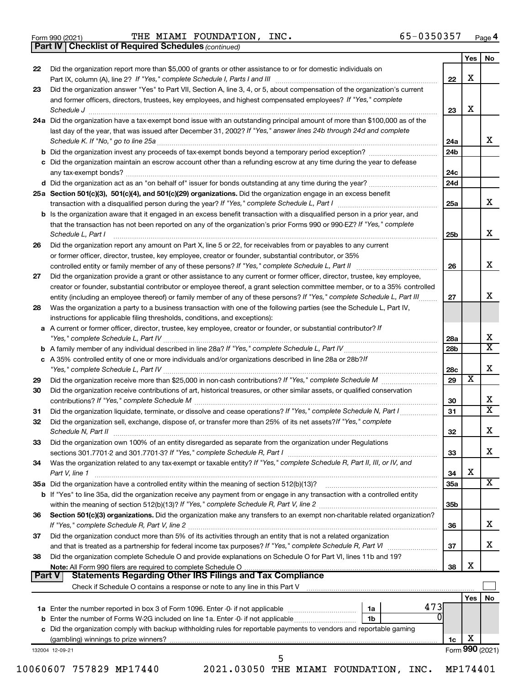|  | Form 990 (2021) |
|--|-----------------|
|  |                 |

Form 990 (2021) THE MIAMI FOUNDATION, INC.  $65-0350357$  Page

*(continued)* **Part IV Checklist of Required Schedules**

| 22            | Did the organization report more than \$5,000 of grants or other assistance to or for domestic individuals on                                                                                                                                                                                                                                             |                 | <b>Yes</b>      | No |
|---------------|-----------------------------------------------------------------------------------------------------------------------------------------------------------------------------------------------------------------------------------------------------------------------------------------------------------------------------------------------------------|-----------------|-----------------|----|
|               |                                                                                                                                                                                                                                                                                                                                                           | 22              | X               |    |
| 23            | Did the organization answer "Yes" to Part VII, Section A, line 3, 4, or 5, about compensation of the organization's current                                                                                                                                                                                                                               |                 |                 |    |
|               | and former officers, directors, trustees, key employees, and highest compensated employees? If "Yes," complete<br>Schedule J <b>Example 2 Constant Constructs</b> 2 <b>Constant Constant Constant Constant Constant Constant Constant Constant Constant Constant Constant Constant Constant Constant Constant Constant Constant Constant Constant Con</b> | 23              | X               |    |
|               | 24a Did the organization have a tax-exempt bond issue with an outstanding principal amount of more than \$100,000 as of the                                                                                                                                                                                                                               |                 |                 |    |
|               | last day of the year, that was issued after December 31, 2002? If "Yes," answer lines 24b through 24d and complete                                                                                                                                                                                                                                        | 24a             |                 | X  |
|               | <b>b</b> Did the organization invest any proceeds of tax-exempt bonds beyond a temporary period exception?                                                                                                                                                                                                                                                | 24 <sub>b</sub> |                 |    |
|               | c Did the organization maintain an escrow account other than a refunding escrow at any time during the year to defease                                                                                                                                                                                                                                    |                 |                 |    |
|               |                                                                                                                                                                                                                                                                                                                                                           | 24c             |                 |    |
|               |                                                                                                                                                                                                                                                                                                                                                           | 24d             |                 |    |
|               | 25a Section 501(c)(3), 501(c)(4), and 501(c)(29) organizations. Did the organization engage in an excess benefit                                                                                                                                                                                                                                          |                 |                 |    |
|               |                                                                                                                                                                                                                                                                                                                                                           | 25a             |                 |    |
|               | <b>b</b> Is the organization aware that it engaged in an excess benefit transaction with a disqualified person in a prior year, and<br>that the transaction has not been reported on any of the organization's prior Forms 990 or 990-EZ? If "Yes," complete<br>Schedule L, Part I                                                                        | 25b             |                 |    |
| 26            | Did the organization report any amount on Part X, line 5 or 22, for receivables from or payables to any current                                                                                                                                                                                                                                           |                 |                 |    |
|               | or former officer, director, trustee, key employee, creator or founder, substantial contributor, or 35%                                                                                                                                                                                                                                                   |                 |                 |    |
|               | controlled entity or family member of any of these persons? If "Yes," complete Schedule L, Part II                                                                                                                                                                                                                                                        | 26              |                 |    |
| 27            | Did the organization provide a grant or other assistance to any current or former officer, director, trustee, key employee,                                                                                                                                                                                                                               |                 |                 |    |
|               | creator or founder, substantial contributor or employee thereof, a grant selection committee member, or to a 35% controlled                                                                                                                                                                                                                               |                 |                 |    |
|               | entity (including an employee thereof) or family member of any of these persons? If "Yes," complete Schedule L, Part III                                                                                                                                                                                                                                  | 27              |                 |    |
| 28            | Was the organization a party to a business transaction with one of the following parties (see the Schedule L, Part IV,                                                                                                                                                                                                                                    |                 |                 |    |
|               | instructions for applicable filing thresholds, conditions, and exceptions):                                                                                                                                                                                                                                                                               |                 |                 |    |
|               | a A current or former officer, director, trustee, key employee, creator or founder, or substantial contributor? If                                                                                                                                                                                                                                        | 28a             |                 |    |
|               |                                                                                                                                                                                                                                                                                                                                                           | 28 <sub>b</sub> |                 |    |
|               | c A 35% controlled entity of one or more individuals and/or organizations described in line 28a or 28b?/f                                                                                                                                                                                                                                                 |                 |                 |    |
|               |                                                                                                                                                                                                                                                                                                                                                           | 28c             |                 |    |
| 29            |                                                                                                                                                                                                                                                                                                                                                           | 29              | X               |    |
| 30            | Did the organization receive contributions of art, historical treasures, or other similar assets, or qualified conservation                                                                                                                                                                                                                               | 30              |                 |    |
| 31            | Did the organization liquidate, terminate, or dissolve and cease operations? If "Yes," complete Schedule N, Part I                                                                                                                                                                                                                                        | 31              |                 |    |
| 32            | Did the organization sell, exchange, dispose of, or transfer more than 25% of its net assets? If "Yes," complete                                                                                                                                                                                                                                          | 32              |                 |    |
| 33            | Did the organization own 100% of an entity disregarded as separate from the organization under Regulations                                                                                                                                                                                                                                                |                 |                 |    |
|               |                                                                                                                                                                                                                                                                                                                                                           | 33              |                 |    |
| 34            | Was the organization related to any tax-exempt or taxable entity? If "Yes," complete Schedule R, Part II, III, or IV, and<br>Part V, line 1                                                                                                                                                                                                               | 34              | х               |    |
|               |                                                                                                                                                                                                                                                                                                                                                           | <b>35a</b>      |                 |    |
|               | <b>b</b> If "Yes" to line 35a, did the organization receive any payment from or engage in any transaction with a controlled entity                                                                                                                                                                                                                        |                 |                 |    |
|               |                                                                                                                                                                                                                                                                                                                                                           | 35b             |                 |    |
| 36            | Section 501(c)(3) organizations. Did the organization make any transfers to an exempt non-charitable related organization?                                                                                                                                                                                                                                | 36              |                 |    |
| 37            | Did the organization conduct more than 5% of its activities through an entity that is not a related organization                                                                                                                                                                                                                                          |                 |                 |    |
| 38            | Did the organization complete Schedule O and provide explanations on Schedule O for Part VI, lines 11b and 19?                                                                                                                                                                                                                                            | 37              |                 |    |
| <b>Part V</b> |                                                                                                                                                                                                                                                                                                                                                           | 38              | X               |    |
|               |                                                                                                                                                                                                                                                                                                                                                           |                 |                 |    |
|               |                                                                                                                                                                                                                                                                                                                                                           |                 |                 |    |
|               | 473                                                                                                                                                                                                                                                                                                                                                       |                 | Yes             | No |
|               | 1a<br>0                                                                                                                                                                                                                                                                                                                                                   |                 |                 |    |
|               | 1b                                                                                                                                                                                                                                                                                                                                                        |                 |                 |    |
|               | c Did the organization comply with backup withholding rules for reportable payments to vendors and reportable gaming                                                                                                                                                                                                                                      |                 | х               |    |
|               |                                                                                                                                                                                                                                                                                                                                                           | 1c              |                 |    |
|               | 132004 12-09-21                                                                                                                                                                                                                                                                                                                                           |                 | Form 990 (2021) |    |
|               | 10060607 757829 MP17440<br>2021.03050 THE MIAMI FOUNDATION, INC.                                                                                                                                                                                                                                                                                          |                 | MP174401        |    |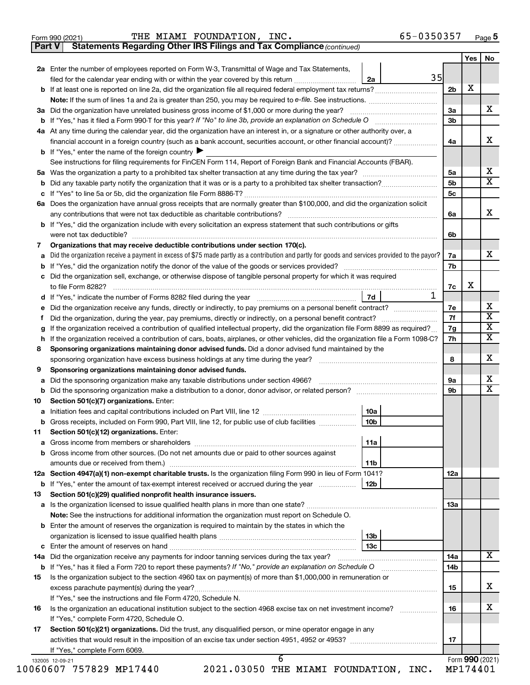|  | Form 990 (2021) |
|--|-----------------|
|  |                 |

**Part V Statements Regarding Other IRS Filings and Tax Compliance**

*(continued)*

|    |                                                                                                                                                 |                 |    |                | Yes | No                      |
|----|-------------------------------------------------------------------------------------------------------------------------------------------------|-----------------|----|----------------|-----|-------------------------|
|    | 2a Enter the number of employees reported on Form W-3, Transmittal of Wage and Tax Statements,                                                  |                 |    |                |     |                         |
|    | filed for the calendar year ending with or within the year covered by this return                                                               | 2a              | 35 |                |     |                         |
|    |                                                                                                                                                 |                 |    | 2 <sub>b</sub> | X   |                         |
|    |                                                                                                                                                 |                 |    |                |     |                         |
|    | 3a Did the organization have unrelated business gross income of \$1,000 or more during the year?                                                |                 |    | 3a             |     | x                       |
|    |                                                                                                                                                 |                 |    | 3 <sub>b</sub> |     |                         |
|    | 4a At any time during the calendar year, did the organization have an interest in, or a signature or other authority over, a                    |                 |    |                |     |                         |
|    | financial account in a foreign country (such as a bank account, securities account, or other financial account)?                                |                 |    | 4a             |     | х                       |
|    | <b>b</b> If "Yes," enter the name of the foreign country $\blacktriangleright$                                                                  |                 |    |                |     |                         |
|    | See instructions for filing requirements for FinCEN Form 114, Report of Foreign Bank and Financial Accounts (FBAR).                             |                 |    |                |     | х                       |
|    |                                                                                                                                                 |                 |    | 5a<br>5b       |     | $\overline{\mathtt{x}}$ |
|    |                                                                                                                                                 |                 |    | 5c             |     |                         |
|    | 6a Does the organization have annual gross receipts that are normally greater than \$100,000, and did the organization solicit                  |                 |    |                |     |                         |
|    |                                                                                                                                                 |                 |    | 6a             |     | X                       |
|    | b If "Yes," did the organization include with every solicitation an express statement that such contributions or gifts                          |                 |    |                |     |                         |
|    |                                                                                                                                                 |                 |    | 6b             |     |                         |
| 7  | Organizations that may receive deductible contributions under section 170(c).                                                                   |                 |    |                |     |                         |
| а  | Did the organization receive a payment in excess of \$75 made partly as a contribution and partly for goods and services provided to the payor? |                 |    | 7a             |     | x                       |
|    |                                                                                                                                                 |                 |    | 7b             |     |                         |
|    | c Did the organization sell, exchange, or otherwise dispose of tangible personal property for which it was required                             |                 |    |                |     |                         |
|    |                                                                                                                                                 |                 |    | 7c             | х   |                         |
|    |                                                                                                                                                 | 7d              | 1  |                |     |                         |
|    | e Did the organization receive any funds, directly or indirectly, to pay premiums on a personal benefit contract?                               |                 |    | 7е             |     | х                       |
| f. | Did the organization, during the year, pay premiums, directly or indirectly, on a personal benefit contract?                                    |                 |    | 7f             |     | $\overline{\textbf{x}}$ |
| g  | If the organization received a contribution of qualified intellectual property, did the organization file Form 8899 as required?                |                 |    | 7g             |     | $\overline{\text{x}}$   |
|    | h If the organization received a contribution of cars, boats, airplanes, or other vehicles, did the organization file a Form 1098-C?            |                 |    | 7h             |     | $\overline{\text{x}}$   |
| 8  | Sponsoring organizations maintaining donor advised funds. Did a donor advised fund maintained by the                                            |                 |    |                |     |                         |
|    |                                                                                                                                                 |                 |    | 8              |     | х                       |
| 9  | Sponsoring organizations maintaining donor advised funds.                                                                                       |                 |    |                |     |                         |
| а  | Did the sponsoring organization make any taxable distributions under section 4966?                                                              |                 |    | 9а             |     | х                       |
|    |                                                                                                                                                 |                 |    | 9b             |     | $\overline{\text{x}}$   |
| 10 | Section 501(c)(7) organizations. Enter:                                                                                                         |                 |    |                |     |                         |
|    |                                                                                                                                                 | 10a             |    |                |     |                         |
|    | <b>b</b> Gross receipts, included on Form 990, Part VIII, line 12, for public use of club facilities <i>manameron</i> ,                         | 10 <sub>b</sub> |    |                |     |                         |
|    | 11 Section 501(c)(12) organizations. Enter:                                                                                                     |                 |    |                |     |                         |
|    |                                                                                                                                                 | 11a             |    |                |     |                         |
|    | b Gross income from other sources. (Do not net amounts due or paid to other sources against                                                     |                 |    |                |     |                         |
|    |                                                                                                                                                 | 11b             |    |                |     |                         |
|    | 12a Section 4947(a)(1) non-exempt charitable trusts. Is the organization filing Form 990 in lieu of Form 1041?                                  |                 |    | 12a            |     |                         |
|    | <b>b</b> If "Yes," enter the amount of tax-exempt interest received or accrued during the year                                                  | 12b             |    |                |     |                         |
| 13 | Section 501(c)(29) qualified nonprofit health insurance issuers.                                                                                |                 |    |                |     |                         |
|    |                                                                                                                                                 |                 |    | 1За            |     |                         |
|    | Note: See the instructions for additional information the organization must report on Schedule O.                                               |                 |    |                |     |                         |
|    | <b>b</b> Enter the amount of reserves the organization is required to maintain by the states in which the                                       |                 |    |                |     |                         |
|    |                                                                                                                                                 | 13b             |    |                |     |                         |
|    |                                                                                                                                                 |                 |    |                |     |                         |
|    |                                                                                                                                                 |                 |    | 14a            |     | $\overline{\text{X}}$   |
|    |                                                                                                                                                 |                 |    | 14b            |     |                         |
| 15 | Is the organization subject to the section 4960 tax on payment(s) of more than \$1,000,000 in remuneration or                                   |                 |    |                |     |                         |
|    |                                                                                                                                                 |                 |    | 15             |     | х                       |
|    | If "Yes," see the instructions and file Form 4720, Schedule N.                                                                                  |                 |    |                |     |                         |
|    |                                                                                                                                                 |                 |    | 16             |     | х                       |
|    | Is the organization an educational institution subject to the section 4968 excise tax on net investment income?                                 |                 |    |                |     |                         |
| 16 | If "Yes," complete Form 4720, Schedule O.                                                                                                       |                 |    |                |     |                         |
| 17 | Section 501(c)(21) organizations. Did the trust, any disqualified person, or mine operator engage in any                                        |                 |    |                |     |                         |
|    | If "Yes," complete Form 6069.                                                                                                                   |                 |    | 17             |     |                         |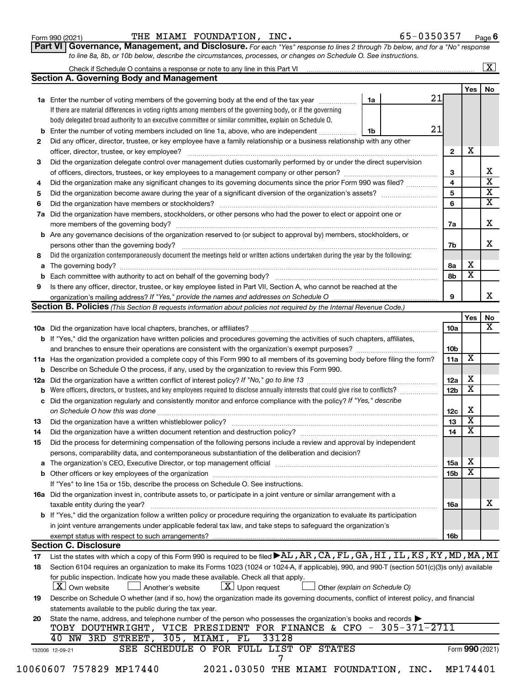| Form 990 (2021) |  |
|-----------------|--|
|-----------------|--|

Form 990 (2021) THE MIAMI FOUNDATION, INC.  $65-0350357$  Page

**Part VI** Governance, Management, and Disclosure. For each "Yes" response to lines 2 through 7b below, and for a "No" response *to line 8a, 8b, or 10b below, describe the circumstances, processes, or changes on Schedule O. See instructions.*

|     | Check if Schedule O contains a response or note to any line in this Part VI [11] [12] Check if Schedule O contains a response or note to any line in this Part VI |    |    |                 |                         | $\overline{\mathbf{x}}$ |
|-----|-------------------------------------------------------------------------------------------------------------------------------------------------------------------|----|----|-----------------|-------------------------|-------------------------|
|     | <b>Section A. Governing Body and Management</b>                                                                                                                   |    |    |                 |                         | No                      |
|     |                                                                                                                                                                   |    | 21 |                 | Yes                     |                         |
|     | 1a Enter the number of voting members of the governing body at the end of the tax year                                                                            | 1a |    |                 |                         |                         |
|     | If there are material differences in voting rights among members of the governing body, or if the governing                                                       |    |    |                 |                         |                         |
|     | body delegated broad authority to an executive committee or similar committee, explain on Schedule O.                                                             |    | 21 |                 |                         |                         |
|     | <b>b</b> Enter the number of voting members included on line 1a, above, who are independent                                                                       | 1b |    |                 |                         |                         |
| 2   | Did any officer, director, trustee, or key employee have a family relationship or a business relationship with any other                                          |    |    |                 |                         |                         |
|     | officer, director, trustee, or key employee?                                                                                                                      |    |    | $\mathbf{2}$    | х                       |                         |
| 3   | Did the organization delegate control over management duties customarily performed by or under the direct supervision                                             |    |    |                 |                         |                         |
|     |                                                                                                                                                                   |    |    | 3               |                         |                         |
| 4   | Did the organization make any significant changes to its governing documents since the prior Form 990 was filed?                                                  |    |    | 4               |                         |                         |
| 5   |                                                                                                                                                                   |    |    | 5               |                         |                         |
| 6   |                                                                                                                                                                   |    |    | 6               |                         |                         |
| 7a  | Did the organization have members, stockholders, or other persons who had the power to elect or appoint one or                                                    |    |    |                 |                         |                         |
|     |                                                                                                                                                                   |    |    | 7a              |                         |                         |
|     | <b>b</b> Are any governance decisions of the organization reserved to (or subject to approval by) members, stockholders, or                                       |    |    |                 |                         |                         |
|     | persons other than the governing body?                                                                                                                            |    |    | 7b              |                         |                         |
| 8   | Did the organization contemporaneously document the meetings held or written actions undertaken during the year by the following:                                 |    |    |                 |                         |                         |
|     |                                                                                                                                                                   |    |    | 8a              | х                       |                         |
|     |                                                                                                                                                                   |    |    | 8b              | $\overline{\textbf{x}}$ |                         |
| 9   | Is there any officer, director, trustee, or key employee listed in Part VII, Section A, who cannot be reached at the                                              |    |    |                 |                         |                         |
|     | organization's mailing address? If "Yes," provide the names and addresses on Schedule O manual content content                                                    |    |    | 9               |                         |                         |
|     | Section B. Policies (This Section B requests information about policies not required by the Internal Revenue Code.)                                               |    |    |                 |                         |                         |
|     |                                                                                                                                                                   |    |    |                 | Yes                     |                         |
|     |                                                                                                                                                                   |    |    | 10a             |                         |                         |
|     | <b>b</b> If "Yes," did the organization have written policies and procedures governing the activities of such chapters, affiliates,                               |    |    |                 |                         |                         |
|     |                                                                                                                                                                   |    |    | 10b             |                         |                         |
|     | 11a Has the organization provided a complete copy of this Form 990 to all members of its governing body before filing the form?                                   |    |    | 11a             | X                       |                         |
|     | <b>b</b> Describe on Schedule O the process, if any, used by the organization to review this Form 990.                                                            |    |    |                 |                         |                         |
| 12a |                                                                                                                                                                   |    |    | 12a             | х                       |                         |
| b   |                                                                                                                                                                   |    |    | 12 <sub>b</sub> | $\overline{\textbf{x}}$ |                         |
| c   | Did the organization regularly and consistently monitor and enforce compliance with the policy? If "Yes," describe                                                |    |    |                 |                         |                         |
|     |                                                                                                                                                                   |    |    | 12c             | х                       |                         |
| 13  |                                                                                                                                                                   |    |    | 13              | $\overline{\mathbf{x}}$ |                         |
| 14  | Did the organization have a written document retention and destruction policy? [11] manufaction manufaction in                                                    |    |    | 14              | $\overline{\mathbf{x}}$ |                         |
| 15  | Did the process for determining compensation of the following persons include a review and approval by independent                                                |    |    |                 |                         |                         |
|     | persons, comparability data, and contemporaneous substantiation of the deliberation and decision?                                                                 |    |    |                 |                         |                         |
|     |                                                                                                                                                                   |    |    | <b>15a</b>      | х                       |                         |
|     |                                                                                                                                                                   |    |    | 15b             | $\overline{\textbf{x}}$ |                         |
|     | If "Yes" to line 15a or 15b, describe the process on Schedule O. See instructions.                                                                                |    |    |                 |                         |                         |
|     |                                                                                                                                                                   |    |    |                 |                         |                         |
|     | 16a Did the organization invest in, contribute assets to, or participate in a joint venture or similar arrangement with a                                         |    |    |                 |                         |                         |
|     | taxable entity during the year?                                                                                                                                   |    |    | 16a             |                         |                         |
|     | b If "Yes," did the organization follow a written policy or procedure requiring the organization to evaluate its participation                                    |    |    |                 |                         |                         |
|     | in joint venture arrangements under applicable federal tax law, and take steps to safeguard the organization's                                                    |    |    |                 |                         |                         |
|     | exempt status with respect to such arrangements?                                                                                                                  |    |    | 16b             |                         |                         |
|     | <b>Section C. Disclosure</b>                                                                                                                                      |    |    |                 |                         |                         |
| 17  | List the states with which a copy of this Form 990 is required to be filed <b>&gt;AL</b> , AR, CA, FL, GA, HI, IL, KS, KY, MD, MA, MI                             |    |    |                 |                         |                         |
|     | Section 6104 requires an organization to make its Forms 1023 (1024 or 1024-A, if applicable), 990, and 990-T (section 501(c)(3)s only) available                  |    |    |                 |                         |                         |
|     |                                                                                                                                                                   |    |    |                 |                         |                         |
| 18  | for public inspection. Indicate how you made these available. Check all that apply.                                                                               |    |    |                 |                         |                         |
|     | $X$ Own website<br>$\lfloor x \rfloor$ Upon request<br>Another's website<br>Other (explain on Schedule O)                                                         |    |    |                 |                         |                         |
| 19  | Describe on Schedule O whether (and if so, how) the organization made its governing documents, conflict of interest policy, and financial                         |    |    |                 |                         |                         |
|     | statements available to the public during the tax year.                                                                                                           |    |    |                 |                         |                         |
| 20  | State the name, address, and telephone number of the person who possesses the organization's books and records                                                    |    |    |                 |                         |                         |
|     | TOBY DOUTHWRIGHT, VICE PRESIDENT FOR FINANCE & CFO - 305-371-2711                                                                                                 |    |    |                 |                         |                         |
|     | 40 NW 3RD STREET, 305, MIAMI, FL<br>33128<br>SEE SCHEDULE O FOR FULL LIST OF STATES                                                                               |    |    |                 | Form 990 (2021)         |                         |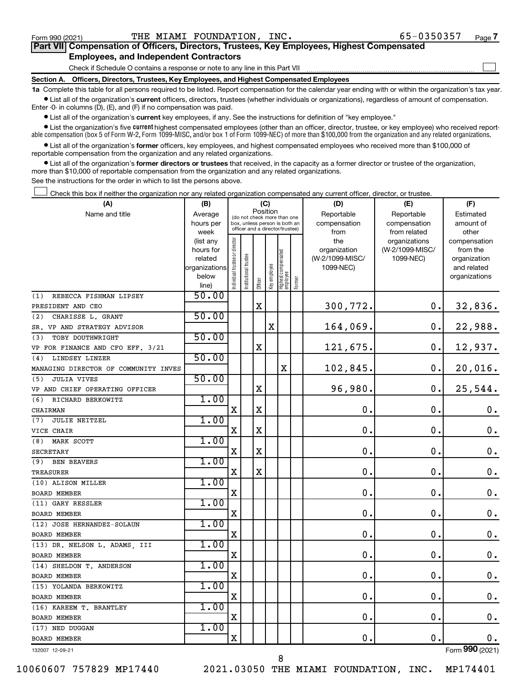$\Box$ 

| Part VII Compensation of Officers, Directors, Trustees, Key Employees, Highest Compensated |  |  |
|--------------------------------------------------------------------------------------------|--|--|
| <b>Employees, and Independent Contractors</b>                                              |  |  |

Check if Schedule O contains a response or note to any line in this Part VII

**Section A. Officers, Directors, Trustees, Key Employees, and Highest Compensated Employees**

**1a**  Complete this table for all persons required to be listed. Report compensation for the calendar year ending with or within the organization's tax year.  $\bullet$  List all of the organization's current officers, directors, trustees (whether individuals or organizations), regardless of amount of compensation.

Enter -0- in columns (D), (E), and (F) if no compensation was paid.

**•** List all of the organization's **current** key employees, if any. See the instructions for definition of "key employee."

• List the organization's five *current* highest compensated employees (other than an officer, director, trustee, or key employee) who received reportable compensation (box 5 of Form W-2, Form 1099-MISC, and/or box 1 of Form 1099-NEC) of more than \$100,000 from the organization and any related organizations.

 $\bullet$  List all of the organization's former officers, key employees, and highest compensated employees who received more than \$100,000 of reportable compensation from the organization and any related organizations.

**•** List all of the organization's former directors or trustees that received, in the capacity as a former director or trustee of the organization, more than \$10,000 of reportable compensation from the organization and any related organizations.

See the instructions for the order in which to list the persons above.

Check this box if neither the organization nor any related organization compensated any current officer, director, or trustee.  $\Box$ 

| (A)                                  | (B)                    |                                                                  |                             | (C)         |              |                                   |              | (D)                 | (E)                              | (F)                      |
|--------------------------------------|------------------------|------------------------------------------------------------------|-----------------------------|-------------|--------------|-----------------------------------|--------------|---------------------|----------------------------------|--------------------------|
| Name and title                       | Average                |                                                                  | (do not check more than one | Position    |              |                                   |              | Reportable          | Reportable                       | Estimated                |
|                                      | hours per              | box, unless person is both an<br>officer and a director/trustee) |                             |             |              | compensation                      | compensation | amount of           |                                  |                          |
|                                      | week                   |                                                                  |                             |             |              |                                   |              | from                | from related                     | other                    |
|                                      | (list any<br>hours for |                                                                  |                             |             |              |                                   |              | the<br>organization | organizations<br>(W-2/1099-MISC/ | compensation<br>from the |
|                                      | related                |                                                                  | trustee                     |             |              |                                   |              | (W-2/1099-MISC/     | 1099-NEC)                        | organization             |
|                                      | organizations          |                                                                  |                             |             |              |                                   |              | 1099-NEC)           |                                  | and related              |
|                                      | below                  | ndividual trustee or director                                    | Institutional t             |             | Key employee |                                   |              |                     |                                  | organizations            |
|                                      | line)                  |                                                                  |                             | Officer     |              | Highest compensated<br>  employee | Former       |                     |                                  |                          |
| (1)<br>REBECCA FISHMAN LIPSEY        | 50.00                  |                                                                  |                             |             |              |                                   |              |                     |                                  |                          |
| PRESIDENT AND CEO                    |                        |                                                                  |                             | $\mathbf X$ |              |                                   |              | 300,772.            | $\mathbf 0$ .                    | 32,836.                  |
| (2)<br>CHARISSE L. GRANT             | 50.00                  |                                                                  |                             |             |              |                                   |              |                     |                                  |                          |
| SR. VP AND STRATEGY ADVISOR          |                        |                                                                  |                             |             | X            |                                   |              | 164,069.            | $\mathbf 0$ .                    | 22,988.                  |
| TOBY DOUTHWRIGHT<br>(3)              | 50.00                  |                                                                  |                             |             |              |                                   |              |                     |                                  |                          |
| VP FOR FINANCE AND CFO EFF. 3/21     |                        |                                                                  |                             | $\mathbf X$ |              |                                   |              | 121,675.            | $\mathbf 0$ .                    | 12,937.                  |
| LINDSEY LINZER<br>(4)                | 50.00                  |                                                                  |                             |             |              |                                   |              |                     |                                  |                          |
| MANAGING DIRECTOR OF COMMUNITY INVES |                        |                                                                  |                             |             |              | $\mathbf X$                       |              | 102,845.            | $\mathbf 0$ .                    | 20,016.                  |
| (5)<br><b>JULIA VIVES</b>            | 50.00                  |                                                                  |                             |             |              |                                   |              |                     |                                  |                          |
| VP AND CHIEF OPERATING OFFICER       |                        |                                                                  |                             | X           |              |                                   |              | 96,980.             | $\mathbf 0$ .                    | 25,544.                  |
| (6)<br>RICHARD BERKOWITZ             | 1.00                   |                                                                  |                             |             |              |                                   |              |                     |                                  |                          |
| CHAIRMAN                             |                        | X                                                                |                             | X           |              |                                   |              | $\mathbf 0$ .       | $\mathbf 0$ .                    | 0.                       |
| JULIE NEITZEL<br>(7)                 | 1.00                   |                                                                  |                             |             |              |                                   |              |                     |                                  |                          |
| VICE CHAIR                           |                        | X                                                                |                             | X           |              |                                   |              | $\mathbf 0$ .       | $\mathbf 0$ .                    | $\mathbf 0$ .            |
| MARK SCOTT<br>(8)                    | 1.00                   |                                                                  |                             |             |              |                                   |              |                     |                                  |                          |
| SECRETARY                            |                        | $\mathbf X$                                                      |                             | $\mathbf X$ |              |                                   |              | $\mathbf 0$ .       | $\mathbf 0$ .                    | $\mathbf 0$ .            |
| (9)<br><b>BEN BEAVERS</b>            | 1.00                   |                                                                  |                             |             |              |                                   |              |                     |                                  |                          |
| TREASURER                            |                        | $\mathbf X$                                                      |                             | $\mathbf X$ |              |                                   |              | $\mathbf 0$ .       | $\mathbf 0$ .                    | $\mathbf 0$ .            |
| (10) ALISON MILLER                   | 1.00                   |                                                                  |                             |             |              |                                   |              |                     |                                  |                          |
| <b>BOARD MEMBER</b>                  |                        | $\mathbf X$                                                      |                             |             |              |                                   |              | $\mathbf{0}$ .      | $\mathbf 0$ .                    | $\mathbf 0$ .            |
| (11) GARY RESSLER                    | 1.00                   |                                                                  |                             |             |              |                                   |              |                     |                                  |                          |
| BOARD MEMBER                         |                        | X                                                                |                             |             |              |                                   |              | $\mathbf 0$ .       | $\mathbf 0$ .                    | $\mathbf 0$ .            |
| (12) JOSE HERNANDEZ-SOLAUN           | 1.00                   |                                                                  |                             |             |              |                                   |              |                     |                                  |                          |
| <b>BOARD MEMBER</b>                  |                        | X                                                                |                             |             |              |                                   |              | 0.                  | $\mathbf 0$ .                    | $\mathbf 0$ .            |
| (13) DR. NELSON L. ADAMS, III        | 1.00                   |                                                                  |                             |             |              |                                   |              |                     |                                  |                          |
| <b>BOARD MEMBER</b>                  |                        | Χ                                                                |                             |             |              |                                   |              | 0.                  | О.                               | 0.                       |
| (14) SHELDON T. ANDERSON             | 1.00                   |                                                                  |                             |             |              |                                   |              |                     |                                  |                          |
| <b>BOARD MEMBER</b>                  |                        | X                                                                |                             |             |              |                                   |              | 0.                  | $\mathbf 0$ .                    | $\mathbf 0$ .            |
| (15) YOLANDA BERKOWITZ               | 1.00                   |                                                                  |                             |             |              |                                   |              |                     |                                  |                          |
| <b>BOARD MEMBER</b>                  |                        | X                                                                |                             |             |              |                                   |              | 0.                  | $\mathbf 0$ .                    | 0.                       |
| (16) KAREEM T. BRANTLEY              | 1.00                   |                                                                  |                             |             |              |                                   |              |                     |                                  |                          |
| <b>BOARD MEMBER</b>                  |                        | X                                                                |                             |             |              |                                   |              | 0.                  | $\mathbf 0$ .                    | $\mathbf 0$ .            |
| (17) NED DUGGAN                      | 1.00                   |                                                                  |                             |             |              |                                   |              |                     |                                  |                          |
| BOARD MEMBER                         |                        | X                                                                |                             |             |              |                                   |              | $\mathbf 0$ .       | $\mathbf 0$ .                    | 0.                       |
|                                      |                        |                                                                  |                             |             |              |                                   |              |                     |                                  |                          |

132007 12-09-21

10060607 757829 MP17440 2021.03050 THE MIAMI FOUNDATION, INC. MP174401

8

Form (2021) **990**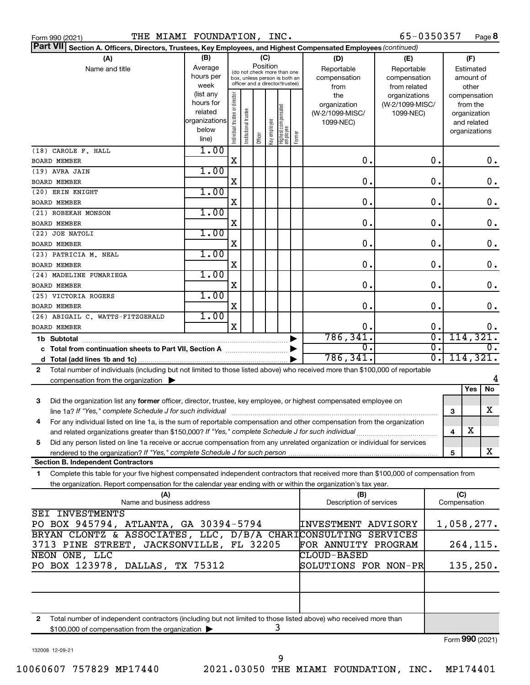|  | Form 990 (2021) |
|--|-----------------|
|  |                 |

| Part VII Section A. Officers, Directors, Trustees, Key Employees, and Highest Compensated Employees (continued)                                                                                                                                              |                   |                                |                                                                  |          |              |                                   |        |                         |                                  |                             |              |                          |               |
|--------------------------------------------------------------------------------------------------------------------------------------------------------------------------------------------------------------------------------------------------------------|-------------------|--------------------------------|------------------------------------------------------------------|----------|--------------|-----------------------------------|--------|-------------------------|----------------------------------|-----------------------------|--------------|--------------------------|---------------|
| (A)                                                                                                                                                                                                                                                          | (B)               |                                |                                                                  | (C)      |              |                                   |        | (D)                     | (E)                              |                             | (F)          |                          |               |
| Name and title                                                                                                                                                                                                                                               | Average           |                                | (do not check more than one                                      | Position |              |                                   |        | Reportable              | Reportable                       |                             |              | Estimated                |               |
|                                                                                                                                                                                                                                                              | hours per         |                                | box, unless person is both an<br>officer and a director/trustee) |          |              |                                   |        | compensation            | compensation                     |                             |              | amount of                |               |
|                                                                                                                                                                                                                                                              | week<br>(list any |                                |                                                                  |          |              |                                   |        | from                    | from related                     |                             |              | other                    |               |
|                                                                                                                                                                                                                                                              | hours for         |                                |                                                                  |          |              |                                   |        | the<br>organization     | organizations<br>(W-2/1099-MISC/ |                             |              | compensation<br>from the |               |
|                                                                                                                                                                                                                                                              | related           |                                |                                                                  |          |              |                                   |        | (W-2/1099-MISC/         | 1099-NEC)                        |                             |              | organization             |               |
|                                                                                                                                                                                                                                                              | organizations     |                                |                                                                  |          |              |                                   |        | 1099-NEC)               |                                  |                             |              | and related              |               |
|                                                                                                                                                                                                                                                              | below<br>line)    | Individual trustee or director | Institutional trustee                                            | Officer  | Key employee | Highest compensated<br>  employee | Former |                         |                                  |                             |              | organizations            |               |
|                                                                                                                                                                                                                                                              |                   |                                |                                                                  |          |              |                                   |        |                         |                                  |                             |              |                          |               |
| (18) CAROLE F. HALL<br><b>BOARD MEMBER</b>                                                                                                                                                                                                                   | 1.00              | X                              |                                                                  |          |              |                                   |        | 0.                      |                                  | 0.                          |              |                          | 0.            |
| (19) AVRA JAIN                                                                                                                                                                                                                                               | 1.00              |                                |                                                                  |          |              |                                   |        |                         |                                  |                             |              |                          |               |
| <b>BOARD MEMBER</b>                                                                                                                                                                                                                                          |                   | X                              |                                                                  |          |              |                                   |        | 0.                      |                                  | О.                          |              |                          | $\mathbf 0$ . |
| (20) ERIN KNIGHT                                                                                                                                                                                                                                             | 1.00              |                                |                                                                  |          |              |                                   |        |                         |                                  |                             |              |                          |               |
| <b>BOARD MEMBER</b>                                                                                                                                                                                                                                          |                   | X                              |                                                                  |          |              |                                   |        | $\mathbf 0$ .           |                                  | О.                          |              |                          | $\mathbf 0$ . |
| (21) ROBEKAH MONSON                                                                                                                                                                                                                                          | 1.00              |                                |                                                                  |          |              |                                   |        |                         |                                  |                             |              |                          |               |
| <b>BOARD MEMBER</b>                                                                                                                                                                                                                                          |                   | X                              |                                                                  |          |              |                                   |        | $\mathbf 0$ .           |                                  | О.                          |              |                          | 0.            |
| (22) JOE NATOLI                                                                                                                                                                                                                                              | 1.00              |                                |                                                                  |          |              |                                   |        |                         |                                  |                             |              |                          |               |
| <b>BOARD MEMBER</b>                                                                                                                                                                                                                                          |                   | X                              |                                                                  |          |              |                                   |        | $\mathbf 0$ .           |                                  | О.                          |              |                          | 0.            |
| (23) PATRICIA M. NEAL                                                                                                                                                                                                                                        | 1.00              |                                |                                                                  |          |              |                                   |        |                         |                                  |                             |              |                          |               |
| <b>BOARD MEMBER</b>                                                                                                                                                                                                                                          |                   | X                              |                                                                  |          |              |                                   |        | $\mathbf 0$ .           |                                  | О.                          |              |                          | $\mathbf 0$ . |
| (24) MADELINE PUMARIEGA                                                                                                                                                                                                                                      | 1.00              |                                |                                                                  |          |              |                                   |        |                         |                                  |                             |              |                          |               |
| <b>BOARD MEMBER</b>                                                                                                                                                                                                                                          |                   | X                              |                                                                  |          |              |                                   |        | 0.                      |                                  | О.                          |              |                          | 0.            |
| (25) VICTORIA ROGERS                                                                                                                                                                                                                                         | 1.00              |                                |                                                                  |          |              |                                   |        |                         |                                  |                             |              |                          |               |
| <b>BOARD MEMBER</b>                                                                                                                                                                                                                                          | 1.00              | X                              |                                                                  |          |              |                                   |        | 0.                      |                                  | 0.                          |              |                          | 0.            |
| (26) ABIGAIL C. WATTS-FITZGERALD<br><b>BOARD MEMBER</b>                                                                                                                                                                                                      |                   | $\mathbf x$                    |                                                                  |          |              |                                   |        | $\mathbf 0$ .           |                                  | 0.                          |              |                          | 0.            |
| 1b Subtotal                                                                                                                                                                                                                                                  |                   |                                |                                                                  |          |              |                                   |        | 786,341.                |                                  | $\overline{\mathfrak{o}}$ . |              | 114,321.                 |               |
|                                                                                                                                                                                                                                                              |                   |                                |                                                                  |          |              |                                   |        | о.                      |                                  | $\overline{0}$ .            |              |                          | Ο.            |
|                                                                                                                                                                                                                                                              |                   |                                |                                                                  |          |              |                                   |        | 786,341.                |                                  | σ.                          |              | 114,321.                 |               |
| Total number of individuals (including but not limited to those listed above) who received more than \$100,000 of reportable<br>$\mathbf{2}$                                                                                                                 |                   |                                |                                                                  |          |              |                                   |        |                         |                                  |                             |              |                          |               |
| compensation from the organization $\blacktriangleright$                                                                                                                                                                                                     |                   |                                |                                                                  |          |              |                                   |        |                         |                                  |                             |              |                          | 4             |
|                                                                                                                                                                                                                                                              |                   |                                |                                                                  |          |              |                                   |        |                         |                                  |                             |              | Yes                      | No            |
| Did the organization list any former officer, director, trustee, key employee, or highest compensated employee on<br>3                                                                                                                                       |                   |                                |                                                                  |          |              |                                   |        |                         |                                  |                             |              |                          |               |
| line 1a? If "Yes," complete Schedule J for such individual                                                                                                                                                                                                   |                   |                                |                                                                  |          |              |                                   |        |                         |                                  |                             | 3            |                          | х             |
| For any individual listed on line 1a, is the sum of reportable compensation and other compensation from the organization<br>4                                                                                                                                |                   |                                |                                                                  |          |              |                                   |        |                         |                                  |                             |              |                          |               |
|                                                                                                                                                                                                                                                              |                   |                                |                                                                  |          |              |                                   |        |                         |                                  |                             | 4            | X                        |               |
| Did any person listed on line 1a receive or accrue compensation from any unrelated organization or individual for services<br>5                                                                                                                              |                   |                                |                                                                  |          |              |                                   |        |                         |                                  |                             |              |                          |               |
|                                                                                                                                                                                                                                                              |                   |                                |                                                                  |          |              |                                   |        |                         |                                  |                             | 5            |                          | X             |
| <b>Section B. Independent Contractors</b>                                                                                                                                                                                                                    |                   |                                |                                                                  |          |              |                                   |        |                         |                                  |                             |              |                          |               |
| Complete this table for your five highest compensated independent contractors that received more than \$100,000 of compensation from<br>1.<br>the organization. Report compensation for the calendar year ending with or within the organization's tax year. |                   |                                |                                                                  |          |              |                                   |        |                         |                                  |                             |              |                          |               |
| (A)                                                                                                                                                                                                                                                          |                   |                                |                                                                  |          |              |                                   |        | (B)                     |                                  |                             | (C)          |                          |               |
| Name and business address                                                                                                                                                                                                                                    |                   |                                |                                                                  |          |              |                                   |        | Description of services |                                  |                             | Compensation |                          |               |
| SEI INVESTMENTS                                                                                                                                                                                                                                              |                   |                                |                                                                  |          |              |                                   |        |                         |                                  |                             |              |                          |               |
| PO BOX 945794, ATLANTA, GA 30394-5794<br>1,058,277.<br><b>INVESTMENT ADVISORY</b>                                                                                                                                                                            |                   |                                |                                                                  |          |              |                                   |        |                         |                                  |                             |              |                          |               |
| BRYAN CLONTZ & ASSOCIATES, LLC, D/B/A CHARICONSULTING SERVICES                                                                                                                                                                                               |                   |                                |                                                                  |          |              |                                   |        |                         |                                  |                             |              |                          |               |
| 3713 PINE STREET, JACKSONVILLE, FL 32205<br>FOR ANNUITY PROGRAM<br>264, 115.                                                                                                                                                                                 |                   |                                |                                                                  |          |              |                                   |        |                         |                                  |                             |              |                          |               |
| NEON ONE, LLC                                                                                                                                                                                                                                                |                   |                                |                                                                  |          |              |                                   |        | CLOUD-BASED             |                                  |                             |              |                          |               |
| PO BOX 123978, DALLAS, TX 75312                                                                                                                                                                                                                              |                   |                                |                                                                  |          |              |                                   |        | SOLUTIONS FOR NON-PR    |                                  |                             |              | 135, 250.                |               |
|                                                                                                                                                                                                                                                              |                   |                                |                                                                  |          |              |                                   |        |                         |                                  |                             |              |                          |               |
|                                                                                                                                                                                                                                                              |                   |                                |                                                                  |          |              |                                   |        |                         |                                  |                             |              |                          |               |
|                                                                                                                                                                                                                                                              |                   |                                |                                                                  |          |              |                                   |        |                         |                                  |                             |              |                          |               |

**2** Total number of independent contractors (including but not limited to those listed above) who received more than \$100,000 of compensation from the organization 3

9

Form (2021) **990**

132008 12-09-21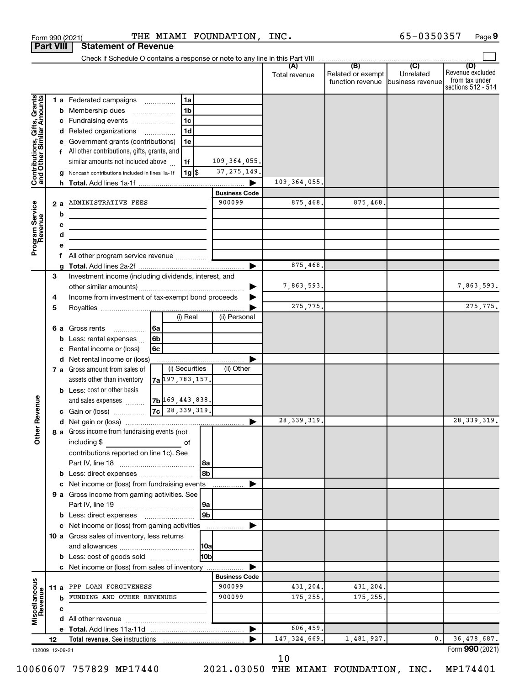|                                                           | <b>Part VIII</b> |        | <b>Statement of Revenue</b>                                                                                                                                                                                                                                                                    |                      |                |                                                        |           |                                                                 |
|-----------------------------------------------------------|------------------|--------|------------------------------------------------------------------------------------------------------------------------------------------------------------------------------------------------------------------------------------------------------------------------------------------------|----------------------|----------------|--------------------------------------------------------|-----------|-----------------------------------------------------------------|
|                                                           |                  |        |                                                                                                                                                                                                                                                                                                |                      |                |                                                        |           |                                                                 |
|                                                           |                  |        |                                                                                                                                                                                                                                                                                                |                      | Total revenue  | Related or exempt<br>function revenue business revenue | Unrelated | (D)<br>Revenue excluded<br>from tax under<br>sections 512 - 514 |
|                                                           |                  | b<br>с | 1 a Federated campaigns<br>1a<br>1 <sub>b</sub><br>Membership dues<br>$\ldots \ldots \ldots \ldots$<br>Fundraising events<br>1c                                                                                                                                                                |                      |                |                                                        |           |                                                                 |
| Contributions, Gifts, Grants<br>and Other Similar Amounts |                  |        | 1 <sub>d</sub><br>d Related organizations<br>Government grants (contributions)<br>1e<br>f All other contributions, gifts, grants, and<br>similar amounts not included above<br>1f                                                                                                              | 109, 364, 055.       |                |                                                        |           |                                                                 |
|                                                           |                  |        | Noncash contributions included in lines 1a-1f<br>1g $ $ \$                                                                                                                                                                                                                                     | 37, 275, 149.        | 109, 364, 055. |                                                        |           |                                                                 |
|                                                           |                  |        |                                                                                                                                                                                                                                                                                                | <b>Business Code</b> |                |                                                        |           |                                                                 |
| Program Service<br>Revenue                                | 2a               | b      | ADMINISTRATIVE FEES                                                                                                                                                                                                                                                                            | 900099               | 875,468.       | 875,468.                                               |           |                                                                 |
|                                                           |                  | с      |                                                                                                                                                                                                                                                                                                |                      |                |                                                        |           |                                                                 |
|                                                           |                  | d      | the control of the control of the control of the control of the                                                                                                                                                                                                                                |                      |                |                                                        |           |                                                                 |
|                                                           |                  | е      |                                                                                                                                                                                                                                                                                                |                      |                |                                                        |           |                                                                 |
|                                                           |                  | f      |                                                                                                                                                                                                                                                                                                |                      |                |                                                        |           |                                                                 |
|                                                           |                  |        |                                                                                                                                                                                                                                                                                                |                      | 875,468.       |                                                        |           |                                                                 |
|                                                           | 3                |        | Investment income (including dividends, interest, and                                                                                                                                                                                                                                          |                      | 7,863,593.     |                                                        |           | 7,863,593.                                                      |
|                                                           | 4                |        | Income from investment of tax-exempt bond proceeds                                                                                                                                                                                                                                             |                      |                |                                                        |           |                                                                 |
|                                                           | 5                |        |                                                                                                                                                                                                                                                                                                |                      | 275,775.       |                                                        |           | 275,775.                                                        |
|                                                           |                  |        | (i) Real                                                                                                                                                                                                                                                                                       | (ii) Personal        |                |                                                        |           |                                                                 |
|                                                           |                  |        | 6a<br>6 a Gross rents<br>.                                                                                                                                                                                                                                                                     |                      |                |                                                        |           |                                                                 |
|                                                           |                  | b      | 6b<br>Less: rental expenses                                                                                                                                                                                                                                                                    |                      |                |                                                        |           |                                                                 |
|                                                           |                  | с      | 6с<br>Rental income or (loss)                                                                                                                                                                                                                                                                  |                      |                |                                                        |           |                                                                 |
|                                                           |                  | d      | Net rental income or (loss)                                                                                                                                                                                                                                                                    |                      |                |                                                        |           |                                                                 |
|                                                           |                  |        | (i) Securities<br>7 a Gross amount from sales of                                                                                                                                                                                                                                               | (ii) Other           |                |                                                        |           |                                                                 |
|                                                           |                  |        | <b>7a</b> 197, 783, 157.<br>assets other than inventory                                                                                                                                                                                                                                        |                      |                |                                                        |           |                                                                 |
|                                                           |                  |        | <b>b</b> Less: cost or other basis<br>7b 169, 443, 838.<br>and sales expenses                                                                                                                                                                                                                  |                      |                |                                                        |           |                                                                 |
| Revenue                                                   |                  |        | c Gain or (loss)  7c 28, 339, 319.                                                                                                                                                                                                                                                             |                      |                |                                                        |           |                                                                 |
|                                                           |                  |        |                                                                                                                                                                                                                                                                                                |                      | 28, 339, 319.  |                                                        |           | 28, 339, 319.                                                   |
| Ĕ                                                         |                  |        | 8 a Gross income from fundraising events (not<br>including \$<br>оf<br>$\mathcal{L}^{\mathcal{L}}(\mathcal{L}^{\mathcal{L}})$ and $\mathcal{L}^{\mathcal{L}}(\mathcal{L}^{\mathcal{L}})$ and $\mathcal{L}^{\mathcal{L}}(\mathcal{L}^{\mathcal{L}})$<br>contributions reported on line 1c). See |                      |                |                                                        |           |                                                                 |
|                                                           |                  |        | 8a                                                                                                                                                                                                                                                                                             |                      |                |                                                        |           |                                                                 |
|                                                           |                  |        | 8b                                                                                                                                                                                                                                                                                             |                      |                |                                                        |           |                                                                 |
|                                                           |                  |        | c Net income or (loss) from fundraising events                                                                                                                                                                                                                                                 |                      |                |                                                        |           |                                                                 |
|                                                           |                  |        | 9 a Gross income from gaming activities. See                                                                                                                                                                                                                                                   |                      |                |                                                        |           |                                                                 |
|                                                           |                  |        | 9a                                                                                                                                                                                                                                                                                             |                      |                |                                                        |           |                                                                 |
|                                                           |                  |        | 9b                                                                                                                                                                                                                                                                                             |                      |                |                                                        |           |                                                                 |
|                                                           |                  |        | c Net income or (loss) from gaming activities                                                                                                                                                                                                                                                  |                      |                |                                                        |           |                                                                 |
|                                                           |                  |        | 10 a Gross sales of inventory, less returns<br> 10a                                                                                                                                                                                                                                            |                      |                |                                                        |           |                                                                 |
|                                                           |                  |        | l10bl<br><b>b</b> Less: cost of goods sold                                                                                                                                                                                                                                                     |                      |                |                                                        |           |                                                                 |
|                                                           |                  |        | c Net income or (loss) from sales of inventory                                                                                                                                                                                                                                                 |                      |                |                                                        |           |                                                                 |
|                                                           |                  |        |                                                                                                                                                                                                                                                                                                | <b>Business Code</b> |                |                                                        |           |                                                                 |
|                                                           |                  |        | 11 a PPP LOAN FORGIVENESS                                                                                                                                                                                                                                                                      | 900099               | 431,204.       | 431,204.                                               |           |                                                                 |
| Miscellaneous<br>Revenue                                  |                  | b      | FUNDING AND OTHER REVENUES                                                                                                                                                                                                                                                                     | 900099               | 175, 255.      | 175,255.                                               |           |                                                                 |
|                                                           |                  | с      |                                                                                                                                                                                                                                                                                                |                      |                |                                                        |           |                                                                 |
|                                                           |                  |        |                                                                                                                                                                                                                                                                                                |                      |                |                                                        |           |                                                                 |
|                                                           |                  |        |                                                                                                                                                                                                                                                                                                |                      | 606,459.       |                                                        |           |                                                                 |
|                                                           | 12               |        |                                                                                                                                                                                                                                                                                                |                      | 147, 324, 669. | 1,481,927.                                             | 0.        | 36,478,687.                                                     |
| 122000 12.00.21                                           |                  |        |                                                                                                                                                                                                                                                                                                |                      |                |                                                        |           | <b>Enrm 990</b> (2021)                                          |

132009 12-09-21

10060607 757829 MP17440 2021.03050 THE MIAMI FOUNDATION, INC. MP174401

10

Form (2021) **990**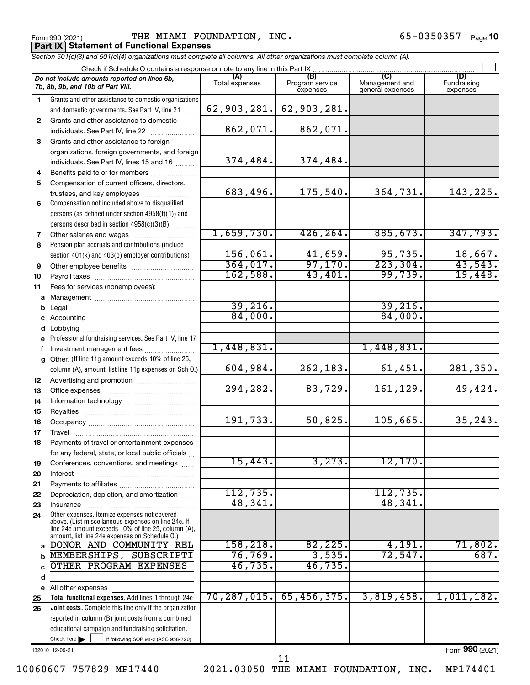Form 990 (2021) THE MIAMI FOUNDATION, INC.  $65-0350357$  Page

65-0350357 Page 10

| <b>Part IX Statement of Functional Expenses</b> |  |
|-------------------------------------------------|--|
|                                                 |  |

*Section 501(c)(3) and 501(c)(4) organizations must complete all columns. All other organizations must complete column (A).*

|              | Check if Schedule O contains a response or note to any line in this Part IX                                                                                                                                                                                         |                      |                                    |                                    |                                |  |
|--------------|---------------------------------------------------------------------------------------------------------------------------------------------------------------------------------------------------------------------------------------------------------------------|----------------------|------------------------------------|------------------------------------|--------------------------------|--|
|              | Do not include amounts reported on lines 6b,<br>7b, 8b, 9b, and 10b of Part VIII.                                                                                                                                                                                   | Total expenses       | (B)<br>Program service<br>expenses | Management and<br>general expenses | (D)<br>Fundraising<br>expenses |  |
| 1.           | Grants and other assistance to domestic organizations                                                                                                                                                                                                               |                      |                                    |                                    |                                |  |
|              | and domestic governments. See Part IV, line 21                                                                                                                                                                                                                      | 62,903,281.          | 62,903,281.                        |                                    |                                |  |
| $\mathbf{2}$ | Grants and other assistance to domestic                                                                                                                                                                                                                             |                      |                                    |                                    |                                |  |
|              | individuals. See Part IV, line 22<br>and a complete the complete state of the state of the state of the state of the state of the state of the state of the state of the state of the state of the state of the state of the state of the state of the state of the | 862,071.             | 862,071.                           |                                    |                                |  |
| 3            | Grants and other assistance to foreign                                                                                                                                                                                                                              |                      |                                    |                                    |                                |  |
|              | organizations, foreign governments, and foreign                                                                                                                                                                                                                     |                      |                                    |                                    |                                |  |
|              | individuals. See Part IV, lines 15 and 16                                                                                                                                                                                                                           | 374,484.             | 374,484.                           |                                    |                                |  |
| 4            | Benefits paid to or for members                                                                                                                                                                                                                                     |                      |                                    |                                    |                                |  |
| 5            | Compensation of current officers, directors,                                                                                                                                                                                                                        |                      |                                    |                                    |                                |  |
|              | trustees, and key employees                                                                                                                                                                                                                                         | 683,496.             | 175,540.                           | 364,731.                           | 143,225.                       |  |
| 6            | Compensation not included above to disqualified                                                                                                                                                                                                                     |                      |                                    |                                    |                                |  |
|              | persons (as defined under section 4958(f)(1)) and                                                                                                                                                                                                                   |                      |                                    |                                    |                                |  |
|              | persons described in section 4958(c)(3)(B)                                                                                                                                                                                                                          |                      |                                    |                                    |                                |  |
| 7            |                                                                                                                                                                                                                                                                     | 1,659,730.           | 426, 264.                          | 885, 673.                          | 347,793.                       |  |
| 8            | Pension plan accruals and contributions (include                                                                                                                                                                                                                    |                      |                                    |                                    |                                |  |
|              | section 401(k) and 403(b) employer contributions)                                                                                                                                                                                                                   | 156,061.<br>364,017. | 41,659.<br>97,170.                 | 95,735.<br>$\overline{223,304}$ .  | 18,667.<br>43,543.             |  |
| 9            |                                                                                                                                                                                                                                                                     | 162,588.             | 43,401.                            | 99,739.                            | 19,448.                        |  |
| 10           |                                                                                                                                                                                                                                                                     |                      |                                    |                                    |                                |  |
| 11           | Fees for services (nonemployees):                                                                                                                                                                                                                                   |                      |                                    |                                    |                                |  |
| a            |                                                                                                                                                                                                                                                                     | 39,216.              |                                    | 39,216.                            |                                |  |
| b            |                                                                                                                                                                                                                                                                     | 84,000.              |                                    | 84,000.                            |                                |  |
| c<br>d       |                                                                                                                                                                                                                                                                     |                      |                                    |                                    |                                |  |
| e            | Professional fundraising services. See Part IV, line 17                                                                                                                                                                                                             |                      |                                    |                                    |                                |  |
| f            | Investment management fees                                                                                                                                                                                                                                          | 1,448,831.           |                                    | 1,448,831.                         |                                |  |
|              | Other. (If line 11g amount exceeds 10% of line 25,                                                                                                                                                                                                                  |                      |                                    |                                    |                                |  |
|              | column (A), amount, list line 11g expenses on Sch O.)                                                                                                                                                                                                               | 604,984.             | 262,183.                           | 61,451.                            | 281,350.                       |  |
| 12           |                                                                                                                                                                                                                                                                     |                      |                                    |                                    |                                |  |
| 13           |                                                                                                                                                                                                                                                                     | 294, 282.            | 83,729.                            | 161, 129.                          | 49, 424.                       |  |
| 14           |                                                                                                                                                                                                                                                                     |                      |                                    |                                    |                                |  |
| 15           |                                                                                                                                                                                                                                                                     |                      |                                    |                                    |                                |  |
| 16           |                                                                                                                                                                                                                                                                     | 191, 733.            | 50,825.                            | 105, 665.                          | 35, 243.                       |  |
| 17           | Travel                                                                                                                                                                                                                                                              |                      |                                    |                                    |                                |  |
| 18           | Payments of travel or entertainment expenses                                                                                                                                                                                                                        |                      |                                    |                                    |                                |  |
|              | for any federal, state, or local public officials                                                                                                                                                                                                                   |                      |                                    |                                    |                                |  |
| 19           | Conferences, conventions, and meetings                                                                                                                                                                                                                              | 15,443.              | 3, 273.                            | 12, 170.                           |                                |  |
| 20           | Interest                                                                                                                                                                                                                                                            |                      |                                    |                                    |                                |  |
| 21           |                                                                                                                                                                                                                                                                     |                      |                                    |                                    |                                |  |
| 22           | Depreciation, depletion, and amortization                                                                                                                                                                                                                           | 112, 735.<br>48,341  |                                    | 112,735.                           |                                |  |
| 23           | Insurance                                                                                                                                                                                                                                                           |                      |                                    | 48,341                             |                                |  |
| 24           | Other expenses. Itemize expenses not covered<br>above. (List miscellaneous expenses on line 24e. If<br>line 24e amount exceeds 10% of line 25, column (A),<br>amount, list line 24e expenses on Schedule O.)                                                        |                      |                                    |                                    |                                |  |
| a            | DONOR AND COMMUNITY REL                                                                                                                                                                                                                                             | 158, 218.            | 82, 225.                           | 4,191.                             | 71,802.                        |  |
| b            | MEMBERSHIPS, SUBSCRIPTI                                                                                                                                                                                                                                             | 76,769.              | 3,535.                             | 72,547.                            | 687.                           |  |
| C            | OTHER PROGRAM EXPENSES                                                                                                                                                                                                                                              | 46,735.              | 46,735.                            |                                    |                                |  |
| d            |                                                                                                                                                                                                                                                                     |                      |                                    |                                    |                                |  |
| е            | All other expenses                                                                                                                                                                                                                                                  |                      |                                    |                                    |                                |  |
| 25           | Total functional expenses. Add lines 1 through 24e                                                                                                                                                                                                                  | 70, 287, 015.        | 65, 456, 375.                      | 3,819,458.                         | 1,011,182.                     |  |
| 26           | Joint costs. Complete this line only if the organization                                                                                                                                                                                                            |                      |                                    |                                    |                                |  |
|              | reported in column (B) joint costs from a combined                                                                                                                                                                                                                  |                      |                                    |                                    |                                |  |
|              | educational campaign and fundraising solicitation.                                                                                                                                                                                                                  |                      |                                    |                                    |                                |  |
|              | Check here $\blacktriangleright$<br>if following SOP 98-2 (ASC 958-720)                                                                                                                                                                                             |                      |                                    |                                    |                                |  |

132010 12-09-21

10060607 757829 MP17440 2021.03050 THE MIAMI FOUNDATION, INC. MP174401

11

Form (2021) **990**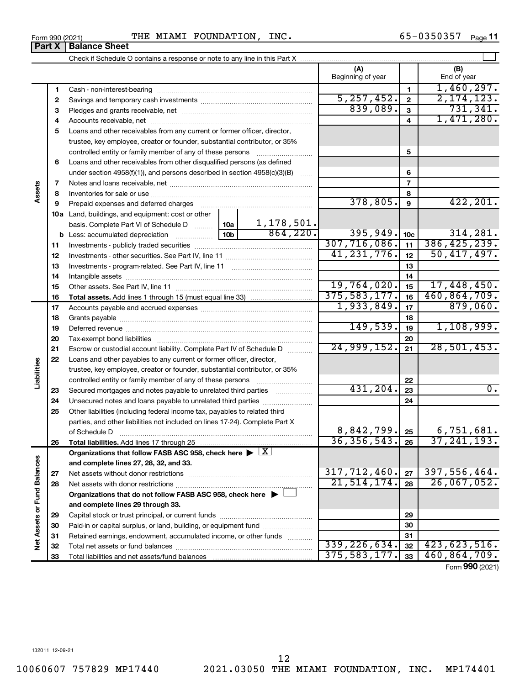Form 990 (2021) THE MIAMI FOUNDATION, INC.  $65-0350357$  Page

65-0350357 Page 11

|                             |          |                                                                                                                                                                                                                                |                             |                | (A)<br>Beginning of year   |                 | (B)<br>End of year |
|-----------------------------|----------|--------------------------------------------------------------------------------------------------------------------------------------------------------------------------------------------------------------------------------|-----------------------------|----------------|----------------------------|-----------------|--------------------|
|                             | 1        |                                                                                                                                                                                                                                |                             |                |                            | 1.              | 1,460,297.         |
|                             | 2        |                                                                                                                                                                                                                                |                             |                | 5, 257, 452.               | $\overline{2}$  | 2, 174, 123.       |
|                             | 3        |                                                                                                                                                                                                                                |                             |                | 839,089.                   | 3               | 731, 341.          |
|                             | 4        |                                                                                                                                                                                                                                |                             |                |                            | 4               | 1,471,280.         |
|                             | 5        | Loans and other receivables from any current or former officer, director,                                                                                                                                                      |                             |                |                            |                 |                    |
|                             |          | trustee, key employee, creator or founder, substantial contributor, or 35%                                                                                                                                                     |                             |                |                            |                 |                    |
|                             |          | controlled entity or family member of any of these persons <i>manufolder in the controlled</i>                                                                                                                                 |                             |                |                            | 5               |                    |
|                             | 6        | Loans and other receivables from other disqualified persons (as defined                                                                                                                                                        |                             |                |                            |                 |                    |
|                             |          | under section $4958(f)(1)$ , and persons described in section $4958(c)(3)(B)$                                                                                                                                                  |                             |                |                            | 6               |                    |
| Assets                      | 7        |                                                                                                                                                                                                                                |                             |                |                            | 7               |                    |
|                             | 8        |                                                                                                                                                                                                                                |                             |                |                            | 8               |                    |
|                             | 9        | Prepaid expenses and deferred charges [11] [11] Prepaid expenses and deferred charges [11] [11] Martin Martin (11] (11] Arthur Martin (11] (11] Arthur Martin (11] Arthur Martin (11] Arthur Martin (11] Arthur Martin (11] Ar |                             |                | 378,805.                   | 9               | 422, 201.          |
|                             |          | 10a Land, buildings, and equipment: cost or other                                                                                                                                                                              |                             |                |                            |                 |                    |
|                             |          | basis. Complete Part VI of Schedule D  10a                                                                                                                                                                                     |                             | 1,178,501.     |                            |                 |                    |
|                             |          |                                                                                                                                                                                                                                |                             | 864,220.       | 395,949.                   | 10 <sub>c</sub> | 314, 281.          |
|                             | 11       |                                                                                                                                                                                                                                | $\overline{307, 716, 086.}$ | 11             | 386, 425, 239.             |                 |                    |
|                             | 12       |                                                                                                                                                                                                                                | 41, 231, 776.               | 12             | 50, 417, 497.              |                 |                    |
|                             | 13       |                                                                                                                                                                                                                                |                             | 13             |                            |                 |                    |
|                             | 14       |                                                                                                                                                                                                                                | 19,764,020.                 | 14             | 17,448,450.                |                 |                    |
|                             | 15       |                                                                                                                                                                                                                                |                             |                | 375, 583, 177.             | 15              | 460,864,709.       |
|                             | 16       |                                                                                                                                                                                                                                |                             |                | 1,933,849.                 | 16              | 879,060.           |
|                             | 17       |                                                                                                                                                                                                                                |                             | 17             |                            |                 |                    |
|                             | 18       |                                                                                                                                                                                                                                | 149,539.                    | 18             | 1,108,999.                 |                 |                    |
|                             | 19<br>20 |                                                                                                                                                                                                                                |                             | 19             |                            |                 |                    |
|                             | 21       | Escrow or custodial account liability. Complete Part IV of Schedule D                                                                                                                                                          |                             |                | 24,999,152.                | 20<br>21        | 28,501,453.        |
|                             | 22       | Loans and other payables to any current or former officer, director,                                                                                                                                                           |                             |                |                            |                 |                    |
| Liabilities                 |          | trustee, key employee, creator or founder, substantial contributor, or 35%                                                                                                                                                     |                             |                |                            |                 |                    |
|                             |          |                                                                                                                                                                                                                                |                             |                |                            | 22              |                    |
|                             | 23       | Secured mortgages and notes payable to unrelated third parties                                                                                                                                                                 |                             |                | 431, 204.                  | 23              | $\overline{0}$ .   |
|                             | 24       |                                                                                                                                                                                                                                |                             |                |                            | 24              |                    |
|                             | 25       | Other liabilities (including federal income tax, payables to related third                                                                                                                                                     |                             |                |                            |                 |                    |
|                             |          | parties, and other liabilities not included on lines 17-24). Complete Part X                                                                                                                                                   |                             |                |                            |                 |                    |
|                             |          | of Schedule D                                                                                                                                                                                                                  |                             |                | $8,842,799$ $\cdot$ 25     |                 | 6,751,681.         |
|                             | 26       | Total liabilities. Add lines 17 through 25                                                                                                                                                                                     |                             |                | $\overline{36, 356, 543.}$ | 26              | 37, 241, 193.      |
|                             |          | Organizations that follow FASB ASC 958, check here $\blacktriangleright \lfloor \underline{X} \rfloor$                                                                                                                         |                             |                |                            |                 |                    |
|                             |          | and complete lines 27, 28, 32, and 33.                                                                                                                                                                                         |                             |                |                            |                 |                    |
|                             | 27       |                                                                                                                                                                                                                                |                             |                | 317,712,460.               | 27              | 397,556,464.       |
|                             | 28       |                                                                                                                                                                                                                                |                             |                | 21, 514, 174.              | 28              | 26,067,052.        |
|                             |          | Organizations that do not follow FASB ASC 958, check here $\blacktriangleright$                                                                                                                                                |                             |                |                            |                 |                    |
|                             |          | and complete lines 29 through 33.                                                                                                                                                                                              |                             |                |                            |                 |                    |
|                             | 29       |                                                                                                                                                                                                                                |                             |                |                            | 29              |                    |
|                             | 30       | Paid-in or capital surplus, or land, building, or equipment fund                                                                                                                                                               |                             |                |                            | 30              |                    |
| Net Assets or Fund Balances | 31       | Retained earnings, endowment, accumulated income, or other funds                                                                                                                                                               |                             |                |                            | 31              |                    |
|                             | 32       |                                                                                                                                                                                                                                |                             | 339, 226, 634. | 32                         | 423,623,516.    |                    |
|                             | 33       |                                                                                                                                                                                                                                |                             |                | 375, 583, 177.             | 33              | 460,864,709.       |

Form (2021) **990**

# **Part X Balance Sheet**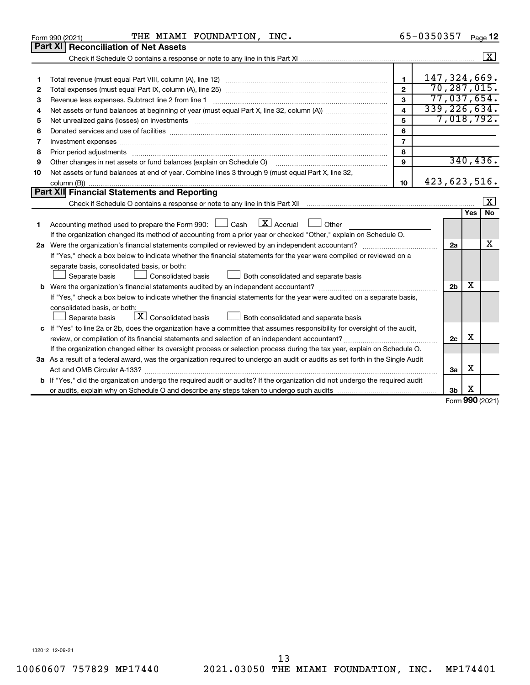|    | THE MIAMI FOUNDATION, INC.<br>Form 990 (2021)                                                                                   |                | 65-0350357 |                |     | Page 12                   |
|----|---------------------------------------------------------------------------------------------------------------------------------|----------------|------------|----------------|-----|---------------------------|
|    | Part XII<br><b>Reconciliation of Net Assets</b>                                                                                 |                |            |                |     |                           |
|    |                                                                                                                                 |                |            |                |     | $\overline{\mathbf{x}}$ . |
|    |                                                                                                                                 |                |            |                |     |                           |
| 1  |                                                                                                                                 | $\blacksquare$ |            | 147, 324, 669. |     |                           |
| 2  |                                                                                                                                 | $\overline{2}$ |            | 70, 287, 015.  |     |                           |
| З  |                                                                                                                                 | $\mathbf{3}$   |            | 77,037,654.    |     |                           |
| 4  |                                                                                                                                 | $\overline{a}$ |            | 339, 226, 634. |     |                           |
| 5  |                                                                                                                                 | 5              |            | 7,018,792.     |     |                           |
| 6  |                                                                                                                                 | $6\phantom{1}$ |            |                |     |                           |
| 7  | Investment expenses www.communication.com/www.communication.com/www.communication.com/www.com                                   | $\overline{7}$ |            |                |     |                           |
| 8  | Prior period adjustments www.communication.communication.com/news/communication.com/news/communication.com/new                  | 8              |            |                |     |                           |
| 9  | Other changes in net assets or fund balances (explain on Schedule O)                                                            | 9              |            |                |     | 340, 436.                 |
| 10 | Net assets or fund balances at end of year. Combine lines 3 through 9 (must equal Part X, line 32,                              |                |            |                |     |                           |
|    |                                                                                                                                 | 10             |            | 423,623,516.   |     |                           |
|    | Part XII Financial Statements and Reporting                                                                                     |                |            |                |     |                           |
|    |                                                                                                                                 |                |            |                |     | ΙX.                       |
| 1  | $\lfloor x \rfloor$ Accrual $\lfloor x \rfloor$<br>Accounting method used to prepare the Form 990: $\Box$ Cash<br>Other         |                |            |                | Yes | <b>No</b>                 |
|    | If the organization changed its method of accounting from a prior year or checked "Other," explain on Schedule O.               |                |            |                |     |                           |
|    |                                                                                                                                 |                |            | 2a             |     | х                         |
|    | If "Yes," check a box below to indicate whether the financial statements for the year were compiled or reviewed on a            |                |            |                |     |                           |
|    | separate basis, consolidated basis, or both:                                                                                    |                |            |                |     |                           |
|    | Separate basis<br><b>Consolidated basis</b><br><b>Both consolidated and separate basis</b>                                      |                |            |                |     |                           |
|    |                                                                                                                                 |                |            | 2 <sub>b</sub> | х   |                           |
|    | If "Yes," check a box below to indicate whether the financial statements for the year were audited on a separate basis,         |                |            |                |     |                           |
|    | consolidated basis, or both:                                                                                                    |                |            |                |     |                           |
|    | $\boxed{\mathbf{X}}$ Consolidated basis<br>Both consolidated and separate basis<br>Separate basis                               |                |            |                |     |                           |
|    | c If "Yes" to line 2a or 2b, does the organization have a committee that assumes responsibility for oversight of the audit,     |                |            |                |     |                           |
|    |                                                                                                                                 |                |            | 2c             | х   |                           |
|    | If the organization changed either its oversight process or selection process during the tax year, explain on Schedule O.       |                |            |                |     |                           |
|    | 3a As a result of a federal award, was the organization required to undergo an audit or audits as set forth in the Single Audit |                |            |                |     |                           |
|    |                                                                                                                                 |                |            | За             | х   |                           |
|    | b If "Yes," did the organization undergo the required audit or audits? If the organization did not undergo the required audit   |                |            |                |     |                           |
|    |                                                                                                                                 |                |            | 3b             | х   |                           |
|    |                                                                                                                                 |                |            |                |     | Form 990 (2021)           |

Form 990 (2021)

132012 12-09-21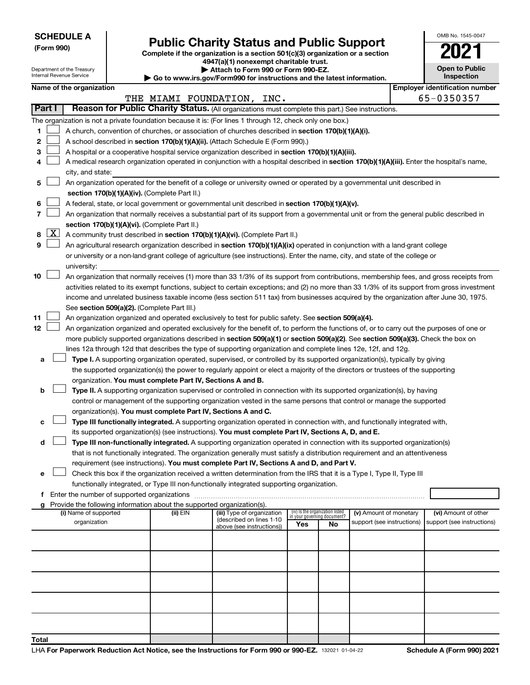| <b>SCHEDULE A</b> |
|-------------------|
|-------------------|

**Total**

# Form 990)<br>
Complete if the organization is a section 501(c)(3) organization or a section<br> **Public Charity Status and Public Support**

**4947(a)(1) nonexempt charitable trust.**

| OMB No. 1545-0047                   |  |  |  |  |  |  |
|-------------------------------------|--|--|--|--|--|--|
|                                     |  |  |  |  |  |  |
| <b>Open to Public</b><br>Inspection |  |  |  |  |  |  |
|                                     |  |  |  |  |  |  |

| Attach to Form 990 or Form 990-EZ.<br>Department of the Treasury<br>Internal Revenue Service<br>$\blacktriangleright$ Go to www.irs.gov/Form990 for instructions and the latest information. |                     |                                                                                                                                                                            |  |                                                                        |                                                                                                                                              |                                       | <b>Open to Public</b><br>Inspection                            |                            |  |                            |
|----------------------------------------------------------------------------------------------------------------------------------------------------------------------------------------------|---------------------|----------------------------------------------------------------------------------------------------------------------------------------------------------------------------|--|------------------------------------------------------------------------|----------------------------------------------------------------------------------------------------------------------------------------------|---------------------------------------|----------------------------------------------------------------|----------------------------|--|----------------------------|
|                                                                                                                                                                                              |                     | Name of the organization                                                                                                                                                   |  |                                                                        |                                                                                                                                              | <b>Employer identification number</b> |                                                                |                            |  |                            |
|                                                                                                                                                                                              |                     |                                                                                                                                                                            |  |                                                                        | THE MIAMI FOUNDATION, INC.                                                                                                                   |                                       |                                                                |                            |  | 65-0350357                 |
| Part I                                                                                                                                                                                       |                     |                                                                                                                                                                            |  |                                                                        | Reason for Public Charity Status. (All organizations must complete this part.) See instructions.                                             |                                       |                                                                |                            |  |                            |
|                                                                                                                                                                                              |                     |                                                                                                                                                                            |  |                                                                        | The organization is not a private foundation because it is: (For lines 1 through 12, check only one box.)                                    |                                       |                                                                |                            |  |                            |
| 1                                                                                                                                                                                            |                     |                                                                                                                                                                            |  |                                                                        | A church, convention of churches, or association of churches described in section 170(b)(1)(A)(i).                                           |                                       |                                                                |                            |  |                            |
| 2                                                                                                                                                                                            |                     |                                                                                                                                                                            |  |                                                                        | A school described in section 170(b)(1)(A)(ii). (Attach Schedule E (Form 990).)                                                              |                                       |                                                                |                            |  |                            |
| 3                                                                                                                                                                                            |                     |                                                                                                                                                                            |  |                                                                        | A hospital or a cooperative hospital service organization described in section 170(b)(1)(A)(iii).                                            |                                       |                                                                |                            |  |                            |
| 4                                                                                                                                                                                            |                     |                                                                                                                                                                            |  |                                                                        |                                                                                                                                              |                                       |                                                                |                            |  |                            |
|                                                                                                                                                                                              |                     | A medical research organization operated in conjunction with a hospital described in section 170(b)(1)(A)(iii). Enter the hospital's name,<br>city, and state:             |  |                                                                        |                                                                                                                                              |                                       |                                                                |                            |  |                            |
| 5                                                                                                                                                                                            |                     |                                                                                                                                                                            |  |                                                                        |                                                                                                                                              |                                       |                                                                |                            |  |                            |
|                                                                                                                                                                                              |                     | An organization operated for the benefit of a college or university owned or operated by a governmental unit described in<br>section 170(b)(1)(A)(iv). (Complete Part II.) |  |                                                                        |                                                                                                                                              |                                       |                                                                |                            |  |                            |
| 6                                                                                                                                                                                            |                     |                                                                                                                                                                            |  |                                                                        | A federal, state, or local government or governmental unit described in section 170(b)(1)(A)(v).                                             |                                       |                                                                |                            |  |                            |
| 7                                                                                                                                                                                            |                     |                                                                                                                                                                            |  |                                                                        | An organization that normally receives a substantial part of its support from a governmental unit or from the general public described in    |                                       |                                                                |                            |  |                            |
|                                                                                                                                                                                              |                     |                                                                                                                                                                            |  | section 170(b)(1)(A)(vi). (Complete Part II.)                          |                                                                                                                                              |                                       |                                                                |                            |  |                            |
| 8                                                                                                                                                                                            | $\lfloor x \rfloor$ |                                                                                                                                                                            |  |                                                                        | A community trust described in section 170(b)(1)(A)(vi). (Complete Part II.)                                                                 |                                       |                                                                |                            |  |                            |
| 9                                                                                                                                                                                            |                     |                                                                                                                                                                            |  |                                                                        | An agricultural research organization described in section 170(b)(1)(A)(ix) operated in conjunction with a land-grant college                |                                       |                                                                |                            |  |                            |
|                                                                                                                                                                                              |                     |                                                                                                                                                                            |  |                                                                        | or university or a non-land-grant college of agriculture (see instructions). Enter the name, city, and state of the college or               |                                       |                                                                |                            |  |                            |
|                                                                                                                                                                                              |                     | university:                                                                                                                                                                |  |                                                                        |                                                                                                                                              |                                       |                                                                |                            |  |                            |
| 10                                                                                                                                                                                           |                     |                                                                                                                                                                            |  |                                                                        | An organization that normally receives (1) more than 33 1/3% of its support from contributions, membership fees, and gross receipts from     |                                       |                                                                |                            |  |                            |
|                                                                                                                                                                                              |                     |                                                                                                                                                                            |  |                                                                        | activities related to its exempt functions, subject to certain exceptions; and (2) no more than 33 1/3% of its support from gross investment |                                       |                                                                |                            |  |                            |
|                                                                                                                                                                                              |                     |                                                                                                                                                                            |  |                                                                        | income and unrelated business taxable income (less section 511 tax) from businesses acquired by the organization after June 30, 1975.        |                                       |                                                                |                            |  |                            |
|                                                                                                                                                                                              |                     |                                                                                                                                                                            |  | See section 509(a)(2). (Complete Part III.)                            |                                                                                                                                              |                                       |                                                                |                            |  |                            |
| 11                                                                                                                                                                                           |                     |                                                                                                                                                                            |  |                                                                        | An organization organized and operated exclusively to test for public safety. See section 509(a)(4).                                         |                                       |                                                                |                            |  |                            |
| 12                                                                                                                                                                                           |                     |                                                                                                                                                                            |  |                                                                        | An organization organized and operated exclusively for the benefit of, to perform the functions of, or to carry out the purposes of one or   |                                       |                                                                |                            |  |                            |
|                                                                                                                                                                                              |                     |                                                                                                                                                                            |  |                                                                        | more publicly supported organizations described in section 509(a)(1) or section 509(a)(2). See section 509(a)(3). Check the box on           |                                       |                                                                |                            |  |                            |
|                                                                                                                                                                                              |                     |                                                                                                                                                                            |  |                                                                        | lines 12a through 12d that describes the type of supporting organization and complete lines 12e, 12f, and 12g.                               |                                       |                                                                |                            |  |                            |
| а                                                                                                                                                                                            |                     |                                                                                                                                                                            |  |                                                                        | Type I. A supporting organization operated, supervised, or controlled by its supported organization(s), typically by giving                  |                                       |                                                                |                            |  |                            |
|                                                                                                                                                                                              |                     |                                                                                                                                                                            |  |                                                                        | the supported organization(s) the power to regularly appoint or elect a majority of the directors or trustees of the supporting              |                                       |                                                                |                            |  |                            |
|                                                                                                                                                                                              |                     |                                                                                                                                                                            |  | organization. You must complete Part IV, Sections A and B.             |                                                                                                                                              |                                       |                                                                |                            |  |                            |
| b                                                                                                                                                                                            |                     |                                                                                                                                                                            |  |                                                                        | Type II. A supporting organization supervised or controlled in connection with its supported organization(s), by having                      |                                       |                                                                |                            |  |                            |
|                                                                                                                                                                                              |                     |                                                                                                                                                                            |  |                                                                        | control or management of the supporting organization vested in the same persons that control or manage the supported                         |                                       |                                                                |                            |  |                            |
|                                                                                                                                                                                              |                     |                                                                                                                                                                            |  | organization(s). You must complete Part IV, Sections A and C.          |                                                                                                                                              |                                       |                                                                |                            |  |                            |
| с                                                                                                                                                                                            |                     |                                                                                                                                                                            |  |                                                                        | Type III functionally integrated. A supporting organization operated in connection with, and functionally integrated with,                   |                                       |                                                                |                            |  |                            |
|                                                                                                                                                                                              |                     |                                                                                                                                                                            |  |                                                                        | its supported organization(s) (see instructions). You must complete Part IV, Sections A, D, and E.                                           |                                       |                                                                |                            |  |                            |
| d                                                                                                                                                                                            |                     |                                                                                                                                                                            |  |                                                                        | Type III non-functionally integrated. A supporting organization operated in connection with its supported organization(s)                    |                                       |                                                                |                            |  |                            |
|                                                                                                                                                                                              |                     |                                                                                                                                                                            |  |                                                                        | that is not functionally integrated. The organization generally must satisfy a distribution requirement and an attentiveness                 |                                       |                                                                |                            |  |                            |
|                                                                                                                                                                                              |                     |                                                                                                                                                                            |  |                                                                        | requirement (see instructions). You must complete Part IV, Sections A and D, and Part V.                                                     |                                       |                                                                |                            |  |                            |
|                                                                                                                                                                                              |                     |                                                                                                                                                                            |  |                                                                        | Check this box if the organization received a written determination from the IRS that it is a Type I, Type II, Type III                      |                                       |                                                                |                            |  |                            |
|                                                                                                                                                                                              |                     |                                                                                                                                                                            |  |                                                                        | functionally integrated, or Type III non-functionally integrated supporting organization.                                                    |                                       |                                                                |                            |  |                            |
|                                                                                                                                                                                              |                     | f Enter the number of supported organizations                                                                                                                              |  |                                                                        |                                                                                                                                              |                                       |                                                                |                            |  |                            |
|                                                                                                                                                                                              |                     |                                                                                                                                                                            |  | Provide the following information about the supported organization(s). |                                                                                                                                              |                                       |                                                                |                            |  |                            |
|                                                                                                                                                                                              |                     | (i) Name of supported                                                                                                                                                      |  | (ii) EIN                                                               | (iii) Type of organization<br>(described on lines 1-10)                                                                                      |                                       | (iv) Is the organization listed<br>in vour aovernina document? | (v) Amount of monetary     |  | (vi) Amount of other       |
|                                                                                                                                                                                              |                     | organization                                                                                                                                                               |  |                                                                        | above (see instructions))                                                                                                                    | Yes                                   | No                                                             | support (see instructions) |  | support (see instructions) |
|                                                                                                                                                                                              |                     |                                                                                                                                                                            |  |                                                                        |                                                                                                                                              |                                       |                                                                |                            |  |                            |
|                                                                                                                                                                                              |                     |                                                                                                                                                                            |  |                                                                        |                                                                                                                                              |                                       |                                                                |                            |  |                            |
|                                                                                                                                                                                              |                     |                                                                                                                                                                            |  |                                                                        |                                                                                                                                              |                                       |                                                                |                            |  |                            |
|                                                                                                                                                                                              |                     |                                                                                                                                                                            |  |                                                                        |                                                                                                                                              |                                       |                                                                |                            |  |                            |
|                                                                                                                                                                                              |                     |                                                                                                                                                                            |  |                                                                        |                                                                                                                                              |                                       |                                                                |                            |  |                            |
|                                                                                                                                                                                              |                     |                                                                                                                                                                            |  |                                                                        |                                                                                                                                              |                                       |                                                                |                            |  |                            |
|                                                                                                                                                                                              |                     |                                                                                                                                                                            |  |                                                                        |                                                                                                                                              |                                       |                                                                |                            |  |                            |
|                                                                                                                                                                                              |                     |                                                                                                                                                                            |  |                                                                        |                                                                                                                                              |                                       |                                                                |                            |  |                            |
|                                                                                                                                                                                              |                     |                                                                                                                                                                            |  |                                                                        |                                                                                                                                              |                                       |                                                                |                            |  |                            |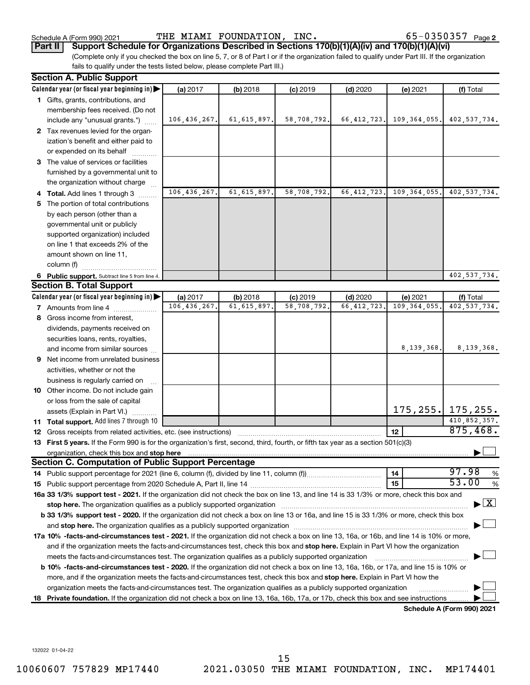Schedule A (Form 990) 2021  $\,$  THE MIAMI FOUNDATION, INC  $\,$  65  $-$  0350357  $\,$   $_{\rm{Page}}$ 

(Complete only if you checked the box on line 5, 7, or 8 of Part I or if the organization failed to qualify under Part III. If the organization **Part II Support Schedule for Organizations Described in Sections 170(b)(1)(A)(iv) and 170(b)(1)(A)(vi)**

fails to qualify under the tests listed below, please complete Part III.)

|     | <b>Section A. Public Support</b>                                                                                                                                                                                               |              |               |               |               |                 |                                          |  |
|-----|--------------------------------------------------------------------------------------------------------------------------------------------------------------------------------------------------------------------------------|--------------|---------------|---------------|---------------|-----------------|------------------------------------------|--|
|     | Calendar year (or fiscal year beginning in)                                                                                                                                                                                    | (a) 2017     | (b) 2018      | $(c)$ 2019    | $(d)$ 2020    | (e) 2021        | (f) Total                                |  |
|     | 1 Gifts, grants, contributions, and                                                                                                                                                                                            |              |               |               |               |                 |                                          |  |
|     | membership fees received. (Do not                                                                                                                                                                                              |              |               |               |               |                 |                                          |  |
|     | include any "unusual grants.")                                                                                                                                                                                                 | 106,436,267. | 61, 615, 897. | 58,708,792.   | 66, 412, 723. | 109, 364, 055.  | 402, 537, 734.                           |  |
|     | 2 Tax revenues levied for the organ-                                                                                                                                                                                           |              |               |               |               |                 |                                          |  |
|     | ization's benefit and either paid to                                                                                                                                                                                           |              |               |               |               |                 |                                          |  |
|     | or expended on its behalf                                                                                                                                                                                                      |              |               |               |               |                 |                                          |  |
|     | 3 The value of services or facilities                                                                                                                                                                                          |              |               |               |               |                 |                                          |  |
|     | furnished by a governmental unit to                                                                                                                                                                                            |              |               |               |               |                 |                                          |  |
|     | the organization without charge                                                                                                                                                                                                |              |               |               |               |                 |                                          |  |
|     | <b>Total.</b> Add lines 1 through 3                                                                                                                                                                                            | 106,436,267. | 61, 615, 897. | 58, 708, 792. | 66, 412, 723. | 109, 364, 055.  | 402, 537, 734.                           |  |
|     | The portion of total contributions                                                                                                                                                                                             |              |               |               |               |                 |                                          |  |
|     | by each person (other than a                                                                                                                                                                                                   |              |               |               |               |                 |                                          |  |
|     | governmental unit or publicly                                                                                                                                                                                                  |              |               |               |               |                 |                                          |  |
|     | supported organization) included                                                                                                                                                                                               |              |               |               |               |                 |                                          |  |
|     | on line 1 that exceeds 2% of the                                                                                                                                                                                               |              |               |               |               |                 |                                          |  |
|     | amount shown on line 11,                                                                                                                                                                                                       |              |               |               |               |                 |                                          |  |
|     | column (f)                                                                                                                                                                                                                     |              |               |               |               |                 |                                          |  |
|     | 6 Public support. Subtract line 5 from line 4.                                                                                                                                                                                 |              |               |               |               |                 | 402,537,734.                             |  |
|     | <b>Section B. Total Support</b>                                                                                                                                                                                                |              |               |               |               |                 |                                          |  |
|     | Calendar year (or fiscal year beginning in)                                                                                                                                                                                    | (a) 2017     | (b) 2018      | $(c)$ 2019    | $(d)$ 2020    | (e) 2021        | (f) Total                                |  |
|     | <b>7</b> Amounts from line 4                                                                                                                                                                                                   | 106,436,267. | 61, 615, 897, | 58,708,792.   | 66, 412, 723  | 109, 364, 055.  | 402, 537, 734.                           |  |
|     | 8 Gross income from interest,                                                                                                                                                                                                  |              |               |               |               |                 |                                          |  |
|     | dividends, payments received on                                                                                                                                                                                                |              |               |               |               |                 |                                          |  |
|     | securities loans, rents, royalties,                                                                                                                                                                                            |              |               |               |               |                 |                                          |  |
|     | and income from similar sources                                                                                                                                                                                                |              |               |               |               | 8,139,368.      | 8,139,368.                               |  |
|     | <b>9</b> Net income from unrelated business                                                                                                                                                                                    |              |               |               |               |                 |                                          |  |
|     | activities, whether or not the                                                                                                                                                                                                 |              |               |               |               |                 |                                          |  |
|     | business is regularly carried on                                                                                                                                                                                               |              |               |               |               |                 |                                          |  |
|     | 10 Other income. Do not include gain                                                                                                                                                                                           |              |               |               |               |                 |                                          |  |
|     | or loss from the sale of capital                                                                                                                                                                                               |              |               |               |               |                 |                                          |  |
|     | assets (Explain in Part VI.)                                                                                                                                                                                                   |              |               |               |               |                 | $175, 255.$ 175, 255.                    |  |
|     | 11 Total support. Add lines 7 through 10                                                                                                                                                                                       |              |               |               |               |                 | 410,852,357.                             |  |
| 12  | Gross receipts from related activities, etc. (see instructions)                                                                                                                                                                |              |               |               |               | 12 <sup>2</sup> | 875,468.                                 |  |
|     | 13 First 5 years. If the Form 990 is for the organization's first, second, third, fourth, or fifth tax year as a section 501(c)(3)                                                                                             |              |               |               |               |                 |                                          |  |
|     | organization, check this box and stop here                                                                                                                                                                                     |              |               |               |               |                 |                                          |  |
|     | Section C. Computation of Public Support Percentage                                                                                                                                                                            |              |               |               |               |                 |                                          |  |
| 14. |                                                                                                                                                                                                                                |              |               |               |               | 14              | 97.98<br>%                               |  |
| 15. |                                                                                                                                                                                                                                |              |               |               |               | 15              | 53.00<br>%                               |  |
|     | 16a 33 1/3% support test - 2021. If the organization did not check the box on line 13, and line 14 is 33 1/3% or more, check this box and                                                                                      |              |               |               |               |                 |                                          |  |
|     | stop here. The organization qualifies as a publicly supported organization manufaction manufacture content and the support of the state of the state of the state of the state of the state of the state of the state of the s |              |               |               |               |                 | $\blacktriangleright$ $\boxed{\text{X}}$ |  |
|     | b 33 1/3% support test - 2020. If the organization did not check a box on line 13 or 16a, and line 15 is 33 1/3% or more, check this box                                                                                       |              |               |               |               |                 |                                          |  |
|     |                                                                                                                                                                                                                                |              |               |               |               |                 |                                          |  |
|     | 17a 10% -facts-and-circumstances test - 2021. If the organization did not check a box on line 13, 16a, or 16b, and line 14 is 10% or more,                                                                                     |              |               |               |               |                 |                                          |  |
|     | and if the organization meets the facts-and-circumstances test, check this box and stop here. Explain in Part VI how the organization                                                                                          |              |               |               |               |                 |                                          |  |
|     | meets the facts-and-circumstances test. The organization qualifies as a publicly supported organization                                                                                                                        |              |               |               |               |                 |                                          |  |
|     | b 10% -facts-and-circumstances test - 2020. If the organization did not check a box on line 13, 16a, 16b, or 17a, and line 15 is 10% or                                                                                        |              |               |               |               |                 |                                          |  |
|     | more, and if the organization meets the facts-and-circumstances test, check this box and stop here. Explain in Part VI how the                                                                                                 |              |               |               |               |                 |                                          |  |
|     | organization meets the facts-and-circumstances test. The organization qualifies as a publicly supported organization                                                                                                           |              |               |               |               |                 |                                          |  |
| 18  | Private foundation. If the organization did not check a box on line 13, 16a, 16b, 17a, or 17b, check this box and see instructions.                                                                                            |              |               |               |               |                 |                                          |  |
|     |                                                                                                                                                                                                                                |              |               |               |               |                 | Schedule A (Form 990) 2021               |  |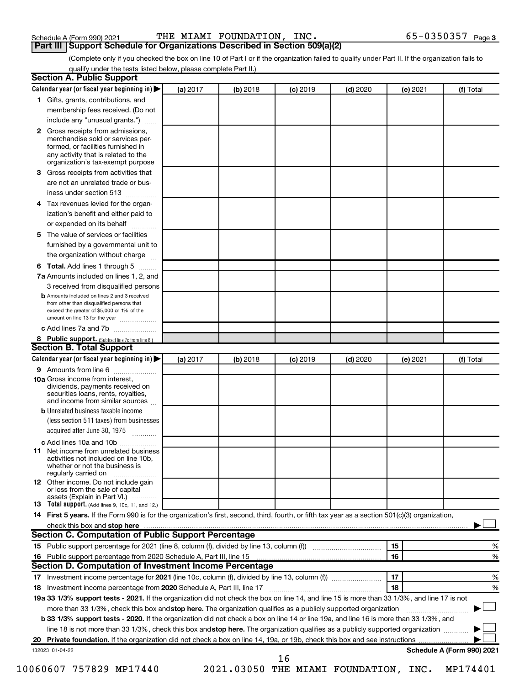| Schedule A (Form 990) 2021 |  |  | THE MIAMI FOUNDATION, INC.                                                        |  |
|----------------------------|--|--|-----------------------------------------------------------------------------------|--|
|                            |  |  | <b>Part III Support Schedule for Organizations Described in Section 509(a)(2)</b> |  |

|  | Schedule A (Form 990) 2021 |  | THE MIAMI FOUNDATION, INC. |  | 65-0350357 $_{Page}$ 3 |
|--|----------------------------|--|----------------------------|--|------------------------|
|--|----------------------------|--|----------------------------|--|------------------------|

(Complete only if you checked the box on line 10 of Part I or if the organization failed to qualify under Part II. If the organization fails to qualify under the tests listed below, please complete Part II.)

|                 | Calendar year (or fiscal year beginning in)                                                                                                                                            | (a) 2017 | (b) 2018 | $(c)$ 2019                            | $(d)$ 2020 |    | (e) 2021 | (f) Total                  |   |
|-----------------|----------------------------------------------------------------------------------------------------------------------------------------------------------------------------------------|----------|----------|---------------------------------------|------------|----|----------|----------------------------|---|
|                 | 1 Gifts, grants, contributions, and                                                                                                                                                    |          |          |                                       |            |    |          |                            |   |
|                 | membership fees received. (Do not                                                                                                                                                      |          |          |                                       |            |    |          |                            |   |
|                 | include any "unusual grants.")                                                                                                                                                         |          |          |                                       |            |    |          |                            |   |
| $\mathbf{2}$    | Gross receipts from admissions,<br>merchandise sold or services per-<br>formed, or facilities furnished in<br>any activity that is related to the<br>organization's tax-exempt purpose |          |          |                                       |            |    |          |                            |   |
| 3.              | Gross receipts from activities that                                                                                                                                                    |          |          |                                       |            |    |          |                            |   |
|                 | are not an unrelated trade or bus-                                                                                                                                                     |          |          |                                       |            |    |          |                            |   |
|                 | iness under section 513                                                                                                                                                                |          |          |                                       |            |    |          |                            |   |
| 4               | Tax revenues levied for the organ-                                                                                                                                                     |          |          |                                       |            |    |          |                            |   |
|                 | ization's benefit and either paid to<br>or expended on its behalf<br>.                                                                                                                 |          |          |                                       |            |    |          |                            |   |
| 5               | The value of services or facilities                                                                                                                                                    |          |          |                                       |            |    |          |                            |   |
|                 | furnished by a governmental unit to<br>the organization without charge                                                                                                                 |          |          |                                       |            |    |          |                            |   |
| 6               | Total. Add lines 1 through 5                                                                                                                                                           |          |          |                                       |            |    |          |                            |   |
|                 | 7a Amounts included on lines 1, 2, and                                                                                                                                                 |          |          |                                       |            |    |          |                            |   |
|                 | 3 received from disqualified persons                                                                                                                                                   |          |          |                                       |            |    |          |                            |   |
|                 | <b>b</b> Amounts included on lines 2 and 3 received                                                                                                                                    |          |          |                                       |            |    |          |                            |   |
|                 | from other than disqualified persons that<br>exceed the greater of \$5,000 or 1% of the<br>amount on line 13 for the year                                                              |          |          |                                       |            |    |          |                            |   |
|                 | c Add lines 7a and 7b                                                                                                                                                                  |          |          |                                       |            |    |          |                            |   |
|                 | 8 Public support. (Subtract line 7c from line 6.)                                                                                                                                      |          |          |                                       |            |    |          |                            |   |
|                 | <b>Section B. Total Support</b>                                                                                                                                                        |          |          |                                       |            |    |          |                            |   |
|                 | Calendar year (or fiscal year beginning in)                                                                                                                                            | (a) 2017 | (b) 2018 | $(c)$ 2019                            | $(d)$ 2020 |    | (e) 2021 | (f) Total                  |   |
|                 | 9 Amounts from line 6                                                                                                                                                                  |          |          |                                       |            |    |          |                            |   |
|                 | <b>10a</b> Gross income from interest,<br>dividends, payments received on<br>securities loans, rents, royalties,<br>and income from similar sources                                    |          |          |                                       |            |    |          |                            |   |
|                 | <b>b</b> Unrelated business taxable income                                                                                                                                             |          |          |                                       |            |    |          |                            |   |
|                 | (less section 511 taxes) from businesses<br>acquired after June 30, 1975                                                                                                               |          |          |                                       |            |    |          |                            |   |
|                 | c Add lines 10a and 10b                                                                                                                                                                |          |          |                                       |            |    |          |                            |   |
| 11              | Net income from unrelated business<br>activities not included on line 10b.<br>whether or not the business is<br>regularly carried on                                                   |          |          |                                       |            |    |          |                            |   |
|                 | <b>12</b> Other income. Do not include gain<br>or loss from the sale of capital<br>assets (Explain in Part VI.)                                                                        |          |          |                                       |            |    |          |                            |   |
|                 | <b>13</b> Total support. (Add lines 9, 10c, 11, and 12.)                                                                                                                               |          |          |                                       |            |    |          |                            |   |
|                 | 14 First 5 years. If the Form 990 is for the organization's first, second, third, fourth, or fifth tax year as a section 501(c)(3) organization,                                       |          |          |                                       |            |    |          |                            |   |
|                 |                                                                                                                                                                                        |          |          |                                       |            |    |          |                            |   |
|                 | <b>Section C. Computation of Public Support Percentage</b>                                                                                                                             |          |          |                                       |            |    |          |                            |   |
|                 |                                                                                                                                                                                        |          |          |                                       |            | 15 |          |                            | % |
|                 |                                                                                                                                                                                        |          |          |                                       |            | 16 |          |                            | % |
|                 | Section D. Computation of Investment Income Percentage                                                                                                                                 |          |          |                                       |            |    |          |                            |   |
|                 |                                                                                                                                                                                        |          |          |                                       |            | 17 |          |                            | % |
|                 |                                                                                                                                                                                        |          |          |                                       |            | 18 |          |                            | % |
|                 | 19a 33 1/3% support tests - 2021. If the organization did not check the box on line 14, and line 15 is more than 33 1/3%, and line 17 is not                                           |          |          |                                       |            |    |          |                            |   |
|                 | more than 33 1/3%, check this box and stop here. The organization qualifies as a publicly supported organization                                                                       |          |          |                                       |            |    |          |                            |   |
|                 | <b>b 33 1/3% support tests - 2020.</b> If the organization did not check a box on line 14 or line 19a, and line 16 is more than 33 1/3%, and                                           |          |          |                                       |            |    |          |                            |   |
|                 | line 18 is not more than 33 1/3%, check this box and stop here. The organization qualifies as a publicly supported organization                                                        |          |          |                                       |            |    |          |                            |   |
|                 |                                                                                                                                                                                        |          |          |                                       |            |    |          |                            |   |
|                 |                                                                                                                                                                                        |          |          |                                       |            |    |          | Schedule A (Form 990) 2021 |   |
| 132023 01-04-22 |                                                                                                                                                                                        |          |          | 16                                    |            |    |          |                            |   |
|                 | 10060607 757829 MP17440                                                                                                                                                                |          |          | 2021.03050 THE MIAMI FOUNDATION, INC. |            |    |          | MP174401                   |   |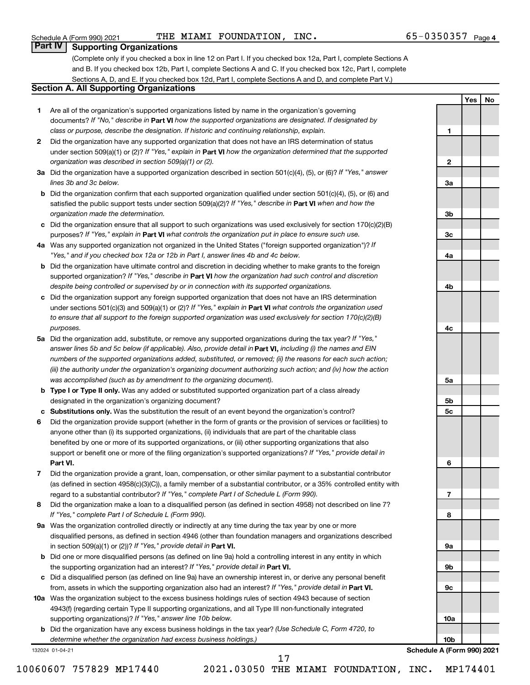### Schedule A (Form 990) 2021  $\,$  THE MIAMI FOUNDATION, INC  $\,$  65  $-$  0350357  $\,$   $_{\rm{Page}}$

**1**

**2**

**3a**

**3b**

**3c**

**4a**

**4b**

**4c**

**Yes No**

# **Part IV Supporting Organizations**

(Complete only if you checked a box in line 12 on Part I. If you checked box 12a, Part I, complete Sections A and B. If you checked box 12b, Part I, complete Sections A and C. If you checked box 12c, Part I, complete Sections A, D, and E. If you checked box 12d, Part I, complete Sections A and D, and complete Part V.)

### **Section A. All Supporting Organizations**

- **1** Are all of the organization's supported organizations listed by name in the organization's governing documents? If "No," describe in Part VI how the supported organizations are designated. If designated by *class or purpose, describe the designation. If historic and continuing relationship, explain.*
- **2** Did the organization have any supported organization that does not have an IRS determination of status under section 509(a)(1) or (2)? If "Yes," explain in Part **VI** how the organization determined that the supported *organization was described in section 509(a)(1) or (2).*
- **3a** Did the organization have a supported organization described in section 501(c)(4), (5), or (6)? If "Yes," answer *lines 3b and 3c below.*
- **b** Did the organization confirm that each supported organization qualified under section 501(c)(4), (5), or (6) and satisfied the public support tests under section 509(a)(2)? If "Yes," describe in Part VI when and how the *organization made the determination.*
- **c** Did the organization ensure that all support to such organizations was used exclusively for section 170(c)(2)(B) purposes? If "Yes," explain in Part VI what controls the organization put in place to ensure such use.
- **4 a** *If* Was any supported organization not organized in the United States ("foreign supported organization")? *"Yes," and if you checked box 12a or 12b in Part I, answer lines 4b and 4c below.*
- **b** Did the organization have ultimate control and discretion in deciding whether to make grants to the foreign supported organization? If "Yes," describe in Part VI how the organization had such control and discretion *despite being controlled or supervised by or in connection with its supported organizations.*
- **c** Did the organization support any foreign supported organization that does not have an IRS determination under sections 501(c)(3) and 509(a)(1) or (2)? If "Yes," explain in Part VI what controls the organization used *to ensure that all support to the foreign supported organization was used exclusively for section 170(c)(2)(B) purposes.*
- **5a** Did the organization add, substitute, or remove any supported organizations during the tax year? If "Yes," answer lines 5b and 5c below (if applicable). Also, provide detail in **Part VI,** including (i) the names and EIN *numbers of the supported organizations added, substituted, or removed; (ii) the reasons for each such action; (iii) the authority under the organization's organizing document authorizing such action; and (iv) how the action was accomplished (such as by amendment to the organizing document).*
- **b Type I or Type II only.** Was any added or substituted supported organization part of a class already designated in the organization's organizing document?
- **c Substitutions only.**  Was the substitution the result of an event beyond the organization's control?
- **6** Did the organization provide support (whether in the form of grants or the provision of services or facilities) to **Part VI.** support or benefit one or more of the filing organization's supported organizations? If "Yes," provide detail in anyone other than (i) its supported organizations, (ii) individuals that are part of the charitable class benefited by one or more of its supported organizations, or (iii) other supporting organizations that also
- **7** Did the organization provide a grant, loan, compensation, or other similar payment to a substantial contributor regard to a substantial contributor? If "Yes," complete Part I of Schedule L (Form 990). (as defined in section 4958(c)(3)(C)), a family member of a substantial contributor, or a 35% controlled entity with
- **8** Did the organization make a loan to a disqualified person (as defined in section 4958) not described on line 7? *If "Yes," complete Part I of Schedule L (Form 990).*
- **9 a** Was the organization controlled directly or indirectly at any time during the tax year by one or more in section 509(a)(1) or (2))? If "Yes," provide detail in **Part VI.** disqualified persons, as defined in section 4946 (other than foundation managers and organizations described
- **b** Did one or more disqualified persons (as defined on line 9a) hold a controlling interest in any entity in which the supporting organization had an interest? If "Yes," provide detail in Part VI.
- **c** Did a disqualified person (as defined on line 9a) have an ownership interest in, or derive any personal benefit from, assets in which the supporting organization also had an interest? If "Yes," provide detail in Part VI.
- **10 a** Was the organization subject to the excess business holdings rules of section 4943 because of section supporting organizations)? If "Yes," answer line 10b below. 4943(f) (regarding certain Type II supporting organizations, and all Type III non-functionally integrated
	- **b** Did the organization have any excess business holdings in the tax year? (Use Schedule C, Form 4720, to *determine whether the organization had excess business holdings.)*

132024 01-04-21

10060607 757829 MP17440 2021.03050 THE MIAMI FOUNDATION, INC. MP174401

**5a 5b 5c 6 7 8 9a 9b 9c 10a 10b Schedule A (Form 990) 2021**

17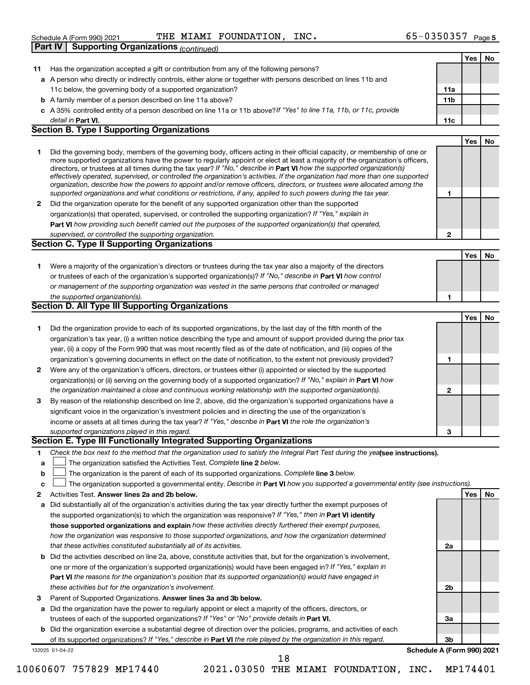| Schedule A (Form 990) 2021                            |  | THE MIAMI FOUNDATION, | INC. | 65-0350357 | Page 5 |
|-------------------------------------------------------|--|-----------------------|------|------------|--------|
| <b>Part IV   Supporting Organizations (continued)</b> |  |                       |      |            |        |
|                                                       |  |                       |      |            |        |

|              |                                                                                                                                                                                                                         |                            | Yes |    |
|--------------|-------------------------------------------------------------------------------------------------------------------------------------------------------------------------------------------------------------------------|----------------------------|-----|----|
|              |                                                                                                                                                                                                                         |                            |     | No |
| 11           | Has the organization accepted a gift or contribution from any of the following persons?                                                                                                                                 |                            |     |    |
|              | a A person who directly or indirectly controls, either alone or together with persons described on lines 11b and                                                                                                        |                            |     |    |
|              | 11c below, the governing body of a supported organization?                                                                                                                                                              | 11a<br>11 <sub>b</sub>     |     |    |
|              | <b>b</b> A family member of a person described on line 11a above?                                                                                                                                                       |                            |     |    |
|              | c A 35% controlled entity of a person described on line 11a or 11b above?If "Yes" to line 11a, 11b, or 11c, provide<br>detail in <b>Part VI.</b>                                                                        | 11c                        |     |    |
|              | <b>Section B. Type I Supporting Organizations</b>                                                                                                                                                                       |                            |     |    |
|              |                                                                                                                                                                                                                         |                            | Yes | No |
| 1            | Did the governing body, members of the governing body, officers acting in their official capacity, or membership of one or                                                                                              |                            |     |    |
|              | more supported organizations have the power to regularly appoint or elect at least a majority of the organization's officers,                                                                                           |                            |     |    |
|              | directors, or trustees at all times during the tax year? If "No," describe in Part VI how the supported organization(s)                                                                                                 |                            |     |    |
|              | effectively operated, supervised, or controlled the organization's activities. If the organization had more than one supported                                                                                          |                            |     |    |
|              | organization, describe how the powers to appoint and/or remove officers, directors, or trustees were allocated among the                                                                                                |                            |     |    |
| $\mathbf{2}$ | supported organizations and what conditions or restrictions, if any, applied to such powers during the tax year.<br>Did the organization operate for the benefit of any supported organization other than the supported | 1                          |     |    |
|              |                                                                                                                                                                                                                         |                            |     |    |
|              | organization(s) that operated, supervised, or controlled the supporting organization? If "Yes," explain in                                                                                                              |                            |     |    |
|              | Part VI how providing such benefit carried out the purposes of the supported organization(s) that operated,                                                                                                             |                            |     |    |
|              | supervised, or controlled the supporting organization.<br><b>Section C. Type II Supporting Organizations</b>                                                                                                            | $\mathbf{2}$               |     |    |
|              |                                                                                                                                                                                                                         |                            |     |    |
|              |                                                                                                                                                                                                                         |                            | Yes | No |
| 1            | Were a majority of the organization's directors or trustees during the tax year also a majority of the directors                                                                                                        |                            |     |    |
|              | or trustees of each of the organization's supported organization(s)? If "No," describe in Part VI how control                                                                                                           |                            |     |    |
|              | or management of the supporting organization was vested in the same persons that controlled or managed                                                                                                                  |                            |     |    |
|              | the supported organization(s).<br><b>Section D. All Type III Supporting Organizations</b>                                                                                                                               | 1                          |     |    |
|              |                                                                                                                                                                                                                         |                            |     |    |
|              |                                                                                                                                                                                                                         |                            | Yes | No |
| 1            | Did the organization provide to each of its supported organizations, by the last day of the fifth month of the                                                                                                          |                            |     |    |
|              | organization's tax year, (i) a written notice describing the type and amount of support provided during the prior tax                                                                                                   |                            |     |    |
|              | year, (ii) a copy of the Form 990 that was most recently filed as of the date of notification, and (iii) copies of the                                                                                                  |                            |     |    |
|              | organization's governing documents in effect on the date of notification, to the extent not previously provided?                                                                                                        | 1                          |     |    |
| $\mathbf{2}$ | Were any of the organization's officers, directors, or trustees either (i) appointed or elected by the supported                                                                                                        |                            |     |    |
|              | organization(s) or (ii) serving on the governing body of a supported organization? If "No," explain in <b>Part VI</b> how                                                                                               |                            |     |    |
|              | the organization maintained a close and continuous working relationship with the supported organization(s).                                                                                                             | $\mathbf{2}$               |     |    |
| 3            | By reason of the relationship described on line 2, above, did the organization's supported organizations have a                                                                                                         |                            |     |    |
|              | significant voice in the organization's investment policies and in directing the use of the organization's                                                                                                              |                            |     |    |
|              | income or assets at all times during the tax year? If "Yes," describe in Part VI the role the organization's                                                                                                            |                            |     |    |
|              | supported organizations played in this regard.                                                                                                                                                                          | 3                          |     |    |
|              | Section E. Type III Functionally Integrated Supporting Organizations                                                                                                                                                    |                            |     |    |
| 1            | Check the box next to the method that the organization used to satisfy the Integral Part Test during the yealsee instructions).                                                                                         |                            |     |    |
| a            | The organization satisfied the Activities Test. Complete line 2 below.                                                                                                                                                  |                            |     |    |
| b            | The organization is the parent of each of its supported organizations. Complete line 3 below.                                                                                                                           |                            |     |    |
| с            | The organization supported a governmental entity. Describe in Part VI how you supported a governmental entity (see instructions).                                                                                       |                            |     |    |
| 2            | Activities Test. Answer lines 2a and 2b below.                                                                                                                                                                          |                            | Yes | No |
| а            | Did substantially all of the organization's activities during the tax year directly further the exempt purposes of                                                                                                      |                            |     |    |
|              | the supported organization(s) to which the organization was responsive? If "Yes," then in Part VI identify                                                                                                              |                            |     |    |
|              | those supported organizations and explain how these activities directly furthered their exempt purposes,                                                                                                                |                            |     |    |
|              | how the organization was responsive to those supported organizations, and how the organization determined                                                                                                               |                            |     |    |
|              | that these activities constituted substantially all of its activities.                                                                                                                                                  | 2a                         |     |    |
| b            | Did the activities described on line 2a, above, constitute activities that, but for the organization's involvement,                                                                                                     |                            |     |    |
|              | one or more of the organization's supported organization(s) would have been engaged in? If "Yes," explain in                                                                                                            |                            |     |    |
|              | Part VI the reasons for the organization's position that its supported organization(s) would have engaged in                                                                                                            |                            |     |    |
|              | these activities but for the organization's involvement.                                                                                                                                                                | 2b                         |     |    |
| 3            | Parent of Supported Organizations. Answer lines 3a and 3b below.                                                                                                                                                        |                            |     |    |
| а            | Did the organization have the power to regularly appoint or elect a majority of the officers, directors, or                                                                                                             |                            |     |    |
|              | trustees of each of the supported organizations? If "Yes" or "No" provide details in Part VI.                                                                                                                           | За                         |     |    |
| b            | Did the organization exercise a substantial degree of direction over the policies, programs, and activities of each                                                                                                     |                            |     |    |
|              | of its supported organizations? If "Yes," describe in Part VI the role played by the organization in this regard.                                                                                                       | 3b                         |     |    |
|              | 132025 01-04-22                                                                                                                                                                                                         | Schedule A (Form 990) 2021 |     |    |
|              | 18                                                                                                                                                                                                                      |                            |     |    |

10060607 757829 MP17440 2021.03050 THE MIAMI FOUNDATION, INC. MP174401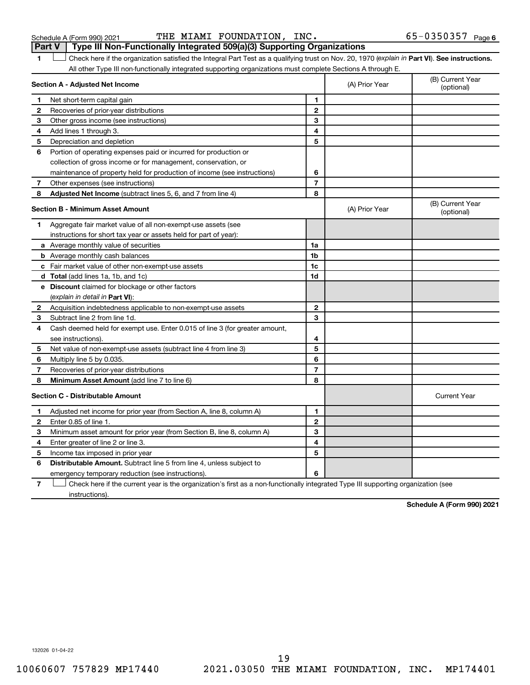| Schedule A (Form 990) 202 |  |  |
|---------------------------|--|--|
|---------------------------|--|--|

Schedule A (Form 990) 2021  $\,$  THE MIAMI FOUNDATION, INC  $\,$  65  $-$  0350357  $\,$   $_{\rm{Page}}$ 

|              | Part V<br>  Type III Non-Functionally Integrated 509(a)(3) Supporting Organizations                                                            |                |                |                                |  |  |  |  |  |
|--------------|------------------------------------------------------------------------------------------------------------------------------------------------|----------------|----------------|--------------------------------|--|--|--|--|--|
| 1            | Check here if the organization satisfied the Integral Part Test as a qualifying trust on Nov. 20, 1970 (explain in Part VI). See instructions. |                |                |                                |  |  |  |  |  |
|              | All other Type III non-functionally integrated supporting organizations must complete Sections A through E.                                    |                |                |                                |  |  |  |  |  |
|              | Section A - Adjusted Net Income                                                                                                                |                | (A) Prior Year | (B) Current Year<br>(optional) |  |  |  |  |  |
| 1            | Net short-term capital gain                                                                                                                    | 1              |                |                                |  |  |  |  |  |
| 2            | Recoveries of prior-year distributions                                                                                                         | $\mathbf{2}$   |                |                                |  |  |  |  |  |
| з            | Other gross income (see instructions)                                                                                                          | 3              |                |                                |  |  |  |  |  |
| 4            | Add lines 1 through 3.                                                                                                                         | 4              |                |                                |  |  |  |  |  |
| 5            | Depreciation and depletion                                                                                                                     | 5              |                |                                |  |  |  |  |  |
| 6            | Portion of operating expenses paid or incurred for production or                                                                               |                |                |                                |  |  |  |  |  |
|              | collection of gross income or for management, conservation, or                                                                                 |                |                |                                |  |  |  |  |  |
|              | maintenance of property held for production of income (see instructions)                                                                       | 6              |                |                                |  |  |  |  |  |
| 7            | Other expenses (see instructions)                                                                                                              | $\overline{7}$ |                |                                |  |  |  |  |  |
| 8            | Adjusted Net Income (subtract lines 5, 6, and 7 from line 4)                                                                                   | 8              |                |                                |  |  |  |  |  |
|              | <b>Section B - Minimum Asset Amount</b>                                                                                                        |                | (A) Prior Year | (B) Current Year<br>(optional) |  |  |  |  |  |
| 1            | Aggregate fair market value of all non-exempt-use assets (see                                                                                  |                |                |                                |  |  |  |  |  |
|              | instructions for short tax year or assets held for part of year):                                                                              |                |                |                                |  |  |  |  |  |
|              | <b>a</b> Average monthly value of securities                                                                                                   | 1a             |                |                                |  |  |  |  |  |
|              | <b>b</b> Average monthly cash balances                                                                                                         | 1 <sub>b</sub> |                |                                |  |  |  |  |  |
|              | c Fair market value of other non-exempt-use assets                                                                                             | 1c             |                |                                |  |  |  |  |  |
|              | <b>d</b> Total (add lines 1a, 1b, and 1c)                                                                                                      | 1d             |                |                                |  |  |  |  |  |
|              | e Discount claimed for blockage or other factors                                                                                               |                |                |                                |  |  |  |  |  |
|              | (explain in detail in <b>Part VI</b> ):                                                                                                        |                |                |                                |  |  |  |  |  |
| 2            | Acquisition indebtedness applicable to non-exempt-use assets                                                                                   | $\mathbf{2}$   |                |                                |  |  |  |  |  |
| 3            | Subtract line 2 from line 1d.                                                                                                                  | 3              |                |                                |  |  |  |  |  |
| 4            | Cash deemed held for exempt use. Enter 0.015 of line 3 (for greater amount,                                                                    |                |                |                                |  |  |  |  |  |
|              | see instructions).                                                                                                                             | 4              |                |                                |  |  |  |  |  |
| 5            | Net value of non-exempt-use assets (subtract line 4 from line 3)                                                                               | 5              |                |                                |  |  |  |  |  |
| 6            | Multiply line 5 by 0.035.                                                                                                                      | 6              |                |                                |  |  |  |  |  |
| 7            | Recoveries of prior-year distributions                                                                                                         | $\overline{7}$ |                |                                |  |  |  |  |  |
| 8            | Minimum Asset Amount (add line 7 to line 6)                                                                                                    | 8              |                |                                |  |  |  |  |  |
|              | <b>Section C - Distributable Amount</b>                                                                                                        |                |                | <b>Current Year</b>            |  |  |  |  |  |
| 1            | Adjusted net income for prior year (from Section A, line 8, column A)                                                                          | 1              |                |                                |  |  |  |  |  |
| $\mathbf{2}$ | Enter 0.85 of line 1.                                                                                                                          | $\mathbf{2}$   |                |                                |  |  |  |  |  |
| 3            | Minimum asset amount for prior year (from Section B, line 8, column A)                                                                         | 3              |                |                                |  |  |  |  |  |
| 4            | Enter greater of line 2 or line 3.                                                                                                             | 4              |                |                                |  |  |  |  |  |
| 5            | Income tax imposed in prior year                                                                                                               | 5              |                |                                |  |  |  |  |  |
| 6            | <b>Distributable Amount.</b> Subtract line 5 from line 4, unless subject to                                                                    |                |                |                                |  |  |  |  |  |
|              | emergency temporary reduction (see instructions).                                                                                              | 6              |                |                                |  |  |  |  |  |
|              |                                                                                                                                                |                |                |                                |  |  |  |  |  |

**7** Let Check here if the current year is the organization's first as a non-functionally integrated Type III supporting organization (see instructions).

**Schedule A (Form 990) 2021**

132026 01-04-22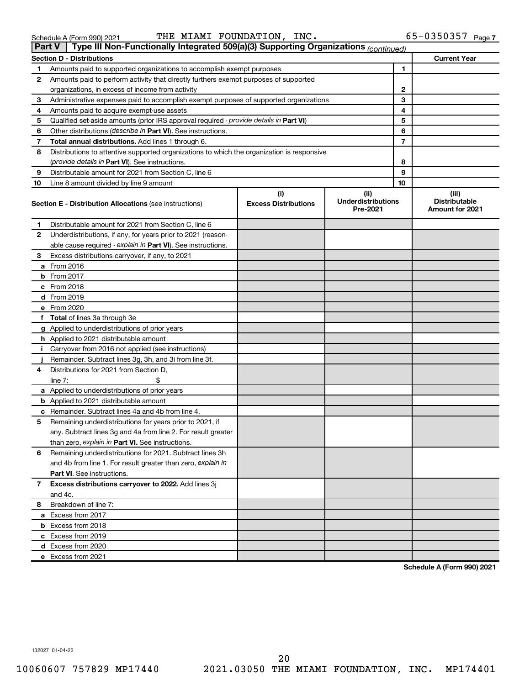|    | Type III Non-Functionally Integrated 509(a)(3) Supporting Organizations (continued)<br><b>Part V</b> |                                    |                                               |                                                         |  |  |  |  |
|----|------------------------------------------------------------------------------------------------------|------------------------------------|-----------------------------------------------|---------------------------------------------------------|--|--|--|--|
|    | <b>Current Year</b><br><b>Section D - Distributions</b>                                              |                                    |                                               |                                                         |  |  |  |  |
| 1  | Amounts paid to supported organizations to accomplish exempt purposes                                | 1                                  |                                               |                                                         |  |  |  |  |
| 2  | Amounts paid to perform activity that directly furthers exempt purposes of supported                 |                                    |                                               |                                                         |  |  |  |  |
|    | organizations, in excess of income from activity                                                     |                                    | 2                                             |                                                         |  |  |  |  |
| 3  | Administrative expenses paid to accomplish exempt purposes of supported organizations                |                                    | 3                                             |                                                         |  |  |  |  |
| 4  | Amounts paid to acquire exempt-use assets                                                            |                                    | 4                                             |                                                         |  |  |  |  |
| 5  | Qualified set-aside amounts (prior IRS approval required - provide details in Part VI)               |                                    | 5                                             |                                                         |  |  |  |  |
| 6  | Other distributions (describe in Part VI). See instructions.                                         |                                    | 6                                             |                                                         |  |  |  |  |
| 7  | Total annual distributions. Add lines 1 through 6.                                                   |                                    | 7                                             |                                                         |  |  |  |  |
| 8  | Distributions to attentive supported organizations to which the organization is responsive           |                                    |                                               |                                                         |  |  |  |  |
|    | (provide details in Part VI). See instructions.                                                      |                                    | 8                                             |                                                         |  |  |  |  |
| 9  | Distributable amount for 2021 from Section C, line 6                                                 |                                    | 9                                             |                                                         |  |  |  |  |
| 10 | Line 8 amount divided by line 9 amount                                                               |                                    | 10                                            |                                                         |  |  |  |  |
|    | <b>Section E - Distribution Allocations (see instructions)</b>                                       | (i)<br><b>Excess Distributions</b> | (ii)<br><b>Underdistributions</b><br>Pre-2021 | (iii)<br><b>Distributable</b><br><b>Amount for 2021</b> |  |  |  |  |
| 1  | Distributable amount for 2021 from Section C, line 6                                                 |                                    |                                               |                                                         |  |  |  |  |
| 2  | Underdistributions, if any, for years prior to 2021 (reason-                                         |                                    |                                               |                                                         |  |  |  |  |
|    | able cause required - explain in Part VI). See instructions.                                         |                                    |                                               |                                                         |  |  |  |  |
| 3  | Excess distributions carryover, if any, to 2021                                                      |                                    |                                               |                                                         |  |  |  |  |
|    | a From 2016                                                                                          |                                    |                                               |                                                         |  |  |  |  |
|    | <b>b</b> From 2017                                                                                   |                                    |                                               |                                                         |  |  |  |  |
|    | c From 2018                                                                                          |                                    |                                               |                                                         |  |  |  |  |
|    | d From 2019                                                                                          |                                    |                                               |                                                         |  |  |  |  |
|    | e From 2020                                                                                          |                                    |                                               |                                                         |  |  |  |  |
|    | f Total of lines 3a through 3e                                                                       |                                    |                                               |                                                         |  |  |  |  |
|    | g Applied to underdistributions of prior years                                                       |                                    |                                               |                                                         |  |  |  |  |
|    | <b>h</b> Applied to 2021 distributable amount                                                        |                                    |                                               |                                                         |  |  |  |  |
| Ť. | Carryover from 2016 not applied (see instructions)                                                   |                                    |                                               |                                                         |  |  |  |  |
|    | Remainder. Subtract lines 3g, 3h, and 3i from line 3f.                                               |                                    |                                               |                                                         |  |  |  |  |
| 4  | Distributions for 2021 from Section D,                                                               |                                    |                                               |                                                         |  |  |  |  |
|    | line $7:$                                                                                            |                                    |                                               |                                                         |  |  |  |  |
|    | a Applied to underdistributions of prior years                                                       |                                    |                                               |                                                         |  |  |  |  |
|    | <b>b</b> Applied to 2021 distributable amount                                                        |                                    |                                               |                                                         |  |  |  |  |
|    | c Remainder. Subtract lines 4a and 4b from line 4.                                                   |                                    |                                               |                                                         |  |  |  |  |
| 5  | Remaining underdistributions for years prior to 2021, if                                             |                                    |                                               |                                                         |  |  |  |  |
|    | any. Subtract lines 3g and 4a from line 2. For result greater                                        |                                    |                                               |                                                         |  |  |  |  |
|    | than zero, explain in Part VI. See instructions.                                                     |                                    |                                               |                                                         |  |  |  |  |
| 6  | Remaining underdistributions for 2021. Subtract lines 3h                                             |                                    |                                               |                                                         |  |  |  |  |
|    | and 4b from line 1. For result greater than zero, explain in                                         |                                    |                                               |                                                         |  |  |  |  |
|    | <b>Part VI.</b> See instructions.                                                                    |                                    |                                               |                                                         |  |  |  |  |
| 7  | Excess distributions carryover to 2022. Add lines 3j                                                 |                                    |                                               |                                                         |  |  |  |  |
|    | and 4c.                                                                                              |                                    |                                               |                                                         |  |  |  |  |
| 8  | Breakdown of line 7:                                                                                 |                                    |                                               |                                                         |  |  |  |  |
|    | a Excess from 2017                                                                                   |                                    |                                               |                                                         |  |  |  |  |
|    | <b>b</b> Excess from 2018                                                                            |                                    |                                               |                                                         |  |  |  |  |
|    | c Excess from 2019                                                                                   |                                    |                                               |                                                         |  |  |  |  |
|    | d Excess from 2020                                                                                   |                                    |                                               |                                                         |  |  |  |  |
|    | e Excess from 2021                                                                                   |                                    |                                               |                                                         |  |  |  |  |

**Schedule A (Form 990) 2021**

132027 01-04-22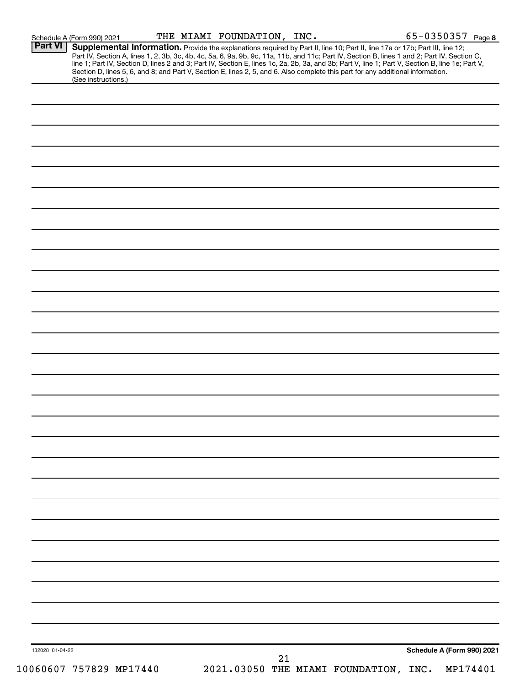| Part VI         | Schedule A (Form 990) 2021 |  | THE MIAMI FOUNDATION, INC. |    |                                                                                                                                                                                                                                                                                                                                                                                                                                                                                                      | 65-0350357 Page 8          |
|-----------------|----------------------------|--|----------------------------|----|------------------------------------------------------------------------------------------------------------------------------------------------------------------------------------------------------------------------------------------------------------------------------------------------------------------------------------------------------------------------------------------------------------------------------------------------------------------------------------------------------|----------------------------|
|                 |                            |  |                            |    | Supplemental Information. Provide the explanations required by Part II, line 10; Part II, line 17a or 17b; Part III, line 12;<br>Part IV, Section A, lines 1, 2, 3b, 3c, 4b, 4c, 5a, 6, 9a, 9b, 9c, 11a, 11b, and 11c; Part IV, Section B, lines 1 and 2; Part IV, Section C,<br>line 1; Part IV, Section D, lines 2 and 3; Part IV, Section E, lines 1c, 2a, 2b,<br>Section D, lines 5, 6, and 8; and Part V, Section E, lines 2, 5, and 6. Also complete this part for any additional information. |                            |
|                 | (See instructions.)        |  |                            |    |                                                                                                                                                                                                                                                                                                                                                                                                                                                                                                      |                            |
|                 |                            |  |                            |    |                                                                                                                                                                                                                                                                                                                                                                                                                                                                                                      |                            |
|                 |                            |  |                            |    |                                                                                                                                                                                                                                                                                                                                                                                                                                                                                                      |                            |
|                 |                            |  |                            |    |                                                                                                                                                                                                                                                                                                                                                                                                                                                                                                      |                            |
|                 |                            |  |                            |    |                                                                                                                                                                                                                                                                                                                                                                                                                                                                                                      |                            |
|                 |                            |  |                            |    |                                                                                                                                                                                                                                                                                                                                                                                                                                                                                                      |                            |
|                 |                            |  |                            |    |                                                                                                                                                                                                                                                                                                                                                                                                                                                                                                      |                            |
|                 |                            |  |                            |    |                                                                                                                                                                                                                                                                                                                                                                                                                                                                                                      |                            |
|                 |                            |  |                            |    |                                                                                                                                                                                                                                                                                                                                                                                                                                                                                                      |                            |
|                 |                            |  |                            |    |                                                                                                                                                                                                                                                                                                                                                                                                                                                                                                      |                            |
|                 |                            |  |                            |    |                                                                                                                                                                                                                                                                                                                                                                                                                                                                                                      |                            |
|                 |                            |  |                            |    |                                                                                                                                                                                                                                                                                                                                                                                                                                                                                                      |                            |
|                 |                            |  |                            |    |                                                                                                                                                                                                                                                                                                                                                                                                                                                                                                      |                            |
|                 |                            |  |                            |    |                                                                                                                                                                                                                                                                                                                                                                                                                                                                                                      |                            |
|                 |                            |  |                            |    |                                                                                                                                                                                                                                                                                                                                                                                                                                                                                                      |                            |
|                 |                            |  |                            |    |                                                                                                                                                                                                                                                                                                                                                                                                                                                                                                      |                            |
|                 |                            |  |                            |    |                                                                                                                                                                                                                                                                                                                                                                                                                                                                                                      |                            |
|                 |                            |  |                            |    |                                                                                                                                                                                                                                                                                                                                                                                                                                                                                                      |                            |
|                 |                            |  |                            |    |                                                                                                                                                                                                                                                                                                                                                                                                                                                                                                      |                            |
|                 |                            |  |                            |    |                                                                                                                                                                                                                                                                                                                                                                                                                                                                                                      |                            |
|                 |                            |  |                            |    |                                                                                                                                                                                                                                                                                                                                                                                                                                                                                                      |                            |
|                 |                            |  |                            |    |                                                                                                                                                                                                                                                                                                                                                                                                                                                                                                      |                            |
|                 |                            |  |                            |    |                                                                                                                                                                                                                                                                                                                                                                                                                                                                                                      |                            |
|                 |                            |  |                            |    |                                                                                                                                                                                                                                                                                                                                                                                                                                                                                                      |                            |
|                 |                            |  |                            |    |                                                                                                                                                                                                                                                                                                                                                                                                                                                                                                      |                            |
|                 |                            |  |                            |    |                                                                                                                                                                                                                                                                                                                                                                                                                                                                                                      |                            |
|                 |                            |  |                            |    |                                                                                                                                                                                                                                                                                                                                                                                                                                                                                                      |                            |
|                 |                            |  |                            |    |                                                                                                                                                                                                                                                                                                                                                                                                                                                                                                      |                            |
|                 |                            |  |                            |    |                                                                                                                                                                                                                                                                                                                                                                                                                                                                                                      |                            |
|                 |                            |  |                            |    |                                                                                                                                                                                                                                                                                                                                                                                                                                                                                                      |                            |
|                 |                            |  |                            |    |                                                                                                                                                                                                                                                                                                                                                                                                                                                                                                      |                            |
|                 |                            |  |                            |    |                                                                                                                                                                                                                                                                                                                                                                                                                                                                                                      |                            |
|                 |                            |  |                            |    |                                                                                                                                                                                                                                                                                                                                                                                                                                                                                                      |                            |
|                 |                            |  |                            |    |                                                                                                                                                                                                                                                                                                                                                                                                                                                                                                      |                            |
|                 |                            |  |                            |    |                                                                                                                                                                                                                                                                                                                                                                                                                                                                                                      |                            |
| 132028 01-04-22 |                            |  |                            | 21 |                                                                                                                                                                                                                                                                                                                                                                                                                                                                                                      | Schedule A (Form 990) 2021 |
|                 | 10060607 757829 MP17440    |  |                            |    | 2021.03050 THE MIAMI FOUNDATION, INC.                                                                                                                                                                                                                                                                                                                                                                                                                                                                | MP174401                   |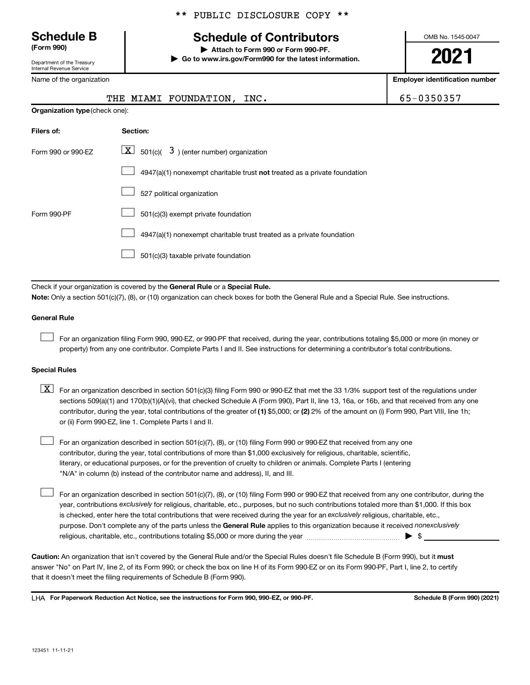Department of the Treasury Internal Revenue Service

Name of the organization

#### \*\* PUBLIC DISCLOSURE COPY \*\*

## **Schedule B Schedule of Contributors**

**(Form 990) | Attach to Form 990 or Form 990-PF. | Go to www.irs.gov/Form990 for the latest information.** OMB No. 1545-0047

**2021**

**Employer identification number**

|                                                                                       | THE MIAMI FOUNDATION, INC.                                                                                                                                                                                                | 65-0350357 |  |  |  |  |  |  |
|---------------------------------------------------------------------------------------|---------------------------------------------------------------------------------------------------------------------------------------------------------------------------------------------------------------------------|------------|--|--|--|--|--|--|
| Organization type (check one):                                                        |                                                                                                                                                                                                                           |            |  |  |  |  |  |  |
| Filers of:                                                                            | Section:                                                                                                                                                                                                                  |            |  |  |  |  |  |  |
| $\underline{\mathbf{X}}$ 501(c)( 3) (enter number) organization<br>Form 990 or 990-EZ |                                                                                                                                                                                                                           |            |  |  |  |  |  |  |
|                                                                                       | $4947(a)(1)$ nonexempt charitable trust not treated as a private foundation                                                                                                                                               |            |  |  |  |  |  |  |
|                                                                                       | 527 political organization                                                                                                                                                                                                |            |  |  |  |  |  |  |
| Form 990-PF                                                                           | 501(c)(3) exempt private foundation                                                                                                                                                                                       |            |  |  |  |  |  |  |
|                                                                                       | 4947(a)(1) nonexempt charitable trust treated as a private foundation                                                                                                                                                     |            |  |  |  |  |  |  |
|                                                                                       | 501(c)(3) taxable private foundation                                                                                                                                                                                      |            |  |  |  |  |  |  |
|                                                                                       |                                                                                                                                                                                                                           |            |  |  |  |  |  |  |
|                                                                                       | Check if your organization is covered by the General Rule or a Special Rule.<br>Note: Only a section 501(c)(7), (8), or (10) organization can check boxes for both the General Rule and a Special Rule. See instructions. |            |  |  |  |  |  |  |
| <b>General Rule</b>                                                                   |                                                                                                                                                                                                                           |            |  |  |  |  |  |  |

For an organization filing Form 990, 990-EZ, or 990-PF that received, during the year, contributions totaling \$5,000 or more (in money or property) from any one contributor. Complete Parts I and II. See instructions for determining a contributor's total contributions.

#### **Special Rules**

 $\Box$ 

 $\Box$ 

contributor, during the year, total contributions of the greater of (1) \$5,000; or (2) 2% of the amount on (i) Form 990, Part VIII, line 1h;  $\boxed{\text{X}}$  For an organization described in section 501(c)(3) filing Form 990 or 990-EZ that met the 33 1/3% support test of the regulations under sections 509(a)(1) and 170(b)(1)(A)(vi), that checked Schedule A (Form 990), Part II, line 13, 16a, or 16b, and that received from any one or (ii) Form 990-EZ, line 1. Complete Parts I and II.

For an organization described in section 501(c)(7), (8), or (10) filing Form 990 or 990-EZ that received from any one contributor, during the year, total contributions of more than \$1,000 exclusively for religious, charitable, scientific, literary, or educational purposes, or for the prevention of cruelty to children or animals. Complete Parts I (entering "N/A" in column (b) instead of the contributor name and address), II, and III.  $\Box$ 

purpose. Don't complete any of the parts unless the General Rule applies to this organization because it received nonexclusively year, contributions exclusively for religious, charitable, etc., purposes, but no such contributions totaled more than \$1,000. If this box is checked, enter here the total contributions that were received during the year for an exclusively religious, charitable, etc., For an organization described in section 501(c)(7), (8), or (10) filing Form 990 or 990-EZ that received from any one contributor, during the religious, charitable, etc., contributions totaling \$5,000 or more during the year  $\ldots$  $\ldots$  $\ldots$  $\ldots$  $\ldots$  $\ldots$ 

Caution: An organization that isn't covered by the General Rule and/or the Special Rules doesn't file Schedule B (Form 990), but it must answer "No" on Part IV, line 2, of its Form 990; or check the box on line H of its Form 990-EZ or on its Form 990-PF, Part I, line 2, to certify that it doesn't meet the filing requirements of Schedule B (Form 990).

LHA For Paperwork Reduction Act Notice, see the instructions for Form 990, 990-EZ, or 990-PF. **Schell B (Form 990)** (2021)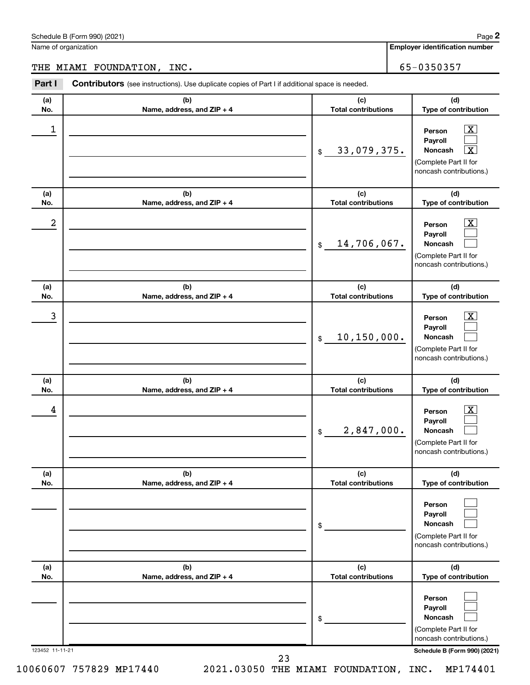Name of organization

### THE MIAMI FOUNDATION, INC. 65-0350357

| Part I          | <b>Contributors</b> (see instructions). Use duplicate copies of Part I if additional space is needed. |                                   |                                                                                                                                     |
|-----------------|-------------------------------------------------------------------------------------------------------|-----------------------------------|-------------------------------------------------------------------------------------------------------------------------------------|
| (a)<br>No.      | (b)<br>Name, address, and ZIP + 4                                                                     | (c)<br><b>Total contributions</b> | (d)<br>Type of contribution                                                                                                         |
| 1               |                                                                                                       | 33,079,375.<br>\$                 | $\boxed{\textbf{X}}$<br>Person<br>Payroll<br>$\overline{\mathbf{x}}$<br>Noncash<br>(Complete Part II for<br>noncash contributions.) |
| (a)<br>No.      | (b)<br>Name, address, and ZIP + 4                                                                     | (c)<br><b>Total contributions</b> | (d)<br>Type of contribution                                                                                                         |
| 2               |                                                                                                       | 14,706,067.<br>\$                 | $\mathbf{X}$<br>Person<br>Payroll<br>Noncash<br>(Complete Part II for<br>noncash contributions.)                                    |
| (a)<br>No.      | (b)<br>Name, address, and ZIP + 4                                                                     | (c)<br><b>Total contributions</b> | (d)<br>Type of contribution                                                                                                         |
| 3               |                                                                                                       | 10, 150, 000.<br>\$               | $\overline{\mathbf{X}}$<br>Person<br>Payroll<br>Noncash<br>(Complete Part II for<br>noncash contributions.)                         |
| (a)<br>No.      | (b)<br>Name, address, and ZIP + 4                                                                     | (c)<br><b>Total contributions</b> | (d)<br>Type of contribution                                                                                                         |
| 4               |                                                                                                       | 2,847,000.<br>\$                  | $\boxed{\text{X}}$<br>Person<br>Payroll<br>Noncash<br>(Complete Part II for<br>noncash contributions.)                              |
| (a)<br>No.      | (b)<br>Name, address, and ZIP + 4                                                                     | (c)<br><b>Total contributions</b> | (d)<br>Type of contribution                                                                                                         |
|                 |                                                                                                       | \$                                | Person<br>Payroll<br>Noncash<br>(Complete Part II for<br>noncash contributions.)                                                    |
| (a)<br>No.      | (b)<br>Name, address, and ZIP + 4                                                                     | (c)<br><b>Total contributions</b> | (d)<br>Type of contribution                                                                                                         |
|                 |                                                                                                       | \$                                | Person<br>Payroll<br>Noncash<br>(Complete Part II for<br>noncash contributions.)                                                    |
| 123452 11-11-21 |                                                                                                       | 23                                | Schedule B (Form 990) (2021)                                                                                                        |

10060607 757829 MP17440 2021.03050 THE MIAMI FOUNDATION, INC. MP174401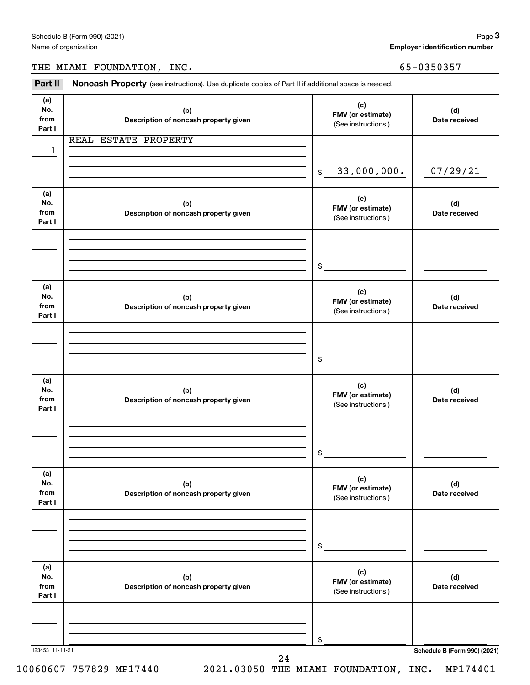| Schedule B (Form 990) (2021) | Paɑe |
|------------------------------|------|
|------------------------------|------|

Name of organization

**Employer identification number**

THE MIAMI FOUNDATION, INC. 65-0350357

Part II Noncash Property (see instructions). Use duplicate copies of Part II if additional space is needed.

| No.<br>from<br>Part I | (b)<br>Description of noncash property given | (c)<br>FMV (or estimate)<br>(See instructions.) | (d)<br>Date received         |
|-----------------------|----------------------------------------------|-------------------------------------------------|------------------------------|
|                       | REAL ESTATE PROPERTY                         |                                                 |                              |
| 1                     |                                              |                                                 |                              |
|                       |                                              |                                                 |                              |
|                       |                                              | 33,000,000.<br>\$                               | 07/29/21                     |
| (a)                   |                                              |                                                 |                              |
| No.                   | (b)                                          | (c)                                             | (d)                          |
| from                  | Description of noncash property given        | FMV (or estimate)<br>(See instructions.)        | Date received                |
| Part I                |                                              |                                                 |                              |
|                       |                                              |                                                 |                              |
|                       |                                              |                                                 |                              |
|                       |                                              | \$                                              |                              |
| (a)                   |                                              |                                                 |                              |
| No.                   | (b)                                          | (c)<br>FMV (or estimate)                        | (d)                          |
| from<br>Part I        | Description of noncash property given        | (See instructions.)                             | Date received                |
|                       |                                              |                                                 |                              |
|                       |                                              |                                                 |                              |
|                       |                                              |                                                 |                              |
|                       |                                              | \$                                              |                              |
| (a)                   |                                              | (c)                                             |                              |
| No.                   | (b)                                          | FMV (or estimate)                               | (d)                          |
| from<br>Part I        | Description of noncash property given        | (See instructions.)                             | Date received                |
|                       |                                              |                                                 |                              |
|                       |                                              |                                                 |                              |
|                       |                                              | \$                                              |                              |
|                       |                                              |                                                 |                              |
| (a)<br>No.            | (b)                                          | (c)                                             | (d)                          |
| from                  | Description of noncash property given        | FMV (or estimate)<br>(See instructions.)        | Date received                |
| Part I                |                                              |                                                 |                              |
|                       |                                              |                                                 |                              |
|                       |                                              |                                                 |                              |
|                       |                                              | \$                                              |                              |
| (a)                   |                                              | (c)                                             |                              |
| No.<br>from           | (b)                                          | FMV (or estimate)                               | (d)                          |
| Part I                | Description of noncash property given        | (See instructions.)                             | Date received                |
|                       |                                              |                                                 |                              |
|                       |                                              |                                                 |                              |
|                       |                                              | \$                                              |                              |
| 123453 11-11-21       |                                              |                                                 | Schedule B (Form 990) (2021) |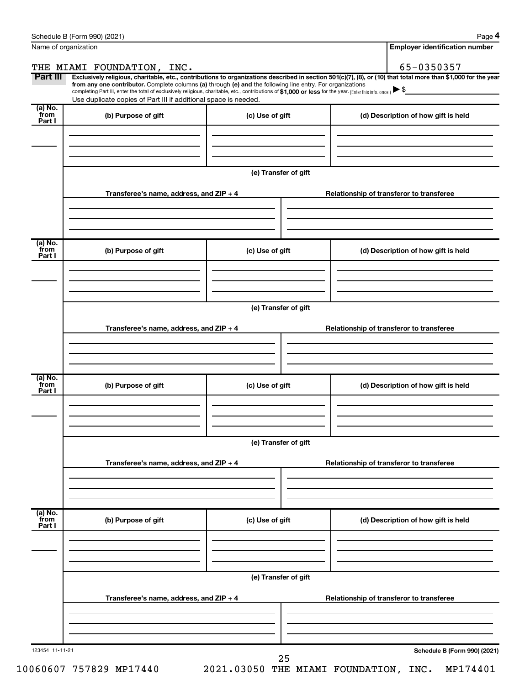|                                        | Schedule B (Form 990) (2021)                                                                                                                                                                                                                                                                                                              |                      | Page 4                                                                                                                                                         |
|----------------------------------------|-------------------------------------------------------------------------------------------------------------------------------------------------------------------------------------------------------------------------------------------------------------------------------------------------------------------------------------------|----------------------|----------------------------------------------------------------------------------------------------------------------------------------------------------------|
|                                        | Name of organization                                                                                                                                                                                                                                                                                                                      |                      | <b>Employer identification number</b>                                                                                                                          |
|                                        | THE MIAMI FOUNDATION, INC.                                                                                                                                                                                                                                                                                                                |                      | 65-0350357                                                                                                                                                     |
| Part III                               | from any one contributor. Complete columns (a) through (e) and the following line entry. For organizations<br>completing Part III, enter the total of exclusively religious, charitable, etc., contributions of \$1,000 or less for the year. (Enter this info. once.)<br>Use duplicate copies of Part III if additional space is needed. |                      | Exclusively religious, charitable, etc., contributions to organizations described in section 501(c)(7), (8), or (10) that total more than \$1,000 for the year |
| $\overline{a}$ ) No.<br>from           |                                                                                                                                                                                                                                                                                                                                           |                      |                                                                                                                                                                |
| Part I                                 | (b) Purpose of gift                                                                                                                                                                                                                                                                                                                       | (c) Use of gift      | (d) Description of how gift is held                                                                                                                            |
|                                        |                                                                                                                                                                                                                                                                                                                                           | (e) Transfer of gift |                                                                                                                                                                |
|                                        | Transferee's name, address, and ZIP + 4                                                                                                                                                                                                                                                                                                   |                      | Relationship of transferor to transferee                                                                                                                       |
| $\overline{a}$ ) No.<br>from<br>Part I | (b) Purpose of gift                                                                                                                                                                                                                                                                                                                       | (c) Use of gift      | (d) Description of how gift is held                                                                                                                            |
|                                        | Transferee's name, address, and ZIP + 4                                                                                                                                                                                                                                                                                                   | (e) Transfer of gift | Relationship of transferor to transferee                                                                                                                       |
|                                        |                                                                                                                                                                                                                                                                                                                                           |                      |                                                                                                                                                                |
| (a) No.<br>from<br>Part I              | (b) Purpose of gift                                                                                                                                                                                                                                                                                                                       | (c) Use of gift      | (d) Description of how gift is held                                                                                                                            |
|                                        |                                                                                                                                                                                                                                                                                                                                           | (e) Transfer of gift |                                                                                                                                                                |
|                                        | Transferee's name, address, and ZIP + 4                                                                                                                                                                                                                                                                                                   |                      | Relationship of transferor to transferee                                                                                                                       |
|                                        |                                                                                                                                                                                                                                                                                                                                           |                      |                                                                                                                                                                |
| (a) No.<br>from<br>Part I              | (b) Purpose of gift                                                                                                                                                                                                                                                                                                                       | (c) Use of gift      | (d) Description of how gift is held                                                                                                                            |
|                                        |                                                                                                                                                                                                                                                                                                                                           |                      |                                                                                                                                                                |
|                                        |                                                                                                                                                                                                                                                                                                                                           | (e) Transfer of gift |                                                                                                                                                                |
|                                        | Transferee's name, address, and ZIP + 4                                                                                                                                                                                                                                                                                                   |                      | Relationship of transferor to transferee                                                                                                                       |
| 123454 11-11-21                        |                                                                                                                                                                                                                                                                                                                                           |                      | Schedule B (Form 990) (2021)                                                                                                                                   |
|                                        |                                                                                                                                                                                                                                                                                                                                           | 25                   |                                                                                                                                                                |

10060607 757829 MP17440 2021.03050 THE MIAMI FOUNDATION, INC. MP174401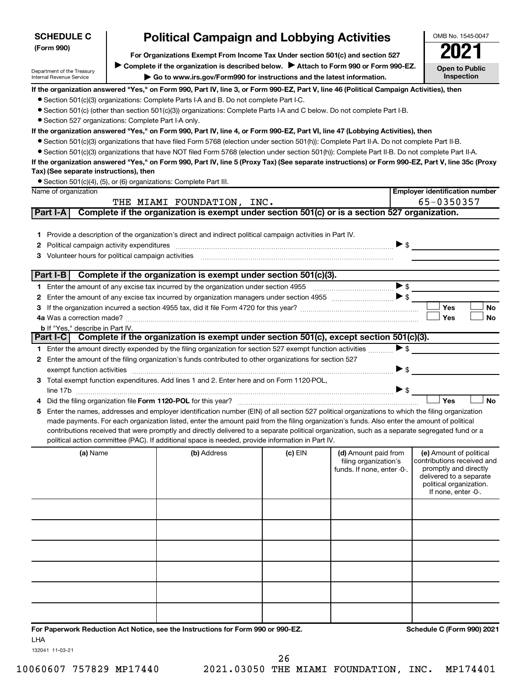| <b>Political Campaign and Lobbying Activities</b><br><b>SCHEDULE C</b><br>(Form 990) |  |                                                                                                                                                               |           |                                                     | OMB No. 1545-0047                                     |
|--------------------------------------------------------------------------------------|--|---------------------------------------------------------------------------------------------------------------------------------------------------------------|-----------|-----------------------------------------------------|-------------------------------------------------------|
|                                                                                      |  | For Organizations Exempt From Income Tax Under section 501(c) and section 527                                                                                 |           |                                                     |                                                       |
| Department of the Treasury<br>Internal Revenue Service                               |  | Complete if the organization is described below. Attach to Form 990 or Form 990-EZ.<br>Go to www.irs.gov/Form990 for instructions and the latest information. |           |                                                     | <b>Open to Public</b><br>Inspection                   |
|                                                                                      |  | If the organization answered "Yes," on Form 990, Part IV, line 3, or Form 990-EZ, Part V, line 46 (Political Campaign Activities), then                       |           |                                                     |                                                       |
|                                                                                      |  | • Section 501(c)(3) organizations: Complete Parts I-A and B. Do not complete Part I-C.                                                                        |           |                                                     |                                                       |
|                                                                                      |  | • Section 501(c) (other than section 501(c)(3)) organizations: Complete Parts I-A and C below. Do not complete Part I-B.                                      |           |                                                     |                                                       |
| • Section 527 organizations: Complete Part I-A only.                                 |  |                                                                                                                                                               |           |                                                     |                                                       |
|                                                                                      |  | If the organization answered "Yes," on Form 990, Part IV, line 4, or Form 990-EZ, Part VI, line 47 (Lobbying Activities), then                                |           |                                                     |                                                       |
|                                                                                      |  | ● Section 501(c)(3) organizations that have filed Form 5768 (election under section 501(h)): Complete Part II-A. Do not complete Part II-B.                   |           |                                                     |                                                       |
|                                                                                      |  | • Section 501(c)(3) organizations that have NOT filed Form 5768 (election under section 501(h)): Complete Part II-B. Do not complete Part II-A.               |           |                                                     |                                                       |
| Tax) (See separate instructions), then                                               |  | If the organization answered "Yes," on Form 990, Part IV, line 5 (Proxy Tax) (See separate instructions) or Form 990-EZ, Part V, line 35c (Proxy              |           |                                                     |                                                       |
|                                                                                      |  | • Section 501(c)(4), (5), or (6) organizations: Complete Part III.                                                                                            |           |                                                     |                                                       |
| Name of organization                                                                 |  |                                                                                                                                                               |           |                                                     | <b>Employer identification number</b>                 |
|                                                                                      |  | THE MIAMI FOUNDATION, INC.                                                                                                                                    |           |                                                     | 65-0350357                                            |
| Part I-A                                                                             |  | Complete if the organization is exempt under section 501(c) or is a section 527 organization.                                                                 |           |                                                     |                                                       |
|                                                                                      |  |                                                                                                                                                               |           |                                                     |                                                       |
| 1.                                                                                   |  | Provide a description of the organization's direct and indirect political campaign activities in Part IV.                                                     |           |                                                     |                                                       |
| Political campaign activity expenditures<br>2                                        |  |                                                                                                                                                               |           |                                                     | $\blacktriangleright$ \$                              |
| Volunteer hours for political campaign activities<br>з                               |  |                                                                                                                                                               |           |                                                     |                                                       |
|                                                                                      |  |                                                                                                                                                               |           |                                                     |                                                       |
| Part I-B                                                                             |  | Complete if the organization is exempt under section 501(c)(3).                                                                                               |           |                                                     |                                                       |
| 1.                                                                                   |  | Enter the amount of any excise tax incurred by the organization under section 4955                                                                            |           |                                                     | $\blacktriangleright$ \$                              |
| 2                                                                                    |  |                                                                                                                                                               |           |                                                     | $\blacktriangleright$ \$                              |
| З                                                                                    |  |                                                                                                                                                               |           |                                                     | Yes<br><b>No</b>                                      |
|                                                                                      |  |                                                                                                                                                               |           |                                                     | Yes<br><b>No</b>                                      |
| <b>b</b> If "Yes," describe in Part IV.                                              |  |                                                                                                                                                               |           |                                                     |                                                       |
| Part I-C                                                                             |  | Complete if the organization is exempt under section 501(c), except section 501(c)(3).                                                                        |           |                                                     |                                                       |
|                                                                                      |  | 1 Enter the amount directly expended by the filing organization for section 527 exempt function activities                                                    |           |                                                     | $\blacktriangleright$ \$                              |
| 2                                                                                    |  | Enter the amount of the filing organization's funds contributed to other organizations for section 527                                                        |           |                                                     |                                                       |
|                                                                                      |  |                                                                                                                                                               |           |                                                     | ▶ \$                                                  |
|                                                                                      |  | 3 Total exempt function expenditures. Add lines 1 and 2. Enter here and on Form 1120-POL,                                                                     |           |                                                     | $\blacktriangleright$ \$                              |
| line 17b                                                                             |  | Did the filing organization file Form 1120-POL for this year?                                                                                                 |           |                                                     | Yes<br><b>No</b>                                      |
| 5                                                                                    |  | Enter the names, addresses and employer identification number (EIN) of all section 527 political organizations to which the filing organization               |           |                                                     |                                                       |
|                                                                                      |  | made payments. For each organization listed, enter the amount paid from the filing organization's funds. Also enter the amount of political                   |           |                                                     |                                                       |
|                                                                                      |  | contributions received that were promptly and directly delivered to a separate political organization, such as a separate segregated fund or a                |           |                                                     |                                                       |
|                                                                                      |  | political action committee (PAC). If additional space is needed, provide information in Part IV.                                                              |           |                                                     |                                                       |
| (a) Name                                                                             |  | (b) Address                                                                                                                                                   | $(c)$ EIN | (d) Amount paid from                                | (e) Amount of political<br>contributions received and |
|                                                                                      |  |                                                                                                                                                               |           | filing organization's<br>funds. If none, enter -0-. | promptly and directly                                 |
|                                                                                      |  |                                                                                                                                                               |           |                                                     | delivered to a separate                               |
|                                                                                      |  |                                                                                                                                                               |           |                                                     | political organization.<br>If none, enter -0-.        |
|                                                                                      |  |                                                                                                                                                               |           |                                                     |                                                       |
|                                                                                      |  |                                                                                                                                                               |           |                                                     |                                                       |
|                                                                                      |  |                                                                                                                                                               |           |                                                     |                                                       |
|                                                                                      |  |                                                                                                                                                               |           |                                                     |                                                       |
|                                                                                      |  |                                                                                                                                                               |           |                                                     |                                                       |
|                                                                                      |  |                                                                                                                                                               |           |                                                     |                                                       |
|                                                                                      |  |                                                                                                                                                               |           |                                                     |                                                       |
|                                                                                      |  |                                                                                                                                                               |           |                                                     |                                                       |
|                                                                                      |  |                                                                                                                                                               |           |                                                     |                                                       |
|                                                                                      |  |                                                                                                                                                               |           |                                                     |                                                       |
|                                                                                      |  |                                                                                                                                                               |           |                                                     |                                                       |
|                                                                                      |  |                                                                                                                                                               |           |                                                     |                                                       |
| LHA                                                                                  |  | For Paperwork Reduction Act Notice, see the Instructions for Form 990 or 990-EZ.                                                                              |           |                                                     | Schedule C (Form 990) 2021                            |

132041 11-03-21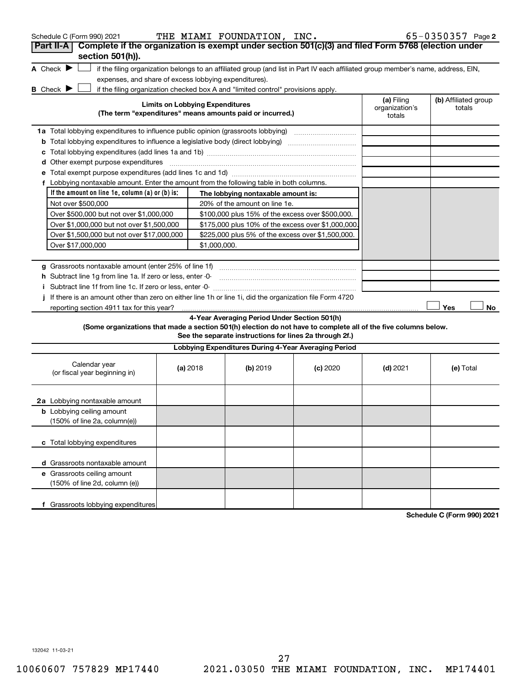| Schedule C (Form 990) 2021                                                                                      |                                        | THE MIAMI FOUNDATION, INC.                                                                                                                                                |            |                | 65-0350357 Page 2          |
|-----------------------------------------------------------------------------------------------------------------|----------------------------------------|---------------------------------------------------------------------------------------------------------------------------------------------------------------------------|------------|----------------|----------------------------|
| Complete if the organization is exempt under section 501(c)(3) and filed Form 5768 (election under<br>Part II-A |                                        |                                                                                                                                                                           |            |                |                            |
| section 501(h)).                                                                                                |                                        |                                                                                                                                                                           |            |                |                            |
| A Check $\blacktriangleright$                                                                                   |                                        | if the filing organization belongs to an affiliated group (and list in Part IV each affiliated group member's name, address, EIN,                                         |            |                |                            |
| expenses, and share of excess lobbying expenditures).                                                           |                                        |                                                                                                                                                                           |            |                |                            |
| <b>B</b> Check <b>D</b>                                                                                         |                                        | if the filing organization checked box A and "limited control" provisions apply.                                                                                          |            | (a) Filing     | (b) Affiliated group       |
|                                                                                                                 | <b>Limits on Lobbying Expenditures</b> |                                                                                                                                                                           |            | organization's | totals                     |
|                                                                                                                 |                                        | (The term "expenditures" means amounts paid or incurred.)                                                                                                                 |            | totals         |                            |
| <b>1a</b> Total lobbying expenditures to influence public opinion (grassroots lobbying)                         |                                        |                                                                                                                                                                           |            |                |                            |
| <b>b</b> Total lobbying expenditures to influence a legislative body (direct lobbying) <i>manumumumum</i>       |                                        |                                                                                                                                                                           |            |                |                            |
| с                                                                                                               |                                        |                                                                                                                                                                           |            |                |                            |
| <b>d</b> Other exempt purpose expenditures                                                                      |                                        |                                                                                                                                                                           |            |                |                            |
|                                                                                                                 |                                        |                                                                                                                                                                           |            |                |                            |
| f Lobbying nontaxable amount. Enter the amount from the following table in both columns.                        |                                        |                                                                                                                                                                           |            |                |                            |
| If the amount on line 1e, column $(a)$ or $(b)$ is:                                                             |                                        | The lobbying nontaxable amount is:                                                                                                                                        |            |                |                            |
| Not over \$500,000                                                                                              |                                        | 20% of the amount on line 1e.                                                                                                                                             |            |                |                            |
| Over \$500,000 but not over \$1,000,000                                                                         |                                        | \$100,000 plus 15% of the excess over \$500,000.                                                                                                                          |            |                |                            |
| Over \$1,000,000 but not over \$1,500,000<br>Over \$1,500,000 but not over \$17,000,000                         |                                        | \$175,000 plus 10% of the excess over \$1,000,000<br>\$225,000 plus 5% of the excess over \$1,500,000.                                                                    |            |                |                            |
| Over \$17,000,000                                                                                               |                                        | \$1,000,000.                                                                                                                                                              |            |                |                            |
|                                                                                                                 |                                        |                                                                                                                                                                           |            |                |                            |
| g Grassroots nontaxable amount (enter 25% of line 1f)                                                           |                                        |                                                                                                                                                                           |            |                |                            |
| h Subtract line 1g from line 1a. If zero or less, enter -0-                                                     |                                        |                                                                                                                                                                           |            |                |                            |
|                                                                                                                 |                                        |                                                                                                                                                                           |            |                |                            |
| If there is an amount other than zero on either line 1h or line 1i, did the organization file Form 4720         |                                        |                                                                                                                                                                           |            |                |                            |
| reporting section 4911 tax for this year?                                                                       |                                        |                                                                                                                                                                           |            |                | Yes<br>No                  |
|                                                                                                                 |                                        | 4-Year Averaging Period Under Section 501(h)                                                                                                                              |            |                |                            |
|                                                                                                                 |                                        | (Some organizations that made a section 501(h) election do not have to complete all of the five columns below.<br>See the separate instructions for lines 2a through 2f.) |            |                |                            |
|                                                                                                                 |                                        | Lobbying Expenditures During 4-Year Averaging Period                                                                                                                      |            |                |                            |
| Calendar year                                                                                                   |                                        |                                                                                                                                                                           |            |                |                            |
| (or fiscal year beginning in)                                                                                   | (a) 2018                               | (b) 2019                                                                                                                                                                  | $(c)$ 2020 | $(d)$ 2021     | (e) Total                  |
|                                                                                                                 |                                        |                                                                                                                                                                           |            |                |                            |
|                                                                                                                 |                                        |                                                                                                                                                                           |            |                |                            |
| 2a Lobbying nontaxable amount                                                                                   |                                        |                                                                                                                                                                           |            |                |                            |
| <b>b</b> Lobbying ceiling amount<br>(150% of line 2a, column(e))                                                |                                        |                                                                                                                                                                           |            |                |                            |
|                                                                                                                 |                                        |                                                                                                                                                                           |            |                |                            |
| c Total lobbying expenditures                                                                                   |                                        |                                                                                                                                                                           |            |                |                            |
|                                                                                                                 |                                        |                                                                                                                                                                           |            |                |                            |
| d Grassroots nontaxable amount                                                                                  |                                        |                                                                                                                                                                           |            |                |                            |
| e Grassroots ceiling amount                                                                                     |                                        |                                                                                                                                                                           |            |                |                            |
| (150% of line 2d, column (e))                                                                                   |                                        |                                                                                                                                                                           |            |                |                            |
|                                                                                                                 |                                        |                                                                                                                                                                           |            |                |                            |
| f Grassroots lobbying expenditures                                                                              |                                        |                                                                                                                                                                           |            |                | Schedule C (Form 990) 2021 |
|                                                                                                                 |                                        |                                                                                                                                                                           |            |                |                            |

**Schedule C (Form 990) 2021**

132042 11-03-21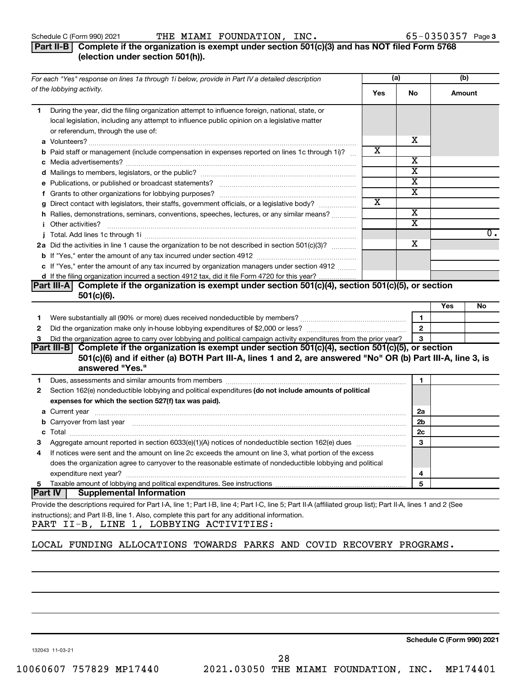#### **Part II-B Complete if the organization is exempt under section 501(c)(3) and has NOT filed Form 5768 (election under section 501(h)).**

|                | For each "Yes" response on lines 1a through 1i below, provide in Part IV a detailed description                                                              |                       | (a)                        | (b)        |                  |
|----------------|--------------------------------------------------------------------------------------------------------------------------------------------------------------|-----------------------|----------------------------|------------|------------------|
|                | of the lobbying activity.                                                                                                                                    | Yes                   | No                         | Amount     |                  |
| 1              | During the year, did the filing organization attempt to influence foreign, national, state, or                                                               |                       |                            |            |                  |
|                | local legislation, including any attempt to influence public opinion on a legislative matter                                                                 |                       |                            |            |                  |
|                | or referendum, through the use of:                                                                                                                           |                       |                            |            |                  |
|                |                                                                                                                                                              |                       | х                          |            |                  |
|                | <b>b</b> Paid staff or management (include compensation in expenses reported on lines 1c through 1i)?                                                        | $\overline{\text{x}}$ |                            |            |                  |
|                |                                                                                                                                                              |                       | х<br>$\overline{\text{x}}$ |            |                  |
|                |                                                                                                                                                              |                       | $\overline{\text{x}}$      |            |                  |
|                |                                                                                                                                                              |                       | х                          |            |                  |
|                |                                                                                                                                                              | X                     |                            |            |                  |
|                | g Direct contact with legislators, their staffs, government officials, or a legislative body?                                                                |                       | X                          |            |                  |
|                | h Rallies, demonstrations, seminars, conventions, speeches, lectures, or any similar means?                                                                  |                       | $\overline{\text{x}}$      |            |                  |
|                | <i>i</i> Other activities?                                                                                                                                   |                       |                            |            | $\overline{0}$ . |
|                | 2a Did the activities in line 1 cause the organization to be not described in section 501(c)(3)?                                                             |                       | x                          |            |                  |
|                |                                                                                                                                                              |                       |                            |            |                  |
|                | c If "Yes," enter the amount of any tax incurred by organization managers under section 4912                                                                 |                       |                            |            |                  |
|                | d If the filing organization incurred a section 4912 tax, did it file Form 4720 for this year?                                                               |                       |                            |            |                  |
|                | $501(c)(6)$ .                                                                                                                                                |                       |                            | <b>Yes</b> | No               |
|                |                                                                                                                                                              |                       | $\mathbf{1}$               |            |                  |
| 1.<br>2        |                                                                                                                                                              |                       | $\overline{2}$             |            |                  |
| 3              | Did the organization agree to carry over lobbying and political campaign activity expenditures from the prior year?                                          |                       | 3                          |            |                  |
|                | Part III-B Complete if the organization is exempt under section 501(c)(4), section 501(c)(5), or section                                                     |                       |                            |            |                  |
|                | 501(c)(6) and if either (a) BOTH Part III-A, lines 1 and 2, are answered "No" OR (b) Part III-A, line 3, is<br>answered "Yes."                               |                       |                            |            |                  |
| 1.             | Dues, assessments and similar amounts from members [11,11] was accommodated by the system of the system of the                                               |                       | 1                          |            |                  |
| $\mathbf{2}$   | Section 162(e) nondeductible lobbying and political expenditures (do not include amounts of political                                                        |                       |                            |            |                  |
|                | expenses for which the section 527(f) tax was paid).                                                                                                         |                       |                            |            |                  |
|                |                                                                                                                                                              |                       | 2a                         |            |                  |
|                | <b>b</b> Carryover from last year <b>contract to contract the contract of contract to contract the contract of contract to</b>                               |                       | 2 <sub>b</sub>             |            |                  |
|                |                                                                                                                                                              |                       | 2c                         |            |                  |
| з              | Aggregate amount reported in section 6033(e)(1)(A) notices of nondeductible section 162(e) dues manufaction of                                               |                       | 3                          |            |                  |
| 4              | If notices were sent and the amount on line 2c exceeds the amount on line 3, what portion of the excess                                                      |                       |                            |            |                  |
|                | does the organization agree to carryover to the reasonable estimate of nondeductible lobbying and political                                                  |                       |                            |            |                  |
|                |                                                                                                                                                              |                       | 4                          |            |                  |
|                |                                                                                                                                                              |                       | 5                          |            |                  |
| <b>Part IV</b> | <b>Supplemental Information</b>                                                                                                                              |                       |                            |            |                  |
|                | Provide the descriptions required for Part I-A, line 1; Part I-B, line 4; Part I-C, line 5; Part II-A (affiliated group list); Part II-A, lines 1 and 2 (See |                       |                            |            |                  |
|                | instructions); and Part II-B, line 1. Also, complete this part for any additional information.                                                               |                       |                            |            |                  |

PART II-B, LINE 1, LOBBYING ACTIVITIES:

LOCAL FUNDING ALLOCATIONS TOWARDS PARKS AND COVID RECOVERY PROGRAMS.

132043 11-03-21

**Schedule C (Form 990) 2021**

28

10060607 757829 MP17440 2021.03050 THE MIAMI FOUNDATION, INC. MP174401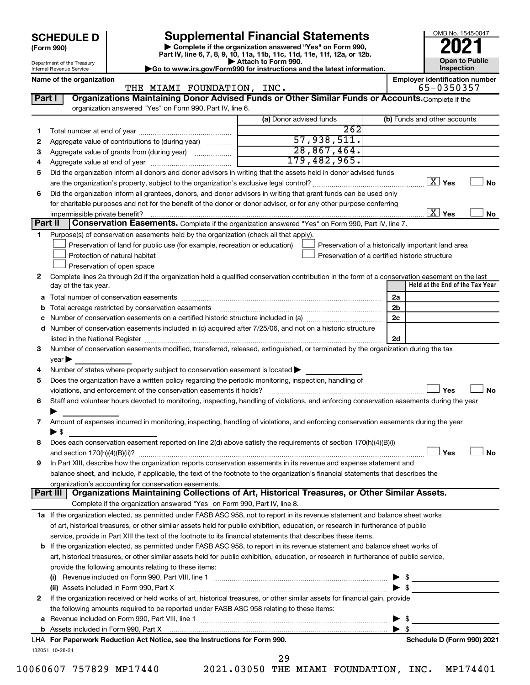Department of the Treasury Internal Revenue Service

| (Form 990) |  |
|------------|--|
|------------|--|

**| Complete if the organization answered "Yes" on Form 990, Part IV, line 6, 7, 8, 9, 10, 11a, 11b, 11c, 11d, 11e, 11f, 12a, or 12b. SCHEDULE D Supplemental Financial Statements**<br> **Form 990 Example 5 2021**<br>
Part IV. line 6, 7, 8, 9, 10, 11a, 11b, 11c, 11d, 11e, 11f, 12a, or 12b.

**| Attach to Form 990. |Go to www.irs.gov/Form990 for instructions and the latest information.** OMB No. 1545-0047 **Open to Public Inspection**

Name of the organization<br> **Employer identification number**<br> **Employer identification number**<br> **Employer identification number**<br> **Employer identification number**<br> **Employer identification number** THE MIAMI FOUNDATION, INC.

| 1                |                                                                                                                                                                                                                                | (a) Donor advised funds                                                                                                             | (b) Funds and other accounts                       |
|------------------|--------------------------------------------------------------------------------------------------------------------------------------------------------------------------------------------------------------------------------|-------------------------------------------------------------------------------------------------------------------------------------|----------------------------------------------------|
|                  |                                                                                                                                                                                                                                | 262                                                                                                                                 |                                                    |
| 2                | Aggregate value of contributions to (during year)                                                                                                                                                                              | 57,938,511.                                                                                                                         |                                                    |
| 3                | Aggregate value of grants from (during year)                                                                                                                                                                                   | 28,867,464.                                                                                                                         |                                                    |
| 4                |                                                                                                                                                                                                                                | 179,482,965.                                                                                                                        |                                                    |
| 5                | Did the organization inform all donors and donor advisors in writing that the assets held in donor advised funds                                                                                                               |                                                                                                                                     |                                                    |
|                  |                                                                                                                                                                                                                                |                                                                                                                                     | $\boxed{\text{X}}$ Yes                             |
| 6                | Did the organization inform all grantees, donors, and donor advisors in writing that grant funds can be used only                                                                                                              |                                                                                                                                     |                                                    |
|                  | for charitable purposes and not for the benefit of the donor or donor advisor, or for any other purpose conferring                                                                                                             |                                                                                                                                     |                                                    |
|                  |                                                                                                                                                                                                                                |                                                                                                                                     | $\overline{\text{X}}$ Yes                          |
|                  | Part II<br>Conservation Easements. Complete if the organization answered "Yes" on Form 990, Part IV, line 7.                                                                                                                   |                                                                                                                                     |                                                    |
| 1.               | Purpose(s) of conservation easements held by the organization (check all that apply).                                                                                                                                          |                                                                                                                                     |                                                    |
|                  | Preservation of land for public use (for example, recreation or education)                                                                                                                                                     |                                                                                                                                     | Preservation of a historically important land area |
|                  | Protection of natural habitat                                                                                                                                                                                                  |                                                                                                                                     | Preservation of a certified historic structure     |
|                  | Preservation of open space                                                                                                                                                                                                     |                                                                                                                                     |                                                    |
| 2                | Complete lines 2a through 2d if the organization held a qualified conservation contribution in the form of a conservation easement on the last                                                                                 |                                                                                                                                     |                                                    |
|                  | day of the tax year.                                                                                                                                                                                                           |                                                                                                                                     | Held at the End of the Tax Year                    |
| а                |                                                                                                                                                                                                                                |                                                                                                                                     | 2a                                                 |
|                  | Total acreage restricted by conservation easements [11] matter continuum matter of the stricture of the stricture of the stricture of the stricture of the stricture of the stricture of the stricture of the stricture of the |                                                                                                                                     | 2 <sub>b</sub>                                     |
|                  |                                                                                                                                                                                                                                |                                                                                                                                     | 2c                                                 |
| d                | Number of conservation easements included in (c) acquired after 7/25/06, and not on a historic structure                                                                                                                       |                                                                                                                                     |                                                    |
|                  | listed in the National Register [11, 120] and the National Register [11, 120] and the National Register [11, 1                                                                                                                 |                                                                                                                                     | 2d                                                 |
| 3                | Number of conservation easements modified, transferred, released, extinguished, or terminated by the organization during the tax                                                                                               |                                                                                                                                     |                                                    |
|                  | year                                                                                                                                                                                                                           |                                                                                                                                     |                                                    |
| 4                | Number of states where property subject to conservation easement is located >                                                                                                                                                  |                                                                                                                                     |                                                    |
| 5                | Does the organization have a written policy regarding the periodic monitoring, inspection, handling of                                                                                                                         |                                                                                                                                     |                                                    |
|                  | violations, and enforcement of the conservation easements it holds?                                                                                                                                                            |                                                                                                                                     | Yes                                                |
| 6                | Staff and volunteer hours devoted to monitoring, inspecting, handling of violations, and enforcing conservation easements during the year                                                                                      |                                                                                                                                     |                                                    |
|                  |                                                                                                                                                                                                                                |                                                                                                                                     |                                                    |
|                  |                                                                                                                                                                                                                                |                                                                                                                                     |                                                    |
|                  |                                                                                                                                                                                                                                |                                                                                                                                     |                                                    |
|                  |                                                                                                                                                                                                                                | Amount of expenses incurred in monitoring, inspecting, handling of violations, and enforcing conservation easements during the year |                                                    |
|                  | $\blacktriangleright$ s                                                                                                                                                                                                        |                                                                                                                                     |                                                    |
|                  | Does each conservation easement reported on line 2(d) above satisfy the requirements of section 170(h)(4)(B)(i)                                                                                                                |                                                                                                                                     |                                                    |
|                  |                                                                                                                                                                                                                                |                                                                                                                                     | Yes                                                |
|                  | In Part XIII, describe how the organization reports conservation easements in its revenue and expense statement and                                                                                                            |                                                                                                                                     |                                                    |
|                  | balance sheet, and include, if applicable, the text of the footnote to the organization's financial statements that describes the                                                                                              |                                                                                                                                     |                                                    |
|                  | organization's accounting for conservation easements.<br>Part III                                                                                                                                                              |                                                                                                                                     |                                                    |
|                  | Organizations Maintaining Collections of Art, Historical Treasures, or Other Similar Assets.                                                                                                                                   |                                                                                                                                     |                                                    |
|                  | Complete if the organization answered "Yes" on Form 990, Part IV, line 8.                                                                                                                                                      |                                                                                                                                     |                                                    |
|                  | 1a If the organization elected, as permitted under FASB ASC 958, not to report in its revenue statement and balance sheet works                                                                                                |                                                                                                                                     |                                                    |
|                  | of art, historical treasures, or other similar assets held for public exhibition, education, or research in furtherance of public                                                                                              |                                                                                                                                     |                                                    |
|                  | service, provide in Part XIII the text of the footnote to its financial statements that describes these items.                                                                                                                 |                                                                                                                                     |                                                    |
|                  | b If the organization elected, as permitted under FASB ASC 958, to report in its revenue statement and balance sheet works of                                                                                                  |                                                                                                                                     |                                                    |
|                  | art, historical treasures, or other similar assets held for public exhibition, education, or research in furtherance of public service,                                                                                        |                                                                                                                                     |                                                    |
|                  | provide the following amounts relating to these items:                                                                                                                                                                         |                                                                                                                                     |                                                    |
|                  |                                                                                                                                                                                                                                |                                                                                                                                     |                                                    |
|                  |                                                                                                                                                                                                                                |                                                                                                                                     | $\blacktriangleright$ \$                           |
|                  | If the organization received or held works of art, historical treasures, or other similar assets for financial gain, provide                                                                                                   |                                                                                                                                     |                                                    |
|                  | the following amounts required to be reported under FASB ASC 958 relating to these items:                                                                                                                                      |                                                                                                                                     |                                                    |
|                  |                                                                                                                                                                                                                                |                                                                                                                                     | $\blacktriangleright$ \$                           |
|                  |                                                                                                                                                                                                                                |                                                                                                                                     | $\blacktriangleright$ s                            |
| 7<br>8<br>9<br>2 | LHA For Paperwork Reduction Act Notice, see the Instructions for Form 990.<br>132051 10-28-21                                                                                                                                  |                                                                                                                                     | Schedule D (Form 990) 2021                         |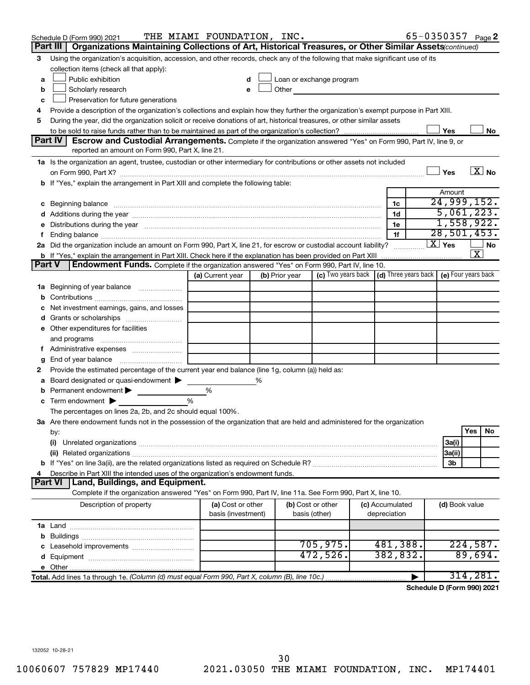|        | Schedule D (Form 990) 2021<br>Part III   Organizations Maintaining Collections of Art, Historical Treasures, or Other Similar Assets (continued)                                                                              | THE MIAMI FOUNDATION, INC. |   |                |                                                                                                                                                                                                                               |                 |                | 65-0350357 Page 2       |
|--------|-------------------------------------------------------------------------------------------------------------------------------------------------------------------------------------------------------------------------------|----------------------------|---|----------------|-------------------------------------------------------------------------------------------------------------------------------------------------------------------------------------------------------------------------------|-----------------|----------------|-------------------------|
|        |                                                                                                                                                                                                                               |                            |   |                |                                                                                                                                                                                                                               |                 |                |                         |
| 3      | Using the organization's acquisition, accession, and other records, check any of the following that make significant use of its                                                                                               |                            |   |                |                                                                                                                                                                                                                               |                 |                |                         |
|        | collection items (check all that apply):                                                                                                                                                                                      |                            |   |                |                                                                                                                                                                                                                               |                 |                |                         |
| a      | Public exhibition                                                                                                                                                                                                             |                            | d |                | Loan or exchange program                                                                                                                                                                                                      |                 |                |                         |
| b      | Scholarly research                                                                                                                                                                                                            | e                          |   |                | Other and the contract of the contract of the contract of the contract of the contract of the contract of the contract of the contract of the contract of the contract of the contract of the contract of the contract of the |                 |                |                         |
| c      | Preservation for future generations                                                                                                                                                                                           |                            |   |                |                                                                                                                                                                                                                               |                 |                |                         |
| 4      | Provide a description of the organization's collections and explain how they further the organization's exempt purpose in Part XIII.                                                                                          |                            |   |                |                                                                                                                                                                                                                               |                 |                |                         |
| 5      | During the year, did the organization solicit or receive donations of art, historical treasures, or other similar assets                                                                                                      |                            |   |                |                                                                                                                                                                                                                               |                 |                |                         |
|        |                                                                                                                                                                                                                               |                            |   |                |                                                                                                                                                                                                                               |                 | Yes            | No                      |
|        | Part IV<br><b>Escrow and Custodial Arrangements.</b> Complete if the organization answered "Yes" on Form 990, Part IV, line 9, or<br>reported an amount on Form 990, Part X, line 21.                                         |                            |   |                |                                                                                                                                                                                                                               |                 |                |                         |
|        |                                                                                                                                                                                                                               |                            |   |                |                                                                                                                                                                                                                               |                 |                |                         |
|        | 1a Is the organization an agent, trustee, custodian or other intermediary for contributions or other assets not included                                                                                                      |                            |   |                |                                                                                                                                                                                                                               |                 |                | $\boxed{\text{X}}$ No   |
|        |                                                                                                                                                                                                                               |                            |   |                |                                                                                                                                                                                                                               |                 | Yes            |                         |
|        | b If "Yes," explain the arrangement in Part XIII and complete the following table:                                                                                                                                            |                            |   |                |                                                                                                                                                                                                                               |                 |                |                         |
|        |                                                                                                                                                                                                                               |                            |   |                |                                                                                                                                                                                                                               |                 | Amount         |                         |
|        |                                                                                                                                                                                                                               |                            |   |                |                                                                                                                                                                                                                               | 1c              |                | 24,999,152.             |
|        |                                                                                                                                                                                                                               |                            |   |                |                                                                                                                                                                                                                               | 1d              |                | 5,061,223.              |
|        | e Distributions during the year manufactured and continuum control of the control of the control of the state of the control of the control of the control of the control of the control of the control of the control of the |                            |   |                |                                                                                                                                                                                                                               | 1e              |                | 1,558,922.              |
| f.     |                                                                                                                                                                                                                               |                            |   |                |                                                                                                                                                                                                                               | 1f              |                | 28,501,453.             |
|        | 2a Did the organization include an amount on Form 990, Part X, line 21, for escrow or custodial account liability?                                                                                                            |                            |   |                |                                                                                                                                                                                                                               |                 | $X$ Yes        | $\Box$ No               |
|        |                                                                                                                                                                                                                               |                            |   |                |                                                                                                                                                                                                                               |                 |                | $\overline{\mathbf{x}}$ |
| Part V | <b>Endowment Funds.</b> Complete if the organization answered "Yes" on Form 990, Part IV, line 10.                                                                                                                            |                            |   |                |                                                                                                                                                                                                                               |                 |                |                         |
|        |                                                                                                                                                                                                                               | (a) Current year           |   | (b) Prior year | (c) Two years back (d) Three years back (e) Four years back                                                                                                                                                                   |                 |                |                         |
|        | 1a Beginning of year balance                                                                                                                                                                                                  |                            |   |                |                                                                                                                                                                                                                               |                 |                |                         |
|        |                                                                                                                                                                                                                               |                            |   |                |                                                                                                                                                                                                                               |                 |                |                         |
|        | c Net investment earnings, gains, and losses                                                                                                                                                                                  |                            |   |                |                                                                                                                                                                                                                               |                 |                |                         |
|        |                                                                                                                                                                                                                               |                            |   |                |                                                                                                                                                                                                                               |                 |                |                         |
|        | e Other expenditures for facilities                                                                                                                                                                                           |                            |   |                |                                                                                                                                                                                                                               |                 |                |                         |
|        | and programs                                                                                                                                                                                                                  |                            |   |                |                                                                                                                                                                                                                               |                 |                |                         |
|        |                                                                                                                                                                                                                               |                            |   |                |                                                                                                                                                                                                                               |                 |                |                         |
| g      |                                                                                                                                                                                                                               |                            |   |                |                                                                                                                                                                                                                               |                 |                |                         |
| 2      | Provide the estimated percentage of the current year end balance (line 1g, column (a)) held as:                                                                                                                               |                            |   |                |                                                                                                                                                                                                                               |                 |                |                         |
|        | a Board designated or quasi-endowment                                                                                                                                                                                         |                            | % |                |                                                                                                                                                                                                                               |                 |                |                         |
|        | <b>b</b> Permanent endowment $\blacktriangleright$                                                                                                                                                                            | %                          |   |                |                                                                                                                                                                                                                               |                 |                |                         |
|        | <b>c</b> Term endowment $\blacktriangleright$                                                                                                                                                                                 | %                          |   |                |                                                                                                                                                                                                                               |                 |                |                         |
|        | The percentages on lines 2a, 2b, and 2c should equal 100%.                                                                                                                                                                    |                            |   |                |                                                                                                                                                                                                                               |                 |                |                         |
|        | 3a Are there endowment funds not in the possession of the organization that are held and administered for the organization                                                                                                    |                            |   |                |                                                                                                                                                                                                                               |                 |                |                         |
|        | by:                                                                                                                                                                                                                           |                            |   |                |                                                                                                                                                                                                                               |                 |                | Yes<br>No               |
|        | (i)                                                                                                                                                                                                                           |                            |   |                |                                                                                                                                                                                                                               |                 | 3a(i)          |                         |
|        |                                                                                                                                                                                                                               |                            |   |                |                                                                                                                                                                                                                               |                 | 3a(ii)         |                         |
|        |                                                                                                                                                                                                                               |                            |   |                |                                                                                                                                                                                                                               |                 | 3b             |                         |
| 4      | Describe in Part XIII the intended uses of the organization's endowment funds.                                                                                                                                                |                            |   |                |                                                                                                                                                                                                                               |                 |                |                         |
|        | Land, Buildings, and Equipment.<br><b>Part VI</b>                                                                                                                                                                             |                            |   |                |                                                                                                                                                                                                                               |                 |                |                         |
|        | Complete if the organization answered "Yes" on Form 990, Part IV, line 11a. See Form 990, Part X, line 10.                                                                                                                    |                            |   |                |                                                                                                                                                                                                                               |                 |                |                         |
|        | Description of property                                                                                                                                                                                                       | (a) Cost or other          |   |                | (b) Cost or other                                                                                                                                                                                                             | (c) Accumulated | (d) Book value |                         |
|        |                                                                                                                                                                                                                               | basis (investment)         |   | basis (other)  |                                                                                                                                                                                                                               | depreciation    |                |                         |
|        |                                                                                                                                                                                                                               |                            |   |                |                                                                                                                                                                                                                               |                 |                |                         |
|        |                                                                                                                                                                                                                               |                            |   |                |                                                                                                                                                                                                                               |                 |                |                         |
|        |                                                                                                                                                                                                                               |                            |   |                | 705,975.                                                                                                                                                                                                                      | 481,388.        |                | 224,587.                |
|        |                                                                                                                                                                                                                               |                            |   |                | 472,526.                                                                                                                                                                                                                      | 382,832.        |                | 89,694.                 |
|        |                                                                                                                                                                                                                               |                            |   |                |                                                                                                                                                                                                                               |                 |                |                         |
|        | Total. Add lines 1a through 1e. (Column (d) must equal Form 990, Part X, column (B), line 10c.)                                                                                                                               |                            |   |                |                                                                                                                                                                                                                               | ▶               |                | 314, 281.               |
|        |                                                                                                                                                                                                                               |                            |   |                |                                                                                                                                                                                                                               |                 |                |                         |

**Schedule D (Form 990) 2021**

132052 10-28-21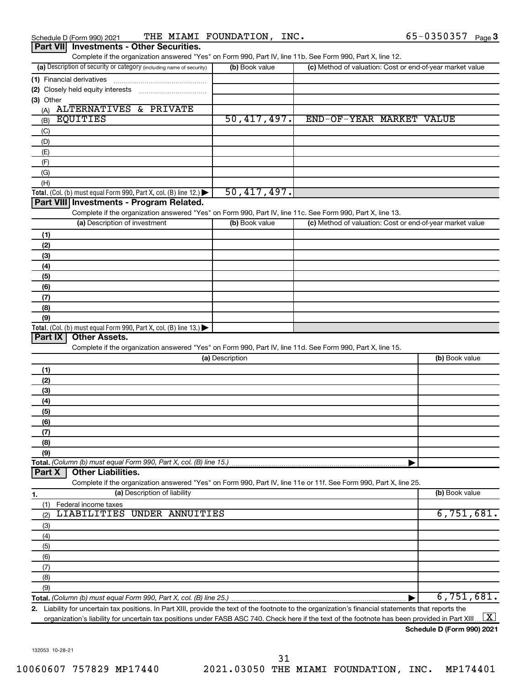| Schedule D (Form 990) 2021                                                                                                                           | THE MIAMI FOUNDATION, INC. |                                                           | 65-0350357 Page 3   |
|------------------------------------------------------------------------------------------------------------------------------------------------------|----------------------------|-----------------------------------------------------------|---------------------|
| <b>Investments - Other Securities.</b><br><b>Part VII</b>                                                                                            |                            |                                                           |                     |
| Complete if the organization answered "Yes" on Form 990, Part IV, line 11b. See Form 990, Part X, line 12.                                           |                            |                                                           |                     |
| (a) Description of security or category (including name of security)                                                                                 | (b) Book value             | (c) Method of valuation: Cost or end-of-year market value |                     |
| (1) Financial derivatives                                                                                                                            |                            |                                                           |                     |
| (2) Closely held equity interests                                                                                                                    |                            |                                                           |                     |
| (3) Other                                                                                                                                            |                            |                                                           |                     |
| ALTERNATIVES & PRIVATE<br>(A)                                                                                                                        |                            |                                                           |                     |
| EQUITIES<br>(B)                                                                                                                                      | 50,417,497.                | END-OF-YEAR MARKET VALUE                                  |                     |
| (C)                                                                                                                                                  |                            |                                                           |                     |
| (D)                                                                                                                                                  |                            |                                                           |                     |
| (E)                                                                                                                                                  |                            |                                                           |                     |
| (F)                                                                                                                                                  |                            |                                                           |                     |
| (G)                                                                                                                                                  |                            |                                                           |                     |
| (H)                                                                                                                                                  |                            |                                                           |                     |
| <b>Total.</b> (Col. (b) must equal Form 990, Part X, col. (B) line 12.) $\blacktriangleright$<br>Part VIII Investments - Program Related.            | 50,417,497.                |                                                           |                     |
| Complete if the organization answered "Yes" on Form 990, Part IV, line 11c. See Form 990, Part X, line 13.                                           |                            |                                                           |                     |
| (a) Description of investment                                                                                                                        | (b) Book value             | (c) Method of valuation: Cost or end-of-year market value |                     |
|                                                                                                                                                      |                            |                                                           |                     |
| (1)                                                                                                                                                  |                            |                                                           |                     |
| (2)                                                                                                                                                  |                            |                                                           |                     |
| (3)                                                                                                                                                  |                            |                                                           |                     |
| (4)<br>(5)                                                                                                                                           |                            |                                                           |                     |
| (6)                                                                                                                                                  |                            |                                                           |                     |
| (7)                                                                                                                                                  |                            |                                                           |                     |
| (8)                                                                                                                                                  |                            |                                                           |                     |
| (9)                                                                                                                                                  |                            |                                                           |                     |
| <b>Total.</b> (Col. (b) must equal Form 990, Part X, col. (B) line 13.)                                                                              |                            |                                                           |                     |
| <b>Other Assets.</b><br>Part $ X $                                                                                                                   |                            |                                                           |                     |
| Complete if the organization answered "Yes" on Form 990, Part IV, line 11d. See Form 990, Part X, line 15.                                           |                            |                                                           |                     |
|                                                                                                                                                      | (a) Description            |                                                           | (b) Book value      |
| (1)                                                                                                                                                  |                            |                                                           |                     |
| (2)                                                                                                                                                  |                            |                                                           |                     |
| (3)                                                                                                                                                  |                            |                                                           |                     |
| (4)                                                                                                                                                  |                            |                                                           |                     |
| (5)                                                                                                                                                  |                            |                                                           |                     |
| (6)                                                                                                                                                  |                            |                                                           |                     |
| (7)                                                                                                                                                  |                            |                                                           |                     |
| (8)                                                                                                                                                  |                            |                                                           |                     |
| (9)                                                                                                                                                  |                            |                                                           |                     |
| Total. (Column (b) must equal Form 990, Part X, col. (B) line 15.)                                                                                   |                            |                                                           |                     |
| <b>Other Liabilities.</b><br>Part X                                                                                                                  |                            |                                                           |                     |
| Complete if the organization answered "Yes" on Form 990, Part IV, line 11e or 11f. See Form 990, Part X, line 25.                                    |                            |                                                           |                     |
| (a) Description of liability<br>1.                                                                                                                   |                            |                                                           | (b) Book value      |
| (1)<br>Federal income taxes                                                                                                                          |                            |                                                           |                     |
| LIABILITIES UNDER ANNUITIES<br>(2)                                                                                                                   |                            |                                                           | 6,751,681.          |
| (3)                                                                                                                                                  |                            |                                                           |                     |
| (4)                                                                                                                                                  |                            |                                                           |                     |
| (5)                                                                                                                                                  |                            |                                                           |                     |
| (6)                                                                                                                                                  |                            |                                                           |                     |
| (7)                                                                                                                                                  |                            |                                                           |                     |
| (8)                                                                                                                                                  |                            |                                                           |                     |
| (9)                                                                                                                                                  |                            |                                                           | 6,751,681.          |
| 2. Liability for uncertain tax positions. In Part XIII, provide the text of the footnote to the organization's financial statements that reports the |                            |                                                           |                     |
| organization's liability for uncertain tax positions under FASB ASC 740. Check here if the text of the footnote has been provided in Part XIII       |                            |                                                           | $\lfloor x \rfloor$ |

**Schedule D (Form 990) 2021**

132053 10-28-21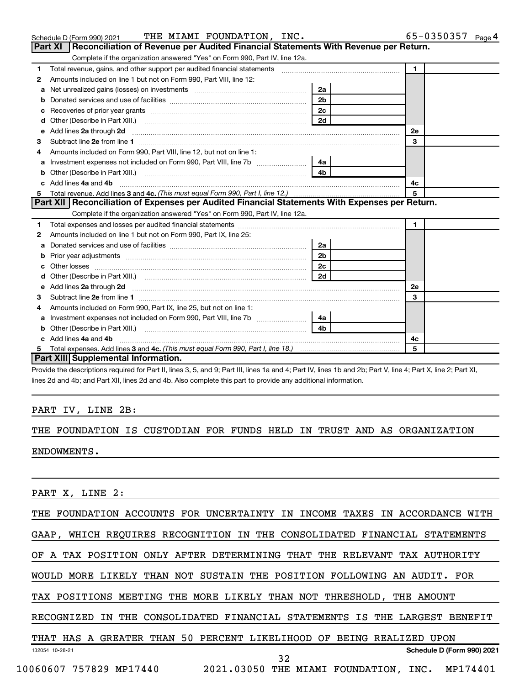|    | THE MIAMI FOUNDATION, INC.<br>Schedule D (Form 990) 2021                                                                                                                                                                       |                | 65-0350357     | Page 4 |
|----|--------------------------------------------------------------------------------------------------------------------------------------------------------------------------------------------------------------------------------|----------------|----------------|--------|
|    | Part XI   Reconciliation of Revenue per Audited Financial Statements With Revenue per Return.                                                                                                                                  |                |                |        |
|    | Complete if the organization answered "Yes" on Form 990, Part IV, line 12a.                                                                                                                                                    |                |                |        |
| 1  | Total revenue, gains, and other support per audited financial statements [111] [11] Total revenue, gains, and other support per audited financial statements                                                                   |                | $\mathbf{1}$   |        |
| 2  | Amounts included on line 1 but not on Form 990, Part VIII, line 12:                                                                                                                                                            |                |                |        |
| a  | Net unrealized gains (losses) on investments [111] [12] matter contracts and the unrealized gains (losses) on investments [11] matter contracts and the unrealized gains (losses) on investments [11] matter contracts and the | 2a             |                |        |
|    |                                                                                                                                                                                                                                | 2 <sub>b</sub> |                |        |
| c  |                                                                                                                                                                                                                                | 2c             |                |        |
| d  |                                                                                                                                                                                                                                |                |                |        |
| е  |                                                                                                                                                                                                                                |                | 2е             |        |
| 3  |                                                                                                                                                                                                                                |                | 3              |        |
|    | Amounts included on Form 990, Part VIII, line 12, but not on line 1:                                                                                                                                                           |                |                |        |
| а  |                                                                                                                                                                                                                                |                |                |        |
| b  | Other (Describe in Part XIII.) <b>Construction (COSET ACTES)</b> (Describe in Part XIII.)                                                                                                                                      | 4 <sub>b</sub> |                |        |
| c. | Add lines 4a and 4b                                                                                                                                                                                                            |                | 4c             |        |
| 5  |                                                                                                                                                                                                                                |                | 5              |        |
|    | Part XII Reconciliation of Expenses per Audited Financial Statements With Expenses per Return.                                                                                                                                 |                |                |        |
|    | Complete if the organization answered "Yes" on Form 990, Part IV, line 12a.                                                                                                                                                    |                |                |        |
| 1  |                                                                                                                                                                                                                                |                | $\blacksquare$ |        |
| 2  | Amounts included on line 1 but not on Form 990, Part IX, line 25:                                                                                                                                                              |                |                |        |
| a  |                                                                                                                                                                                                                                | 2a             |                |        |
| b  |                                                                                                                                                                                                                                | 2 <sub>b</sub> |                |        |
|    |                                                                                                                                                                                                                                | 2c             |                |        |
|    |                                                                                                                                                                                                                                | 2d             |                |        |
| е  | Add lines 2a through 2d <b>must be a constructed as the constant of the constant of the constant of the construction</b>                                                                                                       |                | 2e             |        |
| 3  | Subtract line 2e from line 1                                                                                                                                                                                                   |                | 3              |        |
| 4  | Amounts included on Form 990, Part IX, line 25, but not on line 1:                                                                                                                                                             |                |                |        |
| a  |                                                                                                                                                                                                                                |                |                |        |
| b  |                                                                                                                                                                                                                                | 4b l           |                |        |
|    | Add lines 4a and 4b                                                                                                                                                                                                            |                | 4c             |        |
|    |                                                                                                                                                                                                                                |                | 5              |        |
|    | Part XIII Supplemental Information.                                                                                                                                                                                            |                |                |        |

Provide the descriptions required for Part II, lines 3, 5, and 9; Part III, lines 1a and 4; Part IV, lines 1b and 2b; Part V, line 4; Part X, line 2; Part XI, lines 2d and 4b; and Part XII, lines 2d and 4b. Also complete this part to provide any additional information.

#### PART IV, LINE 2B:

## THE FOUNDATION IS CUSTODIAN FOR FUNDS HELD IN TRUST AND AS ORGANIZATION ENDOWMENTS.

PART X, LINE 2:

THE FOUNDATION ACCOUNTS FOR UNCERTAINTY IN INCOME TAXES IN ACCORDANCE WITH

GAAP, WHICH REQUIRES RECOGNITION IN THE CONSOLIDATED FINANCIAL STATEMENTS

OF A TAX POSITION ONLY AFTER DETERMINING THAT THE RELEVANT TAX AUTHORITY

WOULD MORE LIKELY THAN NOT SUSTAIN THE POSITION FOLLOWING AN AUDIT. FOR

TAX POSITIONS MEETING THE MORE LIKELY THAN NOT THRESHOLD, THE AMOUNT

RECOGNIZED IN THE CONSOLIDATED FINANCIAL STATEMENTS IS THE LARGEST BENEFIT

132054 10-28-21 **Schedule D (Form 990) 2021** THAT HAS A GREATER THAN 50 PERCENT LIKELIHOOD OF BEING REALIZED UPON

10060607 757829 MP17440 2021.03050 THE MIAMI FOUNDATION, INC. MP174401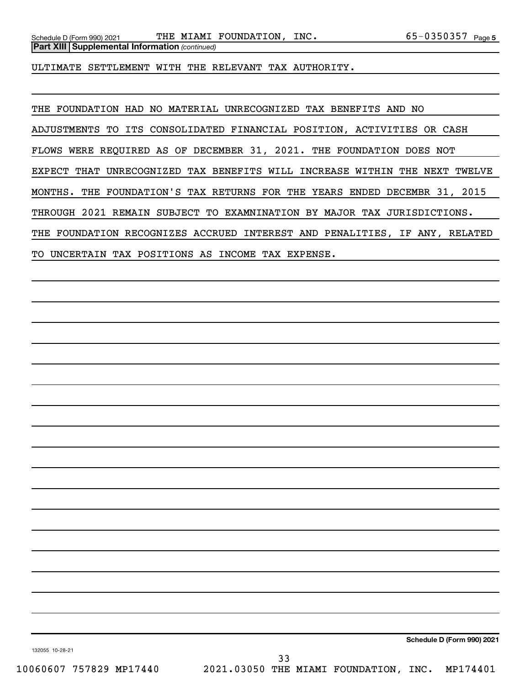*(continued)* **Part XIII Supplemental Information** 

ULTIMATE SETTLEMENT WITH THE RELEVANT TAX AUTHORITY.

THE FOUNDATION HAD NO MATERIAL UNRECOGNIZED TAX BENEFITS AND NO ADJUSTMENTS TO ITS CONSOLIDATED FINANCIAL POSITION, ACTIVITIES OR CASH FLOWS WERE REQUIRED AS OF DECEMBER 31, 2021. THE FOUNDATION DOES NOT EXPECT THAT UNRECOGNIZED TAX BENEFITS WILL INCREASE WITHIN THE NEXT TWELVE MONTHS. THE FOUNDATION'S TAX RETURNS FOR THE YEARS ENDED DECEMBR 31, 2015 THROUGH 2021 REMAIN SUBJECT TO EXAMNINATION BY MAJOR TAX JURISDICTIONS. THE FOUNDATION RECOGNIZES ACCRUED INTEREST AND PENALITIES, IF ANY, RELATED TO UNCERTAIN TAX POSITIONS AS INCOME TAX EXPENSE.

**Schedule D (Form 990) 2021**

132055 10-28-21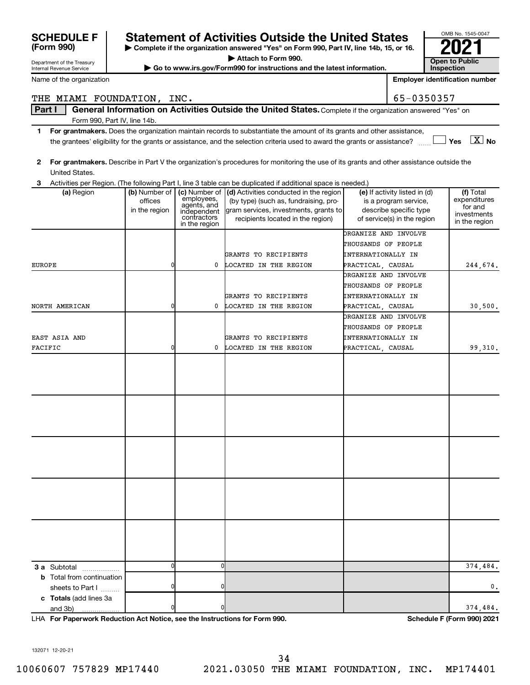| Department of the Treasury<br>Internal Revenue Service |               |                            | Go to www.irs.gov/Form990 for instructions and the latest information.                                                                  |                      |                               | <b>Open to Public</b><br>Inspection   |
|--------------------------------------------------------|---------------|----------------------------|-----------------------------------------------------------------------------------------------------------------------------------------|----------------------|-------------------------------|---------------------------------------|
| Name of the organization                               |               |                            |                                                                                                                                         |                      |                               | <b>Employer identification number</b> |
| THE MIAMI FOUNDATION, INC.                             |               |                            |                                                                                                                                         |                      | 65-0350357                    |                                       |
| Part I                                                 |               |                            | General Information on Activities Outside the United States. Complete if the organization answered "Yes" on                             |                      |                               |                                       |
| Form 990, Part IV, line 14b.                           |               |                            |                                                                                                                                         |                      |                               |                                       |
| 1.                                                     |               |                            | For grantmakers. Does the organization maintain records to substantiate the amount of its grants and other assistance,                  |                      |                               |                                       |
|                                                        |               |                            | the grantees' eligibility for the grants or assistance, and the selection criteria used to award the grants or assistance?              |                      |                               | $\boxed{\text{X}}$ No<br>Yes          |
| 2<br>United States.                                    |               |                            | For grantmakers. Describe in Part V the organization's procedures for monitoring the use of its grants and other assistance outside the |                      |                               |                                       |
| З.                                                     |               |                            | Activities per Region. (The following Part I, line 3 table can be duplicated if additional space is needed.)                            |                      |                               |                                       |
| (a) Region                                             | (b) Number of | (c) Number of              | (d) Activities conducted in the region                                                                                                  |                      | (e) If activity listed in (d) | (f) Total                             |
|                                                        | offices       | employees,<br>agents, and  | (by type) (such as, fundraising, pro-                                                                                                   |                      | is a program service,         | expenditures<br>for and               |
|                                                        | in the region | independent<br>contractors | gram services, investments, grants to                                                                                                   |                      | describe specific type        | investments                           |
|                                                        |               | in the region              | recipients located in the region)                                                                                                       |                      | of service(s) in the region   | in the region                         |
|                                                        |               |                            |                                                                                                                                         | ORGANIZE AND INVOLVE |                               |                                       |
|                                                        |               |                            |                                                                                                                                         | THOUSANDS OF PEOPLE  |                               |                                       |
|                                                        |               |                            | GRANTS TO RECIPIENTS                                                                                                                    | INTERNATIONALLY IN   |                               |                                       |
| EUROPE                                                 | 0             | 0                          | LOCATED IN THE REGION                                                                                                                   | PRACTICAL, CAUSAL    |                               | 244,674.                              |
|                                                        |               |                            |                                                                                                                                         | ORGANIZE AND INVOLVE |                               |                                       |
|                                                        |               |                            |                                                                                                                                         | THOUSANDS OF PEOPLE  |                               |                                       |
|                                                        |               |                            | GRANTS TO RECIPIENTS                                                                                                                    | INTERNATIONALLY IN   |                               |                                       |
| NORTH AMERICAN                                         | 0             | 0                          | LOCATED IN THE REGION                                                                                                                   | PRACTICAL, CAUSAL    |                               | 30,500.                               |
|                                                        |               |                            |                                                                                                                                         | ORGANIZE AND INVOLVE |                               |                                       |
|                                                        |               |                            |                                                                                                                                         | THOUSANDS OF PEOPLE  |                               |                                       |
| EAST ASIA AND                                          |               |                            | GRANTS TO RECIPIENTS                                                                                                                    | INTERNATIONALLY IN   |                               |                                       |
| FACIFIC                                                | 0             | 0                          | LOCATED IN THE REGION                                                                                                                   | PRACTICAL, CAUSAL    |                               | 99,310.                               |
|                                                        |               |                            |                                                                                                                                         |                      |                               |                                       |
|                                                        |               |                            |                                                                                                                                         |                      |                               |                                       |
|                                                        |               |                            |                                                                                                                                         |                      |                               |                                       |
|                                                        |               |                            |                                                                                                                                         |                      |                               |                                       |
|                                                        |               |                            |                                                                                                                                         |                      |                               |                                       |
|                                                        |               |                            |                                                                                                                                         |                      |                               |                                       |
|                                                        |               |                            |                                                                                                                                         |                      |                               |                                       |
|                                                        |               |                            |                                                                                                                                         |                      |                               |                                       |
|                                                        |               |                            |                                                                                                                                         |                      |                               |                                       |
|                                                        |               |                            |                                                                                                                                         |                      |                               |                                       |
|                                                        |               |                            |                                                                                                                                         |                      |                               |                                       |
|                                                        |               |                            |                                                                                                                                         |                      |                               |                                       |
|                                                        |               |                            |                                                                                                                                         |                      |                               |                                       |
|                                                        |               |                            |                                                                                                                                         |                      |                               |                                       |
|                                                        |               |                            |                                                                                                                                         |                      |                               |                                       |
|                                                        |               |                            |                                                                                                                                         |                      |                               |                                       |
|                                                        |               |                            |                                                                                                                                         |                      |                               |                                       |
|                                                        |               |                            |                                                                                                                                         |                      |                               |                                       |
|                                                        |               |                            |                                                                                                                                         |                      |                               |                                       |
|                                                        |               |                            |                                                                                                                                         |                      |                               |                                       |
| <b>3 a</b> Subtotal<br>.                               | $\Omega$      | 0                          |                                                                                                                                         |                      |                               | 374,484.                              |
| <b>b</b> Total from continuation                       |               |                            |                                                                                                                                         |                      |                               |                                       |
| sheets to Part I                                       |               |                            |                                                                                                                                         |                      |                               | 0.                                    |
| c Totals (add lines 3a                                 |               |                            |                                                                                                                                         |                      |                               |                                       |
| and 3b)                                                |               | 0                          |                                                                                                                                         |                      |                               | 374,484.                              |

**| Complete if the organization answered "Yes" on Form 990, Part IV, line 14b, 15, or 16. | Attach to Form 990.**

**SCHEDULE F Statement of Activities Outside the United States 2021**

**For Paperwork Reduction Act Notice, see the Instructions for Form 990. Schedule F (Form 990) 2021** LHA

OMB No. 1545-0047

**Open to Public** 

132071 12-20-21

**(Form 990)**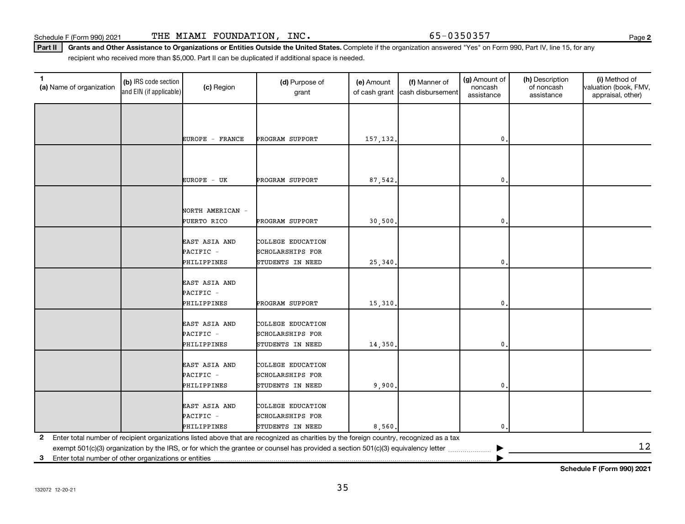Schedule F (Form 990) 2021 THE MIAMI FOUNDATION, INC. 65-0350357 Fage Page

Part II | Grants and Other Assistance to Organizations or Entities Outside the United States. Complete if the organization answered "Yes" on Form 990, Part IV, line 15, for any recipient who received more than \$5,000. Part II can be duplicated if additional space is needed.

| $\blacksquare$<br>(a) Name of organization                                                                                                   | (b) IRS code section<br>and EIN (if applicable) | (c) Region                      | (d) Purpose of<br>grant              | (e) Amount<br>of cash grant | (f) Manner of<br>cash disbursement | (g) Amount of<br>noncash<br>assistance | (h) Description<br>of noncash<br>assistance | (i) Method of<br>valuation (book, FMV,<br>appraisal, other) |
|----------------------------------------------------------------------------------------------------------------------------------------------|-------------------------------------------------|---------------------------------|--------------------------------------|-----------------------------|------------------------------------|----------------------------------------|---------------------------------------------|-------------------------------------------------------------|
|                                                                                                                                              |                                                 |                                 |                                      |                             |                                    |                                        |                                             |                                                             |
|                                                                                                                                              |                                                 |                                 |                                      |                             |                                    |                                        |                                             |                                                             |
|                                                                                                                                              |                                                 | EUROPE - FRANCE                 | PROGRAM SUPPORT                      | 157,132.                    |                                    | 0                                      |                                             |                                                             |
|                                                                                                                                              |                                                 |                                 |                                      |                             |                                    |                                        |                                             |                                                             |
|                                                                                                                                              |                                                 |                                 |                                      |                             |                                    |                                        |                                             |                                                             |
|                                                                                                                                              |                                                 | EUROPE - UK                     | PROGRAM SUPPORT                      | 87,542.                     |                                    | 0                                      |                                             |                                                             |
|                                                                                                                                              |                                                 |                                 |                                      |                             |                                    |                                        |                                             |                                                             |
|                                                                                                                                              |                                                 |                                 |                                      |                             |                                    |                                        |                                             |                                                             |
|                                                                                                                                              |                                                 | NORTH AMERICAN -<br>PUERTO RICO | PROGRAM SUPPORT                      | 30,500                      |                                    | 0                                      |                                             |                                                             |
|                                                                                                                                              |                                                 |                                 |                                      |                             |                                    |                                        |                                             |                                                             |
|                                                                                                                                              |                                                 | EAST ASIA AND                   | COLLEGE EDUCATION                    |                             |                                    |                                        |                                             |                                                             |
|                                                                                                                                              |                                                 | PACIFIC -                       | SCHOLARSHIPS FOR                     |                             |                                    |                                        |                                             |                                                             |
|                                                                                                                                              |                                                 | PHILIPPINES                     | STUDENTS IN NEED                     | 25,340                      |                                    | 0                                      |                                             |                                                             |
|                                                                                                                                              |                                                 |                                 |                                      |                             |                                    |                                        |                                             |                                                             |
|                                                                                                                                              |                                                 | EAST ASIA AND                   |                                      |                             |                                    |                                        |                                             |                                                             |
|                                                                                                                                              |                                                 | PACIFIC -<br>PHILIPPINES        | PROGRAM SUPPORT                      | 15,310                      |                                    | 0                                      |                                             |                                                             |
|                                                                                                                                              |                                                 |                                 |                                      |                             |                                    |                                        |                                             |                                                             |
|                                                                                                                                              |                                                 | EAST ASIA AND                   | COLLEGE EDUCATION                    |                             |                                    |                                        |                                             |                                                             |
|                                                                                                                                              |                                                 | PACIFIC -                       | SCHOLARSHIPS FOR                     |                             |                                    |                                        |                                             |                                                             |
|                                                                                                                                              |                                                 | PHILIPPINES                     | STUDENTS IN NEED                     | 14,350                      |                                    | 0                                      |                                             |                                                             |
|                                                                                                                                              |                                                 |                                 |                                      |                             |                                    |                                        |                                             |                                                             |
|                                                                                                                                              |                                                 | EAST ASIA AND                   | COLLEGE EDUCATION                    |                             |                                    |                                        |                                             |                                                             |
|                                                                                                                                              |                                                 | PACIFIC -<br>PHILIPPINES        | SCHOLARSHIPS FOR<br>STUDENTS IN NEED | 9,900                       |                                    | 0                                      |                                             |                                                             |
|                                                                                                                                              |                                                 |                                 |                                      |                             |                                    |                                        |                                             |                                                             |
|                                                                                                                                              |                                                 | EAST ASIA AND                   | COLLEGE EDUCATION                    |                             |                                    |                                        |                                             |                                                             |
|                                                                                                                                              |                                                 | PACIFIC -                       | SCHOLARSHIPS FOR                     |                             |                                    |                                        |                                             |                                                             |
|                                                                                                                                              |                                                 | PHILIPPINES                     | STUDENTS IN NEED                     | 8,560.                      |                                    | 0                                      |                                             |                                                             |
| 2<br>Enter total number of recipient organizations listed above that are recognized as charities by the foreign country, recognized as a tax |                                                 |                                 |                                      |                             |                                    |                                        |                                             |                                                             |
| 12                                                                                                                                           |                                                 |                                 |                                      |                             |                                    |                                        |                                             |                                                             |

**3** Enter total number of other organizations or entities |

**Schedule F (Form 990) 2021**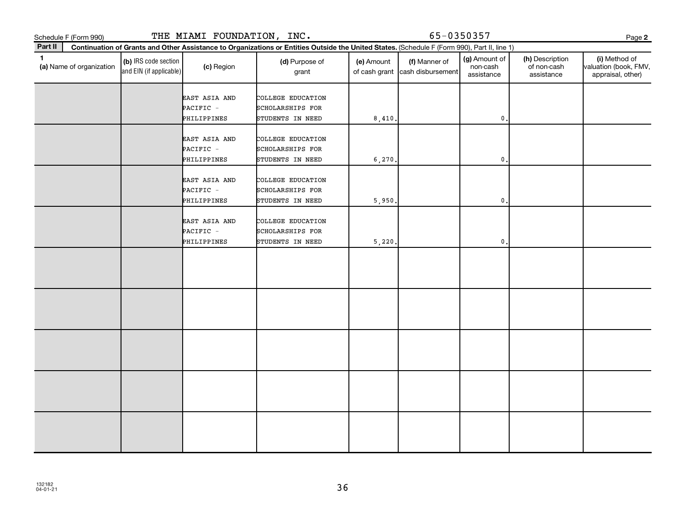Schedule F (Form 990) **THE MIAMI FOUNDATION, INC.** 65-0350357 65-0350357 Page

**2**

| Part II<br>Continuation of Grants and Other Assistance to Organizations or Entities Outside the United States. (Schedule F (Form 990), Part II, line 1) |                          |                                                 |                                           |                                                           |                             |                                    |                                         |                                              |                                                             |
|---------------------------------------------------------------------------------------------------------------------------------------------------------|--------------------------|-------------------------------------------------|-------------------------------------------|-----------------------------------------------------------|-----------------------------|------------------------------------|-----------------------------------------|----------------------------------------------|-------------------------------------------------------------|
| $\mathbf 1$                                                                                                                                             | (a) Name of organization | (b) IRS code section<br>and EIN (if applicable) | (c) Region                                | (d) Purpose of<br>grant                                   | (e) Amount<br>of cash grant | (f) Manner of<br>cash disbursement | (g) Amount of<br>non-cash<br>assistance | (h) Description<br>of non-cash<br>assistance | (i) Method of<br>valuation (book, FMV,<br>appraisal, other) |
|                                                                                                                                                         |                          |                                                 | EAST ASIA AND<br>PACIFIC -<br>PHILIPPINES | COLLEGE EDUCATION<br>SCHOLARSHIPS FOR<br>STUDENTS IN NEED | 8,410.                      |                                    | $\mathbf 0$ .                           |                                              |                                                             |
|                                                                                                                                                         |                          |                                                 | EAST ASIA AND<br>PACIFIC -<br>PHILIPPINES | COLLEGE EDUCATION<br>SCHOLARSHIPS FOR<br>STUDENTS IN NEED | 6,270.                      |                                    | $\mathbf 0$ .                           |                                              |                                                             |
|                                                                                                                                                         |                          |                                                 | EAST ASIA AND<br>PACIFIC -<br>PHILIPPINES | COLLEGE EDUCATION<br>SCHOLARSHIPS FOR<br>STUDENTS IN NEED | 5,950.                      |                                    | $\mathbf 0$ .                           |                                              |                                                             |
|                                                                                                                                                         |                          |                                                 | EAST ASIA AND<br>PACIFIC -<br>PHILIPPINES | COLLEGE EDUCATION<br>SCHOLARSHIPS FOR<br>STUDENTS IN NEED | 5,220.                      |                                    | $\mathbf 0$ .                           |                                              |                                                             |
|                                                                                                                                                         |                          |                                                 |                                           |                                                           |                             |                                    |                                         |                                              |                                                             |
|                                                                                                                                                         |                          |                                                 |                                           |                                                           |                             |                                    |                                         |                                              |                                                             |
|                                                                                                                                                         |                          |                                                 |                                           |                                                           |                             |                                    |                                         |                                              |                                                             |
|                                                                                                                                                         |                          |                                                 |                                           |                                                           |                             |                                    |                                         |                                              |                                                             |
|                                                                                                                                                         |                          |                                                 |                                           |                                                           |                             |                                    |                                         |                                              |                                                             |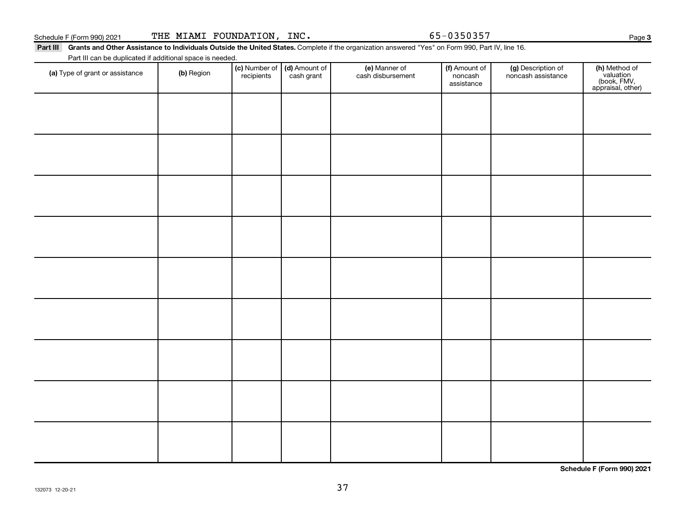| (a) Type of grant or assistance | (b) Region | (c) Number of (d) Amount of<br>recipients | cash grant | (e) Manner of<br>cash disbursement | (f) Amount of<br>noncash<br>assistance | (a) Description of<br>noncash assistance | (h)<br>(b<br>appr |
|---------------------------------|------------|-------------------------------------------|------------|------------------------------------|----------------------------------------|------------------------------------------|-------------------|
|                                 |            |                                           |            |                                    |                                        |                                          |                   |

Part III can be duplicated if additional space is needed.

Part III Grants and Other Assistance to Individuals Outside the United States. Complete if the organization answered "Yes" on Form 990, Part IV, line 16.

Page 3

**(h)** Method of<br>valuation<br>(book, FMV,<br>appraisal, other)

**Schedule F (Form 990) 2021**

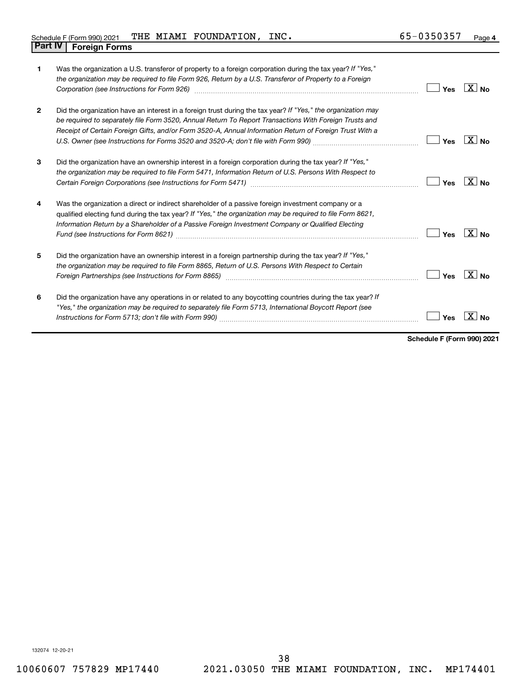| Schedule F (Form 990) 2021 |                                |  | THE MIAMI FOUNDATION, | INC. | 65-0350357 | Page |
|----------------------------|--------------------------------|--|-----------------------|------|------------|------|
|                            | <b>Part IV   Foreign Forms</b> |  |                       |      |            |      |

| 1              | Was the organization a U.S. transferor of property to a foreign corporation during the tax year? If "Yes,"<br>the organization may be required to file Form 926, Return by a U.S. Transferor of Property to a Foreign<br>Corporation (see Instructions for Form 926)                                                              | <b>Yes</b> | $X$ No                |
|----------------|-----------------------------------------------------------------------------------------------------------------------------------------------------------------------------------------------------------------------------------------------------------------------------------------------------------------------------------|------------|-----------------------|
| $\overline{2}$ | Did the organization have an interest in a foreign trust during the tax year? If "Yes," the organization may<br>be required to separately file Form 3520, Annual Return To Report Transactions With Foreign Trusts and<br>Receipt of Certain Foreign Gifts, and/or Form 3520-A, Annual Information Return of Foreign Trust With a | Yes        | $X _{\mathsf{No}}$    |
| 3              | Did the organization have an ownership interest in a foreign corporation during the tax year? If "Yes,"<br>the organization may be required to file Form 5471, Information Return of U.S. Persons With Respect to                                                                                                                 | Yes        | $X _{N_{\Omega}}$     |
| 4              | Was the organization a direct or indirect shareholder of a passive foreign investment company or a<br>qualified electing fund during the tax year? If "Yes," the organization may be required to file Form 8621,<br>Information Return by a Shareholder of a Passive Foreign Investment Company or Qualified Electing             | Yes        | $\boxed{\text{X}}$ No |
| 5              | Did the organization have an ownership interest in a foreign partnership during the tax year? If "Yes,"<br>the organization may be required to file Form 8865, Return of U.S. Persons With Respect to Certain                                                                                                                     | Yes        | $\boxed{\text{X}}$ No |
| 6              | Did the organization have any operations in or related to any boycotting countries during the tax year? If<br>"Yes," the organization may be required to separately file Form 5713, International Boycott Report (see                                                                                                             | Yes        | ΧI<br><b>No</b>       |

**Schedule F (Form 990) 2021**

132074 12-20-21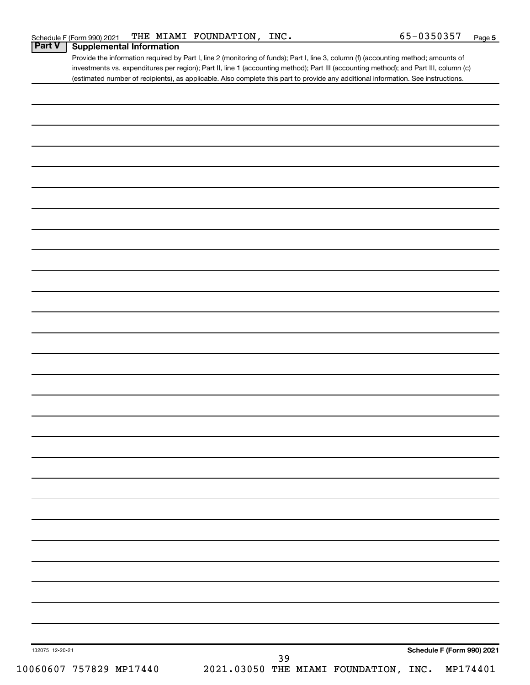Provide the information required by Part I, line 2 (monitoring of funds); Part I, line 3, column (f) (accounting method; amounts of investments vs. expenditures per region); Part II, line 1 (accounting method); Part III (accounting method); and Part III, column (c) (estimated number of recipients), as applicable. Also complete this part to provide any additional information. See instructions.

| 132075 12-20-21         |                                       |  | Schedule F (Form 990) 2021 |
|-------------------------|---------------------------------------|--|----------------------------|
|                         | 39                                    |  |                            |
| 10060607 757829 MP17440 | 2021.03050 THE MIAMI FOUNDATION, INC. |  | MP174401                   |
|                         |                                       |  |                            |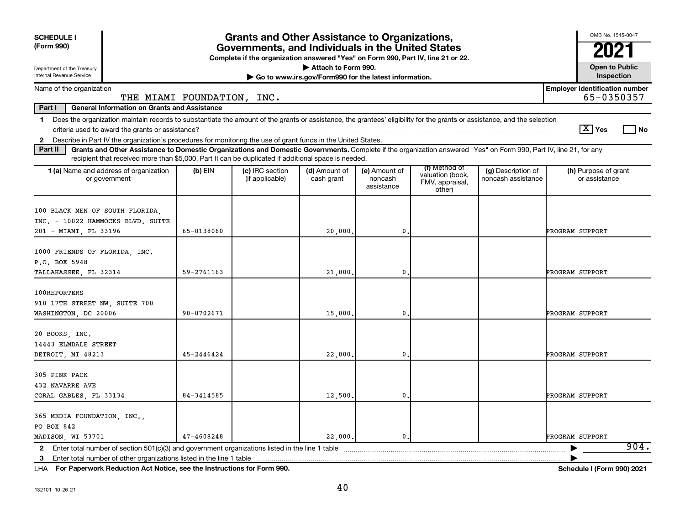| <b>SCHEDULE I</b>                                                                                                                                                             |                            | <b>Grants and Other Assistance to Organizations,</b>                                                                                  |                                                       |                                        |                                               |                                          | OMB No. 1545-0047                                   |
|-------------------------------------------------------------------------------------------------------------------------------------------------------------------------------|----------------------------|---------------------------------------------------------------------------------------------------------------------------------------|-------------------------------------------------------|----------------------------------------|-----------------------------------------------|------------------------------------------|-----------------------------------------------------|
| (Form 990)                                                                                                                                                                    |                            | Governments, and Individuals in the United States<br>Complete if the organization answered "Yes" on Form 990, Part IV, line 21 or 22. |                                                       |                                        |                                               |                                          |                                                     |
| Department of the Treasury                                                                                                                                                    |                            |                                                                                                                                       | Attach to Form 990.                                   |                                        |                                               |                                          | <b>Open to Public</b>                               |
| Internal Revenue Service                                                                                                                                                      |                            |                                                                                                                                       | Go to www.irs.gov/Form990 for the latest information. |                                        |                                               |                                          | Inspection                                          |
| Name of the organization                                                                                                                                                      | THE MIAMI FOUNDATION, INC. |                                                                                                                                       |                                                       |                                        |                                               |                                          | <b>Employer identification number</b><br>65-0350357 |
| Part I<br><b>General Information on Grants and Assistance</b>                                                                                                                 |                            |                                                                                                                                       |                                                       |                                        |                                               |                                          |                                                     |
| 1 Does the organization maintain records to substantiate the amount of the grants or assistance, the grantees' eligibility for the grants or assistance, and the selection    |                            |                                                                                                                                       |                                                       |                                        |                                               |                                          |                                                     |
|                                                                                                                                                                               |                            |                                                                                                                                       |                                                       |                                        |                                               |                                          | $\boxed{\text{X}}$ Yes<br>l No                      |
| 2 Describe in Part IV the organization's procedures for monitoring the use of grant funds in the United States.                                                               |                            |                                                                                                                                       |                                                       |                                        |                                               |                                          |                                                     |
| Grants and Other Assistance to Domestic Organizations and Domestic Governments. Complete if the organization answered "Yes" on Form 990, Part IV, line 21, for any<br>Part II |                            |                                                                                                                                       |                                                       |                                        |                                               |                                          |                                                     |
| recipient that received more than \$5,000. Part II can be duplicated if additional space is needed.                                                                           |                            |                                                                                                                                       |                                                       |                                        | (f) Method of                                 |                                          |                                                     |
| 1 (a) Name and address of organization<br>or government                                                                                                                       | $(b)$ EIN                  | (c) IRC section<br>(if applicable)                                                                                                    | (d) Amount of<br>cash grant                           | (e) Amount of<br>noncash<br>assistance | valuation (book,<br>FMV, appraisal,<br>other) | (g) Description of<br>noncash assistance | (h) Purpose of grant<br>or assistance               |
| 100 BLACK MEN OF SOUTH FLORIDA,<br>INC. - 10022 HAMMOCKS BLVD. SUITE                                                                                                          |                            |                                                                                                                                       |                                                       |                                        |                                               |                                          |                                                     |
| 201 - MIAMI, FL 33196                                                                                                                                                         | 65-0138060                 |                                                                                                                                       | 20,000                                                | $\mathbf{0}$                           |                                               |                                          | PROGRAM SUPPORT                                     |
|                                                                                                                                                                               |                            |                                                                                                                                       |                                                       |                                        |                                               |                                          |                                                     |
| 1000 FRIENDS OF FLORIDA, INC.                                                                                                                                                 |                            |                                                                                                                                       |                                                       |                                        |                                               |                                          |                                                     |
| P.O. BOX 5948                                                                                                                                                                 |                            |                                                                                                                                       |                                                       |                                        |                                               |                                          |                                                     |
| TALLAHASSEE, FL 32314                                                                                                                                                         | 59-2761163                 |                                                                                                                                       | 21,000                                                | $\mathbf{0}$                           |                                               |                                          | PROGRAM SUPPORT                                     |
|                                                                                                                                                                               |                            |                                                                                                                                       |                                                       |                                        |                                               |                                          |                                                     |
| 100REPORTERS                                                                                                                                                                  |                            |                                                                                                                                       |                                                       |                                        |                                               |                                          |                                                     |
| 910 17TH STREET NW, SUITE 700                                                                                                                                                 |                            |                                                                                                                                       |                                                       |                                        |                                               |                                          |                                                     |
| WASHINGTON, DC 20006                                                                                                                                                          | 90-0702671                 |                                                                                                                                       | 15,000                                                | $\mathbf{0}$                           |                                               |                                          | PROGRAM SUPPORT                                     |
|                                                                                                                                                                               |                            |                                                                                                                                       |                                                       |                                        |                                               |                                          |                                                     |
| 20 BOOKS, INC.                                                                                                                                                                |                            |                                                                                                                                       |                                                       |                                        |                                               |                                          |                                                     |
| 14443 ELMDALE STREET                                                                                                                                                          |                            |                                                                                                                                       |                                                       |                                        |                                               |                                          |                                                     |
| DETROIT, MI 48213                                                                                                                                                             | 45-2446424                 |                                                                                                                                       | 22,000                                                | $\mathbf 0$                            |                                               |                                          | PROGRAM SUPPORT                                     |
|                                                                                                                                                                               |                            |                                                                                                                                       |                                                       |                                        |                                               |                                          |                                                     |
| 305 PINK PACK                                                                                                                                                                 |                            |                                                                                                                                       |                                                       |                                        |                                               |                                          |                                                     |
| 432 NAVARRE AVE                                                                                                                                                               |                            |                                                                                                                                       |                                                       |                                        |                                               |                                          |                                                     |
| CORAL GABLES, FL 33134                                                                                                                                                        | 84-3414585                 |                                                                                                                                       | 12,500                                                | $\mathbf{0}$                           |                                               |                                          | PROGRAM SUPPORT                                     |
|                                                                                                                                                                               |                            |                                                                                                                                       |                                                       |                                        |                                               |                                          |                                                     |
| 365 MEDIA FOUNDATION, INC.,                                                                                                                                                   |                            |                                                                                                                                       |                                                       |                                        |                                               |                                          |                                                     |
| PO BOX 842                                                                                                                                                                    |                            |                                                                                                                                       |                                                       |                                        |                                               |                                          |                                                     |
| MADISON, WI 53701                                                                                                                                                             | 47-4608248                 |                                                                                                                                       | 22,000.                                               | $\mathbf{0}$ .                         |                                               |                                          | PROGRAM SUPPORT                                     |
|                                                                                                                                                                               |                            |                                                                                                                                       |                                                       |                                        |                                               |                                          | 904.                                                |
|                                                                                                                                                                               |                            |                                                                                                                                       |                                                       |                                        |                                               |                                          |                                                     |

**For Paperwork Reduction Act Notice, see the Instructions for Form 990. Schedule I (Form 990) 2021** LHA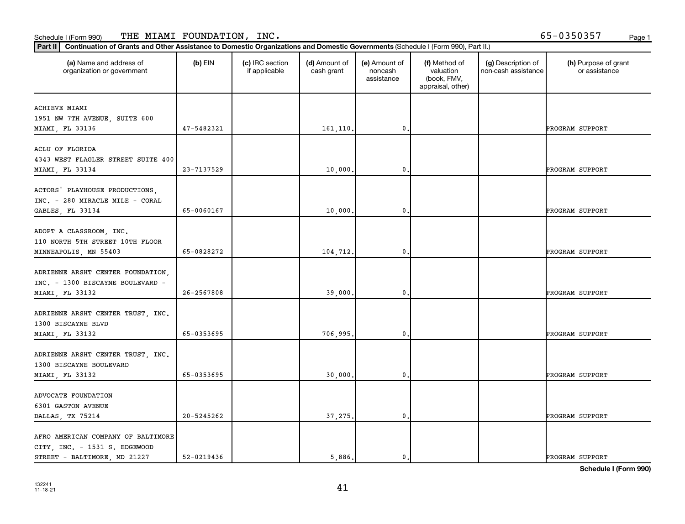**Part II Continuation of Grants and Other Assistance to Domestic Organizations and Domestic Governments**  (Schedule I (Form 990), Part II.)

| (a) Name and address of<br>organization or government                 | $(b)$ EIN  | (c) IRC section<br>if applicable | (d) Amount of<br>cash grant | (e) Amount of<br>noncash<br>assistance | (f) Method of<br>valuation<br>(book, FMV,<br>appraisal, other) | (g) Description of<br>non-cash assistance | (h) Purpose of grant<br>or assistance |
|-----------------------------------------------------------------------|------------|----------------------------------|-----------------------------|----------------------------------------|----------------------------------------------------------------|-------------------------------------------|---------------------------------------|
| ACHIEVE MIAMI                                                         |            |                                  |                             |                                        |                                                                |                                           |                                       |
| 1951 NW 7TH AVENUE, SUITE 600                                         |            |                                  |                             |                                        |                                                                |                                           |                                       |
| MIAMI, FL 33136                                                       | 47-5482321 |                                  | 161,110.                    | 0.                                     |                                                                |                                           | PROGRAM SUPPORT                       |
| ACLU OF FLORIDA                                                       |            |                                  |                             |                                        |                                                                |                                           |                                       |
| 4343 WEST FLAGLER STREET SUITE 400                                    |            |                                  |                             |                                        |                                                                |                                           |                                       |
| MIAMI, FL 33134                                                       | 23-7137529 |                                  | 10,000                      | $\mathbf{0}$                           |                                                                |                                           | PROGRAM SUPPORT                       |
| ACTORS' PLAYHOUSE PRODUCTIONS,                                        |            |                                  |                             |                                        |                                                                |                                           |                                       |
| INC. - 280 MIRACLE MILE - CORAL                                       |            |                                  |                             |                                        |                                                                |                                           |                                       |
| GABLES, FL 33134                                                      | 65-0060167 |                                  | 10,000                      | $\mathbf 0$ .                          |                                                                |                                           | PROGRAM SUPPORT                       |
|                                                                       |            |                                  |                             |                                        |                                                                |                                           |                                       |
| ADOPT A CLASSROOM, INC.                                               |            |                                  |                             |                                        |                                                                |                                           |                                       |
| 110 NORTH 5TH STREET 10TH FLOOR                                       |            |                                  |                             |                                        |                                                                |                                           |                                       |
| MINNEAPOLIS, MN 55403                                                 | 65-0828272 |                                  | 104,712.                    | $\mathbf 0$                            |                                                                |                                           | PROGRAM SUPPORT                       |
|                                                                       |            |                                  |                             |                                        |                                                                |                                           |                                       |
| ADRIENNE ARSHT CENTER FOUNDATION,<br>INC. - 1300 BISCAYNE BOULEVARD - |            |                                  |                             |                                        |                                                                |                                           |                                       |
| MIAMI, FL 33132                                                       | 26-2567808 |                                  | 39,000                      | 0.                                     |                                                                |                                           | PROGRAM SUPPORT                       |
|                                                                       |            |                                  |                             |                                        |                                                                |                                           |                                       |
| ADRIENNE ARSHT CENTER TRUST, INC.                                     |            |                                  |                             |                                        |                                                                |                                           |                                       |
| 1300 BISCAYNE BLVD                                                    |            |                                  |                             |                                        |                                                                |                                           |                                       |
| MIAMI, FL 33132                                                       | 65-0353695 |                                  | 706,995.                    | $\mathbf{0}$ .                         |                                                                |                                           | PROGRAM SUPPORT                       |
|                                                                       |            |                                  |                             |                                        |                                                                |                                           |                                       |
| ADRIENNE ARSHT CENTER TRUST, INC.<br>1300 BISCAYNE BOULEVARD          |            |                                  |                             |                                        |                                                                |                                           |                                       |
| MIAMI, FL 33132                                                       | 65-0353695 |                                  | 30,000                      | 0.                                     |                                                                |                                           | PROGRAM SUPPORT                       |
|                                                                       |            |                                  |                             |                                        |                                                                |                                           |                                       |
| ADVOCATE FOUNDATION                                                   |            |                                  |                             |                                        |                                                                |                                           |                                       |
| 6301 GASTON AVENUE                                                    |            |                                  |                             |                                        |                                                                |                                           |                                       |
| DALLAS, TX 75214                                                      | 20-5245262 |                                  | 37,275                      | 0.                                     |                                                                |                                           | PROGRAM SUPPORT                       |
| AFRO AMERICAN COMPANY OF BALTIMORE                                    |            |                                  |                             |                                        |                                                                |                                           |                                       |
| CITY, INC. - 1531 S. EDGEWOOD                                         |            |                                  |                             |                                        |                                                                |                                           |                                       |
| STREET - BALTIMORE, MD 21227                                          | 52-0219436 |                                  | 5.886.                      | $\mathbf{0}$ .                         |                                                                |                                           | PROGRAM SUPPORT                       |
|                                                                       |            |                                  |                             |                                        |                                                                |                                           |                                       |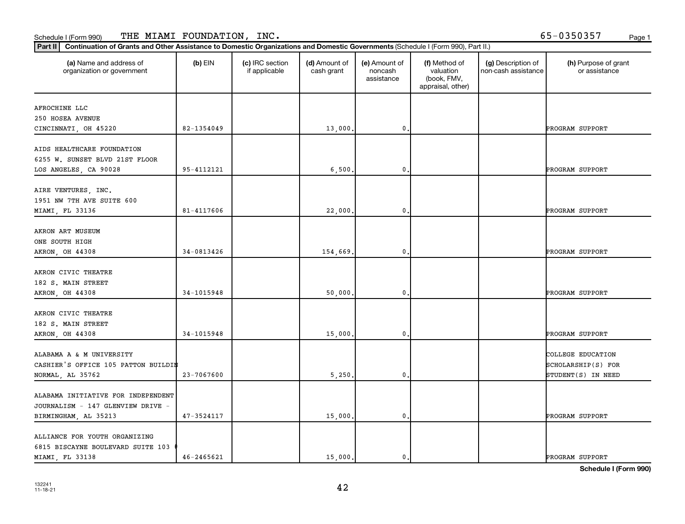| 55-0350357 |  |  |  |  | Page |
|------------|--|--|--|--|------|
|            |  |  |  |  |      |

| Continuation of Grants and Other Assistance to Domestic Organizations and Domestic Governments (Schedule I (Form 990), Part II.)<br>Part II |            |                                  |                             |                                        |                                                                |                                           |                                                               |
|---------------------------------------------------------------------------------------------------------------------------------------------|------------|----------------------------------|-----------------------------|----------------------------------------|----------------------------------------------------------------|-------------------------------------------|---------------------------------------------------------------|
| (a) Name and address of<br>organization or government                                                                                       | $(b)$ EIN  | (c) IRC section<br>if applicable | (d) Amount of<br>cash grant | (e) Amount of<br>noncash<br>assistance | (f) Method of<br>valuation<br>(book, FMV,<br>appraisal, other) | (g) Description of<br>non-cash assistance | (h) Purpose of grant<br>or assistance                         |
| AFROCHINE LLC                                                                                                                               |            |                                  |                             |                                        |                                                                |                                           |                                                               |
| 250 HOSEA AVENUE<br>CINCINNATI, OH 45220                                                                                                    | 82-1354049 |                                  | 13,000.                     | $\mathbf{0}$                           |                                                                |                                           | PROGRAM SUPPORT                                               |
| AIDS HEALTHCARE FOUNDATION<br>6255 W. SUNSET BLVD 21ST FLOOR                                                                                |            |                                  |                             |                                        |                                                                |                                           |                                                               |
| LOS ANGELES, CA 90028                                                                                                                       | 95-4112121 |                                  | 6,500.                      | $\mathbf{0}$                           |                                                                |                                           | PROGRAM SUPPORT                                               |
| AIRE VENTURES, INC.<br>1951 NW 7TH AVE SUITE 600                                                                                            |            |                                  |                             |                                        |                                                                |                                           |                                                               |
| MIAMI, FL 33136                                                                                                                             | 81-4117606 |                                  | 22,000.                     | $\mathbf{0}$                           |                                                                |                                           | PROGRAM SUPPORT                                               |
| AKRON ART MUSEUM<br>ONE SOUTH HIGH                                                                                                          |            |                                  |                             |                                        |                                                                |                                           |                                                               |
| AKRON, OH 44308                                                                                                                             | 34-0813426 |                                  | 154,669.                    | $\mathbf{0}$                           |                                                                |                                           | PROGRAM SUPPORT                                               |
| AKRON CIVIC THEATRE<br>182 S. MAIN STREET                                                                                                   |            |                                  |                             |                                        |                                                                |                                           |                                                               |
| AKRON, OH 44308                                                                                                                             | 34-1015948 |                                  | 50,000.                     | $\mathbf{0}$                           |                                                                |                                           | PROGRAM SUPPORT                                               |
| AKRON CIVIC THEATRE<br>182 S. MAIN STREET                                                                                                   |            |                                  |                             |                                        |                                                                |                                           |                                                               |
| AKRON, OH 44308                                                                                                                             | 34-1015948 |                                  | 15,000.                     | $\mathbf{0}$                           |                                                                |                                           | PROGRAM SUPPORT                                               |
| ALABAMA A & M UNIVERSITY<br>CASHIER'S OFFICE 105 PATTON BUILDIN<br>NORMAL, AL 35762                                                         | 23-7067600 |                                  | 5,250.                      | $\mathbf{0}$                           |                                                                |                                           | COLLEGE EDUCATION<br>SCHOLARSHIP(S) FOR<br>STUDENT(S) IN NEED |
| ALABAMA INITIATIVE FOR INDEPENDENT<br>JOURNALISM - 147 GLENVIEW DRIVE -                                                                     |            |                                  |                             |                                        |                                                                |                                           |                                                               |
| BIRMINGHAM, AL 35213                                                                                                                        | 47-3524117 |                                  | 15,000.                     | $\mathbf 0$                            |                                                                |                                           | PROGRAM SUPPORT                                               |
| ALLIANCE FOR YOUTH ORGANIZING<br>6815 BISCAYNE BOULEVARD SUITE 103<br>MIAMI, FL 33138                                                       | 46-2465621 |                                  | 15,000.                     | $\mathbf{0}$ .                         |                                                                |                                           | PROGRAM SUPPORT                                               |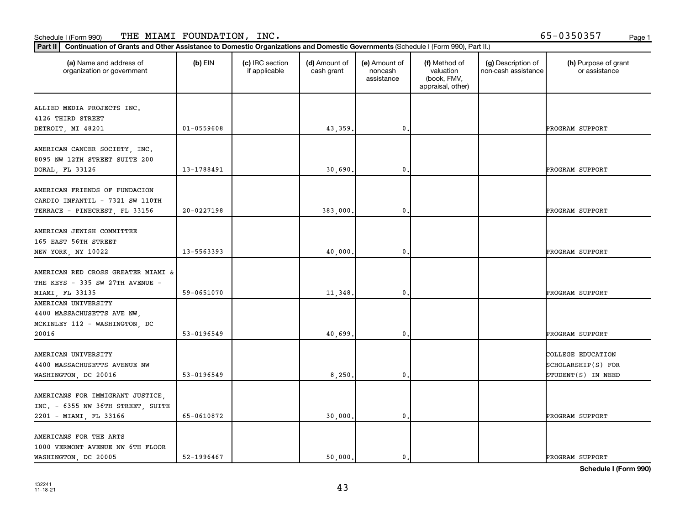| $5 - 0350357$ |  |  |  |  | Pac |
|---------------|--|--|--|--|-----|
|               |  |  |  |  |     |

| (a) Name and address of<br>organization or government | $(b)$ EIN      | (c) IRC section<br>if applicable | (d) Amount of<br>cash grant | (e) Amount of<br>noncash<br>assistance | (f) Method of<br>valuation<br>(book, FMV,<br>appraisal, other) | (g) Description of<br>non-cash assistance | (h) Purpose of grant<br>or assistance |
|-------------------------------------------------------|----------------|----------------------------------|-----------------------------|----------------------------------------|----------------------------------------------------------------|-------------------------------------------|---------------------------------------|
| ALLIED MEDIA PROJECTS INC.                            |                |                                  |                             |                                        |                                                                |                                           |                                       |
| 4126 THIRD STREET                                     |                |                                  |                             |                                        |                                                                |                                           |                                       |
| DETROIT, MI 48201                                     | $01 - 0559608$ |                                  | 43,359.                     | 0                                      |                                                                |                                           | PROGRAM SUPPORT                       |
|                                                       |                |                                  |                             |                                        |                                                                |                                           |                                       |
| AMERICAN CANCER SOCIETY, INC.                         |                |                                  |                             |                                        |                                                                |                                           |                                       |
| 8095 NW 12TH STREET SUITE 200                         |                |                                  |                             |                                        |                                                                |                                           |                                       |
| DORAL, FL 33126                                       | 13-1788491     |                                  | 30,690.                     | 0                                      |                                                                |                                           | PROGRAM SUPPORT                       |
|                                                       |                |                                  |                             |                                        |                                                                |                                           |                                       |
| AMERICAN FRIENDS OF FUNDACION                         |                |                                  |                             |                                        |                                                                |                                           |                                       |
| CARDIO INFANTIL - 7321 SW 110TH                       |                |                                  |                             |                                        |                                                                |                                           |                                       |
| TERRACE - PINECREST, FL 33156                         | 20-0227198     |                                  | 383,000.                    | 0                                      |                                                                |                                           | PROGRAM SUPPORT                       |
|                                                       |                |                                  |                             |                                        |                                                                |                                           |                                       |
| AMERICAN JEWISH COMMITTEE                             |                |                                  |                             |                                        |                                                                |                                           |                                       |
| 165 EAST 56TH STREET                                  |                |                                  |                             |                                        |                                                                |                                           |                                       |
| NEW YORK, NY 10022                                    | 13-5563393     |                                  | 40,000.                     | 0                                      |                                                                |                                           | PROGRAM SUPPORT                       |
|                                                       |                |                                  |                             |                                        |                                                                |                                           |                                       |
| AMERICAN RED CROSS GREATER MIAMI &                    |                |                                  |                             |                                        |                                                                |                                           |                                       |
| THE KEYS - 335 SW 27TH AVENUE -                       |                |                                  |                             |                                        |                                                                |                                           |                                       |
| MIAMI, FL 33135                                       | 59-0651070     |                                  | 11,348.                     | 0                                      |                                                                |                                           | PROGRAM SUPPORT                       |
| AMERICAN UNIVERSITY                                   |                |                                  |                             |                                        |                                                                |                                           |                                       |
| 4400 MASSACHUSETTS AVE NW,                            |                |                                  |                             |                                        |                                                                |                                           |                                       |
| MCKINLEY 112 - WASHINGTON, DC                         |                |                                  |                             |                                        |                                                                |                                           |                                       |
| 20016                                                 | 53-0196549     |                                  | 40,699.                     | 0                                      |                                                                |                                           | PROGRAM SUPPORT                       |
|                                                       |                |                                  |                             |                                        |                                                                |                                           |                                       |
| AMERICAN UNIVERSITY                                   |                |                                  |                             |                                        |                                                                |                                           | COLLEGE EDUCATION                     |
| 4400 MASSACHUSETTS AVENUE NW                          |                |                                  |                             |                                        |                                                                |                                           | SCHOLARSHIP(S) FOR                    |
| WASHINGTON, DC 20016                                  | 53-0196549     |                                  | 8,250.                      | 0                                      |                                                                |                                           | STUDENT(S) IN NEED                    |
|                                                       |                |                                  |                             |                                        |                                                                |                                           |                                       |
| AMERICANS FOR IMMIGRANT JUSTICE,                      |                |                                  |                             |                                        |                                                                |                                           |                                       |
| INC. - 6355 NW 36TH STREET, SUITE                     |                |                                  |                             |                                        |                                                                |                                           |                                       |
| 2201 - MIAMI, FL 33166                                | 65-0610872     |                                  | 30,000.                     | 0                                      |                                                                |                                           | PROGRAM SUPPORT                       |
|                                                       |                |                                  |                             |                                        |                                                                |                                           |                                       |
| AMERICANS FOR THE ARTS                                |                |                                  |                             |                                        |                                                                |                                           |                                       |
| 1000 VERMONT AVENUE NW 6TH FLOOR                      |                |                                  |                             |                                        |                                                                |                                           |                                       |
| WASHINGTON, DC 20005                                  | 52-1996467     |                                  | 50,000.                     | 0                                      |                                                                |                                           | PROGRAM SUPPORT                       |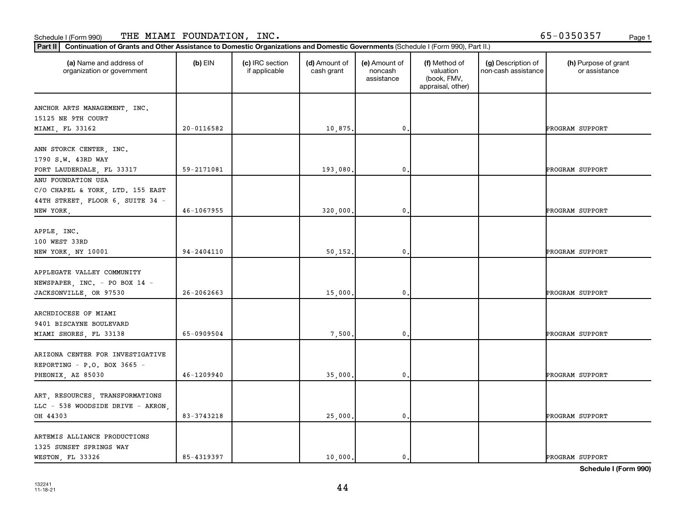|  |  | 55-0350357 | Page |
|--|--|------------|------|
|  |  |            |      |

| Continuation of Grants and Other Assistance to Domestic Organizations and Domestic Governments (Schedule I (Form 990), Part II.)<br>Part II |                |                                  |                             |                                        |                                                                |                                           |                                       |
|---------------------------------------------------------------------------------------------------------------------------------------------|----------------|----------------------------------|-----------------------------|----------------------------------------|----------------------------------------------------------------|-------------------------------------------|---------------------------------------|
| (a) Name and address of<br>organization or government                                                                                       | $(b)$ EIN      | (c) IRC section<br>if applicable | (d) Amount of<br>cash grant | (e) Amount of<br>noncash<br>assistance | (f) Method of<br>valuation<br>(book, FMV,<br>appraisal, other) | (g) Description of<br>non-cash assistance | (h) Purpose of grant<br>or assistance |
| ANCHOR ARTS MANAGEMENT, INC.<br>15125 NE 9TH COURT                                                                                          |                |                                  |                             |                                        |                                                                |                                           |                                       |
| MIAMI, FL 33162                                                                                                                             | 20-0116582     |                                  | 10,875.                     | $\mathbf{0}$                           |                                                                |                                           | PROGRAM SUPPORT                       |
| ANN STORCK CENTER, INC.<br>1790 S.W. 43RD WAY<br>FORT LAUDERDALE, FL 33317                                                                  | 59-2171081     |                                  | 193,080.                    | $\mathbf{0}$                           |                                                                |                                           | PROGRAM SUPPORT                       |
| ANU FOUNDATION USA<br>C/O CHAPEL & YORK, LTD. 155 EAST<br>44TH STREET, FLOOR 6, SUITE 34 -                                                  |                |                                  |                             |                                        |                                                                |                                           |                                       |
| NEW YORK,                                                                                                                                   | 46-1067955     |                                  | 320,000.                    | $\mathbf 0$                            |                                                                |                                           | PROGRAM SUPPORT                       |
| APPLE, INC.<br>100 WEST 33RD<br>NEW YORK, NY 10001                                                                                          | 94-2404110     |                                  | 50,152.                     | $\mathbf{0}$                           |                                                                |                                           | PROGRAM SUPPORT                       |
| APPLEGATE VALLEY COMMUNITY<br>NEWSPAPER, INC. - PO BOX 14 -<br>JACKSONVILLE, OR 97530                                                       | $26 - 2062663$ |                                  | 15,000                      | $\mathbf 0$                            |                                                                |                                           | PROGRAM SUPPORT                       |
| ARCHDIOCESE OF MIAMI<br>9401 BISCAYNE BOULEVARD<br>MIAMI SHORES, FL 33138                                                                   | 65-0909504     |                                  | 7,500.                      | $\mathbf 0$                            |                                                                |                                           | PROGRAM SUPPORT                       |
| ARIZONA CENTER FOR INVESTIGATIVE<br>REPORTING - P.O. BOX 3665 -<br>PHEONIX, AZ 85030                                                        | 46-1209940     |                                  | 35,000                      | $\mathbf 0$ .                          |                                                                |                                           | PROGRAM SUPPORT                       |
| ART, RESOURCES, TRANSFORMATIONS<br>LLC - 538 WOODSIDE DRIVE - AKRON,<br>OH 44303                                                            | 83-3743218     |                                  | 25,000                      | $\mathbf 0$                            |                                                                |                                           | PROGRAM SUPPORT                       |
| ARTEMIS ALLIANCE PRODUCTIONS<br>1325 SUNSET SPRINGS WAY<br>WESTON, FL 33326                                                                 | 85-4319397     |                                  | 10,000.                     | 0.                                     |                                                                |                                           | PROGRAM SUPPORT                       |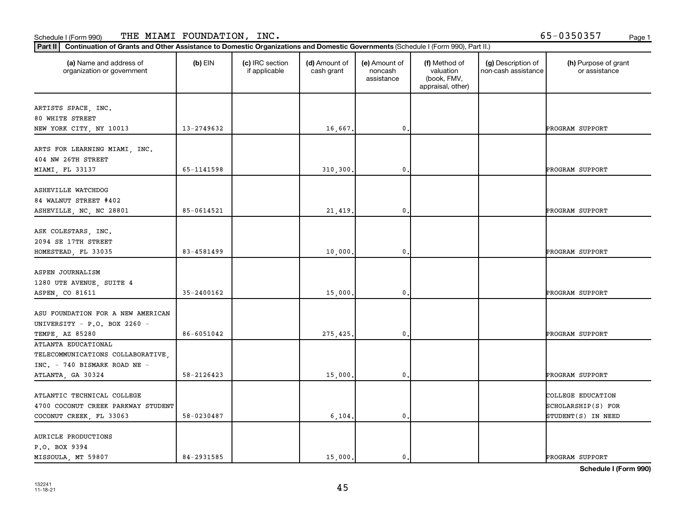| 55-0350357 |  |  |  |  | Page |
|------------|--|--|--|--|------|
|            |  |  |  |  |      |

| Part II   Continuation of Grants and Other Assistance to Domestic Organizations and Domestic Governments (Schedule I (Form 990), Part II.) |            |                                  |                             |                                        |                                                                |                                           |                                                               |
|--------------------------------------------------------------------------------------------------------------------------------------------|------------|----------------------------------|-----------------------------|----------------------------------------|----------------------------------------------------------------|-------------------------------------------|---------------------------------------------------------------|
| (a) Name and address of<br>organization or government                                                                                      | $(b)$ EIN  | (c) IRC section<br>if applicable | (d) Amount of<br>cash grant | (e) Amount of<br>noncash<br>assistance | (f) Method of<br>valuation<br>(book, FMV,<br>appraisal, other) | (g) Description of<br>non-cash assistance | (h) Purpose of grant<br>or assistance                         |
| ARTISTS SPACE, INC.<br>80 WHITE STREET<br>NEW YORK CITY, NY 10013                                                                          | 13-2749632 |                                  | 16,667.                     | 0.                                     |                                                                |                                           | PROGRAM SUPPORT                                               |
| ARTS FOR LEARNING MIAMI, INC.<br>404 NW 26TH STREET<br>MIAMI, FL 33137                                                                     | 65-1141598 |                                  | 310,300.                    | $\mathbf{0}$                           |                                                                |                                           | PROGRAM SUPPORT                                               |
| <b>ASHEVILLE WATCHDOG</b><br>84 WALNUT STREET #402<br>ASHEVILLE, NC, NC 28801                                                              | 85-0614521 |                                  | 21,419.                     | $\mathbf 0$                            |                                                                |                                           | PROGRAM SUPPORT                                               |
| ASK COLESTARS, INC.<br>2094 SE 17TH STREET<br>HOMESTEAD, FL 33035                                                                          | 83-4581499 |                                  | 10,000.                     | 0.                                     |                                                                |                                           | PROGRAM SUPPORT                                               |
| ASPEN JOURNALISM<br>1280 UTE AVENUE, SUITE 4<br>ASPEN, CO 81611                                                                            | 35-2400162 |                                  | 15,000.                     | $\mathbf{0}$ .                         |                                                                |                                           | PROGRAM SUPPORT                                               |
| ASU FOUNDATION FOR A NEW AMERICAN<br>UNIVERSITY - P.O. BOX 2260 -<br>TEMPE, AZ 85280                                                       | 86-6051042 |                                  | 275, 425.                   | $\mathbf{0}$                           |                                                                |                                           | PROGRAM SUPPORT                                               |
| ATLANTA EDUCATIONAL<br>TELECOMMUNICATIONS COLLABORATIVE,<br>INC. - 740 BISMARK ROAD NE -<br>ATLANTA, GA 30324                              | 58-2126423 |                                  | 15,000                      | $\mathbf{0}$ .                         |                                                                |                                           | PROGRAM SUPPORT                                               |
| ATLANTIC TECHNICAL COLLEGE<br>4700 COCONUT CREEK PARKWAY STUDENT<br>COCONUT CREEK, FL 33063                                                | 58-0230487 |                                  | 6, 104.                     | 0.                                     |                                                                |                                           | COLLEGE EDUCATION<br>SCHOLARSHIP(S) FOR<br>STUDENT(S) IN NEED |
| AURICLE PRODUCTIONS<br>P.O. BOX 9394<br>MISSOULA, MT 59807                                                                                 | 84-2931585 |                                  | 15,000.                     | $\mathbf{0}$ .                         |                                                                |                                           | PROGRAM SUPPORT                                               |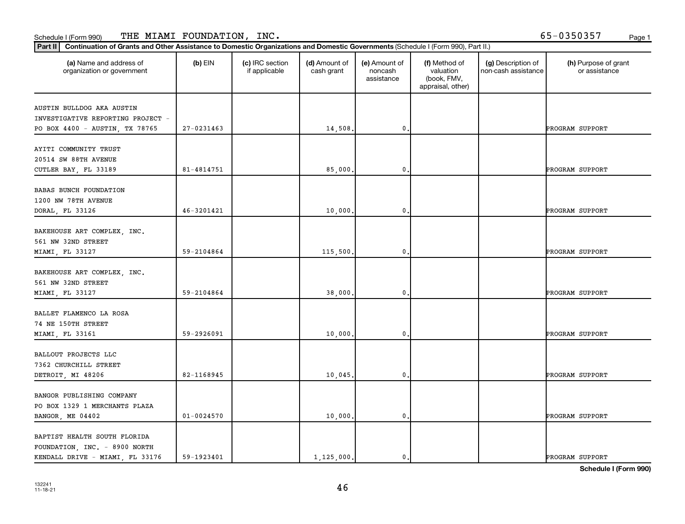| 5-0350357 |  |  | Page |
|-----------|--|--|------|
|           |  |  |      |

| Continuation of Grants and Other Assistance to Domestic Organizations and Domestic Governments (Schedule I (Form 990), Part II.)<br>Part II |                |                                  |                             |                                        |                                                                |                                           |                                       |
|---------------------------------------------------------------------------------------------------------------------------------------------|----------------|----------------------------------|-----------------------------|----------------------------------------|----------------------------------------------------------------|-------------------------------------------|---------------------------------------|
| (a) Name and address of<br>organization or government                                                                                       | $(b)$ EIN      | (c) IRC section<br>if applicable | (d) Amount of<br>cash grant | (e) Amount of<br>noncash<br>assistance | (f) Method of<br>valuation<br>(book, FMV,<br>appraisal, other) | (g) Description of<br>non-cash assistance | (h) Purpose of grant<br>or assistance |
| AUSTIN BULLDOG AKA AUSTIN                                                                                                                   |                |                                  |                             |                                        |                                                                |                                           |                                       |
| INVESTIGATIVE REPORTING PROJECT -                                                                                                           |                |                                  |                             |                                        |                                                                |                                           |                                       |
| PO BOX 4400 - AUSTIN, TX 78765                                                                                                              | 27-0231463     |                                  | 14,508.                     | 0,                                     |                                                                |                                           | PROGRAM SUPPORT                       |
|                                                                                                                                             |                |                                  |                             |                                        |                                                                |                                           |                                       |
| AYITI COMMUNITY TRUST                                                                                                                       |                |                                  |                             |                                        |                                                                |                                           |                                       |
| 20514 SW 88TH AVENUE                                                                                                                        |                |                                  |                             |                                        |                                                                |                                           |                                       |
| CUTLER BAY, FL 33189                                                                                                                        | 81-4814751     |                                  | 85,000.                     | $\mathbf 0$ .                          |                                                                |                                           | PROGRAM SUPPORT                       |
|                                                                                                                                             |                |                                  |                             |                                        |                                                                |                                           |                                       |
| <b>BABAS BUNCH FOUNDATION</b>                                                                                                               |                |                                  |                             |                                        |                                                                |                                           |                                       |
| 1200 NW 78TH AVENUE                                                                                                                         | 46-3201421     |                                  |                             | $\mathbf{0}$                           |                                                                |                                           | PROGRAM SUPPORT                       |
| DORAL, FL 33126                                                                                                                             |                |                                  | 10,000.                     |                                        |                                                                |                                           |                                       |
| BAKEHOUSE ART COMPLEX, INC.                                                                                                                 |                |                                  |                             |                                        |                                                                |                                           |                                       |
| 561 NW 32ND STREET                                                                                                                          |                |                                  |                             |                                        |                                                                |                                           |                                       |
| MIAMI, FL 33127                                                                                                                             | 59-2104864     |                                  | 115,500.                    | $\mathbf 0$ .                          |                                                                |                                           | PROGRAM SUPPORT                       |
|                                                                                                                                             |                |                                  |                             |                                        |                                                                |                                           |                                       |
| BAKEHOUSE ART COMPLEX, INC.                                                                                                                 |                |                                  |                             |                                        |                                                                |                                           |                                       |
| 561 NW 32ND STREET                                                                                                                          |                |                                  |                             |                                        |                                                                |                                           |                                       |
| MIAMI, FL 33127                                                                                                                             | 59-2104864     |                                  | 38,000                      | 0                                      |                                                                |                                           | PROGRAM SUPPORT                       |
|                                                                                                                                             |                |                                  |                             |                                        |                                                                |                                           |                                       |
| BALLET FLAMENCO LA ROSA                                                                                                                     |                |                                  |                             |                                        |                                                                |                                           |                                       |
| 74 NE 150TH STREET                                                                                                                          | 59-2926091     |                                  |                             |                                        |                                                                |                                           |                                       |
| MIAMI, FL 33161                                                                                                                             |                |                                  | 10,000.                     | $\mathbf{0}$                           |                                                                |                                           | PROGRAM SUPPORT                       |
| BALLOUT PROJECTS LLC                                                                                                                        |                |                                  |                             |                                        |                                                                |                                           |                                       |
| 7362 CHURCHILL STREET                                                                                                                       |                |                                  |                             |                                        |                                                                |                                           |                                       |
| DETROIT, MI 48206                                                                                                                           | 82-1168945     |                                  | 10,045.                     | 0,                                     |                                                                |                                           | PROGRAM SUPPORT                       |
|                                                                                                                                             |                |                                  |                             |                                        |                                                                |                                           |                                       |
| BANGOR PUBLISHING COMPANY                                                                                                                   |                |                                  |                             |                                        |                                                                |                                           |                                       |
| PO BOX 1329 1 MERCHANTS PLAZA                                                                                                               |                |                                  |                             |                                        |                                                                |                                           |                                       |
| BANGOR, ME 04402                                                                                                                            | $01 - 0024570$ |                                  | 10,000.                     | $\mathbf{0}$                           |                                                                |                                           | PROGRAM SUPPORT                       |
|                                                                                                                                             |                |                                  |                             |                                        |                                                                |                                           |                                       |
| BAPTIST HEALTH SOUTH FLORIDA                                                                                                                |                |                                  |                             |                                        |                                                                |                                           |                                       |
| FOUNDATION, INC. - 8900 NORTH                                                                                                               |                |                                  |                             |                                        |                                                                |                                           |                                       |
| KENDALL DRIVE - MIAMI, FL 33176                                                                                                             | 59-1923401     |                                  | 1,125,000.                  | $\mathbf{0}$ .                         |                                                                |                                           | PROGRAM SUPPORT                       |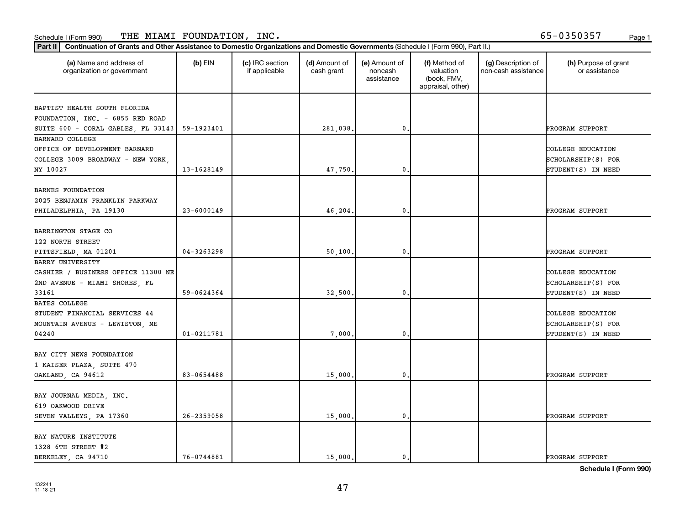| 55-0350357 | Page |  |  |  |  |  |  |  |  |
|------------|------|--|--|--|--|--|--|--|--|
|------------|------|--|--|--|--|--|--|--|--|

| (a) Name and address of<br>organization or government | $(b)$ EIN      | (c) IRC section<br>if applicable | (d) Amount of<br>cash grant | (e) Amount of<br>noncash<br>assistance | (f) Method of<br>valuation<br>(book, FMV,<br>appraisal, other) | (g) Description of<br>non-cash assistance | (h) Purpose of grant<br>or assistance |
|-------------------------------------------------------|----------------|----------------------------------|-----------------------------|----------------------------------------|----------------------------------------------------------------|-------------------------------------------|---------------------------------------|
| BAPTIST HEALTH SOUTH FLORIDA                          |                |                                  |                             |                                        |                                                                |                                           |                                       |
| FOUNDATION, INC. - 6855 RED ROAD                      |                |                                  |                             |                                        |                                                                |                                           |                                       |
| SUITE 600 - CORAL GABLES, FL 33143                    | 59-1923401     |                                  | 281,038.                    | $\pmb{0}$                              |                                                                |                                           | PROGRAM SUPPORT                       |
| BARNARD COLLEGE                                       |                |                                  |                             |                                        |                                                                |                                           |                                       |
| OFFICE OF DEVELOPMENT BARNARD                         |                |                                  |                             |                                        |                                                                |                                           | COLLEGE EDUCATION                     |
| COLLEGE 3009 BROADWAY - NEW YORK,                     |                |                                  |                             |                                        |                                                                |                                           | SCHOLARSHIP(S) FOR                    |
| NY 10027                                              | 13-1628149     |                                  | 47,750                      | $\mathbf 0$                            |                                                                |                                           | STUDENT(S) IN NEED                    |
|                                                       |                |                                  |                             |                                        |                                                                |                                           |                                       |
| <b>BARNES FOUNDATION</b>                              |                |                                  |                             |                                        |                                                                |                                           |                                       |
| 2025 BENJAMIN FRANKLIN PARKWAY                        |                |                                  |                             |                                        |                                                                |                                           |                                       |
| PHILADELPHIA, PA 19130                                | $23 - 6000149$ |                                  | 46,204.                     | 0.                                     |                                                                |                                           | PROGRAM SUPPORT                       |
|                                                       |                |                                  |                             |                                        |                                                                |                                           |                                       |
| BARRINGTON STAGE CO                                   |                |                                  |                             |                                        |                                                                |                                           |                                       |
| 122 NORTH STREET                                      |                |                                  |                             |                                        |                                                                |                                           |                                       |
| PITTSFIELD, MA 01201                                  | 04-3263298     |                                  | 50,100                      | $\mathbf 0$                            |                                                                |                                           | PROGRAM SUPPORT                       |
| BARRY UNIVERSITY                                      |                |                                  |                             |                                        |                                                                |                                           |                                       |
| CASHIER / BUSINESS OFFICE 11300 NE                    |                |                                  |                             |                                        |                                                                |                                           | COLLEGE EDUCATION                     |
| 2ND AVENUE - MIAMI SHORES, FL                         |                |                                  |                             |                                        |                                                                |                                           | SCHOLARSHIP(S) FOR                    |
| 33161                                                 | 59-0624364     |                                  | 32,500                      | $\mathbf 0$                            |                                                                |                                           | STUDENT(S) IN NEED                    |
| <b>BATES COLLEGE</b>                                  |                |                                  |                             |                                        |                                                                |                                           |                                       |
| STUDENT FINANCIAL SERVICES 44                         |                |                                  |                             |                                        |                                                                |                                           | COLLEGE EDUCATION                     |
| MOUNTAIN AVENUE - LEWISTON, ME                        |                |                                  |                             |                                        |                                                                |                                           | SCHOLARSHIP(S) FOR                    |
| 04240                                                 | $01 - 0211781$ |                                  | 7,000                       | $\mathbf{0}$                           |                                                                |                                           | STUDENT(S) IN NEED                    |
|                                                       |                |                                  |                             |                                        |                                                                |                                           |                                       |
| BAY CITY NEWS FOUNDATION                              |                |                                  |                             |                                        |                                                                |                                           |                                       |
| 1 KAISER PLAZA, SUITE 470                             |                |                                  |                             |                                        |                                                                |                                           |                                       |
| OAKLAND, CA 94612                                     | 83-0654488     |                                  | 15,000                      | $\mathbf 0$                            |                                                                |                                           | PROGRAM SUPPORT                       |
|                                                       |                |                                  |                             |                                        |                                                                |                                           |                                       |
| BAY JOURNAL MEDIA, INC.                               |                |                                  |                             |                                        |                                                                |                                           |                                       |
| 619 OAKWOOD DRIVE                                     |                |                                  |                             |                                        |                                                                |                                           |                                       |
| SEVEN VALLEYS, PA 17360                               | $26 - 2359058$ |                                  | 15,000                      | $\mathbf 0$                            |                                                                |                                           | PROGRAM SUPPORT                       |
|                                                       |                |                                  |                             |                                        |                                                                |                                           |                                       |
| BAY NATURE INSTITUTE                                  |                |                                  |                             |                                        |                                                                |                                           |                                       |
| 1328 6TH STREET #2                                    |                |                                  |                             |                                        |                                                                |                                           |                                       |
| BERKELEY, CA 94710                                    | 76-0744881     |                                  | 15,000.                     | 0.                                     |                                                                |                                           | PROGRAM SUPPORT                       |
|                                                       |                |                                  |                             |                                        |                                                                |                                           |                                       |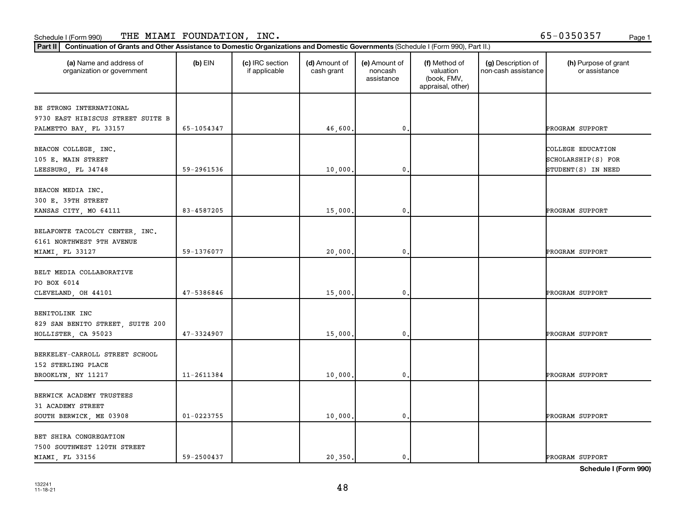| 55-0350357 |  |  |  |  |  |  | Page |
|------------|--|--|--|--|--|--|------|
|------------|--|--|--|--|--|--|------|

| (a) Name and address of<br>organization or government | $(b)$ EIN      | (c) IRC section<br>if applicable | (d) Amount of<br>cash grant | (e) Amount of<br>noncash<br>assistance | (f) Method of<br>valuation<br>(book, FMV,<br>appraisal, other) | (g) Description of<br>non-cash assistance | (h) Purpose of grant<br>or assistance |
|-------------------------------------------------------|----------------|----------------------------------|-----------------------------|----------------------------------------|----------------------------------------------------------------|-------------------------------------------|---------------------------------------|
| BE STRONG INTERNATIONAL                               |                |                                  |                             |                                        |                                                                |                                           |                                       |
| 9730 EAST HIBISCUS STREET SUITE B                     |                |                                  |                             |                                        |                                                                |                                           |                                       |
| PALMETTO BAY, FL 33157                                | 65-1054347     |                                  | 46,600.                     | $\mathbf 0$                            |                                                                |                                           | PROGRAM SUPPORT                       |
| BEACON COLLEGE, INC.                                  |                |                                  |                             |                                        |                                                                |                                           | COLLEGE EDUCATION                     |
| 105 E. MAIN STREET                                    |                |                                  |                             |                                        |                                                                |                                           | SCHOLARSHIP(S) FOR                    |
| LEESBURG, FL 34748                                    | 59-2961536     |                                  | 10,000                      | 0.                                     |                                                                |                                           | STUDENT(S) IN NEED                    |
|                                                       |                |                                  |                             |                                        |                                                                |                                           |                                       |
| BEACON MEDIA INC.                                     |                |                                  |                             |                                        |                                                                |                                           |                                       |
| 300 E. 39TH STREET                                    |                |                                  |                             |                                        |                                                                |                                           |                                       |
| KANSAS CITY, MO 64111                                 | 83-4587205     |                                  | 15,000.                     | 0.                                     |                                                                |                                           | PROGRAM SUPPORT                       |
|                                                       |                |                                  |                             |                                        |                                                                |                                           |                                       |
| BELAFONTE TACOLCY CENTER, INC.                        |                |                                  |                             |                                        |                                                                |                                           |                                       |
| 6161 NORTHWEST 9TH AVENUE                             |                |                                  |                             |                                        |                                                                |                                           |                                       |
| MIAMI, FL 33127                                       | 59-1376077     |                                  | 20,000.                     | $\mathbf 0$                            |                                                                |                                           | PROGRAM SUPPORT                       |
| BELT MEDIA COLLABORATIVE                              |                |                                  |                             |                                        |                                                                |                                           |                                       |
| PO BOX 6014                                           |                |                                  |                             |                                        |                                                                |                                           |                                       |
| CLEVELAND, OH 44101                                   | 47-5386846     |                                  | 15,000.                     | $\mathbf{0}$                           |                                                                |                                           | PROGRAM SUPPORT                       |
|                                                       |                |                                  |                             |                                        |                                                                |                                           |                                       |
| BENITOLINK INC                                        |                |                                  |                             |                                        |                                                                |                                           |                                       |
| 829 SAN BENITO STREET, SUITE 200                      |                |                                  |                             |                                        |                                                                |                                           |                                       |
| HOLLISTER, CA 95023                                   | 47-3324907     |                                  | 15,000.                     | $\mathbf 0$                            |                                                                |                                           | PROGRAM SUPPORT                       |
|                                                       |                |                                  |                             |                                        |                                                                |                                           |                                       |
| BERKELEY-CARROLL STREET SCHOOL                        |                |                                  |                             |                                        |                                                                |                                           |                                       |
| 152 STERLING PLACE                                    |                |                                  |                             |                                        |                                                                |                                           |                                       |
| BROOKLYN, NY 11217                                    | 11-2611384     |                                  | 10,000                      | 0.                                     |                                                                |                                           | PROGRAM SUPPORT                       |
| BERWICK ACADEMY TRUSTEES                              |                |                                  |                             |                                        |                                                                |                                           |                                       |
| 31 ACADEMY STREET                                     |                |                                  |                             |                                        |                                                                |                                           |                                       |
| SOUTH BERWICK, ME 03908                               | $01 - 0223755$ |                                  | 10,000.                     | $\mathbf 0$                            |                                                                |                                           | PROGRAM SUPPORT                       |
|                                                       |                |                                  |                             |                                        |                                                                |                                           |                                       |
| BET SHIRA CONGREGATION                                |                |                                  |                             |                                        |                                                                |                                           |                                       |
| 7500 SOUTHWEST 120TH STREET                           |                |                                  |                             |                                        |                                                                |                                           |                                       |
| MIAMI, FL 33156                                       | 59-2500437     |                                  | 20, 350.                    | 0.                                     |                                                                |                                           | PROGRAM SUPPORT                       |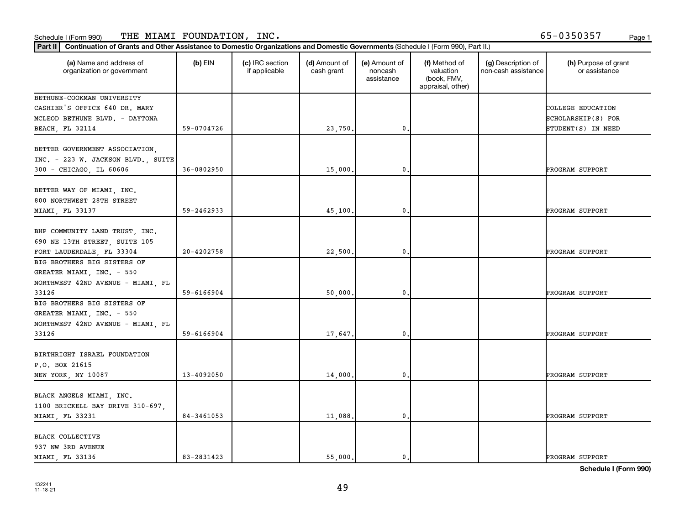| 55-0350357 |  |  |  |  | Page |
|------------|--|--|--|--|------|
|            |  |  |  |  |      |

| (a) Name and address of<br>organization or government | $(b)$ EIN  | (c) IRC section<br>if applicable | (d) Amount of<br>cash grant | (e) Amount of<br>noncash<br>assistance | (f) Method of<br>valuation<br>(book, FMV,<br>appraisal, other) | (g) Description of<br>non-cash assistance | (h) Purpose of grant<br>or assistance |
|-------------------------------------------------------|------------|----------------------------------|-----------------------------|----------------------------------------|----------------------------------------------------------------|-------------------------------------------|---------------------------------------|
| BETHUNE-COOKMAN UNIVERSITY                            |            |                                  |                             |                                        |                                                                |                                           |                                       |
| CASHIER'S OFFICE 640 DR. MARY                         |            |                                  |                             |                                        |                                                                |                                           | COLLEGE EDUCATION                     |
| MCLEOD BETHUNE BLVD. - DAYTONA                        |            |                                  |                             |                                        |                                                                |                                           | SCHOLARSHIP(S) FOR                    |
| BEACH, FL 32114                                       | 59-0704726 |                                  | 23,750.                     | $\mathbf 0$ .                          |                                                                |                                           | STUDENT(S) IN NEED                    |
| BETTER GOVERNMENT ASSOCIATION,                        |            |                                  |                             |                                        |                                                                |                                           |                                       |
|                                                       |            |                                  |                             |                                        |                                                                |                                           |                                       |
| INC. - 223 W. JACKSON BLVD., SUITE                    |            |                                  |                             |                                        |                                                                |                                           |                                       |
| 300 - CHICAGO, IL 60606                               | 36-0802950 |                                  | 15,000.                     | 0                                      |                                                                |                                           | PROGRAM SUPPORT                       |
| BETTER WAY OF MIAMI, INC.                             |            |                                  |                             |                                        |                                                                |                                           |                                       |
| 800 NORTHWEST 28TH STREET                             |            |                                  |                             |                                        |                                                                |                                           |                                       |
| MIAMI, FL 33137                                       | 59-2462933 |                                  | 45,100.                     | 0.                                     |                                                                |                                           | PROGRAM SUPPORT                       |
|                                                       |            |                                  |                             |                                        |                                                                |                                           |                                       |
| BHP COMMUNITY LAND TRUST, INC.                        |            |                                  |                             |                                        |                                                                |                                           |                                       |
| 690 NE 13TH STREET, SUITE 105                         |            |                                  |                             |                                        |                                                                |                                           |                                       |
| FORT LAUDERDALE, FL 33304                             | 20-4202758 |                                  | 22,500.                     | $\mathbf 0$                            |                                                                |                                           | PROGRAM SUPPORT                       |
| BIG BROTHERS BIG SISTERS OF                           |            |                                  |                             |                                        |                                                                |                                           |                                       |
| GREATER MIAMI, INC. - 550                             |            |                                  |                             |                                        |                                                                |                                           |                                       |
| NORTHWEST 42ND AVENUE - MIAMI, FL                     |            |                                  |                             |                                        |                                                                |                                           |                                       |
| 33126                                                 | 59-6166904 |                                  | 50,000.                     | $\mathbf 0$                            |                                                                |                                           | PROGRAM SUPPORT                       |
| BIG BROTHERS BIG SISTERS OF                           |            |                                  |                             |                                        |                                                                |                                           |                                       |
| GREATER MIAMI, INC. - 550                             |            |                                  |                             |                                        |                                                                |                                           |                                       |
| NORTHWEST 42ND AVENUE - MIAMI, FL                     |            |                                  |                             |                                        |                                                                |                                           |                                       |
| 33126                                                 | 59-6166904 |                                  | 17,647.                     | 0                                      |                                                                |                                           | PROGRAM SUPPORT                       |
|                                                       |            |                                  |                             |                                        |                                                                |                                           |                                       |
| BIRTHRIGHT ISRAEL FOUNDATION                          |            |                                  |                             |                                        |                                                                |                                           |                                       |
| P.O. BOX 21615                                        |            |                                  |                             |                                        |                                                                |                                           |                                       |
| NEW YORK, NY 10087                                    | 13-4092050 |                                  | 14,000.                     | 0.                                     |                                                                |                                           | PROGRAM SUPPORT                       |
|                                                       |            |                                  |                             |                                        |                                                                |                                           |                                       |
| BLACK ANGELS MIAMI, INC.                              |            |                                  |                             |                                        |                                                                |                                           |                                       |
| 1100 BRICKELL BAY DRIVE 310-697,                      |            |                                  |                             |                                        |                                                                |                                           |                                       |
| MIAMI, FL 33231                                       | 84-3461053 |                                  | 11,088.                     | $\mathbf 0$                            |                                                                |                                           | PROGRAM SUPPORT                       |
|                                                       |            |                                  |                             |                                        |                                                                |                                           |                                       |
| <b>BLACK COLLECTIVE</b>                               |            |                                  |                             |                                        |                                                                |                                           |                                       |
| 937 NW 3RD AVENUE                                     |            |                                  |                             |                                        |                                                                |                                           |                                       |
| MIAMI, FL 33136                                       | 83-2831423 |                                  | 55.000.                     | $\mathbf{0}$ .                         |                                                                |                                           | PROGRAM SUPPORT                       |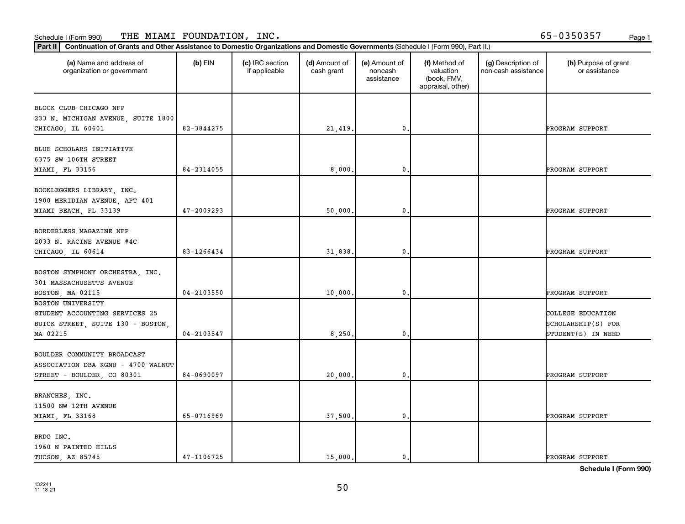| 55-0350357 |  |  |  |  | Page |
|------------|--|--|--|--|------|
|            |  |  |  |  |      |

| Part II   Continuation of Grants and Other Assistance to Domestic Organizations and Domestic Governments (Schedule I (Form 990), Part II.) |                |                                  |                             |                                        |                                                                |                                           |                                                               |
|--------------------------------------------------------------------------------------------------------------------------------------------|----------------|----------------------------------|-----------------------------|----------------------------------------|----------------------------------------------------------------|-------------------------------------------|---------------------------------------------------------------|
| (a) Name and address of<br>organization or government                                                                                      | $(b)$ EIN      | (c) IRC section<br>if applicable | (d) Amount of<br>cash grant | (e) Amount of<br>noncash<br>assistance | (f) Method of<br>valuation<br>(book, FMV,<br>appraisal, other) | (g) Description of<br>non-cash assistance | (h) Purpose of grant<br>or assistance                         |
| BLOCK CLUB CHICAGO NFP<br>233 N. MICHIGAN AVENUE, SUITE 1800<br>CHICAGO, IL 60601                                                          | 82-3844275     |                                  | 21,419.                     | 0.                                     |                                                                |                                           | PROGRAM SUPPORT                                               |
| BLUE SCHOLARS INITIATIVE<br>6375 SW 106TH STREET<br>MIAMI, FL 33156                                                                        | 84-2314055     |                                  | 8,000.                      | $\mathbf{0}$                           |                                                                |                                           | PROGRAM SUPPORT                                               |
| BOOKLEGGERS LIBRARY, INC.<br>1900 MERIDIAN AVENUE, APT 401<br>MIAMI BEACH, FL 33139                                                        | 47-2009293     |                                  | 50,000                      | $\mathbf 0$                            |                                                                |                                           | PROGRAM SUPPORT                                               |
| BORDERLESS MAGAZINE NFP<br>2033 N. RACINE AVENUE #4C<br>CHICAGO, IL 60614                                                                  | 83-1266434     |                                  | 31,838                      | $\mathbf{0}$                           |                                                                |                                           | PROGRAM SUPPORT                                               |
| BOSTON SYMPHONY ORCHESTRA, INC.<br>301 MASSACHUSETTS AVENUE<br>BOSTON, MA 02115                                                            | $04 - 2103550$ |                                  | 10,000,                     | $\mathbf{0}$                           |                                                                |                                           | PROGRAM SUPPORT                                               |
| BOSTON UNIVERSITY<br>STUDENT ACCOUNTING SERVICES 25<br>BUICK STREET, SUITE 130 - BOSTON,<br>MA 02215                                       | 04-2103547     |                                  | 8,250                       | $\mathbf{0}$                           |                                                                |                                           | COLLEGE EDUCATION<br>SCHOLARSHIP(S) FOR<br>STUDENT(S) IN NEED |
| BOULDER COMMUNITY BROADCAST<br>ASSOCIATION DBA KGNU - 4700 WALNUT<br>STREET - BOULDER, CO 80301                                            | 84-0690097     |                                  | 20,000                      | $\mathbf{0}$ .                         |                                                                |                                           | PROGRAM SUPPORT                                               |
| BRANCHES, INC.<br>11500 NW 12TH AVENUE<br>MIAMI, FL 33168                                                                                  | 65-0716969     |                                  | 37,500.                     | 0.                                     |                                                                |                                           | PROGRAM SUPPORT                                               |
| BRDG INC.<br>1960 N PAINTED HILLS<br>TUCSON, AZ 85745                                                                                      | 47-1106725     |                                  | 15,000.                     | $\mathbf{0}$ .                         |                                                                |                                           | PROGRAM SUPPORT                                               |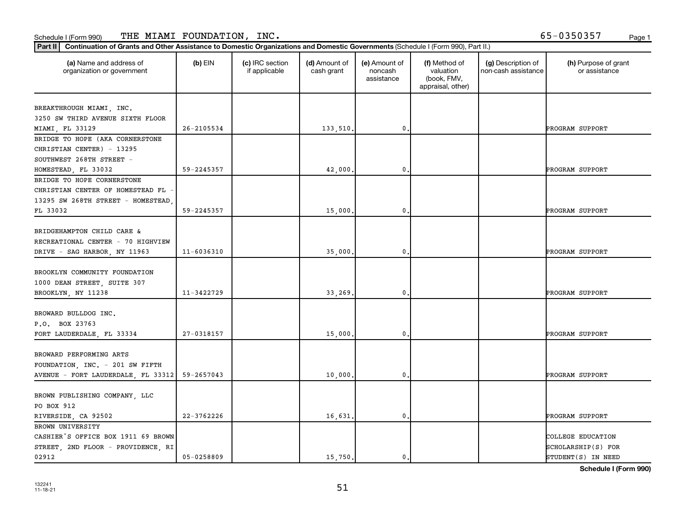| (a) Name and address of<br>organization or government | $(b)$ EIN  | (c) IRC section<br>if applicable | (d) Amount of<br>cash grant | (e) Amount of<br>noncash<br>assistance | (f) Method of<br>valuation<br>(book, FMV,<br>appraisal, other) | (g) Description of<br>non-cash assistance | (h) Purpose of grant<br>or assistance |
|-------------------------------------------------------|------------|----------------------------------|-----------------------------|----------------------------------------|----------------------------------------------------------------|-------------------------------------------|---------------------------------------|
| BREAKTHROUGH MIAMI, INC.                              |            |                                  |                             |                                        |                                                                |                                           |                                       |
| 3250 SW THIRD AVENUE SIXTH FLOOR                      |            |                                  |                             |                                        |                                                                |                                           |                                       |
| MIAMI, FL 33129                                       | 26-2105534 |                                  | 133,510.                    | $\mathbf 0$                            |                                                                |                                           | PROGRAM SUPPORT                       |
| BRIDGE TO HOPE (AKA CORNERSTONE                       |            |                                  |                             |                                        |                                                                |                                           |                                       |
| CHRISTIAN CENTER) - 13295                             |            |                                  |                             |                                        |                                                                |                                           |                                       |
| SOUTHWEST 268TH STREET -                              |            |                                  |                             |                                        |                                                                |                                           |                                       |
| HOMESTEAD, FL 33032                                   | 59-2245357 |                                  | 42,000                      | $\mathbf 0$                            |                                                                |                                           | PROGRAM SUPPORT                       |
| BRIDGE TO HOPE CORNERSTONE                            |            |                                  |                             |                                        |                                                                |                                           |                                       |
| CHRISTIAN CENTER OF HOMESTEAD FL                      |            |                                  |                             |                                        |                                                                |                                           |                                       |
| 13295 SW 268TH STREET - HOMESTEAD                     |            |                                  |                             |                                        |                                                                |                                           |                                       |
| FL 33032                                              | 59-2245357 |                                  | 15,000,                     | $\mathbf 0$                            |                                                                |                                           | PROGRAM SUPPORT                       |
|                                                       |            |                                  |                             |                                        |                                                                |                                           |                                       |
| BRIDGEHAMPTON CHILD CARE &                            |            |                                  |                             |                                        |                                                                |                                           |                                       |
| RECREATIONAL CENTER - 70 HIGHVIEW                     |            |                                  |                             |                                        |                                                                |                                           |                                       |
| DRIVE - SAG HARBOR, NY 11963                          | 11-6036310 |                                  | 35,000                      | $\mathbf{0}$                           |                                                                |                                           | PROGRAM SUPPORT                       |
|                                                       |            |                                  |                             |                                        |                                                                |                                           |                                       |
| BROOKLYN COMMUNITY FOUNDATION                         |            |                                  |                             |                                        |                                                                |                                           |                                       |
| 1000 DEAN STREET, SUITE 307                           |            |                                  |                             |                                        |                                                                |                                           |                                       |
| BROOKLYN, NY 11238                                    | 11-3422729 |                                  | 33,269                      | $\mathbf 0$                            |                                                                |                                           | PROGRAM SUPPORT                       |
|                                                       |            |                                  |                             |                                        |                                                                |                                           |                                       |
| BROWARD BULLDOG INC.                                  |            |                                  |                             |                                        |                                                                |                                           |                                       |
| P.O. BOX 23763                                        |            |                                  |                             |                                        |                                                                |                                           |                                       |
| FORT LAUDERDALE, FL 33334                             | 27-0318157 |                                  | 15,000                      | 0.                                     |                                                                |                                           | PROGRAM SUPPORT                       |
|                                                       |            |                                  |                             |                                        |                                                                |                                           |                                       |
| BROWARD PERFORMING ARTS                               |            |                                  |                             |                                        |                                                                |                                           |                                       |
| FOUNDATION, INC. - 201 SW FIFTH                       |            |                                  |                             |                                        |                                                                |                                           |                                       |
| AVENUE - FORT LAUDERDALE, FL 33312                    | 59-2657043 |                                  | 10,000                      | 0.                                     |                                                                |                                           | PROGRAM SUPPORT                       |
|                                                       |            |                                  |                             |                                        |                                                                |                                           |                                       |
| BROWN PUBLISHING COMPANY, LLC                         |            |                                  |                             |                                        |                                                                |                                           |                                       |
| PO BOX 912                                            |            |                                  |                             |                                        |                                                                |                                           |                                       |
| RIVERSIDE, CA 92502                                   | 22-3762226 |                                  | 16,631                      | $\mathbf 0$                            |                                                                |                                           | PROGRAM SUPPORT                       |
| BROWN UNIVERSITY                                      |            |                                  |                             |                                        |                                                                |                                           |                                       |
| CASHIER'S OFFICE BOX 1911 69 BROWN                    |            |                                  |                             |                                        |                                                                |                                           | COLLEGE EDUCATION                     |
| STREET, 2ND FLOOR - PROVIDENCE, RI                    |            |                                  |                             |                                        |                                                                |                                           | SCHOLARSHIP(S) FOR                    |
| 02912                                                 | 05-0258809 |                                  | 15,750.                     | 0.                                     |                                                                |                                           | STUDENT(S) IN NEED                    |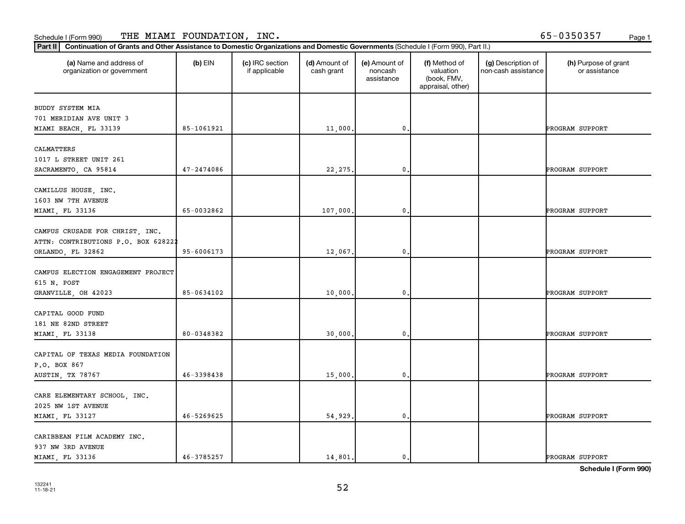|  |  |  |  | 55-0350357 | Page |
|--|--|--|--|------------|------|
|--|--|--|--|------------|------|

| (a) Name and address of<br>organization or government | $(b)$ EIN  | (c) IRC section<br>if applicable | (d) Amount of<br>cash grant | (e) Amount of<br>noncash<br>assistance | (f) Method of<br>valuation<br>(book, FMV,<br>appraisal, other) | (g) Description of<br>non-cash assistance | (h) Purpose of grant<br>or assistance |
|-------------------------------------------------------|------------|----------------------------------|-----------------------------|----------------------------------------|----------------------------------------------------------------|-------------------------------------------|---------------------------------------|
| BUDDY SYSTEM MIA                                      |            |                                  |                             |                                        |                                                                |                                           |                                       |
| 701 MERIDIAN AVE UNIT 3                               |            |                                  |                             |                                        |                                                                |                                           |                                       |
| MIAMI BEACH, FL 33139                                 | 85-1061921 |                                  | 11,000.                     | $\mathbf 0$                            |                                                                |                                           | PROGRAM SUPPORT                       |
|                                                       |            |                                  |                             |                                        |                                                                |                                           |                                       |
| CALMATTERS                                            |            |                                  |                             |                                        |                                                                |                                           |                                       |
| 1017 L STREET UNIT 261                                |            |                                  |                             |                                        |                                                                |                                           |                                       |
| SACRAMENTO, CA 95814                                  | 47-2474086 |                                  | 22, 275.                    | $\mathbf 0$                            |                                                                |                                           | PROGRAM SUPPORT                       |
|                                                       |            |                                  |                             |                                        |                                                                |                                           |                                       |
| CAMILLUS HOUSE, INC.                                  |            |                                  |                             |                                        |                                                                |                                           |                                       |
| 1603 NW 7TH AVENUE                                    |            |                                  |                             |                                        |                                                                |                                           |                                       |
| MIAMI, FL 33136                                       | 65-0032862 |                                  | 107,000.                    | 0.                                     |                                                                |                                           | PROGRAM SUPPORT                       |
|                                                       |            |                                  |                             |                                        |                                                                |                                           |                                       |
| CAMPUS CRUSADE FOR CHRIST, INC.                       |            |                                  |                             |                                        |                                                                |                                           |                                       |
| ATTN: CONTRIBUTIONS P.O. BOX 628222                   |            |                                  |                             |                                        |                                                                |                                           |                                       |
| ORLANDO, FL 32862                                     | 95-6006173 |                                  | 12,067.                     | $\mathbf 0$                            |                                                                |                                           | PROGRAM SUPPORT                       |
|                                                       |            |                                  |                             |                                        |                                                                |                                           |                                       |
| CAMPUS ELECTION ENGAGEMENT PROJECT                    |            |                                  |                             |                                        |                                                                |                                           |                                       |
| 615 N. POST                                           |            |                                  |                             |                                        |                                                                |                                           |                                       |
| GRANVILLE, OH 42023                                   | 85-0634102 |                                  | 10,000.                     | $\pmb{0}$                              |                                                                |                                           | PROGRAM SUPPORT                       |
| CAPITAL GOOD FUND                                     |            |                                  |                             |                                        |                                                                |                                           |                                       |
| 181 NE 82ND STREET                                    |            |                                  |                             |                                        |                                                                |                                           |                                       |
| MIAMI, FL 33138                                       | 80-0348382 |                                  | 30,000.                     | $\mathbf{0}$                           |                                                                |                                           | PROGRAM SUPPORT                       |
|                                                       |            |                                  |                             |                                        |                                                                |                                           |                                       |
| CAPITAL OF TEXAS MEDIA FOUNDATION                     |            |                                  |                             |                                        |                                                                |                                           |                                       |
| P.O. BOX 867                                          |            |                                  |                             |                                        |                                                                |                                           |                                       |
| AUSTIN, TX 78767                                      | 46-3398438 |                                  | 15,000.                     | 0.                                     |                                                                |                                           | PROGRAM SUPPORT                       |
|                                                       |            |                                  |                             |                                        |                                                                |                                           |                                       |
| CARE ELEMENTARY SCHOOL, INC.                          |            |                                  |                             |                                        |                                                                |                                           |                                       |
| 2025 NW 1ST AVENUE                                    |            |                                  |                             |                                        |                                                                |                                           |                                       |
| MIAMI, FL 33127                                       | 46-5269625 |                                  | 54,929.                     | $\mathbf 0$                            |                                                                |                                           | PROGRAM SUPPORT                       |
|                                                       |            |                                  |                             |                                        |                                                                |                                           |                                       |
| CARIBBEAN FILM ACADEMY INC.                           |            |                                  |                             |                                        |                                                                |                                           |                                       |
| 937 NW 3RD AVENUE                                     |            |                                  |                             |                                        |                                                                |                                           |                                       |
| MIAMI, FL 33136                                       | 46-3785257 |                                  | 14,801.                     | $\mathbf{0}$ .                         |                                                                |                                           | PROGRAM SUPPORT                       |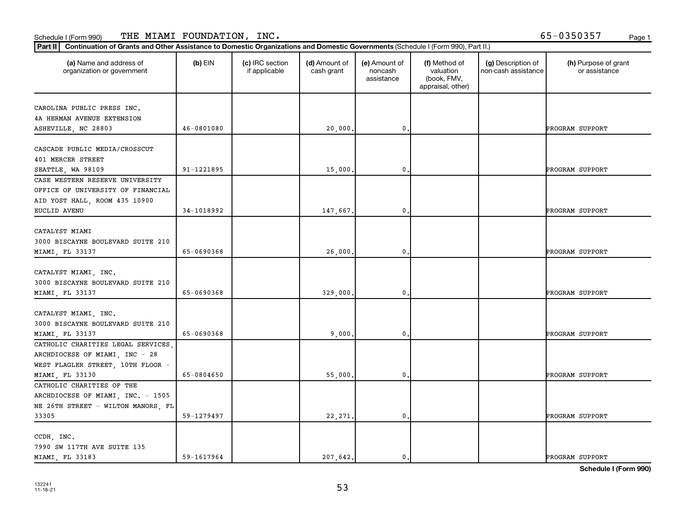| 55-0350357 |  |  |  | Page |
|------------|--|--|--|------|
|            |  |  |  |      |

| Continuation of Grants and Other Assistance to Domestic Organizations and Domestic Governments (Schedule I (Form 990), Part II.)<br>Part II |            |                                  |                             |                                        |                                                                |                                           |                                       |
|---------------------------------------------------------------------------------------------------------------------------------------------|------------|----------------------------------|-----------------------------|----------------------------------------|----------------------------------------------------------------|-------------------------------------------|---------------------------------------|
| (a) Name and address of<br>organization or government                                                                                       | $(b)$ EIN  | (c) IRC section<br>if applicable | (d) Amount of<br>cash grant | (e) Amount of<br>noncash<br>assistance | (f) Method of<br>valuation<br>(book, FMV,<br>appraisal, other) | (g) Description of<br>non-cash assistance | (h) Purpose of grant<br>or assistance |
|                                                                                                                                             |            |                                  |                             |                                        |                                                                |                                           |                                       |
| CAROLINA PUBLIC PRESS INC.                                                                                                                  |            |                                  |                             |                                        |                                                                |                                           |                                       |
| 4A HERMAN AVENUE EXTENSION                                                                                                                  |            |                                  |                             |                                        |                                                                |                                           |                                       |
| ASHEVILLE, NC 28803                                                                                                                         | 46-0801080 |                                  | 20,000.                     | $\mathbf 0$                            |                                                                |                                           | PROGRAM SUPPORT                       |
| CASCADE PUBLIC MEDIA/CROSSCUT                                                                                                               |            |                                  |                             |                                        |                                                                |                                           |                                       |
| 401 MERCER STREET                                                                                                                           |            |                                  |                             |                                        |                                                                |                                           |                                       |
| SEATTLE, WA 98109                                                                                                                           | 91-1221895 |                                  | 15,000.                     | $\mathbf{0}$                           |                                                                |                                           | PROGRAM SUPPORT                       |
| CASE WESTERN RESERVE UNIVERSITY                                                                                                             |            |                                  |                             |                                        |                                                                |                                           |                                       |
| OFFICE OF UNIVERSITY OF FINANCIAL                                                                                                           |            |                                  |                             |                                        |                                                                |                                           |                                       |
| AID YOST HALL, ROOM 435 10900                                                                                                               |            |                                  |                             |                                        |                                                                |                                           |                                       |
| EUCLID AVENU                                                                                                                                | 34-1018992 |                                  | 147,667.                    | $\mathbf{0}$                           |                                                                |                                           | PROGRAM SUPPORT                       |
|                                                                                                                                             |            |                                  |                             |                                        |                                                                |                                           |                                       |
| CATALYST MIAMI                                                                                                                              |            |                                  |                             |                                        |                                                                |                                           |                                       |
| 3000 BISCAYNE BOULEVARD SUITE 210                                                                                                           |            |                                  |                             |                                        |                                                                |                                           |                                       |
| MIAMI, FL 33137                                                                                                                             | 65-0690368 |                                  | 26,000.                     | $\mathbf 0$                            |                                                                |                                           | PROGRAM SUPPORT                       |
|                                                                                                                                             |            |                                  |                             |                                        |                                                                |                                           |                                       |
| CATALYST MIAMI, INC.                                                                                                                        |            |                                  |                             |                                        |                                                                |                                           |                                       |
| 3000 BISCAYNE BOULEVARD SUITE 210                                                                                                           |            |                                  |                             |                                        |                                                                |                                           |                                       |
| MIAMI, FL 33137                                                                                                                             | 65-0690368 |                                  | 329,000.                    | $\mathfrak o$ .                        |                                                                |                                           | PROGRAM SUPPORT                       |
|                                                                                                                                             |            |                                  |                             |                                        |                                                                |                                           |                                       |
| CATALYST MIAMI, INC.                                                                                                                        |            |                                  |                             |                                        |                                                                |                                           |                                       |
| 3000 BISCAYNE BOULEVARD SUITE 210                                                                                                           |            |                                  |                             |                                        |                                                                |                                           |                                       |
|                                                                                                                                             | 65-0690368 |                                  | 9,000                       | $\mathbf 0$                            |                                                                |                                           | PROGRAM SUPPORT                       |
| MIAMI, FL 33137                                                                                                                             |            |                                  |                             |                                        |                                                                |                                           |                                       |
| CATHOLIC CHARITIES LEGAL SERVICES,                                                                                                          |            |                                  |                             |                                        |                                                                |                                           |                                       |
| ARCHDIOCESE OF MIAMI, INC - 28                                                                                                              |            |                                  |                             |                                        |                                                                |                                           |                                       |
| WEST FLAGLER STREET, 10TH FLOOR -                                                                                                           |            |                                  |                             |                                        |                                                                |                                           |                                       |
| MIAMI, FL 33130                                                                                                                             | 65-0804650 |                                  | 55,000                      | $\mathbf{0}$                           |                                                                |                                           | PROGRAM SUPPORT                       |
| CATHOLIC CHARITIES OF THE                                                                                                                   |            |                                  |                             |                                        |                                                                |                                           |                                       |
| ARCHDIOCESE OF MIAMI, INC. - 1505                                                                                                           |            |                                  |                             |                                        |                                                                |                                           |                                       |
| NE 26TH STREET - WILTON MANORS, FL                                                                                                          |            |                                  |                             |                                        |                                                                |                                           |                                       |
| 33305                                                                                                                                       | 59-1279497 |                                  | 22,271.                     | $\mathbf 0$ .                          |                                                                |                                           | PROGRAM SUPPORT                       |
|                                                                                                                                             |            |                                  |                             |                                        |                                                                |                                           |                                       |
| CCDH, INC.                                                                                                                                  |            |                                  |                             |                                        |                                                                |                                           |                                       |
| 7990 SW 117TH AVE SUITE 135                                                                                                                 |            |                                  |                             |                                        |                                                                |                                           |                                       |
| MIAMI, FL 33183                                                                                                                             | 59-1617964 |                                  | 207.642.                    | $\mathbf{0}$ .                         |                                                                |                                           | PROGRAM SUPPORT                       |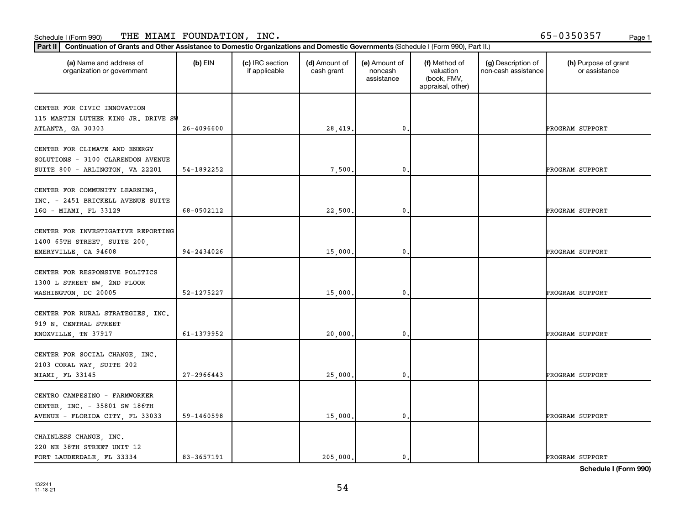|  |  | 55-0350357 | Page |
|--|--|------------|------|
|  |  |            |      |

| (a) Name and address of<br>organization or government               | $(b)$ EIN      | (c) IRC section<br>if applicable | (d) Amount of<br>cash grant | (e) Amount of<br>noncash<br>assistance | (f) Method of<br>valuation<br>(book, FMV,<br>appraisal, other) | (g) Description of<br>non-cash assistance | (h) Purpose of grant<br>or assistance |
|---------------------------------------------------------------------|----------------|----------------------------------|-----------------------------|----------------------------------------|----------------------------------------------------------------|-------------------------------------------|---------------------------------------|
| CENTER FOR CIVIC INNOVATION                                         |                |                                  |                             |                                        |                                                                |                                           |                                       |
| 115 MARTIN LUTHER KING JR. DRIVE SW                                 |                |                                  |                             |                                        |                                                                |                                           |                                       |
| ATLANTA, GA 30303                                                   | $26 - 4096600$ |                                  | 28,419.                     | $\mathbf{0}$                           |                                                                |                                           | PROGRAM SUPPORT                       |
| CENTER FOR CLIMATE AND ENERGY<br>SOLUTIONS - 3100 CLARENDON AVENUE  |                |                                  |                             |                                        |                                                                |                                           |                                       |
| SUITE 800 - ARLINGTON, VA 22201                                     | 54-1892252     |                                  | 7,500                       | $\mathbf{0}$                           |                                                                |                                           | PROGRAM SUPPORT                       |
| CENTER FOR COMMUNITY LEARNING,<br>INC. - 2451 BRICKELL AVENUE SUITE |                |                                  |                             |                                        |                                                                |                                           |                                       |
| 16G - MIAMI, FL 33129                                               | 68-0502112     |                                  | 22,500.                     | $\mathbf{0}$                           |                                                                |                                           | PROGRAM SUPPORT                       |
| CENTER FOR INVESTIGATIVE REPORTING<br>1400 65TH STREET, SUITE 200,  |                |                                  |                             |                                        |                                                                |                                           |                                       |
| EMERYVILLE, CA 94608                                                | 94-2434026     |                                  | 15,000                      | 0                                      |                                                                |                                           | PROGRAM SUPPORT                       |
| CENTER FOR RESPONSIVE POLITICS<br>1300 L STREET NW, 2ND FLOOR       |                |                                  |                             |                                        |                                                                |                                           |                                       |
| WASHINGTON, DC 20005                                                | 52-1275227     |                                  | 15,000.                     | 0                                      |                                                                |                                           | PROGRAM SUPPORT                       |
| CENTER FOR RURAL STRATEGIES, INC.<br>919 N. CENTRAL STREET          |                |                                  |                             |                                        |                                                                |                                           |                                       |
| KNOXVILLE, TN 37917                                                 | 61-1379952     |                                  | 20,000.                     | 0.                                     |                                                                |                                           | PROGRAM SUPPORT                       |
| CENTER FOR SOCIAL CHANGE, INC.<br>2103 CORAL WAY, SUITE 202         |                |                                  |                             |                                        |                                                                |                                           |                                       |
| MIAMI, FL 33145                                                     | 27-2966443     |                                  | 25,000.                     | 0.                                     |                                                                |                                           | PROGRAM SUPPORT                       |
| CENTRO CAMPESINO - FARMWORKER<br>CENTER, INC. - 35801 SW 186TH      |                |                                  |                             |                                        |                                                                |                                           |                                       |
| AVENUE - FLORIDA CITY, FL 33033                                     | 59-1460598     |                                  | 15,000.                     | 0                                      |                                                                |                                           | PROGRAM SUPPORT                       |
| CHAINLESS CHANGE, INC.<br>220 NE 38TH STREET UNIT 12                |                |                                  |                             |                                        |                                                                |                                           |                                       |
| FORT LAUDERDALE, FL 33334                                           | 83-3657191     |                                  | 205,000.                    | $\mathbf{0}$ .                         |                                                                |                                           | PROGRAM SUPPORT                       |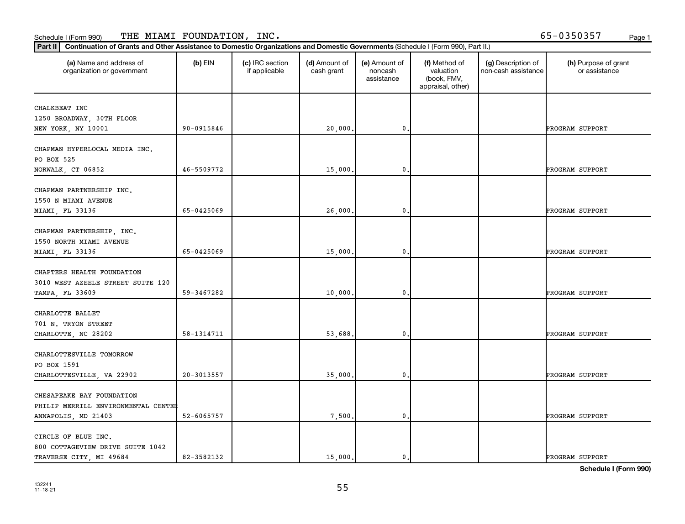| 55-0350357 |  |  |  | Page |
|------------|--|--|--|------|
|            |  |  |  |      |

| Continuation of Grants and Other Assistance to Domestic Organizations and Domestic Governments (Schedule I (Form 990), Part II.)<br>$ $ Part II |                |                                  |                             |                                        |                                                                |                                           |                                       |
|-------------------------------------------------------------------------------------------------------------------------------------------------|----------------|----------------------------------|-----------------------------|----------------------------------------|----------------------------------------------------------------|-------------------------------------------|---------------------------------------|
| (a) Name and address of<br>organization or government                                                                                           | $(b)$ EIN      | (c) IRC section<br>if applicable | (d) Amount of<br>cash grant | (e) Amount of<br>noncash<br>assistance | (f) Method of<br>valuation<br>(book, FMV,<br>appraisal, other) | (g) Description of<br>non-cash assistance | (h) Purpose of grant<br>or assistance |
| CHALKBEAT INC<br>1250 BROADWAY, 30TH FLOOR<br>NEW YORK, NY 10001                                                                                | 90-0915846     |                                  | 20,000,                     | 0.                                     |                                                                |                                           | PROGRAM SUPPORT                       |
| CHAPMAN HYPERLOCAL MEDIA INC.<br>PO BOX 525<br>NORWALK, CT 06852                                                                                | 46-5509772     |                                  | 15,000,                     | $\mathbf 0$                            |                                                                |                                           | PROGRAM SUPPORT                       |
| CHAPMAN PARTNERSHIP INC.<br>1550 N MIAMI AVENUE<br>MIAMI, FL 33136                                                                              | 65-0425069     |                                  | 26,000                      | $\mathbf 0$                            |                                                                |                                           | PROGRAM SUPPORT                       |
| CHAPMAN PARTNERSHIP, INC.<br>1550 NORTH MIAMI AVENUE<br>MIAMI, FL 33136                                                                         | 65-0425069     |                                  | 15,000.                     | 0.                                     |                                                                |                                           | PROGRAM SUPPORT                       |
| CHAPTERS HEALTH FOUNDATION<br>3010 WEST AZEELE STREET SUITE 120<br>TAMPA, FL 33609                                                              | 59-3467282     |                                  | 10,000.                     | $\mathbf{0}$ .                         |                                                                |                                           | PROGRAM SUPPORT                       |
| CHARLOTTE BALLET<br>701 N. TRYON STREET<br>CHARLOTTE, NC 28202                                                                                  | 58-1314711     |                                  | 53,688                      | $\pmb{0}$                              |                                                                |                                           | PROGRAM SUPPORT                       |
| CHARLOTTESVILLE TOMORROW<br>PO BOX 1591<br>CHARLOTTESVILLE, VA 22902                                                                            | $20 - 3013557$ |                                  | 35,000                      | 0.                                     |                                                                |                                           | PROGRAM SUPPORT                       |
| CHESAPEAKE BAY FOUNDATION<br>PHILIP MERRILL ENVIRONMENTAL CENTER<br>ANNAPOLIS, MD 21403                                                         | 52-6065757     |                                  | 7,500.                      | 0.                                     |                                                                |                                           | PROGRAM SUPPORT                       |
| CIRCLE OF BLUE INC.<br>800 COTTAGEVIEW DRIVE SUITE 1042<br>TRAVERSE CITY, MI 49684                                                              | 82-3582132     |                                  | 15,000.                     | $\mathbf{0}$ .                         |                                                                |                                           | PROGRAM SUPPORT                       |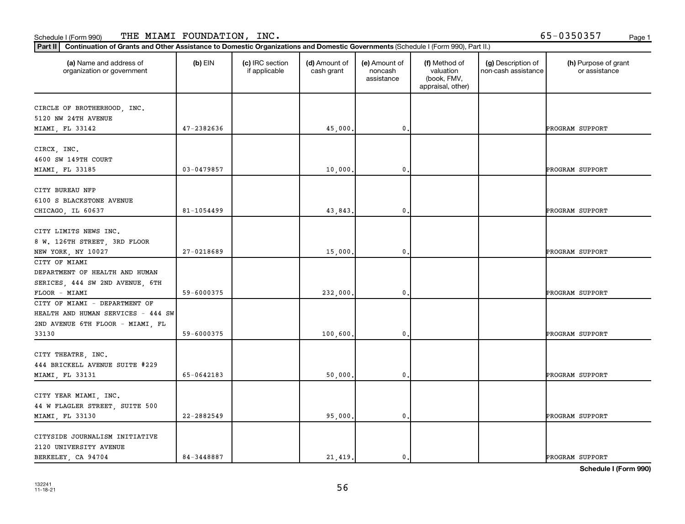| 55-0350357 |  |  |  | Page |
|------------|--|--|--|------|
|            |  |  |  |      |

| Continuation of Grants and Other Assistance to Domestic Organizations and Domestic Governments (Schedule I (Form 990), Part II.)<br>Part II |            |                                  |                             |                                        |                                                                |                                           |                                       |
|---------------------------------------------------------------------------------------------------------------------------------------------|------------|----------------------------------|-----------------------------|----------------------------------------|----------------------------------------------------------------|-------------------------------------------|---------------------------------------|
| (a) Name and address of<br>organization or government                                                                                       | $(b)$ EIN  | (c) IRC section<br>if applicable | (d) Amount of<br>cash grant | (e) Amount of<br>noncash<br>assistance | (f) Method of<br>valuation<br>(book, FMV,<br>appraisal, other) | (g) Description of<br>non-cash assistance | (h) Purpose of grant<br>or assistance |
| CIRCLE OF BROTHERHOOD, INC.                                                                                                                 |            |                                  |                             |                                        |                                                                |                                           |                                       |
| 5120 NW 24TH AVENUE                                                                                                                         |            |                                  |                             |                                        |                                                                |                                           |                                       |
| MIAMI, FL 33142                                                                                                                             | 47-2382636 |                                  | 45,000.                     | $\mathbf 0$                            |                                                                |                                           | PROGRAM SUPPORT                       |
| CIRCX, INC.                                                                                                                                 |            |                                  |                             |                                        |                                                                |                                           |                                       |
| 4600 SW 149TH COURT                                                                                                                         |            |                                  |                             |                                        |                                                                |                                           |                                       |
| MIAMI, FL 33185                                                                                                                             | 03-0479857 |                                  | 10,000.                     | $\mathbf{0}$                           |                                                                |                                           | PROGRAM SUPPORT                       |
|                                                                                                                                             |            |                                  |                             |                                        |                                                                |                                           |                                       |
| CITY BUREAU NFP                                                                                                                             |            |                                  |                             |                                        |                                                                |                                           |                                       |
| 6100 S BLACKSTONE AVENUE                                                                                                                    |            |                                  |                             |                                        |                                                                |                                           |                                       |
| CHICAGO, IL 60637                                                                                                                           | 81-1054499 |                                  | 43,843.                     | 0                                      |                                                                |                                           | PROGRAM SUPPORT                       |
| CITY LIMITS NEWS INC.                                                                                                                       |            |                                  |                             |                                        |                                                                |                                           |                                       |
| 8 W. 126TH STREET, 3RD FLOOR                                                                                                                |            |                                  |                             |                                        |                                                                |                                           |                                       |
| NEW YORK, NY 10027                                                                                                                          | 27-0218689 |                                  | 15,000.                     | $\mathbf 0$                            |                                                                |                                           | PROGRAM SUPPORT                       |
| CITY OF MIAMI                                                                                                                               |            |                                  |                             |                                        |                                                                |                                           |                                       |
| DEPARTMENT OF HEALTH AND HUMAN                                                                                                              |            |                                  |                             |                                        |                                                                |                                           |                                       |
| SERICES, 444 SW 2ND AVENUE, 6TH                                                                                                             |            |                                  |                             |                                        |                                                                |                                           |                                       |
| FLOOR - MIAMI                                                                                                                               | 59-6000375 |                                  | 232,000.                    | 0,                                     |                                                                |                                           | PROGRAM SUPPORT                       |
| CITY OF MIAMI - DEPARTMENT OF                                                                                                               |            |                                  |                             |                                        |                                                                |                                           |                                       |
| HEALTH AND HUMAN SERVICES - 444 SW                                                                                                          |            |                                  |                             |                                        |                                                                |                                           |                                       |
| 2ND AVENUE 6TH FLOOR - MIAMI, FL                                                                                                            |            |                                  |                             |                                        |                                                                |                                           |                                       |
| 33130                                                                                                                                       | 59-6000375 |                                  | 100,600.                    | 0                                      |                                                                |                                           | PROGRAM SUPPORT                       |
|                                                                                                                                             |            |                                  |                             |                                        |                                                                |                                           |                                       |
| CITY THEATRE, INC.                                                                                                                          |            |                                  |                             |                                        |                                                                |                                           |                                       |
| 444 BRICKELL AVENUE SUITE #229                                                                                                              |            |                                  |                             |                                        |                                                                |                                           |                                       |
| MIAMI, FL 33131                                                                                                                             | 65-0642183 |                                  | 50,000.                     | $\mathbf 0$                            |                                                                |                                           | PROGRAM SUPPORT                       |
| CITY YEAR MIAMI, INC.                                                                                                                       |            |                                  |                             |                                        |                                                                |                                           |                                       |
| 44 W FLAGLER STREET, SUITE 500                                                                                                              |            |                                  |                             |                                        |                                                                |                                           |                                       |
| MIAMI, FL 33130                                                                                                                             | 22-2882549 |                                  | 95,000.                     | 0.                                     |                                                                |                                           | PROGRAM SUPPORT                       |
|                                                                                                                                             |            |                                  |                             |                                        |                                                                |                                           |                                       |
| CITYSIDE JOURNALISM INITIATIVE                                                                                                              |            |                                  |                             |                                        |                                                                |                                           |                                       |
| 2120 UNIVERSITY AVENUE                                                                                                                      |            |                                  |                             |                                        |                                                                |                                           |                                       |
| BERKELEY, CA 94704                                                                                                                          | 84-3448887 |                                  | 21,419.                     | 0.                                     |                                                                |                                           | PROGRAM SUPPORT                       |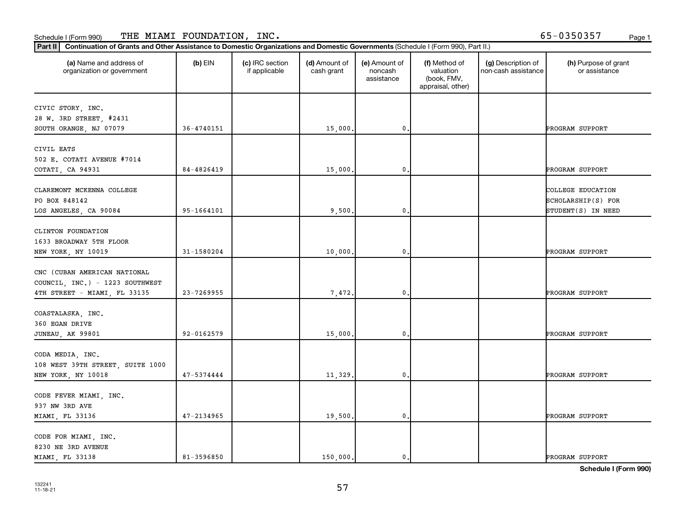| 55-0350357 |  |  |  |  | Page |
|------------|--|--|--|--|------|
|            |  |  |  |  |      |

| Continuation of Grants and Other Assistance to Domestic Organizations and Domestic Governments (Schedule I (Form 990), Part II.)<br>  Part II |            |                                  |                             |                                        |                                                                |                                           |                                                               |
|-----------------------------------------------------------------------------------------------------------------------------------------------|------------|----------------------------------|-----------------------------|----------------------------------------|----------------------------------------------------------------|-------------------------------------------|---------------------------------------------------------------|
| (a) Name and address of<br>organization or government                                                                                         | $(b)$ EIN  | (c) IRC section<br>if applicable | (d) Amount of<br>cash grant | (e) Amount of<br>noncash<br>assistance | (f) Method of<br>valuation<br>(book, FMV,<br>appraisal, other) | (g) Description of<br>non-cash assistance | (h) Purpose of grant<br>or assistance                         |
| CIVIC STORY, INC.<br>28 W. 3RD STREET, #2431<br>SOUTH ORANGE, NJ 07079                                                                        | 36-4740151 |                                  | 15,000.                     | $\mathbf{0}$                           |                                                                |                                           | PROGRAM SUPPORT                                               |
| CIVIL EATS<br>502 E. COTATI AVENUE #7014<br>COTATI, CA 94931                                                                                  | 84-4826419 |                                  | 15,000.                     | $\mathbf{0}$                           |                                                                |                                           | PROGRAM SUPPORT                                               |
| CLAREMONT MCKENNA COLLEGE<br>PO BOX 848142<br>LOS ANGELES, CA 90084                                                                           | 95-1664101 |                                  | 9,500.                      | $\mathbf{0}$                           |                                                                |                                           | COLLEGE EDUCATION<br>SCHOLARSHIP(S) FOR<br>STUDENT(S) IN NEED |
| CLINTON FOUNDATION<br>1633 BROADWAY 5TH FLOOR<br>NEW YORK, NY 10019                                                                           | 31-1580204 |                                  | 10,000.                     | $\mathbf{0}$                           |                                                                |                                           | PROGRAM SUPPORT                                               |
| CNC (CUBAN AMERICAN NATIONAL<br>COUNCIL, INC.) - 1223 SOUTHWEST<br>4TH STREET - MIAMI, FL 33135                                               | 23-7269955 |                                  | 7,472.                      | $\mathfrak o$ .                        |                                                                |                                           | PROGRAM SUPPORT                                               |
| COASTALASKA, INC.<br>360 EGAN DRIVE<br><b>JUNEAU, AK 99801</b>                                                                                | 92-0162579 |                                  | 15,000                      | $\mathfrak o$ .                        |                                                                |                                           | PROGRAM SUPPORT                                               |
| CODA MEDIA, INC.<br>108 WEST 39TH STREET, SUITE 1000<br>NEW YORK, NY 10018                                                                    | 47-5374444 |                                  | 11,329.                     | $\mathbf{0}$                           |                                                                |                                           | PROGRAM SUPPORT                                               |
| CODE FEVER MIAMI, INC.<br>937 NW 3RD AVE<br>MIAMI, FL 33136                                                                                   | 47-2134965 |                                  | 19,500.                     | $\mathbf{0}$                           |                                                                |                                           | PROGRAM SUPPORT                                               |
| CODE FOR MIAMI, INC.<br>8230 NE 3RD AVENUE<br>MIAMI, FL 33138                                                                                 | 81-3596850 |                                  | 150,000.                    | $\mathbf{0}$ .                         |                                                                |                                           | PROGRAM SUPPORT                                               |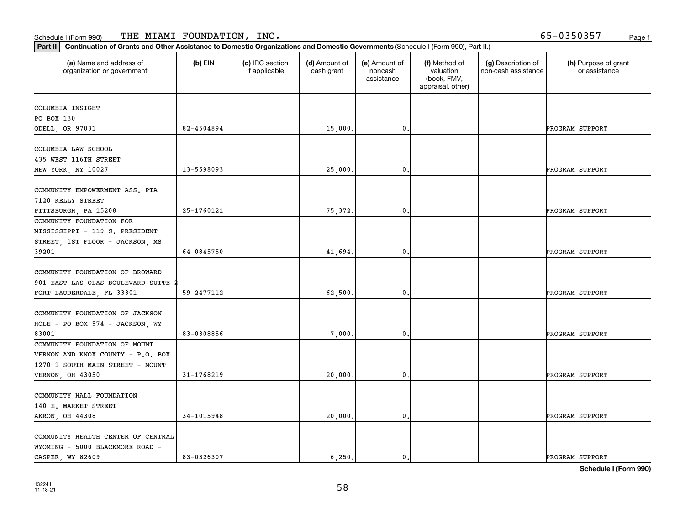| 55-0350357 |  |  |  |  | Page |
|------------|--|--|--|--|------|
|            |  |  |  |  |      |

| (a) Name and address of<br>organization or government | $(b)$ EIN  | (c) IRC section<br>if applicable | (d) Amount of<br>cash grant | (e) Amount of<br>noncash<br>assistance | (f) Method of<br>valuation<br>(book, FMV,<br>appraisal, other) | (g) Description of<br>non-cash assistance | (h) Purpose of grant<br>or assistance |
|-------------------------------------------------------|------------|----------------------------------|-----------------------------|----------------------------------------|----------------------------------------------------------------|-------------------------------------------|---------------------------------------|
| COLUMBIA INSIGHT                                      |            |                                  |                             |                                        |                                                                |                                           |                                       |
| PO BOX 130                                            |            |                                  |                             |                                        |                                                                |                                           |                                       |
| ODELL, OR 97031                                       | 82-4504894 |                                  | 15,000                      | $\mathbf 0$                            |                                                                |                                           | PROGRAM SUPPORT                       |
| COLUMBIA LAW SCHOOL                                   |            |                                  |                             |                                        |                                                                |                                           |                                       |
| 435 WEST 116TH STREET                                 |            |                                  |                             |                                        |                                                                |                                           |                                       |
| NEW YORK, NY 10027                                    | 13-5598093 |                                  | 25,000                      | $\mathbf 0$                            |                                                                |                                           | PROGRAM SUPPORT                       |
| COMMUNITY EMPOWERMENT ASS. PTA                        |            |                                  |                             |                                        |                                                                |                                           |                                       |
| 7120 KELLY STREET                                     |            |                                  |                             |                                        |                                                                |                                           |                                       |
| PITTSBURGH, PA 15208                                  | 25-1760121 |                                  | 75,372.                     | $\mathbf 0$                            |                                                                |                                           | PROGRAM SUPPORT                       |
| COMMUNITY FOUNDATION FOR                              |            |                                  |                             |                                        |                                                                |                                           |                                       |
| MISSISSIPPI - 119 S. PRESIDENT                        |            |                                  |                             |                                        |                                                                |                                           |                                       |
| STREET, 1ST FLOOR - JACKSON, MS                       |            |                                  |                             |                                        |                                                                |                                           |                                       |
| 39201                                                 | 64-0845750 |                                  | 41,694.                     | $\mathbf 0$                            |                                                                |                                           | PROGRAM SUPPORT                       |
|                                                       |            |                                  |                             |                                        |                                                                |                                           |                                       |
| COMMUNITY FOUNDATION OF BROWARD                       |            |                                  |                             |                                        |                                                                |                                           |                                       |
| 901 EAST LAS OLAS BOULEVARD SUITE                     |            |                                  |                             |                                        |                                                                |                                           |                                       |
| FORT LAUDERDALE, FL 33301                             | 59-2477112 |                                  | 62,500                      | $\mathbf 0$                            |                                                                |                                           | PROGRAM SUPPORT                       |
|                                                       |            |                                  |                             |                                        |                                                                |                                           |                                       |
| COMMUNITY FOUNDATION OF JACKSON                       |            |                                  |                             |                                        |                                                                |                                           |                                       |
| HOLE - PO BOX 574 - JACKSON, WY                       |            |                                  |                             |                                        |                                                                |                                           |                                       |
| 83001                                                 | 83-0308856 |                                  | 7,000                       | $\mathbf 0$                            |                                                                |                                           | PROGRAM SUPPORT                       |
| COMMUNITY FOUNDATION OF MOUNT                         |            |                                  |                             |                                        |                                                                |                                           |                                       |
| VERNON AND KNOX COUNTY - P.O. BOX                     |            |                                  |                             |                                        |                                                                |                                           |                                       |
| 1270 1 SOUTH MAIN STREET - MOUNT                      |            |                                  |                             |                                        |                                                                |                                           |                                       |
| VERNON, OH 43050                                      | 31-1768219 |                                  | 20,000                      | $\mathbf{0}$                           |                                                                |                                           | PROGRAM SUPPORT                       |
| COMMUNITY HALL FOUNDATION                             |            |                                  |                             |                                        |                                                                |                                           |                                       |
| 140 E. MARKET STREET                                  |            |                                  |                             |                                        |                                                                |                                           |                                       |
| AKRON, OH 44308                                       | 34-1015948 |                                  | 20,000                      | $\mathbf{0}$                           |                                                                |                                           | PROGRAM SUPPORT                       |
|                                                       |            |                                  |                             |                                        |                                                                |                                           |                                       |
| COMMUNITY HEALTH CENTER OF CENTRAL                    |            |                                  |                             |                                        |                                                                |                                           |                                       |
| WYOMING - 5000 BLACKMORE ROAD -                       |            |                                  |                             |                                        |                                                                |                                           |                                       |
| CASPER, WY 82609                                      | 83-0326307 |                                  | 6, 250.                     | 0.                                     |                                                                |                                           | PROGRAM SUPPORT                       |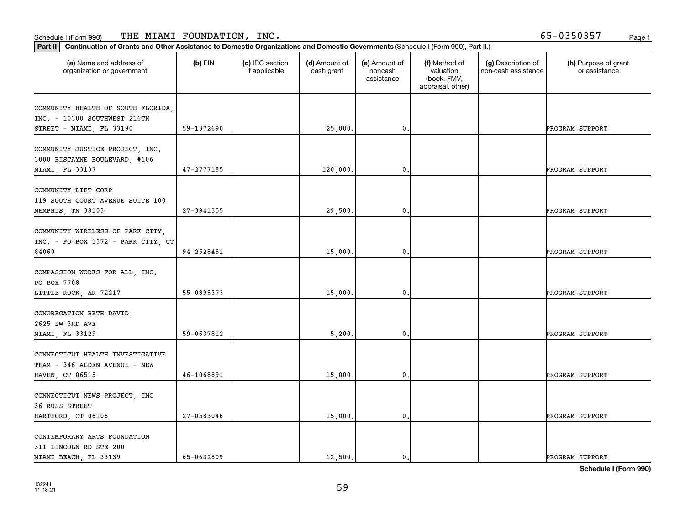**Part II Continuation of Grants and Other Assistance to Domestic Organizations and Domestic Governments**  (Schedule I (Form 990), Part II.)

⊤

Τ

**Schedule I (Form 990)**

| (a) Name and address of<br>organization or government                                            | $(b)$ EIN  | (c) IRC section<br>if applicable | (d) Amount of<br>cash grant | (e) Amount of<br>noncash<br>assistance | (f) Method of<br>valuation<br>(book, FMV,<br>appraisal, other) | (g) Description of<br>non-cash assistance | (h) Purpose of grant<br>or assistance |
|--------------------------------------------------------------------------------------------------|------------|----------------------------------|-----------------------------|----------------------------------------|----------------------------------------------------------------|-------------------------------------------|---------------------------------------|
| COMMUNITY HEALTH OF SOUTH FLORIDA,<br>$INC. - 10300$ SOUTHWEST 216TH<br>STREET - MIAMI, FL 33190 | 59-1372690 |                                  | 25,000                      | $\mathbf{0}$                           |                                                                |                                           | PROGRAM SUPPORT                       |
| COMMUNITY JUSTICE PROJECT, INC.<br>3000 BISCAYNE BOULEVARD, #106<br>MIAMI, FL 33137              | 47-2777185 |                                  | 120,000                     | 0.                                     |                                                                |                                           | PROGRAM SUPPORT                       |
| COMMUNITY LIFT CORP<br>119 SOUTH COURT AVENUE SUITE 100<br>MEMPHIS, TN 38103                     | 27-3941355 |                                  | 29,500                      | $\mathbf{0}$ .                         |                                                                |                                           | PROGRAM SUPPORT                       |
| COMMUNITY WIRELESS OF PARK CITY,<br>INC. - PO BOX 1372 - PARK CITY, UT<br>84060                  | 94-2528451 |                                  | 15,000                      | $\mathbf{0}$                           |                                                                |                                           | PROGRAM SUPPORT                       |
| COMPASSION WORKS FOR ALL, INC.<br>PO BOX 7708<br>LITTLE ROCK, AR 72217                           | 55-0895373 |                                  | 15,000                      | $\mathbf{0}$                           |                                                                |                                           | PROGRAM SUPPORT                       |
| CONGREGATION BETH DAVID<br>2625 SW 3RD AVE<br>MIAMI, FL 33129                                    | 59-0637812 |                                  | 5,200                       | 0.                                     |                                                                |                                           | PROGRAM SUPPORT                       |
| CONNECTICUT HEALTH INVESTIGATIVE<br>TEAM - 346 ALDEN AVENUE - NEW<br>HAVEN, CT 06515             | 46-1068891 |                                  | 15,000                      | $\mathbf{0}$ .                         |                                                                |                                           | PROGRAM SUPPORT                       |
| CONNECTICUT NEWS PROJECT, INC<br>36 RUSS STREET<br>HARTFORD, CT 06106                            | 27-0583046 |                                  | 15,000                      | $\mathbf{0}$ .                         |                                                                |                                           | PROGRAM SUPPORT                       |
| CONTEMPORARY ARTS FOUNDATION<br>311 LINCOLN RD STE 200<br>MIAMI BEACH, FL 33139                  | 65-0632809 |                                  | 12,500.                     | $\mathbf{0}$ .                         |                                                                |                                           | PROGRAM SUPPORT                       |

┯

132241 11-18-21

59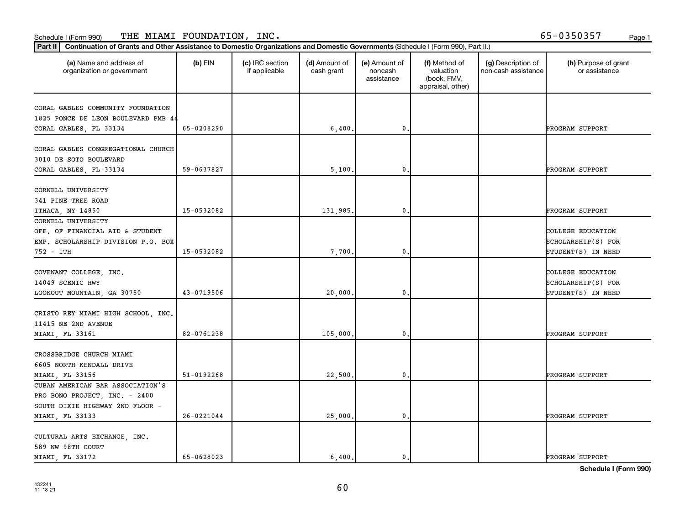| 55-0350357 |  |  |  |  | Page |
|------------|--|--|--|--|------|
|------------|--|--|--|--|------|

| (a) Name and address of<br>organization or government | $(b)$ EIN  | (c) IRC section<br>if applicable | (d) Amount of<br>cash grant | (e) Amount of<br>noncash<br>assistance | (f) Method of<br>valuation<br>(book, FMV,<br>appraisal, other) | (g) Description of<br>non-cash assistance | (h) Purpose of grant<br>or assistance |
|-------------------------------------------------------|------------|----------------------------------|-----------------------------|----------------------------------------|----------------------------------------------------------------|-------------------------------------------|---------------------------------------|
| CORAL GABLES COMMUNITY FOUNDATION                     |            |                                  |                             |                                        |                                                                |                                           |                                       |
| 1825 PONCE DE LEON BOULEVARD PMB 44                   |            |                                  |                             |                                        |                                                                |                                           |                                       |
| CORAL GABLES, FL 33134                                | 65-0208290 |                                  | 6,400                       | $\mathbf{0}$                           |                                                                |                                           | PROGRAM SUPPORT                       |
|                                                       |            |                                  |                             |                                        |                                                                |                                           |                                       |
| CORAL GABLES CONGREGATIONAL CHURCH                    |            |                                  |                             |                                        |                                                                |                                           |                                       |
| 3010 DE SOTO BOULEVARD                                |            |                                  |                             |                                        |                                                                |                                           |                                       |
| CORAL GABLES, FL 33134                                | 59-0637827 |                                  | 5,100                       | $\mathbf 0$                            |                                                                |                                           | PROGRAM SUPPORT                       |
|                                                       |            |                                  |                             |                                        |                                                                |                                           |                                       |
| CORNELL UNIVERSITY                                    |            |                                  |                             |                                        |                                                                |                                           |                                       |
| 341 PINE TREE ROAD                                    |            |                                  |                             |                                        |                                                                |                                           |                                       |
| ITHACA, NY 14850                                      | 15-0532082 |                                  | 131,985.                    | $\mathbf 0$                            |                                                                |                                           | PROGRAM SUPPORT                       |
| CORNELL UNIVERSITY                                    |            |                                  |                             |                                        |                                                                |                                           |                                       |
| OFF. OF FINANCIAL AID & STUDENT                       |            |                                  |                             |                                        |                                                                |                                           | COLLEGE EDUCATION                     |
| EMP. SCHOLARSHIP DIVISION P.O. BOX                    |            |                                  |                             |                                        |                                                                |                                           | SCHOLARSHIP(S) FOR                    |
| 752 - ITH                                             | 15-0532082 |                                  | 7,700                       | $\mathbf 0$                            |                                                                |                                           | STUDENT(S) IN NEED                    |
|                                                       |            |                                  |                             |                                        |                                                                |                                           |                                       |
| COVENANT COLLEGE, INC.                                |            |                                  |                             |                                        |                                                                |                                           | COLLEGE EDUCATION                     |
| 14049 SCENIC HWY                                      |            |                                  |                             |                                        |                                                                |                                           | SCHOLARSHIP(S) FOR                    |
| LOOKOUT MOUNTAIN, GA 30750                            | 43-0719506 |                                  | 20,000                      | $\mathbf{0}$                           |                                                                |                                           | STUDENT(S) IN NEED                    |
| CRISTO REY MIAMI HIGH SCHOOL, INC.                    |            |                                  |                             |                                        |                                                                |                                           |                                       |
| 11415 NE 2ND AVENUE                                   |            |                                  |                             |                                        |                                                                |                                           |                                       |
| MIAMI, FL 33161                                       | 82-0761238 |                                  | 105,000.                    | $\mathbf 0$                            |                                                                |                                           | PROGRAM SUPPORT                       |
|                                                       |            |                                  |                             |                                        |                                                                |                                           |                                       |
| CROSSBRIDGE CHURCH MIAMI                              |            |                                  |                             |                                        |                                                                |                                           |                                       |
| 6605 NORTH KENDALL DRIVE                              |            |                                  |                             |                                        |                                                                |                                           |                                       |
| MIAMI, FL 33156                                       | 51-0192268 |                                  | 22,500                      | $\mathbf 0$                            |                                                                |                                           | PROGRAM SUPPORT                       |
| CUBAN AMERICAN BAR ASSOCIATION'S                      |            |                                  |                             |                                        |                                                                |                                           |                                       |
| PRO BONO PROJECT, INC. - 2400                         |            |                                  |                             |                                        |                                                                |                                           |                                       |
| SOUTH DIXIE HIGHWAY 2ND FLOOR -                       |            |                                  |                             |                                        |                                                                |                                           |                                       |
| MIAMI, FL 33133                                       | 26-0221044 |                                  | 25,000.                     | $\mathbf 0$                            |                                                                |                                           | PROGRAM SUPPORT                       |
|                                                       |            |                                  |                             |                                        |                                                                |                                           |                                       |
| CULTURAL ARTS EXCHANGE, INC.                          |            |                                  |                             |                                        |                                                                |                                           |                                       |
| 589 NW 98TH COURT                                     |            |                                  |                             |                                        |                                                                |                                           |                                       |
| MIAMI, FL 33172                                       | 65-0628023 |                                  | 6,400.                      | $\mathbf{0}$ .                         |                                                                |                                           | PROGRAM SUPPORT                       |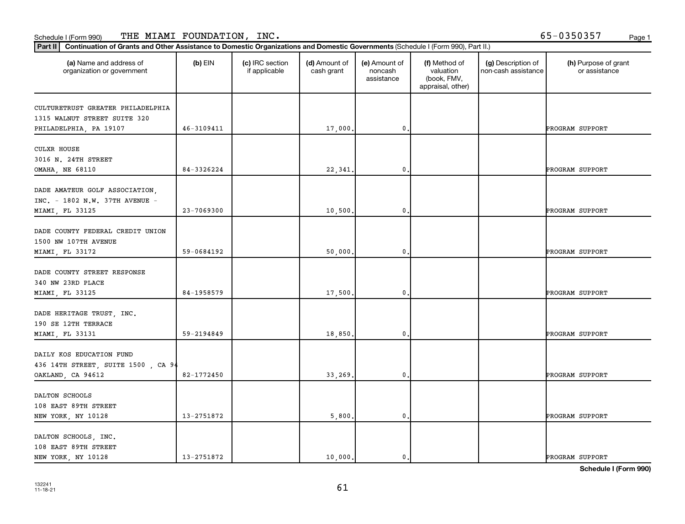| 55-0350357 |  |  |  | Page |
|------------|--|--|--|------|
|            |  |  |  |      |

| (a) Name and address of<br>organization or government | $(b)$ EIN  | (c) IRC section<br>if applicable | (d) Amount of<br>cash grant | (e) Amount of<br>noncash | (f) Method of<br>valuation       | (g) Description of<br>non-cash assistance | (h) Purpose of grant<br>or assistance |
|-------------------------------------------------------|------------|----------------------------------|-----------------------------|--------------------------|----------------------------------|-------------------------------------------|---------------------------------------|
|                                                       |            |                                  |                             | assistance               | (book, FMV,<br>appraisal, other) |                                           |                                       |
| CULTURETRUST GREATER PHILADELPHIA                     |            |                                  |                             |                          |                                  |                                           |                                       |
| 1315 WALNUT STREET SUITE 320                          |            |                                  |                             |                          |                                  |                                           |                                       |
| PHILADELPHIA, PA 19107                                | 46-3109411 |                                  | 17,000.                     | $\mathbf 0$              |                                  |                                           | PROGRAM SUPPORT                       |
| CULXR HOUSE                                           |            |                                  |                             |                          |                                  |                                           |                                       |
| 3016 N. 24TH STREET                                   |            |                                  |                             |                          |                                  |                                           |                                       |
| OMAHA, NE 68110                                       | 84-3326224 |                                  | 22,341                      | $\mathbf 0$              |                                  |                                           | PROGRAM SUPPORT                       |
| DADE AMATEUR GOLF ASSOCIATION,                        |            |                                  |                             |                          |                                  |                                           |                                       |
| INC. - 1802 N.W. 37TH AVENUE -                        |            |                                  |                             |                          |                                  |                                           |                                       |
| MIAMI, FL 33125                                       | 23-7069300 |                                  | 10,500.                     | $\mathbf 0$              |                                  |                                           | PROGRAM SUPPORT                       |
|                                                       |            |                                  |                             |                          |                                  |                                           |                                       |
| DADE COUNTY FEDERAL CREDIT UNION                      |            |                                  |                             |                          |                                  |                                           |                                       |
| 1500 NW 107TH AVENUE                                  |            |                                  |                             |                          |                                  |                                           |                                       |
| MIAMI, FL 33172                                       | 59-0684192 |                                  | 50,000.                     | 0.                       |                                  |                                           | PROGRAM SUPPORT                       |
| DADE COUNTY STREET RESPONSE                           |            |                                  |                             |                          |                                  |                                           |                                       |
| 340 NW 23RD PLACE                                     |            |                                  |                             |                          |                                  |                                           |                                       |
| MIAMI, FL 33125                                       | 84-1958579 |                                  | 17,500.                     | $\mathbf 0$              |                                  |                                           | PROGRAM SUPPORT                       |
|                                                       |            |                                  |                             |                          |                                  |                                           |                                       |
| DADE HERITAGE TRUST, INC.                             |            |                                  |                             |                          |                                  |                                           |                                       |
| 190 SE 12TH TERRACE                                   |            |                                  |                             |                          |                                  |                                           |                                       |
| MIAMI, FL 33131                                       | 59-2194849 |                                  | 18,850.                     | $\mathbf 0$              |                                  |                                           | PROGRAM SUPPORT                       |
| DAILY KOS EDUCATION FUND                              |            |                                  |                             |                          |                                  |                                           |                                       |
| 436 14TH STREET, SUITE 1500, CA 94                    |            |                                  |                             |                          |                                  |                                           |                                       |
| OAKLAND, CA 94612                                     | 82-1772450 |                                  | 33,269.                     | 0.                       |                                  |                                           | PROGRAM SUPPORT                       |
|                                                       |            |                                  |                             |                          |                                  |                                           |                                       |
| DALTON SCHOOLS                                        |            |                                  |                             |                          |                                  |                                           |                                       |
| 108 EAST 89TH STREET                                  |            |                                  |                             |                          |                                  |                                           |                                       |
| NEW YORK, NY 10128                                    | 13-2751872 |                                  | 5,800.                      | 0.                       |                                  |                                           | PROGRAM SUPPORT                       |
| DALTON SCHOOLS, INC.                                  |            |                                  |                             |                          |                                  |                                           |                                       |
| 108 EAST 89TH STREET                                  |            |                                  |                             |                          |                                  |                                           |                                       |
| NEW YORK, NY 10128                                    | 13-2751872 |                                  | 10,000.                     | 0.                       |                                  |                                           | PROGRAM SUPPORT                       |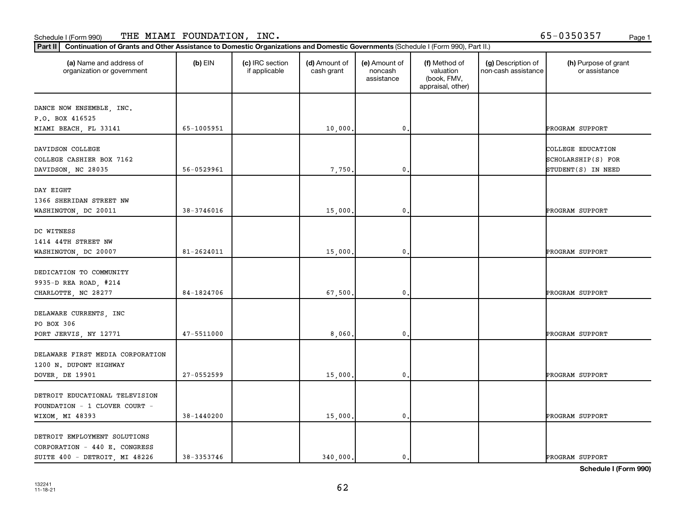|  | 55-0350357 |  |  |  |  |  |  |  | Page |
|--|------------|--|--|--|--|--|--|--|------|
|--|------------|--|--|--|--|--|--|--|------|

| Continuation of Grants and Other Assistance to Domestic Organizations and Domestic Governments (Schedule I (Form 990), Part II.)<br>Part II |            |                                  |                             |                                        |                                                                |                                           |                                                               |
|---------------------------------------------------------------------------------------------------------------------------------------------|------------|----------------------------------|-----------------------------|----------------------------------------|----------------------------------------------------------------|-------------------------------------------|---------------------------------------------------------------|
| (a) Name and address of<br>organization or government                                                                                       | $(b)$ EIN  | (c) IRC section<br>if applicable | (d) Amount of<br>cash grant | (e) Amount of<br>noncash<br>assistance | (f) Method of<br>valuation<br>(book, FMV,<br>appraisal, other) | (g) Description of<br>non-cash assistance | (h) Purpose of grant<br>or assistance                         |
| DANCE NOW ENSEMBLE, INC.<br>P.O. BOX 416525                                                                                                 |            |                                  |                             |                                        |                                                                |                                           |                                                               |
| MIAMI BEACH, FL 33141                                                                                                                       | 65-1005951 |                                  | 10,000.                     | 0.                                     |                                                                |                                           | PROGRAM SUPPORT                                               |
| DAVIDSON COLLEGE<br>COLLEGE CASHIER BOX 7162<br>DAVIDSON, NC 28035                                                                          | 56-0529961 |                                  | 7,750.                      | $\mathbf{0}$                           |                                                                |                                           | COLLEGE EDUCATION<br>SCHOLARSHIP(S) FOR<br>STUDENT(S) IN NEED |
| DAY EIGHT<br>1366 SHERIDAN STREET NW<br>WASHINGTON, DC 20011                                                                                | 38-3746016 |                                  | 15,000.                     | $\mathbf{0}$                           |                                                                |                                           | PROGRAM SUPPORT                                               |
| DC WITNESS<br>1414 44TH STREET NW<br>WASHINGTON, DC 20007                                                                                   | 81-2624011 |                                  | 15,000.                     | $\mathbf{0}$ .                         |                                                                |                                           | PROGRAM SUPPORT                                               |
| DEDICATION TO COMMUNITY<br>9935-D REA ROAD, #214<br>CHARLOTTE, NC 28277                                                                     | 84-1824706 |                                  | 67,500.                     | $\mathbf{0}$                           |                                                                |                                           | PROGRAM SUPPORT                                               |
| DELAWARE CURRENTS, INC<br>PO BOX 306<br>PORT JERVIS, NY 12771                                                                               | 47-5511000 |                                  | 8,060,                      | $\mathbf{0}$                           |                                                                |                                           | PROGRAM SUPPORT                                               |
| DELAWARE FIRST MEDIA CORPORATION<br>1200 N. DUPONT HIGHWAY<br>DOVER, DE 19901                                                               | 27-0552599 |                                  | 15,000.                     | 0.                                     |                                                                |                                           | PROGRAM SUPPORT                                               |
| DETROIT EDUCATIONAL TELEVISION<br>FOUNDATION - 1 CLOVER COURT -<br>WIXOM, MI 48393                                                          | 38-1440200 |                                  | 15,000.                     | $\mathbf 0$                            |                                                                |                                           | PROGRAM SUPPORT                                               |
| DETROIT EMPLOYMENT SOLUTIONS<br>CORPORATION - 440 E. CONGRESS<br>SUITE 400 - DETROIT, MI 48226                                              | 38-3353746 |                                  | 340.000.                    | $\mathbf{0}$ .                         |                                                                |                                           | PROGRAM SUPPORT                                               |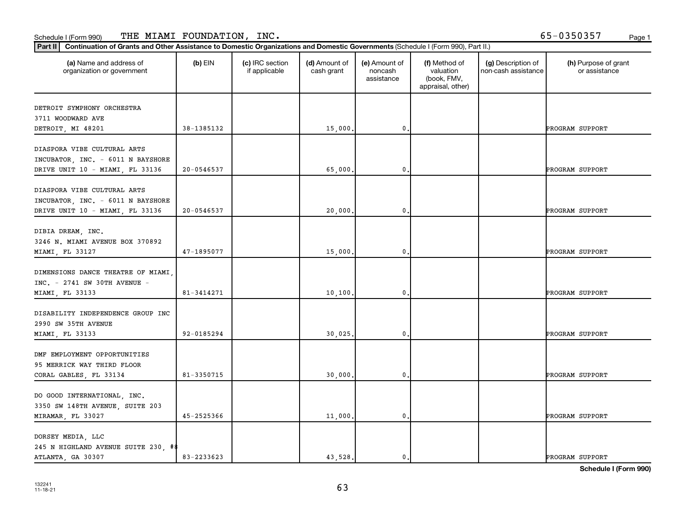| 55-0350357 |  |  |  |  | Page |
|------------|--|--|--|--|------|
|            |  |  |  |  |      |

| Continuation of Grants and Other Assistance to Domestic Organizations and Domestic Governments (Schedule I (Form 990), Part II.)<br>Part II |                |                                  |                             |                                        |                                                                |                                           |                                       |
|---------------------------------------------------------------------------------------------------------------------------------------------|----------------|----------------------------------|-----------------------------|----------------------------------------|----------------------------------------------------------------|-------------------------------------------|---------------------------------------|
| (a) Name and address of<br>organization or government                                                                                       | $(b)$ EIN      | (c) IRC section<br>if applicable | (d) Amount of<br>cash grant | (e) Amount of<br>noncash<br>assistance | (f) Method of<br>valuation<br>(book, FMV,<br>appraisal, other) | (g) Description of<br>non-cash assistance | (h) Purpose of grant<br>or assistance |
| DETROIT SYMPHONY ORCHESTRA<br>3711 WOODWARD AVE<br>DETROIT, MI 48201                                                                        | 38-1385132     |                                  | 15,000.                     | $\mathbf 0$                            |                                                                |                                           | PROGRAM SUPPORT                       |
| DIASPORA VIBE CULTURAL ARTS<br>INCUBATOR, INC. - 6011 N BAYSHORE<br>DRIVE UNIT 10 - MIAMI, FL 33136                                         | $20 - 0546537$ |                                  | 65,000                      | $\mathbf{0}$                           |                                                                |                                           | PROGRAM SUPPORT                       |
| DIASPORA VIBE CULTURAL ARTS<br>INCUBATOR, INC. - 6011 N BAYSHORE<br>DRIVE UNIT 10 - MIAMI, FL 33136                                         | 20-0546537     |                                  | 20,000                      | $\mathbf{0}$                           |                                                                |                                           | PROGRAM SUPPORT                       |
| DIBIA DREAM, INC.<br>3246 N. MIAMI AVENUE BOX 370892<br>MIAMI, FL 33127                                                                     | 47-1895077     |                                  | 15,000.                     | $\mathbf 0$                            |                                                                |                                           | PROGRAM SUPPORT                       |
| DIMENSIONS DANCE THEATRE OF MIAMI,<br>INC. - 2741 SW 30TH AVENUE -<br>MIAMI, FL 33133                                                       | 81-3414271     |                                  | 10, 100.                    | $\mathbf{0}$                           |                                                                |                                           | PROGRAM SUPPORT                       |
| DISABILITY INDEPENDENCE GROUP INC<br>2990 SW 35TH AVENUE<br>MIAMI, FL 33133                                                                 | 92-0185294     |                                  | 30,025.                     | $\mathfrak o$ .                        |                                                                |                                           | PROGRAM SUPPORT                       |
| DMF EMPLOYMENT OPPORTUNITIES<br>95 MERRICK WAY THIRD FLOOR<br>CORAL GABLES, FL 33134                                                        | 81-3350715     |                                  | 30,000.                     | $\mathbf{0}$                           |                                                                |                                           | PROGRAM SUPPORT                       |
| DO GOOD INTERNATIONAL, INC.<br>3350 SW 148TH AVENUE, SUITE 203<br>MIRAMAR, FL 33027                                                         | 45-2525366     |                                  | 11,000.                     | $\mathbf 0$ .                          |                                                                |                                           | PROGRAM SUPPORT                       |
| DORSEY MEDIA, LLC<br>245 N HIGHLAND AVENUE SUITE 230, #\$<br>ATLANTA, GA 30307                                                              | 83-2233623     |                                  | 43.528.                     | $\mathbf{0}$ .                         |                                                                |                                           | PROGRAM SUPPORT                       |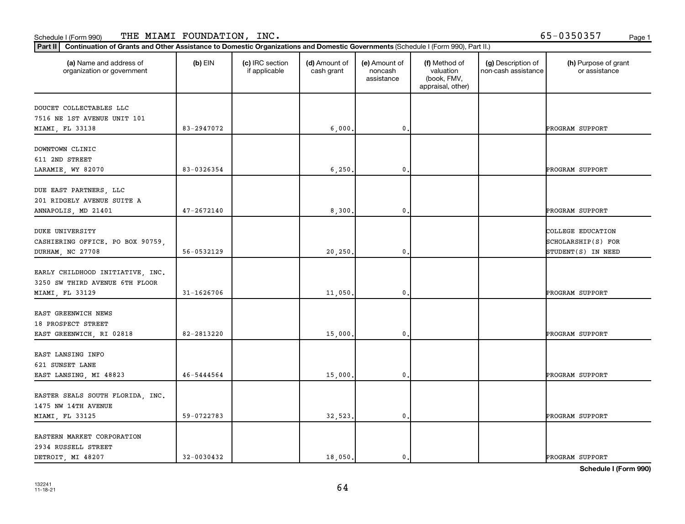| 55-0350357 | Page |
|------------|------|
|------------|------|

| Continuation of Grants and Other Assistance to Domestic Organizations and Domestic Governments (Schedule I (Form 990), Part II.)<br>Part II |            |                                  |                             |                                        |                                                                |                                           |                                       |
|---------------------------------------------------------------------------------------------------------------------------------------------|------------|----------------------------------|-----------------------------|----------------------------------------|----------------------------------------------------------------|-------------------------------------------|---------------------------------------|
| (a) Name and address of<br>organization or government                                                                                       | $(b)$ EIN  | (c) IRC section<br>if applicable | (d) Amount of<br>cash grant | (e) Amount of<br>noncash<br>assistance | (f) Method of<br>valuation<br>(book, FMV,<br>appraisal, other) | (g) Description of<br>non-cash assistance | (h) Purpose of grant<br>or assistance |
| DOUCET COLLECTABLES LLC                                                                                                                     |            |                                  |                             |                                        |                                                                |                                           |                                       |
| 7516 NE 1ST AVENUE UNIT 101                                                                                                                 |            |                                  |                             |                                        |                                                                |                                           |                                       |
| MIAMI, FL 33138                                                                                                                             | 83-2947072 |                                  | 6,000.                      | 0.                                     |                                                                |                                           | PROGRAM SUPPORT                       |
|                                                                                                                                             |            |                                  |                             |                                        |                                                                |                                           |                                       |
| DOWNTOWN CLINIC                                                                                                                             |            |                                  |                             |                                        |                                                                |                                           |                                       |
| 611 2ND STREET                                                                                                                              |            |                                  |                             |                                        |                                                                |                                           |                                       |
| LARAMIE, WY 82070                                                                                                                           | 83-0326354 |                                  | 6,250                       | 0.                                     |                                                                |                                           | PROGRAM SUPPORT                       |
|                                                                                                                                             |            |                                  |                             |                                        |                                                                |                                           |                                       |
| DUE EAST PARTNERS, LLC                                                                                                                      |            |                                  |                             |                                        |                                                                |                                           |                                       |
| 201 RIDGELY AVENUE SUITE A                                                                                                                  | 47-2672140 |                                  |                             | $\mathbf 0$                            |                                                                |                                           | PROGRAM SUPPORT                       |
| ANNAPOLIS, MD 21401                                                                                                                         |            |                                  | 8,300                       |                                        |                                                                |                                           |                                       |
| DUKE UNIVERSITY                                                                                                                             |            |                                  |                             |                                        |                                                                |                                           | COLLEGE EDUCATION                     |
| CASHIERING OFFICE. PO BOX 90759,                                                                                                            |            |                                  |                             |                                        |                                                                |                                           | SCHOLARSHIP(S) FOR                    |
| DURHAM, NC 27708                                                                                                                            | 56-0532129 |                                  | 20, 250.                    | 0.                                     |                                                                |                                           | STUDENT(S) IN NEED                    |
|                                                                                                                                             |            |                                  |                             |                                        |                                                                |                                           |                                       |
| EARLY CHILDHOOD INITIATIVE, INC.                                                                                                            |            |                                  |                             |                                        |                                                                |                                           |                                       |
| 3250 SW THIRD AVENUE 6TH FLOOR                                                                                                              |            |                                  |                             |                                        |                                                                |                                           |                                       |
| MIAMI, FL 33129                                                                                                                             | 31-1626706 |                                  | 11,050                      | $\mathbf 0$                            |                                                                |                                           | PROGRAM SUPPORT                       |
|                                                                                                                                             |            |                                  |                             |                                        |                                                                |                                           |                                       |
| EAST GREENWICH NEWS                                                                                                                         |            |                                  |                             |                                        |                                                                |                                           |                                       |
| 18 PROSPECT STREET                                                                                                                          |            |                                  |                             |                                        |                                                                |                                           |                                       |
| EAST GREENWICH, RI 02818                                                                                                                    | 82-2813220 |                                  | 15,000                      | $\mathbf 0$                            |                                                                |                                           | PROGRAM SUPPORT                       |
|                                                                                                                                             |            |                                  |                             |                                        |                                                                |                                           |                                       |
| EAST LANSING INFO                                                                                                                           |            |                                  |                             |                                        |                                                                |                                           |                                       |
| 621 SUNSET LANE                                                                                                                             |            |                                  |                             |                                        |                                                                |                                           |                                       |
| EAST LANSING, MI 48823                                                                                                                      | 46-5444564 |                                  | 15,000                      | 0.                                     |                                                                |                                           | PROGRAM SUPPORT                       |
|                                                                                                                                             |            |                                  |                             |                                        |                                                                |                                           |                                       |
| EASTER SEALS SOUTH FLORIDA, INC.                                                                                                            |            |                                  |                             |                                        |                                                                |                                           |                                       |
| 1475 NW 14TH AVENUE                                                                                                                         | 59-0722783 |                                  |                             |                                        |                                                                |                                           |                                       |
| MIAMI, FL 33125                                                                                                                             |            |                                  | 32,523.                     | $\mathbf 0$                            |                                                                |                                           | PROGRAM SUPPORT                       |
| EASTERN MARKET CORPORATION                                                                                                                  |            |                                  |                             |                                        |                                                                |                                           |                                       |
| 2934 RUSSELL STREET                                                                                                                         |            |                                  |                             |                                        |                                                                |                                           |                                       |
| DETROIT, MI 48207                                                                                                                           | 32-0030432 |                                  | 18,050.                     | 0.                                     |                                                                |                                           | PROGRAM SUPPORT                       |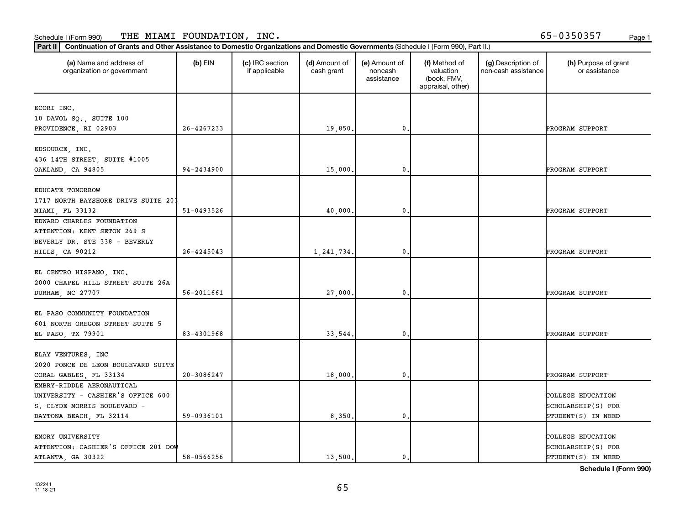| 55-0350357 |  |  |  |  | Page |
|------------|--|--|--|--|------|
|            |  |  |  |  |      |

| Part II   Continuation of Grants and Other Assistance to Domestic Organizations and Domestic Governments (Schedule I (Form 990), Part II.) |            |                                  |                             |                                        |                                                                |                                           |                                       |
|--------------------------------------------------------------------------------------------------------------------------------------------|------------|----------------------------------|-----------------------------|----------------------------------------|----------------------------------------------------------------|-------------------------------------------|---------------------------------------|
| (a) Name and address of<br>organization or government                                                                                      | $(b)$ EIN  | (c) IRC section<br>if applicable | (d) Amount of<br>cash grant | (e) Amount of<br>noncash<br>assistance | (f) Method of<br>valuation<br>(book, FMV,<br>appraisal, other) | (g) Description of<br>non-cash assistance | (h) Purpose of grant<br>or assistance |
| ECORI INC.                                                                                                                                 |            |                                  |                             |                                        |                                                                |                                           |                                       |
| 10 DAVOL SQ., SUITE 100                                                                                                                    |            |                                  |                             |                                        |                                                                |                                           |                                       |
| PROVIDENCE, RI 02903                                                                                                                       | 26-4267233 |                                  | 19,850.                     | $\mathbf 0$ .                          |                                                                |                                           | PROGRAM SUPPORT                       |
|                                                                                                                                            |            |                                  |                             |                                        |                                                                |                                           |                                       |
| EDSOURCE, INC.                                                                                                                             |            |                                  |                             |                                        |                                                                |                                           |                                       |
| 436 14TH STREET, SUITE #1005                                                                                                               |            |                                  |                             |                                        |                                                                |                                           |                                       |
| OAKLAND, CA 94805                                                                                                                          | 94-2434900 |                                  | 15,000                      | $\mathbf 0$                            |                                                                |                                           | PROGRAM SUPPORT                       |
|                                                                                                                                            |            |                                  |                             |                                        |                                                                |                                           |                                       |
| EDUCATE TOMORROW                                                                                                                           |            |                                  |                             |                                        |                                                                |                                           |                                       |
| 1717 NORTH BAYSHORE DRIVE SUITE 203                                                                                                        |            |                                  |                             |                                        |                                                                |                                           |                                       |
| MIAMI, FL 33132                                                                                                                            | 51-0493526 |                                  | 40,000.                     | 0.                                     |                                                                |                                           | PROGRAM SUPPORT                       |
| EDWARD CHARLES FOUNDATION                                                                                                                  |            |                                  |                             |                                        |                                                                |                                           |                                       |
| ATTENTION: KENT SETON 269 S                                                                                                                |            |                                  |                             |                                        |                                                                |                                           |                                       |
| BEVERLY DR. STE 338 - BEVERLY                                                                                                              |            |                                  |                             |                                        |                                                                |                                           |                                       |
| HILLS, CA 90212                                                                                                                            | 26-4245043 |                                  | 1,241,734.                  | $\mathbf 0$                            |                                                                |                                           | PROGRAM SUPPORT                       |
|                                                                                                                                            |            |                                  |                             |                                        |                                                                |                                           |                                       |
| EL CENTRO HISPANO, INC.                                                                                                                    |            |                                  |                             |                                        |                                                                |                                           |                                       |
| 2000 CHAPEL HILL STREET SUITE 26A                                                                                                          | 56-2011661 |                                  |                             | $\mathbf 0$                            |                                                                |                                           | PROGRAM SUPPORT                       |
| DURHAM, NC 27707                                                                                                                           |            |                                  | 27,000                      |                                        |                                                                |                                           |                                       |
| EL PASO COMMUNITY FOUNDATION                                                                                                               |            |                                  |                             |                                        |                                                                |                                           |                                       |
| 601 NORTH OREGON STREET SUITE 5                                                                                                            |            |                                  |                             |                                        |                                                                |                                           |                                       |
| EL PASO, TX 79901                                                                                                                          | 83-4301968 |                                  | 33,544                      | 0,                                     |                                                                |                                           | PROGRAM SUPPORT                       |
|                                                                                                                                            |            |                                  |                             |                                        |                                                                |                                           |                                       |
| ELAY VENTURES, INC                                                                                                                         |            |                                  |                             |                                        |                                                                |                                           |                                       |
| 2020 PONCE DE LEON BOULEVARD SUITE                                                                                                         |            |                                  |                             |                                        |                                                                |                                           |                                       |
| CORAL GABLES, FL 33134                                                                                                                     | 20-3086247 |                                  | 18,000                      | $\mathbf 0$                            |                                                                |                                           | PROGRAM SUPPORT                       |
| EMBRY-RIDDLE AERONAUTICAL                                                                                                                  |            |                                  |                             |                                        |                                                                |                                           |                                       |
| UNIVERSITY - CASHIER'S OFFICE 600                                                                                                          |            |                                  |                             |                                        |                                                                |                                           | COLLEGE EDUCATION                     |
| S. CLYDE MORRIS BOULEVARD -                                                                                                                |            |                                  |                             |                                        |                                                                |                                           | SCHOLARSHIP(S) FOR                    |
| DAYTONA BEACH, FL 32114                                                                                                                    | 59-0936101 |                                  | 8,350.                      | $\mathbf 0$                            |                                                                |                                           | STUDENT(S) IN NEED                    |
|                                                                                                                                            |            |                                  |                             |                                        |                                                                |                                           |                                       |
| EMORY UNIVERSITY                                                                                                                           |            |                                  |                             |                                        |                                                                |                                           | COLLEGE EDUCATION                     |
| ATTENTION: CASHIER'S OFFICE 201 DOW                                                                                                        |            |                                  |                             |                                        |                                                                |                                           | SCHOLARSHIP(S) FOR                    |
| ATLANTA, GA 30322                                                                                                                          | 58-0566256 |                                  | 13,500.                     | 0.                                     |                                                                |                                           | STUDENT(S) IN NEED                    |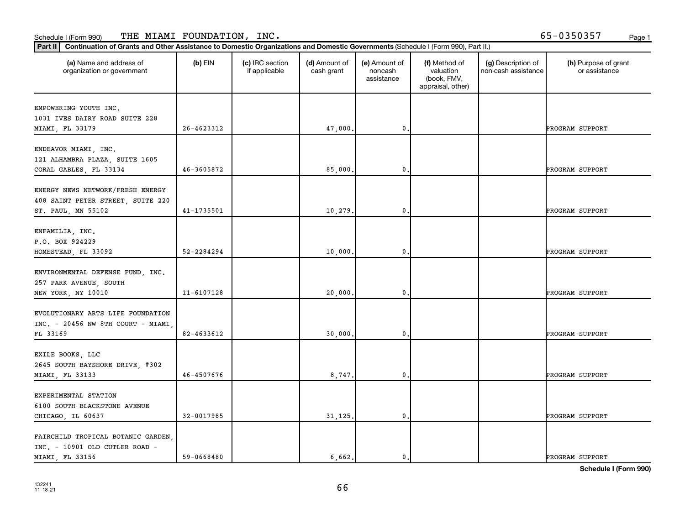|  |  | 55-0350357 | Page |
|--|--|------------|------|
|  |  |            |      |

| (a) Name and address of<br>organization or government                                       | $(b)$ EIN  | (c) IRC section<br>if applicable | (d) Amount of<br>cash grant | (e) Amount of<br>noncash<br>assistance | (f) Method of<br>valuation<br>(book, FMV,<br>appraisal, other) | (g) Description of<br>non-cash assistance | (h) Purpose of grant<br>or assistance |
|---------------------------------------------------------------------------------------------|------------|----------------------------------|-----------------------------|----------------------------------------|----------------------------------------------------------------|-------------------------------------------|---------------------------------------|
| EMPOWERING YOUTH INC.<br>1031 IVES DAIRY ROAD SUITE 228                                     |            |                                  |                             |                                        |                                                                |                                           |                                       |
| MIAMI, FL 33179                                                                             | 26-4623312 |                                  | 47,000.                     | $\mathbf 0$                            |                                                                |                                           | PROGRAM SUPPORT                       |
| ENDEAVOR MIAMI, INC.<br>121 ALHAMBRA PLAZA, SUITE 1605<br>CORAL GABLES, FL 33134            | 46-3605872 |                                  | 85,000                      | 0.                                     |                                                                |                                           | PROGRAM SUPPORT                       |
| ENERGY NEWS NETWORK/FRESH ENERGY<br>408 SAINT PETER STREET, SUITE 220<br>ST. PAUL, MN 55102 | 41-1735501 |                                  | 10.279.                     | 0.                                     |                                                                |                                           | PROGRAM SUPPORT                       |
| ENFAMILIA, INC.<br>P.O. BOX 924229<br>HOMESTEAD, FL 33092                                   | 52-2284294 |                                  | 10,000.                     | 0,                                     |                                                                |                                           | PROGRAM SUPPORT                       |
| ENVIRONMENTAL DEFENSE FUND, INC.<br>257 PARK AVENUE, SOUTH                                  |            |                                  |                             |                                        |                                                                |                                           |                                       |
| NEW YORK, NY 10010                                                                          | 11-6107128 |                                  | 20,000.                     | $\mathbf 0$                            |                                                                |                                           | PROGRAM SUPPORT                       |
| EVOLUTIONARY ARTS LIFE FOUNDATION<br>INC. - 20456 NW 8TH COURT - MIAMI,<br>FL 33169         | 82-4633612 |                                  | 30,000.                     | 0.                                     |                                                                |                                           | PROGRAM SUPPORT                       |
| EXILE BOOKS, LLC<br>2645 SOUTH BAYSHORE DRIVE, #302                                         |            |                                  |                             |                                        |                                                                |                                           |                                       |
| MIAMI, FL 33133                                                                             | 46-4507676 |                                  | 8,747                       | 0.                                     |                                                                |                                           | PROGRAM SUPPORT                       |
| EXPERIMENTAL STATION<br>6100 SOUTH BLACKSTONE AVENUE                                        | 32-0017985 |                                  | 31, 125.                    | $\mathbf 0$                            |                                                                |                                           | PROGRAM SUPPORT                       |
| CHICAGO, IL 60637                                                                           |            |                                  |                             |                                        |                                                                |                                           |                                       |
| FAIRCHILD TROPICAL BOTANIC GARDEN,<br>INC. - 10901 OLD CUTLER ROAD -<br>MIAMI, FL 33156     | 59-0668480 |                                  | 6,662.                      | 0.                                     |                                                                |                                           | PROGRAM SUPPORT                       |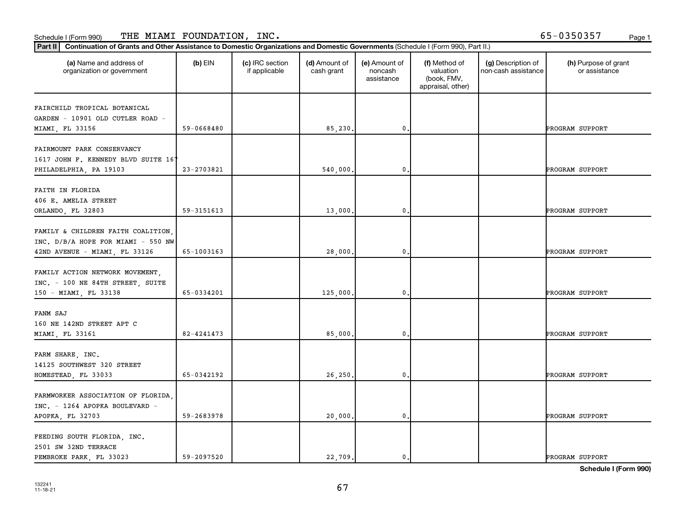|  |  | 55-0350357 | Page |
|--|--|------------|------|
|  |  |            |      |

| (a) Name and address of<br>organization or government                    | $(b)$ EIN  | (c) IRC section<br>if applicable | (d) Amount of<br>cash grant | (e) Amount of<br>noncash<br>assistance | (f) Method of<br>valuation<br>(book, FMV,<br>appraisal, other) | (g) Description of<br>non-cash assistance | (h) Purpose of grant<br>or assistance |
|--------------------------------------------------------------------------|------------|----------------------------------|-----------------------------|----------------------------------------|----------------------------------------------------------------|-------------------------------------------|---------------------------------------|
| FAIRCHILD TROPICAL BOTANICAL<br>GARDEN - 10901 OLD CUTLER ROAD -         |            |                                  |                             |                                        |                                                                |                                           |                                       |
| MIAMI, FL 33156                                                          | 59-0668480 |                                  | 85,230.                     | 0.                                     |                                                                |                                           | PROGRAM SUPPORT                       |
| FAIRMOUNT PARK CONSERVANCY<br>1617 JOHN F. KENNEDY BLVD SUITE 167        |            |                                  |                             |                                        |                                                                |                                           |                                       |
| PHILADELPHIA, PA 19103                                                   | 23-2703821 |                                  | 540,000.                    | 0,                                     |                                                                |                                           | PROGRAM SUPPORT                       |
| FAITH IN FLORIDA<br>406 E. AMELIA STREET                                 |            |                                  |                             |                                        |                                                                |                                           |                                       |
| ORLANDO, FL 32803                                                        | 59-3151613 |                                  | 13,000                      | $\mathbf{0}$ .                         |                                                                |                                           | PROGRAM SUPPORT                       |
| FAMILY & CHILDREN FAITH COALITION,<br>INC. D/B/A HOPE FOR MIAMI - 550 NW |            |                                  |                             |                                        |                                                                |                                           |                                       |
| 42ND AVENUE - MIAMI, FL 33126                                            | 65-1003163 |                                  | 28,000                      | $\mathbf 0$                            |                                                                |                                           | PROGRAM SUPPORT                       |
| FAMILY ACTION NETWORK MOVEMENT,<br>INC. - 100 NE 84TH STREET, SUITE      |            |                                  |                             |                                        |                                                                |                                           |                                       |
| 150 - MIAMI, FL 33138                                                    | 65-0334201 |                                  | 125,000                     | $\mathbf 0$                            |                                                                |                                           | PROGRAM SUPPORT                       |
| FANM SAJ<br>160 NE 142ND STREET APT C                                    |            |                                  |                             |                                        |                                                                |                                           |                                       |
| MIAMI, FL 33161                                                          | 82-4241473 |                                  | 85,000.                     | $\mathbf 0$                            |                                                                |                                           | PROGRAM SUPPORT                       |
| FARM SHARE, INC.<br>14125 SOUTHWEST 320 STREET                           |            |                                  |                             |                                        |                                                                |                                           |                                       |
| HOMESTEAD, FL 33033                                                      | 65-0342192 |                                  | 26, 250.                    | 0,                                     |                                                                |                                           | PROGRAM SUPPORT                       |
| FARMWORKER ASSOCIATION OF FLORIDA.<br>INC. - 1264 APOPKA BOULEVARD -     |            |                                  |                             |                                        |                                                                |                                           |                                       |
| APOPKA, FL 32703                                                         | 59-2683978 |                                  | 20,000                      | $\mathbf 0$                            |                                                                |                                           | PROGRAM SUPPORT                       |
| FEEDING SOUTH FLORIDA, INC.<br>2501 SW 32ND TERRACE                      |            |                                  |                             |                                        |                                                                |                                           |                                       |
| PEMBROKE PARK, FL 33023                                                  | 59-2097520 |                                  | 22,709.                     | $\mathbf{0}$ .                         |                                                                |                                           | PROGRAM SUPPORT                       |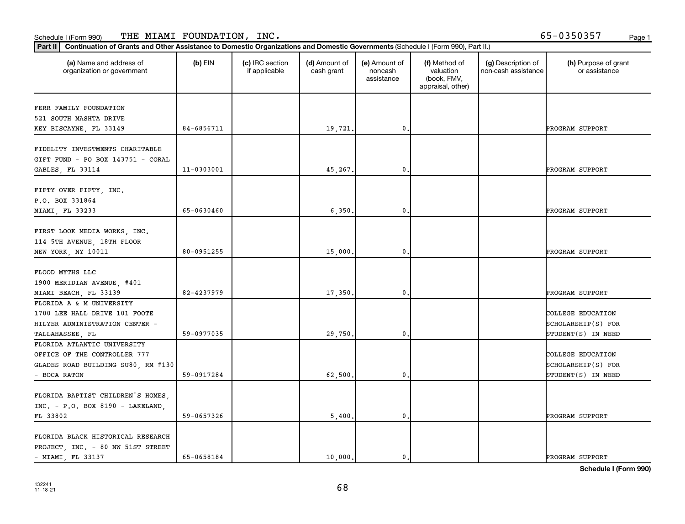|  |  | 55-0350357 | Page |
|--|--|------------|------|
|  |  |            |      |

| Continuation of Grants and Other Assistance to Domestic Organizations and Domestic Governments (Schedule I (Form 990), Part II.)<br>Part II |            |                                  |                             |                                        |                                                                |                                           |                                       |
|---------------------------------------------------------------------------------------------------------------------------------------------|------------|----------------------------------|-----------------------------|----------------------------------------|----------------------------------------------------------------|-------------------------------------------|---------------------------------------|
| (a) Name and address of<br>organization or government                                                                                       | $(b)$ EIN  | (c) IRC section<br>if applicable | (d) Amount of<br>cash grant | (e) Amount of<br>noncash<br>assistance | (f) Method of<br>valuation<br>(book, FMV,<br>appraisal, other) | (g) Description of<br>non-cash assistance | (h) Purpose of grant<br>or assistance |
| FERR FAMILY FOUNDATION                                                                                                                      |            |                                  |                             |                                        |                                                                |                                           |                                       |
|                                                                                                                                             |            |                                  |                             |                                        |                                                                |                                           |                                       |
| 521 SOUTH MASHTA DRIVE                                                                                                                      | 84-6856711 |                                  |                             | 0.                                     |                                                                |                                           | PROGRAM SUPPORT                       |
| KEY BISCAYNE, FL 33149                                                                                                                      |            |                                  | 19,721.                     |                                        |                                                                |                                           |                                       |
| FIDELITY INVESTMENTS CHARITABLE                                                                                                             |            |                                  |                             |                                        |                                                                |                                           |                                       |
| GIFT FUND - PO BOX 143751 - CORAL                                                                                                           |            |                                  |                             |                                        |                                                                |                                           |                                       |
| GABLES, FL 33114                                                                                                                            | 11-0303001 |                                  | 45,267.                     | 0.                                     |                                                                |                                           | PROGRAM SUPPORT                       |
| FIFTY OVER FIFTY, INC.                                                                                                                      |            |                                  |                             |                                        |                                                                |                                           |                                       |
| P.O. BOX 331864                                                                                                                             |            |                                  |                             |                                        |                                                                |                                           |                                       |
| MIAMI, FL 33233                                                                                                                             | 65-0630460 |                                  | 6,350.                      | $\mathbf{0}$                           |                                                                |                                           | PROGRAM SUPPORT                       |
|                                                                                                                                             |            |                                  |                             |                                        |                                                                |                                           |                                       |
| FIRST LOOK MEDIA WORKS, INC.                                                                                                                |            |                                  |                             |                                        |                                                                |                                           |                                       |
| 114 5TH AVENUE, 18TH FLOOR                                                                                                                  |            |                                  |                             |                                        |                                                                |                                           |                                       |
| NEW YORK, NY 10011                                                                                                                          | 80-0951255 |                                  | 15,000.                     | 0.                                     |                                                                |                                           | PROGRAM SUPPORT                       |
|                                                                                                                                             |            |                                  |                             |                                        |                                                                |                                           |                                       |
| FLOOD MYTHS LLC                                                                                                                             |            |                                  |                             |                                        |                                                                |                                           |                                       |
| 1900 MERIDIAN AVENUE, #401                                                                                                                  |            |                                  |                             |                                        |                                                                |                                           |                                       |
| MIAMI BEACH, FL 33139                                                                                                                       | 82-4237979 |                                  | 17,350                      | 0                                      |                                                                |                                           | PROGRAM SUPPORT                       |
| FLORIDA A & M UNIVERSITY                                                                                                                    |            |                                  |                             |                                        |                                                                |                                           |                                       |
| 1700 LEE HALL DRIVE 101 FOOTE                                                                                                               |            |                                  |                             |                                        |                                                                |                                           | COLLEGE EDUCATION                     |
| HILYER ADMINISTRATION CENTER -                                                                                                              |            |                                  |                             |                                        |                                                                |                                           | SCHOLARSHIP(S) FOR                    |
|                                                                                                                                             | 59-0977035 |                                  | 29,750.                     | 0.                                     |                                                                |                                           |                                       |
| TALLAHASSEE, FL<br>FLORIDA ATLANTIC UNIVERSITY                                                                                              |            |                                  |                             |                                        |                                                                |                                           | STUDENT(S) IN NEED                    |
| OFFICE OF THE CONTROLLER 777                                                                                                                |            |                                  |                             |                                        |                                                                |                                           | COLLEGE EDUCATION                     |
|                                                                                                                                             |            |                                  |                             |                                        |                                                                |                                           |                                       |
| GLADES ROAD BUILDING SU80, RM #130                                                                                                          |            |                                  |                             |                                        |                                                                |                                           | SCHOLARSHIP(S) FOR                    |
| - BOCA RATON                                                                                                                                | 59-0917284 |                                  | 62,500.                     | 0.                                     |                                                                |                                           | STUDENT(S) IN NEED                    |
| FLORIDA BAPTIST CHILDREN'S HOMES,                                                                                                           |            |                                  |                             |                                        |                                                                |                                           |                                       |
| INC. - P.O. BOX 8190 - LAKELAND,                                                                                                            |            |                                  |                             |                                        |                                                                |                                           |                                       |
|                                                                                                                                             |            |                                  |                             |                                        |                                                                |                                           |                                       |
| FL 33802                                                                                                                                    | 59-0657326 |                                  | 5,400                       | 0                                      |                                                                |                                           | PROGRAM SUPPORT                       |
| FLORIDA BLACK HISTORICAL RESEARCH                                                                                                           |            |                                  |                             |                                        |                                                                |                                           |                                       |
| PROJECT, INC. - 80 NW 51ST STREET                                                                                                           |            |                                  |                             |                                        |                                                                |                                           |                                       |
|                                                                                                                                             | 65-0658184 |                                  |                             |                                        |                                                                |                                           |                                       |
| - MIAMI, FL 33137                                                                                                                           |            |                                  | 10,000.                     | $\mathbf{0}$ .                         |                                                                |                                           | PROGRAM SUPPORT                       |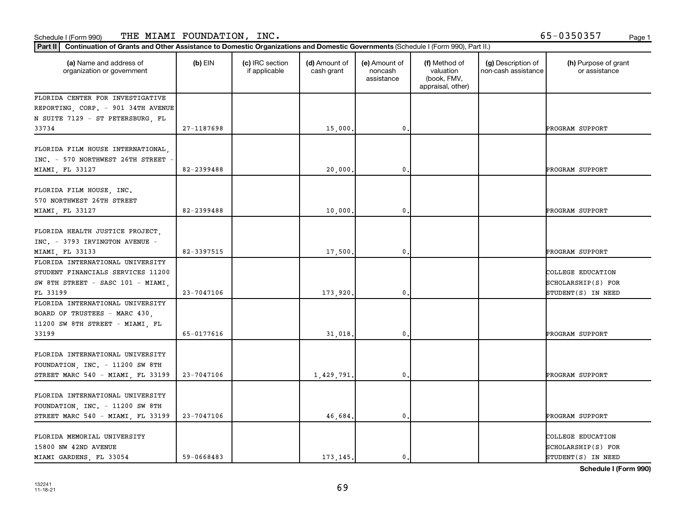| 55-0350357 |  |  |  |  | Page |
|------------|--|--|--|--|------|
|            |  |  |  |  |      |

| (a) Name and address of<br>organization or government                                                      | $(b)$ EIN  | (c) IRC section<br>if applicable | (d) Amount of<br>cash grant | (e) Amount of<br>noncash<br>assistance | (f) Method of<br>valuation<br>(book, FMV,<br>appraisal, other) | (g) Description of<br>non-cash assistance | (h) Purpose of grant<br>or assistance                         |
|------------------------------------------------------------------------------------------------------------|------------|----------------------------------|-----------------------------|----------------------------------------|----------------------------------------------------------------|-------------------------------------------|---------------------------------------------------------------|
| FLORIDA CENTER FOR INVESTIGATIVE                                                                           |            |                                  |                             |                                        |                                                                |                                           |                                                               |
| REPORTING, CORP. - 901 34TH AVENUE                                                                         |            |                                  |                             |                                        |                                                                |                                           |                                                               |
| N SUITE 7129 - ST PETERSBURG, FL                                                                           |            |                                  |                             |                                        |                                                                |                                           |                                                               |
| 33734                                                                                                      | 27-1187698 |                                  | 15,000.                     | 0                                      |                                                                |                                           | PROGRAM SUPPORT                                               |
| FLORIDA FILM HOUSE INTERNATIONAL,<br>INC. - 570 NORTHWEST 26TH STREET                                      | 82-2399488 |                                  |                             | 0                                      |                                                                |                                           |                                                               |
| MIAMI, FL 33127                                                                                            |            |                                  | 20,000                      |                                        |                                                                |                                           | PROGRAM SUPPORT                                               |
| FLORIDA FILM HOUSE, INC.<br>570 NORTHWEST 26TH STREET                                                      |            |                                  |                             |                                        |                                                                |                                           |                                                               |
| MIAMI, FL 33127                                                                                            | 82-2399488 |                                  | 10,000,                     | $\mathbf{0}$                           |                                                                |                                           | PROGRAM SUPPORT                                               |
| FLORIDA HEALTH JUSTICE PROJECT,<br>INC. - 3793 IRVINGTON AVENUE -                                          |            |                                  |                             |                                        |                                                                |                                           |                                                               |
| MIAMI, FL 33133                                                                                            | 82-3397515 |                                  | 17,500                      | 0                                      |                                                                |                                           | PROGRAM SUPPORT                                               |
| FLORIDA INTERNATIONAL UNIVERSITY<br>STUDENT FINANCIALS SERVICES 11200<br>SW 8TH STREET - SASC 101 - MIAMI, |            |                                  |                             |                                        |                                                                |                                           | COLLEGE EDUCATION<br>SCHOLARSHIP(S) FOR                       |
| FL 33199                                                                                                   | 23-7047106 |                                  | 173,920.                    | 0                                      |                                                                |                                           | STUDENT(S) IN NEED                                            |
| FLORIDA INTERNATIONAL UNIVERSITY<br>BOARD OF TRUSTEES - MARC 430,<br>11200 SW 8TH STREET - MIAMI, FL       |            |                                  |                             |                                        |                                                                |                                           |                                                               |
| 33199                                                                                                      | 65-0177616 |                                  | 31,018,                     | $\mathbf{0}$                           |                                                                |                                           | PROGRAM SUPPORT                                               |
| FLORIDA INTERNATIONAL UNIVERSITY<br>FOUNDATION, INC. - 11200 SW 8TH                                        |            |                                  |                             |                                        |                                                                |                                           |                                                               |
| STREET MARC 540 - MIAMI, FL 33199                                                                          | 23-7047106 |                                  | 1,429,791.                  | $\mathbf{0}$                           |                                                                |                                           | PROGRAM SUPPORT                                               |
| FLORIDA INTERNATIONAL UNIVERSITY<br>FOUNDATION, INC. - 11200 SW 8TH                                        |            |                                  |                             |                                        |                                                                |                                           |                                                               |
| STREET MARC 540 - MIAMI, FL 33199                                                                          | 23-7047106 |                                  | 46,684.                     | 0                                      |                                                                |                                           | PROGRAM SUPPORT                                               |
| FLORIDA MEMORIAL UNIVERSITY<br>15800 NW 42ND AVENUE<br>MIAMI GARDENS, FL 33054                             | 59-0668483 |                                  | 173, 145.                   | 0.                                     |                                                                |                                           | COLLEGE EDUCATION<br>SCHOLARSHIP(S) FOR<br>STUDENT(S) IN NEED |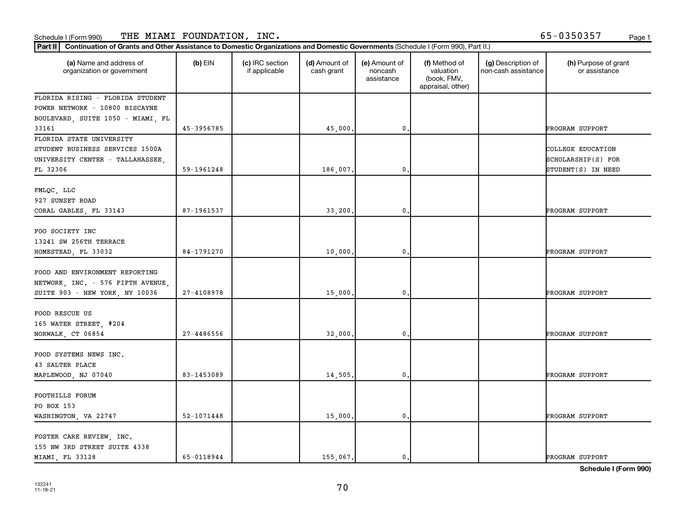|  |  | 55-0350357 |  |  |  |  |  |  |  |  | Page |
|--|--|------------|--|--|--|--|--|--|--|--|------|
|--|--|------------|--|--|--|--|--|--|--|--|------|

| (a) Name and address of<br>organization or government | $(b)$ EIN  | (c) IRC section<br>if applicable | (d) Amount of<br>cash grant | (e) Amount of<br>noncash<br>assistance | (f) Method of<br>valuation<br>(book, FMV,<br>appraisal, other) | (g) Description of<br>non-cash assistance | (h) Purpose of grant<br>or assistance |
|-------------------------------------------------------|------------|----------------------------------|-----------------------------|----------------------------------------|----------------------------------------------------------------|-------------------------------------------|---------------------------------------|
| FLORIDA RISING - FLORIDA STUDENT                      |            |                                  |                             |                                        |                                                                |                                           |                                       |
| POWER NETWORK - 10800 BISCAYNE                        |            |                                  |                             |                                        |                                                                |                                           |                                       |
| BOULEVARD, SUITE 1050 - MIAMI, FL                     |            |                                  |                             |                                        |                                                                |                                           |                                       |
| 33161                                                 | 45-3956785 |                                  | 45,000.                     | $\pmb{0}$                              |                                                                |                                           | PROGRAM SUPPORT                       |
| FLORIDA STATE UNIVERSITY                              |            |                                  |                             |                                        |                                                                |                                           |                                       |
| STUDENT BUSINESS SERVICES 1500A                       |            |                                  |                             |                                        |                                                                |                                           | COLLEGE EDUCATION                     |
| UNIVERSITY CENTER - TALLAHASSEE,                      |            |                                  |                             |                                        |                                                                |                                           | SCHOLARSHIP(S) FOR                    |
| FL 32306                                              | 59-1961248 |                                  | 186,007.                    | 0                                      |                                                                |                                           | STUDENT(S) IN NEED                    |
| FMLQC, LLC                                            |            |                                  |                             |                                        |                                                                |                                           |                                       |
| 927 SUNSET ROAD                                       |            |                                  |                             |                                        |                                                                |                                           |                                       |
| CORAL GABLES, FL 33143                                | 87-1961537 |                                  | 33,200.                     | 0.                                     |                                                                |                                           | PROGRAM SUPPORT                       |
|                                                       |            |                                  |                             |                                        |                                                                |                                           |                                       |
| FOO SOCIETY INC                                       |            |                                  |                             |                                        |                                                                |                                           |                                       |
| 13241 SW 256TH TERRACE                                |            |                                  |                             |                                        |                                                                |                                           |                                       |
| HOMESTEAD, FL 33032                                   | 84-1791270 |                                  | 10,000.                     | $\mathbf 0$                            |                                                                |                                           | PROGRAM SUPPORT                       |
|                                                       |            |                                  |                             |                                        |                                                                |                                           |                                       |
| FOOD AND ENVIRONMENT REPORTING                        |            |                                  |                             |                                        |                                                                |                                           |                                       |
| NETWORK, INC. - 576 FIFTH AVENUE,                     |            |                                  |                             |                                        |                                                                |                                           |                                       |
| SUITE 903 - NEW YORK, NY 10036                        | 27-4108978 |                                  | 15,000,                     | 0                                      |                                                                |                                           | PROGRAM SUPPORT                       |
|                                                       |            |                                  |                             |                                        |                                                                |                                           |                                       |
| FOOD RESCUE US                                        |            |                                  |                             |                                        |                                                                |                                           |                                       |
| 165 WATER STREET, #204                                |            |                                  |                             |                                        |                                                                |                                           |                                       |
| NORWALK, CT 06854                                     | 27-4486556 |                                  | 32,000.                     | $\mathbf 0$                            |                                                                |                                           | PROGRAM SUPPORT                       |
|                                                       |            |                                  |                             |                                        |                                                                |                                           |                                       |
| FOOD SYSTEMS NEWS INC.                                |            |                                  |                             |                                        |                                                                |                                           |                                       |
| 43 SALTER PLACE                                       |            |                                  |                             |                                        |                                                                |                                           |                                       |
| MAPLEWOOD, NJ 07040                                   | 83-1453089 |                                  | 14,505.                     | $\mathbf 0$                            |                                                                |                                           | PROGRAM SUPPORT                       |
|                                                       |            |                                  |                             |                                        |                                                                |                                           |                                       |
| FOOTHILLS FORUM                                       |            |                                  |                             |                                        |                                                                |                                           |                                       |
| PO BOX 153                                            |            |                                  |                             |                                        |                                                                |                                           |                                       |
| WASHINGTON, VA 22747                                  | 52-1071448 |                                  | 15,000.                     | $\mathbf 0$                            |                                                                |                                           | PROGRAM SUPPORT                       |
| FOSTER CARE REVIEW, INC.                              |            |                                  |                             |                                        |                                                                |                                           |                                       |
| 155 NW 3RD STREET SUITE 4338                          |            |                                  |                             |                                        |                                                                |                                           |                                       |
| MIAMI, FL 33128                                       | 65-0118944 |                                  | 155,067.                    | 0.                                     |                                                                |                                           | PROGRAM SUPPORT                       |
|                                                       |            |                                  |                             |                                        |                                                                |                                           |                                       |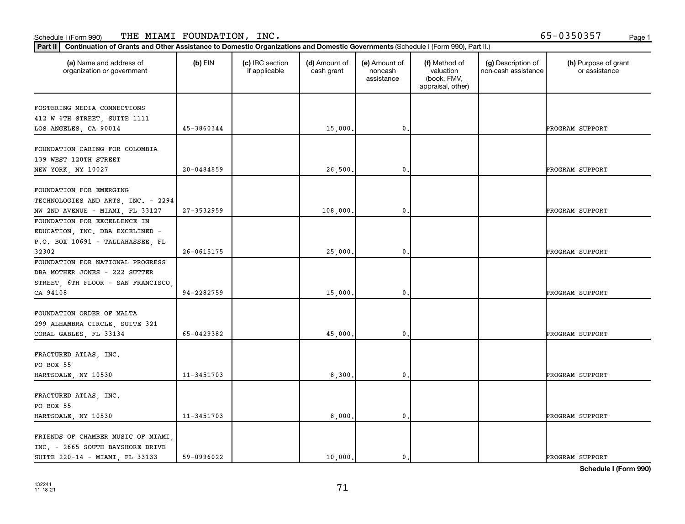| 55-0350357 |  |  |  |  |    |
|------------|--|--|--|--|----|
|            |  |  |  |  | P۶ |

| FOSTERING MEDIA CONNECTIONS<br>412 W 6TH STREET, SUITE 1111<br>45-3860344<br>LOS ANGELES, CA 90014<br>15,000.<br>$\mathbf 0$<br>FOUNDATION CARING FOR COLOMBIA<br>139 WEST 120TH STREET<br>$20 - 0484859$<br>26,500<br>0<br>NEW YORK, NY 10027<br>FOUNDATION FOR EMERGING<br>$\mathbf 0$<br>27-3532959<br>108,000.<br>26-0615175<br>25,000,<br>$\mathbf 0$<br>94-2282759<br>15,000.<br>0<br>65-0429382<br>45,000.<br>0                      | PROGRAM SUPPORT |
|---------------------------------------------------------------------------------------------------------------------------------------------------------------------------------------------------------------------------------------------------------------------------------------------------------------------------------------------------------------------------------------------------------------------------------------------|-----------------|
|                                                                                                                                                                                                                                                                                                                                                                                                                                             |                 |
|                                                                                                                                                                                                                                                                                                                                                                                                                                             |                 |
|                                                                                                                                                                                                                                                                                                                                                                                                                                             |                 |
|                                                                                                                                                                                                                                                                                                                                                                                                                                             |                 |
|                                                                                                                                                                                                                                                                                                                                                                                                                                             |                 |
|                                                                                                                                                                                                                                                                                                                                                                                                                                             |                 |
|                                                                                                                                                                                                                                                                                                                                                                                                                                             | PROGRAM SUPPORT |
|                                                                                                                                                                                                                                                                                                                                                                                                                                             |                 |
| TECHNOLOGIES AND ARTS, INC. - 2294<br>NW 2ND AVENUE - MIAMI, FL 33127<br>FOUNDATION FOR EXCELLENCE IN<br>EDUCATION, INC. DBA EXCELINED -<br>P.O. BOX 10691 - TALLAHASSEE, FL<br>32302<br>FOUNDATION FOR NATIONAL PROGRESS<br>DBA MOTHER JONES - 222 SUTTER<br>STREET, 6TH FLOOR - SAN FRANCISCO,<br>CA 94108<br>FOUNDATION ORDER OF MALTA<br>299 ALHAMBRA CIRCLE, SUITE 321<br>CORAL GABLES, FL 33134<br>FRACTURED ATLAS, INC.<br>PO BOX 55 |                 |
|                                                                                                                                                                                                                                                                                                                                                                                                                                             |                 |
|                                                                                                                                                                                                                                                                                                                                                                                                                                             | PROGRAM SUPPORT |
|                                                                                                                                                                                                                                                                                                                                                                                                                                             |                 |
|                                                                                                                                                                                                                                                                                                                                                                                                                                             |                 |
|                                                                                                                                                                                                                                                                                                                                                                                                                                             |                 |
|                                                                                                                                                                                                                                                                                                                                                                                                                                             | PROGRAM SUPPORT |
|                                                                                                                                                                                                                                                                                                                                                                                                                                             |                 |
|                                                                                                                                                                                                                                                                                                                                                                                                                                             |                 |
|                                                                                                                                                                                                                                                                                                                                                                                                                                             |                 |
|                                                                                                                                                                                                                                                                                                                                                                                                                                             | PROGRAM SUPPORT |
|                                                                                                                                                                                                                                                                                                                                                                                                                                             |                 |
|                                                                                                                                                                                                                                                                                                                                                                                                                                             |                 |
|                                                                                                                                                                                                                                                                                                                                                                                                                                             |                 |
|                                                                                                                                                                                                                                                                                                                                                                                                                                             | PROGRAM SUPPORT |
|                                                                                                                                                                                                                                                                                                                                                                                                                                             |                 |
|                                                                                                                                                                                                                                                                                                                                                                                                                                             |                 |
|                                                                                                                                                                                                                                                                                                                                                                                                                                             |                 |
| 11-3451703<br>8,300.<br>0.<br>HARTSDALE, NY 10530                                                                                                                                                                                                                                                                                                                                                                                           | PROGRAM SUPPORT |
|                                                                                                                                                                                                                                                                                                                                                                                                                                             |                 |
| FRACTURED ATLAS, INC.                                                                                                                                                                                                                                                                                                                                                                                                                       |                 |
| PO BOX 55                                                                                                                                                                                                                                                                                                                                                                                                                                   |                 |
| 11-3451703<br>8,000,<br>0.<br>HARTSDALE, NY 10530                                                                                                                                                                                                                                                                                                                                                                                           | PROGRAM SUPPORT |
|                                                                                                                                                                                                                                                                                                                                                                                                                                             |                 |
| FRIENDS OF CHAMBER MUSIC OF MIAMI                                                                                                                                                                                                                                                                                                                                                                                                           |                 |
| INC. - 2665 SOUTH BAYSHORE DRIVE                                                                                                                                                                                                                                                                                                                                                                                                            |                 |
| 59-0996022<br>SUITE 220-14 - MIAMI, FL 33133<br>10,000.<br>0.<br>PROGRAM SUPPORT                                                                                                                                                                                                                                                                                                                                                            |                 |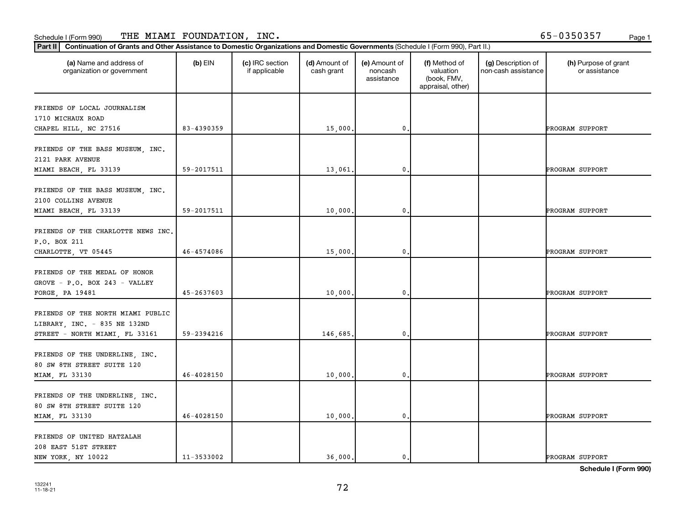| 55-0350357 |  |  | Page |
|------------|--|--|------|
|            |  |  |      |

| (a) Name and address of<br>organization or government             | $(b)$ EIN      | (c) IRC section<br>if applicable | (d) Amount of<br>cash grant | (e) Amount of<br>noncash<br>assistance | (f) Method of<br>valuation<br>(book, FMV,<br>appraisal, other) | (g) Description of<br>non-cash assistance | (h) Purpose of grant<br>or assistance |
|-------------------------------------------------------------------|----------------|----------------------------------|-----------------------------|----------------------------------------|----------------------------------------------------------------|-------------------------------------------|---------------------------------------|
| FRIENDS OF LOCAL JOURNALISM                                       |                |                                  |                             |                                        |                                                                |                                           |                                       |
| 1710 MICHAUX ROAD                                                 |                |                                  |                             |                                        |                                                                |                                           |                                       |
| CHAPEL HILL, NC 27516                                             | 83-4390359     |                                  | 15,000.                     | $\mathbf 0$                            |                                                                |                                           | PROGRAM SUPPORT                       |
| FRIENDS OF THE BASS MUSEUM, INC.<br>2121 PARK AVENUE              |                |                                  |                             |                                        |                                                                |                                           |                                       |
| MIAMI BEACH, FL 33139                                             | 59-2017511     |                                  | 13,061                      | 0.                                     |                                                                |                                           | PROGRAM SUPPORT                       |
| FRIENDS OF THE BASS MUSEUM, INC.<br>2100 COLLINS AVENUE           |                |                                  |                             |                                        |                                                                |                                           |                                       |
| MIAMI BEACH, FL 33139                                             | 59-2017511     |                                  | 10,000.                     | 0.                                     |                                                                |                                           | PROGRAM SUPPORT                       |
| FRIENDS OF THE CHARLOTTE NEWS INC.<br>P.O. BOX 211                |                |                                  |                             |                                        |                                                                |                                           |                                       |
| CHARLOTTE, VT 05445                                               | 46-4574086     |                                  | 15,000                      | 0.                                     |                                                                |                                           | PROGRAM SUPPORT                       |
| FRIENDS OF THE MEDAL OF HONOR<br>GROVE - P.O. BOX 243 - VALLEY    |                |                                  |                             |                                        |                                                                |                                           |                                       |
| FORGE, PA 19481                                                   | 45-2637603     |                                  | 10,000.                     | $\mathbf 0$                            |                                                                |                                           | PROGRAM SUPPORT                       |
| FRIENDS OF THE NORTH MIAMI PUBLIC<br>LIBRARY, INC. - 835 NE 132ND |                |                                  |                             |                                        |                                                                |                                           |                                       |
| STREET - NORTH MIAMI, FL 33161                                    | 59-2394216     |                                  | 146,685.                    | 0.                                     |                                                                |                                           | PROGRAM SUPPORT                       |
| FRIENDS OF THE UNDERLINE, INC.<br>80 SW 8TH STREET SUITE 120      |                |                                  |                             |                                        |                                                                |                                           |                                       |
| MIAM, FL 33130                                                    | $46 - 4028150$ |                                  | 10,000.                     | 0.                                     |                                                                |                                           | PROGRAM SUPPORT                       |
| FRIENDS OF THE UNDERLINE, INC.<br>80 SW 8TH STREET SUITE 120      |                |                                  |                             |                                        |                                                                |                                           |                                       |
| MIAM, FL 33130                                                    | $46 - 4028150$ |                                  | 10,000.                     | 0                                      |                                                                |                                           | PROGRAM SUPPORT                       |
| FRIENDS OF UNITED HATZALAH<br>208 EAST 51ST STREET                |                |                                  |                             |                                        |                                                                |                                           |                                       |
| NEW YORK, NY 10022                                                | 11-3533002     |                                  | 36,000.                     | 0.                                     |                                                                |                                           | PROGRAM SUPPORT                       |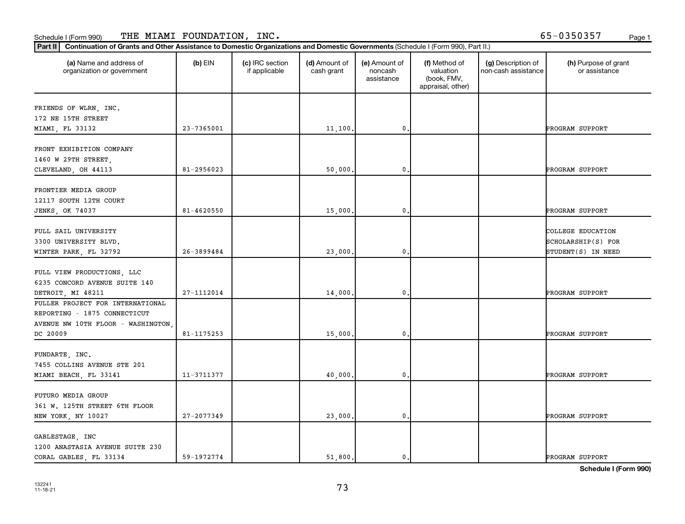| 55-0350357 |  |  | Page |
|------------|--|--|------|
|            |  |  |      |

| Continuation of Grants and Other Assistance to Domestic Organizations and Domestic Governments (Schedule I (Form 990), Part II.)<br>Part II |            |                                  |                             |                                        |                                                                |                                           |                                       |  |
|---------------------------------------------------------------------------------------------------------------------------------------------|------------|----------------------------------|-----------------------------|----------------------------------------|----------------------------------------------------------------|-------------------------------------------|---------------------------------------|--|
| (a) Name and address of<br>organization or government                                                                                       | $(b)$ EIN  | (c) IRC section<br>if applicable | (d) Amount of<br>cash grant | (e) Amount of<br>noncash<br>assistance | (f) Method of<br>valuation<br>(book, FMV,<br>appraisal, other) | (g) Description of<br>non-cash assistance | (h) Purpose of grant<br>or assistance |  |
| FRIENDS OF WLRN, INC.                                                                                                                       |            |                                  |                             |                                        |                                                                |                                           |                                       |  |
| 172 NE 15TH STREET                                                                                                                          |            |                                  |                             |                                        |                                                                |                                           |                                       |  |
| MIAMI, FL 33132                                                                                                                             | 23-7365001 |                                  | 11,100.                     | 0                                      |                                                                |                                           | PROGRAM SUPPORT                       |  |
| FRONT EXHIBITION COMPANY                                                                                                                    |            |                                  |                             |                                        |                                                                |                                           |                                       |  |
| 1460 W 29TH STREET,                                                                                                                         |            |                                  |                             |                                        |                                                                |                                           |                                       |  |
| CLEVELAND, OH 44113                                                                                                                         | 81-2956023 |                                  | 50,000,                     | $\mathbf{0}$                           |                                                                |                                           | PROGRAM SUPPORT                       |  |
|                                                                                                                                             |            |                                  |                             |                                        |                                                                |                                           |                                       |  |
| FRONTIER MEDIA GROUP                                                                                                                        |            |                                  |                             |                                        |                                                                |                                           |                                       |  |
| 12117 SOUTH 12TH COURT                                                                                                                      | 81-4620550 |                                  |                             | 0                                      |                                                                |                                           |                                       |  |
| <b>JENKS, OK 74037</b>                                                                                                                      |            |                                  | 15,000.                     |                                        |                                                                |                                           | PROGRAM SUPPORT                       |  |
| FULL SAIL UNIVERSITY                                                                                                                        |            |                                  |                             |                                        |                                                                |                                           | COLLEGE EDUCATION                     |  |
| 3300 UNIVERSITY BLVD.                                                                                                                       |            |                                  |                             |                                        |                                                                |                                           | SCHOLARSHIP(S) FOR                    |  |
| WINTER PARK, FL 32792                                                                                                                       | 26-3899484 |                                  | 23,000,                     | $\mathbf{0}$                           |                                                                |                                           | STUDENT(S) IN NEED                    |  |
|                                                                                                                                             |            |                                  |                             |                                        |                                                                |                                           |                                       |  |
| FULL VIEW PRODUCTIONS, LLC                                                                                                                  |            |                                  |                             |                                        |                                                                |                                           |                                       |  |
| 6235 CONCORD AVENUE SUITE 140                                                                                                               |            |                                  |                             |                                        |                                                                |                                           |                                       |  |
| DETROIT, MI 48211                                                                                                                           | 27-1112014 |                                  | 14,000.                     | 0                                      |                                                                |                                           | PROGRAM SUPPORT                       |  |
| FULLER PROJECT FOR INTERNATIONAL                                                                                                            |            |                                  |                             |                                        |                                                                |                                           |                                       |  |
| REPORTING - 1875 CONNECTICUT                                                                                                                |            |                                  |                             |                                        |                                                                |                                           |                                       |  |
| AVENUE NW 10TH FLOOR - WASHINGTON                                                                                                           |            |                                  |                             |                                        |                                                                |                                           |                                       |  |
| DC 20009                                                                                                                                    | 81-1175253 |                                  | 15,000.                     | 0                                      |                                                                |                                           | PROGRAM SUPPORT                       |  |
|                                                                                                                                             |            |                                  |                             |                                        |                                                                |                                           |                                       |  |
| FUNDARTE, INC.                                                                                                                              |            |                                  |                             |                                        |                                                                |                                           |                                       |  |
| 7455 COLLINS AVENUE STE 201                                                                                                                 |            |                                  |                             |                                        |                                                                |                                           |                                       |  |
| MIAMI BEACH, FL 33141                                                                                                                       | 11-3711377 |                                  | 40,000,                     | $\mathbf{0}$                           |                                                                |                                           | PROGRAM SUPPORT                       |  |
| FUTURO MEDIA GROUP                                                                                                                          |            |                                  |                             |                                        |                                                                |                                           |                                       |  |
| 361 W. 125TH STREET 6TH FLOOR                                                                                                               |            |                                  |                             |                                        |                                                                |                                           |                                       |  |
| NEW YORK, NY 10027                                                                                                                          | 27-2077349 |                                  | 23,000.                     | 0                                      |                                                                |                                           | PROGRAM SUPPORT                       |  |
|                                                                                                                                             |            |                                  |                             |                                        |                                                                |                                           |                                       |  |
| GABLESTAGE, INC                                                                                                                             |            |                                  |                             |                                        |                                                                |                                           |                                       |  |
| 1200 ANASTASIA AVENUE SUITE 230                                                                                                             |            |                                  |                             |                                        |                                                                |                                           |                                       |  |
| CORAL GABLES, FL 33134                                                                                                                      | 59-1972774 |                                  | 51,800.                     | 0.                                     |                                                                |                                           | PROGRAM SUPPORT                       |  |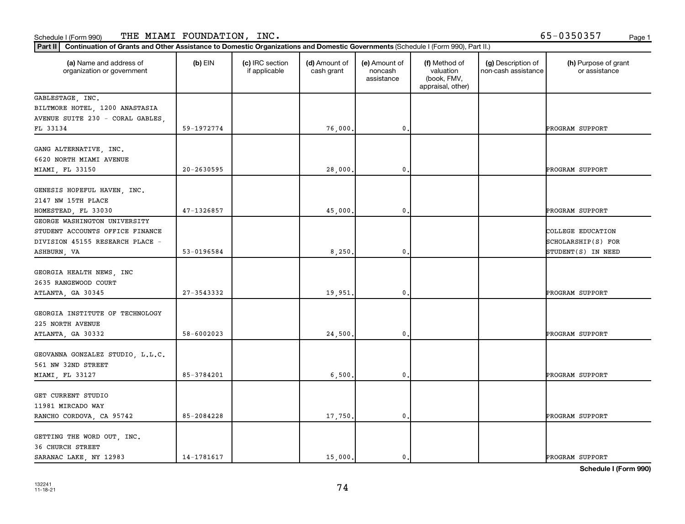| 55-0350357 | Page |
|------------|------|
|------------|------|

| Continuation of Grants and Other Assistance to Domestic Organizations and Domestic Governments (Schedule I (Form 990), Part II.)<br>Part II |            |                                  |                             |                                        |                                                                |                                           |                                         |
|---------------------------------------------------------------------------------------------------------------------------------------------|------------|----------------------------------|-----------------------------|----------------------------------------|----------------------------------------------------------------|-------------------------------------------|-----------------------------------------|
| (a) Name and address of<br>organization or government                                                                                       | $(b)$ EIN  | (c) IRC section<br>if applicable | (d) Amount of<br>cash grant | (e) Amount of<br>noncash<br>assistance | (f) Method of<br>valuation<br>(book, FMV,<br>appraisal, other) | (g) Description of<br>non-cash assistance | (h) Purpose of grant<br>or assistance   |
| GABLESTAGE, INC.                                                                                                                            |            |                                  |                             |                                        |                                                                |                                           |                                         |
| BILTMORE HOTEL, 1200 ANASTASIA                                                                                                              |            |                                  |                             |                                        |                                                                |                                           |                                         |
| AVENUE SUITE 230 - CORAL GABLES,                                                                                                            |            |                                  |                             |                                        |                                                                |                                           |                                         |
| FL 33134                                                                                                                                    | 59-1972774 |                                  | 76,000.                     | $\mathbf 0$                            |                                                                |                                           | PROGRAM SUPPORT                         |
| GANG ALTERNATIVE, INC.<br>6620 NORTH MIAMI AVENUE                                                                                           |            |                                  |                             |                                        |                                                                |                                           |                                         |
| MIAMI, FL 33150                                                                                                                             | 20-2630595 |                                  | 28,000,                     | $\mathbf{0}$                           |                                                                |                                           | PROGRAM SUPPORT                         |
| GENESIS HOPEFUL HAVEN, INC.<br>2147 NW 15TH PLACE                                                                                           |            |                                  |                             |                                        |                                                                |                                           |                                         |
| HOMESTEAD, FL 33030                                                                                                                         | 47-1326857 |                                  | 45,000.                     | $\mathbf 0$                            |                                                                |                                           | PROGRAM SUPPORT                         |
| GEORGE WASHINGTON UNIVERSITY<br>STUDENT ACCOUNTS OFFICE FINANCE<br>DIVISION 45155 RESEARCH PLACE -                                          |            |                                  |                             |                                        |                                                                |                                           | COLLEGE EDUCATION<br>SCHOLARSHIP(S) FOR |
| ASHBURN, VA                                                                                                                                 | 53-0196584 |                                  | 8,250,                      | $\mathbf 0$                            |                                                                |                                           | STUDENT(S) IN NEED                      |
| GEORGIA HEALTH NEWS, INC<br>2635 RANGEWOOD COURT<br>ATLANTA, GA 30345                                                                       | 27-3543332 |                                  | 19,951.                     | $\mathbf 0$                            |                                                                |                                           | PROGRAM SUPPORT                         |
|                                                                                                                                             |            |                                  |                             |                                        |                                                                |                                           |                                         |
| GEORGIA INSTITUTE OF TECHNOLOGY<br>225 NORTH AVENUE                                                                                         |            |                                  |                             |                                        |                                                                |                                           |                                         |
| ATLANTA, GA 30332                                                                                                                           | 58-6002023 |                                  | 24,500,                     | $\mathbf 0$                            |                                                                |                                           | PROGRAM SUPPORT                         |
| GEOVANNA GONZALEZ STUDIO, L.L.C.<br>561 NW 32ND STREET                                                                                      |            |                                  |                             |                                        |                                                                |                                           |                                         |
| MIAMI, FL 33127                                                                                                                             | 85-3784201 |                                  | 6,500,                      | $\mathbf 0$ .                          |                                                                |                                           | PROGRAM SUPPORT                         |
| GET CURRENT STUDIO<br>11981 MIRCADO WAY                                                                                                     |            |                                  |                             |                                        |                                                                |                                           |                                         |
| RANCHO CORDOVA, CA 95742                                                                                                                    | 85-2084228 |                                  | 17,750.                     | $\mathbf 0$                            |                                                                |                                           | PROGRAM SUPPORT                         |
| GETTING THE WORD OUT, INC.<br><b>36 CHURCH STREET</b><br>SARANAC LAKE, NY 12983                                                             | 14-1781617 |                                  | 15,000.                     | $\mathbf{0}$                           |                                                                |                                           | PROGRAM SUPPORT                         |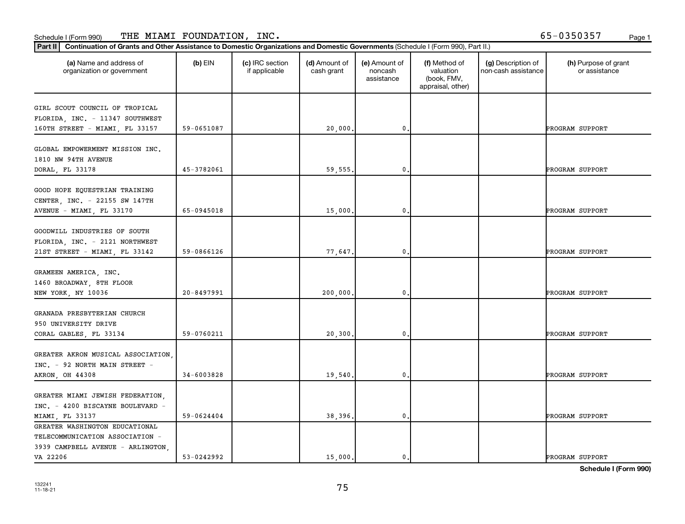|  |  | 55-0350357 | Page |
|--|--|------------|------|
|  |  |            |      |

| (a) Name and address of<br>organization or government             | $(b)$ EIN  | (c) IRC section<br>if applicable | (d) Amount of<br>cash grant | (e) Amount of<br>noncash<br>assistance | (f) Method of<br>valuation<br>(book, FMV,<br>appraisal, other) | (g) Description of<br>non-cash assistance | (h) Purpose of grant<br>or assistance |
|-------------------------------------------------------------------|------------|----------------------------------|-----------------------------|----------------------------------------|----------------------------------------------------------------|-------------------------------------------|---------------------------------------|
|                                                                   |            |                                  |                             |                                        |                                                                |                                           |                                       |
| GIRL SCOUT COUNCIL OF TROPICAL                                    |            |                                  |                             |                                        |                                                                |                                           |                                       |
| FLORIDA, INC. - 11347 SOUTHWEST<br>160TH STREET - MIAMI, FL 33157 | 59-0651087 |                                  | 20,000.                     | $\mathbf{0}$                           |                                                                |                                           | PROGRAM SUPPORT                       |
|                                                                   |            |                                  |                             |                                        |                                                                |                                           |                                       |
| GLOBAL EMPOWERMENT MISSION INC.                                   |            |                                  |                             |                                        |                                                                |                                           |                                       |
| 1810 NW 94TH AVENUE                                               |            |                                  |                             |                                        |                                                                |                                           |                                       |
| DORAL, FL 33178                                                   | 45-3782061 |                                  | 59,555                      | $\mathbf 0$                            |                                                                |                                           | PROGRAM SUPPORT                       |
|                                                                   |            |                                  |                             |                                        |                                                                |                                           |                                       |
| GOOD HOPE EQUESTRIAN TRAINING                                     |            |                                  |                             |                                        |                                                                |                                           |                                       |
| CENTER, INC. - 22155 SW 147TH                                     |            |                                  |                             |                                        |                                                                |                                           |                                       |
| AVENUE - MIAMI, FL 33170                                          | 65-0945018 |                                  | 15,000                      | $\mathbf 0$                            |                                                                |                                           | PROGRAM SUPPORT                       |
|                                                                   |            |                                  |                             |                                        |                                                                |                                           |                                       |
| GOODWILL INDUSTRIES OF SOUTH                                      |            |                                  |                             |                                        |                                                                |                                           |                                       |
| FLORIDA, INC. - 2121 NORTHWEST                                    |            |                                  |                             |                                        |                                                                |                                           |                                       |
| 21ST STREET - MIAMI, FL 33142                                     | 59-0866126 |                                  | 77,647.                     | $\mathbf 0$                            |                                                                |                                           | PROGRAM SUPPORT                       |
| GRAMEEN AMERICA, INC.                                             |            |                                  |                             |                                        |                                                                |                                           |                                       |
| 1460 BROADWAY, 8TH FLOOR                                          |            |                                  |                             |                                        |                                                                |                                           |                                       |
| NEW YORK, NY 10036                                                | 20-8497991 |                                  | 200,000                     | $\mathbf 0$                            |                                                                |                                           | PROGRAM SUPPORT                       |
|                                                                   |            |                                  |                             |                                        |                                                                |                                           |                                       |
| GRANADA PRESBYTERIAN CHURCH                                       |            |                                  |                             |                                        |                                                                |                                           |                                       |
| 950 UNIVERSITY DRIVE                                              |            |                                  |                             |                                        |                                                                |                                           |                                       |
| CORAL GABLES, FL 33134                                            | 59-0760211 |                                  | 20, 300.                    | $\mathbf 0$                            |                                                                |                                           | PROGRAM SUPPORT                       |
|                                                                   |            |                                  |                             |                                        |                                                                |                                           |                                       |
| GREATER AKRON MUSICAL ASSOCIATION,                                |            |                                  |                             |                                        |                                                                |                                           |                                       |
| INC. - 92 NORTH MAIN STREET -                                     |            |                                  |                             |                                        |                                                                |                                           |                                       |
| AKRON, OH 44308                                                   | 34-6003828 |                                  | 19,540                      | $\mathbf 0$                            |                                                                |                                           | PROGRAM SUPPORT                       |
|                                                                   |            |                                  |                             |                                        |                                                                |                                           |                                       |
| GREATER MIAMI JEWISH FEDERATION,                                  |            |                                  |                             |                                        |                                                                |                                           |                                       |
| INC. - 4200 BISCAYNE BOULEVARD -                                  |            |                                  |                             |                                        |                                                                |                                           |                                       |
| MIAMI, FL 33137                                                   | 59-0624404 |                                  | 38,396.                     | $\mathbf{0}$                           |                                                                |                                           | PROGRAM SUPPORT                       |
| GREATER WASHINGTON EDUCATIONAL                                    |            |                                  |                             |                                        |                                                                |                                           |                                       |
| TELECOMMUNICATION ASSOCIATION -                                   |            |                                  |                             |                                        |                                                                |                                           |                                       |
| 3939 CAMPBELL AVENUE - ARLINGTON,                                 |            |                                  |                             |                                        |                                                                |                                           |                                       |
| VA 22206                                                          | 53-0242992 |                                  | 15,000.                     | 0.                                     |                                                                |                                           | PROGRAM SUPPORT                       |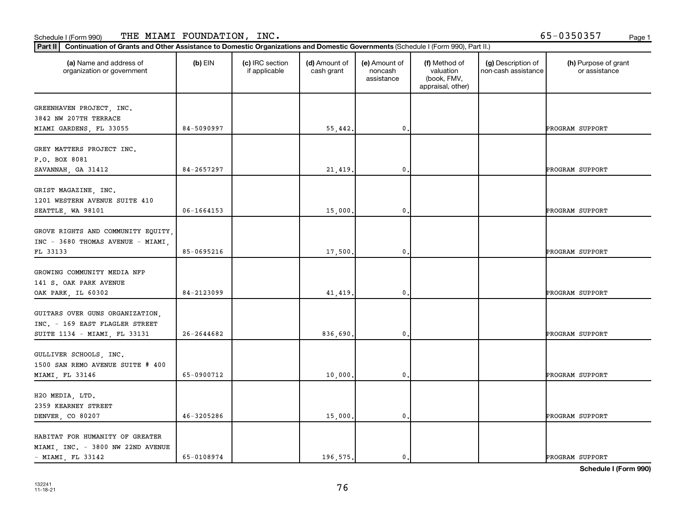|  |  |  |  | 55-0350357 | Page |
|--|--|--|--|------------|------|
|--|--|--|--|------------|------|

| Continuation of Grants and Other Assistance to Domestic Organizations and Domestic Governments (Schedule I (Form 990), Part II.)<br>Part II |                |                                  |                             |                                        |                                                                |                                           |                                       |
|---------------------------------------------------------------------------------------------------------------------------------------------|----------------|----------------------------------|-----------------------------|----------------------------------------|----------------------------------------------------------------|-------------------------------------------|---------------------------------------|
| (a) Name and address of<br>organization or government                                                                                       | $(b)$ EIN      | (c) IRC section<br>if applicable | (d) Amount of<br>cash grant | (e) Amount of<br>noncash<br>assistance | (f) Method of<br>valuation<br>(book, FMV,<br>appraisal, other) | (g) Description of<br>non-cash assistance | (h) Purpose of grant<br>or assistance |
| GREENHAVEN PROJECT, INC.<br>3842 NW 207TH TERRACE<br>MIAMI GARDENS, FL 33055                                                                | 84-5090997     |                                  | 55,442.                     | $\mathbf 0$ .                          |                                                                |                                           | PROGRAM SUPPORT                       |
| GREY MATTERS PROJECT INC.<br>P.O. BOX 8081<br>SAVANNAH, GA 31412                                                                            | 84-2657297     |                                  | 21,419.                     | $\mathbf 0$                            |                                                                |                                           | PROGRAM SUPPORT                       |
| GRIST MAGAZINE, INC.<br>1201 WESTERN AVENUE SUITE 410<br>SEATTLE, WA 98101                                                                  | 06-1664153     |                                  | 15,000.                     | $\mathbf 0$                            |                                                                |                                           | PROGRAM SUPPORT                       |
| GROVE RIGHTS AND COMMUNITY EQUITY,<br>INC - 3680 THOMAS AVENUE - MIAMI,<br>FL 33133                                                         | 85-0695216     |                                  | 17,500.                     | $\mathbf{0}$                           |                                                                |                                           | PROGRAM SUPPORT                       |
| GROWING COMMUNITY MEDIA NFP<br>141 S. OAK PARK AVENUE<br>OAK PARK, IL 60302                                                                 | 84-2123099     |                                  | 41,419                      | $\mathbf 0$                            |                                                                |                                           | PROGRAM SUPPORT                       |
| GUITARS OVER GUNS ORGANIZATION,<br>INC. - 169 EAST FLAGLER STREET<br>SUITE 1134 - MIAMI, FL 33131                                           | $26 - 2644682$ |                                  | 836,690.                    | $\mathbf{0}$                           |                                                                |                                           | PROGRAM SUPPORT                       |
| GULLIVER SCHOOLS, INC.<br>1500 SAN REMO AVENUE SUITE # 400<br>MIAMI, FL 33146                                                               | 65-0900712     |                                  | 10,000                      | $\mathbf{0}$                           |                                                                |                                           | PROGRAM SUPPORT                       |
| H2O MEDIA, LTD.<br>2359 KEARNEY STREET<br>DENVER, CO 80207                                                                                  | 46-3205286     |                                  | 15,000.                     | $\mathbf{0}$                           |                                                                |                                           | PROGRAM SUPPORT                       |
| HABITAT FOR HUMANITY OF GREATER<br>MIAMI, INC. - 3800 NW 22ND AVENUE<br>$-$ MIAMI, FL 33142                                                 | 65-0108974     |                                  | 196,575.                    | 0.                                     |                                                                |                                           | PROGRAM SUPPORT                       |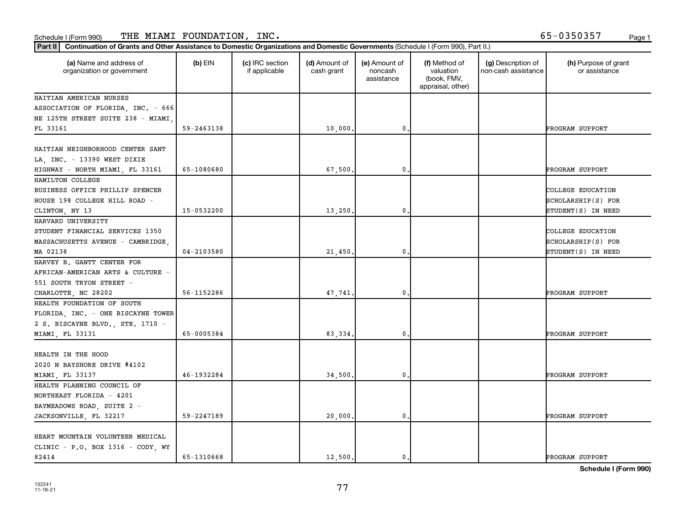| 55-0350357 |  |  |  | Page |
|------------|--|--|--|------|
|            |  |  |  |      |

| (a) Name and address of<br>organization or government | $(b)$ EIN  | (c) IRC section<br>if applicable | (d) Amount of<br>cash grant | (e) Amount of<br>noncash<br>assistance | (f) Method of<br>valuation<br>(book, FMV,<br>appraisal, other) | (g) Description of<br>non-cash assistance | (h) Purpose of grant<br>or assistance |
|-------------------------------------------------------|------------|----------------------------------|-----------------------------|----------------------------------------|----------------------------------------------------------------|-------------------------------------------|---------------------------------------|
| HAITIAN AMERICAN NURSES                               |            |                                  |                             |                                        |                                                                |                                           |                                       |
| ASSOCIATION OF FLORIDA, INC. - 666                    |            |                                  |                             |                                        |                                                                |                                           |                                       |
| NE 125TH STREET SUITE 238 - MIAMI                     |            |                                  |                             |                                        |                                                                |                                           |                                       |
| FL 33161                                              | 59-2463138 |                                  | 10,000.                     | 0                                      |                                                                |                                           | PROGRAM SUPPORT                       |
|                                                       |            |                                  |                             |                                        |                                                                |                                           |                                       |
| HAITIAN NEIGHBORHOOD CENTER SANT                      |            |                                  |                             |                                        |                                                                |                                           |                                       |
| LA, INC. - 13390 WEST DIXIE                           |            |                                  |                             |                                        |                                                                |                                           |                                       |
| HIGHWAY - NORTH MIAMI, FL 33161                       | 65-1080680 |                                  | 67,500.                     | 0                                      |                                                                |                                           | PROGRAM SUPPORT                       |
| HAMILTON COLLEGE                                      |            |                                  |                             |                                        |                                                                |                                           |                                       |
| BUSINESS OFFICE PHILLIP SPENCER                       |            |                                  |                             |                                        |                                                                |                                           | COLLEGE EDUCATION                     |
| HOUSE 198 COLLEGE HILL ROAD -                         |            |                                  |                             |                                        |                                                                |                                           | SCHOLARSHIP(S) FOR                    |
| CLINTON, NY 13                                        | 15-0532200 |                                  | 13,250.                     | $\mathbf{0}$                           |                                                                |                                           | STUDENT(S) IN NEED                    |
| HARVARD UNIVERSITY                                    |            |                                  |                             |                                        |                                                                |                                           |                                       |
| STUDENT FINANCIAL SERVICES 1350                       |            |                                  |                             |                                        |                                                                |                                           | COLLEGE EDUCATION                     |
| MASSACHUSETTS AVENUE - CAMBRIDGE,                     |            |                                  |                             |                                        |                                                                |                                           | SCHOLARSHIP(S) FOR                    |
| MA 02138                                              | 04-2103580 |                                  | 21,450.                     | 0                                      |                                                                |                                           | STUDENT(S) IN NEED                    |
| HARVEY B. GANTT CENTER FOR                            |            |                                  |                             |                                        |                                                                |                                           |                                       |
| AFRICAN-AMERICAN ARTS & CULTURE -                     |            |                                  |                             |                                        |                                                                |                                           |                                       |
| 551 SOUTH TRYON STREET -                              |            |                                  |                             |                                        |                                                                |                                           |                                       |
| CHARLOTTE, NC 28202                                   | 56-1152286 |                                  | 47,741                      | 0                                      |                                                                |                                           | PROGRAM SUPPORT                       |
| HEALTH FOUNDATION OF SOUTH                            |            |                                  |                             |                                        |                                                                |                                           |                                       |
| FLORIDA, INC. - ONE BISCAYNE TOWER                    |            |                                  |                             |                                        |                                                                |                                           |                                       |
| 2 S. BISCAYNE BLVD., STE. 1710 -                      |            |                                  |                             |                                        |                                                                |                                           |                                       |
| MIAMI, FL 33131                                       | 65-0005384 |                                  | 83.334.                     | $\mathbf{0}$                           |                                                                |                                           | PROGRAM SUPPORT                       |
|                                                       |            |                                  |                             |                                        |                                                                |                                           |                                       |
| HEALTH IN THE HOOD                                    |            |                                  |                             |                                        |                                                                |                                           |                                       |
| 2020 N BAYSHORE DRIVE #4102                           |            |                                  |                             |                                        |                                                                |                                           |                                       |
| MIAMI, FL 33137                                       | 46-1932284 |                                  | 34,500.                     | $\mathbf 0$                            |                                                                |                                           | PROGRAM SUPPORT                       |
| HEALTH PLANNING COUNCIL OF                            |            |                                  |                             |                                        |                                                                |                                           |                                       |
| NORTHEAST FLORIDA - 4201                              |            |                                  |                             |                                        |                                                                |                                           |                                       |
| BAYMEADOWS ROAD, SUITE 2 -                            |            |                                  |                             |                                        |                                                                |                                           |                                       |
| JACKSONVILLE, FL 32217                                | 59-2247189 |                                  | 20,000.                     | 0                                      |                                                                |                                           | PROGRAM SUPPORT                       |
|                                                       |            |                                  |                             |                                        |                                                                |                                           |                                       |
| HEART MOUNTAIN VOLUNTEER MEDICAL                      |            |                                  |                             |                                        |                                                                |                                           |                                       |
| CLINIC - P.O. BOX 1316 - CODY, WY                     |            |                                  |                             |                                        |                                                                |                                           |                                       |
| 82414                                                 | 65-1310668 |                                  | 12,500.                     | 0.                                     |                                                                |                                           | PROGRAM SUPPORT                       |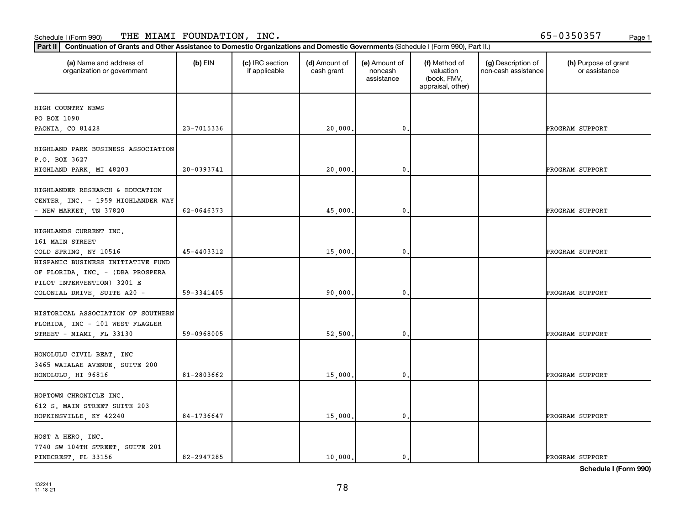|  | 55-0350357 |  |  |  |  |  |  |  | Page |
|--|------------|--|--|--|--|--|--|--|------|
|--|------------|--|--|--|--|--|--|--|------|

| Continuation of Grants and Other Assistance to Domestic Organizations and Domestic Governments (Schedule I (Form 990), Part II.)<br>$ $ Part II |                |                                  |                             |                                        |                                                                |                                           |                                       |
|-------------------------------------------------------------------------------------------------------------------------------------------------|----------------|----------------------------------|-----------------------------|----------------------------------------|----------------------------------------------------------------|-------------------------------------------|---------------------------------------|
| (a) Name and address of<br>organization or government                                                                                           | $(b)$ EIN      | (c) IRC section<br>if applicable | (d) Amount of<br>cash grant | (e) Amount of<br>noncash<br>assistance | (f) Method of<br>valuation<br>(book, FMV,<br>appraisal, other) | (g) Description of<br>non-cash assistance | (h) Purpose of grant<br>or assistance |
| HIGH COUNTRY NEWS                                                                                                                               |                |                                  |                             |                                        |                                                                |                                           |                                       |
| PO BOX 1090                                                                                                                                     |                |                                  |                             |                                        |                                                                |                                           |                                       |
| PAONIA, CO 81428                                                                                                                                | 23-7015336     |                                  | 20,000.                     | 0.                                     |                                                                |                                           | PROGRAM SUPPORT                       |
| HIGHLAND PARK BUSINESS ASSOCIATION<br>P.O. BOX 3627                                                                                             |                |                                  |                             |                                        |                                                                |                                           |                                       |
| HIGHLAND PARK, MI 48203                                                                                                                         | $20 - 0393741$ |                                  | 20,000.                     | $\mathbf{0}$                           |                                                                |                                           | PROGRAM SUPPORT                       |
| HIGHLANDER RESEARCH & EDUCATION<br>CENTER, INC. - 1959 HIGHLANDER WAY                                                                           |                |                                  |                             |                                        |                                                                |                                           |                                       |
| - NEW MARKET, TN 37820                                                                                                                          | 62-0646373     |                                  | 45,000.                     | $\mathbf 0$                            |                                                                |                                           | PROGRAM SUPPORT                       |
| HIGHLANDS CURRENT INC.<br>161 MAIN STREET                                                                                                       |                |                                  |                             |                                        |                                                                |                                           |                                       |
| COLD SPRING, NY 10516                                                                                                                           | 45-4403312     |                                  | 15,000.                     | $\mathbf 0$                            |                                                                |                                           | PROGRAM SUPPORT                       |
| HISPANIC BUSINESS INITIATIVE FUND<br>OF FLORIDA, INC. - (DBA PROSPERA<br>PILOT INTERVENTION) 3201 E                                             |                |                                  |                             |                                        |                                                                |                                           |                                       |
| COLONIAL DRIVE, SUITE A20 -                                                                                                                     | 59-3341405     |                                  | 90,000.                     | 0.                                     |                                                                |                                           | PROGRAM SUPPORT                       |
| HISTORICAL ASSOCIATION OF SOUTHERN<br>FLORIDA, INC - 101 WEST FLAGLER                                                                           |                |                                  |                             |                                        |                                                                |                                           |                                       |
| STREET - MIAMI, FL 33130                                                                                                                        | 59-0968005     |                                  | 52,500.                     | 0                                      |                                                                |                                           | PROGRAM SUPPORT                       |
| HONOLULU CIVIL BEAT, INC<br>3465 WAIALAE AVENUE, SUITE 200                                                                                      |                |                                  |                             |                                        |                                                                |                                           |                                       |
| HONOLULU, HI 96816                                                                                                                              | 81-2803662     |                                  | 15,000.                     | 0.                                     |                                                                |                                           | PROGRAM SUPPORT                       |
| HOPTOWN CHRONICLE INC.<br>612 S. MAIN STREET SUITE 203                                                                                          |                |                                  |                             |                                        |                                                                |                                           |                                       |
| HOPKINSVILLE, KY 42240                                                                                                                          | 84-1736647     |                                  | 15,000.                     | 0.                                     |                                                                |                                           | PROGRAM SUPPORT                       |
| HOST A HERO, INC.<br>7740 SW 104TH STREET, SUITE 201<br>PINECREST, FL 33156                                                                     | 82-2947285     |                                  | 10,000.                     | 0.                                     |                                                                |                                           | PROGRAM SUPPORT                       |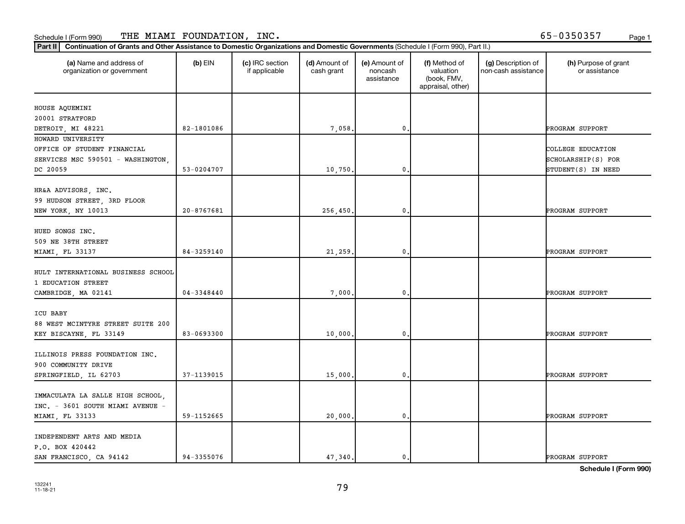|  |  | 55-0350357 | Page |
|--|--|------------|------|
|--|--|------------|------|

| Continuation of Grants and Other Assistance to Domestic Organizations and Domestic Governments (Schedule I (Form 990), Part II.)<br>Part II |                |                                  |                             |                                        |                                                                |                                           |                                       |
|---------------------------------------------------------------------------------------------------------------------------------------------|----------------|----------------------------------|-----------------------------|----------------------------------------|----------------------------------------------------------------|-------------------------------------------|---------------------------------------|
| (a) Name and address of<br>organization or government                                                                                       | $(b)$ EIN      | (c) IRC section<br>if applicable | (d) Amount of<br>cash grant | (e) Amount of<br>noncash<br>assistance | (f) Method of<br>valuation<br>(book, FMV,<br>appraisal, other) | (g) Description of<br>non-cash assistance | (h) Purpose of grant<br>or assistance |
| HOUSE AQUEMINI                                                                                                                              |                |                                  |                             |                                        |                                                                |                                           |                                       |
| 20001 STRATFORD                                                                                                                             |                |                                  |                             |                                        |                                                                |                                           |                                       |
| DETROIT, MI 48221                                                                                                                           | 82-1801086     |                                  | 7,058.                      | $\mathbf 0$                            |                                                                |                                           | PROGRAM SUPPORT                       |
| HOWARD UNIVERSITY                                                                                                                           |                |                                  |                             |                                        |                                                                |                                           |                                       |
| OFFICE OF STUDENT FINANCIAL                                                                                                                 |                |                                  |                             |                                        |                                                                |                                           | COLLEGE EDUCATION                     |
| SERVICES MSC 590501 - WASHINGTON,                                                                                                           |                |                                  |                             |                                        |                                                                |                                           | SCHOLARSHIP(S) FOR                    |
| DC 20059                                                                                                                                    | $53 - 0204707$ |                                  | 10,750.                     | $\mathbf{0}$                           |                                                                |                                           | STUDENT(S) IN NEED                    |
| HR&A ADVISORS, INC.<br>99 HUDSON STREET, 3RD FLOOR                                                                                          |                |                                  |                             |                                        |                                                                |                                           |                                       |
| NEW YORK, NY 10013                                                                                                                          | 20-8767681     |                                  | 256,450.                    | $\mathbf{0}$                           |                                                                |                                           | PROGRAM SUPPORT                       |
| HUED SONGS INC.<br>509 NE 38TH STREET<br>MIAMI, FL 33137                                                                                    | 84-3259140     |                                  | 21,259.                     | $\mathbf 0$                            |                                                                |                                           | PROGRAM SUPPORT                       |
| HULT INTERNATIONAL BUSINESS SCHOOL<br>1 EDUCATION STREET                                                                                    |                |                                  |                             |                                        |                                                                |                                           |                                       |
| CAMBRIDGE, MA 02141                                                                                                                         | $04 - 3348440$ |                                  | 7,000.                      | $\mathbf{0}$                           |                                                                |                                           | PROGRAM SUPPORT                       |
| ICU BABY<br>88 WEST MCINTYRE STREET SUITE 200<br>KEY BISCAYNE, FL 33149                                                                     | 83-0693300     |                                  | 10,000                      | $\mathbf{0}$                           |                                                                |                                           | PROGRAM SUPPORT                       |
| ILLINOIS PRESS FOUNDATION INC.<br>900 COMMUNITY DRIVE<br>SPRINGFIELD, IL 62703                                                              | 37-1139015     |                                  | 15,000                      | $\mathbf{0}$                           |                                                                |                                           | PROGRAM SUPPORT                       |
| IMMACULATA LA SALLE HIGH SCHOOL,<br>INC. - 3601 SOUTH MIAMI AVENUE -                                                                        |                |                                  |                             |                                        |                                                                |                                           |                                       |
| MIAMI, FL 33133                                                                                                                             | 59-1152665     |                                  | 20,000.                     | $\mathbf{0}$                           |                                                                |                                           | PROGRAM SUPPORT                       |
| INDEPENDENT ARTS AND MEDIA<br>P.O. BOX 420442<br>SAN FRANCISCO, CA 94142                                                                    | 94-3355076     |                                  | 47.340.                     | $\mathbf{0}$ .                         |                                                                |                                           | PROGRAM SUPPORT                       |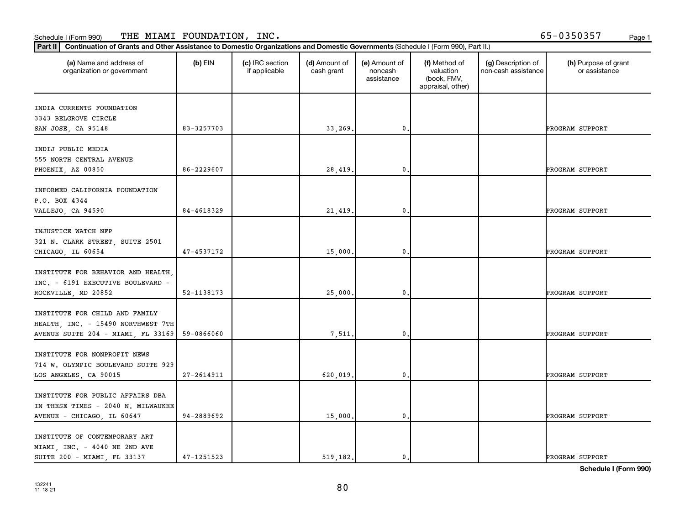| 55-0350357 |  |  |  | Page |
|------------|--|--|--|------|

| (a) Name and address of<br>organization or government                   | $(b)$ EIN      | (c) IRC section<br>if applicable | (d) Amount of<br>cash grant | (e) Amount of<br>noncash<br>assistance | (f) Method of<br>valuation<br>(book, FMV,<br>appraisal, other) | (g) Description of<br>non-cash assistance | (h) Purpose of grant<br>or assistance |
|-------------------------------------------------------------------------|----------------|----------------------------------|-----------------------------|----------------------------------------|----------------------------------------------------------------|-------------------------------------------|---------------------------------------|
| INDIA CURRENTS FOUNDATION                                               |                |                                  |                             |                                        |                                                                |                                           |                                       |
| 3343 BELGROVE CIRCLE                                                    |                |                                  |                             |                                        |                                                                |                                           |                                       |
| SAN JOSE, CA 95148                                                      | 83-3257703     |                                  | 33,269.                     | $\mathbf 0$                            |                                                                |                                           | PROGRAM SUPPORT                       |
| INDIJ PUBLIC MEDIA                                                      |                |                                  |                             |                                        |                                                                |                                           |                                       |
| 555 NORTH CENTRAL AVENUE                                                |                |                                  |                             |                                        |                                                                |                                           |                                       |
| PHOENIX, AZ 00850                                                       | 86-2229607     |                                  | 28,419                      | $\mathbf 0$                            |                                                                |                                           | PROGRAM SUPPORT                       |
| INFORMED CALIFORNIA FOUNDATION                                          |                |                                  |                             |                                        |                                                                |                                           |                                       |
| P.O. BOX 4344                                                           |                |                                  |                             |                                        |                                                                |                                           |                                       |
| VALLEJO, CA 94590                                                       | 84-4618329     |                                  | 21,419.                     | 0.                                     |                                                                |                                           | PROGRAM SUPPORT                       |
|                                                                         |                |                                  |                             |                                        |                                                                |                                           |                                       |
| INJUSTICE WATCH NFP                                                     |                |                                  |                             |                                        |                                                                |                                           |                                       |
| 321 N. CLARK STREET, SUITE 2501                                         |                |                                  |                             |                                        |                                                                |                                           |                                       |
| CHICAGO, IL 60654                                                       | 47-4537172     |                                  | 15,000                      | 0,                                     |                                                                |                                           | PROGRAM SUPPORT                       |
|                                                                         |                |                                  |                             |                                        |                                                                |                                           |                                       |
| INSTITUTE FOR BEHAVIOR AND HEALTH,<br>INC. - 6191 EXECUTIVE BOULEVARD - |                |                                  |                             |                                        |                                                                |                                           |                                       |
| ROCKVILLE, MD 20852                                                     | 52-1138173     |                                  | 25,000.                     | $\mathbf 0$                            |                                                                |                                           | PROGRAM SUPPORT                       |
|                                                                         |                |                                  |                             |                                        |                                                                |                                           |                                       |
| INSTITUTE FOR CHILD AND FAMILY                                          |                |                                  |                             |                                        |                                                                |                                           |                                       |
| HEALTH, INC. - 15490 NORTHWEST 7TH                                      |                |                                  |                             |                                        |                                                                |                                           |                                       |
| AVENUE SUITE 204 - MIAMI, FL 33169                                      | 59-0866060     |                                  | 7,511                       | 0,                                     |                                                                |                                           | PROGRAM SUPPORT                       |
|                                                                         |                |                                  |                             |                                        |                                                                |                                           |                                       |
| INSTITUTE FOR NONPROFIT NEWS                                            |                |                                  |                             |                                        |                                                                |                                           |                                       |
| 714 W. OLYMPIC BOULEVARD SUITE 929                                      |                |                                  |                             |                                        |                                                                |                                           |                                       |
| LOS ANGELES, CA 90015                                                   | 27-2614911     |                                  | 620,019.                    | 0,                                     |                                                                |                                           | PROGRAM SUPPORT                       |
| INSTITUTE FOR PUBLIC AFFAIRS DBA                                        |                |                                  |                             |                                        |                                                                |                                           |                                       |
| IN THESE TIMES - 2040 N. MILWAUKEE                                      |                |                                  |                             |                                        |                                                                |                                           |                                       |
| AVENUE - CHICAGO, IL 60647                                              | 94-2889692     |                                  | 15,000                      | $\mathbf 0$                            |                                                                |                                           | PROGRAM SUPPORT                       |
|                                                                         |                |                                  |                             |                                        |                                                                |                                           |                                       |
| INSTITUTE OF CONTEMPORARY ART                                           |                |                                  |                             |                                        |                                                                |                                           |                                       |
| MIAMI, INC. - 4040 NE 2ND AVE                                           |                |                                  |                             |                                        |                                                                |                                           |                                       |
| SUITE 200 - MIAMI, FL 33137                                             | $47 - 1251523$ |                                  | 519, 182.                   | 0.                                     |                                                                |                                           | PROGRAM SUPPORT                       |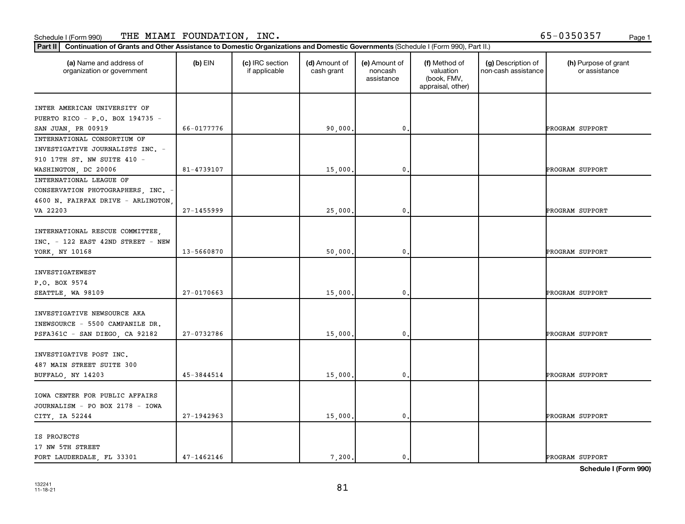| 55-0350357 | Page |  |  |  |  |  |  |  |  |
|------------|------|--|--|--|--|--|--|--|--|
|------------|------|--|--|--|--|--|--|--|--|

| (a) Name and address of<br>organization or government | $(b)$ EIN  | (c) IRC section<br>if applicable | (d) Amount of<br>cash grant | (e) Amount of<br>noncash<br>assistance | (f) Method of<br>valuation<br>(book, FMV,<br>appraisal, other) | (g) Description of<br>non-cash assistance | (h) Purpose of grant<br>or assistance |
|-------------------------------------------------------|------------|----------------------------------|-----------------------------|----------------------------------------|----------------------------------------------------------------|-------------------------------------------|---------------------------------------|
| INTER AMERICAN UNIVERSITY OF                          |            |                                  |                             |                                        |                                                                |                                           |                                       |
| PUERTO RICO - P.O. BOX 194735 -                       |            |                                  |                             |                                        |                                                                |                                           |                                       |
| SAN JUAN, PR 00919                                    | 66-0177776 |                                  | 90,000.                     | $\mathbf 0$                            |                                                                |                                           | PROGRAM SUPPORT                       |
| INTERNATIONAL CONSORTIUM OF                           |            |                                  |                             |                                        |                                                                |                                           |                                       |
| INVESTIGATIVE JOURNALISTS INC. -                      |            |                                  |                             |                                        |                                                                |                                           |                                       |
| 910 17TH ST. NW SUITE 410 -                           |            |                                  |                             |                                        |                                                                |                                           |                                       |
| WASHINGTON, DC 20006                                  | 81-4739107 |                                  | 15,000                      | $\mathbf 0$                            |                                                                |                                           | PROGRAM SUPPORT                       |
| INTERNATIONAL LEAGUE OF                               |            |                                  |                             |                                        |                                                                |                                           |                                       |
| CONSERVATION PHOTOGRAPHERS, INC. -                    |            |                                  |                             |                                        |                                                                |                                           |                                       |
| 4600 N. FAIRFAX DRIVE - ARLINGTON,                    |            |                                  |                             |                                        |                                                                |                                           |                                       |
| VA 22203                                              | 27-1455999 |                                  | 25,000.                     | $\mathbf 0$                            |                                                                |                                           | PROGRAM SUPPORT                       |
|                                                       |            |                                  |                             |                                        |                                                                |                                           |                                       |
| INTERNATIONAL RESCUE COMMITTEE,                       |            |                                  |                             |                                        |                                                                |                                           |                                       |
| INC. - 122 EAST 42ND STREET - NEW                     |            |                                  |                             |                                        |                                                                |                                           |                                       |
| YORK, NY 10168                                        | 13-5660870 |                                  | 50,000                      | 0.                                     |                                                                |                                           | PROGRAM SUPPORT                       |
|                                                       |            |                                  |                             |                                        |                                                                |                                           |                                       |
| INVESTIGATEWEST                                       |            |                                  |                             |                                        |                                                                |                                           |                                       |
| P.O. BOX 9574                                         |            |                                  |                             |                                        |                                                                |                                           |                                       |
| SEATTLE, WA 98109                                     | 27-0170663 |                                  | 15,000                      | 0                                      |                                                                |                                           | PROGRAM SUPPORT                       |
|                                                       |            |                                  |                             |                                        |                                                                |                                           |                                       |
| INVESTIGATIVE NEWSOURCE AKA                           |            |                                  |                             |                                        |                                                                |                                           |                                       |
| INEWSOURCE - 5500 CAMPANILE DR.                       |            |                                  |                             |                                        |                                                                |                                           |                                       |
| PSFA361C - SAN DIEGO, CA 92182                        | 27-0732786 |                                  | 15,000.                     | 0.                                     |                                                                |                                           | PROGRAM SUPPORT                       |
|                                                       |            |                                  |                             |                                        |                                                                |                                           |                                       |
| INVESTIGATIVE POST INC.                               |            |                                  |                             |                                        |                                                                |                                           |                                       |
| 487 MAIN STREET SUITE 300                             |            |                                  |                             |                                        |                                                                |                                           |                                       |
| BUFFALO, NY 14203                                     | 45-3844514 |                                  | 15,000                      | 0.                                     |                                                                |                                           | PROGRAM SUPPORT                       |
|                                                       |            |                                  |                             |                                        |                                                                |                                           |                                       |
| IOWA CENTER FOR PUBLIC AFFAIRS                        |            |                                  |                             |                                        |                                                                |                                           |                                       |
| JOURNALISM - PO BOX 2178 - IOWA                       |            |                                  |                             |                                        |                                                                |                                           |                                       |
| CITY, IA 52244                                        | 27-1942963 |                                  | 15,000                      | 0.                                     |                                                                |                                           | PROGRAM SUPPORT                       |
|                                                       |            |                                  |                             |                                        |                                                                |                                           |                                       |
| IS PROJECTS                                           |            |                                  |                             |                                        |                                                                |                                           |                                       |
| 17 NW 5TH STREET                                      |            |                                  |                             |                                        |                                                                |                                           |                                       |
| FORT LAUDERDALE, FL 33301                             | 47-1462146 |                                  | 7,200.                      | 0.                                     |                                                                |                                           | PROGRAM SUPPORT                       |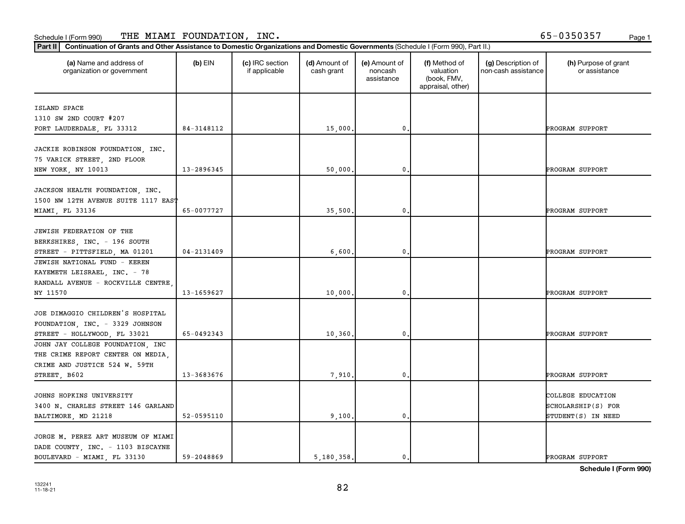#### **Part III Continuation of Grants and Other Assistance to Domestic Organizations and Domestic Governments** (Sch Schedule I (Form 990) THE MIAMI FOUNDATION, INC. 65-0350357 <sub>Page 1</sub>

| 5-0350357 |  |  |  | Pа |
|-----------|--|--|--|----|
|           |  |  |  |    |

| Continuation of Grants and Other Assistance to Domestic Organizations and Domestic Governments (Schedule I (Form 990), Part II.)<br>Part II |            |                                  |                             |                                        |                                                                |                                           |                                       |
|---------------------------------------------------------------------------------------------------------------------------------------------|------------|----------------------------------|-----------------------------|----------------------------------------|----------------------------------------------------------------|-------------------------------------------|---------------------------------------|
| (a) Name and address of<br>organization or government                                                                                       | $(b)$ EIN  | (c) IRC section<br>if applicable | (d) Amount of<br>cash grant | (e) Amount of<br>noncash<br>assistance | (f) Method of<br>valuation<br>(book, FMV,<br>appraisal, other) | (g) Description of<br>non-cash assistance | (h) Purpose of grant<br>or assistance |
| ISLAND SPACE                                                                                                                                |            |                                  |                             |                                        |                                                                |                                           |                                       |
| 1310 SW 2ND COURT #207                                                                                                                      |            |                                  |                             |                                        |                                                                |                                           |                                       |
| FORT LAUDERDALE, FL 33312                                                                                                                   | 84-3148112 |                                  | 15,000.                     | 0.                                     |                                                                |                                           | PROGRAM SUPPORT                       |
|                                                                                                                                             |            |                                  |                             |                                        |                                                                |                                           |                                       |
| JACKIE ROBINSON FOUNDATION, INC.                                                                                                            |            |                                  |                             |                                        |                                                                |                                           |                                       |
| 75 VARICK STREET, 2ND FLOOR                                                                                                                 |            |                                  |                             |                                        |                                                                |                                           |                                       |
| NEW YORK, NY 10013                                                                                                                          | 13-2896345 |                                  | 50,000                      | $\mathbf 0$                            |                                                                |                                           | PROGRAM SUPPORT                       |
|                                                                                                                                             |            |                                  |                             |                                        |                                                                |                                           |                                       |
| JACKSON HEALTH FOUNDATION, INC.                                                                                                             |            |                                  |                             |                                        |                                                                |                                           |                                       |
| 1500 NW 12TH AVENUE SUITE 1117 EAST                                                                                                         |            |                                  |                             |                                        |                                                                |                                           |                                       |
| MIAMI, FL 33136                                                                                                                             | 65-0077727 |                                  | 35,500                      | $\mathbf 0$                            |                                                                |                                           | PROGRAM SUPPORT                       |
|                                                                                                                                             |            |                                  |                             |                                        |                                                                |                                           |                                       |
| JEWISH FEDERATION OF THE                                                                                                                    |            |                                  |                             |                                        |                                                                |                                           |                                       |
| BERKSHIRES, INC. - 196 SOUTH                                                                                                                |            |                                  |                             |                                        |                                                                |                                           |                                       |
| STREET - PITTSFIELD, MA 01201                                                                                                               | 04-2131409 |                                  | 6,600                       | 0.                                     |                                                                |                                           | PROGRAM SUPPORT                       |
| JEWISH NATIONAL FUND - KEREN                                                                                                                |            |                                  |                             |                                        |                                                                |                                           |                                       |
| KAYEMETH LEISRAEL, INC. - 78                                                                                                                |            |                                  |                             |                                        |                                                                |                                           |                                       |
| RANDALL AVENUE - ROCKVILLE CENTRE                                                                                                           |            |                                  |                             |                                        |                                                                |                                           |                                       |
| NY 11570                                                                                                                                    | 13-1659627 |                                  | 10,000                      | $\mathbf 0$                            |                                                                |                                           | PROGRAM SUPPORT                       |
|                                                                                                                                             |            |                                  |                             |                                        |                                                                |                                           |                                       |
| JOE DIMAGGIO CHILDREN'S HOSPITAL                                                                                                            |            |                                  |                             |                                        |                                                                |                                           |                                       |
| FOUNDATION, INC. - 3329 JOHNSON                                                                                                             |            |                                  |                             |                                        |                                                                |                                           |                                       |
| STREET - HOLLYWOOD, FL 33021                                                                                                                | 65-0492343 |                                  | 10,360                      | $\mathbf 0$                            |                                                                |                                           | PROGRAM SUPPORT                       |
| JOHN JAY COLLEGE FOUNDATION, INC                                                                                                            |            |                                  |                             |                                        |                                                                |                                           |                                       |
| THE CRIME REPORT CENTER ON MEDIA,                                                                                                           |            |                                  |                             |                                        |                                                                |                                           |                                       |
| CRIME AND JUSTICE 524 W. 59TH                                                                                                               |            |                                  |                             |                                        |                                                                |                                           |                                       |
| STREET B602                                                                                                                                 | 13-3683676 |                                  | 7,910                       | $\mathbf 0$                            |                                                                |                                           | PROGRAM SUPPORT                       |
|                                                                                                                                             |            |                                  |                             |                                        |                                                                |                                           |                                       |
| JOHNS HOPKINS UNIVERSITY                                                                                                                    |            |                                  |                             |                                        |                                                                |                                           | COLLEGE EDUCATION                     |
| 3400 N. CHARLES STREET 146 GARLAND                                                                                                          |            |                                  |                             |                                        |                                                                |                                           | SCHOLARSHIP(S) FOR                    |
| BALTIMORE, MD 21218                                                                                                                         | 52-0595110 |                                  | 9,100                       | $\mathbf 0$                            |                                                                |                                           | STUDENT(S) IN NEED                    |
|                                                                                                                                             |            |                                  |                             |                                        |                                                                |                                           |                                       |
| JORGE M. PEREZ ART MUSEUM OF MIAMI                                                                                                          |            |                                  |                             |                                        |                                                                |                                           |                                       |
| DADE COUNTY, INC. - 1103 BISCAYNE                                                                                                           |            |                                  |                             |                                        |                                                                |                                           |                                       |
| BOULEVARD - MIAMI, FL 33130                                                                                                                 | 59-2048869 |                                  | 5, 180, 358.                | 0.                                     |                                                                |                                           | PROGRAM SUPPORT                       |
|                                                                                                                                             |            |                                  |                             |                                        |                                                                |                                           |                                       |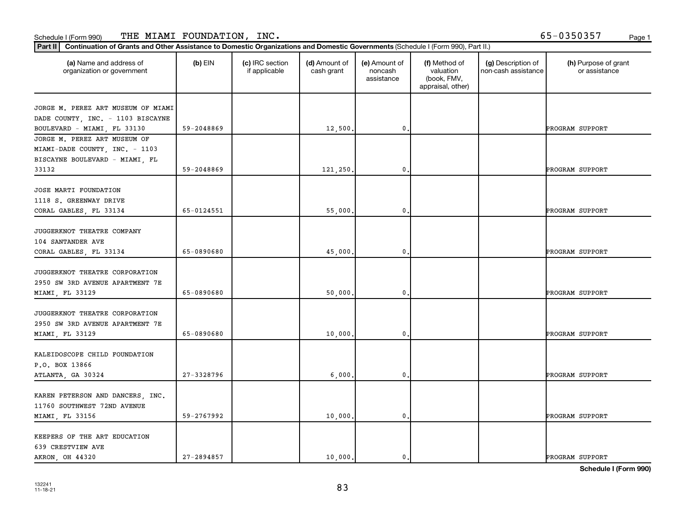| 55-0350357 |  |  |  | Pa |
|------------|--|--|--|----|
|            |  |  |  |    |

| (a) Name and address of<br>organization or government | $(b)$ EIN  | (c) IRC section<br>if applicable | (d) Amount of<br>cash grant | (e) Amount of<br>noncash<br>assistance | (f) Method of<br>valuation<br>(book, FMV,<br>appraisal, other) | (g) Description of<br>non-cash assistance | (h) Purpose of grant<br>or assistance |
|-------------------------------------------------------|------------|----------------------------------|-----------------------------|----------------------------------------|----------------------------------------------------------------|-------------------------------------------|---------------------------------------|
| JORGE M. PEREZ ART MUSEUM OF MIAMI                    |            |                                  |                             |                                        |                                                                |                                           |                                       |
| DADE COUNTY, INC. - 1103 BISCAYNE                     |            |                                  |                             |                                        |                                                                |                                           |                                       |
| BOULEVARD - MIAMI, FL 33130                           | 59-2048869 |                                  | 12,500.                     | $\mathbf{0}$                           |                                                                |                                           | PROGRAM SUPPORT                       |
| JORGE M. PEREZ ART MUSEUM OF                          |            |                                  |                             |                                        |                                                                |                                           |                                       |
| MIAMI-DADE COUNTY, INC. - 1103                        |            |                                  |                             |                                        |                                                                |                                           |                                       |
| BISCAYNE BOULEVARD - MIAMI, FL                        |            |                                  |                             |                                        |                                                                |                                           |                                       |
| 33132                                                 | 59-2048869 |                                  | 121,250.                    | 0                                      |                                                                |                                           | PROGRAM SUPPORT                       |
|                                                       |            |                                  |                             |                                        |                                                                |                                           |                                       |
| JOSE MARTI FOUNDATION                                 |            |                                  |                             |                                        |                                                                |                                           |                                       |
| 1118 S. GREENWAY DRIVE                                |            |                                  |                             |                                        |                                                                |                                           |                                       |
| CORAL GABLES, FL 33134                                | 65-0124551 |                                  | 55,000                      | $\mathbf{0}$                           |                                                                |                                           | PROGRAM SUPPORT                       |
| JUGGERKNOT THEATRE COMPANY                            |            |                                  |                             |                                        |                                                                |                                           |                                       |
| 104 SANTANDER AVE                                     |            |                                  |                             |                                        |                                                                |                                           |                                       |
| CORAL GABLES, FL 33134                                | 65-0890680 |                                  | 45,000                      | $\mathbf{0}$                           |                                                                |                                           | PROGRAM SUPPORT                       |
|                                                       |            |                                  |                             |                                        |                                                                |                                           |                                       |
| JUGGERKNOT THEATRE CORPORATION                        |            |                                  |                             |                                        |                                                                |                                           |                                       |
| 2950 SW 3RD AVENUE APARTMENT 7E                       |            |                                  |                             |                                        |                                                                |                                           |                                       |
| MIAMI, FL 33129                                       | 65-0890680 |                                  | 50,000                      | $\mathbf{0}$                           |                                                                |                                           | PROGRAM SUPPORT                       |
|                                                       |            |                                  |                             |                                        |                                                                |                                           |                                       |
| JUGGERKNOT THEATRE CORPORATION                        |            |                                  |                             |                                        |                                                                |                                           |                                       |
| 2950 SW 3RD AVENUE APARTMENT 7E                       |            |                                  |                             |                                        |                                                                |                                           |                                       |
| MIAMI, FL 33129                                       | 65-0890680 |                                  | 10,000.                     | 0                                      |                                                                |                                           | PROGRAM SUPPORT                       |
|                                                       |            |                                  |                             |                                        |                                                                |                                           |                                       |
| KALEIDOSCOPE CHILD FOUNDATION                         |            |                                  |                             |                                        |                                                                |                                           |                                       |
| P.O. BOX 13866                                        |            |                                  |                             |                                        |                                                                |                                           |                                       |
| ATLANTA, GA 30324                                     | 27-3328796 |                                  | 6,000                       | $\mathbf{0}$                           |                                                                |                                           | PROGRAM SUPPORT                       |
| KAREN PETERSON AND DANCERS, INC.                      |            |                                  |                             |                                        |                                                                |                                           |                                       |
| 11760 SOUTHWEST 72ND AVENUE                           |            |                                  |                             |                                        |                                                                |                                           |                                       |
| MIAMI, FL 33156                                       | 59-2767992 |                                  | 10,000.                     | $\mathbf{0}$                           |                                                                |                                           | PROGRAM SUPPORT                       |
|                                                       |            |                                  |                             |                                        |                                                                |                                           |                                       |
| KEEPERS OF THE ART EDUCATION                          |            |                                  |                             |                                        |                                                                |                                           |                                       |
| 639 CRESTVIEW AVE                                     |            |                                  |                             |                                        |                                                                |                                           |                                       |
| AKRON, OH 44320                                       | 27-2894857 |                                  | 10,000.                     | $\mathbf{0}$ .                         |                                                                |                                           | PROGRAM SUPPORT                       |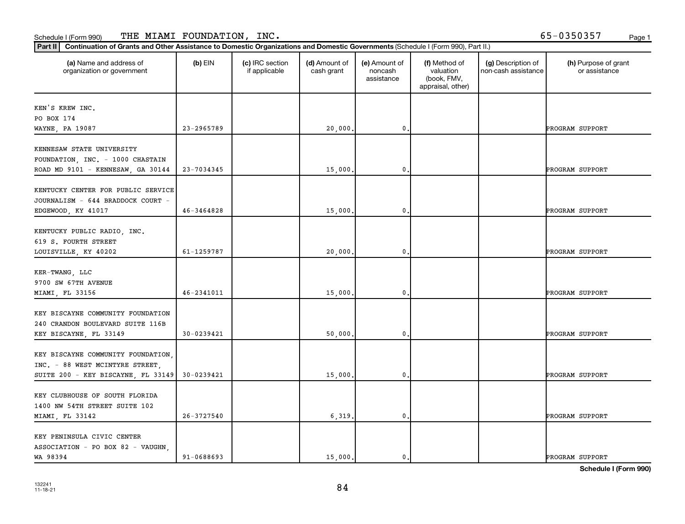#### **Part III Continuation of Grants and Other Assistance to Domestic Organizations and Domestic Governments** (Sch Schedule I (Form 990) THE MIAMI FOUNDATION, INC. 65-0350357 <sub>Page 1</sub>

|  |  | 55-0350357 | Page |
|--|--|------------|------|
|  |  |            |      |

| Continuation of Grants and Other Assistance to Domestic Organizations and Domestic Governments (Schedule I (Form 990), Part II.)<br> Part II |                |                                  |                             |                                        |                                                                |                                           |                                       |
|----------------------------------------------------------------------------------------------------------------------------------------------|----------------|----------------------------------|-----------------------------|----------------------------------------|----------------------------------------------------------------|-------------------------------------------|---------------------------------------|
| (a) Name and address of<br>organization or government                                                                                        | $(b)$ EIN      | (c) IRC section<br>if applicable | (d) Amount of<br>cash grant | (e) Amount of<br>noncash<br>assistance | (f) Method of<br>valuation<br>(book, FMV,<br>appraisal, other) | (g) Description of<br>non-cash assistance | (h) Purpose of grant<br>or assistance |
| KEN'S KREW INC.                                                                                                                              |                |                                  |                             |                                        |                                                                |                                           |                                       |
| PO BOX 174                                                                                                                                   |                |                                  |                             |                                        |                                                                |                                           |                                       |
| WAYNE, PA 19087                                                                                                                              | 23-2965789     |                                  | 20,000,                     | $\mathbf{0}$                           |                                                                |                                           | PROGRAM SUPPORT                       |
| KENNESAW STATE UNIVERSITY<br>FOUNDATION, INC. - 1000 CHASTAIN                                                                                | 23-7034345     |                                  |                             |                                        |                                                                |                                           |                                       |
| ROAD MD 9101 - KENNESAW, GA 30144                                                                                                            |                |                                  | 15,000                      | 0                                      |                                                                |                                           | PROGRAM SUPPORT                       |
| KENTUCKY CENTER FOR PUBLIC SERVICE<br>JOURNALISM - 644 BRADDOCK COURT -<br>EDGEWOOD, KY 41017                                                | 46-3464828     |                                  | 15,000                      | 0                                      |                                                                |                                           | PROGRAM SUPPORT                       |
| KENTUCKY PUBLIC RADIO, INC.<br>619 S. FOURTH STREET                                                                                          |                |                                  |                             |                                        |                                                                |                                           |                                       |
| LOUISVILLE, KY 40202                                                                                                                         | 61-1259787     |                                  | 20,000,                     | $\mathbf{0}$                           |                                                                |                                           | PROGRAM SUPPORT                       |
| KER-TWANG, LLC<br>9700 SW 67TH AVENUE<br>MIAMI, FL 33156                                                                                     | 46-2341011     |                                  | 15,000                      | 0                                      |                                                                |                                           | PROGRAM SUPPORT                       |
|                                                                                                                                              |                |                                  |                             |                                        |                                                                |                                           |                                       |
| KEY BISCAYNE COMMUNITY FOUNDATION<br>240 CRANDON BOULEVARD SUITE 116B<br>KEY BISCAYNE, FL 33149                                              | 30-0239421     |                                  | 50,000                      | 0                                      |                                                                |                                           | PROGRAM SUPPORT                       |
| KEY BISCAYNE COMMUNITY FOUNDATION,<br>INC. - 88 WEST MCINTYRE STREET,                                                                        |                |                                  |                             |                                        |                                                                |                                           |                                       |
| SUITE 200 - KEY BISCAYNE, FL 33149                                                                                                           | 30-0239421     |                                  | 15,000                      | $\mathbf{0}$                           |                                                                |                                           | PROGRAM SUPPORT                       |
| KEY CLUBHOUSE OF SOUTH FLORIDA<br>1400 NW 54TH STREET SUITE 102                                                                              |                |                                  |                             |                                        |                                                                |                                           |                                       |
| MIAMI, FL 33142                                                                                                                              | $26 - 3727540$ |                                  | 6,319                       | 0                                      |                                                                |                                           | PROGRAM SUPPORT                       |
| KEY PENINSULA CIVIC CENTER<br>ASSOCIATION - PO BOX 82 - VAUGHN,<br>WA 98394                                                                  | 91-0688693     |                                  | 15,000.                     | 0.                                     |                                                                |                                           | PROGRAM SUPPORT                       |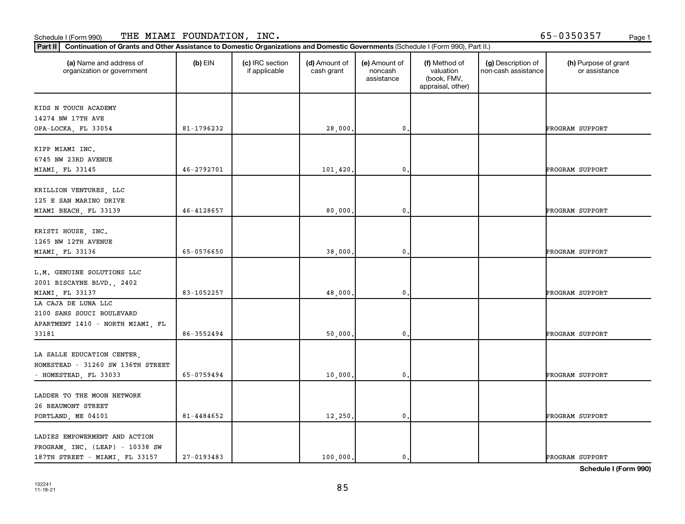|  |  | 55-0350357 | Page |
|--|--|------------|------|
|  |  |            |      |

| (a) Name and address of<br>organization or government           | $(b)$ EIN  | (c) IRC section<br>if applicable | (d) Amount of<br>cash grant | (e) Amount of<br>noncash<br>assistance | (f) Method of<br>valuation<br>(book, FMV,<br>appraisal, other) | (g) Description of<br>non-cash assistance | (h) Purpose of grant<br>or assistance |
|-----------------------------------------------------------------|------------|----------------------------------|-----------------------------|----------------------------------------|----------------------------------------------------------------|-------------------------------------------|---------------------------------------|
| KIDS N TOUCH ACADEMY                                            |            |                                  |                             |                                        |                                                                |                                           |                                       |
| 14274 NW 17TH AVE                                               |            |                                  |                             |                                        |                                                                |                                           |                                       |
| OPA-LOCKA, FL 33054                                             | 81-1796232 |                                  | 28,000.                     | $\mathbf 0$                            |                                                                |                                           | PROGRAM SUPPORT                       |
| KIPP MIAMI INC.                                                 |            |                                  |                             |                                        |                                                                |                                           |                                       |
| 6745 NW 23RD AVENUE                                             |            |                                  |                             |                                        |                                                                |                                           |                                       |
| MIAMI, FL 33145                                                 | 46-2792701 |                                  | 101,420.                    | 0                                      |                                                                |                                           | PROGRAM SUPPORT                       |
|                                                                 |            |                                  |                             |                                        |                                                                |                                           |                                       |
| KRILLION VENTURES, LLC                                          |            |                                  |                             |                                        |                                                                |                                           |                                       |
| 125 E SAN MARINO DRIVE                                          |            |                                  |                             |                                        |                                                                |                                           |                                       |
| MIAMI BEACH, FL 33139                                           | 46-4128657 |                                  | 80,000.                     | 0.                                     |                                                                |                                           | PROGRAM SUPPORT                       |
|                                                                 |            |                                  |                             |                                        |                                                                |                                           |                                       |
| KRISTI HOUSE, INC.                                              |            |                                  |                             |                                        |                                                                |                                           |                                       |
| 1265 NW 12TH AVENUE                                             |            |                                  |                             |                                        |                                                                |                                           |                                       |
| MIAMI, FL 33136                                                 | 65-0576650 |                                  | 38,000.                     | $\mathbf 0$                            |                                                                |                                           | PROGRAM SUPPORT                       |
|                                                                 |            |                                  |                             |                                        |                                                                |                                           |                                       |
| L.M. GENUINE SOLUTIONS LLC                                      |            |                                  |                             |                                        |                                                                |                                           |                                       |
| 2001 BISCAYNE BLVD., 2402                                       |            |                                  |                             |                                        |                                                                |                                           |                                       |
| MIAMI, FL 33137                                                 | 83-1052257 |                                  | 48,000.                     | 0                                      |                                                                |                                           | PROGRAM SUPPORT                       |
| LA CAJA DE LUNA LLC                                             |            |                                  |                             |                                        |                                                                |                                           |                                       |
| 2100 SANS SOUCI BOULEVARD                                       |            |                                  |                             |                                        |                                                                |                                           |                                       |
| APARTMENT 1410 - NORTH MIAMI, FL                                |            |                                  |                             |                                        |                                                                |                                           |                                       |
| 33181                                                           | 86-3552494 |                                  | 50,000.                     | 0                                      |                                                                |                                           | PROGRAM SUPPORT                       |
|                                                                 |            |                                  |                             |                                        |                                                                |                                           |                                       |
| LA SALLE EDUCATION CENTER,<br>HOMESTEAD - 31260 SW 136TH STREET |            |                                  |                             |                                        |                                                                |                                           |                                       |
|                                                                 | 65-0759494 |                                  |                             |                                        |                                                                |                                           |                                       |
| - HOMESTEAD, FL 33033                                           |            |                                  | 10,000.                     | 0,                                     |                                                                |                                           | PROGRAM SUPPORT                       |
| LADDER TO THE MOON NETWORK                                      |            |                                  |                             |                                        |                                                                |                                           |                                       |
| 26 BEAUMONT STREET                                              |            |                                  |                             |                                        |                                                                |                                           |                                       |
| PORTLAND, ME 04101                                              | 81-4484652 |                                  | 12, 250.                    | 0                                      |                                                                |                                           | PROGRAM SUPPORT                       |
|                                                                 |            |                                  |                             |                                        |                                                                |                                           |                                       |
| LADIES EMPOWERMENT AND ACTION                                   |            |                                  |                             |                                        |                                                                |                                           |                                       |
| PROGRAM, INC. (LEAP) - 10338 SW                                 |            |                                  |                             |                                        |                                                                |                                           |                                       |
| 187TH STREET - MIAMI, FL 33157                                  | 27-0193483 |                                  | 100,000.                    | $\mathbf{0}$ .                         |                                                                |                                           | PROGRAM SUPPORT                       |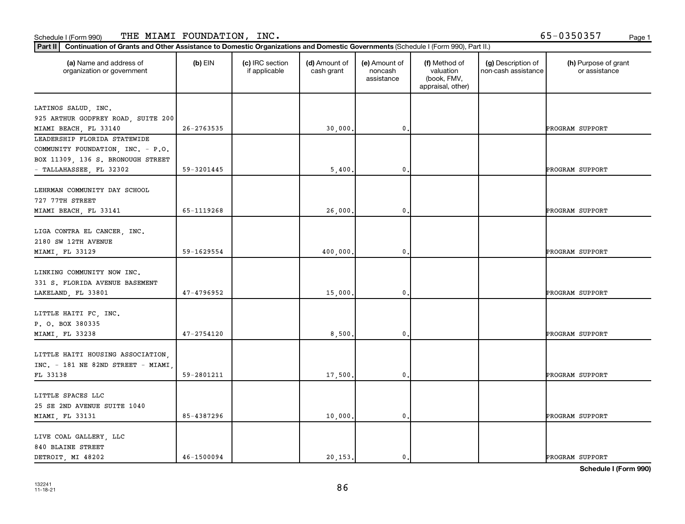|  |  | 55-0350357 | Page |
|--|--|------------|------|
|  |  |            |      |

| Continuation of Grants and Other Assistance to Domestic Organizations and Domestic Governments (Schedule I (Form 990), Part II.)<br>Part II |                |                                  |                             |                                        |                                                                |                                           |                                       |
|---------------------------------------------------------------------------------------------------------------------------------------------|----------------|----------------------------------|-----------------------------|----------------------------------------|----------------------------------------------------------------|-------------------------------------------|---------------------------------------|
| (a) Name and address of<br>organization or government                                                                                       | $(b)$ EIN      | (c) IRC section<br>if applicable | (d) Amount of<br>cash grant | (e) Amount of<br>noncash<br>assistance | (f) Method of<br>valuation<br>(book, FMV,<br>appraisal, other) | (g) Description of<br>non-cash assistance | (h) Purpose of grant<br>or assistance |
| LATINOS SALUD, INC.                                                                                                                         |                |                                  |                             |                                        |                                                                |                                           |                                       |
| 925 ARTHUR GODFREY ROAD, SUITE 200<br>MIAMI BEACH, FL 33140                                                                                 | $26 - 2763535$ |                                  | 30,000.                     | $\mathbf{0}$                           |                                                                |                                           | PROGRAM SUPPORT                       |
| LEADERSHIP FLORIDA STATEWIDE<br>COMMUNITY FOUNDATION, INC. - P.O.<br>BOX 11309, 136 S. BRONOUGH STREET                                      |                |                                  |                             |                                        |                                                                |                                           |                                       |
| - TALLAHASSEE, FL 32302                                                                                                                     | 59-3201445     |                                  | 5,400                       | $\mathbf{0}$                           |                                                                |                                           | PROGRAM SUPPORT                       |
| LEHRMAN COMMUNITY DAY SCHOOL<br>727 77TH STREET                                                                                             |                |                                  |                             |                                        |                                                                |                                           |                                       |
| MIAMI BEACH, FL 33141                                                                                                                       | 65-1119268     |                                  | 26,000.                     | 0                                      |                                                                |                                           | PROGRAM SUPPORT                       |
| LIGA CONTRA EL CANCER, INC.<br>2180 SW 12TH AVENUE<br>MIAMI, FL 33129                                                                       | 59-1629554     |                                  | 400,000.                    | $\mathbf{0}$                           |                                                                |                                           | PROGRAM SUPPORT                       |
|                                                                                                                                             |                |                                  |                             |                                        |                                                                |                                           |                                       |
| LINKING COMMUNITY NOW INC.<br>331 S. FLORIDA AVENUE BASEMENT                                                                                |                |                                  |                             |                                        |                                                                |                                           |                                       |
| LAKELAND, FL 33801                                                                                                                          | 47-4796952     |                                  | 15,000                      | 0                                      |                                                                |                                           | PROGRAM SUPPORT                       |
| LITTLE HAITI FC, INC.<br>P. O. BOX 380335                                                                                                   |                |                                  |                             |                                        |                                                                |                                           |                                       |
| MIAMI, FL 33238                                                                                                                             | 47-2754120     |                                  | 8,500                       | 0                                      |                                                                |                                           | PROGRAM SUPPORT                       |
| LITTLE HAITI HOUSING ASSOCIATION,<br>INC. - 181 NE 82ND STREET - MIAMI                                                                      |                |                                  |                             |                                        |                                                                |                                           |                                       |
| FL 33138                                                                                                                                    | 59-2801211     |                                  | 17,500.                     | $\mathbf{0}$                           |                                                                |                                           | PROGRAM SUPPORT                       |
| LITTLE SPACES LLC<br>25 SE 2ND AVENUE SUITE 1040                                                                                            |                |                                  |                             |                                        |                                                                |                                           |                                       |
| MIAMI, FL 33131                                                                                                                             | 85-4387296     |                                  | 10,000,                     | 0                                      |                                                                |                                           | PROGRAM SUPPORT                       |
|                                                                                                                                             |                |                                  |                             |                                        |                                                                |                                           |                                       |
| LIVE COAL GALLERY, LLC                                                                                                                      |                |                                  |                             |                                        |                                                                |                                           |                                       |
| 840 BLAINE STREET<br>DETROIT, MI 48202                                                                                                      | 46-1500094     |                                  | 20,153.                     | $\mathbf{0}$ .                         |                                                                |                                           | PROGRAM SUPPORT                       |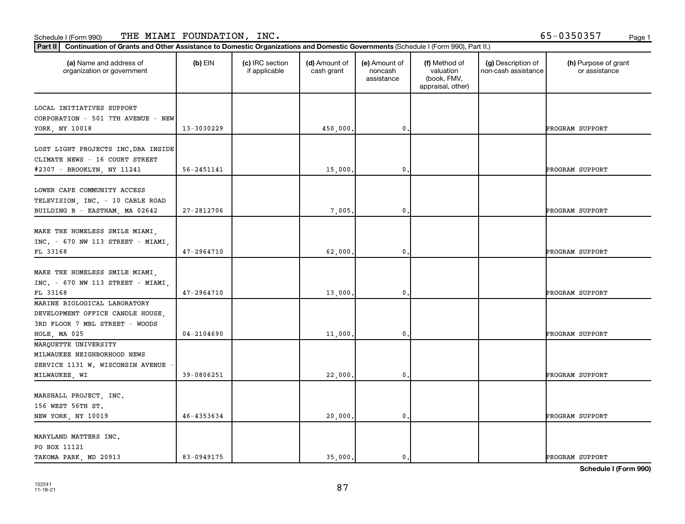|  |  | 55-0350357 | Page |
|--|--|------------|------|
|  |  |            |      |

| (a) Name and address of<br>organization or government | $(b)$ EIN      | (c) IRC section<br>if applicable | (d) Amount of<br>cash grant | (e) Amount of<br>noncash<br>assistance | (f) Method of<br>valuation<br>(book, FMV,<br>appraisal, other) | (g) Description of<br>non-cash assistance | (h) Purpose of grant<br>or assistance |
|-------------------------------------------------------|----------------|----------------------------------|-----------------------------|----------------------------------------|----------------------------------------------------------------|-------------------------------------------|---------------------------------------|
| LOCAL INITIATIVES SUPPORT                             |                |                                  |                             |                                        |                                                                |                                           |                                       |
| CORPORATION - 501 7TH AVENUE - NEW                    |                |                                  |                             |                                        |                                                                |                                           |                                       |
| YORK, NY 10018                                        | 13-3030229     |                                  | 450,000.                    | $\mathbf 0$                            |                                                                |                                           | PROGRAM SUPPORT                       |
|                                                       |                |                                  |                             |                                        |                                                                |                                           |                                       |
| LOST LIGHT PROJECTS INC.DBA INSIDE                    |                |                                  |                             |                                        |                                                                |                                           |                                       |
| CLIMATE NEWS - 16 COURT STREET                        |                |                                  |                             |                                        |                                                                |                                           |                                       |
| $#2307 - BROOKLYN, NY 11241$                          | 56-2451141     |                                  | 15,000                      | $\mathbf 0$                            |                                                                |                                           | PROGRAM SUPPORT                       |
|                                                       |                |                                  |                             |                                        |                                                                |                                           |                                       |
| LOWER CAPE COMMUNITY ACCESS                           |                |                                  |                             |                                        |                                                                |                                           |                                       |
| TELEVISION, INC. - 10 CABLE ROAD                      |                |                                  |                             |                                        |                                                                |                                           |                                       |
| BUILDING B - EASTHAM, MA 02642                        | 27-2812706     |                                  | 7,005                       | $\mathbf{0}$                           |                                                                |                                           | PROGRAM SUPPORT                       |
|                                                       |                |                                  |                             |                                        |                                                                |                                           |                                       |
| MAKE THE HOMELESS SMILE MIAMI,                        |                |                                  |                             |                                        |                                                                |                                           |                                       |
| $INC. - 670 NW 113 STEREET - MIAMI,$                  |                |                                  |                             |                                        |                                                                |                                           |                                       |
| FL 33168                                              | 47-2964710     |                                  | 62,000                      | $\mathbf{0}$                           |                                                                |                                           | PROGRAM SUPPORT                       |
|                                                       |                |                                  |                             |                                        |                                                                |                                           |                                       |
| MAKE THE HOMELESS SMILE MIAMI,                        |                |                                  |                             |                                        |                                                                |                                           |                                       |
| $INC. - 670 NW 113 STREET - MIAMI.$                   |                |                                  |                             |                                        |                                                                |                                           |                                       |
| FL 33168                                              | 47-2964710     |                                  | 13,000,                     | $\mathbf 0$                            |                                                                |                                           | PROGRAM SUPPORT                       |
| MARINE BIOLOGICAL LABORATORY                          |                |                                  |                             |                                        |                                                                |                                           |                                       |
| DEVELOPMENT OFFICE CANDLE HOUSE,                      |                |                                  |                             |                                        |                                                                |                                           |                                       |
| 3RD FLOOR 7 MBL STREET - WOODS                        |                |                                  |                             |                                        |                                                                |                                           |                                       |
| HOLE, MA 025                                          | $04 - 2104690$ |                                  | 11,000.                     | $\mathbf{0}$                           |                                                                |                                           | PROGRAM SUPPORT                       |
| MARQUETTE UNIVERSITY                                  |                |                                  |                             |                                        |                                                                |                                           |                                       |
| MILWAUKEE NEIGHBORHOOD NEWS                           |                |                                  |                             |                                        |                                                                |                                           |                                       |
| SERVICE 1131 W. WISCONSIN AVENUE                      |                |                                  |                             |                                        |                                                                |                                           |                                       |
| MILWAUKEE, WI                                         | 39-0806251     |                                  | 22,000.                     | $\mathbf{0}$                           |                                                                |                                           | PROGRAM SUPPORT                       |
|                                                       |                |                                  |                             |                                        |                                                                |                                           |                                       |
| MARSHALL PROJECT, INC.                                |                |                                  |                             |                                        |                                                                |                                           |                                       |
| 156 WEST 56TH ST.                                     |                |                                  |                             |                                        |                                                                |                                           |                                       |
| NEW YORK, NY 10019                                    | 46-4353634     |                                  | 20,000                      | $\mathbf 0$                            |                                                                |                                           | PROGRAM SUPPORT                       |
|                                                       |                |                                  |                             |                                        |                                                                |                                           |                                       |
| MARYLAND MATTERS INC.                                 |                |                                  |                             |                                        |                                                                |                                           |                                       |
| PO BOX 11121                                          |                |                                  |                             |                                        |                                                                |                                           |                                       |
| TAKOMA PARK, MD 20913                                 | 83-0949175     |                                  | 35,000.                     | 0.                                     |                                                                |                                           | PROGRAM SUPPORT                       |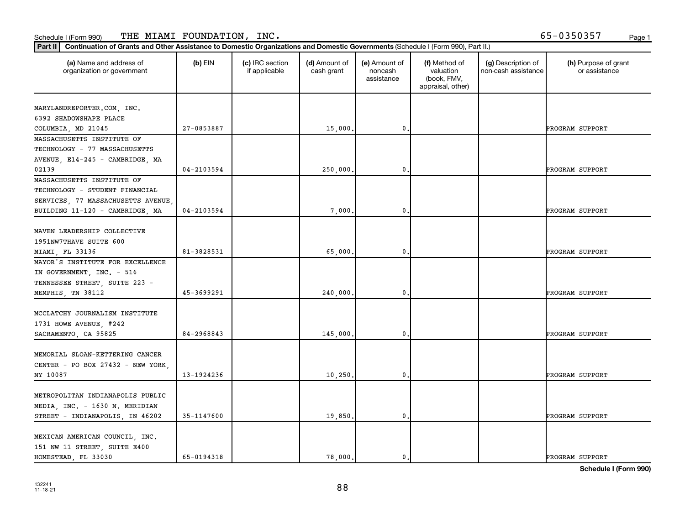| 65-0350357 |  |  |  |  |  |  |
|------------|--|--|--|--|--|--|
|            |  |  |  |  |  |  |

| (a) Name and address of<br>organization or government | $(b)$ EIN  | (c) IRC section<br>if applicable | (d) Amount of<br>cash grant | (e) Amount of<br>noncash<br>assistance | (f) Method of<br>valuation<br>(book, FMV,<br>appraisal, other) | (g) Description of<br>non-cash assistance | (h) Purpose of grant<br>or assistance |
|-------------------------------------------------------|------------|----------------------------------|-----------------------------|----------------------------------------|----------------------------------------------------------------|-------------------------------------------|---------------------------------------|
| MARYLANDREPORTER.COM, INC.                            |            |                                  |                             |                                        |                                                                |                                           |                                       |
| 6392 SHADOWSHAPE PLACE                                |            |                                  |                             |                                        |                                                                |                                           |                                       |
| COLUMBIA, MD 21045                                    | 27-0853887 |                                  | 15,000.                     | 0                                      |                                                                |                                           | PROGRAM SUPPORT                       |
| MASSACHUSETTS INSTITUTE OF                            |            |                                  |                             |                                        |                                                                |                                           |                                       |
| TECHNOLOGY - 77 MASSACHUSETTS                         |            |                                  |                             |                                        |                                                                |                                           |                                       |
| AVENUE, E14-245 - CAMBRIDGE, MA                       |            |                                  |                             |                                        |                                                                |                                           |                                       |
| 02139                                                 | 04-2103594 |                                  | 250,000                     | 0                                      |                                                                |                                           | PROGRAM SUPPORT                       |
| MASSACHUSETTS INSTITUTE OF                            |            |                                  |                             |                                        |                                                                |                                           |                                       |
| TECHNOLOGY - STUDENT FINANCIAL                        |            |                                  |                             |                                        |                                                                |                                           |                                       |
| SERVICES, 77 MASSACHUSETTS AVENUE,                    |            |                                  |                             |                                        |                                                                |                                           |                                       |
| BUILDING 11-120 - CAMBRIDGE, MA                       | 04-2103594 |                                  | 7,000,                      | $\mathbf{0}$                           |                                                                |                                           | PROGRAM SUPPORT                       |
|                                                       |            |                                  |                             |                                        |                                                                |                                           |                                       |
| MAVEN LEADERSHIP COLLECTIVE                           |            |                                  |                             |                                        |                                                                |                                           |                                       |
| 1951NW7THAVE SUITE 600                                |            |                                  |                             |                                        |                                                                |                                           |                                       |
| MIAMI, FL 33136                                       | 81-3828531 |                                  | 65,000                      | 0                                      |                                                                |                                           | PROGRAM SUPPORT                       |
| MAYOR'S INSTITUTE FOR EXCELLENCE                      |            |                                  |                             |                                        |                                                                |                                           |                                       |
| IN GOVERNMENT, INC. - 516                             |            |                                  |                             |                                        |                                                                |                                           |                                       |
| TENNESSEE STREET, SUITE 223 -                         |            |                                  |                             |                                        |                                                                |                                           |                                       |
| MEMPHIS, TN 38112                                     | 45-3699291 |                                  | 240,000,                    | 0                                      |                                                                |                                           | PROGRAM SUPPORT                       |
|                                                       |            |                                  |                             |                                        |                                                                |                                           |                                       |
| MCCLATCHY JOURNALISM INSTITUTE                        |            |                                  |                             |                                        |                                                                |                                           |                                       |
| 1731 HOWE AVENUE, #242                                |            |                                  |                             |                                        |                                                                |                                           |                                       |
| SACRAMENTO, CA 95825                                  | 84-2968843 |                                  | 145,000                     | 0                                      |                                                                |                                           | PROGRAM SUPPORT                       |
|                                                       |            |                                  |                             |                                        |                                                                |                                           |                                       |
| MEMORIAL SLOAN-KETTERING CANCER                       |            |                                  |                             |                                        |                                                                |                                           |                                       |
| CENTER - PO BOX 27432 - NEW YORK,                     |            |                                  |                             |                                        |                                                                |                                           |                                       |
| NY 10087                                              | 13-1924236 |                                  | 10, 250,                    | $\mathbf 0$ .                          |                                                                |                                           | PROGRAM SUPPORT                       |
|                                                       |            |                                  |                             |                                        |                                                                |                                           |                                       |
| METROPOLITAN INDIANAPOLIS PUBLIC                      |            |                                  |                             |                                        |                                                                |                                           |                                       |
| MEDIA, INC. - 1630 N. MERIDIAN                        |            |                                  |                             |                                        |                                                                |                                           |                                       |
| STREET - INDIANAPOLIS, IN 46202                       | 35-1147600 |                                  | 19,850.                     | $\mathbf{0}$                           |                                                                |                                           | PROGRAM SUPPORT                       |
|                                                       |            |                                  |                             |                                        |                                                                |                                           |                                       |
| MEXICAN AMERICAN COUNCIL, INC.                        |            |                                  |                             |                                        |                                                                |                                           |                                       |
| 151 NW 11 STREET, SUITE E400                          |            |                                  |                             |                                        |                                                                |                                           |                                       |
| HOMESTEAD, FL 33030                                   | 65-0194318 |                                  | 78,000.                     | $\mathbf 0$ .                          |                                                                |                                           | PROGRAM SUPPORT                       |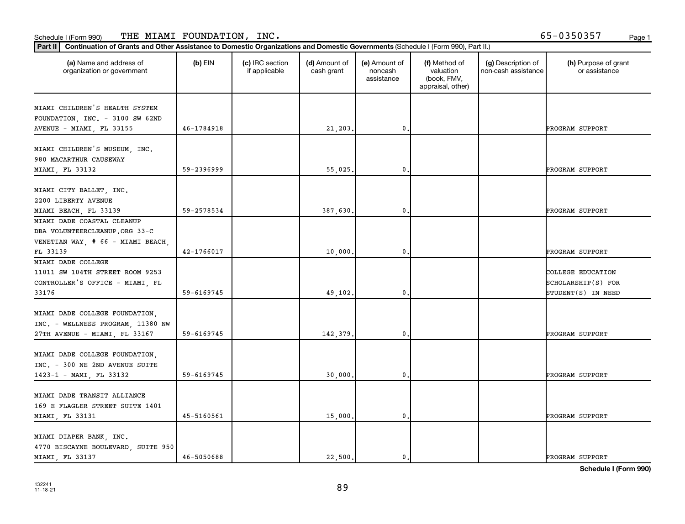| 55-0350357 |  |  |  | Page |
|------------|--|--|--|------|

| $ $ Part II<br>Continuation of Grants and Other Assistance to Domestic Organizations and Domestic Governments (Schedule I (Form 990), Part II.) |            |                                  |                             |                                        |                                                                |                                           |                                                               |
|-------------------------------------------------------------------------------------------------------------------------------------------------|------------|----------------------------------|-----------------------------|----------------------------------------|----------------------------------------------------------------|-------------------------------------------|---------------------------------------------------------------|
| (a) Name and address of<br>organization or government                                                                                           | $(b)$ EIN  | (c) IRC section<br>if applicable | (d) Amount of<br>cash grant | (e) Amount of<br>noncash<br>assistance | (f) Method of<br>valuation<br>(book, FMV,<br>appraisal, other) | (g) Description of<br>non-cash assistance | (h) Purpose of grant<br>or assistance                         |
| MIAMI CHILDREN'S HEALTH SYSTEM<br>FOUNDATION, INC. - 3100 SW 62ND<br>AVENUE - MIAMI, FL 33155                                                   | 46-1784918 |                                  | 21, 203,                    | 0                                      |                                                                |                                           | PROGRAM SUPPORT                                               |
| MIAMI CHILDREN'S MUSEUM, INC.<br>980 MACARTHUR CAUSEWAY<br>MIAMI, FL 33132                                                                      | 59-2396999 |                                  | 55,025.                     | $\mathbf{0}$                           |                                                                |                                           | PROGRAM SUPPORT                                               |
| MIAMI CITY BALLET, INC.<br>2200 LIBERTY AVENUE<br>MIAMI BEACH, FL 33139                                                                         | 59-2578534 |                                  | 387,630.                    | $\mathbf{0}$                           |                                                                |                                           | PROGRAM SUPPORT                                               |
| MIAMI DADE COASTAL CLEANUP<br>DBA VOLUNTEERCLEANUP.ORG 33-C<br>VENETIAN WAY, # 66 - MIAMI BEACH,<br>FL 33139                                    | 42-1766017 |                                  | 10,000.                     | 0                                      |                                                                |                                           | PROGRAM SUPPORT                                               |
| MIAMI DADE COLLEGE<br>11011 SW 104TH STREET ROOM 9253<br>CONTROLLER'S OFFICE - MIAMI, FL<br>33176                                               | 59-6169745 |                                  | 49,102.                     | $\mathbf{0}$                           |                                                                |                                           | COLLEGE EDUCATION<br>SCHOLARSHIP(S) FOR<br>STUDENT(S) IN NEED |
| MIAMI DADE COLLEGE FOUNDATION,<br>INC. - WELLNESS PROGRAM, 11380 NW<br>27TH AVENUE - MIAMI, FL 33167                                            | 59-6169745 |                                  | 142,379.                    | $\mathbf 0$ .                          |                                                                |                                           | PROGRAM SUPPORT                                               |
| MIAMI DADE COLLEGE FOUNDATION,<br>INC. - 300 NE 2ND AVENUE SUITE<br>1423-1 - MAMI, FL 33132                                                     | 59-6169745 |                                  | 30,000.                     | $\mathbf{0}$                           |                                                                |                                           | PROGRAM SUPPORT                                               |
| MIAMI DADE TRANSIT ALLIANCE<br>169 E FLAGLER STREET SUITE 1401<br>MIAMI, FL 33131                                                               | 45-5160561 |                                  | 15,000.                     | 0.                                     |                                                                |                                           | PROGRAM SUPPORT                                               |
| MIAMI DIAPER BANK, INC.<br>4770 BISCAYNE BOULEVARD, SUITE 950<br>MIAMI, FL 33137                                                                | 46-5050688 |                                  | 22,500.                     | $\mathbf{0}$ .                         |                                                                |                                           | PROGRAM SUPPORT                                               |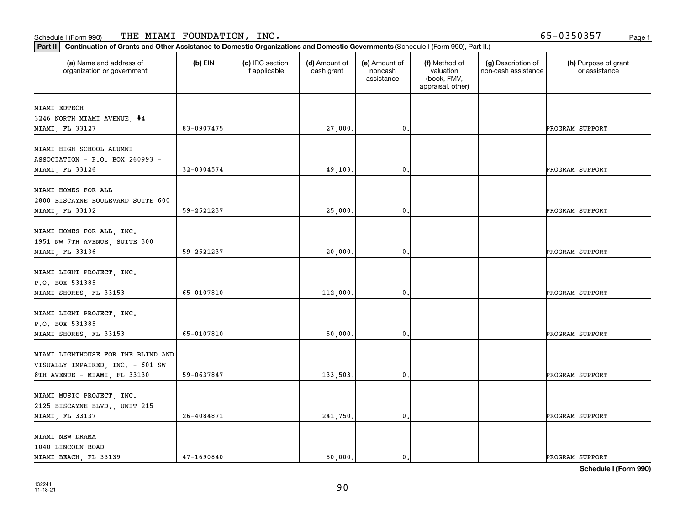|  |  |  |  | 55-0350357 | Page |
|--|--|--|--|------------|------|
|--|--|--|--|------------|------|

| Continuation of Grants and Other Assistance to Domestic Organizations and Domestic Governments (Schedule I (Form 990), Part II.)<br>Part II |            |                                  |                             |                                        |                                                                |                                           |                                       |
|---------------------------------------------------------------------------------------------------------------------------------------------|------------|----------------------------------|-----------------------------|----------------------------------------|----------------------------------------------------------------|-------------------------------------------|---------------------------------------|
| (a) Name and address of<br>organization or government                                                                                       | $(b)$ EIN  | (c) IRC section<br>if applicable | (d) Amount of<br>cash grant | (e) Amount of<br>noncash<br>assistance | (f) Method of<br>valuation<br>(book, FMV,<br>appraisal, other) | (g) Description of<br>non-cash assistance | (h) Purpose of grant<br>or assistance |
| MIAMI EDTECH                                                                                                                                |            |                                  |                             |                                        |                                                                |                                           |                                       |
| 3246 NORTH MIAMI AVENUE, #4                                                                                                                 |            |                                  |                             |                                        |                                                                |                                           |                                       |
| MIAMI, FL 33127                                                                                                                             | 83-0907475 |                                  | 27,000.                     | 0.                                     |                                                                |                                           | PROGRAM SUPPORT                       |
| MIAMI HIGH SCHOOL ALUMNI                                                                                                                    |            |                                  |                             |                                        |                                                                |                                           |                                       |
| ASSOCIATION - P.O. BOX 260993 -                                                                                                             |            |                                  |                             |                                        |                                                                |                                           |                                       |
| MIAMI, FL 33126                                                                                                                             | 32-0304574 |                                  | 49,103.                     | $\mathbf{0}$                           |                                                                |                                           | PROGRAM SUPPORT                       |
| MIAMI HOMES FOR ALL                                                                                                                         |            |                                  |                             |                                        |                                                                |                                           |                                       |
| 2800 BISCAYNE BOULEVARD SUITE 600                                                                                                           |            |                                  |                             |                                        |                                                                |                                           |                                       |
| MIAMI, FL 33132                                                                                                                             | 59-2521237 |                                  | 25,000                      | $\mathbf 0$                            |                                                                |                                           | PROGRAM SUPPORT                       |
| MIAMI HOMES FOR ALL, INC.                                                                                                                   |            |                                  |                             |                                        |                                                                |                                           |                                       |
| 1951 NW 7TH AVENUE, SUITE 300                                                                                                               |            |                                  |                             |                                        |                                                                |                                           |                                       |
| MIAMI, FL 33136                                                                                                                             | 59-2521237 |                                  | 20,000.                     | 0.                                     |                                                                |                                           | PROGRAM SUPPORT                       |
| MIAMI LIGHT PROJECT, INC.                                                                                                                   |            |                                  |                             |                                        |                                                                |                                           |                                       |
| P.O. BOX 531385                                                                                                                             |            |                                  |                             |                                        |                                                                |                                           |                                       |
| MIAMI SHORES, FL 33153                                                                                                                      | 65-0107810 |                                  | 112,000.                    | $\mathbf 0$                            |                                                                |                                           | PROGRAM SUPPORT                       |
|                                                                                                                                             |            |                                  |                             |                                        |                                                                |                                           |                                       |
| MIAMI LIGHT PROJECT, INC.<br>P.O. BOX 531385                                                                                                |            |                                  |                             |                                        |                                                                |                                           |                                       |
| MIAMI SHORES, FL 33153                                                                                                                      | 65-0107810 |                                  | 50,000                      | $\mathbf{0}$                           |                                                                |                                           | PROGRAM SUPPORT                       |
|                                                                                                                                             |            |                                  |                             |                                        |                                                                |                                           |                                       |
| MIAMI LIGHTHOUSE FOR THE BLIND AND                                                                                                          |            |                                  |                             |                                        |                                                                |                                           |                                       |
| VISUALLY IMPAIRED, INC. - 601 SW                                                                                                            |            |                                  |                             |                                        |                                                                |                                           |                                       |
| 8TH AVENUE - MIAMI, FL 33130                                                                                                                | 59-0637847 |                                  | 133,503.                    | 0.                                     |                                                                |                                           | PROGRAM SUPPORT                       |
| MIAMI MUSIC PROJECT, INC.                                                                                                                   |            |                                  |                             |                                        |                                                                |                                           |                                       |
| 2125 BISCAYNE BLVD., UNIT 215                                                                                                               |            |                                  |                             |                                        |                                                                |                                           |                                       |
| MIAMI, FL 33137                                                                                                                             | 26-4084871 |                                  | 241,750.                    | 0.                                     |                                                                |                                           | PROGRAM SUPPORT                       |
| MIAMI NEW DRAMA                                                                                                                             |            |                                  |                             |                                        |                                                                |                                           |                                       |
| 1040 LINCOLN ROAD                                                                                                                           |            |                                  |                             |                                        |                                                                |                                           |                                       |
| MIAMI BEACH, FL 33139                                                                                                                       | 47-1690840 |                                  | 50,000.                     | 0.                                     |                                                                |                                           | PROGRAM SUPPORT                       |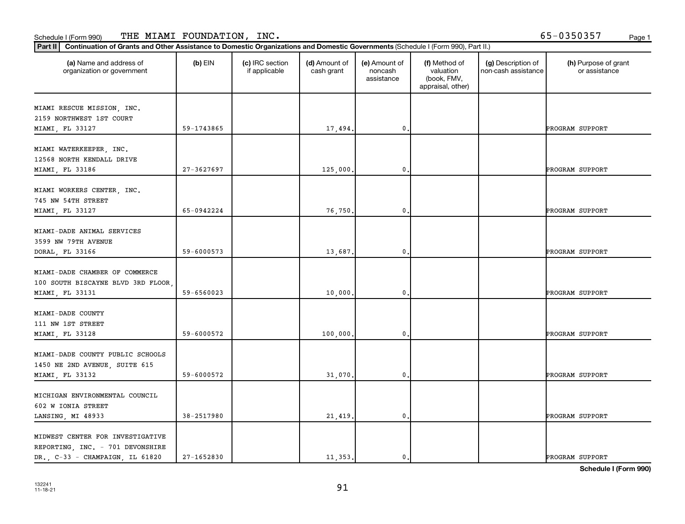| 55-0350357 | Page |
|------------|------|
|------------|------|

| (a) Name and address of<br>organization or government | $(b)$ EIN  | (c) IRC section<br>if applicable | (d) Amount of<br>cash grant | (e) Amount of<br>noncash<br>assistance | (f) Method of<br>valuation<br>(book, FMV,<br>appraisal, other) | (g) Description of<br>non-cash assistance | (h) Purpose of grant<br>or assistance |
|-------------------------------------------------------|------------|----------------------------------|-----------------------------|----------------------------------------|----------------------------------------------------------------|-------------------------------------------|---------------------------------------|
| MIAMI RESCUE MISSION, INC.                            |            |                                  |                             |                                        |                                                                |                                           |                                       |
| 2159 NORTHWEST 1ST COURT                              |            |                                  |                             |                                        |                                                                |                                           |                                       |
| MIAMI, FL 33127                                       | 59-1743865 |                                  | 17,494.                     | $\mathbf{0}$                           |                                                                |                                           | PROGRAM SUPPORT                       |
| MIAMI WATERKEEPER, INC.                               |            |                                  |                             |                                        |                                                                |                                           |                                       |
| 12568 NORTH KENDALL DRIVE                             |            |                                  |                             |                                        |                                                                |                                           |                                       |
| MIAMI, FL 33186                                       | 27-3627697 |                                  | 125,000.                    | $\mathbf 0$                            |                                                                |                                           | PROGRAM SUPPORT                       |
|                                                       |            |                                  |                             |                                        |                                                                |                                           |                                       |
| MIAMI WORKERS CENTER, INC.                            |            |                                  |                             |                                        |                                                                |                                           |                                       |
| 745 NW 54TH STREET                                    |            |                                  |                             |                                        |                                                                |                                           |                                       |
| MIAMI, FL 33127                                       | 65-0942224 |                                  | 76,750.                     | $\mathbf{0}$                           |                                                                |                                           | PROGRAM SUPPORT                       |
| MIAMI-DADE ANIMAL SERVICES                            |            |                                  |                             |                                        |                                                                |                                           |                                       |
| 3599 NW 79TH AVENUE                                   |            |                                  |                             |                                        |                                                                |                                           |                                       |
| DORAL, FL 33166                                       | 59-6000573 |                                  | 13,687.                     | $\mathbf 0$                            |                                                                |                                           | PROGRAM SUPPORT                       |
|                                                       |            |                                  |                             |                                        |                                                                |                                           |                                       |
| MIAMI-DADE CHAMBER OF COMMERCE                        |            |                                  |                             |                                        |                                                                |                                           |                                       |
| 100 SOUTH BISCAYNE BLVD 3RD FLOOR                     |            |                                  |                             |                                        |                                                                |                                           |                                       |
| MIAMI, FL 33131                                       | 59-6560023 |                                  | 10,000,                     | $\mathbf{0}$                           |                                                                |                                           | PROGRAM SUPPORT                       |
| MIAMI-DADE COUNTY                                     |            |                                  |                             |                                        |                                                                |                                           |                                       |
| 111 NW 1ST STREET                                     |            |                                  |                             |                                        |                                                                |                                           |                                       |
| MIAMI, FL 33128                                       | 59-6000572 |                                  | 100,000.                    | $\mathbf{0}$                           |                                                                |                                           | PROGRAM SUPPORT                       |
|                                                       |            |                                  |                             |                                        |                                                                |                                           |                                       |
| MIAMI-DADE COUNTY PUBLIC SCHOOLS                      |            |                                  |                             |                                        |                                                                |                                           |                                       |
| 1450 NE 2ND AVENUE, SUITE 615                         |            |                                  |                             |                                        |                                                                |                                           |                                       |
| MIAMI, FL 33132                                       | 59-6000572 |                                  | 31,070                      | $\mathbf 0$                            |                                                                |                                           | PROGRAM SUPPORT                       |
| MICHIGAN ENVIRONMENTAL COUNCIL                        |            |                                  |                             |                                        |                                                                |                                           |                                       |
| 602 W IONIA STREET                                    |            |                                  |                             |                                        |                                                                |                                           |                                       |
| LANSING, MI 48933                                     | 38-2517980 |                                  | 21,419.                     | $\mathbf 0$                            |                                                                |                                           | PROGRAM SUPPORT                       |
|                                                       |            |                                  |                             |                                        |                                                                |                                           |                                       |
| MIDWEST CENTER FOR INVESTIGATIVE                      |            |                                  |                             |                                        |                                                                |                                           |                                       |
| REPORTING, INC. - 701 DEVONSHIRE                      |            |                                  |                             |                                        |                                                                |                                           |                                       |
| DR., C-33 - CHAMPAIGN, IL 61820                       | 27-1652830 |                                  | 11,353.                     | $\mathbf{0}$ .                         |                                                                |                                           | PROGRAM SUPPORT                       |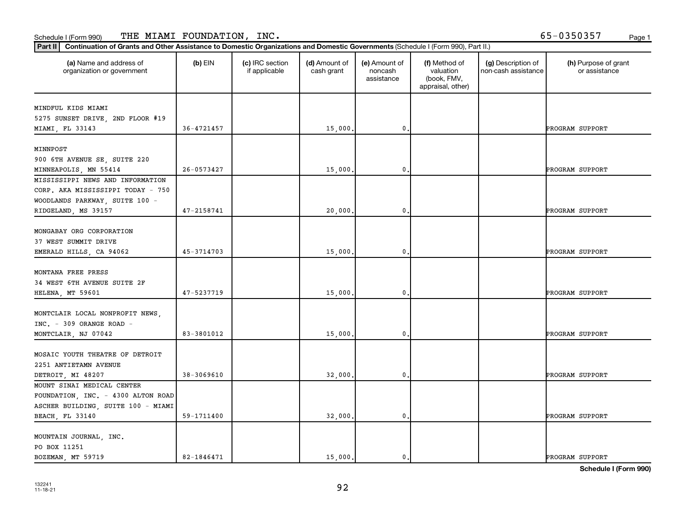|  |  | 55-0350357 | Page |
|--|--|------------|------|
|  |  |            |      |

| Continuation of Grants and Other Assistance to Domestic Organizations and Domestic Governments (Schedule I (Form 990), Part II.)<br>Part II |            |                                  |                             |                                        |                                                                |                                           |                                       |  |
|---------------------------------------------------------------------------------------------------------------------------------------------|------------|----------------------------------|-----------------------------|----------------------------------------|----------------------------------------------------------------|-------------------------------------------|---------------------------------------|--|
| (a) Name and address of<br>organization or government                                                                                       | $(b)$ EIN  | (c) IRC section<br>if applicable | (d) Amount of<br>cash grant | (e) Amount of<br>noncash<br>assistance | (f) Method of<br>valuation<br>(book, FMV,<br>appraisal, other) | (g) Description of<br>non-cash assistance | (h) Purpose of grant<br>or assistance |  |
| MINDFUL KIDS MIAMI                                                                                                                          |            |                                  |                             |                                        |                                                                |                                           |                                       |  |
| 5275 SUNSET DRIVE, 2ND FLOOR #19                                                                                                            |            |                                  |                             |                                        |                                                                |                                           |                                       |  |
| MIAMI, FL 33143                                                                                                                             | 36-4721457 |                                  | 15,000.                     | $\mathbf{0}$                           |                                                                |                                           | PROGRAM SUPPORT                       |  |
|                                                                                                                                             |            |                                  |                             |                                        |                                                                |                                           |                                       |  |
| MINNPOST                                                                                                                                    |            |                                  |                             |                                        |                                                                |                                           |                                       |  |
| 900 6TH AVENUE SE, SUITE 220                                                                                                                |            |                                  |                             |                                        |                                                                |                                           |                                       |  |
| MINNEAPOLIS, MN 55414                                                                                                                       | 26-0573427 |                                  | 15,000,                     | $\mathbf{0}$                           |                                                                |                                           | PROGRAM SUPPORT                       |  |
| MISSISSIPPI NEWS AND INFORMATION                                                                                                            |            |                                  |                             |                                        |                                                                |                                           |                                       |  |
| CORP. AKA MISSISSIPPI TODAY - 750                                                                                                           |            |                                  |                             |                                        |                                                                |                                           |                                       |  |
| WOODLANDS PARKWAY, SUITE 100 -                                                                                                              |            |                                  |                             |                                        |                                                                |                                           |                                       |  |
| RIDGELAND, MS 39157                                                                                                                         | 47-2158741 |                                  | 20,000,                     | 0                                      |                                                                |                                           | PROGRAM SUPPORT                       |  |
| MONGABAY ORG CORPORATION<br>37 WEST SUMMIT DRIVE                                                                                            |            |                                  |                             |                                        |                                                                |                                           |                                       |  |
| EMERALD HILLS, CA 94062                                                                                                                     | 45-3714703 |                                  | 15,000.                     | $\mathbf{0}$                           |                                                                |                                           | PROGRAM SUPPORT                       |  |
| MONTANA FREE PRESS<br>34 WEST 6TH AVENUE SUITE 2F<br>HELENA, MT 59601                                                                       | 47-5237719 |                                  | 15,000                      | 0                                      |                                                                |                                           | PROGRAM SUPPORT                       |  |
|                                                                                                                                             |            |                                  |                             |                                        |                                                                |                                           |                                       |  |
| MONTCLAIR LOCAL NONPROFIT NEWS,<br>INC. - 309 ORANGE ROAD -                                                                                 |            |                                  |                             |                                        |                                                                |                                           |                                       |  |
| MONTCLAIR, NJ 07042                                                                                                                         | 83-3801012 |                                  | 15,000,                     | 0                                      |                                                                |                                           | PROGRAM SUPPORT                       |  |
| MOSAIC YOUTH THEATRE OF DETROIT<br>2251 ANTIETAMN AVENUE                                                                                    |            |                                  |                             |                                        |                                                                |                                           |                                       |  |
| DETROIT, MI 48207                                                                                                                           | 38-3069610 |                                  | 32,000,                     | $\mathbf{0}$                           |                                                                |                                           | PROGRAM SUPPORT                       |  |
| MOUNT SINAI MEDICAL CENTER<br>FOUNDATION, INC. - 4300 ALTON ROAD<br>ASCHER BUILDING, SUITE 100 - MIAMI                                      |            |                                  |                             |                                        |                                                                |                                           |                                       |  |
| BEACH, FL 33140                                                                                                                             | 59-1711400 |                                  | 32,000,                     | 0                                      |                                                                |                                           | PROGRAM SUPPORT                       |  |
|                                                                                                                                             |            |                                  |                             |                                        |                                                                |                                           |                                       |  |
| MOUNTAIN JOURNAL, INC.<br>PO BOX 11251                                                                                                      |            |                                  |                             |                                        |                                                                |                                           |                                       |  |
| BOZEMAN, MT 59719                                                                                                                           | 82-1846471 |                                  | 15,000.                     | $\mathbf{0}$ .                         |                                                                |                                           | PROGRAM SUPPORT                       |  |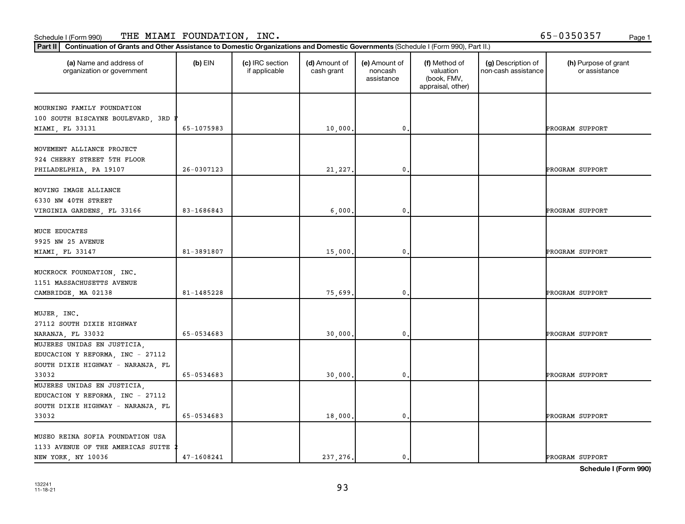| 55-0350357 | Page |
|------------|------|
|------------|------|

| Continuation of Grants and Other Assistance to Domestic Organizations and Domestic Governments (Schedule I (Form 990), Part II.)<br>Part II |            |                                  |                             |                                        |                                                                |                                           |                                       |
|---------------------------------------------------------------------------------------------------------------------------------------------|------------|----------------------------------|-----------------------------|----------------------------------------|----------------------------------------------------------------|-------------------------------------------|---------------------------------------|
| (a) Name and address of<br>organization or government                                                                                       | $(b)$ EIN  | (c) IRC section<br>if applicable | (d) Amount of<br>cash grant | (e) Amount of<br>noncash<br>assistance | (f) Method of<br>valuation<br>(book, FMV,<br>appraisal, other) | (g) Description of<br>non-cash assistance | (h) Purpose of grant<br>or assistance |
| MOURNING FAMILY FOUNDATION                                                                                                                  |            |                                  |                             |                                        |                                                                |                                           |                                       |
| 100 SOUTH BISCAYNE BOULEVARD, 3RD                                                                                                           |            |                                  |                             |                                        |                                                                |                                           |                                       |
| MIAMI, FL 33131                                                                                                                             | 65-1075983 |                                  | 10,000                      | 0                                      |                                                                |                                           | PROGRAM SUPPORT                       |
|                                                                                                                                             |            |                                  |                             |                                        |                                                                |                                           |                                       |
| MOVEMENT ALLIANCE PROJECT                                                                                                                   |            |                                  |                             |                                        |                                                                |                                           |                                       |
| 924 CHERRY STREET 5TH FLOOR                                                                                                                 |            |                                  |                             |                                        |                                                                |                                           |                                       |
| PHILADELPHIA, PA 19107                                                                                                                      | 26-0307123 |                                  | 21, 227.                    | $\mathbf{0}$                           |                                                                |                                           | PROGRAM SUPPORT                       |
|                                                                                                                                             |            |                                  |                             |                                        |                                                                |                                           |                                       |
| MOVING IMAGE ALLIANCE<br>6330 NW 40TH STREET                                                                                                |            |                                  |                             |                                        |                                                                |                                           |                                       |
|                                                                                                                                             | 83-1686843 |                                  |                             | 0                                      |                                                                |                                           |                                       |
| VIRGINIA GARDENS, FL 33166                                                                                                                  |            |                                  | 6,000                       |                                        |                                                                |                                           | PROGRAM SUPPORT                       |
| MUCE EDUCATES                                                                                                                               |            |                                  |                             |                                        |                                                                |                                           |                                       |
| 9925 NW 25 AVENUE                                                                                                                           |            |                                  |                             |                                        |                                                                |                                           |                                       |
|                                                                                                                                             | 81-3891807 |                                  | 15,000,                     | 0                                      |                                                                |                                           | PROGRAM SUPPORT                       |
| MIAMI, FL 33147                                                                                                                             |            |                                  |                             |                                        |                                                                |                                           |                                       |
| MUCKROCK FOUNDATION, INC.                                                                                                                   |            |                                  |                             |                                        |                                                                |                                           |                                       |
| 1151 MASSACHUSETTS AVENUE                                                                                                                   |            |                                  |                             |                                        |                                                                |                                           |                                       |
| CAMBRIDGE, MA 02138                                                                                                                         | 81-1485228 |                                  | 75,699.                     | 0                                      |                                                                |                                           | PROGRAM SUPPORT                       |
|                                                                                                                                             |            |                                  |                             |                                        |                                                                |                                           |                                       |
| MUJER, INC.                                                                                                                                 |            |                                  |                             |                                        |                                                                |                                           |                                       |
| 27112 SOUTH DIXIE HIGHWAY                                                                                                                   |            |                                  |                             |                                        |                                                                |                                           |                                       |
| NARANJA, FL 33032                                                                                                                           | 65-0534683 |                                  | 30,000.                     | 0                                      |                                                                |                                           | PROGRAM SUPPORT                       |
| MUJERES UNIDAS EN JUSTICIA,                                                                                                                 |            |                                  |                             |                                        |                                                                |                                           |                                       |
| EDUCACION Y REFORMA, INC - 27112                                                                                                            |            |                                  |                             |                                        |                                                                |                                           |                                       |
| SOUTH DIXIE HIGHWAY - NARANJA, FL                                                                                                           |            |                                  |                             |                                        |                                                                |                                           |                                       |
| 33032                                                                                                                                       | 65-0534683 |                                  | 30,000,                     | 0                                      |                                                                |                                           | PROGRAM SUPPORT                       |
| MUJERES UNIDAS EN JUSTICIA,                                                                                                                 |            |                                  |                             |                                        |                                                                |                                           |                                       |
| EDUCACION Y REFORMA, INC - 27112                                                                                                            |            |                                  |                             |                                        |                                                                |                                           |                                       |
| SOUTH DIXIE HIGHWAY - NARANJA, FL                                                                                                           |            |                                  |                             |                                        |                                                                |                                           |                                       |
| 33032                                                                                                                                       | 65-0534683 |                                  | 18,000.                     | 0                                      |                                                                |                                           | PROGRAM SUPPORT                       |
|                                                                                                                                             |            |                                  |                             |                                        |                                                                |                                           |                                       |
| MUSEO REINA SOFIA FOUNDATION USA                                                                                                            |            |                                  |                             |                                        |                                                                |                                           |                                       |
| 1133 AVENUE OF THE AMERICAS SUITE                                                                                                           |            |                                  |                             |                                        |                                                                |                                           |                                       |
| NEW YORK, NY 10036                                                                                                                          | 47-1608241 |                                  | 237,276.                    | 0.                                     |                                                                |                                           | PROGRAM SUPPORT                       |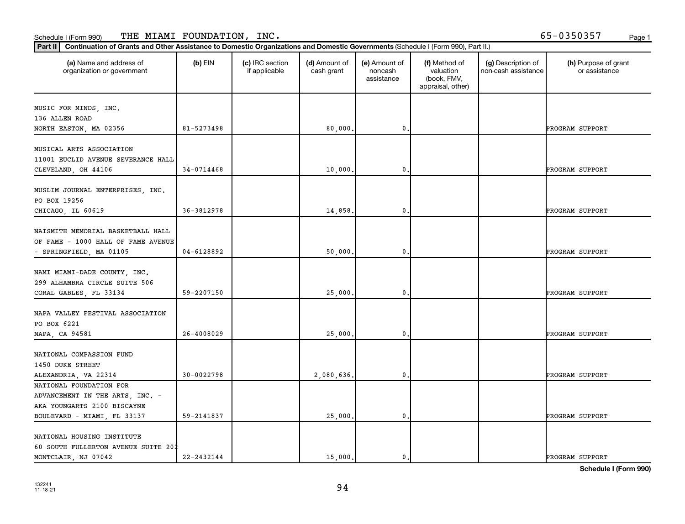| 55-0350357 | Page |
|------------|------|
|------------|------|

| MUSIC FOR MINDS, INC.<br>81-5273498<br>$\mathbf 0$<br>80,000<br>10,000<br>34-0714468<br>$\mathbf 0$<br>36-3812978<br>14,858.<br>0.<br>04-6128892<br>50,000<br>$\mathbf 0$<br>59-2207150<br>25,000<br>$\mathbf 0$<br>$26 - 4008029$<br>25,000.<br>0.<br>PROGRAM SUPPORT<br>30-0022798<br>0.<br>2,080,636.<br>PROGRAM SUPPORT<br>59-2141837<br>25,000<br>$\mathbf 0$<br>PROGRAM SUPPORT                                                                                     | (a) Name and address of<br>organization or government | $(b)$ EIN | (c) IRC section<br>if applicable | (d) Amount of<br>cash grant | (e) Amount of<br>noncash<br>assistance | (f) Method of<br>valuation<br>(book, FMV,<br>appraisal, other) | (g) Description of<br>non-cash assistance | (h) Purpose of grant<br>or assistance |
|---------------------------------------------------------------------------------------------------------------------------------------------------------------------------------------------------------------------------------------------------------------------------------------------------------------------------------------------------------------------------------------------------------------------------------------------------------------------------|-------------------------------------------------------|-----------|----------------------------------|-----------------------------|----------------------------------------|----------------------------------------------------------------|-------------------------------------------|---------------------------------------|
| 136 ALLEN ROAD                                                                                                                                                                                                                                                                                                                                                                                                                                                            |                                                       |           |                                  |                             |                                        |                                                                |                                           |                                       |
| NORTH EASTON, MA 02356<br>MUSICAL ARTS ASSOCIATION                                                                                                                                                                                                                                                                                                                                                                                                                        |                                                       |           |                                  |                             |                                        |                                                                |                                           |                                       |
|                                                                                                                                                                                                                                                                                                                                                                                                                                                                           |                                                       |           |                                  |                             |                                        |                                                                |                                           | PROGRAM SUPPORT                       |
|                                                                                                                                                                                                                                                                                                                                                                                                                                                                           |                                                       |           |                                  |                             |                                        |                                                                |                                           |                                       |
| 11001 EUCLID AVENUE SEVERANCE HALL<br>CLEVELAND, OH 44106<br>- SPRINGFIELD, MA 01105                                                                                                                                                                                                                                                                                                                                                                                      |                                                       |           |                                  |                             |                                        |                                                                |                                           |                                       |
|                                                                                                                                                                                                                                                                                                                                                                                                                                                                           |                                                       |           |                                  |                             |                                        |                                                                |                                           |                                       |
|                                                                                                                                                                                                                                                                                                                                                                                                                                                                           |                                                       |           |                                  |                             |                                        |                                                                |                                           | PROGRAM SUPPORT                       |
| MUSLIM JOURNAL ENTERPRISES, INC.<br>PO BOX 19256<br>CHICAGO, IL 60619                                                                                                                                                                                                                                                                                                                                                                                                     |                                                       |           |                                  |                             |                                        |                                                                |                                           |                                       |
|                                                                                                                                                                                                                                                                                                                                                                                                                                                                           |                                                       |           |                                  |                             |                                        |                                                                |                                           |                                       |
|                                                                                                                                                                                                                                                                                                                                                                                                                                                                           |                                                       |           |                                  |                             |                                        |                                                                |                                           |                                       |
|                                                                                                                                                                                                                                                                                                                                                                                                                                                                           |                                                       |           |                                  |                             |                                        |                                                                |                                           | PROGRAM SUPPORT                       |
| NAISMITH MEMORIAL BASKETBALL HALL<br>OF FAME - 1000 HALL OF FAME AVENUE<br>NAMI MIAMI-DADE COUNTY, INC.<br>299 ALHAMBRA CIRCLE SUITE 506<br>CORAL GABLES, FL 33134<br>NAPA VALLEY FESTIVAL ASSOCIATION<br>PO BOX 6221<br>NAPA, CA 94581<br>NATIONAL COMPASSION FUND<br>1450 DUKE STREET<br>ALEXANDRIA, VA 22314<br>NATIONAL FOUNDATION FOR<br>ADVANCEMENT IN THE ARTS, INC. -<br>AKA YOUNGARTS 2100 BISCAYNE<br>BOULEVARD - MIAMI, FL 33137<br>NATIONAL HOUSING INSTITUTE |                                                       |           |                                  |                             |                                        |                                                                |                                           |                                       |
|                                                                                                                                                                                                                                                                                                                                                                                                                                                                           |                                                       |           |                                  |                             |                                        |                                                                |                                           |                                       |
|                                                                                                                                                                                                                                                                                                                                                                                                                                                                           |                                                       |           |                                  |                             |                                        |                                                                |                                           |                                       |
|                                                                                                                                                                                                                                                                                                                                                                                                                                                                           |                                                       |           |                                  |                             |                                        |                                                                |                                           | PROGRAM SUPPORT                       |
|                                                                                                                                                                                                                                                                                                                                                                                                                                                                           |                                                       |           |                                  |                             |                                        |                                                                |                                           |                                       |
|                                                                                                                                                                                                                                                                                                                                                                                                                                                                           |                                                       |           |                                  |                             |                                        |                                                                |                                           |                                       |
|                                                                                                                                                                                                                                                                                                                                                                                                                                                                           |                                                       |           |                                  |                             |                                        |                                                                |                                           |                                       |
|                                                                                                                                                                                                                                                                                                                                                                                                                                                                           |                                                       |           |                                  |                             |                                        |                                                                |                                           | PROGRAM SUPPORT                       |
|                                                                                                                                                                                                                                                                                                                                                                                                                                                                           |                                                       |           |                                  |                             |                                        |                                                                |                                           |                                       |
|                                                                                                                                                                                                                                                                                                                                                                                                                                                                           |                                                       |           |                                  |                             |                                        |                                                                |                                           |                                       |
|                                                                                                                                                                                                                                                                                                                                                                                                                                                                           |                                                       |           |                                  |                             |                                        |                                                                |                                           |                                       |
|                                                                                                                                                                                                                                                                                                                                                                                                                                                                           |                                                       |           |                                  |                             |                                        |                                                                |                                           |                                       |
|                                                                                                                                                                                                                                                                                                                                                                                                                                                                           |                                                       |           |                                  |                             |                                        |                                                                |                                           |                                       |
|                                                                                                                                                                                                                                                                                                                                                                                                                                                                           |                                                       |           |                                  |                             |                                        |                                                                |                                           |                                       |
|                                                                                                                                                                                                                                                                                                                                                                                                                                                                           |                                                       |           |                                  |                             |                                        |                                                                |                                           |                                       |
|                                                                                                                                                                                                                                                                                                                                                                                                                                                                           |                                                       |           |                                  |                             |                                        |                                                                |                                           |                                       |
|                                                                                                                                                                                                                                                                                                                                                                                                                                                                           |                                                       |           |                                  |                             |                                        |                                                                |                                           |                                       |
|                                                                                                                                                                                                                                                                                                                                                                                                                                                                           |                                                       |           |                                  |                             |                                        |                                                                |                                           |                                       |
|                                                                                                                                                                                                                                                                                                                                                                                                                                                                           |                                                       |           |                                  |                             |                                        |                                                                |                                           |                                       |
|                                                                                                                                                                                                                                                                                                                                                                                                                                                                           |                                                       |           |                                  |                             |                                        |                                                                |                                           |                                       |
|                                                                                                                                                                                                                                                                                                                                                                                                                                                                           |                                                       |           |                                  |                             |                                        |                                                                |                                           |                                       |
| 60 SOUTH FULLERTON AVENUE SUITE 202                                                                                                                                                                                                                                                                                                                                                                                                                                       |                                                       |           |                                  |                             |                                        |                                                                |                                           |                                       |
| 22-2432144<br>15,000.<br>MONTCLAIR, NJ 07042<br>0.                                                                                                                                                                                                                                                                                                                                                                                                                        |                                                       |           |                                  |                             |                                        |                                                                |                                           | PROGRAM SUPPORT                       |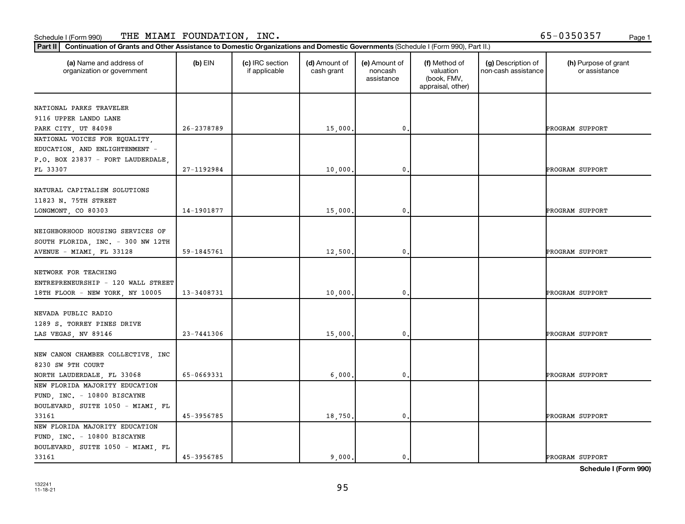| 55-0350357 |  |  |  | Page |
|------------|--|--|--|------|
|            |  |  |  |      |

| Part II<br>Continuation of Grants and Other Assistance to Domestic Organizations and Domestic Governments (Schedule I (Form 990), Part II.) |            |                                  |                             |                                        |                                                                |                                           |                                       |
|---------------------------------------------------------------------------------------------------------------------------------------------|------------|----------------------------------|-----------------------------|----------------------------------------|----------------------------------------------------------------|-------------------------------------------|---------------------------------------|
| (a) Name and address of<br>organization or government                                                                                       | $(b)$ EIN  | (c) IRC section<br>if applicable | (d) Amount of<br>cash grant | (e) Amount of<br>noncash<br>assistance | (f) Method of<br>valuation<br>(book, FMV,<br>appraisal, other) | (g) Description of<br>non-cash assistance | (h) Purpose of grant<br>or assistance |
| NATIONAL PARKS TRAVELER                                                                                                                     |            |                                  |                             |                                        |                                                                |                                           |                                       |
| 9116 UPPER LANDO LANE                                                                                                                       |            |                                  |                             |                                        |                                                                |                                           |                                       |
| PARK CITY, UT 84098                                                                                                                         | 26-2378789 |                                  | 15,000.                     | $\mathbf 0$                            |                                                                |                                           | PROGRAM SUPPORT                       |
| NATIONAL VOICES FOR EQUALITY,                                                                                                               |            |                                  |                             |                                        |                                                                |                                           |                                       |
| EDUCATION, AND ENLIGHTENMENT -                                                                                                              |            |                                  |                             |                                        |                                                                |                                           |                                       |
| P.O. BOX 23837 - FORT LAUDERDALE,                                                                                                           |            |                                  |                             |                                        |                                                                |                                           |                                       |
| FL 33307                                                                                                                                    | 27-1192984 |                                  | 10,000.                     | $\mathbf{0}$                           |                                                                |                                           | PROGRAM SUPPORT                       |
|                                                                                                                                             |            |                                  |                             |                                        |                                                                |                                           |                                       |
| NATURAL CAPITALISM SOLUTIONS                                                                                                                |            |                                  |                             |                                        |                                                                |                                           |                                       |
| 11823 N. 75TH STREET                                                                                                                        |            |                                  |                             |                                        |                                                                |                                           |                                       |
| LONGMONT, CO 80303                                                                                                                          | 14-1901877 |                                  | 15,000.                     | $\mathbf 0$                            |                                                                |                                           | PROGRAM SUPPORT                       |
|                                                                                                                                             |            |                                  |                             |                                        |                                                                |                                           |                                       |
| NEIGHBORHOOD HOUSING SERVICES OF                                                                                                            |            |                                  |                             |                                        |                                                                |                                           |                                       |
| SOUTH FLORIDA, INC. - 300 NW 12TH                                                                                                           |            |                                  |                             |                                        |                                                                |                                           |                                       |
| AVENUE - MIAMI, FL 33128                                                                                                                    | 59-1845761 |                                  | 12,500.                     | $\mathbf 0$                            |                                                                |                                           | PROGRAM SUPPORT                       |
|                                                                                                                                             |            |                                  |                             |                                        |                                                                |                                           |                                       |
| NETWORK FOR TEACHING                                                                                                                        |            |                                  |                             |                                        |                                                                |                                           |                                       |
| ENTREPRENEURSHIP - 120 WALL STREET                                                                                                          |            |                                  |                             |                                        |                                                                |                                           |                                       |
| 18TH FLOOR - NEW YORK, NY 10005                                                                                                             | 13-3408731 |                                  | 10,000.                     | 0.                                     |                                                                |                                           | PROGRAM SUPPORT                       |
|                                                                                                                                             |            |                                  |                             |                                        |                                                                |                                           |                                       |
| NEVADA PUBLIC RADIO                                                                                                                         |            |                                  |                             |                                        |                                                                |                                           |                                       |
| 1289 S. TORREY PINES DRIVE                                                                                                                  |            |                                  |                             |                                        |                                                                |                                           |                                       |
| LAS VEGAS, NV 89146                                                                                                                         | 23-7441306 |                                  | 15,000                      | $\mathbf{0}$                           |                                                                |                                           | PROGRAM SUPPORT                       |
| NEW CANON CHAMBER COLLECTIVE, INC                                                                                                           |            |                                  |                             |                                        |                                                                |                                           |                                       |
| 8230 SW 9TH COURT                                                                                                                           |            |                                  |                             |                                        |                                                                |                                           |                                       |
| NORTH LAUDERDALE, FL 33068                                                                                                                  | 65-0669331 |                                  | 6,000                       | $\mathbf 0$                            |                                                                |                                           | PROGRAM SUPPORT                       |
| NEW FLORIDA MAJORITY EDUCATION                                                                                                              |            |                                  |                             |                                        |                                                                |                                           |                                       |
| FUND, INC. - 10800 BISCAYNE                                                                                                                 |            |                                  |                             |                                        |                                                                |                                           |                                       |
| BOULEVARD, SUITE 1050 - MIAMI, FL                                                                                                           |            |                                  |                             |                                        |                                                                |                                           |                                       |
| 33161                                                                                                                                       | 45-3956785 |                                  | 18,750.                     | 0.                                     |                                                                |                                           | PROGRAM SUPPORT                       |
| NEW FLORIDA MAJORITY EDUCATION                                                                                                              |            |                                  |                             |                                        |                                                                |                                           |                                       |
| FUND, INC. - 10800 BISCAYNE                                                                                                                 |            |                                  |                             |                                        |                                                                |                                           |                                       |
| BOULEVARD, SUITE 1050 - MIAMI, FL                                                                                                           |            |                                  |                             |                                        |                                                                |                                           |                                       |
| 33161                                                                                                                                       | 45-3956785 |                                  | 9.000.                      | 0.                                     |                                                                |                                           | PROGRAM SUPPORT                       |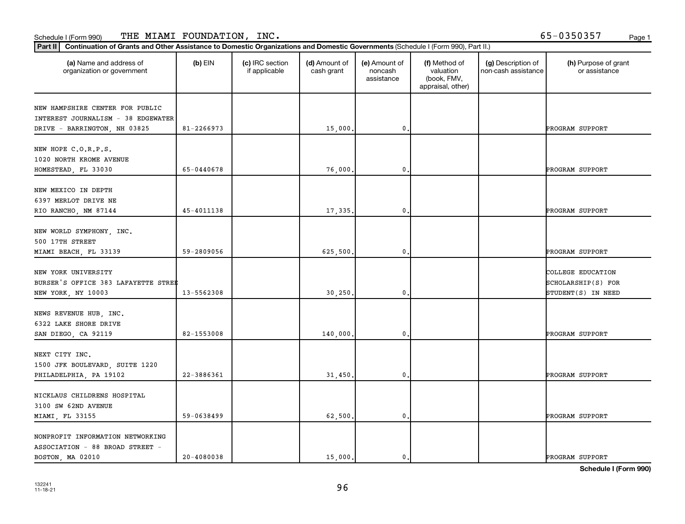| 55-0350357 |  |  |  |  | Page |
|------------|--|--|--|--|------|
|            |  |  |  |  |      |

| Part II   Continuation of Grants and Other Assistance to Domestic Organizations and Domestic Governments (Schedule I (Form 990), Part II.) |                |                                  |                             |                                        |                                                                |                                           |                                                               |
|--------------------------------------------------------------------------------------------------------------------------------------------|----------------|----------------------------------|-----------------------------|----------------------------------------|----------------------------------------------------------------|-------------------------------------------|---------------------------------------------------------------|
| (a) Name and address of<br>organization or government                                                                                      | $(b)$ EIN      | (c) IRC section<br>if applicable | (d) Amount of<br>cash grant | (e) Amount of<br>noncash<br>assistance | (f) Method of<br>valuation<br>(book, FMV,<br>appraisal, other) | (g) Description of<br>non-cash assistance | (h) Purpose of grant<br>or assistance                         |
| NEW HAMPSHIRE CENTER FOR PUBLIC<br>INTEREST JOURNALISM - 38 EDGEWATER<br>DRIVE - BARRINGTON, NH 03825                                      | 81-2266973     |                                  | 15,000.                     | 0.                                     |                                                                |                                           | PROGRAM SUPPORT                                               |
| NEW HOPE C.O.R.P.S.<br>1020 NORTH KROME AVENUE<br>HOMESTEAD, FL 33030                                                                      | 65-0440678     |                                  | 76,000,                     | $\mathbf{0}$                           |                                                                |                                           | PROGRAM SUPPORT                                               |
| NEW MEXICO IN DEPTH<br>6397 MERLOT DRIVE NE<br>RIO RANCHO, NM 87144                                                                        | 45-4011138     |                                  | 17,335.                     | $\mathbf 0$ .                          |                                                                |                                           | PROGRAM SUPPORT                                               |
| NEW WORLD SYMPHONY, INC.<br>500 17TH STREET<br>MIAMI BEACH, FL 33139                                                                       | 59-2809056     |                                  | 625,500,                    | 0.                                     |                                                                |                                           | PROGRAM SUPPORT                                               |
| NEW YORK UNIVERSITY<br>BURSER'S OFFICE 383 LAFAYETTE STREE<br>NEW YORK, NY 10003                                                           | 13-5562308     |                                  | 30, 250.                    | $\mathfrak o$ .                        |                                                                |                                           | COLLEGE EDUCATION<br>SCHOLARSHIP(S) FOR<br>STUDENT(S) IN NEED |
| NEWS REVENUE HUB, INC.<br>6322 LAKE SHORE DRIVE<br>SAN DIEGO, CA 92119                                                                     | 82-1553008     |                                  | 140,000                     | $\mathbf 0$                            |                                                                |                                           | PROGRAM SUPPORT                                               |
| NEXT CITY INC.<br>1500 JFK BOULEVARD, SUITE 1220<br>PHILADELPHIA, PA 19102                                                                 | 22-3886361     |                                  | 31,450                      | 0.                                     |                                                                |                                           | PROGRAM SUPPORT                                               |
| NICKLAUS CHILDRENS HOSPITAL<br>3100 SW 62ND AVENUE<br>MIAMI, FL 33155                                                                      | 59-0638499     |                                  | 62,500.                     | 0.                                     |                                                                |                                           | PROGRAM SUPPORT                                               |
| NONPROFIT INFORMATION NETWORKING<br>ASSOCIATION - 88 BROAD STREET -<br>BOSTON, MA 02010                                                    | $20 - 4080038$ |                                  | 15,000.                     | $\mathbf{0}$ .                         |                                                                |                                           | PROGRAM SUPPORT                                               |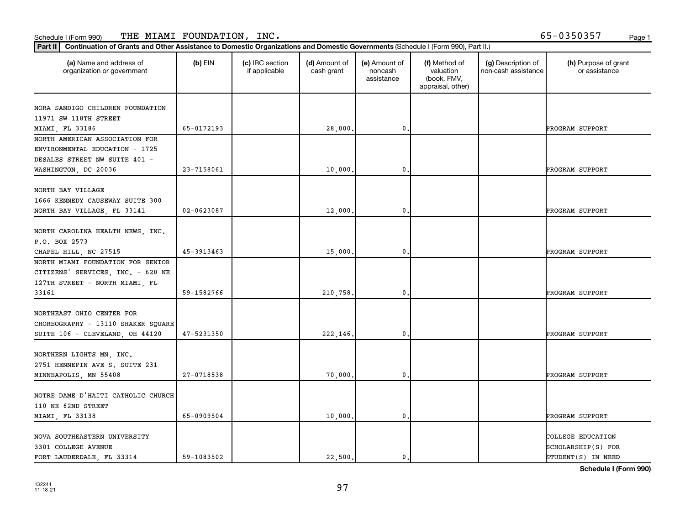**Part II Continuation of Grants and Other Assistance to Domestic Organizations and Domestic Governments**  (Schedule I (Form 990), Part II.)

| RTHEAST OHIO CENTER FOR          |            |          |
|----------------------------------|------------|----------|
| OREOGRAPHY - 13110 SHAKER SOUARE |            |          |
| ITE 106 - CLEVELAND, OH 44120    | 47-5231350 | 222,146. |
|                                  |            |          |
| RTHERN LIGHTS MN, INC.           |            |          |
| 51 HENNEPIN AVE S. SUITE 231     |            |          |
| NNEAPOLIS, MN 55408              | 27-0718538 | 70,000.  |
|                                  |            |          |
| TRE DAME D'HAITI CATHOLIC CHURCH |            |          |
| 0 NE 62ND STREET                 |            |          |
| AMI, FL 33138                    | 65-0909504 | 10,000.  |
|                                  |            |          |
| VA SOUTHEASTERN UNIVERSITY       |            |          |
| 01 COLLEGE AVENUE                |            |          |
| RT LAUDERDALE, FL 33314          | 59-1083502 | 22,500.  |
|                                  |            |          |
|                                  |            |          |
| 241<br>10.01                     |            | 97       |

| (a) Name and address of<br>organization or government                                              | $(b)$ EIN  | (c) IRC section<br>if applicable | (d) Amount of<br>cash grant | (e) Amount of<br>noncash<br>assistance | (f) Method of<br>valuation<br>(book, FMV,<br>appraisal, other) | (g) Description of<br>non-cash assistance | (h) Purpose of grant<br>or assistance                         |
|----------------------------------------------------------------------------------------------------|------------|----------------------------------|-----------------------------|----------------------------------------|----------------------------------------------------------------|-------------------------------------------|---------------------------------------------------------------|
| NORA SANDIGO CHILDREN FOUNDATION                                                                   |            |                                  |                             |                                        |                                                                |                                           |                                                               |
| 11971 SW 118TH STREET                                                                              |            |                                  |                             |                                        |                                                                |                                           |                                                               |
| MIAMI, FL 33186                                                                                    | 65-0172193 |                                  | 28,000                      | $\mathbf{0}$                           |                                                                |                                           | PROGRAM SUPPORT                                               |
| NORTH AMERICAN ASSOCIATION FOR                                                                     |            |                                  |                             |                                        |                                                                |                                           |                                                               |
| ENVIRONMENTAL EDUCATION - 1725<br>DESALES STREET NW SUITE 401 -                                    |            |                                  |                             |                                        |                                                                |                                           |                                                               |
| WASHINGTON, DC 20036                                                                               | 23-7158061 |                                  | 10,000                      | $\mathbf{0}$                           |                                                                |                                           | PROGRAM SUPPORT                                               |
|                                                                                                    |            |                                  |                             |                                        |                                                                |                                           |                                                               |
| NORTH BAY VILLAGE                                                                                  |            |                                  |                             |                                        |                                                                |                                           |                                                               |
| 1666 KENNEDY CAUSEWAY SUITE 300                                                                    |            |                                  |                             |                                        |                                                                |                                           |                                                               |
| NORTH BAY VILLAGE, FL 33141                                                                        | 02-0623087 |                                  | 12,000                      | $\mathbf{0}$                           |                                                                |                                           | PROGRAM SUPPORT                                               |
| NORTH CAROLINA HEALTH NEWS, INC.<br>P.O. BOX 2573                                                  |            |                                  |                             |                                        |                                                                |                                           |                                                               |
| CHAPEL HILL, NC 27515                                                                              | 45-3913463 |                                  | 15,000                      | $\mathbf{0}$                           |                                                                |                                           | PROGRAM SUPPORT                                               |
| NORTH MIAMI FOUNDATION FOR SENIOR                                                                  |            |                                  |                             |                                        |                                                                |                                           |                                                               |
| CITIZENS' SERVICES, INC. - 620 NE                                                                  |            |                                  |                             |                                        |                                                                |                                           |                                                               |
| 127TH STREET - NORTH MIAMI, FL                                                                     |            |                                  |                             |                                        |                                                                |                                           |                                                               |
| 33161                                                                                              | 59-1582766 |                                  | 210,758                     | $\mathbf 0$ .                          |                                                                |                                           | PROGRAM SUPPORT                                               |
| NORTHEAST OHIO CENTER FOR<br>CHOREOGRAPHY - 13110 SHAKER SQUARE<br>SUITE 106 - CLEVELAND, OH 44120 | 47-5231350 |                                  | 222, 146.                   | $\mathbf{0}$                           |                                                                |                                           | PROGRAM SUPPORT                                               |
| NORTHERN LIGHTS MN, INC.<br>2751 HENNEPIN AVE S. SUITE 231                                         |            |                                  |                             |                                        |                                                                |                                           |                                                               |
| MINNEAPOLIS, MN 55408                                                                              | 27-0718538 |                                  | 70,000                      | $\mathbf{0}$ .                         |                                                                |                                           | PROGRAM SUPPORT                                               |
| NOTRE DAME D'HAITI CATHOLIC CHURCH<br>110 NE 62ND STREET                                           |            |                                  |                             |                                        |                                                                |                                           |                                                               |
| MIAMI, FL 33138                                                                                    | 65-0909504 |                                  | 10,000                      | $\mathbf{0}$                           |                                                                |                                           | PROGRAM SUPPORT                                               |
| NOVA SOUTHEASTERN UNIVERSITY<br>3301 COLLEGE AVENUE                                                | 59-1083502 |                                  | 22,500                      | $\mathfrak{o}$ .                       |                                                                |                                           | COLLEGE EDUCATION<br>SCHOLARSHIP(S) FOR<br>STUDENT(S) IN NEED |
| FORT LAUDERDALE, FL 33314                                                                          |            |                                  |                             |                                        |                                                                |                                           |                                                               |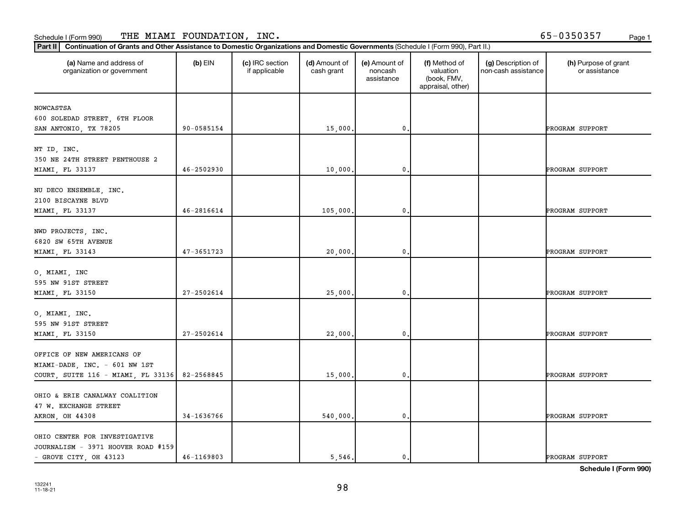| 55-0350357 |  |  |  |  | Page |
|------------|--|--|--|--|------|
|            |  |  |  |  |      |

| Continuation of Grants and Other Assistance to Domestic Organizations and Domestic Governments (Schedule I (Form 990), Part II.)<br>$ $ Part II |                |                                  |                             |                                        |                                                                |                                           |                                       |
|-------------------------------------------------------------------------------------------------------------------------------------------------|----------------|----------------------------------|-----------------------------|----------------------------------------|----------------------------------------------------------------|-------------------------------------------|---------------------------------------|
| (a) Name and address of<br>organization or government                                                                                           | $(b)$ EIN      | (c) IRC section<br>if applicable | (d) Amount of<br>cash grant | (e) Amount of<br>noncash<br>assistance | (f) Method of<br>valuation<br>(book, FMV,<br>appraisal, other) | (g) Description of<br>non-cash assistance | (h) Purpose of grant<br>or assistance |
| NOWCASTSA<br>600 SOLEDAD STREET, 6TH FLOOR<br>SAN ANTONIO, TX 78205                                                                             | 90-0585154     |                                  | 15,000.                     | 0.                                     |                                                                |                                           | PROGRAM SUPPORT                       |
| NT ID, INC.<br>350 NE 24TH STREET PENTHOUSE 2<br>MIAMI, FL 33137                                                                                | $46 - 2502930$ |                                  | 10,000.                     | $\mathbf{0}$                           |                                                                |                                           | PROGRAM SUPPORT                       |
| NU DECO ENSEMBLE, INC.<br>2100 BISCAYNE BLVD<br>MIAMI, FL 33137                                                                                 | 46-2816614     |                                  | 105,000.                    | $\mathbf{0}$                           |                                                                |                                           | PROGRAM SUPPORT                       |
| NWD PROJECTS, INC.<br>6820 SW 65TH AVENUE<br>MIAMI, FL 33143                                                                                    | 47-3651723     |                                  | 20,000.                     | $\mathbf 0$                            |                                                                |                                           | PROGRAM SUPPORT                       |
| O, MIAMI, INC<br>595 NW 91ST STREET<br>MIAMI, FL 33150                                                                                          | 27-2502614     |                                  | 25,000.                     | $\mathfrak o$ .                        |                                                                |                                           | PROGRAM SUPPORT                       |
| O, MIAMI, INC.<br>595 NW 91ST STREET<br>MIAMI, FL 33150                                                                                         | 27-2502614     |                                  | 22,000.                     | $\mathbf{0}$                           |                                                                |                                           | PROGRAM SUPPORT                       |
| OFFICE OF NEW AMERICANS OF<br>MIAMI-DADE, INC. - 601 NW 1ST<br>COURT, SUITE 116 - MIAMI, FL 33136                                               | 82-2568845     |                                  | 15,000.                     | $\mathbf 0$ .                          |                                                                |                                           | PROGRAM SUPPORT                       |
| OHIO & ERIE CANALWAY COALITION<br>47 W. EXCHANGE STREET<br>AKRON, OH 44308                                                                      | 34-1636766     |                                  | 540,000.                    | $\mathfrak o$ .                        |                                                                |                                           | PROGRAM SUPPORT                       |
| OHIO CENTER FOR INVESTIGATIVE<br>JOURNALISM - 3971 HOOVER ROAD #159<br>- GROVE CITY, OH 43123                                                   | 46-1169803     |                                  | 5.546.                      | $\mathbf{0}$ .                         |                                                                |                                           | PROGRAM SUPPORT                       |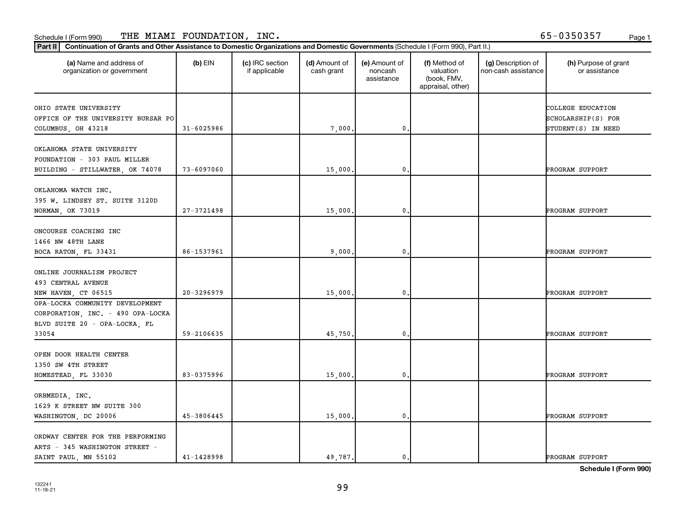|  |  | 55-0350357 | Page |
|--|--|------------|------|
|  |  |            |      |

| Continuation of Grants and Other Assistance to Domestic Organizations and Domestic Governments (Schedule I (Form 990), Part II.)<br>Part II |            |                                  |                             |                                        |                                                                |                                           |                                                               |
|---------------------------------------------------------------------------------------------------------------------------------------------|------------|----------------------------------|-----------------------------|----------------------------------------|----------------------------------------------------------------|-------------------------------------------|---------------------------------------------------------------|
| (a) Name and address of<br>organization or government                                                                                       | $(b)$ EIN  | (c) IRC section<br>if applicable | (d) Amount of<br>cash grant | (e) Amount of<br>noncash<br>assistance | (f) Method of<br>valuation<br>(book, FMV,<br>appraisal, other) | (g) Description of<br>non-cash assistance | (h) Purpose of grant<br>or assistance                         |
| OHIO STATE UNIVERSITY<br>OFFICE OF THE UNIVERSITY BURSAR PO<br>COLUMBUS, OH 43218                                                           | 31-6025986 |                                  | 7,000.                      | $\mathbf 0$                            |                                                                |                                           | COLLEGE EDUCATION<br>SCHOLARSHIP(S) FOR<br>STUDENT(S) IN NEED |
| OKLAHOMA STATE UNIVERSITY<br>FOUNDATION - 303 PAUL MILLER<br>BUILDING - STILLWATER, OK 74078                                                | 73-6097060 |                                  | 15,000.                     | 0.                                     |                                                                |                                           | PROGRAM SUPPORT                                               |
| OKLAHOMA WATCH INC.<br>395 W. LINDSEY ST. SUITE 3120D<br>NORMAN, OK 73019                                                                   | 27-3721498 |                                  | 15,000.                     | 0                                      |                                                                |                                           | PROGRAM SUPPORT                                               |
| ONCOURSE COACHING INC<br>1466 NW 48TH LANE<br>BOCA RATON, FL 33431                                                                          | 86-1537961 |                                  | 9,000,                      | $\mathbf 0$                            |                                                                |                                           | PROGRAM SUPPORT                                               |
| ONLINE JOURNALISM PROJECT<br>493 CENTRAL AVENUE<br>NEW HAVEN, CT 06515                                                                      | 20-3296979 |                                  | 15,000,                     | $\mathbf{0}$                           |                                                                |                                           | PROGRAM SUPPORT                                               |
| OPA-LOCKA COMMUNITY DEVELOPMENT<br>CORPORATION, INC. - 490 OPA-LOCKA<br>BLVD SUITE 20 - OPA-LOCKA, FL<br>33054                              | 59-2106635 |                                  | 45,750.                     | 0                                      |                                                                |                                           | PROGRAM SUPPORT                                               |
| OPEN DOOR HEALTH CENTER<br>1350 SW 4TH STREET<br>HOMESTEAD, FL 33030                                                                        | 83-0375996 |                                  | 15,000,                     | 0.                                     |                                                                |                                           | PROGRAM SUPPORT                                               |
| ORBMEDIA, INC.<br>1629 K STREET NW SUITE 300<br>WASHINGTON, DC 20006                                                                        | 45-3806445 |                                  | 15,000.                     | $\mathbf 0$                            |                                                                |                                           | PROGRAM SUPPORT                                               |
| ORDWAY CENTER FOR THE PERFORMING<br>ARTS - 345 WASHINGTON STREET -<br>SAINT PAUL, MN 55102                                                  | 41-1428998 |                                  | 49.787.                     | 0.                                     |                                                                |                                           | PROGRAM SUPPORT                                               |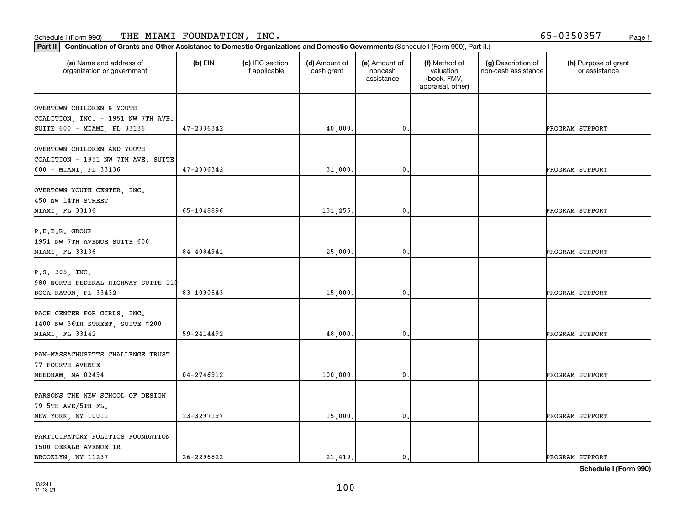|  |  | 55-0350357 | Page |
|--|--|------------|------|
|  |  |            |      |

| Continuation of Grants and Other Assistance to Domestic Organizations and Domestic Governments (Schedule I (Form 990), Part II.)<br>Part II |                |                                  |                             |                                        |                                                                |                                           |                                       |
|---------------------------------------------------------------------------------------------------------------------------------------------|----------------|----------------------------------|-----------------------------|----------------------------------------|----------------------------------------------------------------|-------------------------------------------|---------------------------------------|
| (a) Name and address of<br>organization or government                                                                                       | $(b)$ EIN      | (c) IRC section<br>if applicable | (d) Amount of<br>cash grant | (e) Amount of<br>noncash<br>assistance | (f) Method of<br>valuation<br>(book, FMV,<br>appraisal, other) | (g) Description of<br>non-cash assistance | (h) Purpose of grant<br>or assistance |
| OVERTOWN CHILDREN & YOUTH                                                                                                                   |                |                                  |                             |                                        |                                                                |                                           |                                       |
| COALITION, INC. - 1951 NW 7TH AVE.                                                                                                          |                |                                  |                             |                                        |                                                                |                                           |                                       |
| SUITE 600 - MIAMI, FL 33136                                                                                                                 | 47-2336342     |                                  | 40,000.                     | 0.                                     |                                                                |                                           | PROGRAM SUPPORT                       |
| OVERTOWN CHILDREN AND YOUTH<br>COALITION - 1951 NW 7TH AVE. SUITE                                                                           |                |                                  |                             |                                        |                                                                |                                           |                                       |
| 600 - MIAMI, FL 33136                                                                                                                       | 47-2336342     |                                  | 31,000.                     | $\mathbf{0}$ .                         |                                                                |                                           | PROGRAM SUPPORT                       |
| OVERTOWN YOUTH CENTER, INC.<br>450 NW 14TH STREET                                                                                           |                |                                  |                             |                                        |                                                                |                                           |                                       |
| MIAMI, FL 33136                                                                                                                             | 65-1048896     |                                  | 131,255.                    | $\mathbf 0$                            |                                                                |                                           | PROGRAM SUPPORT                       |
| P.E.E.R. GROUP<br>1951 NW 7TH AVENUE SUITE 600<br>MIAMI, FL 33136                                                                           | 84-4084941     |                                  | 25,000.                     | 0,                                     |                                                                |                                           | PROGRAM SUPPORT                       |
|                                                                                                                                             |                |                                  |                             |                                        |                                                                |                                           |                                       |
| P.S. 305, INC.<br>980 NORTH FEDERAL HIGHWAY SUITE 110                                                                                       |                |                                  |                             |                                        |                                                                |                                           |                                       |
| BOCA RATON, FL 33432                                                                                                                        | 83-1090543     |                                  | 15,000                      | $\mathbf 0$                            |                                                                |                                           | PROGRAM SUPPORT                       |
| PACE CENTER FOR GIRLS, INC.<br>1400 NW 36TH STREET, SUITE #200                                                                              |                |                                  |                             |                                        |                                                                |                                           |                                       |
| MIAMI, FL 33142                                                                                                                             | 59-2414492     |                                  | 48,000                      | $\mathbf{0}$                           |                                                                |                                           | PROGRAM SUPPORT                       |
| PAN-MASSACHUSETTS CHALLENGE TRUST<br>77 FOURTH AVENUE                                                                                       |                |                                  |                             |                                        |                                                                |                                           |                                       |
| NEEDHAM, MA 02494                                                                                                                           | $04 - 2746912$ |                                  | 100,000                     | 0,                                     |                                                                |                                           | PROGRAM SUPPORT                       |
| PARSONS THE NEW SCHOOL OF DESIGN<br>79 5TH AVE/5TH FL.                                                                                      |                |                                  |                             |                                        |                                                                |                                           |                                       |
| NEW YORK, NY 10011                                                                                                                          | 13-3297197     |                                  | 15,000                      | $\mathbf 0$                            |                                                                |                                           | PROGRAM SUPPORT                       |
| PARTICIPATORY POLITICS FOUNDATION<br>1500 DEKALB AVENUE 1R<br>BROOKLYN, NY 11237                                                            | 26-2296822     |                                  | 21,419.                     | 0.                                     |                                                                |                                           | PROGRAM SUPPORT                       |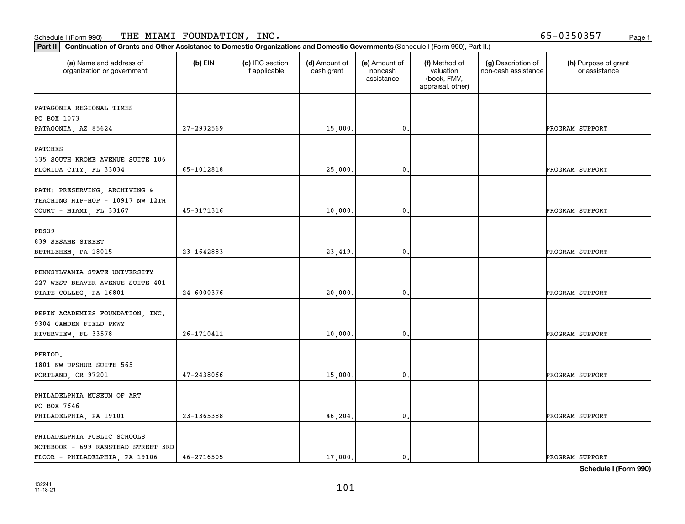|  |  |  |  | 55-0350357 | Page |
|--|--|--|--|------------|------|
|--|--|--|--|------------|------|

| Continuation of Grants and Other Assistance to Domestic Organizations and Domestic Governments (Schedule I (Form 990), Part II.)<br>Part II |            |                                  |                             |                                        |                                                                |                                           |                                       |
|---------------------------------------------------------------------------------------------------------------------------------------------|------------|----------------------------------|-----------------------------|----------------------------------------|----------------------------------------------------------------|-------------------------------------------|---------------------------------------|
| (a) Name and address of<br>organization or government                                                                                       | $(b)$ EIN  | (c) IRC section<br>if applicable | (d) Amount of<br>cash grant | (e) Amount of<br>noncash<br>assistance | (f) Method of<br>valuation<br>(book, FMV,<br>appraisal, other) | (g) Description of<br>non-cash assistance | (h) Purpose of grant<br>or assistance |
| PATAGONIA REGIONAL TIMES<br>PO BOX 1073                                                                                                     |            |                                  |                             |                                        |                                                                |                                           |                                       |
| PATAGONIA, AZ 85624                                                                                                                         | 27-2932569 |                                  | 15,000.                     | 0.                                     |                                                                |                                           | PROGRAM SUPPORT                       |
| <b>PATCHES</b><br>335 SOUTH KROME AVENUE SUITE 106<br>FLORIDA CITY, FL 33034                                                                | 65-1012818 |                                  | 25,000.                     | 0.                                     |                                                                |                                           | PROGRAM SUPPORT                       |
| PATH: PRESERVING, ARCHIVING &<br>TEACHING HIP-HOP - 10917 NW 12TH<br>COURT - MIAMI, FL 33167                                                | 45-3171316 |                                  | 10,000,                     | 0                                      |                                                                |                                           | PROGRAM SUPPORT                       |
| PBS39<br>839 SESAME STREET<br>BETHLEHEM, PA 18015                                                                                           | 23-1642883 |                                  | 23,419                      | 0.                                     |                                                                |                                           | PROGRAM SUPPORT                       |
| PENNSYLVANIA STATE UNIVERSITY<br>227 WEST BEAVER AVENUE SUITE 401<br>STATE COLLEG, PA 16801                                                 | 24-6000376 |                                  | 20,000.                     | $\mathbf{0}$ .                         |                                                                |                                           | PROGRAM SUPPORT                       |
| PEPIN ACADEMIES FOUNDATION, INC.<br>9304 CAMDEN FIELD PKWY<br>RIVERVIEW, FL 33578                                                           | 26-1710411 |                                  | 10,000.                     | 0                                      |                                                                |                                           | PROGRAM SUPPORT                       |
| PERIOD.<br>1801 NW UPSHUR SUITE 565<br>PORTLAND, OR 97201                                                                                   | 47-2438066 |                                  | 15,000,                     | 0.                                     |                                                                |                                           | PROGRAM SUPPORT                       |
| PHILADELPHIA MUSEUM OF ART<br>PO BOX 7646<br>PHILADELPHIA, PA 19101                                                                         | 23-1365388 |                                  | 46,204.                     | 0.                                     |                                                                |                                           | PROGRAM SUPPORT                       |
| PHILADELPHIA PUBLIC SCHOOLS<br>NOTEBOOK - 699 RANSTEAD STREET 3RD<br>FLOOR - PHILADELPHIA, PA 19106                                         | 46-2716505 |                                  | 17,000.                     | $\mathbf{0}$ .                         |                                                                |                                           | PROGRAM SUPPORT                       |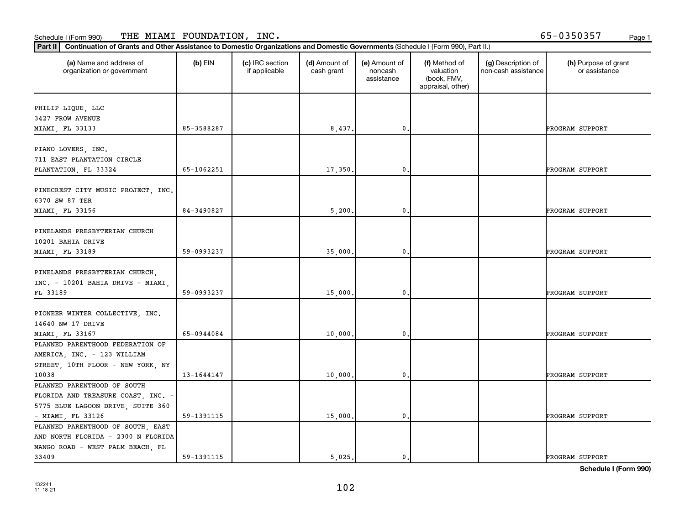|  |  | 55-0350357 | Page |
|--|--|------------|------|
|  |  |            |      |

| (a) Name and address of<br>organization or government | $(b)$ EIN  | (c) IRC section<br>if applicable | (d) Amount of<br>cash grant | (e) Amount of<br>noncash<br>assistance | (f) Method of<br>valuation<br>(book, FMV,<br>appraisal, other) | (g) Description of<br>non-cash assistance | (h) Purpose of grant<br>or assistance |
|-------------------------------------------------------|------------|----------------------------------|-----------------------------|----------------------------------------|----------------------------------------------------------------|-------------------------------------------|---------------------------------------|
| PHILIP LIQUE, LLC                                     |            |                                  |                             |                                        |                                                                |                                           |                                       |
| 3427 FROW AVENUE                                      |            |                                  |                             |                                        |                                                                |                                           |                                       |
| MIAMI, FL 33133                                       | 85-3588287 |                                  | 8,437.                      | 0                                      |                                                                |                                           | PROGRAM SUPPORT                       |
|                                                       |            |                                  |                             |                                        |                                                                |                                           |                                       |
| PIANO LOVERS, INC.                                    |            |                                  |                             |                                        |                                                                |                                           |                                       |
| 711 EAST PLANTATION CIRCLE                            |            |                                  |                             |                                        |                                                                |                                           |                                       |
| PLANTATION, FL 33324                                  | 65-1062251 |                                  | 17,350,                     | 0                                      |                                                                |                                           | PROGRAM SUPPORT                       |
| PINECREST CITY MUSIC PROJECT, INC.                    |            |                                  |                             |                                        |                                                                |                                           |                                       |
| 6370 SW 87 TER                                        |            |                                  |                             |                                        |                                                                |                                           |                                       |
| MIAMI, FL 33156                                       | 84-3490827 |                                  | 5,200                       | $\mathbf{0}$                           |                                                                |                                           | PROGRAM SUPPORT                       |
|                                                       |            |                                  |                             |                                        |                                                                |                                           |                                       |
| PINELANDS PRESBYTERIAN CHURCH                         |            |                                  |                             |                                        |                                                                |                                           |                                       |
| 10201 BAHIA DRIVE                                     |            |                                  |                             |                                        |                                                                |                                           |                                       |
| MIAMI, FL 33189                                       | 59-0993237 |                                  | 35,000                      | 0                                      |                                                                |                                           | PROGRAM SUPPORT                       |
|                                                       |            |                                  |                             |                                        |                                                                |                                           |                                       |
| PINELANDS PRESBYTERIAN CHURCH,                        |            |                                  |                             |                                        |                                                                |                                           |                                       |
| $INC. - 10201$ BAHIA DRIVE - MIAMI,                   | 59-0993237 |                                  |                             | 0                                      |                                                                |                                           |                                       |
| FL 33189                                              |            |                                  | 15,000                      |                                        |                                                                |                                           | PROGRAM SUPPORT                       |
| PIONEER WINTER COLLECTIVE, INC.                       |            |                                  |                             |                                        |                                                                |                                           |                                       |
| 14640 NW 17 DRIVE                                     |            |                                  |                             |                                        |                                                                |                                           |                                       |
| MIAMI, FL 33167                                       | 65-0944084 |                                  | 10,000.                     | $\mathbf{0}$                           |                                                                |                                           | PROGRAM SUPPORT                       |
| PLANNED PARENTHOOD FEDERATION OF                      |            |                                  |                             |                                        |                                                                |                                           |                                       |
| AMERICA, INC. - 123 WILLIAM                           |            |                                  |                             |                                        |                                                                |                                           |                                       |
| STREET, 10TH FLOOR - NEW YORK, NY                     |            |                                  |                             |                                        |                                                                |                                           |                                       |
| 10038                                                 | 13-1644147 |                                  | 10,000                      | $\mathbf{0}$                           |                                                                |                                           | PROGRAM SUPPORT                       |
| PLANNED PARENTHOOD OF SOUTH                           |            |                                  |                             |                                        |                                                                |                                           |                                       |
| FLORIDA AND TREASURE COAST, INC. -                    |            |                                  |                             |                                        |                                                                |                                           |                                       |
| 5775 BLUE LAGOON DRIVE, SUITE 360                     |            |                                  |                             |                                        |                                                                |                                           |                                       |
| - MIAMI, FL 33126                                     | 59-1391115 |                                  | 15,000.                     | 0                                      |                                                                |                                           | PROGRAM SUPPORT                       |
| PLANNED PARENTHOOD OF SOUTH, EAST                     |            |                                  |                             |                                        |                                                                |                                           |                                       |
| AND NORTH FLORIDA - 2300 N FLORIDA                    |            |                                  |                             |                                        |                                                                |                                           |                                       |
| MANGO ROAD - WEST PALM BEACH, FL                      |            |                                  |                             |                                        |                                                                |                                           |                                       |
| 33409                                                 | 59-1391115 |                                  | 5,025.                      | 0.                                     |                                                                |                                           | PROGRAM SUPPORT                       |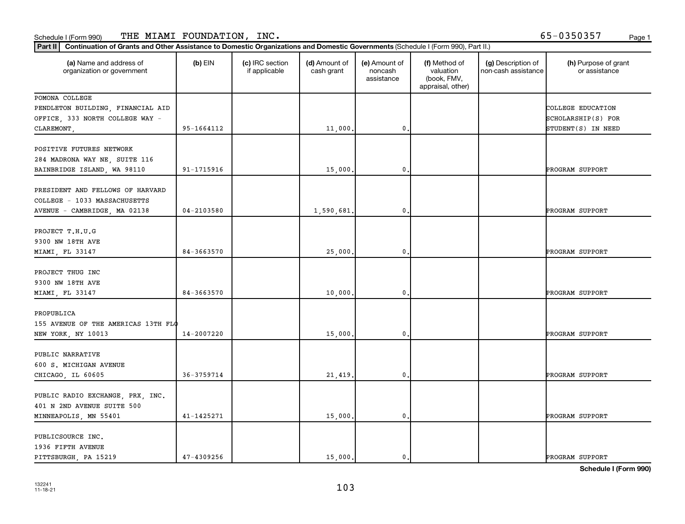| 55-0350357 |  |  |  | Page |
|------------|--|--|--|------|
|            |  |  |  |      |

| (a) Name and address of<br>organization or government                                  | $(b)$ EIN  | (c) IRC section<br>if applicable | (d) Amount of<br>cash grant | (e) Amount of<br>noncash<br>assistance | (f) Method of<br>valuation<br>(book, FMV,<br>appraisal, other) | (g) Description of<br>non-cash assistance | (h) Purpose of grant<br>or assistance   |
|----------------------------------------------------------------------------------------|------------|----------------------------------|-----------------------------|----------------------------------------|----------------------------------------------------------------|-------------------------------------------|-----------------------------------------|
| POMONA COLLEGE<br>PENDLETON BUILDING, FINANCIAL AID<br>OFFICE, 333 NORTH COLLEGE WAY - |            |                                  |                             |                                        |                                                                |                                           | COLLEGE EDUCATION<br>SCHOLARSHIP(S) FOR |
| CLAREMONT,                                                                             | 95-1664112 |                                  | 11,000.                     | $\mathbf{0}$                           |                                                                |                                           | STUDENT(S) IN NEED                      |
| POSITIVE FUTURES NETWORK<br>284 MADRONA WAY NE, SUITE 116                              | 91-1715916 |                                  |                             | 0                                      |                                                                |                                           | PROGRAM SUPPORT                         |
| BAINBRIDGE ISLAND, WA 98110                                                            |            |                                  | 15,000.                     |                                        |                                                                |                                           |                                         |
| PRESIDENT AND FELLOWS OF HARVARD<br>COLLEGE - 1033 MASSACHUSETTS                       |            |                                  |                             |                                        |                                                                |                                           |                                         |
| AVENUE - CAMBRIDGE, MA 02138                                                           | 04-2103580 |                                  | 1,590,681.                  | $\mathbf{0}$                           |                                                                |                                           | PROGRAM SUPPORT                         |
| PROJECT T.H.U.G<br>9300 NW 18TH AVE                                                    |            |                                  |                             |                                        |                                                                |                                           |                                         |
| MIAMI, FL 33147                                                                        | 84-3663570 |                                  | 25,000.                     | $\mathbf 0$                            |                                                                |                                           | PROGRAM SUPPORT                         |
| PROJECT THUG INC<br>9300 NW 18TH AVE                                                   |            |                                  |                             |                                        |                                                                |                                           |                                         |
| MIAMI, FL 33147                                                                        | 84-3663570 |                                  | 10,000.                     | 0                                      |                                                                |                                           | PROGRAM SUPPORT                         |
| PROPUBLICA<br>155 AVENUE OF THE AMERICAS 13TH FLO                                      |            |                                  |                             |                                        |                                                                |                                           |                                         |
| NEW YORK, NY 10013                                                                     | 14-2007220 |                                  | 15,000.                     | $\mathbf 0$                            |                                                                |                                           | PROGRAM SUPPORT                         |
| PUBLIC NARRATIVE<br>600 S. MICHIGAN AVENUE                                             |            |                                  |                             |                                        |                                                                |                                           |                                         |
| CHICAGO, IL 60605                                                                      | 36-3759714 |                                  | 21,419.                     | $\mathbf 0$                            |                                                                |                                           | PROGRAM SUPPORT                         |
| PUBLIC RADIO EXCHANGE, PRX, INC.                                                       |            |                                  |                             |                                        |                                                                |                                           |                                         |
| 401 N 2ND AVENUE SUITE 500<br>MINNEAPOLIS, MN 55401                                    | 41-1425271 |                                  | 15,000.                     | $\mathbf 0$                            |                                                                |                                           | PROGRAM SUPPORT                         |
| PUBLICSOURCE INC.<br>1936 FIFTH AVENUE                                                 |            |                                  |                             |                                        |                                                                |                                           |                                         |
| PITTSBURGH, PA 15219                                                                   | 47-4309256 |                                  | 15,000.                     | 0.                                     |                                                                |                                           | PROGRAM SUPPORT                         |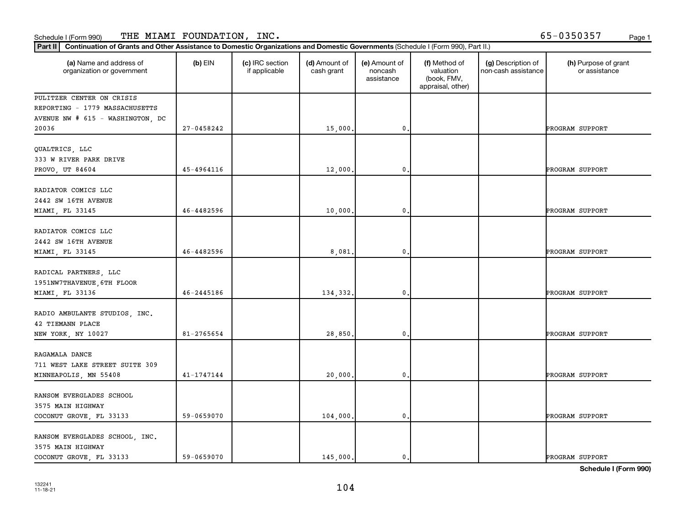| 55-0350357 |  |  |  |    |
|------------|--|--|--|----|
|            |  |  |  | Pа |

| (a) Name and address of<br>organization or government | $(b)$ EIN  | (c) IRC section<br>if applicable | (d) Amount of<br>cash grant | (e) Amount of<br>noncash<br>assistance | (f) Method of<br>valuation<br>(book, FMV,<br>appraisal, other) | (g) Description of<br>non-cash assistance | (h) Purpose of grant<br>or assistance |
|-------------------------------------------------------|------------|----------------------------------|-----------------------------|----------------------------------------|----------------------------------------------------------------|-------------------------------------------|---------------------------------------|
| PULITZER CENTER ON CRISIS                             |            |                                  |                             |                                        |                                                                |                                           |                                       |
| REPORTING - 1779 MASSACHUSETTS                        |            |                                  |                             |                                        |                                                                |                                           |                                       |
| AVENUE NW # 615 - WASHINGTON, DC                      |            |                                  |                             |                                        |                                                                |                                           |                                       |
| 20036                                                 | 27-0458242 |                                  | 15,000.                     | $\mathbf{0}$                           |                                                                |                                           | PROGRAM SUPPORT                       |
| QUALTRICS, LLC                                        |            |                                  |                             |                                        |                                                                |                                           |                                       |
| 333 W RIVER PARK DRIVE                                |            |                                  |                             |                                        |                                                                |                                           |                                       |
| PROVO, UT 84604                                       | 45-4964116 |                                  | 12,000.                     | 0                                      |                                                                |                                           | PROGRAM SUPPORT                       |
|                                                       |            |                                  |                             |                                        |                                                                |                                           |                                       |
| RADIATOR COMICS LLC                                   |            |                                  |                             |                                        |                                                                |                                           |                                       |
| 2442 SW 16TH AVENUE                                   |            |                                  |                             |                                        |                                                                |                                           |                                       |
| MIAMI, FL 33145                                       | 46-4482596 |                                  | 10,000.                     | $\mathbf{0}$                           |                                                                |                                           | PROGRAM SUPPORT                       |
|                                                       |            |                                  |                             |                                        |                                                                |                                           |                                       |
| RADIATOR COMICS LLC                                   |            |                                  |                             |                                        |                                                                |                                           |                                       |
| 2442 SW 16TH AVENUE                                   |            |                                  |                             |                                        |                                                                |                                           |                                       |
| MIAMI, FL 33145                                       | 46-4482596 |                                  | 8,081.                      | $\mathbf{0}$                           |                                                                |                                           | PROGRAM SUPPORT                       |
| RADICAL PARTNERS, LLC                                 |            |                                  |                             |                                        |                                                                |                                           |                                       |
| 1951NW7THAVENUE, 6TH FLOOR                            |            |                                  |                             |                                        |                                                                |                                           |                                       |
| MIAMI, FL 33136                                       | 46-2445186 |                                  | 134,332.                    | $\mathbf{0}$                           |                                                                |                                           | PROGRAM SUPPORT                       |
|                                                       |            |                                  |                             |                                        |                                                                |                                           |                                       |
| RADIO AMBULANTE STUDIOS, INC.                         |            |                                  |                             |                                        |                                                                |                                           |                                       |
| 42 TIEMANN PLACE                                      |            |                                  |                             |                                        |                                                                |                                           |                                       |
| NEW YORK, NY 10027                                    | 81-2765654 |                                  | 28,850.                     | 0                                      |                                                                |                                           | PROGRAM SUPPORT                       |
|                                                       |            |                                  |                             |                                        |                                                                |                                           |                                       |
| RAGAMALA DANCE                                        |            |                                  |                             |                                        |                                                                |                                           |                                       |
| 711 WEST LAKE STREET SUITE 309                        |            |                                  |                             |                                        |                                                                |                                           |                                       |
| MINNEAPOLIS, MN 55408                                 | 41-1747144 |                                  | 20,000,                     | 0.                                     |                                                                |                                           | PROGRAM SUPPORT                       |
| RANSOM EVERGLADES SCHOOL                              |            |                                  |                             |                                        |                                                                |                                           |                                       |
| 3575 MAIN HIGHWAY                                     |            |                                  |                             |                                        |                                                                |                                           |                                       |
| COCONUT GROVE, FL 33133                               | 59-0659070 |                                  | 104,000.                    | $\mathbf{0}$                           |                                                                |                                           | PROGRAM SUPPORT                       |
|                                                       |            |                                  |                             |                                        |                                                                |                                           |                                       |
| RANSOM EVERGLADES SCHOOL, INC.                        |            |                                  |                             |                                        |                                                                |                                           |                                       |
| 3575 MAIN HIGHWAY                                     |            |                                  |                             |                                        |                                                                |                                           |                                       |
| COCONUT GROVE, FL 33133                               | 59-0659070 |                                  | 145,000.                    | $\mathbf{0}$ .                         |                                                                |                                           | PROGRAM SUPPORT                       |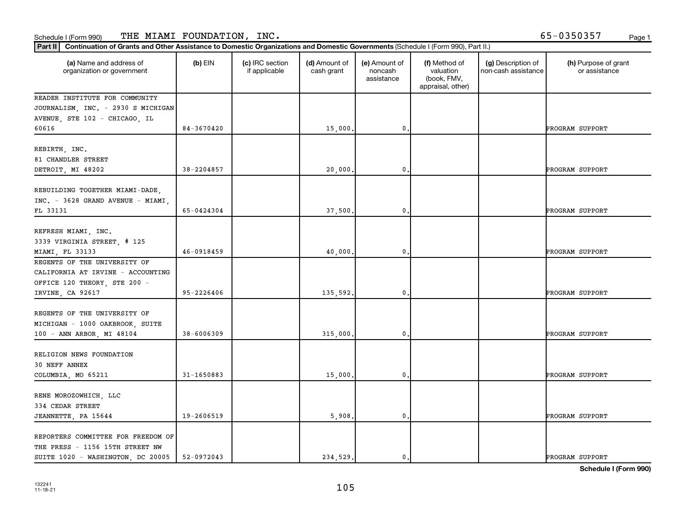| 55-0350357 |  |  |  |  | Page |
|------------|--|--|--|--|------|
|            |  |  |  |  |      |

| Part II   Continuation of Grants and Other Assistance to Domestic Organizations and Domestic Governments (Schedule I (Form 990), Part II.) |            |                                  |                             |                                        |                                                                |                                           |                                       |
|--------------------------------------------------------------------------------------------------------------------------------------------|------------|----------------------------------|-----------------------------|----------------------------------------|----------------------------------------------------------------|-------------------------------------------|---------------------------------------|
| (a) Name and address of<br>organization or government                                                                                      | (b) $EIN$  | (c) IRC section<br>if applicable | (d) Amount of<br>cash grant | (e) Amount of<br>noncash<br>assistance | (f) Method of<br>valuation<br>(book, FMV,<br>appraisal, other) | (g) Description of<br>non-cash assistance | (h) Purpose of grant<br>or assistance |
| READER INSTITUTE FOR COMMUNITY                                                                                                             |            |                                  |                             |                                        |                                                                |                                           |                                       |
| JOURNALISM, INC. - 2930 S MICHIGAN                                                                                                         |            |                                  |                             |                                        |                                                                |                                           |                                       |
| AVENUE, STE 102 - CHICAGO, IL                                                                                                              |            |                                  |                             |                                        |                                                                |                                           |                                       |
| 60616                                                                                                                                      | 84-3670420 |                                  | 15,000.                     | $\mathbf 0$                            |                                                                |                                           | PROGRAM SUPPORT                       |
| REBIRTH, INC.<br>81 CHANDLER STREET                                                                                                        |            |                                  |                             |                                        |                                                                |                                           |                                       |
| DETROIT, MI 48202                                                                                                                          | 38-2204857 |                                  | 20,000.                     | $\mathbf 0$                            |                                                                |                                           | PROGRAM SUPPORT                       |
| REBUILDING TOGETHER MIAMI-DADE,<br>INC. - 3628 GRAND AVENUE - MIAMI,                                                                       |            |                                  |                             |                                        |                                                                |                                           |                                       |
| FL 33131                                                                                                                                   | 65-0424304 |                                  | 37.500.                     | 0.                                     |                                                                |                                           | PROGRAM SUPPORT                       |
| REFRESH MIAMI, INC.<br>3339 VIRGINIA STREET, # 125<br>MIAMI, FL 33133                                                                      | 46-0918459 |                                  | 40,000.                     | 0,                                     |                                                                |                                           | PROGRAM SUPPORT                       |
| REGENTS OF THE UNIVERSITY OF<br>CALIFORNIA AT IRVINE - ACCOUNTING<br>OFFICE 120 THEORY, STE 200 -                                          |            |                                  |                             |                                        |                                                                |                                           |                                       |
| IRVINE, CA 92617                                                                                                                           | 95-2226406 |                                  | 135,592.                    | $\mathbf 0$                            |                                                                |                                           | PROGRAM SUPPORT                       |
| REGENTS OF THE UNIVERSITY OF<br>MICHIGAN - 1000 OAKBROOK, SUITE<br>100 - ANN ARBOR, MI 48104                                               | 38-6006309 |                                  | 315,000.                    | 0.                                     |                                                                |                                           | PROGRAM SUPPORT                       |
| RELIGION NEWS FOUNDATION<br>30 NEFF ANNEX                                                                                                  |            |                                  |                             |                                        |                                                                |                                           |                                       |
| COLUMBIA, MO 65211                                                                                                                         | 31-1650883 |                                  | 15,000.                     | 0.                                     |                                                                |                                           | PROGRAM SUPPORT                       |
| RENE MOROZOWHICH, LLC<br>334 CEDAR STREET                                                                                                  |            |                                  |                             |                                        |                                                                |                                           |                                       |
| JEANNETTE, PA 15644                                                                                                                        | 19-2606519 |                                  | 5,908.                      | $\mathbf 0$                            |                                                                |                                           | PROGRAM SUPPORT                       |
| REPORTERS COMMITTEE FOR FREEDOM OF<br>THE PRESS - 1156 15TH STREET NW<br>SUITE 1020 - WASHINGTON, DC 20005                                 | 52-0972043 |                                  | 234.529.                    | 0.                                     |                                                                |                                           | PROGRAM SUPPORT                       |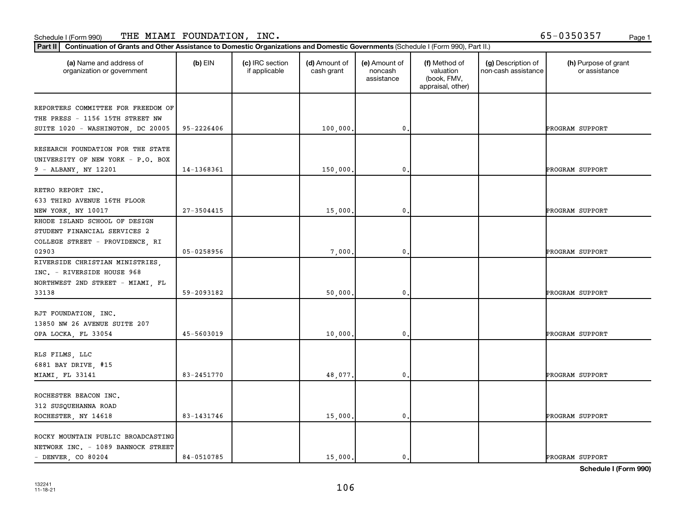| 55-0350357 | Page |
|------------|------|
|------------|------|

| (a) Name and address of<br>organization or government | $(b)$ EIN  | (c) IRC section<br>if applicable | (d) Amount of<br>cash grant | (e) Amount of<br>noncash<br>assistance | (f) Method of<br>valuation<br>(book, FMV,<br>appraisal, other) | (g) Description of<br>non-cash assistance | (h) Purpose of grant<br>or assistance |
|-------------------------------------------------------|------------|----------------------------------|-----------------------------|----------------------------------------|----------------------------------------------------------------|-------------------------------------------|---------------------------------------|
| REPORTERS COMMITTEE FOR FREEDOM OF                    |            |                                  |                             |                                        |                                                                |                                           |                                       |
| THE PRESS - 1156 15TH STREET NW                       |            |                                  |                             |                                        |                                                                |                                           |                                       |
| SUITE 1020 - WASHINGTON, DC 20005                     | 95-2226406 |                                  | 100,000.                    | $\mathbf 0$                            |                                                                |                                           | PROGRAM SUPPORT                       |
| RESEARCH FOUNDATION FOR THE STATE                     |            |                                  |                             |                                        |                                                                |                                           |                                       |
| UNIVERSITY OF NEW YORK - P.O. BOX                     |            |                                  |                             |                                        |                                                                |                                           |                                       |
| 9 - ALBANY, NY 12201                                  | 14-1368361 |                                  | 150,000.                    | 0,                                     |                                                                |                                           | PROGRAM SUPPORT                       |
|                                                       |            |                                  |                             |                                        |                                                                |                                           |                                       |
| RETRO REPORT INC.<br>633 THIRD AVENUE 16TH FLOOR      |            |                                  |                             |                                        |                                                                |                                           |                                       |
| NEW YORK, NY 10017                                    | 27-3504415 |                                  | 15,000                      | $\mathbf{0}$                           |                                                                |                                           | PROGRAM SUPPORT                       |
| RHODE ISLAND SCHOOL OF DESIGN                         |            |                                  |                             |                                        |                                                                |                                           |                                       |
| STUDENT FINANCIAL SERVICES 2                          |            |                                  |                             |                                        |                                                                |                                           |                                       |
| COLLEGE STREET - PROVIDENCE, RI                       |            |                                  |                             |                                        |                                                                |                                           |                                       |
| 02903                                                 | 05-0258956 |                                  | 7,000                       | $\mathbf 0$                            |                                                                |                                           | PROGRAM SUPPORT                       |
| RIVERSIDE CHRISTIAN MINISTRIES,                       |            |                                  |                             |                                        |                                                                |                                           |                                       |
| INC. - RIVERSIDE HOUSE 968                            |            |                                  |                             |                                        |                                                                |                                           |                                       |
| NORTHWEST 2ND STREET - MIAMI, FL                      |            |                                  |                             |                                        |                                                                |                                           |                                       |
| 33138                                                 | 59-2093182 |                                  | 50,000                      | $\mathbf 0$                            |                                                                |                                           | PROGRAM SUPPORT                       |
|                                                       |            |                                  |                             |                                        |                                                                |                                           |                                       |
| RJT FOUNDATION, INC.                                  |            |                                  |                             |                                        |                                                                |                                           |                                       |
| 13850 NW 26 AVENUE SUITE 207                          |            |                                  |                             |                                        |                                                                |                                           |                                       |
| OPA LOCKA, FL 33054                                   | 45-5603019 |                                  | 10,000,                     | $\mathbf 0$                            |                                                                |                                           | PROGRAM SUPPORT                       |
|                                                       |            |                                  |                             |                                        |                                                                |                                           |                                       |
| RLS FILMS, LLC                                        |            |                                  |                             |                                        |                                                                |                                           |                                       |
| 6881 BAY DRIVE, #15                                   |            |                                  |                             |                                        |                                                                |                                           |                                       |
| MIAMI, FL 33141                                       | 83-2451770 |                                  | 48,077.                     | 0,                                     |                                                                |                                           | PROGRAM SUPPORT                       |
| ROCHESTER BEACON INC.                                 |            |                                  |                             |                                        |                                                                |                                           |                                       |
| 312 SUSQUEHANNA ROAD                                  |            |                                  |                             |                                        |                                                                |                                           |                                       |
| ROCHESTER, NY 14618                                   | 83-1431746 |                                  | 15,000                      | $\mathbf 0$                            |                                                                |                                           | PROGRAM SUPPORT                       |
|                                                       |            |                                  |                             |                                        |                                                                |                                           |                                       |
| ROCKY MOUNTAIN PUBLIC BROADCASTING                    |            |                                  |                             |                                        |                                                                |                                           |                                       |
| NETWORK INC. - 1089 BANNOCK STREET                    |            |                                  |                             |                                        |                                                                |                                           |                                       |
| $-$ DENVER, CO 80204                                  | 84-0510785 |                                  | 15,000.                     | $\mathbf{0}$ .                         |                                                                |                                           | PROGRAM SUPPORT                       |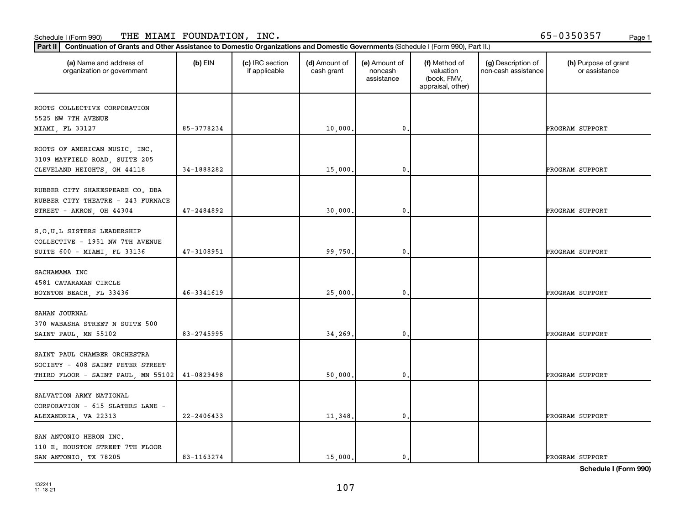| 55-0350357 | Page |
|------------|------|
|------------|------|

| Continuation of Grants and Other Assistance to Domestic Organizations and Domestic Governments (Schedule I (Form 990), Part II.)<br><b>Part II</b> |                |                                  |                             |                                        |                                                                |                                           |                                       |
|----------------------------------------------------------------------------------------------------------------------------------------------------|----------------|----------------------------------|-----------------------------|----------------------------------------|----------------------------------------------------------------|-------------------------------------------|---------------------------------------|
| (a) Name and address of<br>organization or government                                                                                              | $(b)$ EIN      | (c) IRC section<br>if applicable | (d) Amount of<br>cash grant | (e) Amount of<br>noncash<br>assistance | (f) Method of<br>valuation<br>(book, FMV,<br>appraisal, other) | (g) Description of<br>non-cash assistance | (h) Purpose of grant<br>or assistance |
| ROOTS COLLECTIVE CORPORATION<br>5525 NW 7TH AVENUE                                                                                                 |                |                                  |                             |                                        |                                                                |                                           |                                       |
| MIAMI, FL 33127                                                                                                                                    | 85-3778234     |                                  | 10,000.                     | 0.                                     |                                                                |                                           | PROGRAM SUPPORT                       |
| ROOTS OF AMERICAN MUSIC, INC.<br>3109 MAYFIELD ROAD, SUITE 205<br>CLEVELAND HEIGHTS, OH 44118                                                      | 34-1888282     |                                  | 15,000.                     | $\mathbf{0}$ .                         |                                                                |                                           | PROGRAM SUPPORT                       |
| RUBBER CITY SHAKESPEARE CO. DBA<br>RUBBER CITY THEATRE - 243 FURNACE<br>STREET - AKRON, OH 44304                                                   | 47-2484892     |                                  | 30,000.                     | $\mathbf 0$                            |                                                                |                                           | PROGRAM SUPPORT                       |
| S.O.U.L SISTERS LEADERSHIP<br>COLLECTIVE - 1951 NW 7TH AVENUE<br>SUITE 600 - MIAMI, FL 33136                                                       | 47-3108951     |                                  | 99,750.                     | 0.                                     |                                                                |                                           | PROGRAM SUPPORT                       |
| SACHAMAMA INC<br>4581 CATARAMAN CIRCLE<br>BOYNTON BEACH, FL 33436                                                                                  | 46-3341619     |                                  | 25,000                      | 0                                      |                                                                |                                           | PROGRAM SUPPORT                       |
| SAHAN JOURNAL<br>370 WABASHA STREET N SUITE 500<br>SAINT PAUL, MN 55102                                                                            | 83-2745995     |                                  | 34,269.                     | $\mathbf{0}$ .                         |                                                                |                                           | PROGRAM SUPPORT                       |
| SAINT PAUL CHAMBER ORCHESTRA<br>SOCIETY - 408 SAINT PETER STREET<br>THIRD FLOOR - SAINT PAUL, MN 55102                                             | 41-0829498     |                                  | 50,000.                     | 0.                                     |                                                                |                                           | PROGRAM SUPPORT                       |
| SALVATION ARMY NATIONAL<br>CORPORATION - 615 SLATERS LANE -<br>ALEXANDRIA, VA 22313                                                                | $22 - 2406433$ |                                  | 11,348.                     | $\mathbf 0$                            |                                                                |                                           | PROGRAM SUPPORT                       |
| SAN ANTONIO HERON INC.<br>110 E. HOUSTON STREET 7TH FLOOR<br>SAN ANTONIO, TX 78205                                                                 | 83-1163274     |                                  | 15,000.                     | 0.                                     |                                                                |                                           | PROGRAM SUPPORT                       |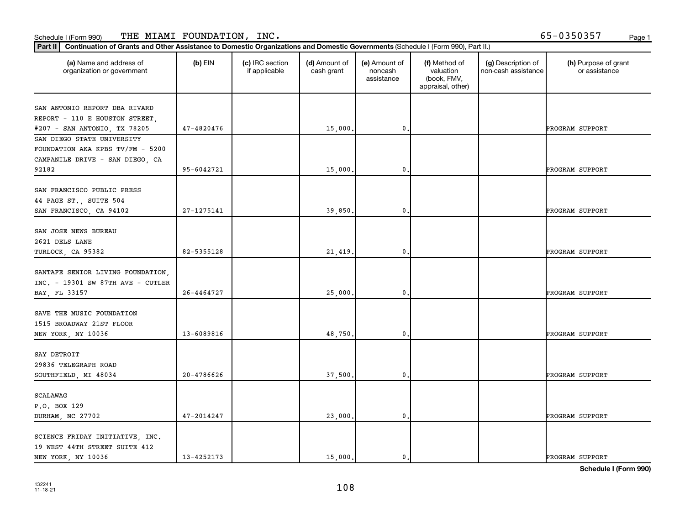| 55-0350357 |  |  |  |  | Page |
|------------|--|--|--|--|------|
|            |  |  |  |  |      |

| (a) Name and address of<br>organization or government | $(b)$ EIN      | (c) IRC section<br>if applicable | (d) Amount of<br>cash grant | (e) Amount of<br>noncash<br>assistance | (f) Method of<br>valuation<br>(book, FMV, | (g) Description of<br>non-cash assistance | (h) Purpose of grant<br>or assistance |
|-------------------------------------------------------|----------------|----------------------------------|-----------------------------|----------------------------------------|-------------------------------------------|-------------------------------------------|---------------------------------------|
|                                                       |                |                                  |                             |                                        | appraisal, other)                         |                                           |                                       |
| SAN ANTONIO REPORT DBA RIVARD                         |                |                                  |                             |                                        |                                           |                                           |                                       |
| REPORT - 110 E HOUSTON STREET,                        |                |                                  |                             |                                        |                                           |                                           |                                       |
| #207 - SAN ANTONIO, TX 78205                          | 47-4820476     |                                  | 15,000.                     | $\mathbf 0$                            |                                           |                                           | PROGRAM SUPPORT                       |
| SAN DIEGO STATE UNIVERSITY                            |                |                                  |                             |                                        |                                           |                                           |                                       |
| FOUNDATION AKA KPBS TV/FM - 5200                      |                |                                  |                             |                                        |                                           |                                           |                                       |
| CAMPANILE DRIVE - SAN DIEGO, CA                       |                |                                  |                             |                                        |                                           |                                           |                                       |
| 92182                                                 | 95-6042721     |                                  | 15,000.                     | $\mathbf 0$                            |                                           |                                           | PROGRAM SUPPORT                       |
|                                                       |                |                                  |                             |                                        |                                           |                                           |                                       |
| SAN FRANCISCO PUBLIC PRESS                            |                |                                  |                             |                                        |                                           |                                           |                                       |
| 44 PAGE ST., SUITE 504                                |                |                                  |                             |                                        |                                           |                                           |                                       |
| SAN FRANCISCO, CA 94102                               | 27-1275141     |                                  | 39.850.                     | 0.                                     |                                           |                                           | PROGRAM SUPPORT                       |
| SAN JOSE NEWS BUREAU                                  |                |                                  |                             |                                        |                                           |                                           |                                       |
| 2621 DELS LANE                                        |                |                                  |                             |                                        |                                           |                                           |                                       |
| TURLOCK, CA 95382                                     | 82-5355128     |                                  | 21,419                      | 0,                                     |                                           |                                           | PROGRAM SUPPORT                       |
|                                                       |                |                                  |                             |                                        |                                           |                                           |                                       |
| SANTAFE SENIOR LIVING FOUNDATION,                     |                |                                  |                             |                                        |                                           |                                           |                                       |
| INC. - 19301 SW 87TH AVE - CUTLER                     |                |                                  |                             |                                        |                                           |                                           |                                       |
| BAY, FL 33157                                         | $26 - 4464727$ |                                  | 25,000.                     | $\mathbf 0$                            |                                           |                                           | PROGRAM SUPPORT                       |
| SAVE THE MUSIC FOUNDATION                             |                |                                  |                             |                                        |                                           |                                           |                                       |
| 1515 BROADWAY 21ST FLOOR                              |                |                                  |                             |                                        |                                           |                                           |                                       |
| NEW YORK, NY 10036                                    | 13-6089816     |                                  | 48,750.                     | 0,                                     |                                           |                                           | PROGRAM SUPPORT                       |
|                                                       |                |                                  |                             |                                        |                                           |                                           |                                       |
| SAY DETROIT                                           |                |                                  |                             |                                        |                                           |                                           |                                       |
| 29836 TELEGRAPH ROAD                                  |                |                                  |                             |                                        |                                           |                                           |                                       |
| SOUTHFIELD, MI 48034                                  | 20-4786626     |                                  | 37,500.                     | 0,                                     |                                           |                                           | PROGRAM SUPPORT                       |
|                                                       |                |                                  |                             |                                        |                                           |                                           |                                       |
| SCALAWAG                                              |                |                                  |                             |                                        |                                           |                                           |                                       |
| P.O. BOX 129                                          |                |                                  |                             |                                        |                                           |                                           |                                       |
| DURHAM, NC 27702                                      | 47-2014247     |                                  | 23,000                      | $\mathbf 0$                            |                                           |                                           | PROGRAM SUPPORT                       |
| SCIENCE FRIDAY INITIATIVE, INC.                       |                |                                  |                             |                                        |                                           |                                           |                                       |
| 19 WEST 44TH STREET SUITE 412                         |                |                                  |                             |                                        |                                           |                                           |                                       |
| NEW YORK, NY 10036                                    | 13-4252173     |                                  | 15,000.                     | 0.                                     |                                           |                                           | PROGRAM SUPPORT                       |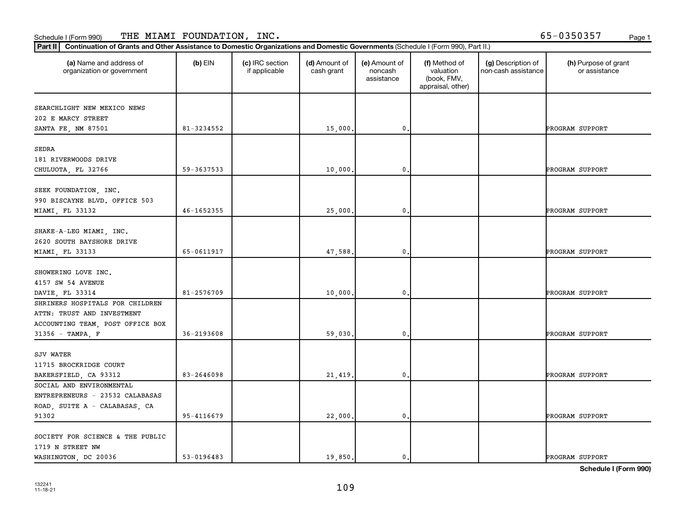| 65-0350357 |  |  |  |  |  |
|------------|--|--|--|--|--|
|            |  |  |  |  |  |
|            |  |  |  |  |  |

| (a) Name and address of<br>organization or government | $(b)$ EIN  | (c) IRC section<br>if applicable | (d) Amount of<br>cash grant | (e) Amount of<br>noncash<br>assistance | (f) Method of<br>valuation<br>(book, FMV,<br>appraisal, other) | (g) Description of<br>non-cash assistance | (h) Purpose of grant<br>or assistance |
|-------------------------------------------------------|------------|----------------------------------|-----------------------------|----------------------------------------|----------------------------------------------------------------|-------------------------------------------|---------------------------------------|
| SEARCHLIGHT NEW MEXICO NEWS                           |            |                                  |                             |                                        |                                                                |                                           |                                       |
| 202 E MARCY STREET                                    |            |                                  |                             |                                        |                                                                |                                           |                                       |
| SANTA FE, NM 87501                                    | 81-3234552 |                                  | 15,000.                     | $\mathbf 0$                            |                                                                |                                           | PROGRAM SUPPORT                       |
|                                                       |            |                                  |                             |                                        |                                                                |                                           |                                       |
| SEDRA                                                 |            |                                  |                             |                                        |                                                                |                                           |                                       |
| 181 RIVERWOODS DRIVE                                  |            |                                  |                             |                                        |                                                                |                                           |                                       |
| CHULUOTA, FL 32766                                    | 59-3637533 |                                  | 10,000                      | $\mathbf 0$                            |                                                                |                                           | PROGRAM SUPPORT                       |
| SEEK FOUNDATION, INC.                                 |            |                                  |                             |                                        |                                                                |                                           |                                       |
| 990 BISCAYNE BLVD. OFFICE 503                         |            |                                  |                             |                                        |                                                                |                                           |                                       |
| MIAMI, FL 33132                                       | 46-1652355 |                                  | 25,000.                     | $\mathbf{0}$                           |                                                                |                                           | PROGRAM SUPPORT                       |
|                                                       |            |                                  |                             |                                        |                                                                |                                           |                                       |
| SHAKE-A-LEG MIAMI, INC.                               |            |                                  |                             |                                        |                                                                |                                           |                                       |
| 2620 SOUTH BAYSHORE DRIVE                             |            |                                  |                             |                                        |                                                                |                                           |                                       |
| MIAMI, FL 33133                                       | 65-0611917 |                                  | 47,588.                     | $\mathbf 0$                            |                                                                |                                           | PROGRAM SUPPORT                       |
|                                                       |            |                                  |                             |                                        |                                                                |                                           |                                       |
| SHOWERING LOVE INC.                                   |            |                                  |                             |                                        |                                                                |                                           |                                       |
| 4157 SW 54 AVENUE                                     |            |                                  |                             |                                        |                                                                |                                           |                                       |
| DAVIE, FL 33314                                       | 81-2576709 |                                  | 10,000.                     | $\mathbf 0$                            |                                                                |                                           | PROGRAM SUPPORT                       |
| SHRINERS HOSPITALS FOR CHILDREN                       |            |                                  |                             |                                        |                                                                |                                           |                                       |
| ATTN: TRUST AND INVESTMENT                            |            |                                  |                             |                                        |                                                                |                                           |                                       |
| ACCOUNTING TEAM, POST OFFICE BOX                      |            |                                  |                             |                                        |                                                                |                                           |                                       |
| 31356 - TAMPA, F                                      | 36-2193608 |                                  | 59,030.                     | $\mathbf 0$                            |                                                                |                                           | PROGRAM SUPPORT                       |
|                                                       |            |                                  |                             |                                        |                                                                |                                           |                                       |
| <b>SJV WATER</b>                                      |            |                                  |                             |                                        |                                                                |                                           |                                       |
| 11715 BROCKRIDGE COURT                                |            |                                  |                             |                                        |                                                                |                                           |                                       |
| BAKERSFIELD, CA 93312                                 | 83-2646098 |                                  | 21,419.                     | $\mathbf 0$ .                          |                                                                |                                           | PROGRAM SUPPORT                       |
| SOCIAL AND ENVIRONMENTAL                              |            |                                  |                             |                                        |                                                                |                                           |                                       |
| ENTREPRENEURS - 23532 CALABASAS                       |            |                                  |                             |                                        |                                                                |                                           |                                       |
| ROAD, SUITE A - CALABASAS, CA                         |            |                                  |                             |                                        |                                                                |                                           |                                       |
| 91302                                                 | 95-4116679 |                                  | 22,000.                     | $\mathbf 0$                            |                                                                |                                           | PROGRAM SUPPORT                       |
| SOCIETY FOR SCIENCE & THE PUBLIC                      |            |                                  |                             |                                        |                                                                |                                           |                                       |
| 1719 N STREET NW                                      |            |                                  |                             |                                        |                                                                |                                           |                                       |
| WASHINGTON, DC 20036                                  | 53-0196483 |                                  | 19,850.                     | $\mathbf{0}$ .                         |                                                                |                                           | PROGRAM SUPPORT                       |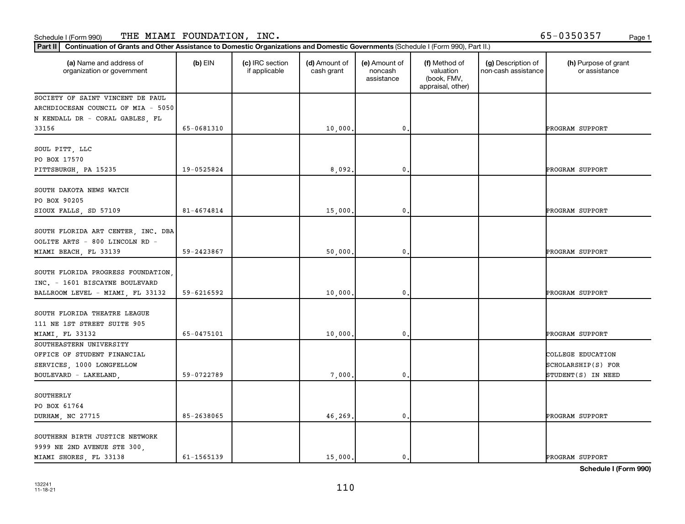| 55-0350357 |  |  |  |      |
|------------|--|--|--|------|
|            |  |  |  | Page |
|            |  |  |  |      |

| (a) Name and address of<br>organization or government                | $(b)$ EIN  | (c) IRC section<br>if applicable | (d) Amount of<br>cash grant | (e) Amount of<br>noncash<br>assistance | (f) Method of<br>valuation<br>(book, FMV,<br>appraisal, other) | (g) Description of<br>non-cash assistance | (h) Purpose of grant<br>or assistance |
|----------------------------------------------------------------------|------------|----------------------------------|-----------------------------|----------------------------------------|----------------------------------------------------------------|-------------------------------------------|---------------------------------------|
| SOCIETY OF SAINT VINCENT DE PAUL                                     |            |                                  |                             |                                        |                                                                |                                           |                                       |
| ARCHDIOCESAN COUNCIL OF MIA - 5050                                   |            |                                  |                             |                                        |                                                                |                                           |                                       |
| N KENDALL DR - CORAL GABLES, FL                                      |            |                                  |                             |                                        |                                                                |                                           |                                       |
| 33156                                                                | 65-0681310 |                                  | 10,000.                     | $\pmb{0}$                              |                                                                |                                           | PROGRAM SUPPORT                       |
| SOUL PITT, LLC                                                       |            |                                  |                             |                                        |                                                                |                                           |                                       |
| PO BOX 17570                                                         |            |                                  |                             |                                        |                                                                |                                           |                                       |
| PITTSBURGH, PA 15235                                                 | 19-0525824 |                                  | 8,092.                      | $\mathbf 0$                            |                                                                |                                           | PROGRAM SUPPORT                       |
|                                                                      |            |                                  |                             |                                        |                                                                |                                           |                                       |
| SOUTH DAKOTA NEWS WATCH                                              |            |                                  |                             |                                        |                                                                |                                           |                                       |
| PO BOX 90205                                                         |            |                                  |                             |                                        |                                                                |                                           |                                       |
| SIOUX FALLS, SD 57109                                                | 81-4674814 |                                  | 15,000.                     | 0.                                     |                                                                |                                           | PROGRAM SUPPORT                       |
|                                                                      |            |                                  |                             |                                        |                                                                |                                           |                                       |
| SOUTH FLORIDA ART CENTER, INC. DBA<br>OOLITE ARTS - 800 LINCOLN RD - |            |                                  |                             |                                        |                                                                |                                           |                                       |
|                                                                      | 59-2423867 |                                  |                             | 0                                      |                                                                |                                           | PROGRAM SUPPORT                       |
| MIAMI BEACH, FL 33139                                                |            |                                  | 50,000.                     |                                        |                                                                |                                           |                                       |
| SOUTH FLORIDA PROGRESS FOUNDATION.                                   |            |                                  |                             |                                        |                                                                |                                           |                                       |
| INC. - 1601 BISCAYNE BOULEVARD                                       |            |                                  |                             |                                        |                                                                |                                           |                                       |
| BALLROOM LEVEL - MIAMI, FL 33132                                     | 59-6216592 |                                  | 10,000                      | 0                                      |                                                                |                                           | PROGRAM SUPPORT                       |
|                                                                      |            |                                  |                             |                                        |                                                                |                                           |                                       |
| SOUTH FLORIDA THEATRE LEAGUE                                         |            |                                  |                             |                                        |                                                                |                                           |                                       |
| 111 NE 1ST STREET SUITE 905                                          |            |                                  |                             |                                        |                                                                |                                           |                                       |
| MIAMI, FL 33132                                                      | 65-0475101 |                                  | 10,000.                     | $\mathbf 0$ .                          |                                                                |                                           | PROGRAM SUPPORT                       |
| SOUTHEASTERN UNIVERSITY                                              |            |                                  |                             |                                        |                                                                |                                           |                                       |
| OFFICE OF STUDENT FINANCIAL                                          |            |                                  |                             |                                        |                                                                |                                           | COLLEGE EDUCATION                     |
| SERVICES, 1000 LONGFELLOW                                            |            |                                  |                             |                                        |                                                                |                                           | SCHOLARSHIP(S) FOR                    |
| BOULEVARD - LAKELAND                                                 | 59-0722789 |                                  | 7,000                       | 0                                      |                                                                |                                           | STUDENT(S) IN NEED                    |
|                                                                      |            |                                  |                             |                                        |                                                                |                                           |                                       |
| SOUTHERLY                                                            |            |                                  |                             |                                        |                                                                |                                           |                                       |
| PO BOX 61764                                                         |            |                                  |                             |                                        |                                                                |                                           |                                       |
| DURHAM, NC 27715                                                     | 85-2638065 |                                  | 46,269                      | $\mathbf{0}$                           |                                                                |                                           | PROGRAM SUPPORT                       |
|                                                                      |            |                                  |                             |                                        |                                                                |                                           |                                       |
| SOUTHERN BIRTH JUSTICE NETWORK                                       |            |                                  |                             |                                        |                                                                |                                           |                                       |
| 9999 NE 2ND AVENUE STE 300,                                          |            |                                  |                             |                                        |                                                                |                                           |                                       |
| MIAMI SHORES, FL 33138                                               | 61-1565139 |                                  | 15,000.                     | $\mathbf{0}$ .                         |                                                                |                                           | PROGRAM SUPPORT                       |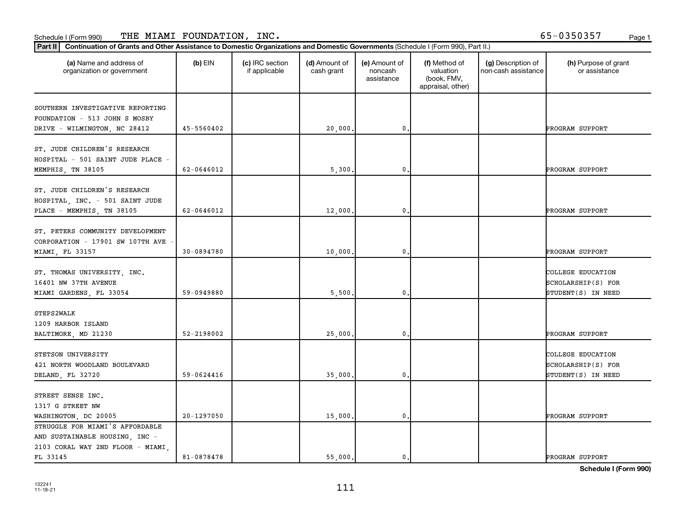| 55-0350357 |  |  |  |  | Page |
|------------|--|--|--|--|------|
|            |  |  |  |  |      |

| Continuation of Grants and Other Assistance to Domestic Organizations and Domestic Governments (Schedule I (Form 990), Part II.)<br>Part II |            |                                  |                             |                                        |                                                                |                                           |                                                               |
|---------------------------------------------------------------------------------------------------------------------------------------------|------------|----------------------------------|-----------------------------|----------------------------------------|----------------------------------------------------------------|-------------------------------------------|---------------------------------------------------------------|
| (a) Name and address of<br>organization or government                                                                                       | $(b)$ EIN  | (c) IRC section<br>if applicable | (d) Amount of<br>cash grant | (e) Amount of<br>noncash<br>assistance | (f) Method of<br>valuation<br>(book, FMV,<br>appraisal, other) | (g) Description of<br>non-cash assistance | (h) Purpose of grant<br>or assistance                         |
| SOUTHERN INVESTIGATIVE REPORTING<br>FOUNDATION - 513 JOHN S MOSBY<br>DRIVE - WILMINGTON, NC 28412                                           | 45-5560402 |                                  | 20,000.                     | $\mathbf 0$                            |                                                                |                                           | PROGRAM SUPPORT                                               |
| ST. JUDE CHILDREN'S RESEARCH<br>HOSPITAL - 501 SAINT JUDE PLACE -<br>MEMPHIS, TN 38105                                                      | 62-0646012 |                                  | 5,300.                      | $\mathbf{0}$                           |                                                                |                                           | PROGRAM SUPPORT                                               |
| ST. JUDE CHILDREN'S RESEARCH<br>HOSPITAL, INC. - 501 SAINT JUDE<br>PLACE - MEMPHIS, TN 38105                                                | 62-0646012 |                                  | 12,000,                     | $\mathbf{0}$                           |                                                                |                                           | PROGRAM SUPPORT                                               |
| ST. PETERS COMMUNITY DEVELOPMENT<br>CORPORATION - 17901 SW 107TH AVE<br>MIAMI, FL 33157                                                     | 30-0894780 |                                  | 10,000,                     | $\mathbf{0}$                           |                                                                |                                           | PROGRAM SUPPORT                                               |
| ST. THOMAS UNIVERSITY, INC.<br>16401 NW 37TH AVENUE<br>MIAMI GARDENS, FL 33054                                                              | 59-0949880 |                                  | 5,500.                      | 0                                      |                                                                |                                           | COLLEGE EDUCATION<br>SCHOLARSHIP(S) FOR<br>STUDENT(S) IN NEED |
| STEPS2WALK<br>1209 HARBOR ISLAND<br>BALTIMORE, MD 21230                                                                                     | 52-2198002 |                                  | 25,000.                     | $\mathbf{0}$                           |                                                                |                                           | PROGRAM SUPPORT                                               |
| STETSON UNIVERSITY<br>421 NORTH WOODLAND BOULEVARD<br>DELAND, FL 32720                                                                      | 59-0624416 |                                  | 35,000,                     | 0.                                     |                                                                |                                           | COLLEGE EDUCATION<br>SCHOLARSHIP(S) FOR<br>STUDENT(S) IN NEED |
| STREET SENSE INC.<br>1317 G STREET NW<br>WASHINGTON, DC 20005                                                                               | 20-1297050 |                                  | 15,000.                     | $\mathbf 0$                            |                                                                |                                           | PROGRAM SUPPORT                                               |
| STRUGGLE FOR MIAMI'S AFFORDABLE<br>AND SUSTAINABLE HOUSING, INC -<br>2103 CORAL WAY 2ND FLOOR - MIAMI.<br>FL 33145                          | 81-0878478 |                                  | 55,000.                     | $\mathbf{0}$ .                         |                                                                |                                           | PROGRAM SUPPORT                                               |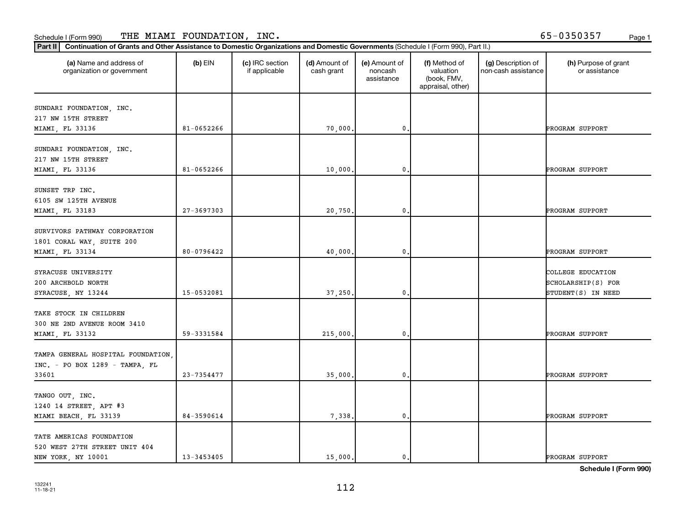| 55-0350357 |  |  |  |  | Page |
|------------|--|--|--|--|------|
|            |  |  |  |  |      |

| (a) Name and address of<br>organization or government | $(b)$ EIN  | (c) IRC section<br>if applicable | (d) Amount of<br>cash grant | (e) Amount of<br>noncash<br>assistance | (f) Method of<br>valuation<br>(book, FMV,<br>appraisal, other) | (g) Description of<br>non-cash assistance | (h) Purpose of grant<br>or assistance |
|-------------------------------------------------------|------------|----------------------------------|-----------------------------|----------------------------------------|----------------------------------------------------------------|-------------------------------------------|---------------------------------------|
| SUNDARI FOUNDATION, INC.                              |            |                                  |                             |                                        |                                                                |                                           |                                       |
| 217 NW 15TH STREET                                    |            |                                  |                             |                                        |                                                                |                                           |                                       |
| MIAMI, FL 33136                                       | 81-0652266 |                                  | 70,000.                     | $\mathbf 0$                            |                                                                |                                           | PROGRAM SUPPORT                       |
| SUNDARI FOUNDATION, INC.                              |            |                                  |                             |                                        |                                                                |                                           |                                       |
| 217 NW 15TH STREET                                    |            |                                  |                             |                                        |                                                                |                                           |                                       |
| MIAMI, FL 33136                                       | 81-0652266 |                                  | 10,000.                     | $\mathbf 0$                            |                                                                |                                           | PROGRAM SUPPORT                       |
|                                                       |            |                                  |                             |                                        |                                                                |                                           |                                       |
| SUNSET TRP INC.<br>6105 SW 125TH AVENUE               |            |                                  |                             |                                        |                                                                |                                           |                                       |
| MIAMI, FL 33183                                       | 27-3697303 |                                  | 20,750.                     | 0.                                     |                                                                |                                           | PROGRAM SUPPORT                       |
|                                                       |            |                                  |                             |                                        |                                                                |                                           |                                       |
| SURVIVORS PATHWAY CORPORATION                         |            |                                  |                             |                                        |                                                                |                                           |                                       |
| 1801 CORAL WAY, SUITE 200                             |            |                                  |                             |                                        |                                                                |                                           |                                       |
| MIAMI, FL 33134                                       | 80-0796422 |                                  | 40,000.                     | $\mathbf 0$                            |                                                                |                                           | PROGRAM SUPPORT                       |
|                                                       |            |                                  |                             |                                        |                                                                |                                           |                                       |
| SYRACUSE UNIVERSITY                                   |            |                                  |                             |                                        |                                                                |                                           | COLLEGE EDUCATION                     |
| 200 ARCHBOLD NORTH                                    |            |                                  |                             |                                        |                                                                |                                           | SCHOLARSHIP(S) FOR                    |
| SYRACUSE, NY 13244                                    | 15-0532081 |                                  | 37,250.                     | $\pmb{0}$                              |                                                                |                                           | STUDENT(S) IN NEED                    |
| TAKE STOCK IN CHILDREN                                |            |                                  |                             |                                        |                                                                |                                           |                                       |
| 300 NE 2ND AVENUE ROOM 3410                           |            |                                  |                             |                                        |                                                                |                                           |                                       |
| MIAMI, FL 33132                                       | 59-3331584 |                                  | 215,000.                    | $\mathbf 0$                            |                                                                |                                           | PROGRAM SUPPORT                       |
|                                                       |            |                                  |                             |                                        |                                                                |                                           |                                       |
| TAMPA GENERAL HOSPITAL FOUNDATION,                    |            |                                  |                             |                                        |                                                                |                                           |                                       |
| INC. - PO BOX 1289 - TAMPA, FL                        |            |                                  |                             |                                        |                                                                |                                           |                                       |
| 33601                                                 | 23-7354477 |                                  | 35,000.                     | 0.                                     |                                                                |                                           | PROGRAM SUPPORT                       |
|                                                       |            |                                  |                             |                                        |                                                                |                                           |                                       |
| TANGO OUT, INC.                                       |            |                                  |                             |                                        |                                                                |                                           |                                       |
| 1240 14 STREET, APT #3                                |            |                                  |                             |                                        |                                                                |                                           |                                       |
| MIAMI BEACH, FL 33139                                 | 84-3590614 |                                  | 7,338.                      | $\mathbf 0$                            |                                                                |                                           | PROGRAM SUPPORT                       |
| TATE AMERICAS FOUNDATION                              |            |                                  |                             |                                        |                                                                |                                           |                                       |
| 520 WEST 27TH STREET UNIT 404                         |            |                                  |                             |                                        |                                                                |                                           |                                       |
| NEW YORK, NY 10001                                    | 13-3453405 |                                  | 15,000.                     | $\mathbf{0}$ .                         |                                                                |                                           | PROGRAM SUPPORT                       |
|                                                       |            |                                  |                             |                                        |                                                                |                                           |                                       |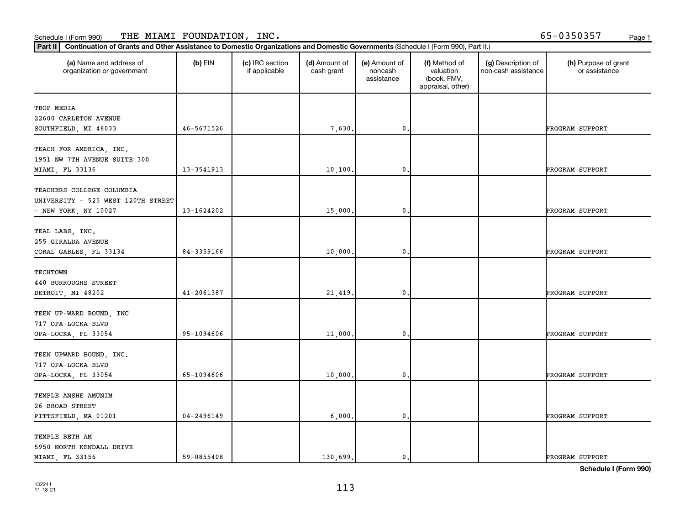|  |  | 65-0350357 |  |  |  |  |
|--|--|------------|--|--|--|--|
|  |  |            |  |  |  |  |
|  |  |            |  |  |  |  |

| (a) Name and address of<br>organization or government | $(b)$ EIN  | (c) IRC section<br>if applicable | (d) Amount of<br>cash grant | (e) Amount of<br>noncash<br>assistance | (f) Method of<br>valuation<br>(book, FMV,<br>appraisal, other) | (g) Description of<br>non-cash assistance | (h) Purpose of grant<br>or assistance |
|-------------------------------------------------------|------------|----------------------------------|-----------------------------|----------------------------------------|----------------------------------------------------------------|-------------------------------------------|---------------------------------------|
| TBOP MEDIA                                            |            |                                  |                             |                                        |                                                                |                                           |                                       |
| 22600 CARLETON AVENUE                                 |            |                                  |                             |                                        |                                                                |                                           |                                       |
| SOUTHFIELD, MI 48033                                  | 46-5671526 |                                  | 7,630.                      | $\mathbf{0}$                           |                                                                |                                           | PROGRAM SUPPORT                       |
|                                                       |            |                                  |                             |                                        |                                                                |                                           |                                       |
| TEACH FOR AMERICA, INC.                               |            |                                  |                             |                                        |                                                                |                                           |                                       |
| 1951 NW 7TH AVENUE SUITE 300                          |            |                                  |                             |                                        |                                                                |                                           |                                       |
| MIAMI, FL 33136                                       | 13-3541913 |                                  | 10, 100.                    | $\mathbf 0$                            |                                                                |                                           | PROGRAM SUPPORT                       |
|                                                       |            |                                  |                             |                                        |                                                                |                                           |                                       |
| TEACHERS COLLEGE COLUMBIA                             |            |                                  |                             |                                        |                                                                |                                           |                                       |
| UNIVERSITY - 525 WEST 120TH STREET                    |            |                                  |                             |                                        |                                                                |                                           |                                       |
| - NEW YORK, NY 10027                                  | 13-1624202 |                                  | 15,000.                     | $\mathbf 0$                            |                                                                |                                           | PROGRAM SUPPORT                       |
| TEAL LABS, INC.                                       |            |                                  |                             |                                        |                                                                |                                           |                                       |
| 255 GIRALDA AVENUE                                    |            |                                  |                             |                                        |                                                                |                                           |                                       |
| CORAL GABLES, FL 33134                                | 84-3359166 |                                  | 10,000.                     | $\mathbf 0$                            |                                                                |                                           | PROGRAM SUPPORT                       |
|                                                       |            |                                  |                             |                                        |                                                                |                                           |                                       |
| TECHTOWN                                              |            |                                  |                             |                                        |                                                                |                                           |                                       |
| 440 BURROUGHS STREET                                  |            |                                  |                             |                                        |                                                                |                                           |                                       |
| DETROIT, MI 48202                                     | 41-2061387 |                                  | 21,419.                     | $\mathbf 0$                            |                                                                |                                           | PROGRAM SUPPORT                       |
|                                                       |            |                                  |                             |                                        |                                                                |                                           |                                       |
| TEEN UP-WARD BOUND, INC                               |            |                                  |                             |                                        |                                                                |                                           |                                       |
| 717 OPA-LOCKA BLVD                                    |            |                                  |                             |                                        |                                                                |                                           |                                       |
| OPA-LOCKA, FL 33054                                   | 95-1094606 |                                  | 11,000.                     | $\mathbf 0$                            |                                                                |                                           | PROGRAM SUPPORT                       |
|                                                       |            |                                  |                             |                                        |                                                                |                                           |                                       |
| TEEN UPWARD BOUND, INC.<br>717 OPA-LOCKA BLVD         |            |                                  |                             |                                        |                                                                |                                           |                                       |
|                                                       | 65-1094606 |                                  |                             |                                        |                                                                |                                           |                                       |
| OPA-LOCKA, FL 33054                                   |            |                                  | 10,000.                     | $\mathbf 0$ .                          |                                                                |                                           | PROGRAM SUPPORT                       |
| TEMPLE ANSHE AMUNIM                                   |            |                                  |                             |                                        |                                                                |                                           |                                       |
| 26 BROAD STREET                                       |            |                                  |                             |                                        |                                                                |                                           |                                       |
| PITTSFIELD, MA 01201                                  | 04-2496149 |                                  | 6,000.                      | $\mathbf{0}$                           |                                                                |                                           | PROGRAM SUPPORT                       |
|                                                       |            |                                  |                             |                                        |                                                                |                                           |                                       |
| TEMPLE BETH AM                                        |            |                                  |                             |                                        |                                                                |                                           |                                       |
| 5950 NORTH KENDALL DRIVE                              |            |                                  |                             |                                        |                                                                |                                           |                                       |
| MIAMI, FL 33156                                       | 59-0855408 |                                  | 130.699.                    | 0.                                     |                                                                |                                           | PROGRAM SUPPORT                       |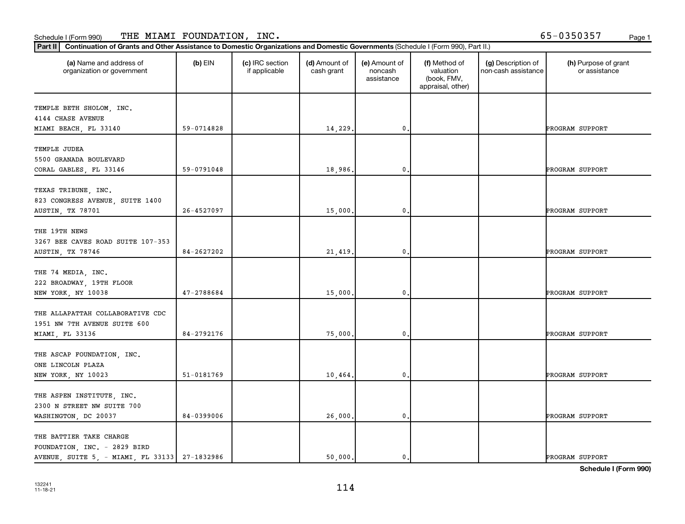| 55-0350357 |  |  |  |  |   |
|------------|--|--|--|--|---|
|            |  |  |  |  | P |
|            |  |  |  |  |   |

| (a) Name and address of<br>organization or government | $(b)$ EIN  | (c) IRC section<br>if applicable | (d) Amount of<br>cash grant | (e) Amount of<br>noncash<br>assistance | (f) Method of<br>valuation<br>(book, FMV,<br>appraisal, other) | (g) Description of<br>non-cash assistance | (h) Purpose of grant<br>or assistance |
|-------------------------------------------------------|------------|----------------------------------|-----------------------------|----------------------------------------|----------------------------------------------------------------|-------------------------------------------|---------------------------------------|
| TEMPLE BETH SHOLOM, INC.                              |            |                                  |                             |                                        |                                                                |                                           |                                       |
| 4144 CHASE AVENUE                                     |            |                                  |                             |                                        |                                                                |                                           |                                       |
| MIAMI BEACH, FL 33140                                 | 59-0714828 |                                  | 14,229.                     | 0                                      |                                                                |                                           | PROGRAM SUPPORT                       |
|                                                       |            |                                  |                             |                                        |                                                                |                                           |                                       |
| TEMPLE JUDEA                                          |            |                                  |                             |                                        |                                                                |                                           |                                       |
| 5500 GRANADA BOULEVARD                                |            |                                  |                             |                                        |                                                                |                                           |                                       |
| CORAL GABLES, FL 33146                                | 59-0791048 |                                  | 18,986.                     | 0                                      |                                                                |                                           | PROGRAM SUPPORT                       |
| TEXAS TRIBUNE, INC.                                   |            |                                  |                             |                                        |                                                                |                                           |                                       |
| 823 CONGRESS AVENUE, SUITE 1400                       |            |                                  |                             |                                        |                                                                |                                           |                                       |
| AUSTIN, TX 78701                                      | 26-4527097 |                                  | 15,000.                     | 0                                      |                                                                |                                           | PROGRAM SUPPORT                       |
|                                                       |            |                                  |                             |                                        |                                                                |                                           |                                       |
| THE 19TH NEWS                                         |            |                                  |                             |                                        |                                                                |                                           |                                       |
| 3267 BEE CAVES ROAD SUITE 107-353                     |            |                                  |                             |                                        |                                                                |                                           |                                       |
| AUSTIN, TX 78746                                      | 84-2627202 |                                  | 21,419.                     | 0                                      |                                                                |                                           | PROGRAM SUPPORT                       |
|                                                       |            |                                  |                             |                                        |                                                                |                                           |                                       |
| THE 74 MEDIA, INC.                                    |            |                                  |                             |                                        |                                                                |                                           |                                       |
| 222 BROADWAY, 19TH FLOOR                              |            |                                  |                             |                                        |                                                                |                                           |                                       |
| NEW YORK, NY 10038                                    | 47-2788684 |                                  | 15,000.                     | 0                                      |                                                                |                                           | PROGRAM SUPPORT                       |
|                                                       |            |                                  |                             |                                        |                                                                |                                           |                                       |
| THE ALLAPATTAH COLLABORATIVE CDC                      |            |                                  |                             |                                        |                                                                |                                           |                                       |
| 1951 NW 7TH AVENUE SUITE 600                          |            |                                  |                             |                                        |                                                                |                                           |                                       |
| MIAMI, FL 33136                                       | 84-2792176 |                                  | 75,000.                     | 0                                      |                                                                |                                           | PROGRAM SUPPORT                       |
|                                                       |            |                                  |                             |                                        |                                                                |                                           |                                       |
| THE ASCAP FOUNDATION, INC.<br>ONE LINCOLN PLAZA       |            |                                  |                             |                                        |                                                                |                                           |                                       |
|                                                       | 51-0181769 |                                  |                             | $\mathbf 0$ .                          |                                                                |                                           |                                       |
| NEW YORK, NY 10023                                    |            |                                  | 10,464.                     |                                        |                                                                |                                           | PROGRAM SUPPORT                       |
| THE ASPEN INSTITUTE, INC.                             |            |                                  |                             |                                        |                                                                |                                           |                                       |
| 2300 N STREET NW SUITE 700                            |            |                                  |                             |                                        |                                                                |                                           |                                       |
| WASHINGTON, DC 20037                                  | 84-0399006 |                                  | 26,000.                     | 0                                      |                                                                |                                           | PROGRAM SUPPORT                       |
|                                                       |            |                                  |                             |                                        |                                                                |                                           |                                       |
| THE BATTIER TAKE CHARGE                               |            |                                  |                             |                                        |                                                                |                                           |                                       |
| FOUNDATION, INC. - 2829 BIRD                          |            |                                  |                             |                                        |                                                                |                                           |                                       |
| AVENUE, SUITE 5, - MIAMI, FL 33133 27-1832986         |            |                                  | 50,000.                     | 0.                                     |                                                                |                                           | PROGRAM SUPPORT                       |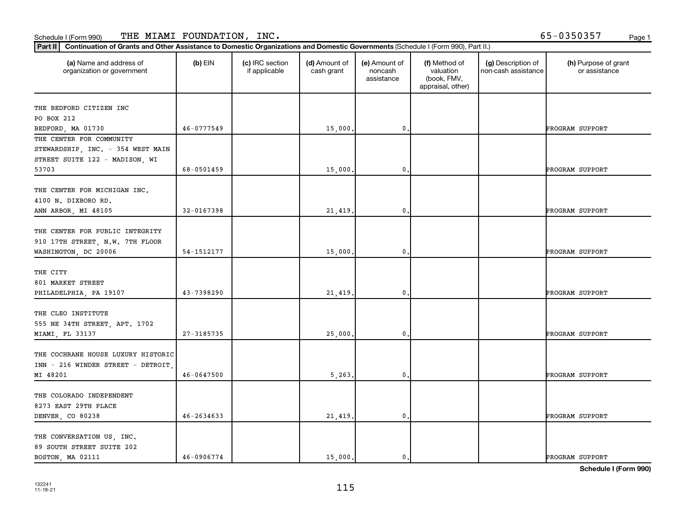| 55-0350357 | Page |
|------------|------|
|------------|------|

| (a) Name and address of<br>organization or government | $(b)$ EIN  | (c) IRC section<br>if applicable | (d) Amount of<br>cash grant | (e) Amount of<br>noncash<br>assistance | (f) Method of<br>valuation<br>(book, FMV,<br>appraisal, other) | (g) Description of<br>non-cash assistance | (h) Purpose of grant<br>or assistance |
|-------------------------------------------------------|------------|----------------------------------|-----------------------------|----------------------------------------|----------------------------------------------------------------|-------------------------------------------|---------------------------------------|
| THE BEDFORD CITIZEN INC                               |            |                                  |                             |                                        |                                                                |                                           |                                       |
| PO BOX 212                                            |            |                                  |                             |                                        |                                                                |                                           |                                       |
| BEDFORD, MA 01730                                     | 46-0777549 |                                  | 15,000.                     | $\mathbf 0$ .                          |                                                                |                                           | PROGRAM SUPPORT                       |
| THE CENTER FOR COMMUNITY                              |            |                                  |                             |                                        |                                                                |                                           |                                       |
| STEWARDSHIP, INC. - 354 WEST MAIN                     |            |                                  |                             |                                        |                                                                |                                           |                                       |
| STREET SUITE 122 - MADISON, WI                        |            |                                  |                             |                                        |                                                                |                                           |                                       |
| 53703                                                 | 68-0501459 |                                  | 15,000.                     | 0                                      |                                                                |                                           | PROGRAM SUPPORT                       |
|                                                       |            |                                  |                             |                                        |                                                                |                                           |                                       |
| THE CENTER FOR MICHIGAN INC.                          |            |                                  |                             |                                        |                                                                |                                           |                                       |
| 4100 N. DIXBORO RD.                                   |            |                                  |                             |                                        |                                                                |                                           |                                       |
| ANN ARBOR, MI 48105                                   | 32-0167398 |                                  | 21, 419.                    | 0.                                     |                                                                |                                           | PROGRAM SUPPORT                       |
|                                                       |            |                                  |                             |                                        |                                                                |                                           |                                       |
| THE CENTER FOR PUBLIC INTEGRITY                       |            |                                  |                             |                                        |                                                                |                                           |                                       |
| 910 17TH STREET, N.W. 7TH FLOOR                       |            |                                  |                             |                                        |                                                                |                                           |                                       |
| WASHINGTON, DC 20006                                  | 54-1512177 |                                  | 15,000.                     | $\mathbf{0}$                           |                                                                |                                           | PROGRAM SUPPORT                       |
| THE CITY                                              |            |                                  |                             |                                        |                                                                |                                           |                                       |
| 801 MARKET STREET                                     |            |                                  |                             |                                        |                                                                |                                           |                                       |
| PHILADELPHIA, PA 19107                                | 43-7398290 |                                  | 21, 419.                    | $\mathbf 0$ .                          |                                                                |                                           | PROGRAM SUPPORT                       |
|                                                       |            |                                  |                             |                                        |                                                                |                                           |                                       |
| THE CLEO INSTITUTE                                    |            |                                  |                             |                                        |                                                                |                                           |                                       |
| 555 NE 34TH STREET, APT. 1702                         |            |                                  |                             |                                        |                                                                |                                           |                                       |
| MIAMI, FL 33137                                       | 27-3185735 |                                  | 25,000.                     | $\mathbf{0}$                           |                                                                |                                           | PROGRAM SUPPORT                       |
|                                                       |            |                                  |                             |                                        |                                                                |                                           |                                       |
| THE COCHRANE HOUSE LUXURY HISTORIC                    |            |                                  |                             |                                        |                                                                |                                           |                                       |
| INN - 216 WINDER STREET - DETROIT,                    |            |                                  |                             |                                        |                                                                |                                           |                                       |
| MI 48201                                              | 46-0647500 |                                  | 5, 263.                     | $\mathfrak o$ .                        |                                                                |                                           | PROGRAM SUPPORT                       |
|                                                       |            |                                  |                             |                                        |                                                                |                                           |                                       |
| THE COLORADO INDEPENDENT                              |            |                                  |                             |                                        |                                                                |                                           |                                       |
| 8273 EAST 29TH PLACE                                  |            |                                  |                             |                                        |                                                                |                                           |                                       |
| DENVER, CO 80238                                      | 46-2634633 |                                  | 21, 419.                    | $\mathbf 0$                            |                                                                |                                           | PROGRAM SUPPORT                       |
|                                                       |            |                                  |                             |                                        |                                                                |                                           |                                       |
| THE CONVERSATION US, INC.                             |            |                                  |                             |                                        |                                                                |                                           |                                       |
| 89 SOUTH STREET SUITE 202                             |            |                                  |                             |                                        |                                                                |                                           |                                       |
| BOSTON, MA 02111                                      | 46-0906774 |                                  | 15,000.                     | $\mathbf{0}$ .                         |                                                                |                                           | PROGRAM SUPPORT                       |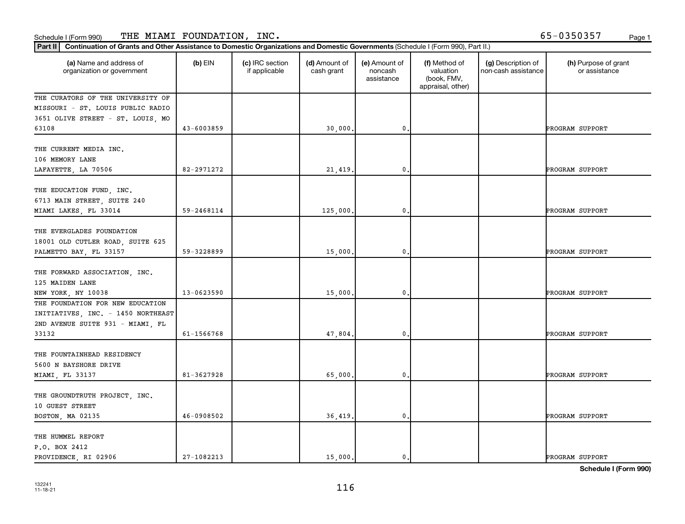|  |  | 55-0350357 | Page |
|--|--|------------|------|
|  |  |            |      |

| Continuation of Grants and Other Assistance to Domestic Organizations and Domestic Governments (Schedule I (Form 990), Part II.)<br>Part II |            |                                  |                             |                                        |                                                                |                                           |                                       |
|---------------------------------------------------------------------------------------------------------------------------------------------|------------|----------------------------------|-----------------------------|----------------------------------------|----------------------------------------------------------------|-------------------------------------------|---------------------------------------|
| (a) Name and address of<br>organization or government                                                                                       | $(b)$ EIN  | (c) IRC section<br>if applicable | (d) Amount of<br>cash grant | (e) Amount of<br>noncash<br>assistance | (f) Method of<br>valuation<br>(book, FMV,<br>appraisal, other) | (g) Description of<br>non-cash assistance | (h) Purpose of grant<br>or assistance |
| THE CURATORS OF THE UNIVERSITY OF                                                                                                           |            |                                  |                             |                                        |                                                                |                                           |                                       |
| MISSOURI - ST. LOUIS PUBLIC RADIO                                                                                                           |            |                                  |                             |                                        |                                                                |                                           |                                       |
| 3651 OLIVE STREET - ST. LOUIS, MO                                                                                                           |            |                                  |                             |                                        |                                                                |                                           |                                       |
| 63108                                                                                                                                       | 43-6003859 |                                  | 30,000.                     | $\mathbf 0$                            |                                                                |                                           | PROGRAM SUPPORT                       |
| THE CURRENT MEDIA INC.<br>106 MEMORY LANE                                                                                                   |            |                                  |                             |                                        |                                                                |                                           |                                       |
| LAFAYETTE, LA 70506                                                                                                                         | 82-2971272 |                                  | 21,419.                     | 0,                                     |                                                                |                                           | PROGRAM SUPPORT                       |
| THE EDUCATION FUND, INC.<br>6713 MAIN STREET, SUITE 240<br>MIAMI LAKES, FL 33014                                                            | 59-2468114 |                                  | 125,000.                    | $\mathbf 0$                            |                                                                |                                           | PROGRAM SUPPORT                       |
|                                                                                                                                             |            |                                  |                             |                                        |                                                                |                                           |                                       |
| THE EVERGLADES FOUNDATION                                                                                                                   |            |                                  |                             |                                        |                                                                |                                           |                                       |
| 18001 OLD CUTLER ROAD, SUITE 625                                                                                                            |            |                                  |                             |                                        |                                                                |                                           |                                       |
| PALMETTO BAY, FL 33157                                                                                                                      | 59-3228899 |                                  | 15,000.                     | 0.                                     |                                                                |                                           | PROGRAM SUPPORT                       |
| THE FORWARD ASSOCIATION, INC.<br>125 MAIDEN LANE                                                                                            |            |                                  |                             |                                        |                                                                |                                           |                                       |
| NEW YORK, NY 10038                                                                                                                          | 13-0623590 |                                  | 15,000.                     | $\mathbf 0$                            |                                                                |                                           | PROGRAM SUPPORT                       |
| THE FOUNDATION FOR NEW EDUCATION<br>INITIATIVES, INC. - 1450 NORTHEAST<br>2ND AVENUE SUITE 931 - MIAMI, FL                                  |            |                                  |                             |                                        |                                                                |                                           |                                       |
| 33132                                                                                                                                       | 61-1566768 |                                  | 47,804.                     | $\mathbf 0$                            |                                                                |                                           | PROGRAM SUPPORT                       |
| THE FOUNTAINHEAD RESIDENCY<br>5600 N BAYSHORE DRIVE                                                                                         |            |                                  |                             |                                        |                                                                |                                           |                                       |
| MIAMI, FL 33137                                                                                                                             | 81-3627928 |                                  | 65,000.                     | 0.                                     |                                                                |                                           | PROGRAM SUPPORT                       |
| THE GROUNDTRUTH PROJECT, INC.<br>10 GUEST STREET                                                                                            |            |                                  |                             |                                        |                                                                |                                           |                                       |
| BOSTON, MA 02135                                                                                                                            | 46-0908502 |                                  | 36,419.                     | 0                                      |                                                                |                                           | PROGRAM SUPPORT                       |
| THE HUMMEL REPORT<br>P.O. BOX 2412<br>PROVIDENCE, RI 02906                                                                                  | 27-1082213 |                                  | 15,000.                     | 0.                                     |                                                                |                                           | PROGRAM SUPPORT                       |
|                                                                                                                                             |            |                                  |                             |                                        |                                                                |                                           |                                       |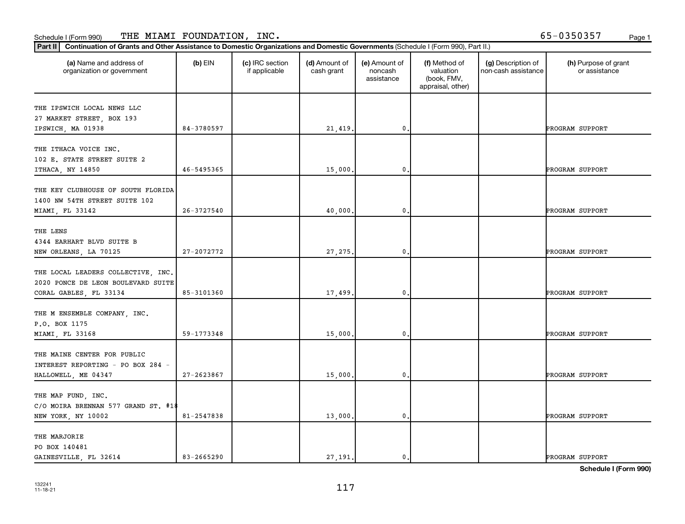| 55-0350357 |  |  |  | Page |
|------------|--|--|--|------|
|            |  |  |  |      |

| Continuation of Grants and Other Assistance to Domestic Organizations and Domestic Governments (Schedule I (Form 990), Part II.)<br>Part II |                |                                  |                             |                                        |                                                                |                                           |                                       |  |  |
|---------------------------------------------------------------------------------------------------------------------------------------------|----------------|----------------------------------|-----------------------------|----------------------------------------|----------------------------------------------------------------|-------------------------------------------|---------------------------------------|--|--|
| (a) Name and address of<br>organization or government                                                                                       | $(b)$ EIN      | (c) IRC section<br>if applicable | (d) Amount of<br>cash grant | (e) Amount of<br>noncash<br>assistance | (f) Method of<br>valuation<br>(book, FMV,<br>appraisal, other) | (g) Description of<br>non-cash assistance | (h) Purpose of grant<br>or assistance |  |  |
| THE IPSWICH LOCAL NEWS LLC<br>27 MARKET STREET, BOX 193<br>IPSWICH, MA 01938                                                                | 84-3780597     |                                  | 21,419.                     | $\mathbf{0}$                           |                                                                |                                           | PROGRAM SUPPORT                       |  |  |
| THE ITHACA VOICE INC.<br>102 E. STATE STREET SUITE 2<br>ITHACA, NY 14850                                                                    | 46-5495365     |                                  | 15,000.                     | $\mathbf{0}$                           |                                                                |                                           | PROGRAM SUPPORT                       |  |  |
| THE KEY CLUBHOUSE OF SOUTH FLORIDA<br>1400 NW 54TH STREET SUITE 102<br>MIAMI, FL 33142                                                      | $26 - 3727540$ |                                  | 40,000                      | $\mathbf{0}$                           |                                                                |                                           | PROGRAM SUPPORT                       |  |  |
| THE LENS<br>4344 EARHART BLVD SUITE B<br>NEW ORLEANS, LA 70125                                                                              | 27-2072772     |                                  | 27, 275.                    | $\mathbf{0}$                           |                                                                |                                           | PROGRAM SUPPORT                       |  |  |
| THE LOCAL LEADERS COLLECTIVE, INC.<br>2020 PONCE DE LEON BOULEVARD SUITE<br>CORAL GABLES, FL 33134                                          | 85-3101360     |                                  | 17,499.                     | $\mathbf{0}$                           |                                                                |                                           | PROGRAM SUPPORT                       |  |  |
| THE M ENSEMBLE COMPANY, INC.<br>P.O. BOX 1175<br>MIAMI, FL 33168                                                                            | 59-1773348     |                                  | 15,000                      | $\mathbf 0$ .                          |                                                                |                                           | PROGRAM SUPPORT                       |  |  |
| THE MAINE CENTER FOR PUBLIC<br>INTEREST REPORTING - PO BOX 284 -<br>HALLOWELL, ME 04347                                                     | 27-2623867     |                                  | 15,000                      | $\mathbf{0}$                           |                                                                |                                           | PROGRAM SUPPORT                       |  |  |
| THE MAP FUND, INC.<br>C/O MOIRA BRENNAN 577 GRAND ST. #1\$<br>NEW YORK, NY 10002                                                            | 81-2547838     |                                  | 13,000.                     | $\mathbf{0}$                           |                                                                |                                           | PROGRAM SUPPORT                       |  |  |
| THE MARJORIE<br>PO BOX 140481<br>GAINESVILLE, FL 32614                                                                                      | 83-2665290     |                                  | 27,191.                     | $\mathbf{0}$ .                         |                                                                |                                           | PROGRAM SUPPORT                       |  |  |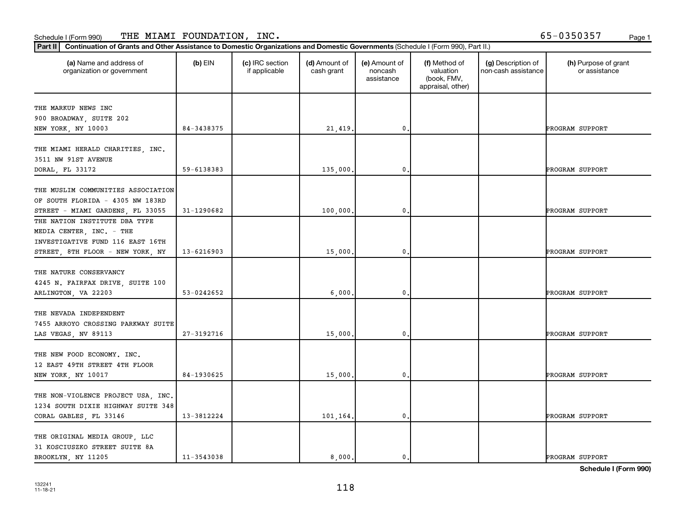| 55-0350357 |  |  |  |     |  |
|------------|--|--|--|-----|--|
|            |  |  |  |     |  |
|            |  |  |  | Pao |  |

| Continuation of Grants and Other Assistance to Domestic Organizations and Domestic Governments (Schedule I (Form 990), Part II.)<br>Part II |            |                                  |                             |                                        |                                                                |                                           |                                       |
|---------------------------------------------------------------------------------------------------------------------------------------------|------------|----------------------------------|-----------------------------|----------------------------------------|----------------------------------------------------------------|-------------------------------------------|---------------------------------------|
| (a) Name and address of<br>organization or government                                                                                       | $(b)$ EIN  | (c) IRC section<br>if applicable | (d) Amount of<br>cash grant | (e) Amount of<br>noncash<br>assistance | (f) Method of<br>valuation<br>(book, FMV,<br>appraisal, other) | (g) Description of<br>non-cash assistance | (h) Purpose of grant<br>or assistance |
| THE MARKUP NEWS INC                                                                                                                         |            |                                  |                             |                                        |                                                                |                                           |                                       |
| 900 BROADWAY, SUITE 202<br>NEW YORK, NY 10003                                                                                               | 84-3438375 |                                  | 21, 419.                    | $\mathbf 0$                            |                                                                |                                           | PROGRAM SUPPORT                       |
| THE MIAMI HERALD CHARITIES, INC.<br>3511 NW 91ST AVENUE                                                                                     |            |                                  |                             |                                        |                                                                |                                           |                                       |
| DORAL, FL 33172                                                                                                                             | 59-6138383 |                                  | 135,000.                    | $\mathbf{0}$                           |                                                                |                                           | PROGRAM SUPPORT                       |
| THE MUSLIM COMMUNITIES ASSOCIATION<br>OF SOUTH FLORIDA - 4305 NW 183RD                                                                      |            |                                  |                             |                                        |                                                                |                                           |                                       |
| STREET - MIAMI GARDENS, FL 33055                                                                                                            | 31-1290682 |                                  | 100,000.                    | 0                                      |                                                                |                                           | PROGRAM SUPPORT                       |
| THE NATION INSTITUTE DBA TYPE<br>MEDIA CENTER, INC. - THE<br>INVESTIGATIVE FUND 116 EAST 16TH                                               |            |                                  |                             |                                        |                                                                |                                           |                                       |
| STREET, 8TH FLOOR - NEW YORK, NY                                                                                                            | 13-6216903 |                                  | 15,000.                     | $\mathbf 0$                            |                                                                |                                           | PROGRAM SUPPORT                       |
| THE NATURE CONSERVANCY<br>4245 N. FAIRFAX DRIVE, SUITE 100                                                                                  |            |                                  |                             |                                        |                                                                |                                           |                                       |
| ARLINGTON, VA 22203                                                                                                                         | 53-0242652 |                                  | 6,000.                      | 0,                                     |                                                                |                                           | PROGRAM SUPPORT                       |
| THE NEVADA INDEPENDENT<br>7455 ARROYO CROSSING PARKWAY SUITE                                                                                |            |                                  |                             |                                        |                                                                |                                           |                                       |
| LAS VEGAS, NV 89113                                                                                                                         | 27-3192716 |                                  | 15,000.                     | 0                                      |                                                                |                                           | PROGRAM SUPPORT                       |
| THE NEW FOOD ECONOMY. INC.<br>12 EAST 49TH STREET 4TH FLOOR                                                                                 |            |                                  |                             |                                        |                                                                |                                           |                                       |
| NEW YORK, NY 10017                                                                                                                          | 84-1930625 |                                  | 15,000.                     | $\mathbf 0$                            |                                                                |                                           | PROGRAM SUPPORT                       |
| THE NON-VIOLENCE PROJECT USA, INC.<br>1234 SOUTH DIXIE HIGHWAY SUITE 348                                                                    |            |                                  |                             |                                        |                                                                |                                           |                                       |
| CORAL GABLES, FL 33146                                                                                                                      | 13-3812224 |                                  | 101,164.                    | 0.                                     |                                                                |                                           | PROGRAM SUPPORT                       |
| THE ORIGINAL MEDIA GROUP, LLC<br>31 KOSCIUSZKO STREET SUITE 8A<br>BROOKLYN, NY 11205                                                        | 11-3543038 |                                  | 8.000.                      | 0.                                     |                                                                |                                           | PROGRAM SUPPORT                       |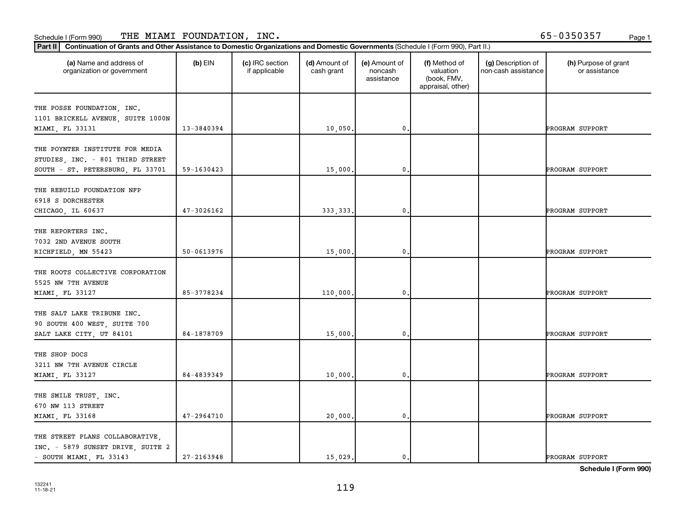|  |  | 55-0350357 | Page |
|--|--|------------|------|
|  |  |            |      |

| (a) Name and address of<br>organization or government                                           | $(b)$ EIN  | (c) IRC section<br>if applicable | (d) Amount of<br>cash grant | (e) Amount of<br>noncash<br>assistance | (f) Method of<br>valuation<br>(book, FMV,<br>appraisal, other) | (g) Description of<br>non-cash assistance | (h) Purpose of grant<br>or assistance |
|-------------------------------------------------------------------------------------------------|------------|----------------------------------|-----------------------------|----------------------------------------|----------------------------------------------------------------|-------------------------------------------|---------------------------------------|
| THE POSSE FOUNDATION, INC.                                                                      |            |                                  |                             |                                        |                                                                |                                           |                                       |
| 1101 BRICKELL AVENUE, SUITE 1000N<br>MIAMI, FL 33131                                            | 13-3840394 |                                  | 10,050.                     | $\mathbf 0$                            |                                                                |                                           | PROGRAM SUPPORT                       |
| THE POYNTER INSTITUTE FOR MEDIA<br>STUDIES, INC. - 801 THIRD STREET                             |            |                                  |                             |                                        |                                                                |                                           |                                       |
| SOUTH - ST. PETERSBURG, FL 33701                                                                | 59-1630423 |                                  | 15,000.                     | 0                                      |                                                                |                                           | PROGRAM SUPPORT                       |
| THE REBUILD FOUNDATION NFP<br>6918 S DORCHESTER                                                 |            |                                  |                             |                                        |                                                                |                                           |                                       |
| CHICAGO, IL 60637                                                                               | 47-3026162 |                                  | 333, 333.                   | 0.                                     |                                                                |                                           | PROGRAM SUPPORT                       |
| THE REPORTERS INC.<br>7032 2ND AVENUE SOUTH                                                     |            |                                  |                             |                                        |                                                                |                                           |                                       |
| RICHFIELD, MN 55423                                                                             | 50-0613976 |                                  | 15,000.                     | $\mathbf 0$                            |                                                                |                                           | PROGRAM SUPPORT                       |
| THE ROOTS COLLECTIVE CORPORATION<br>5525 NW 7TH AVENUE                                          |            |                                  |                             |                                        |                                                                |                                           |                                       |
| MIAMI, FL 33127                                                                                 | 85-3778234 |                                  | 110,000.                    | $\mathbf 0$                            |                                                                |                                           | PROGRAM SUPPORT                       |
| THE SALT LAKE TRIBUNE INC.<br>90 SOUTH 400 WEST, SUITE 700                                      |            |                                  |                             |                                        |                                                                |                                           |                                       |
| SALT LAKE CITY, UT 84101                                                                        | 84-1878709 |                                  | 15,000.                     | $\mathbf 0$                            |                                                                |                                           | PROGRAM SUPPORT                       |
| THE SHOP DOCS<br>3211 NW 7TH AVENUE CIRCLE                                                      |            |                                  |                             |                                        |                                                                |                                           |                                       |
| MIAMI, FL 33127                                                                                 | 84-4839349 |                                  | 10,000.                     | 0,                                     |                                                                |                                           | PROGRAM SUPPORT                       |
| THE SMILE TRUST, INC.<br>670 NW 113 STREET                                                      |            |                                  |                             |                                        |                                                                |                                           |                                       |
| MIAMI, FL 33168                                                                                 | 47-2964710 |                                  | 20,000.                     | $\mathbf 0$                            |                                                                |                                           | PROGRAM SUPPORT                       |
| THE STREET PLANS COLLABORATIVE,<br>INC. - 5879 SUNSET DRIVE, SUITE 2<br>- SOUTH MIAMI, FL 33143 | 27-2163948 |                                  | 15,029.                     | $\mathbf{0}$ .                         |                                                                |                                           | PROGRAM SUPPORT                       |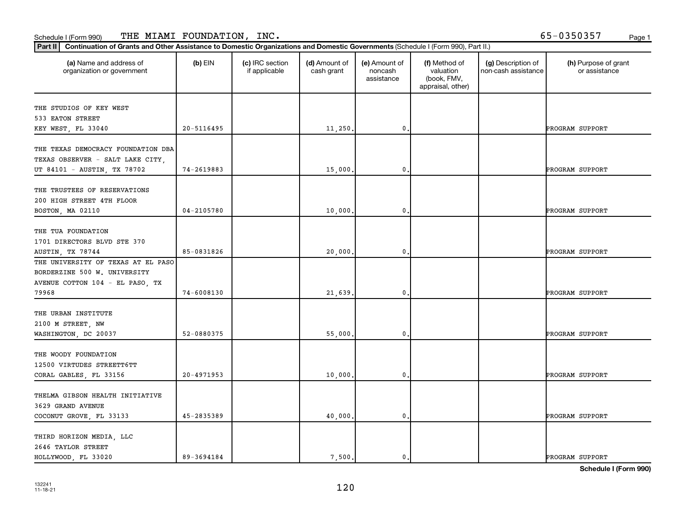|  |  | 55-0350357 | Page |
|--|--|------------|------|
|  |  |            |      |

| <b>Part II</b>                                                                                        | Continuation of Grants and Other Assistance to Domestic Organizations and Domestic Governments (Schedule I (Form 990), Part II.) |                                  |                             |                                        |                                                                |                                           |                                       |  |  |
|-------------------------------------------------------------------------------------------------------|----------------------------------------------------------------------------------------------------------------------------------|----------------------------------|-----------------------------|----------------------------------------|----------------------------------------------------------------|-------------------------------------------|---------------------------------------|--|--|
| (a) Name and address of<br>organization or government                                                 | $(b)$ EIN                                                                                                                        | (c) IRC section<br>if applicable | (d) Amount of<br>cash grant | (e) Amount of<br>noncash<br>assistance | (f) Method of<br>valuation<br>(book, FMV,<br>appraisal, other) | (g) Description of<br>non-cash assistance | (h) Purpose of grant<br>or assistance |  |  |
| THE STUDIOS OF KEY WEST                                                                               |                                                                                                                                  |                                  |                             |                                        |                                                                |                                           |                                       |  |  |
| 533 EATON STREET                                                                                      |                                                                                                                                  |                                  |                             |                                        |                                                                |                                           |                                       |  |  |
| KEY WEST, FL 33040                                                                                    | 20-5116495                                                                                                                       |                                  | 11,250.                     | 0.                                     |                                                                |                                           | PROGRAM SUPPORT                       |  |  |
| THE TEXAS DEMOCRACY FOUNDATION DBA<br>TEXAS OBSERVER - SALT LAKE CITY,                                |                                                                                                                                  |                                  |                             |                                        |                                                                |                                           |                                       |  |  |
| UT 84101 - AUSTIN, TX 78702                                                                           | 74-2619883                                                                                                                       |                                  | 15,000.                     | $\mathbf{0}$ .                         |                                                                |                                           | PROGRAM SUPPORT                       |  |  |
| THE TRUSTEES OF RESERVATIONS<br>200 HIGH STREET 4TH FLOOR<br>BOSTON, MA 02110                         | 04-2105780                                                                                                                       |                                  | 10,000.                     | $\mathbf{0}$                           |                                                                |                                           | PROGRAM SUPPORT                       |  |  |
|                                                                                                       |                                                                                                                                  |                                  |                             |                                        |                                                                |                                           |                                       |  |  |
| THE TUA FOUNDATION<br>1701 DIRECTORS BLVD STE 370                                                     |                                                                                                                                  |                                  |                             |                                        |                                                                |                                           |                                       |  |  |
| AUSTIN, TX 78744                                                                                      | 85-0831826                                                                                                                       |                                  | 20,000.                     | 0.                                     |                                                                |                                           | PROGRAM SUPPORT                       |  |  |
| THE UNIVERSITY OF TEXAS AT EL PASO<br>BORDERZINE 500 W. UNIVERSITY<br>AVENUE COTTON 104 - EL PASO, TX |                                                                                                                                  |                                  |                             |                                        |                                                                |                                           |                                       |  |  |
| 79968                                                                                                 | $74 - 6008130$                                                                                                                   |                                  | 21,639                      | 0                                      |                                                                |                                           | PROGRAM SUPPORT                       |  |  |
| THE URBAN INSTITUTE<br>2100 M STREET, NW                                                              |                                                                                                                                  |                                  |                             |                                        |                                                                |                                           |                                       |  |  |
| WASHINGTON, DC 20037                                                                                  | 52-0880375                                                                                                                       |                                  | 55,000.                     | $\mathbf{0}$ .                         |                                                                |                                           | PROGRAM SUPPORT                       |  |  |
| THE WOODY FOUNDATION<br>12500 VIRTUDES STREETT6TT                                                     |                                                                                                                                  |                                  |                             |                                        |                                                                |                                           |                                       |  |  |
| CORAL GABLES, FL 33156                                                                                | 20-4971953                                                                                                                       |                                  | 10,000.                     | 0.                                     |                                                                |                                           | PROGRAM SUPPORT                       |  |  |
| THELMA GIBSON HEALTH INITIATIVE<br>3629 GRAND AVENUE                                                  |                                                                                                                                  |                                  |                             |                                        |                                                                |                                           |                                       |  |  |
| COCONUT GROVE, FL 33133                                                                               | 45-2835389                                                                                                                       |                                  | 40,000                      | 0                                      |                                                                |                                           | PROGRAM SUPPORT                       |  |  |
| THIRD HORIZON MEDIA, LLC<br>2646 TAYLOR STREET<br>HOLLYWOOD, FL 33020                                 | 89-3694184                                                                                                                       |                                  | 7,500.                      | 0.                                     |                                                                |                                           | PROGRAM SUPPORT                       |  |  |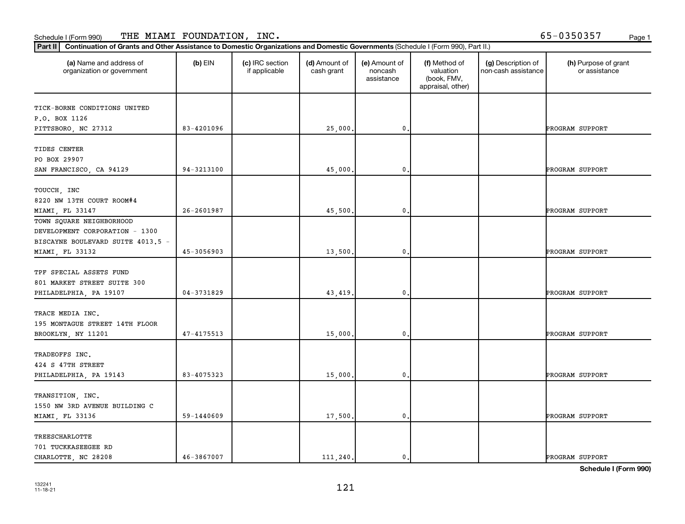|  |  | 65-0350357 |  |  |  |  |
|--|--|------------|--|--|--|--|
|  |  |            |  |  |  |  |
|  |  |            |  |  |  |  |

| (a) Name and address of<br>organization or government | $(b)$ EIN  | (c) IRC section<br>if applicable | (d) Amount of<br>cash grant | (e) Amount of<br>noncash<br>assistance | (f) Method of<br>valuation<br>(book, FMV,<br>appraisal, other) | (g) Description of<br>non-cash assistance | (h) Purpose of grant<br>or assistance |
|-------------------------------------------------------|------------|----------------------------------|-----------------------------|----------------------------------------|----------------------------------------------------------------|-------------------------------------------|---------------------------------------|
| TICK-BORNE CONDITIONS UNITED                          |            |                                  |                             |                                        |                                                                |                                           |                                       |
| P.O. BOX 1126                                         |            |                                  |                             |                                        |                                                                |                                           |                                       |
| PITTSBORO, NC 27312                                   | 83-4201096 |                                  | 25,000.                     | $\mathbf 0$                            |                                                                |                                           | PROGRAM SUPPORT                       |
|                                                       |            |                                  |                             |                                        |                                                                |                                           |                                       |
| TIDES CENTER                                          |            |                                  |                             |                                        |                                                                |                                           |                                       |
| PO BOX 29907                                          |            |                                  |                             |                                        |                                                                |                                           |                                       |
| SAN FRANCISCO, CA 94129                               | 94-3213100 |                                  | 45,000                      | $\mathbf 0$                            |                                                                |                                           | PROGRAM SUPPORT                       |
|                                                       |            |                                  |                             |                                        |                                                                |                                           |                                       |
| TOUCCH, INC                                           |            |                                  |                             |                                        |                                                                |                                           |                                       |
| 8220 NW 13TH COURT ROOM#4                             |            |                                  |                             |                                        |                                                                |                                           |                                       |
| MIAMI, FL 33147                                       | 26-2601987 |                                  | 45,500.                     | 0,                                     |                                                                |                                           | PROGRAM SUPPORT                       |
| TOWN SQUARE NEIGHBORHOOD                              |            |                                  |                             |                                        |                                                                |                                           |                                       |
| DEVELOPMENT CORPORATION - 1300                        |            |                                  |                             |                                        |                                                                |                                           |                                       |
| BISCAYNE BOULEVARD SUITE 4013.5 -                     |            |                                  |                             |                                        |                                                                |                                           |                                       |
| MIAMI, FL 33132                                       | 45-3056903 |                                  | 13,500.                     | $\mathbf{0}$                           |                                                                |                                           | PROGRAM SUPPORT                       |
|                                                       |            |                                  |                             |                                        |                                                                |                                           |                                       |
| TPF SPECIAL ASSETS FUND                               |            |                                  |                             |                                        |                                                                |                                           |                                       |
| 801 MARKET STREET SUITE 300                           |            |                                  |                             |                                        |                                                                |                                           |                                       |
| PHILADELPHIA, PA 19107                                | 04-3731829 |                                  | 43, 419.                    | $\mathbf 0$                            |                                                                |                                           | PROGRAM SUPPORT                       |
| TRACE MEDIA INC.                                      |            |                                  |                             |                                        |                                                                |                                           |                                       |
| 195 MONTAGUE STREET 14TH FLOOR                        |            |                                  |                             |                                        |                                                                |                                           |                                       |
| BROOKLYN, NY 11201                                    | 47-4175513 |                                  | 15,000.                     | $\mathbf 0$                            |                                                                |                                           | PROGRAM SUPPORT                       |
|                                                       |            |                                  |                             |                                        |                                                                |                                           |                                       |
| TRADEOFFS INC.                                        |            |                                  |                             |                                        |                                                                |                                           |                                       |
| 424 S 47TH STREET                                     |            |                                  |                             |                                        |                                                                |                                           |                                       |
| PHILADELPHIA, PA 19143                                | 83-4075323 |                                  | 15,000.                     | 0.                                     |                                                                |                                           | PROGRAM SUPPORT                       |
|                                                       |            |                                  |                             |                                        |                                                                |                                           |                                       |
| TRANSITION, INC.                                      |            |                                  |                             |                                        |                                                                |                                           |                                       |
| 1550 NW 3RD AVENUE BUILDING C                         |            |                                  |                             |                                        |                                                                |                                           |                                       |
| MIAMI, FL 33136                                       | 59-1440609 |                                  | 17,500.                     | 0.                                     |                                                                |                                           | PROGRAM SUPPORT                       |
|                                                       |            |                                  |                             |                                        |                                                                |                                           |                                       |
| TREESCHARLOTTE                                        |            |                                  |                             |                                        |                                                                |                                           |                                       |
| 701 TUCKKASEEGEE RD                                   |            |                                  |                             |                                        |                                                                |                                           |                                       |
| CHARLOTTE, NC 28208                                   | 46-3867007 |                                  | 111,240.                    | 0.                                     |                                                                |                                           | PROGRAM SUPPORT                       |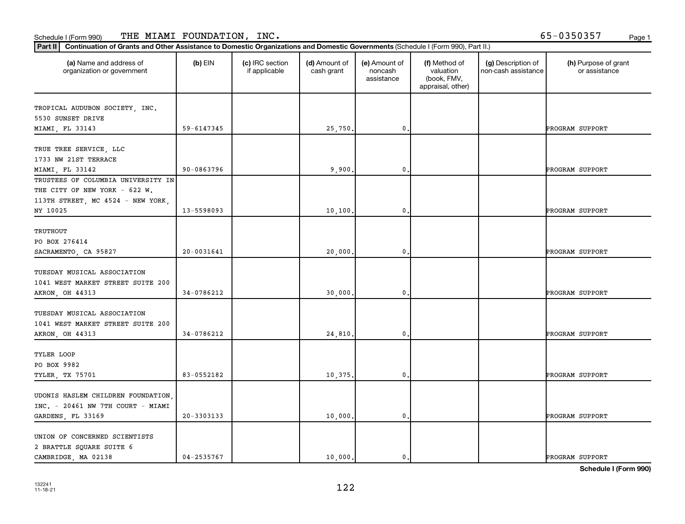organization or government

TROPICAL AUDUBON SOCIETY, INC.

5530 SUNSET DRIVE

**Part II Continuation of Grants and Other Assistance to Domestic Organizations and Domestic Governments**  (Schedule I (Form 990), Part II.)

if applicable

 $(b)$  EIN  $(c)$  IRC section

UNION OF CONCERNED SCIENTISTS 2 BRATTLE SQUARE SUITE 6

| TRUE TREE SERVICE, LLC             |                |         |                |  |                 |
|------------------------------------|----------------|---------|----------------|--|-----------------|
| 1733 NW 21ST TERRACE               |                |         |                |  |                 |
| MIAMI, FL 33142                    | 90-0863796     | 9,900.  | $\mathbf 0$    |  | PROGRAM SUPPORT |
| TRUSTEES OF COLUMBIA UNIVERSITY IN |                |         |                |  |                 |
| THE CITY OF NEW YORK - 622 W.      |                |         |                |  |                 |
| 113TH STREET, MC 4524 - NEW YORK,  |                |         |                |  |                 |
| NY 10025                           | 13-5598093     | 10,100. | 0              |  | PROGRAM SUPPORT |
| TRUTHOUT                           |                |         |                |  |                 |
| PO BOX 276414                      |                |         |                |  |                 |
| SACRAMENTO, CA 95827               | 20-0031641     | 20,000. | $\mathbf{0}$ . |  | PROGRAM SUPPORT |
|                                    |                |         |                |  |                 |
| TUESDAY MUSICAL ASSOCIATION        |                |         |                |  |                 |
| 1041 WEST MARKET STREET SUITE 200  |                |         |                |  |                 |
| AKRON, OH 44313                    | $34 - 0786212$ | 30,000. | $\mathbf 0$    |  | PROGRAM SUPPORT |
|                                    |                |         |                |  |                 |
| TUESDAY MUSICAL ASSOCIATION        |                |         |                |  |                 |
| 1041 WEST MARKET STREET SUITE 200  |                |         |                |  |                 |
| AKRON, OH 44313                    | 34-0786212     | 24,810. | 0              |  | PROGRAM SUPPORT |
|                                    |                |         |                |  |                 |
| TYLER LOOP                         |                |         |                |  |                 |
| PO BOX 9982                        |                |         |                |  |                 |
| TYLER, TX 75701                    | 83-0552182     | 10,375. | 0.             |  | PROGRAM SUPPORT |
|                                    |                |         |                |  |                 |
| UDONIS HASLEM CHILDREN FOUNDATION. |                |         |                |  |                 |
| INC. - 20461 NW 7TH COURT - MIAMI  |                |         |                |  |                 |
| GARDENS, FL 33169                  | 20-3303133     | 10,000. | $\mathbf{0}$   |  | PROGRAM SUPPORT |

**(a) (b) (c) (d) (e) (f) (g) (h)** Name and address of

MIAMI, FL 33143 59-6147345 25,750. 0. PROGRAM SUPPORT

(d) Amount of cash grant

(e) Amount of noncash assistance

(f) Method of valuation (book, FMV, appraisal, other)

(g) Description of non-cash assistance

| Schedule I (Form 990) |  |
|-----------------------|--|
|-----------------------|--|

(h) Purpose of grant or assistance

CAMBRIDGE, MA 02138 04-2535767 0 10,000. 0. 0. PROGRAM SUPPORT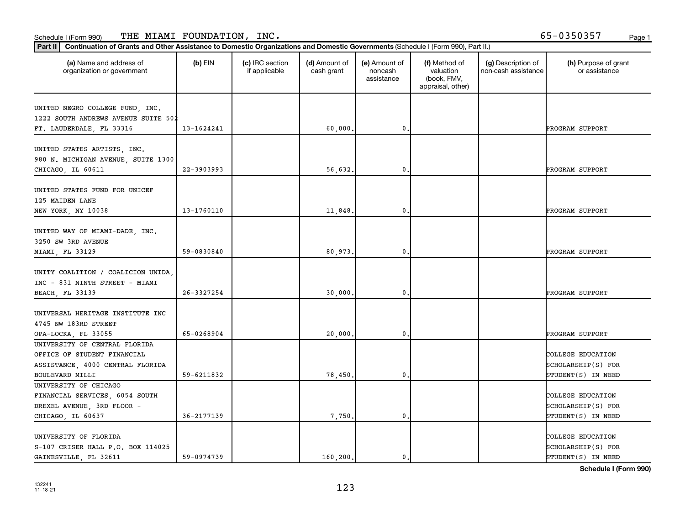| 55-0350357 | Page |  |  |  |  |  |  |  |  |
|------------|------|--|--|--|--|--|--|--|--|
|------------|------|--|--|--|--|--|--|--|--|

| Continuation of Grants and Other Assistance to Domestic Organizations and Domestic Governments (Schedule I (Form 990), Part II.)<br> Part II |            |                                  |                             |                                        |                                                                |                                           |                                                               |
|----------------------------------------------------------------------------------------------------------------------------------------------|------------|----------------------------------|-----------------------------|----------------------------------------|----------------------------------------------------------------|-------------------------------------------|---------------------------------------------------------------|
| (a) Name and address of<br>organization or government                                                                                        | $(b)$ EIN  | (c) IRC section<br>if applicable | (d) Amount of<br>cash grant | (e) Amount of<br>noncash<br>assistance | (f) Method of<br>valuation<br>(book, FMV,<br>appraisal, other) | (g) Description of<br>non-cash assistance | (h) Purpose of grant<br>or assistance                         |
| UNITED NEGRO COLLEGE FUND, INC.<br>1222 SOUTH ANDREWS AVENUE SUITE 502<br>FT. LAUDERDALE, FL 33316                                           | 13-1624241 |                                  | 60,000.                     | $\mathbf{0}$                           |                                                                |                                           | PROGRAM SUPPORT                                               |
| UNITED STATES ARTISTS, INC.<br>980 N. MICHIGAN AVENUE, SUITE 1300<br>CHICAGO, IL 60611                                                       | 22-3903993 |                                  | 56,632.                     | $\mathbf 0$                            |                                                                |                                           | PROGRAM SUPPORT                                               |
| UNITED STATES FUND FOR UNICEF<br>125 MAIDEN LANE<br>NEW YORK, NY 10038                                                                       | 13-1760110 |                                  | 11,848.                     | $\mathbf 0$                            |                                                                |                                           | PROGRAM SUPPORT                                               |
| UNITED WAY OF MIAMI-DADE, INC.<br>3250 SW 3RD AVENUE<br>MIAMI, FL 33129                                                                      | 59-0830840 |                                  | 80,973.                     | $\mathbf 0$                            |                                                                |                                           | PROGRAM SUPPORT                                               |
| UNITY COALITION / COALICION UNIDA,<br>INC - 831 NINTH STREET - MIAMI<br>BEACH, FL 33139                                                      | 26-3327254 |                                  | 30,000                      | $\mathbf{0}$                           |                                                                |                                           | PROGRAM SUPPORT                                               |
| UNIVERSAL HERITAGE INSTITUTE INC<br>4745 NW 183RD STREET<br>OPA-LOCKA, FL 33055                                                              | 65-0268904 |                                  | 20,000                      | $\mathbf 0$ .                          |                                                                |                                           | PROGRAM SUPPORT                                               |
| UNIVERSITY OF CENTRAL FLORIDA<br>OFFICE OF STUDENT FINANCIAL<br>ASSISTANCE, 4000 CENTRAL FLORIDA<br>BOULEVARD MILLI                          | 59-6211832 |                                  | 78,450                      | $\mathbf 0$                            |                                                                |                                           | COLLEGE EDUCATION<br>SCHOLARSHIP(S) FOR<br>STUDENT(S) IN NEED |
| UNIVERSITY OF CHICAGO<br>FINANCIAL SERVICES, 6054 SOUTH<br>DREXEL AVENUE, 3RD FLOOR -<br>CHICAGO, IL 60637                                   | 36-2177139 |                                  | 7,750                       | $\mathbf 0$                            |                                                                |                                           | COLLEGE EDUCATION<br>SCHOLARSHIP(S) FOR<br>STUDENT(S) IN NEED |
| UNIVERSITY OF FLORIDA<br>S-107 CRISER HALL P.O. BOX 114025<br>GAINESVILLE, FL 32611                                                          | 59-0974739 |                                  | 160,200                     | $\mathbf{0}$                           |                                                                |                                           | COLLEGE EDUCATION<br>SCHOLARSHIP(S) FOR<br>STUDENT(S) IN NEED |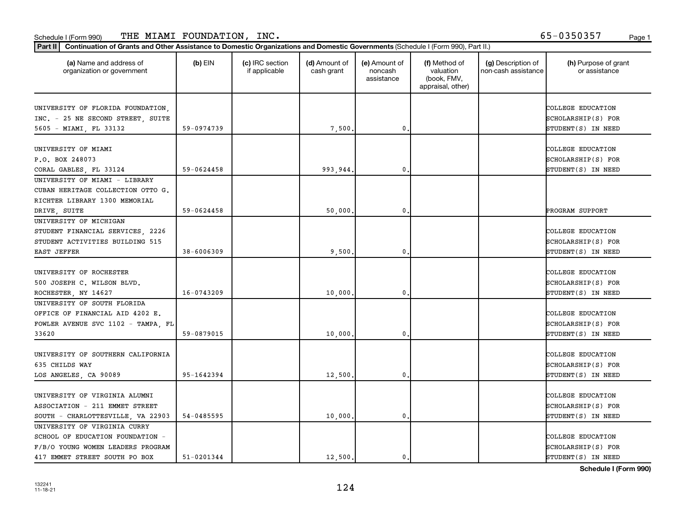| 5-0350357 |  |  |  |  | Page |
|-----------|--|--|--|--|------|
|           |  |  |  |  |      |

| (a) Name and address of<br>organization or government | $(b)$ EIN  | (c) IRC section<br>if applicable | (d) Amount of<br>cash grant | (e) Amount of<br>noncash<br>assistance | (f) Method of<br>valuation<br>(book, FMV,<br>appraisal, other) | (g) Description of<br>non-cash assistance | (h) Purpose of grant<br>or assistance |
|-------------------------------------------------------|------------|----------------------------------|-----------------------------|----------------------------------------|----------------------------------------------------------------|-------------------------------------------|---------------------------------------|
| UNIVERSITY OF FLORIDA FOUNDATION,                     |            |                                  |                             |                                        |                                                                |                                           | COLLEGE EDUCATION                     |
| INC. - 25 NE SECOND STREET, SUITE                     |            |                                  |                             |                                        |                                                                |                                           | SCHOLARSHIP(S) FOR                    |
| 5605 - MIAMI, FL 33132                                | 59-0974739 |                                  | 7,500                       | 0                                      |                                                                |                                           | STUDENT(S) IN NEED                    |
| UNIVERSITY OF MIAMI                                   |            |                                  |                             |                                        |                                                                |                                           | COLLEGE EDUCATION                     |
| P.O. BOX 248073                                       |            |                                  |                             |                                        |                                                                |                                           | SCHOLARSHIP(S) FOR                    |
| CORAL GABLES, FL 33124                                | 59-0624458 |                                  | 993.944.                    | 0                                      |                                                                |                                           | STUDENT(S) IN NEED                    |
| UNIVERSITY OF MIAMI - LIBRARY                         |            |                                  |                             |                                        |                                                                |                                           |                                       |
| CUBAN HERITAGE COLLECTION OTTO G.                     |            |                                  |                             |                                        |                                                                |                                           |                                       |
| RICHTER LIBRARY 1300 MEMORIAL                         |            |                                  |                             |                                        |                                                                |                                           |                                       |
| DRIVE, SUITE                                          | 59-0624458 |                                  | 50,000                      | 0                                      |                                                                |                                           | PROGRAM SUPPORT                       |
| UNIVERSITY OF MICHIGAN                                |            |                                  |                             |                                        |                                                                |                                           |                                       |
| STUDENT FINANCIAL SERVICES, 2226                      |            |                                  |                             |                                        |                                                                |                                           | COLLEGE EDUCATION                     |
| STUDENT ACTIVITIES BUILDING 515                       |            |                                  |                             |                                        |                                                                |                                           | SCHOLARSHIP(S) FOR                    |
| EAST JEFFER                                           | 38-6006309 |                                  | 9,500                       | 0                                      |                                                                |                                           | STUDENT(S) IN NEED                    |
|                                                       |            |                                  |                             |                                        |                                                                |                                           |                                       |
| UNIVERSITY OF ROCHESTER                               |            |                                  |                             |                                        |                                                                |                                           | COLLEGE EDUCATION                     |
| 500 JOSEPH C. WILSON BLVD.                            |            |                                  |                             |                                        |                                                                |                                           | SCHOLARSHIP(S) FOR                    |
| ROCHESTER, NY 14627                                   | 16-0743209 |                                  | 10,000,                     | 0                                      |                                                                |                                           | STUDENT(S) IN NEED                    |
| UNIVERSITY OF SOUTH FLORIDA                           |            |                                  |                             |                                        |                                                                |                                           |                                       |
| OFFICE OF FINANCIAL AID 4202 E.                       |            |                                  |                             |                                        |                                                                |                                           | COLLEGE EDUCATION                     |
| FOWLER AVENUE SVC 1102 - TAMPA, FL                    |            |                                  |                             |                                        |                                                                |                                           | SCHOLARSHIP(S) FOR                    |
| 33620                                                 | 59-0879015 |                                  | 10,000                      | 0                                      |                                                                |                                           | STUDENT(S) IN NEED                    |
|                                                       |            |                                  |                             |                                        |                                                                |                                           |                                       |
| UNIVERSITY OF SOUTHERN CALIFORNIA                     |            |                                  |                             |                                        |                                                                |                                           | COLLEGE EDUCATION                     |
| 635 CHILDS WAY                                        |            |                                  |                             |                                        |                                                                |                                           | SCHOLARSHIP(S) FOR                    |
| LOS ANGELES, CA 90089                                 | 95-1642394 |                                  | 12,500                      | 0                                      |                                                                |                                           | STUDENT(S) IN NEED                    |
| UNIVERSITY OF VIRGINIA ALUMNI                         |            |                                  |                             |                                        |                                                                |                                           | COLLEGE EDUCATION                     |
| ASSOCIATION - 211 EMMET STREET                        |            |                                  |                             |                                        |                                                                |                                           | SCHOLARSHIP(S) FOR                    |
| SOUTH - CHARLOTTESVILLE, VA 22903                     | 54-0485595 |                                  | 10,000,                     | $\mathbf{0}$                           |                                                                |                                           | STUDENT(S) IN NEED                    |
| UNIVERSITY OF VIRGINIA CURRY                          |            |                                  |                             |                                        |                                                                |                                           |                                       |
| SCHOOL OF EDUCATION FOUNDATION -                      |            |                                  |                             |                                        |                                                                |                                           | COLLEGE EDUCATION                     |
| F/B/O YOUNG WOMEN LEADERS PROGRAM                     |            |                                  |                             |                                        |                                                                |                                           | SCHOLARSHIP(S) FOR                    |
| 417 EMMET STREET SOUTH PO BOX                         | 51-0201344 |                                  | 12,500.                     | $\mathbf{0}$                           |                                                                |                                           | STUDENT(S) IN NEED                    |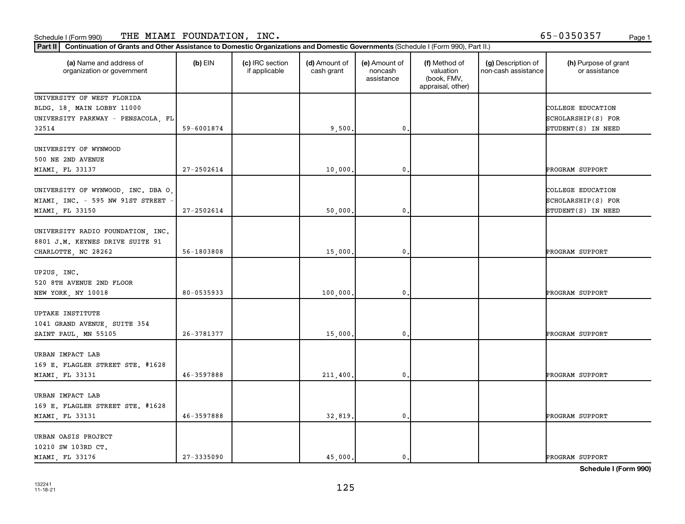| 55-0350357 |  |  |  |  | Page |
|------------|--|--|--|--|------|
|            |  |  |  |  |      |

| (a) Name and address of<br>organization or government                | $(b)$ EIN  | (c) IRC section<br>if applicable | (d) Amount of<br>cash grant | (e) Amount of<br>noncash<br>assistance | (f) Method of<br>valuation<br>(book, FMV,<br>appraisal, other) | (g) Description of<br>non-cash assistance | (h) Purpose of grant<br>or assistance |
|----------------------------------------------------------------------|------------|----------------------------------|-----------------------------|----------------------------------------|----------------------------------------------------------------|-------------------------------------------|---------------------------------------|
| UNIVERSITY OF WEST FLORIDA                                           |            |                                  |                             |                                        |                                                                |                                           |                                       |
| BLDG. 18, MAIN LOBBY 11000                                           |            |                                  |                             |                                        |                                                                |                                           | COLLEGE EDUCATION                     |
| UNIVERSITY PARKWAY - PENSACOLA, FL                                   |            |                                  |                             |                                        |                                                                |                                           | SCHOLARSHIP(S) FOR                    |
| 32514                                                                | 59-6001874 |                                  | 9,500.                      | 0                                      |                                                                |                                           | STUDENT(S) IN NEED                    |
| UNIVERSITY OF WYNWOOD                                                |            |                                  |                             |                                        |                                                                |                                           |                                       |
| 500 NE 2ND AVENUE                                                    |            |                                  |                             |                                        |                                                                |                                           |                                       |
| MIAMI, FL 33137                                                      | 27-2502614 |                                  | 10,000.                     | 0                                      |                                                                |                                           | PROGRAM SUPPORT                       |
|                                                                      |            |                                  |                             |                                        |                                                                |                                           |                                       |
| UNIVERSITY OF WYNWOOD, INC. DBA O,                                   |            |                                  |                             |                                        |                                                                |                                           | COLLEGE EDUCATION                     |
| MIAMI, INC. - 595 NW 91ST STREET                                     |            |                                  |                             |                                        |                                                                |                                           | SCHOLARSHIP(S) FOR                    |
| MIAMI, FL 33150                                                      | 27-2502614 |                                  | 50,000.                     | 0                                      |                                                                |                                           | STUDENT(S) IN NEED                    |
| UNIVERSITY RADIO FOUNDATION, INC.<br>8801 J.M. KEYNES DRIVE SUITE 91 |            |                                  |                             |                                        |                                                                |                                           |                                       |
| CHARLOTTE, NC 28262                                                  | 56-1803808 |                                  | 15,000.                     | 0                                      |                                                                |                                           | PROGRAM SUPPORT                       |
| UP2US, INC.<br>520 8TH AVENUE 2ND FLOOR                              |            |                                  |                             |                                        |                                                                |                                           |                                       |
| NEW YORK, NY 10018                                                   | 80-0535933 |                                  | 100,000.                    | 0                                      |                                                                |                                           | PROGRAM SUPPORT                       |
| UPTAKE INSTITUTE<br>1041 GRAND AVENUE, SUITE 354                     |            |                                  |                             |                                        |                                                                |                                           |                                       |
| SAINT PAUL, MN 55105                                                 | 26-3781377 |                                  | 15,000.                     | 0                                      |                                                                |                                           | PROGRAM SUPPORT                       |
| URBAN IMPACT LAB<br>169 E. FLAGLER STREET STE. #1628                 |            |                                  |                             |                                        |                                                                |                                           |                                       |
| MIAMI, FL 33131                                                      | 46-3597888 |                                  | 211,400.                    | $\mathbf 0$ .                          |                                                                |                                           | PROGRAM SUPPORT                       |
| URBAN IMPACT LAB<br>169 E. FLAGLER STREET STE. #1628                 |            |                                  |                             |                                        |                                                                |                                           |                                       |
| MIAMI, FL 33131                                                      | 46-3597888 |                                  | 32,819.                     | $\mathbf{0}$                           |                                                                |                                           | PROGRAM SUPPORT                       |
|                                                                      |            |                                  |                             |                                        |                                                                |                                           |                                       |
| URBAN OASIS PROJECT<br>10210 SW 103RD CT.                            |            |                                  |                             |                                        |                                                                |                                           |                                       |
| MIAMI, FL 33176                                                      | 27-3335090 |                                  | 45,000.                     | $\mathbf 0$ .                          |                                                                |                                           | PROGRAM SUPPORT                       |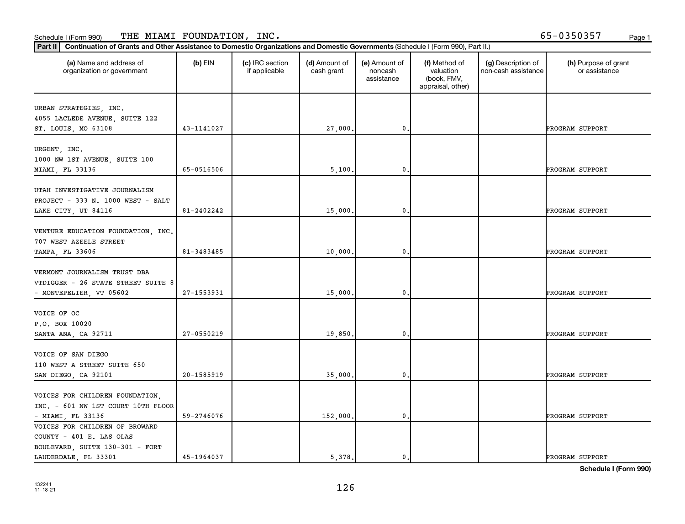| 55-0350357 | Page |
|------------|------|
|------------|------|

| Continuation of Grants and Other Assistance to Domestic Organizations and Domestic Governments (Schedule I (Form 990), Part II.)<br>Part II |            |                                  |                             |                                        |                                                                |                                           |                                       |
|---------------------------------------------------------------------------------------------------------------------------------------------|------------|----------------------------------|-----------------------------|----------------------------------------|----------------------------------------------------------------|-------------------------------------------|---------------------------------------|
| (a) Name and address of<br>organization or government                                                                                       | $(b)$ EIN  | (c) IRC section<br>if applicable | (d) Amount of<br>cash grant | (e) Amount of<br>noncash<br>assistance | (f) Method of<br>valuation<br>(book, FMV,<br>appraisal, other) | (g) Description of<br>non-cash assistance | (h) Purpose of grant<br>or assistance |
| URBAN STRATEGIES, INC.<br>4055 LACLEDE AVENUE, SUITE 122                                                                                    |            |                                  |                             |                                        |                                                                |                                           |                                       |
| ST. LOUIS, MO 63108                                                                                                                         | 43-1141027 |                                  | 27,000.                     | 0.                                     |                                                                |                                           | PROGRAM SUPPORT                       |
| URGENT, INC.<br>1000 NW 1ST AVENUE, SUITE 100                                                                                               | 65-0516506 |                                  | 5,100.                      | 0.                                     |                                                                |                                           | PROGRAM SUPPORT                       |
| MIAMI, FL 33136                                                                                                                             |            |                                  |                             |                                        |                                                                |                                           |                                       |
| UTAH INVESTIGATIVE JOURNALISM<br>PROJECT - 333 N. 1000 WEST - SALT<br>LAKE CITY, UT 84116                                                   | 81-2402242 |                                  | 15,000                      | $\mathbf 0$                            |                                                                |                                           | PROGRAM SUPPORT                       |
|                                                                                                                                             |            |                                  |                             |                                        |                                                                |                                           |                                       |
| VENTURE EDUCATION FOUNDATION, INC.<br>707 WEST AZEELE STREET                                                                                |            |                                  |                             |                                        |                                                                |                                           |                                       |
| TAMPA, FL 33606                                                                                                                             | 81-3483485 |                                  | 10,000,                     | 0.                                     |                                                                |                                           | PROGRAM SUPPORT                       |
| VERMONT JOURNALISM TRUST DBA<br>VTDIGGER - 26 STATE STREET SUITE 8                                                                          |            |                                  |                             |                                        |                                                                |                                           |                                       |
| - MONTEPELIER, VT 05602                                                                                                                     | 27-1553931 |                                  | 15,000                      | $\mathbf 0$                            |                                                                |                                           | PROGRAM SUPPORT                       |
| VOICE OF OC<br>P.O. BOX 10020                                                                                                               |            |                                  |                             |                                        |                                                                |                                           |                                       |
| SANTA ANA, CA 92711                                                                                                                         | 27-0550219 |                                  | 19,850                      | $\mathbf 0$                            |                                                                |                                           | PROGRAM SUPPORT                       |
| VOICE OF SAN DIEGO<br>110 WEST A STREET SUITE 650                                                                                           |            |                                  |                             |                                        |                                                                |                                           |                                       |
| SAN DIEGO, CA 92101                                                                                                                         | 20-1585919 |                                  | 35,000                      | 0.                                     |                                                                |                                           | PROGRAM SUPPORT                       |
| VOICES FOR CHILDREN FOUNDATION,                                                                                                             |            |                                  |                             |                                        |                                                                |                                           |                                       |
| INC. - 601 NW 1ST COURT 10TH FLOOR                                                                                                          |            |                                  |                             |                                        |                                                                |                                           |                                       |
| - MIAMI, FL 33136                                                                                                                           | 59-2746076 |                                  | 152,000                     | $\mathbf 0$                            |                                                                |                                           | PROGRAM SUPPORT                       |
| VOICES FOR CHILDREN OF BROWARD                                                                                                              |            |                                  |                             |                                        |                                                                |                                           |                                       |
| COUNTY - 401 E. LAS OLAS<br>BOULEVARD, SUITE 130-301 - FORT                                                                                 |            |                                  |                             |                                        |                                                                |                                           |                                       |
| LAUDERDALE, FL 33301                                                                                                                        | 45-1964037 |                                  | 5,378.                      | $\mathbf{0}$ .                         |                                                                |                                           | PROGRAM SUPPORT                       |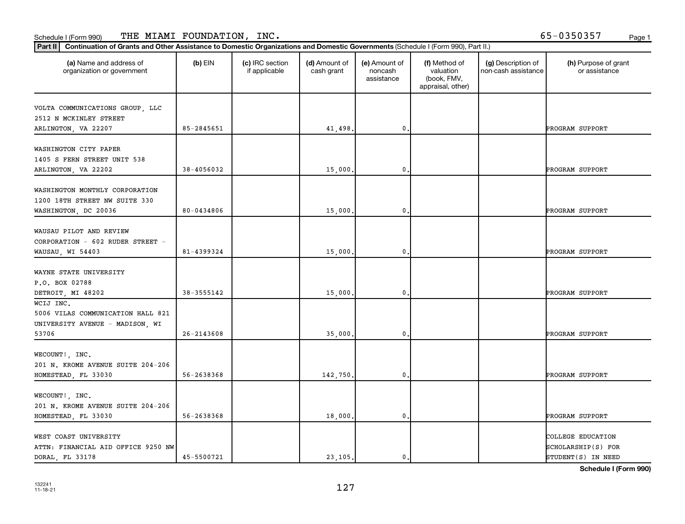| 55-0350357 |  |  |  |  | Page |
|------------|--|--|--|--|------|
|            |  |  |  |  |      |

| (a) Name and address of<br>organization or government | $(b)$ EIN      | (c) IRC section<br>if applicable | (d) Amount of<br>cash grant | (e) Amount of<br>noncash<br>assistance | (f) Method of<br>valuation<br>(book, FMV,<br>appraisal, other) | (g) Description of<br>non-cash assistance | (h) Purpose of grant<br>or assistance |
|-------------------------------------------------------|----------------|----------------------------------|-----------------------------|----------------------------------------|----------------------------------------------------------------|-------------------------------------------|---------------------------------------|
| VOLTA COMMUNICATIONS GROUP, LLC                       |                |                                  |                             |                                        |                                                                |                                           |                                       |
| 2512 N MCKINLEY STREET                                |                |                                  |                             |                                        |                                                                |                                           |                                       |
| ARLINGTON, VA 22207                                   | 85-2845651     |                                  | 41,498.                     | 0                                      |                                                                |                                           | PROGRAM SUPPORT                       |
| WASHINGTON CITY PAPER                                 |                |                                  |                             |                                        |                                                                |                                           |                                       |
| 1405 S FERN STREET UNIT 538                           |                |                                  |                             |                                        |                                                                |                                           |                                       |
| ARLINGTON, VA 22202                                   | 38-4056032     |                                  | 15,000                      | 0                                      |                                                                |                                           | PROGRAM SUPPORT                       |
|                                                       |                |                                  |                             |                                        |                                                                |                                           |                                       |
| WASHINGTON MONTHLY CORPORATION                        |                |                                  |                             |                                        |                                                                |                                           |                                       |
| 1200 18TH STREET NW SUITE 330                         |                |                                  |                             |                                        |                                                                |                                           |                                       |
| WASHINGTON, DC 20036                                  | 80-0434806     |                                  | 15,000                      | $\mathbf{0}$                           |                                                                |                                           | PROGRAM SUPPORT                       |
| WAUSAU PILOT AND REVIEW                               |                |                                  |                             |                                        |                                                                |                                           |                                       |
| CORPORATION - 602 RUDER STREET -                      |                |                                  |                             |                                        |                                                                |                                           |                                       |
| WAUSAU, WI 54403                                      | 81-4399324     |                                  | 15,000                      | 0                                      |                                                                |                                           | PROGRAM SUPPORT                       |
|                                                       |                |                                  |                             |                                        |                                                                |                                           |                                       |
| WAYNE STATE UNIVERSITY                                |                |                                  |                             |                                        |                                                                |                                           |                                       |
| P.O. BOX 02788                                        |                |                                  |                             |                                        |                                                                |                                           |                                       |
| DETROIT, MI 48202                                     | 38-3555142     |                                  | 15,000                      | 0                                      |                                                                |                                           | PROGRAM SUPPORT                       |
| WCIJ INC.                                             |                |                                  |                             |                                        |                                                                |                                           |                                       |
| 5006 VILAS COMMUNICATION HALL 821                     |                |                                  |                             |                                        |                                                                |                                           |                                       |
| UNIVERSITY AVENUE - MADISON, WI                       |                |                                  |                             |                                        |                                                                |                                           |                                       |
| 53706                                                 | $26 - 2143608$ |                                  | 35,000,                     | 0                                      |                                                                |                                           | PROGRAM SUPPORT                       |
|                                                       |                |                                  |                             |                                        |                                                                |                                           |                                       |
| WECOUNT!, INC.                                        |                |                                  |                             |                                        |                                                                |                                           |                                       |
| 201 N. KROME AVENUE SUITE 204-206                     |                |                                  |                             |                                        |                                                                |                                           |                                       |
| HOMESTEAD, FL 33030                                   | 56-2638368     |                                  | 142,750                     | $\mathbf{0}$                           |                                                                |                                           | PROGRAM SUPPORT                       |
|                                                       |                |                                  |                             |                                        |                                                                |                                           |                                       |
| WECOUNT!, INC.                                        |                |                                  |                             |                                        |                                                                |                                           |                                       |
| 201 N. KROME AVENUE SUITE 204-206                     |                |                                  |                             |                                        |                                                                |                                           |                                       |
| HOMESTEAD, FL 33030                                   | 56-2638368     |                                  | 18,000                      | 0                                      |                                                                |                                           | PROGRAM SUPPORT                       |
| WEST COAST UNIVERSITY                                 |                |                                  |                             |                                        |                                                                |                                           | COLLEGE EDUCATION                     |
| ATTN: FINANCIAL AID OFFICE 9250 NW                    |                |                                  |                             |                                        |                                                                |                                           | SCHOLARSHIP(S) FOR                    |
| DORAL, FL 33178                                       | 45-5500721     |                                  | 23,105.                     | 0.                                     |                                                                |                                           | STUDENT(S) IN NEED                    |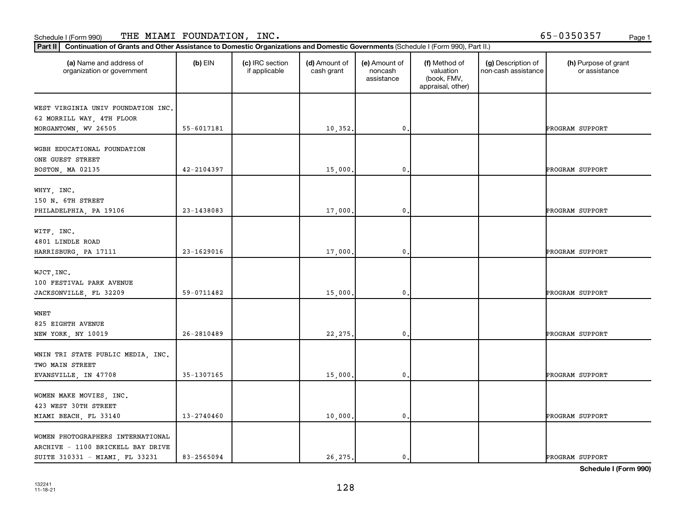|  |  | 55-0350357 | Page |
|--|--|------------|------|
|  |  |            |      |

| Continuation of Grants and Other Assistance to Domestic Organizations and Domestic Governments (Schedule I (Form 990), Part II.)<br>Part II |            |                                  |                             |                                        |                                                                |                                           |                                       |
|---------------------------------------------------------------------------------------------------------------------------------------------|------------|----------------------------------|-----------------------------|----------------------------------------|----------------------------------------------------------------|-------------------------------------------|---------------------------------------|
| (a) Name and address of<br>organization or government                                                                                       | $(b)$ EIN  | (c) IRC section<br>if applicable | (d) Amount of<br>cash grant | (e) Amount of<br>noncash<br>assistance | (f) Method of<br>valuation<br>(book, FMV,<br>appraisal, other) | (g) Description of<br>non-cash assistance | (h) Purpose of grant<br>or assistance |
| WEST VIRGINIA UNIV FOUNDATION INC.<br>62 MORRILL WAY, 4TH FLOOR<br>MORGANTOWN, WV 26505                                                     | 55-6017181 |                                  | 10,352.                     | 0.                                     |                                                                |                                           | PROGRAM SUPPORT                       |
| WGBH EDUCATIONAL FOUNDATION<br>ONE GUEST STREET<br>BOSTON, MA 02135                                                                         | 42-2104397 |                                  | 15,000.                     | $\mathbf{0}$ .                         |                                                                |                                           | PROGRAM SUPPORT                       |
| WHYY, INC.<br>150 N. 6TH STREET<br>PHILADELPHIA, PA 19106                                                                                   | 23-1438083 |                                  | 17,000.                     | $\pmb{0}$                              |                                                                |                                           | PROGRAM SUPPORT                       |
| WITF, INC.<br>4801 LINDLE ROAD<br>HARRISBURG, PA 17111                                                                                      | 23-1629016 |                                  | 17,000.                     | 0.                                     |                                                                |                                           | PROGRAM SUPPORT                       |
| WJCT, INC.<br>100 FESTIVAL PARK AVENUE<br>JACKSONVILLE, FL 32209                                                                            | 59-0711482 |                                  | 15,000                      | 0                                      |                                                                |                                           | PROGRAM SUPPORT                       |
| <b>WNET</b><br>825 EIGHTH AVENUE<br>NEW YORK, NY 10019                                                                                      | 26-2810489 |                                  | 22, 275                     | $\mathbf{0}$ .                         |                                                                |                                           | PROGRAM SUPPORT                       |
| WNIN TRI STATE PUBLIC MEDIA, INC.<br>TWO MAIN STREET<br>EVANSVILLE, IN 47708                                                                | 35-1307165 |                                  | 15,000.                     | $\mathbf 0$ .                          |                                                                |                                           | PROGRAM SUPPORT                       |
| WOMEN MAKE MOVIES, INC.<br>423 WEST 30TH STREET<br>MIAMI BEACH, FL 33140                                                                    | 13-2740460 |                                  | 10,000.                     | $\mathbf 0$                            |                                                                |                                           | PROGRAM SUPPORT                       |
| WOMEN PHOTOGRAPHERS INTERNATIONAL<br>ARCHIVE - 1100 BRICKELL BAY DRIVE<br>SUITE 310331 - MIAMI, FL 33231                                    | 83-2565094 |                                  | 26, 275.                    | 0.                                     |                                                                |                                           | PROGRAM SUPPORT                       |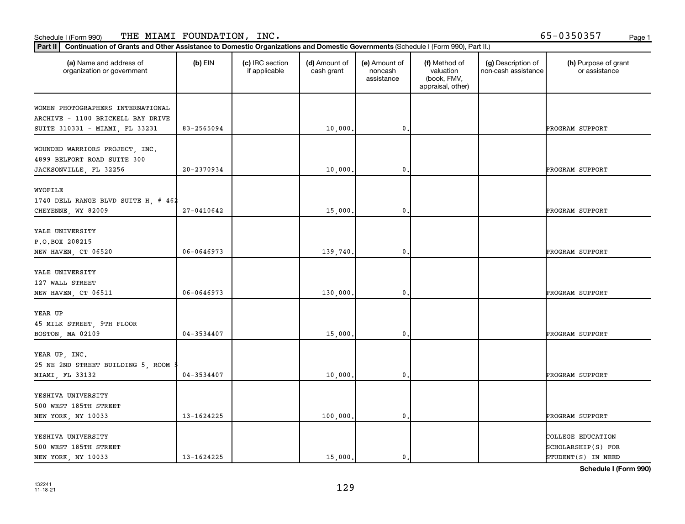| 55-0350357 |  |  |  |  | Page |
|------------|--|--|--|--|------|
|            |  |  |  |  |      |

| Continuation of Grants and Other Assistance to Domestic Organizations and Domestic Governments (Schedule I (Form 990), Part II.)<br>Part II |                |                                  |                             |                                        |                                                                |                                           |                                       |
|---------------------------------------------------------------------------------------------------------------------------------------------|----------------|----------------------------------|-----------------------------|----------------------------------------|----------------------------------------------------------------|-------------------------------------------|---------------------------------------|
| (a) Name and address of<br>organization or government                                                                                       | $(b)$ EIN      | (c) IRC section<br>if applicable | (d) Amount of<br>cash grant | (e) Amount of<br>noncash<br>assistance | (f) Method of<br>valuation<br>(book, FMV,<br>appraisal, other) | (g) Description of<br>non-cash assistance | (h) Purpose of grant<br>or assistance |
| WOMEN PHOTOGRAPHERS INTERNATIONAL                                                                                                           |                |                                  |                             |                                        |                                                                |                                           |                                       |
| ARCHIVE - 1100 BRICKELL BAY DRIVE                                                                                                           |                |                                  |                             |                                        |                                                                |                                           |                                       |
| SUITE 310331 - MIAMI, FL 33231                                                                                                              | 83-2565094     |                                  | 10,000                      | $\mathfrak o$ .                        |                                                                |                                           | PROGRAM SUPPORT                       |
| WOUNDED WARRIORS PROJECT, INC.                                                                                                              |                |                                  |                             |                                        |                                                                |                                           |                                       |
| 4899 BELFORT ROAD SUITE 300                                                                                                                 |                |                                  |                             |                                        |                                                                |                                           |                                       |
| JACKSONVILLE, FL 32256                                                                                                                      | 20-2370934     |                                  | 10,000.                     | $\mathbf{0}$                           |                                                                |                                           | PROGRAM SUPPORT                       |
|                                                                                                                                             |                |                                  |                             |                                        |                                                                |                                           |                                       |
| WYOFILE                                                                                                                                     |                |                                  |                             |                                        |                                                                |                                           |                                       |
| 1740 DELL RANGE BLVD SUITE H, # 462                                                                                                         |                |                                  |                             |                                        |                                                                |                                           |                                       |
| CHEYENNE, WY 82009                                                                                                                          | 27-0410642     |                                  | 15,000                      | $\mathbf{0}$                           |                                                                |                                           | PROGRAM SUPPORT                       |
| YALE UNIVERSITY                                                                                                                             |                |                                  |                             |                                        |                                                                |                                           |                                       |
| P.O.BOX 208215                                                                                                                              |                |                                  |                             |                                        |                                                                |                                           |                                       |
| NEW HAVEN, CT 06520                                                                                                                         | 06-0646973     |                                  | 139,740                     | $\mathbf 0$ .                          |                                                                |                                           | PROGRAM SUPPORT                       |
|                                                                                                                                             |                |                                  |                             |                                        |                                                                |                                           |                                       |
| YALE UNIVERSITY                                                                                                                             |                |                                  |                             |                                        |                                                                |                                           |                                       |
| 127 WALL STREET                                                                                                                             |                |                                  |                             |                                        |                                                                |                                           |                                       |
| NEW HAVEN, CT 06511                                                                                                                         | 06-0646973     |                                  | 130,000                     | $\mathbf{0}$                           |                                                                |                                           | PROGRAM SUPPORT                       |
| YEAR UP                                                                                                                                     |                |                                  |                             |                                        |                                                                |                                           |                                       |
| 45 MILK STREET, 9TH FLOOR                                                                                                                   |                |                                  |                             |                                        |                                                                |                                           |                                       |
| BOSTON, MA 02109                                                                                                                            | $04 - 3534407$ |                                  | 15,000,                     | 0                                      |                                                                |                                           | PROGRAM SUPPORT                       |
|                                                                                                                                             |                |                                  |                             |                                        |                                                                |                                           |                                       |
| YEAR UP, INC.                                                                                                                               |                |                                  |                             |                                        |                                                                |                                           |                                       |
| 25 NE 2ND STREET BUILDING 5, ROOM                                                                                                           |                |                                  |                             |                                        |                                                                |                                           |                                       |
| MIAMI, FL 33132                                                                                                                             | 04-3534407     |                                  | 10,000                      | $\mathbf 0$ .                          |                                                                |                                           | PROGRAM SUPPORT                       |
|                                                                                                                                             |                |                                  |                             |                                        |                                                                |                                           |                                       |
| YESHIVA UNIVERSITY                                                                                                                          |                |                                  |                             |                                        |                                                                |                                           |                                       |
| 500 WEST 185TH STREET                                                                                                                       | 13-1624225     |                                  | 100,000                     | $\mathbf 0$ .                          |                                                                |                                           | PROGRAM SUPPORT                       |
| NEW YORK, NY 10033                                                                                                                          |                |                                  |                             |                                        |                                                                |                                           |                                       |
| YESHIVA UNIVERSITY                                                                                                                          |                |                                  |                             |                                        |                                                                |                                           | COLLEGE EDUCATION                     |
| 500 WEST 185TH STREET                                                                                                                       |                |                                  |                             |                                        |                                                                |                                           | SCHOLARSHIP(S) FOR                    |
| NEW YORK, NY 10033                                                                                                                          | 13-1624225     |                                  | 15,000.                     | $\mathbf{0}$ .                         |                                                                |                                           | STUDENT(S) IN NEED                    |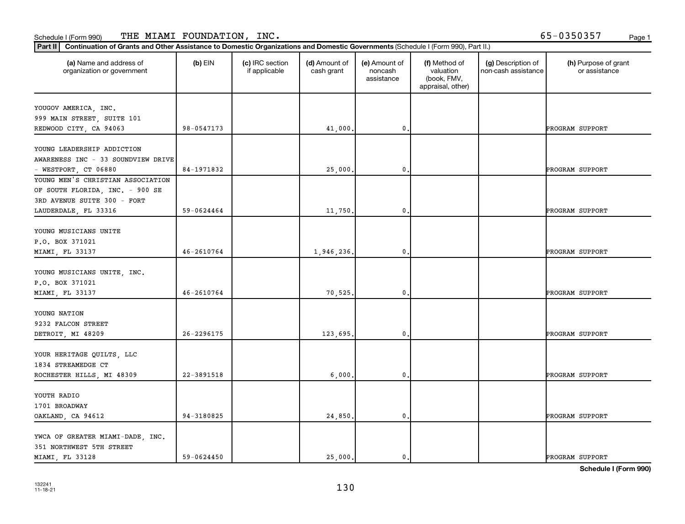| 55-0350357 |  |  |  |  | Page |
|------------|--|--|--|--|------|
|            |  |  |  |  |      |

| (a) Name and address of<br>organization or government | $(b)$ EIN      | (c) IRC section<br>if applicable | (d) Amount of<br>cash grant | (e) Amount of<br>noncash<br>assistance | (f) Method of<br>valuation<br>(book, FMV,<br>appraisal, other) | (g) Description of<br>non-cash assistance | (h) Purpose of grant<br>or assistance |
|-------------------------------------------------------|----------------|----------------------------------|-----------------------------|----------------------------------------|----------------------------------------------------------------|-------------------------------------------|---------------------------------------|
| YOUGOV AMERICA, INC.                                  |                |                                  |                             |                                        |                                                                |                                           |                                       |
| 999 MAIN STREET, SUITE 101                            |                |                                  |                             |                                        |                                                                |                                           |                                       |
| REDWOOD CITY, CA 94063                                | 98-0547173     |                                  | 41,000                      | $\mathbf 0$ .                          |                                                                |                                           | PROGRAM SUPPORT                       |
|                                                       |                |                                  |                             |                                        |                                                                |                                           |                                       |
| YOUNG LEADERSHIP ADDICTION                            |                |                                  |                             |                                        |                                                                |                                           |                                       |
| AWARENESS INC - 33 SOUNDVIEW DRIVE                    |                |                                  |                             |                                        |                                                                |                                           |                                       |
| - WESTPORT, CT 06880                                  | 84-1971832     |                                  | 25,000                      | 0                                      |                                                                |                                           | PROGRAM SUPPORT                       |
| YOUNG MEN'S CHRISTIAN ASSOCIATION                     |                |                                  |                             |                                        |                                                                |                                           |                                       |
| OF SOUTH FLORIDA, INC. - 900 SE                       |                |                                  |                             |                                        |                                                                |                                           |                                       |
| 3RD AVENUE SUITE 300 - FORT                           |                |                                  |                             |                                        |                                                                |                                           |                                       |
| LAUDERDALE, FL 33316                                  | 59-0624464     |                                  | 11,750.                     | 0.                                     |                                                                |                                           | PROGRAM SUPPORT                       |
|                                                       |                |                                  |                             |                                        |                                                                |                                           |                                       |
| YOUNG MUSICIANS UNITE                                 |                |                                  |                             |                                        |                                                                |                                           |                                       |
| P.O. BOX 371021                                       |                |                                  |                             |                                        |                                                                |                                           |                                       |
| MIAMI, FL 33137                                       | 46-2610764     |                                  | 1,946,236.                  | $\mathbf 0$                            |                                                                |                                           | PROGRAM SUPPORT                       |
|                                                       |                |                                  |                             |                                        |                                                                |                                           |                                       |
| YOUNG MUSICIANS UNITE, INC.                           |                |                                  |                             |                                        |                                                                |                                           |                                       |
| P.O. BOX 371021                                       |                |                                  |                             |                                        |                                                                |                                           |                                       |
| MIAMI, FL 33137                                       | 46-2610764     |                                  | 70,525.                     | $\mathbf 0$ .                          |                                                                |                                           | PROGRAM SUPPORT                       |
|                                                       |                |                                  |                             |                                        |                                                                |                                           |                                       |
| YOUNG NATION                                          |                |                                  |                             |                                        |                                                                |                                           |                                       |
| 9232 FALCON STREET                                    | $26 - 2296175$ |                                  | 123,695.                    | $\mathbf{0}$                           |                                                                |                                           | PROGRAM SUPPORT                       |
| DETROIT, MI 48209                                     |                |                                  |                             |                                        |                                                                |                                           |                                       |
| YOUR HERITAGE QUILTS, LLC                             |                |                                  |                             |                                        |                                                                |                                           |                                       |
| 1834 STREAMEDGE CT                                    |                |                                  |                             |                                        |                                                                |                                           |                                       |
| ROCHESTER HILLS, MI 48309                             | 22-3891518     |                                  | 6,000.                      | $\mathbf 0$ .                          |                                                                |                                           | PROGRAM SUPPORT                       |
|                                                       |                |                                  |                             |                                        |                                                                |                                           |                                       |
| YOUTH RADIO                                           |                |                                  |                             |                                        |                                                                |                                           |                                       |
| 1701 BROADWAY                                         |                |                                  |                             |                                        |                                                                |                                           |                                       |
| OAKLAND, CA 94612                                     | 94-3180825     |                                  | 24,850                      | $\mathbf{0}$                           |                                                                |                                           | PROGRAM SUPPORT                       |
|                                                       |                |                                  |                             |                                        |                                                                |                                           |                                       |
| YWCA OF GREATER MIAMI-DADE, INC.                      |                |                                  |                             |                                        |                                                                |                                           |                                       |
| 351 NORTHWEST 5TH STREET                              |                |                                  |                             |                                        |                                                                |                                           |                                       |
| MIAMI, FL 33128                                       | 59-0624450     |                                  | 25,000.                     | $\mathbf{0}$ .                         |                                                                |                                           | PROGRAM SUPPORT                       |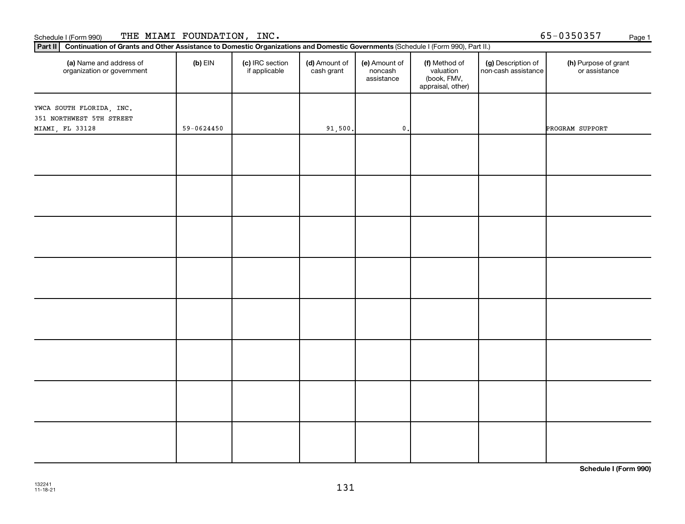| Schedule I (Form 990) | THE<br><b>MIAMI</b><br><b>FOUNDATION</b><br>INC. | - -<br>0350357<br><u>.</u><br>Page<br>ບປ |
|-----------------------|--------------------------------------------------|------------------------------------------|
|-----------------------|--------------------------------------------------|------------------------------------------|

| Part II   Continuation of Grants and Other Assistance to Domestic Organizations and Domestic Governments (Schedule I (Form 990), Part II.) |                |                                  |                             |                                        |                                                                |                                           |                                       |
|--------------------------------------------------------------------------------------------------------------------------------------------|----------------|----------------------------------|-----------------------------|----------------------------------------|----------------------------------------------------------------|-------------------------------------------|---------------------------------------|
| (a) Name and address of<br>organization or government                                                                                      | $(b)$ EIN      | (c) IRC section<br>if applicable | (d) Amount of<br>cash grant | (e) Amount of<br>noncash<br>assistance | (f) Method of<br>valuation<br>(book, FMV,<br>appraisal, other) | (g) Description of<br>non-cash assistance | (h) Purpose of grant<br>or assistance |
| YWCA SOUTH FLORIDA, INC.                                                                                                                   |                |                                  |                             |                                        |                                                                |                                           |                                       |
| 351 NORTHWEST 5TH STREET                                                                                                                   |                |                                  |                             |                                        |                                                                |                                           |                                       |
| MIAMI, FL 33128                                                                                                                            | $59 - 0624450$ |                                  | 91,500.                     | $\mathfrak o$ .                        |                                                                |                                           | PROGRAM SUPPORT                       |
|                                                                                                                                            |                |                                  |                             |                                        |                                                                |                                           |                                       |
|                                                                                                                                            |                |                                  |                             |                                        |                                                                |                                           |                                       |
|                                                                                                                                            |                |                                  |                             |                                        |                                                                |                                           |                                       |
|                                                                                                                                            |                |                                  |                             |                                        |                                                                |                                           |                                       |
|                                                                                                                                            |                |                                  |                             |                                        |                                                                |                                           |                                       |
|                                                                                                                                            |                |                                  |                             |                                        |                                                                |                                           |                                       |
|                                                                                                                                            |                |                                  |                             |                                        |                                                                |                                           |                                       |
|                                                                                                                                            |                |                                  |                             |                                        |                                                                |                                           |                                       |
|                                                                                                                                            |                |                                  |                             |                                        |                                                                |                                           |                                       |
|                                                                                                                                            |                |                                  |                             |                                        |                                                                |                                           |                                       |
|                                                                                                                                            |                |                                  |                             |                                        |                                                                |                                           |                                       |
|                                                                                                                                            |                |                                  |                             |                                        |                                                                |                                           |                                       |
|                                                                                                                                            |                |                                  |                             |                                        |                                                                |                                           |                                       |
|                                                                                                                                            |                |                                  |                             |                                        |                                                                |                                           |                                       |
|                                                                                                                                            |                |                                  |                             |                                        |                                                                |                                           |                                       |
|                                                                                                                                            |                |                                  |                             |                                        |                                                                |                                           |                                       |
|                                                                                                                                            |                |                                  |                             |                                        |                                                                |                                           |                                       |
|                                                                                                                                            |                |                                  |                             |                                        |                                                                |                                           |                                       |
|                                                                                                                                            |                |                                  |                             |                                        |                                                                |                                           |                                       |
|                                                                                                                                            |                |                                  |                             |                                        |                                                                |                                           |                                       |
|                                                                                                                                            |                |                                  |                             |                                        |                                                                |                                           |                                       |
|                                                                                                                                            |                |                                  |                             |                                        |                                                                |                                           |                                       |
|                                                                                                                                            |                |                                  |                             |                                        |                                                                |                                           |                                       |
|                                                                                                                                            |                |                                  |                             |                                        |                                                                |                                           |                                       |
|                                                                                                                                            |                |                                  |                             |                                        |                                                                |                                           |                                       |
|                                                                                                                                            |                |                                  |                             |                                        |                                                                |                                           |                                       |
|                                                                                                                                            |                |                                  |                             |                                        |                                                                |                                           |                                       |
|                                                                                                                                            |                |                                  |                             |                                        |                                                                |                                           |                                       |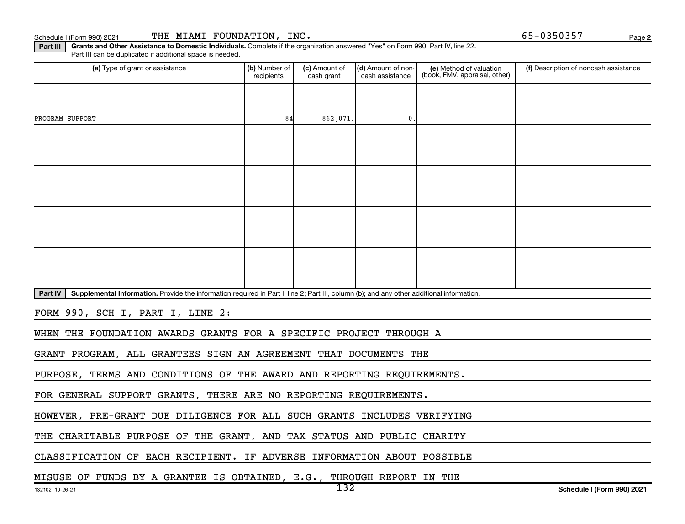**2**

**Part III | Grants and Other Assistance to Domestic Individuals.** Complete if the organization answered "Yes" on Form 990, Part IV, line 22. Part III can be duplicated if additional space is needed.

| (a) Type of grant or assistance                                                                                                                      | (b) Number of<br>recipients | (c) Amount of<br>cash grant | (d) Amount of non-<br>cash assistance | (e) Method of valuation<br>(book, FMV, appraisal, other) | (f) Description of noncash assistance |  |  |  |  |  |
|------------------------------------------------------------------------------------------------------------------------------------------------------|-----------------------------|-----------------------------|---------------------------------------|----------------------------------------------------------|---------------------------------------|--|--|--|--|--|
|                                                                                                                                                      |                             |                             |                                       |                                                          |                                       |  |  |  |  |  |
| PROGRAM SUPPORT                                                                                                                                      | 84                          | 862,071.                    | 0.                                    |                                                          |                                       |  |  |  |  |  |
|                                                                                                                                                      |                             |                             |                                       |                                                          |                                       |  |  |  |  |  |
|                                                                                                                                                      |                             |                             |                                       |                                                          |                                       |  |  |  |  |  |
|                                                                                                                                                      |                             |                             |                                       |                                                          |                                       |  |  |  |  |  |
|                                                                                                                                                      |                             |                             |                                       |                                                          |                                       |  |  |  |  |  |
|                                                                                                                                                      |                             |                             |                                       |                                                          |                                       |  |  |  |  |  |
|                                                                                                                                                      |                             |                             |                                       |                                                          |                                       |  |  |  |  |  |
|                                                                                                                                                      |                             |                             |                                       |                                                          |                                       |  |  |  |  |  |
|                                                                                                                                                      |                             |                             |                                       |                                                          |                                       |  |  |  |  |  |
| Supplemental Information. Provide the information required in Part I, line 2; Part III, column (b); and any other additional information.<br>Part IV |                             |                             |                                       |                                                          |                                       |  |  |  |  |  |
| FORM 990, SCH I, PART I, LINE 2:                                                                                                                     |                             |                             |                                       |                                                          |                                       |  |  |  |  |  |
| WHEN THE FOUNDATION AWARDS GRANTS FOR A SPECIFIC PROJECT THROUGH A                                                                                   |                             |                             |                                       |                                                          |                                       |  |  |  |  |  |

GRANT PROGRAM, ALL GRANTEES SIGN AN AGREEMENT THAT DOCUMENTS THE

PURPOSE, TERMS AND CONDITIONS OF THE AWARD AND REPORTING REQUIREMENTS.

FOR GENERAL SUPPORT GRANTS, THERE ARE NO REPORTING REQUIREMENTS.

HOWEVER, PRE-GRANT DUE DILIGENCE FOR ALL SUCH GRANTS INCLUDES VERIFYING

THE CHARITABLE PURPOSE OF THE GRANT, AND TAX STATUS AND PUBLIC CHARITY

CLASSIFICATION OF EACH RECIPIENT. IF ADVERSE INFORMATION ABOUT POSSIBLE

MISUSE OF FUNDS BY A GRANTEE IS OBTAINED, E.G., THROUGH REPORT IN THE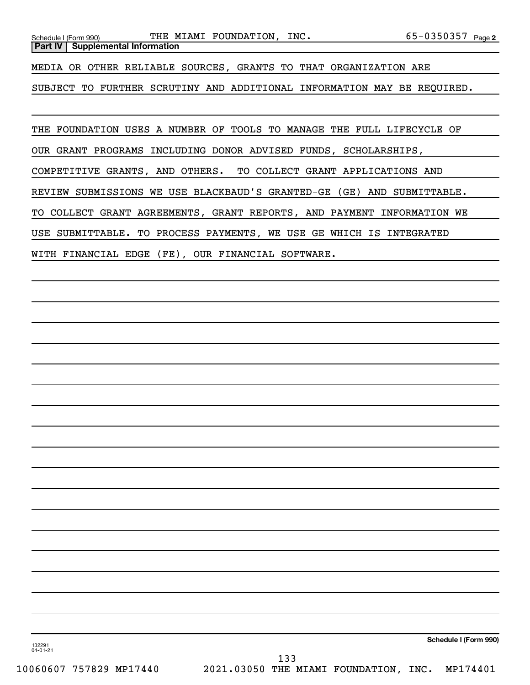| Schedule I (Form 990) |  |                                         | THE MIAMI FOUNDATION, | $INC$ . |                                                                  | 65-0350357 | Page 2 |
|-----------------------|--|-----------------------------------------|-----------------------|---------|------------------------------------------------------------------|------------|--------|
|                       |  | <b>Part IV Supplemental Information</b> |                       |         |                                                                  |            |        |
|                       |  |                                         |                       |         |                                                                  |            |        |
|                       |  |                                         |                       |         | MEDIA OR OTHER RELIABLE SOURCES, GRANTS TO THAT ORGANIZATION ARE |            |        |

SUBJECT TO FURTHER SCRUTINY AND ADDITIONAL INFORMATION MAY BE REQUIRED.

THE FOUNDATION USES A NUMBER OF TOOLS TO MANAGE THE FULL LIFECYCLE OF

OUR GRANT PROGRAMS INCLUDING DONOR ADVISED FUNDS, SCHOLARSHIPS,

COMPETITIVE GRANTS, AND OTHERS. TO COLLECT GRANT APPLICATIONS AND

REVIEW SUBMISSIONS WE USE BLACKBAUD'S GRANTED-GE (GE) AND SUBMITTABLE.

TO COLLECT GRANT AGREEMENTS, GRANT REPORTS, AND PAYMENT INFORMATION WE

USE SUBMITTABLE. TO PROCESS PAYMENTS, WE USE GE WHICH IS INTEGRATED

WITH FINANCIAL EDGE (FE), OUR FINANCIAL SOFTWARE.

**Schedule I (Form 990)**

132291 04-01-21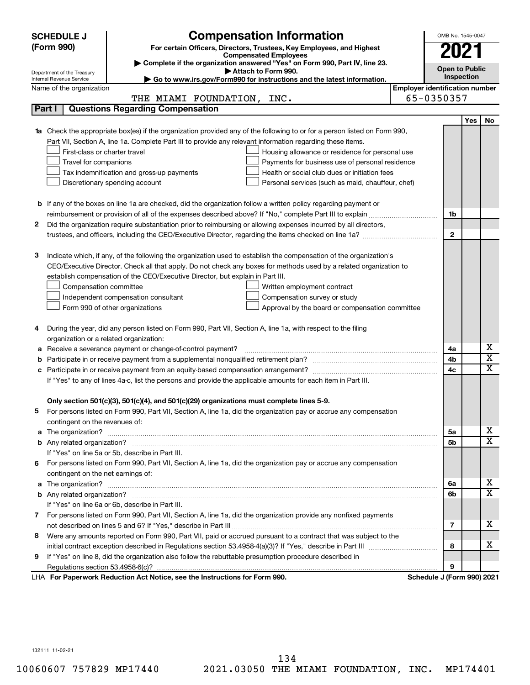| <b>Compensation Information</b><br>(Form 990)<br>For certain Officers, Directors, Trustees, Key Employees, and Highest<br>2021<br><b>Compensated Employees</b><br>Complete if the organization answered "Yes" on Form 990, Part IV, line 23.<br><b>Open to Public</b><br>Attach to Form 990.<br>Department of the Treasury<br>Inspection<br>Go to www.irs.gov/Form990 for instructions and the latest information.<br>Internal Revenue Service<br><b>Employer identification number</b><br>Name of the organization<br>65-0350357<br>THE MIAMI FOUNDATION, INC.<br>Part I<br><b>Questions Regarding Compensation</b><br><b>Yes</b><br>Check the appropriate box(es) if the organization provided any of the following to or for a person listed on Form 990,<br>1a<br>Part VII, Section A, line 1a. Complete Part III to provide any relevant information regarding these items.<br>First-class or charter travel<br>Housing allowance or residence for personal use<br>Travel for companions<br>Payments for business use of personal residence<br>Health or social club dues or initiation fees<br>Tax indemnification and gross-up payments<br>Discretionary spending account<br>Personal services (such as maid, chauffeur, chef)<br><b>b</b> If any of the boxes on line 1a are checked, did the organization follow a written policy regarding payment or<br>1b<br>Did the organization require substantiation prior to reimbursing or allowing expenses incurred by all directors,<br>2<br>$\mathbf{2}$<br>з<br>Indicate which, if any, of the following the organization used to establish the compensation of the organization's<br>CEO/Executive Director. Check all that apply. Do not check any boxes for methods used by a related organization to<br>establish compensation of the CEO/Executive Director, but explain in Part III.<br>Compensation committee<br>Written employment contract<br>Independent compensation consultant<br>Compensation survey or study<br>Form 990 of other organizations<br>Approval by the board or compensation committee<br>During the year, did any person listed on Form 990, Part VII, Section A, line 1a, with respect to the filing<br>4<br>organization or a related organization:<br>Receive a severance payment or change-of-control payment?<br>4a<br>а<br>4b<br>b<br>4c<br>c<br>If "Yes" to any of lines 4a-c, list the persons and provide the applicable amounts for each item in Part III.<br>Only section 501(c)(3), 501(c)(4), and 501(c)(29) organizations must complete lines 5-9.<br>For persons listed on Form 990, Part VII, Section A, line 1a, did the organization pay or accrue any compensation<br>contingent on the revenues of:<br>5a<br>5b<br>If "Yes" on line 5a or 5b, describe in Part III. |                         |
|---------------------------------------------------------------------------------------------------------------------------------------------------------------------------------------------------------------------------------------------------------------------------------------------------------------------------------------------------------------------------------------------------------------------------------------------------------------------------------------------------------------------------------------------------------------------------------------------------------------------------------------------------------------------------------------------------------------------------------------------------------------------------------------------------------------------------------------------------------------------------------------------------------------------------------------------------------------------------------------------------------------------------------------------------------------------------------------------------------------------------------------------------------------------------------------------------------------------------------------------------------------------------------------------------------------------------------------------------------------------------------------------------------------------------------------------------------------------------------------------------------------------------------------------------------------------------------------------------------------------------------------------------------------------------------------------------------------------------------------------------------------------------------------------------------------------------------------------------------------------------------------------------------------------------------------------------------------------------------------------------------------------------------------------------------------------------------------------------------------------------------------------------------------------------------------------------------------------------------------------------------------------------------------------------------------------------------------------------------------------------------------------------------------------------------------------------------------------------------------------------------------------------------------------------------------------------------------------------------------------------------------------------------------------------------------------------------------------------------------------------------------------------|-------------------------|
|                                                                                                                                                                                                                                                                                                                                                                                                                                                                                                                                                                                                                                                                                                                                                                                                                                                                                                                                                                                                                                                                                                                                                                                                                                                                                                                                                                                                                                                                                                                                                                                                                                                                                                                                                                                                                                                                                                                                                                                                                                                                                                                                                                                                                                                                                                                                                                                                                                                                                                                                                                                                                                                                                                                                                                           |                         |
|                                                                                                                                                                                                                                                                                                                                                                                                                                                                                                                                                                                                                                                                                                                                                                                                                                                                                                                                                                                                                                                                                                                                                                                                                                                                                                                                                                                                                                                                                                                                                                                                                                                                                                                                                                                                                                                                                                                                                                                                                                                                                                                                                                                                                                                                                                                                                                                                                                                                                                                                                                                                                                                                                                                                                                           |                         |
|                                                                                                                                                                                                                                                                                                                                                                                                                                                                                                                                                                                                                                                                                                                                                                                                                                                                                                                                                                                                                                                                                                                                                                                                                                                                                                                                                                                                                                                                                                                                                                                                                                                                                                                                                                                                                                                                                                                                                                                                                                                                                                                                                                                                                                                                                                                                                                                                                                                                                                                                                                                                                                                                                                                                                                           |                         |
|                                                                                                                                                                                                                                                                                                                                                                                                                                                                                                                                                                                                                                                                                                                                                                                                                                                                                                                                                                                                                                                                                                                                                                                                                                                                                                                                                                                                                                                                                                                                                                                                                                                                                                                                                                                                                                                                                                                                                                                                                                                                                                                                                                                                                                                                                                                                                                                                                                                                                                                                                                                                                                                                                                                                                                           |                         |
|                                                                                                                                                                                                                                                                                                                                                                                                                                                                                                                                                                                                                                                                                                                                                                                                                                                                                                                                                                                                                                                                                                                                                                                                                                                                                                                                                                                                                                                                                                                                                                                                                                                                                                                                                                                                                                                                                                                                                                                                                                                                                                                                                                                                                                                                                                                                                                                                                                                                                                                                                                                                                                                                                                                                                                           |                         |
|                                                                                                                                                                                                                                                                                                                                                                                                                                                                                                                                                                                                                                                                                                                                                                                                                                                                                                                                                                                                                                                                                                                                                                                                                                                                                                                                                                                                                                                                                                                                                                                                                                                                                                                                                                                                                                                                                                                                                                                                                                                                                                                                                                                                                                                                                                                                                                                                                                                                                                                                                                                                                                                                                                                                                                           |                         |
|                                                                                                                                                                                                                                                                                                                                                                                                                                                                                                                                                                                                                                                                                                                                                                                                                                                                                                                                                                                                                                                                                                                                                                                                                                                                                                                                                                                                                                                                                                                                                                                                                                                                                                                                                                                                                                                                                                                                                                                                                                                                                                                                                                                                                                                                                                                                                                                                                                                                                                                                                                                                                                                                                                                                                                           |                         |
|                                                                                                                                                                                                                                                                                                                                                                                                                                                                                                                                                                                                                                                                                                                                                                                                                                                                                                                                                                                                                                                                                                                                                                                                                                                                                                                                                                                                                                                                                                                                                                                                                                                                                                                                                                                                                                                                                                                                                                                                                                                                                                                                                                                                                                                                                                                                                                                                                                                                                                                                                                                                                                                                                                                                                                           | No                      |
|                                                                                                                                                                                                                                                                                                                                                                                                                                                                                                                                                                                                                                                                                                                                                                                                                                                                                                                                                                                                                                                                                                                                                                                                                                                                                                                                                                                                                                                                                                                                                                                                                                                                                                                                                                                                                                                                                                                                                                                                                                                                                                                                                                                                                                                                                                                                                                                                                                                                                                                                                                                                                                                                                                                                                                           |                         |
|                                                                                                                                                                                                                                                                                                                                                                                                                                                                                                                                                                                                                                                                                                                                                                                                                                                                                                                                                                                                                                                                                                                                                                                                                                                                                                                                                                                                                                                                                                                                                                                                                                                                                                                                                                                                                                                                                                                                                                                                                                                                                                                                                                                                                                                                                                                                                                                                                                                                                                                                                                                                                                                                                                                                                                           |                         |
|                                                                                                                                                                                                                                                                                                                                                                                                                                                                                                                                                                                                                                                                                                                                                                                                                                                                                                                                                                                                                                                                                                                                                                                                                                                                                                                                                                                                                                                                                                                                                                                                                                                                                                                                                                                                                                                                                                                                                                                                                                                                                                                                                                                                                                                                                                                                                                                                                                                                                                                                                                                                                                                                                                                                                                           |                         |
|                                                                                                                                                                                                                                                                                                                                                                                                                                                                                                                                                                                                                                                                                                                                                                                                                                                                                                                                                                                                                                                                                                                                                                                                                                                                                                                                                                                                                                                                                                                                                                                                                                                                                                                                                                                                                                                                                                                                                                                                                                                                                                                                                                                                                                                                                                                                                                                                                                                                                                                                                                                                                                                                                                                                                                           |                         |
|                                                                                                                                                                                                                                                                                                                                                                                                                                                                                                                                                                                                                                                                                                                                                                                                                                                                                                                                                                                                                                                                                                                                                                                                                                                                                                                                                                                                                                                                                                                                                                                                                                                                                                                                                                                                                                                                                                                                                                                                                                                                                                                                                                                                                                                                                                                                                                                                                                                                                                                                                                                                                                                                                                                                                                           |                         |
|                                                                                                                                                                                                                                                                                                                                                                                                                                                                                                                                                                                                                                                                                                                                                                                                                                                                                                                                                                                                                                                                                                                                                                                                                                                                                                                                                                                                                                                                                                                                                                                                                                                                                                                                                                                                                                                                                                                                                                                                                                                                                                                                                                                                                                                                                                                                                                                                                                                                                                                                                                                                                                                                                                                                                                           |                         |
|                                                                                                                                                                                                                                                                                                                                                                                                                                                                                                                                                                                                                                                                                                                                                                                                                                                                                                                                                                                                                                                                                                                                                                                                                                                                                                                                                                                                                                                                                                                                                                                                                                                                                                                                                                                                                                                                                                                                                                                                                                                                                                                                                                                                                                                                                                                                                                                                                                                                                                                                                                                                                                                                                                                                                                           |                         |
|                                                                                                                                                                                                                                                                                                                                                                                                                                                                                                                                                                                                                                                                                                                                                                                                                                                                                                                                                                                                                                                                                                                                                                                                                                                                                                                                                                                                                                                                                                                                                                                                                                                                                                                                                                                                                                                                                                                                                                                                                                                                                                                                                                                                                                                                                                                                                                                                                                                                                                                                                                                                                                                                                                                                                                           |                         |
|                                                                                                                                                                                                                                                                                                                                                                                                                                                                                                                                                                                                                                                                                                                                                                                                                                                                                                                                                                                                                                                                                                                                                                                                                                                                                                                                                                                                                                                                                                                                                                                                                                                                                                                                                                                                                                                                                                                                                                                                                                                                                                                                                                                                                                                                                                                                                                                                                                                                                                                                                                                                                                                                                                                                                                           |                         |
|                                                                                                                                                                                                                                                                                                                                                                                                                                                                                                                                                                                                                                                                                                                                                                                                                                                                                                                                                                                                                                                                                                                                                                                                                                                                                                                                                                                                                                                                                                                                                                                                                                                                                                                                                                                                                                                                                                                                                                                                                                                                                                                                                                                                                                                                                                                                                                                                                                                                                                                                                                                                                                                                                                                                                                           |                         |
|                                                                                                                                                                                                                                                                                                                                                                                                                                                                                                                                                                                                                                                                                                                                                                                                                                                                                                                                                                                                                                                                                                                                                                                                                                                                                                                                                                                                                                                                                                                                                                                                                                                                                                                                                                                                                                                                                                                                                                                                                                                                                                                                                                                                                                                                                                                                                                                                                                                                                                                                                                                                                                                                                                                                                                           |                         |
|                                                                                                                                                                                                                                                                                                                                                                                                                                                                                                                                                                                                                                                                                                                                                                                                                                                                                                                                                                                                                                                                                                                                                                                                                                                                                                                                                                                                                                                                                                                                                                                                                                                                                                                                                                                                                                                                                                                                                                                                                                                                                                                                                                                                                                                                                                                                                                                                                                                                                                                                                                                                                                                                                                                                                                           |                         |
|                                                                                                                                                                                                                                                                                                                                                                                                                                                                                                                                                                                                                                                                                                                                                                                                                                                                                                                                                                                                                                                                                                                                                                                                                                                                                                                                                                                                                                                                                                                                                                                                                                                                                                                                                                                                                                                                                                                                                                                                                                                                                                                                                                                                                                                                                                                                                                                                                                                                                                                                                                                                                                                                                                                                                                           |                         |
|                                                                                                                                                                                                                                                                                                                                                                                                                                                                                                                                                                                                                                                                                                                                                                                                                                                                                                                                                                                                                                                                                                                                                                                                                                                                                                                                                                                                                                                                                                                                                                                                                                                                                                                                                                                                                                                                                                                                                                                                                                                                                                                                                                                                                                                                                                                                                                                                                                                                                                                                                                                                                                                                                                                                                                           |                         |
|                                                                                                                                                                                                                                                                                                                                                                                                                                                                                                                                                                                                                                                                                                                                                                                                                                                                                                                                                                                                                                                                                                                                                                                                                                                                                                                                                                                                                                                                                                                                                                                                                                                                                                                                                                                                                                                                                                                                                                                                                                                                                                                                                                                                                                                                                                                                                                                                                                                                                                                                                                                                                                                                                                                                                                           |                         |
|                                                                                                                                                                                                                                                                                                                                                                                                                                                                                                                                                                                                                                                                                                                                                                                                                                                                                                                                                                                                                                                                                                                                                                                                                                                                                                                                                                                                                                                                                                                                                                                                                                                                                                                                                                                                                                                                                                                                                                                                                                                                                                                                                                                                                                                                                                                                                                                                                                                                                                                                                                                                                                                                                                                                                                           |                         |
|                                                                                                                                                                                                                                                                                                                                                                                                                                                                                                                                                                                                                                                                                                                                                                                                                                                                                                                                                                                                                                                                                                                                                                                                                                                                                                                                                                                                                                                                                                                                                                                                                                                                                                                                                                                                                                                                                                                                                                                                                                                                                                                                                                                                                                                                                                                                                                                                                                                                                                                                                                                                                                                                                                                                                                           |                         |
|                                                                                                                                                                                                                                                                                                                                                                                                                                                                                                                                                                                                                                                                                                                                                                                                                                                                                                                                                                                                                                                                                                                                                                                                                                                                                                                                                                                                                                                                                                                                                                                                                                                                                                                                                                                                                                                                                                                                                                                                                                                                                                                                                                                                                                                                                                                                                                                                                                                                                                                                                                                                                                                                                                                                                                           |                         |
|                                                                                                                                                                                                                                                                                                                                                                                                                                                                                                                                                                                                                                                                                                                                                                                                                                                                                                                                                                                                                                                                                                                                                                                                                                                                                                                                                                                                                                                                                                                                                                                                                                                                                                                                                                                                                                                                                                                                                                                                                                                                                                                                                                                                                                                                                                                                                                                                                                                                                                                                                                                                                                                                                                                                                                           |                         |
|                                                                                                                                                                                                                                                                                                                                                                                                                                                                                                                                                                                                                                                                                                                                                                                                                                                                                                                                                                                                                                                                                                                                                                                                                                                                                                                                                                                                                                                                                                                                                                                                                                                                                                                                                                                                                                                                                                                                                                                                                                                                                                                                                                                                                                                                                                                                                                                                                                                                                                                                                                                                                                                                                                                                                                           |                         |
|                                                                                                                                                                                                                                                                                                                                                                                                                                                                                                                                                                                                                                                                                                                                                                                                                                                                                                                                                                                                                                                                                                                                                                                                                                                                                                                                                                                                                                                                                                                                                                                                                                                                                                                                                                                                                                                                                                                                                                                                                                                                                                                                                                                                                                                                                                                                                                                                                                                                                                                                                                                                                                                                                                                                                                           | х                       |
|                                                                                                                                                                                                                                                                                                                                                                                                                                                                                                                                                                                                                                                                                                                                                                                                                                                                                                                                                                                                                                                                                                                                                                                                                                                                                                                                                                                                                                                                                                                                                                                                                                                                                                                                                                                                                                                                                                                                                                                                                                                                                                                                                                                                                                                                                                                                                                                                                                                                                                                                                                                                                                                                                                                                                                           | $\overline{\textbf{x}}$ |
|                                                                                                                                                                                                                                                                                                                                                                                                                                                                                                                                                                                                                                                                                                                                                                                                                                                                                                                                                                                                                                                                                                                                                                                                                                                                                                                                                                                                                                                                                                                                                                                                                                                                                                                                                                                                                                                                                                                                                                                                                                                                                                                                                                                                                                                                                                                                                                                                                                                                                                                                                                                                                                                                                                                                                                           | X                       |
|                                                                                                                                                                                                                                                                                                                                                                                                                                                                                                                                                                                                                                                                                                                                                                                                                                                                                                                                                                                                                                                                                                                                                                                                                                                                                                                                                                                                                                                                                                                                                                                                                                                                                                                                                                                                                                                                                                                                                                                                                                                                                                                                                                                                                                                                                                                                                                                                                                                                                                                                                                                                                                                                                                                                                                           |                         |
|                                                                                                                                                                                                                                                                                                                                                                                                                                                                                                                                                                                                                                                                                                                                                                                                                                                                                                                                                                                                                                                                                                                                                                                                                                                                                                                                                                                                                                                                                                                                                                                                                                                                                                                                                                                                                                                                                                                                                                                                                                                                                                                                                                                                                                                                                                                                                                                                                                                                                                                                                                                                                                                                                                                                                                           |                         |
|                                                                                                                                                                                                                                                                                                                                                                                                                                                                                                                                                                                                                                                                                                                                                                                                                                                                                                                                                                                                                                                                                                                                                                                                                                                                                                                                                                                                                                                                                                                                                                                                                                                                                                                                                                                                                                                                                                                                                                                                                                                                                                                                                                                                                                                                                                                                                                                                                                                                                                                                                                                                                                                                                                                                                                           |                         |
|                                                                                                                                                                                                                                                                                                                                                                                                                                                                                                                                                                                                                                                                                                                                                                                                                                                                                                                                                                                                                                                                                                                                                                                                                                                                                                                                                                                                                                                                                                                                                                                                                                                                                                                                                                                                                                                                                                                                                                                                                                                                                                                                                                                                                                                                                                                                                                                                                                                                                                                                                                                                                                                                                                                                                                           |                         |
|                                                                                                                                                                                                                                                                                                                                                                                                                                                                                                                                                                                                                                                                                                                                                                                                                                                                                                                                                                                                                                                                                                                                                                                                                                                                                                                                                                                                                                                                                                                                                                                                                                                                                                                                                                                                                                                                                                                                                                                                                                                                                                                                                                                                                                                                                                                                                                                                                                                                                                                                                                                                                                                                                                                                                                           |                         |
|                                                                                                                                                                                                                                                                                                                                                                                                                                                                                                                                                                                                                                                                                                                                                                                                                                                                                                                                                                                                                                                                                                                                                                                                                                                                                                                                                                                                                                                                                                                                                                                                                                                                                                                                                                                                                                                                                                                                                                                                                                                                                                                                                                                                                                                                                                                                                                                                                                                                                                                                                                                                                                                                                                                                                                           | х<br>X                  |
|                                                                                                                                                                                                                                                                                                                                                                                                                                                                                                                                                                                                                                                                                                                                                                                                                                                                                                                                                                                                                                                                                                                                                                                                                                                                                                                                                                                                                                                                                                                                                                                                                                                                                                                                                                                                                                                                                                                                                                                                                                                                                                                                                                                                                                                                                                                                                                                                                                                                                                                                                                                                                                                                                                                                                                           |                         |
|                                                                                                                                                                                                                                                                                                                                                                                                                                                                                                                                                                                                                                                                                                                                                                                                                                                                                                                                                                                                                                                                                                                                                                                                                                                                                                                                                                                                                                                                                                                                                                                                                                                                                                                                                                                                                                                                                                                                                                                                                                                                                                                                                                                                                                                                                                                                                                                                                                                                                                                                                                                                                                                                                                                                                                           |                         |
| For persons listed on Form 990, Part VII, Section A, line 1a, did the organization pay or accrue any compensation<br>6.<br>contingent on the net earnings of:                                                                                                                                                                                                                                                                                                                                                                                                                                                                                                                                                                                                                                                                                                                                                                                                                                                                                                                                                                                                                                                                                                                                                                                                                                                                                                                                                                                                                                                                                                                                                                                                                                                                                                                                                                                                                                                                                                                                                                                                                                                                                                                                                                                                                                                                                                                                                                                                                                                                                                                                                                                                             |                         |
| 6a                                                                                                                                                                                                                                                                                                                                                                                                                                                                                                                                                                                                                                                                                                                                                                                                                                                                                                                                                                                                                                                                                                                                                                                                                                                                                                                                                                                                                                                                                                                                                                                                                                                                                                                                                                                                                                                                                                                                                                                                                                                                                                                                                                                                                                                                                                                                                                                                                                                                                                                                                                                                                                                                                                                                                                        | х                       |
| 6b                                                                                                                                                                                                                                                                                                                                                                                                                                                                                                                                                                                                                                                                                                                                                                                                                                                                                                                                                                                                                                                                                                                                                                                                                                                                                                                                                                                                                                                                                                                                                                                                                                                                                                                                                                                                                                                                                                                                                                                                                                                                                                                                                                                                                                                                                                                                                                                                                                                                                                                                                                                                                                                                                                                                                                        | $\overline{\mathbf{X}}$ |
| If "Yes" on line 6a or 6b, describe in Part III.                                                                                                                                                                                                                                                                                                                                                                                                                                                                                                                                                                                                                                                                                                                                                                                                                                                                                                                                                                                                                                                                                                                                                                                                                                                                                                                                                                                                                                                                                                                                                                                                                                                                                                                                                                                                                                                                                                                                                                                                                                                                                                                                                                                                                                                                                                                                                                                                                                                                                                                                                                                                                                                                                                                          |                         |
| 7 For persons listed on Form 990, Part VII, Section A, line 1a, did the organization provide any nonfixed payments                                                                                                                                                                                                                                                                                                                                                                                                                                                                                                                                                                                                                                                                                                                                                                                                                                                                                                                                                                                                                                                                                                                                                                                                                                                                                                                                                                                                                                                                                                                                                                                                                                                                                                                                                                                                                                                                                                                                                                                                                                                                                                                                                                                                                                                                                                                                                                                                                                                                                                                                                                                                                                                        |                         |
| 7                                                                                                                                                                                                                                                                                                                                                                                                                                                                                                                                                                                                                                                                                                                                                                                                                                                                                                                                                                                                                                                                                                                                                                                                                                                                                                                                                                                                                                                                                                                                                                                                                                                                                                                                                                                                                                                                                                                                                                                                                                                                                                                                                                                                                                                                                                                                                                                                                                                                                                                                                                                                                                                                                                                                                                         | x                       |
| Were any amounts reported on Form 990, Part VII, paid or accrued pursuant to a contract that was subject to the<br>8                                                                                                                                                                                                                                                                                                                                                                                                                                                                                                                                                                                                                                                                                                                                                                                                                                                                                                                                                                                                                                                                                                                                                                                                                                                                                                                                                                                                                                                                                                                                                                                                                                                                                                                                                                                                                                                                                                                                                                                                                                                                                                                                                                                                                                                                                                                                                                                                                                                                                                                                                                                                                                                      |                         |
| 8                                                                                                                                                                                                                                                                                                                                                                                                                                                                                                                                                                                                                                                                                                                                                                                                                                                                                                                                                                                                                                                                                                                                                                                                                                                                                                                                                                                                                                                                                                                                                                                                                                                                                                                                                                                                                                                                                                                                                                                                                                                                                                                                                                                                                                                                                                                                                                                                                                                                                                                                                                                                                                                                                                                                                                         | x                       |
| If "Yes" on line 8, did the organization also follow the rebuttable presumption procedure described in<br>9                                                                                                                                                                                                                                                                                                                                                                                                                                                                                                                                                                                                                                                                                                                                                                                                                                                                                                                                                                                                                                                                                                                                                                                                                                                                                                                                                                                                                                                                                                                                                                                                                                                                                                                                                                                                                                                                                                                                                                                                                                                                                                                                                                                                                                                                                                                                                                                                                                                                                                                                                                                                                                                               |                         |
| 9                                                                                                                                                                                                                                                                                                                                                                                                                                                                                                                                                                                                                                                                                                                                                                                                                                                                                                                                                                                                                                                                                                                                                                                                                                                                                                                                                                                                                                                                                                                                                                                                                                                                                                                                                                                                                                                                                                                                                                                                                                                                                                                                                                                                                                                                                                                                                                                                                                                                                                                                                                                                                                                                                                                                                                         |                         |
| LHA For Paperwork Reduction Act Notice, see the Instructions for Form 990.<br>Schedule J (Form 990) 2021                                                                                                                                                                                                                                                                                                                                                                                                                                                                                                                                                                                                                                                                                                                                                                                                                                                                                                                                                                                                                                                                                                                                                                                                                                                                                                                                                                                                                                                                                                                                                                                                                                                                                                                                                                                                                                                                                                                                                                                                                                                                                                                                                                                                                                                                                                                                                                                                                                                                                                                                                                                                                                                                  |                         |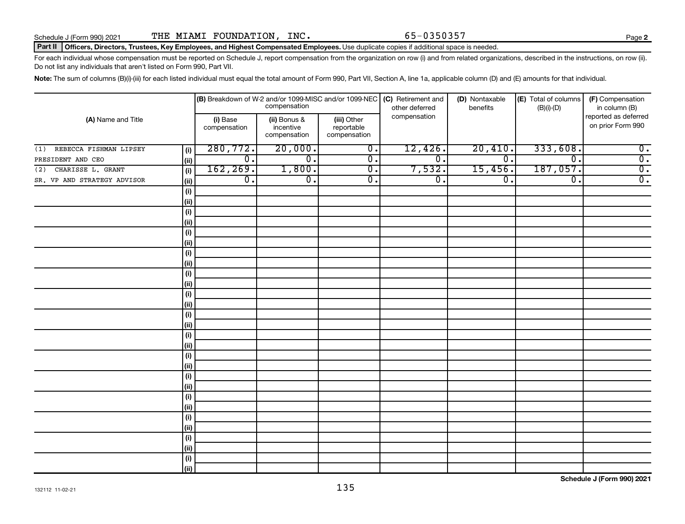#### Part II | Officers, Directors, Trustees, Key Employees, and Highest Compensated Employees. Use duplicate copies if additional space is needed.

For each individual whose compensation must be reported on Schedule J, report compensation from the organization on row (i) and from related organizations, described in the instructions, on row (ii). Do not list any individuals that aren't listed on Form 990, Part VII.

Note: The sum of columns (B)(i)-(iii) for each listed individual must equal the total amount of Form 990, Part VII, Section A, line 1a, applicable column (D) and (E) amounts for that individual.

|                               |             |                          | (B) Breakdown of W-2 and/or 1099-MISC and/or 1099-NEC<br>compensation |                                           | (C) Retirement and<br>other deferred | (D) Nontaxable<br>benefits | (E) Total of columns<br>$(B)(i)-(D)$ | (F) Compensation<br>in column (B)         |
|-------------------------------|-------------|--------------------------|-----------------------------------------------------------------------|-------------------------------------------|--------------------------------------|----------------------------|--------------------------------------|-------------------------------------------|
| (A) Name and Title            |             | (i) Base<br>compensation | (ii) Bonus &<br>incentive<br>compensation                             | (iii) Other<br>reportable<br>compensation | compensation                         |                            |                                      | reported as deferred<br>on prior Form 990 |
| REBECCA FISHMAN LIPSEY<br>(1) | (i)         | 280,772.                 | 20,000.                                                               | $\overline{0}$ .                          | 12,426.                              | 20,410.                    | 333,608.                             | $\overline{0}$ .                          |
| PRESIDENT AND CEO             | (ii)        | $\overline{0}$ .         | $\overline{0}$ .                                                      | $\overline{0}$ .                          | $\overline{0}$ .                     | $\overline{0}$ .           | $\overline{\mathfrak{o}}$ .          | $\overline{0}$ .                          |
| CHARISSE L. GRANT<br>(2)      | (i)         | 162, 269.                | 1,800.                                                                | $\overline{0}$ .                          | 7,532.                               | 15,456.                    | 187,057.                             | $\overline{0}$ .                          |
| SR. VP AND STRATEGY ADVISOR   | (ii)        | $\overline{0}$ .         | $\overline{\mathfrak{o}}$ .                                           | $\overline{0}$ .                          | $\overline{\mathfrak{o}}$ .          | $\overline{0}$ .           | $\overline{0}$ .                     | $\overline{0}$ .                          |
|                               | (i)         |                          |                                                                       |                                           |                                      |                            |                                      |                                           |
|                               | (ii)        |                          |                                                                       |                                           |                                      |                            |                                      |                                           |
|                               | (i)         |                          |                                                                       |                                           |                                      |                            |                                      |                                           |
|                               | (ii)        |                          |                                                                       |                                           |                                      |                            |                                      |                                           |
|                               | (i)         |                          |                                                                       |                                           |                                      |                            |                                      |                                           |
|                               | (ii)        |                          |                                                                       |                                           |                                      |                            |                                      |                                           |
|                               | (i)         |                          |                                                                       |                                           |                                      |                            |                                      |                                           |
|                               | (ii)        |                          |                                                                       |                                           |                                      |                            |                                      |                                           |
|                               | (i)         |                          |                                                                       |                                           |                                      |                            |                                      |                                           |
|                               | (ii)        |                          |                                                                       |                                           |                                      |                            |                                      |                                           |
|                               | (i)         |                          |                                                                       |                                           |                                      |                            |                                      |                                           |
|                               | (ii)        |                          |                                                                       |                                           |                                      |                            |                                      |                                           |
|                               | (i)         |                          |                                                                       |                                           |                                      |                            |                                      |                                           |
|                               | (ii)        |                          |                                                                       |                                           |                                      |                            |                                      |                                           |
|                               | (i)<br>(ii) |                          |                                                                       |                                           |                                      |                            |                                      |                                           |
|                               | (i)         |                          |                                                                       |                                           |                                      |                            |                                      |                                           |
|                               | (ii)        |                          |                                                                       |                                           |                                      |                            |                                      |                                           |
|                               | (i)         |                          |                                                                       |                                           |                                      |                            |                                      |                                           |
|                               | (ii)        |                          |                                                                       |                                           |                                      |                            |                                      |                                           |
|                               | (i)         |                          |                                                                       |                                           |                                      |                            |                                      |                                           |
|                               | (ii)        |                          |                                                                       |                                           |                                      |                            |                                      |                                           |
|                               | (i)         |                          |                                                                       |                                           |                                      |                            |                                      |                                           |
|                               | (ii)        |                          |                                                                       |                                           |                                      |                            |                                      |                                           |
|                               | (i)         |                          |                                                                       |                                           |                                      |                            |                                      |                                           |
|                               | (ii)        |                          |                                                                       |                                           |                                      |                            |                                      |                                           |
|                               | (i)         |                          |                                                                       |                                           |                                      |                            |                                      |                                           |
|                               | (ii)        |                          |                                                                       |                                           |                                      |                            |                                      |                                           |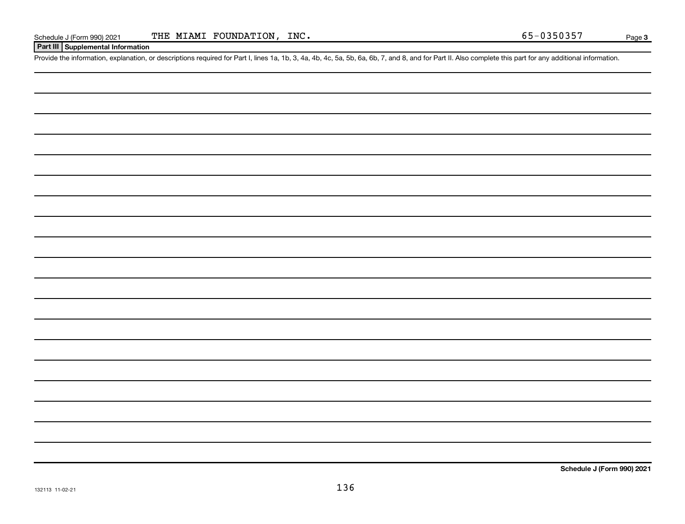## **Part III Supplemental Information**

Provide the information, explanation, or descriptions required for Part I, lines 1a, 1b, 3, 4a, 4b, 4c, 5a, 5b, 6a, 6b, 7, and 8, and for Part II. Also complete this part for any additional information.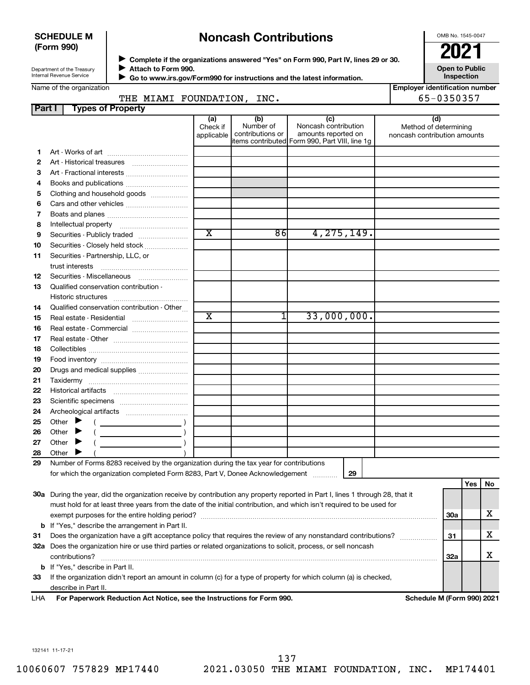## **SCHEDULE M (Form 990)**

# **Noncash Contributions**

OMB No. 1545-0047

| Department of the Treasury |  |
|----------------------------|--|
| Internal Revenue Service   |  |

◆ Complete if the organizations answered "Yes" on Form 990, Part IV, lines 29 or 30.<br>▶ Complete if the organizations answered "Yes" on Form 990, Part IV, lines 29 or 30.  $\blacktriangleright$ 

**Open to Public**

| Attach to Form 990.<br>Department of the Treasury<br>Internal Revenue Service | <b>Open to Public</b><br>Inspection |                                                                        |                                                     |                                                                                                       |                                                              |
|-------------------------------------------------------------------------------|-------------------------------------|------------------------------------------------------------------------|-----------------------------------------------------|-------------------------------------------------------------------------------------------------------|--------------------------------------------------------------|
| Name of the organization                                                      | THE MIAMI FOUNDATION, INC.          | Go to www.irs.gov/Form990 for instructions and the latest information. | <b>Employer identification number</b><br>65-0350357 |                                                                                                       |                                                              |
| <b>Types of Property</b><br>Part I                                            |                                     | (a)<br>Check if<br>applicable                                          | (b)<br>Number of<br>contributions or                | (c)<br>Noncash contribution<br>amounts reported on<br>litems contributed Form 990, Part VIII, line 1g | (d)<br>Method of determining<br>noncash contribution amounts |
| 1                                                                             |                                     |                                                                        |                                                     |                                                                                                       |                                                              |
| 2                                                                             |                                     |                                                                        |                                                     |                                                                                                       |                                                              |
| 3                                                                             |                                     |                                                                        |                                                     |                                                                                                       |                                                              |
| Books and publications<br>4                                                   |                                     |                                                                        |                                                     |                                                                                                       |                                                              |
| Clothing and household goods<br>5                                             |                                     |                                                                        |                                                     |                                                                                                       |                                                              |
| 6                                                                             |                                     |                                                                        |                                                     |                                                                                                       |                                                              |
| 7                                                                             |                                     |                                                                        |                                                     |                                                                                                       |                                                              |
| 8                                                                             |                                     |                                                                        |                                                     |                                                                                                       |                                                              |
| 9<br>Securities - Publicly traded                                             |                                     | $\overline{\textnormal{x}}$                                            | 86                                                  | 4, 275, 149.                                                                                          |                                                              |
| Securities - Closely held stock<br>10                                         |                                     |                                                                        |                                                     |                                                                                                       |                                                              |
| Securities - Partnership, LLC, or<br>11                                       |                                     |                                                                        |                                                     |                                                                                                       |                                                              |
| Securities - Miscellaneous<br>12                                              |                                     |                                                                        |                                                     |                                                                                                       |                                                              |
| 13<br>Qualified conservation contribution -                                   |                                     |                                                                        |                                                     |                                                                                                       |                                                              |
| 14<br>Qualified conservation contribution - Other                             |                                     |                                                                        |                                                     |                                                                                                       |                                                              |
| 15                                                                            |                                     | $\overline{\texttt{x}}$                                                |                                                     | 33,000,000.                                                                                           |                                                              |
| 16<br>Real estate - Commercial                                                |                                     |                                                                        |                                                     |                                                                                                       |                                                              |
| 17                                                                            |                                     |                                                                        |                                                     |                                                                                                       |                                                              |
| 18                                                                            |                                     |                                                                        |                                                     |                                                                                                       |                                                              |
| 19                                                                            |                                     |                                                                        |                                                     |                                                                                                       |                                                              |
| Drugs and medical supplies<br>20                                              |                                     |                                                                        |                                                     |                                                                                                       |                                                              |
| 21                                                                            |                                     |                                                                        |                                                     |                                                                                                       |                                                              |
| 22                                                                            |                                     |                                                                        |                                                     |                                                                                                       |                                                              |
| 23                                                                            |                                     |                                                                        |                                                     |                                                                                                       |                                                              |
| 24                                                                            |                                     |                                                                        |                                                     |                                                                                                       |                                                              |
| Other $\blacktriangleright$<br>25                                             |                                     |                                                                        |                                                     |                                                                                                       |                                                              |
| 26<br>Other $\blacktriangleright$                                             |                                     |                                                                        |                                                     |                                                                                                       |                                                              |

**29** Number of Forms 8283 received by the organization during the tax year for contributions for which the organization completed Form 8283, Part V, Donee Acknowledgement  $\ldots$ 

|     |                                                                                                                                                                                                                                                                                                       |                            | Yes | No |
|-----|-------------------------------------------------------------------------------------------------------------------------------------------------------------------------------------------------------------------------------------------------------------------------------------------------------|----------------------------|-----|----|
| 30a | During the year, did the organization receive by contribution any property reported in Part I, lines 1 through 28, that it<br>must hold for at least three years from the date of the initial contribution, and which isn't required to be used for<br>exempt purposes for the entire holding period? | 30a                        |     |    |
|     | <b>b</b> If "Yes," describe the arrangement in Part II.                                                                                                                                                                                                                                               |                            |     |    |
| -31 | Does the organization have a gift acceptance policy that requires the review of any nonstandard contributions?                                                                                                                                                                                        | 31                         |     | х  |
|     | 32a Does the organization hire or use third parties or related organizations to solicit, process, or sell noncash<br>contributions?                                                                                                                                                                   | 32a                        |     |    |
|     | <b>b</b> If "Yes." describe in Part II.                                                                                                                                                                                                                                                               |                            |     |    |
| 33  | If the organization didn't report an amount in column (c) for a type of property for which column (a) is checked,<br>describe in Part II.                                                                                                                                                             |                            |     |    |
|     | $1\,\mathrm{\mu\Lambda}$ . For Panerwork Reduction Act Notice, see the Instructions for Form 000.                                                                                                                                                                                                     | Schodule M (Form 990) 2021 |     |    |

**For Paperwork Reduction Act Notice, see the Instructions for Form 990. Schedule M (Form 990) 2021** LHA

132141 11-17-21

**27 28**

**Other Other**   $\blacktriangleright$  $\blacktriangleright$ 

**29**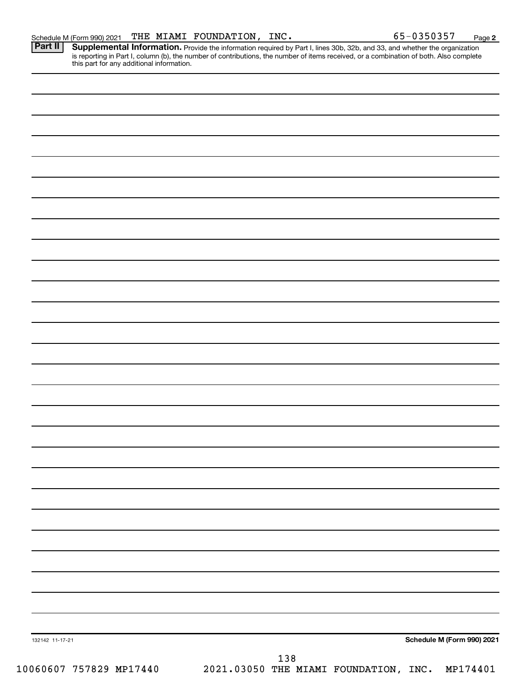Provide the information required by Part I, lines 30b, 32b, and 33, and whether the organization is reporting in Part I, column (b), the number of contributions, the number of items received, or a combination of both. Also complete this part for any additional information. **Part II Supplemental Information.** 

| 132142 11-17-21 | Schedule M (Form 990) 2021                                             |
|-----------------|------------------------------------------------------------------------|
|                 | 138                                                                    |
|                 | 10060607 757829 MP17440 2021.03050 THE MIAMI FOUNDATION, INC. MP174401 |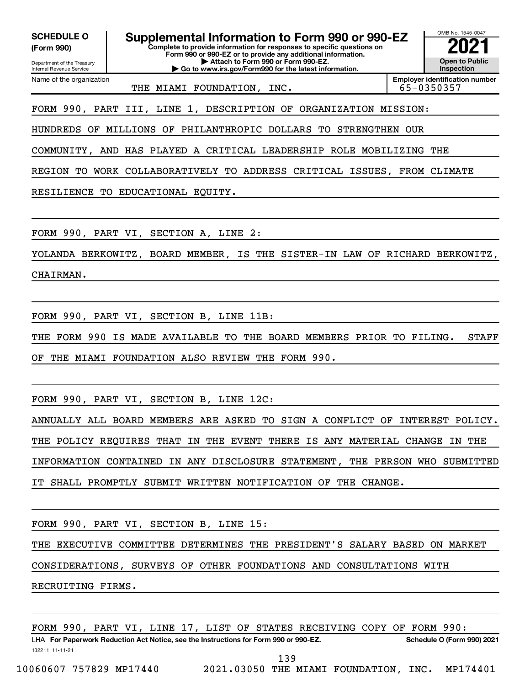Department of the Treasury Internal Revenue Service

Name of the organization

**(Form 990)**

**Complete to provide information for responses to specific questions on SCHEDULE O Supplemental Information to Form 990 or 990-EZ**  $\frac{1000000}{202}$ 

**Form 990 or 990-EZ or to provide any additional information. | Attach to Form 990 or Form 990-EZ. | Go to www.irs.gov/Form990 for the latest information.**

**Open to Public Inspection Employer identification number**

OMB No. 1545-0047

THE MIAMI FOUNDATION, INC.

FORM 990, PART III, LINE 1, DESCRIPTION OF ORGANIZATION MISSION:

HUNDREDS OF MILLIONS OF PHILANTHROPIC DOLLARS TO STRENGTHEN OUR

COMMUNITY, AND HAS PLAYED A CRITICAL LEADERSHIP ROLE MOBILIZING THE

REGION TO WORK COLLABORATIVELY TO ADDRESS CRITICAL ISSUES, FROM CLIMATE

RESILIENCE TO EDUCATIONAL EQUITY.

FORM 990, PART VI, SECTION A, LINE 2:

YOLANDA BERKOWITZ, BOARD MEMBER, IS THE SISTER-IN LAW OF RICHARD BERKOWITZ, CHAIRMAN.

FORM 990, PART VI, SECTION B, LINE 11B:

THE FORM 990 IS MADE AVAILABLE TO THE BOARD MEMBERS PRIOR TO FILING. STAFF

OF THE MIAMI FOUNDATION ALSO REVIEW THE FORM 990.

FORM 990, PART VI, SECTION B, LINE 12C:

ANNUALLY ALL BOARD MEMBERS ARE ASKED TO SIGN A CONFLICT OF INTEREST POLICY. THE POLICY REQUIRES THAT IN THE EVENT THERE IS ANY MATERIAL CHANGE IN THE INFORMATION CONTAINED IN ANY DISCLOSURE STATEMENT, THE PERSON WHO SUBMITTED IT SHALL PROMPTLY SUBMIT WRITTEN NOTIFICATION OF THE CHANGE.

FORM 990, PART VI, SECTION B, LINE 15:

THE EXECUTIVE COMMITTEE DETERMINES THE PRESIDENT'S SALARY BASED ON MARKET

CONSIDERATIONS, SURVEYS OF OTHER FOUNDATIONS AND CONSULTATIONS WITH

RECRUITING FIRMS.

FORM 990, PART VI, LINE 17, LIST OF STATES RECEIVING COPY OF FORM 990:

139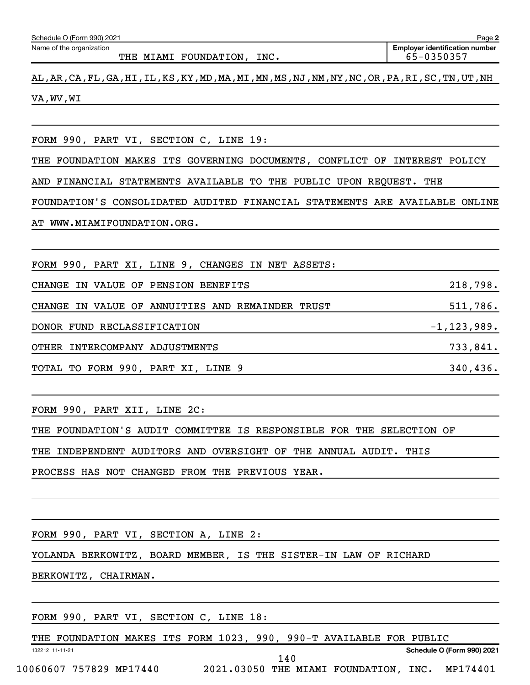| Schedule O (Form 990) 2021                                                                         | Page 2                                              |
|----------------------------------------------------------------------------------------------------|-----------------------------------------------------|
| Name of the organization<br>THE MIAMI FOUNDATION, INC.                                             | <b>Employer identification number</b><br>65-0350357 |
| AL, AR, CA, FL, GA, HI, IL, KS, KY, MD, MA, MI, MN, MS, NJ, NM, NY, NC, OR, PA, RI, SC, TN, UT, NH |                                                     |
| VA,WV,WI                                                                                           |                                                     |
|                                                                                                    |                                                     |
| FORM 990, PART VI, SECTION C, LINE 19:                                                             |                                                     |
| THE FOUNDATION MAKES ITS GOVERNING DOCUMENTS, CONFLICT OF INTEREST POLICY                          |                                                     |
| AND FINANCIAL STATEMENTS AVAILABLE TO THE PUBLIC UPON REQUEST. THE                                 |                                                     |
| FOUNDATION'S CONSOLIDATED AUDITED FINANCIAL STATEMENTS ARE AVAILABLE ONLINE                        |                                                     |
| AT WWW.MIAMIFOUNDATION.ORG.                                                                        |                                                     |
|                                                                                                    |                                                     |
| FORM 990, PART XI, LINE 9, CHANGES IN NET ASSETS:                                                  |                                                     |
| <b>CHANGE</b><br>IN VALUE OF<br>PENSION BENEFITS                                                   | 218,798.                                            |
| CHANGE<br>IN VALUE OF ANNUITIES AND REMAINDER TRUST                                                | 511,786.                                            |

DONOR FUND RECLASSIFICATION  $-1,123,989$ . OTHER INTERCOMPANY ADJUSTMENTS 733,841.

TOTAL TO FORM 990, PART XI, LINE 9 340, 2006

FORM 990, PART XII, LINE 2C:

THE FOUNDATION'S AUDIT COMMITTEE IS RESPONSIBLE FOR THE SELECTION OF

THE INDEPENDENT AUDITORS AND OVERSIGHT OF THE ANNUAL AUDIT. THIS

PROCESS HAS NOT CHANGED FROM THE PREVIOUS YEAR.

FORM 990, PART VI, SECTION A, LINE 2:

YOLANDA BERKOWITZ, BOARD MEMBER, IS THE SISTER-IN LAW OF RICHARD

BERKOWITZ, CHAIRMAN.

|  |  |  |  | FORM 990, PART VI, SECTION C, LINE 18: |  |  |  |
|--|--|--|--|----------------------------------------|--|--|--|
|--|--|--|--|----------------------------------------|--|--|--|

THE FOUNDATION MAKES ITS FORM 1023, 990, 990-T AVAILABLE FOR PUBLIC

**Schedule O (Form 990) 2021**

10060607 757829 MP17440 2021.03050 THE MIAMI FOUNDATION, INC. MP174401

132212 11-11-21

140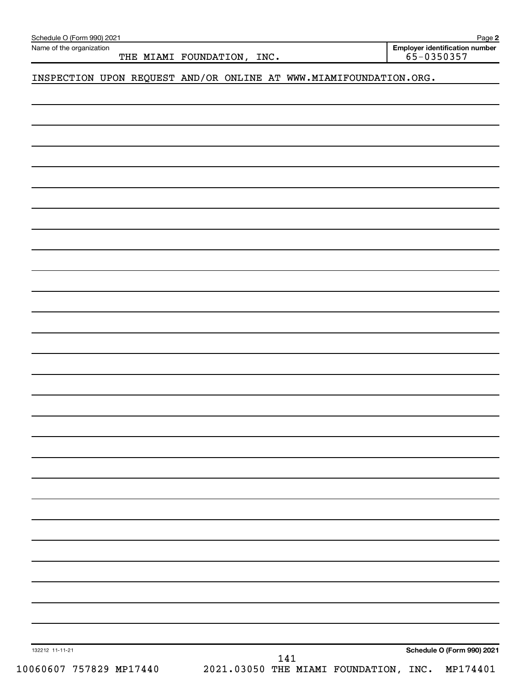| Schedule O (Form 990) 2021<br>Name of the organization            | THE MIAMI FOUNDATION, INC. |  |     |                                       | Employer identification number<br>$65 - 0350357$ | Page 2                     |
|-------------------------------------------------------------------|----------------------------|--|-----|---------------------------------------|--------------------------------------------------|----------------------------|
| INSPECTION UPON REQUEST AND/OR ONLINE AT WWW.MIAMIFOUNDATION.ORG. |                            |  |     |                                       |                                                  |                            |
|                                                                   |                            |  |     |                                       |                                                  |                            |
|                                                                   |                            |  |     |                                       |                                                  |                            |
|                                                                   |                            |  |     |                                       |                                                  |                            |
|                                                                   |                            |  |     |                                       |                                                  |                            |
|                                                                   |                            |  |     |                                       |                                                  |                            |
|                                                                   |                            |  |     |                                       |                                                  |                            |
|                                                                   |                            |  |     |                                       |                                                  |                            |
|                                                                   |                            |  |     |                                       |                                                  |                            |
|                                                                   |                            |  |     |                                       |                                                  |                            |
|                                                                   |                            |  |     |                                       |                                                  |                            |
|                                                                   |                            |  |     |                                       |                                                  |                            |
|                                                                   |                            |  |     |                                       |                                                  |                            |
|                                                                   |                            |  |     |                                       |                                                  |                            |
|                                                                   |                            |  |     |                                       |                                                  |                            |
|                                                                   |                            |  |     |                                       |                                                  |                            |
|                                                                   |                            |  |     |                                       |                                                  |                            |
|                                                                   |                            |  |     |                                       |                                                  |                            |
|                                                                   |                            |  |     |                                       |                                                  |                            |
|                                                                   |                            |  |     |                                       |                                                  |                            |
|                                                                   |                            |  |     |                                       |                                                  |                            |
|                                                                   |                            |  |     |                                       |                                                  |                            |
|                                                                   |                            |  |     |                                       |                                                  |                            |
|                                                                   |                            |  |     |                                       |                                                  |                            |
|                                                                   |                            |  |     |                                       |                                                  |                            |
|                                                                   |                            |  |     |                                       |                                                  |                            |
|                                                                   |                            |  |     |                                       |                                                  |                            |
|                                                                   |                            |  |     |                                       |                                                  |                            |
|                                                                   |                            |  |     |                                       |                                                  |                            |
|                                                                   |                            |  |     |                                       |                                                  |                            |
|                                                                   |                            |  |     |                                       |                                                  |                            |
|                                                                   |                            |  |     |                                       |                                                  |                            |
|                                                                   |                            |  |     |                                       |                                                  |                            |
|                                                                   |                            |  |     |                                       |                                                  |                            |
| 132212 11-11-21                                                   |                            |  | 141 |                                       |                                                  | Schedule O (Form 990) 2021 |
| 10060607 757829 MP17440                                           |                            |  |     | 2021.03050 THE MIAMI FOUNDATION, INC. |                                                  | MP174401                   |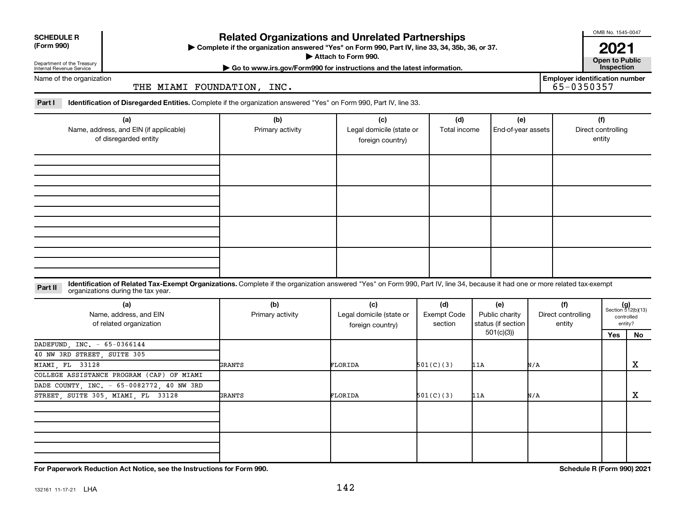| <b>SCHEDULE R</b> |  |
|-------------------|--|
|                   |  |

## **Related Organizations and Unrelated Partnerships**

**(Form 990) Complete if the organization answered "Yes" on Form 990, Part IV, line 33, 34, 35b, 36, or 37.** |

▶ Attach to Form 990. **Open to Public** 

OMB No. 1545-0047

**| Go to www.irs.gov/Form990 for instructions and the latest information. Inspection 2021**<br>Open to Public

**Employer identification number**

Department of the Treasury Internal Revenue Service Name of the organization

THE MIAMI FOUNDATION, INC.

Part I ldentification of Disregarded Entities. Complete if the organization answered "Yes" on Form 990, Part IV, line 33.

| (a)<br>Name, address, and EIN (if applicable)<br>of disregarded entity | (b)<br>Primary activity | (c)<br>Legal domicile (state or<br>foreign country) | (d)<br>Total income | (e)<br>End-of-year assets | (f)<br>Direct controlling<br>entity |
|------------------------------------------------------------------------|-------------------------|-----------------------------------------------------|---------------------|---------------------------|-------------------------------------|
|                                                                        |                         |                                                     |                     |                           |                                     |
|                                                                        |                         |                                                     |                     |                           |                                     |
|                                                                        |                         |                                                     |                     |                           |                                     |
|                                                                        |                         |                                                     |                     |                           |                                     |

**Part II** Identification of Related Tax-Exempt Organizations. Complete if the organization answered "Yes" on Form 990, Part IV, line 34, because it had one or more related tax-exempt<br>Part II acconizations during the tax ye organizations during the tax year.

| (a)<br>Name, address, and EIN<br>of related organization | (b)<br>Primary activity | (c)<br>Legal domicile (state or<br>foreign country) | (d)<br>Exempt Code<br>section | (e)<br>Public charity<br>status (if section | (f)<br>Direct controlling<br>entity |     | $(g)$<br>Section 512(b)(13)<br>controlled<br>entity? |
|----------------------------------------------------------|-------------------------|-----------------------------------------------------|-------------------------------|---------------------------------------------|-------------------------------------|-----|------------------------------------------------------|
|                                                          |                         |                                                     |                               | 501(c)(3))                                  |                                     | Yes | No                                                   |
| DADEFUND, INC. - 65-0366144                              |                         |                                                     |                               |                                             |                                     |     |                                                      |
| 40 NW 3RD STREET, SUITE 305                              |                         |                                                     |                               |                                             |                                     |     |                                                      |
| MIAMI, FL 33128                                          | GRANTS                  | FLORIDA                                             | 501(C)(3)                     | 11A                                         | N/A                                 |     | х                                                    |
| COLLEGE ASSISTANCE PROGRAM (CAP) OF MIAMI                |                         |                                                     |                               |                                             |                                     |     |                                                      |
| DADE COUNTY, INC. - 65-0082772, 40 NW 3RD                |                         |                                                     |                               |                                             |                                     |     |                                                      |
| STREET, SUITE 305, MIAMI, FL 33128                       | GRANTS                  | FLORIDA                                             | 501(C)(3)                     | 11A                                         | N/A                                 |     | х                                                    |
|                                                          |                         |                                                     |                               |                                             |                                     |     |                                                      |
|                                                          |                         |                                                     |                               |                                             |                                     |     |                                                      |
|                                                          |                         |                                                     |                               |                                             |                                     |     |                                                      |
|                                                          |                         |                                                     |                               |                                             |                                     |     |                                                      |
|                                                          |                         |                                                     |                               |                                             |                                     |     |                                                      |

**For Paperwork Reduction Act Notice, see the Instructions for Form 990. Schedule R (Form 990) 2021**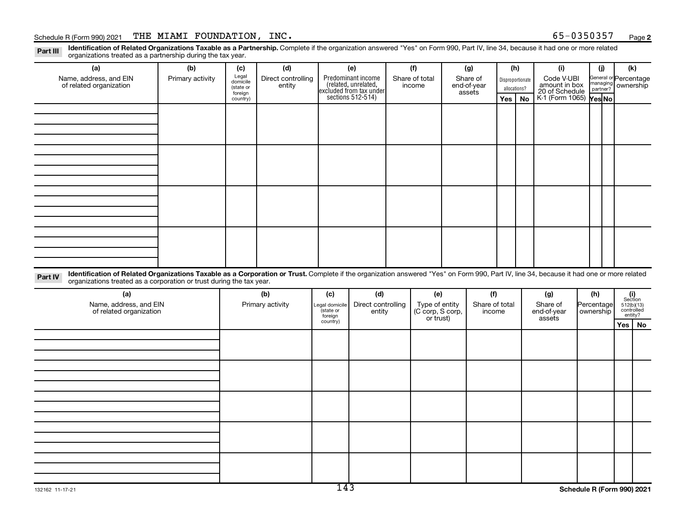**2**

Disproportionate allocations? Legal domicile (state or foreign country) General or Percentage managing partner? Section 512(b)(13) controlled entity? Legal domicile (state or foreign country) Part III Identification of Related Organizations Taxable as a Partnership. Complete if the organization answered "Yes" on Form 990, Part IV, line 34, because it had one or more related<br>Read to the organizations tracted as **(a) (b) (c) (d) (e) (f) (g) (h) (i) (j) (k) Yes No Yes No** K-1 (Form 1065) Part IV Identification of Related Organizations Taxable as a Corporation or Trust. Complete if the organization answered "Yes" on Form 990, Part IV, line 34, because it had one or more related **(a) (b) (c) (d) (e) (f) (g) (h) (i) Yes No** Predominant income<br>(related, unrelated, excluded from tax under sections 512-514) Schedule R (Form 990) 2021 Page THE MIAMI FOUNDATION, INC. 65-0350357 organizations treated as a partnership during the tax year. Name, address, and EIN of related organization Primary activity  $\left| \begin{array}{c} \text{Legal} \\ \text{demi} \end{array} \right|$  Direct controlling entity Share of total income Share of end-of-year assets Code V-UBI<br>amount in box 20 of Schedule ownership organizations treated as a corporation or trust during the tax year. Name, address, and EIN of related organization Primary activity |Legal domicile | Direct controlling entity Type of entity (C corp, S corp, or trust) Share of total income Share of end-of-year assets Percentage ownership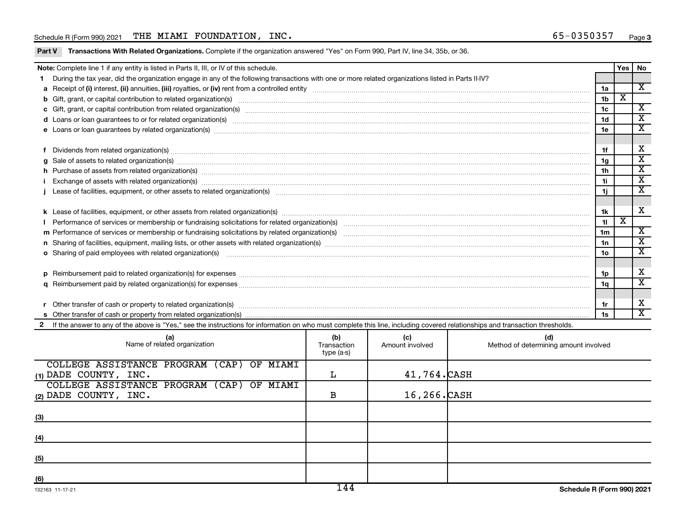## Schedule R (Form 990) 2021 Page THE MIAMI FOUNDATION, INC. 65-0350357

|  | Part V Transactions With Related Organizations. Complete if the organization answered "Yes" on Form 990, Part IV, line 34, 35b, or 36. |
|--|----------------------------------------------------------------------------------------------------------------------------------------|
|  |                                                                                                                                        |

| <b>Note:</b> Complete line 1 if any entity is listed in Parts II, III, or IV of this schedule. |                                                                                                                                                                                                                                |                 |                         |                             |  |
|------------------------------------------------------------------------------------------------|--------------------------------------------------------------------------------------------------------------------------------------------------------------------------------------------------------------------------------|-----------------|-------------------------|-----------------------------|--|
|                                                                                                | During the tax year, did the organization engage in any of the following transactions with one or more related organizations listed in Parts II-IV?                                                                            |                 |                         |                             |  |
|                                                                                                |                                                                                                                                                                                                                                | 1a              |                         | $\overline{\textbf{x}}$     |  |
|                                                                                                | b Gift, grant, or capital contribution to related organization(s) manufaction content and content and contribution to related organization(s) manufaction content and content and contribution to related organization(s) manu | 1 <sub>b</sub>  | $\overline{\textbf{x}}$ |                             |  |
|                                                                                                | c Gift, grant, or capital contribution from related organization(s) manufaction content to content the content of the contribution from related organization(s) manufaction content to content the content of the content of t | 1 <sub>c</sub>  |                         | $\overline{\mathbf{X}}$     |  |
|                                                                                                | d Loans or loan guarantees to or for related organization(s) www.communities.com/www.communities.com/www.communities.com/www.communities.com/www.communities.com/www.communities.com/www.communities.com/www.communities.com/w | 1 <sub>d</sub>  |                         | $\overline{\textbf{x}}$     |  |
|                                                                                                |                                                                                                                                                                                                                                | 1e              |                         | $\overline{\textbf{x}}$     |  |
|                                                                                                |                                                                                                                                                                                                                                |                 |                         |                             |  |
|                                                                                                | Dividends from related organization(s) manufactured and contract and contract and contract and contract and contract and contract and contract and contract and contract and contract and contract and contract and contract a | 1f              |                         | X                           |  |
| a                                                                                              | Sale of assets to related organization(s) www.assettion.com/www.assettion.com/www.assettion.com/www.assettion.com/www.assettion.com/www.assettion.com/www.assettion.com/www.assettion.com/www.assettion.com/www.assettion.com/ | 1g              |                         | $\overline{\text{x}}$       |  |
|                                                                                                | h Purchase of assets from related organization(s) manufactured content to the content of the content of the content of the content of the content of the content of the content of the content of the content of the content o | 1 <sub>h</sub>  |                         | $\overline{\textbf{x}}$     |  |
|                                                                                                |                                                                                                                                                                                                                                | 11              |                         | $\mathbf x$                 |  |
|                                                                                                | Lease of facilities, equipment, or other assets to related organization(s) manufaction content and content and content and content and content and content and content and content and content and content and content and con | 1j              |                         | $\mathbf x$                 |  |
|                                                                                                |                                                                                                                                                                                                                                |                 |                         |                             |  |
|                                                                                                |                                                                                                                                                                                                                                | 1k              |                         | X                           |  |
|                                                                                                |                                                                                                                                                                                                                                | 11              | х                       |                             |  |
|                                                                                                |                                                                                                                                                                                                                                | 1 <sub>m</sub>  |                         | $\overline{\textnormal{x}}$ |  |
|                                                                                                | n Sharing of facilities, equipment, mailing lists, or other assets with related organization(s) marror manufactured manufactured content and the Sharing of facilities, equipment, mailing lists, or other assets with related | 1n              |                         | $\overline{\textnormal{x}}$ |  |
|                                                                                                | o Sharing of paid employees with related organization(s) manufaction(s) and contain an example and contained and contained and contained and contained and contained and contained and contained and states and contained and  | 10 <sub>o</sub> |                         | $\overline{\textnormal{x}}$ |  |
|                                                                                                |                                                                                                                                                                                                                                |                 |                         |                             |  |
| D                                                                                              |                                                                                                                                                                                                                                | 1p              |                         | х                           |  |
|                                                                                                |                                                                                                                                                                                                                                | 1q              |                         | $\overline{\text{x}}$       |  |
|                                                                                                |                                                                                                                                                                                                                                |                 |                         |                             |  |
|                                                                                                | Other transfer of cash or property to related organization(s) manufactured content to the content of cash or property to related organization(s)                                                                               | 1r              |                         | х                           |  |
|                                                                                                |                                                                                                                                                                                                                                | 1s              |                         | $\overline{\mathbf{x}}$     |  |
|                                                                                                | 2 If the answer to any of the above is "Yes," see the instructions for information on who must complete this line, including covered relationships and transaction thresholds.                                                 |                 |                         |                             |  |

| (a)<br>Name of related organization                                | (b)<br>Transaction<br>type (a-s) | (c)<br>Amount involved | (d)<br>Method of determining amount involved |
|--------------------------------------------------------------------|----------------------------------|------------------------|----------------------------------------------|
| COLLEGE ASSISTANCE PROGRAM (CAP) OF MIAMI                          |                                  | 41,764.CASH            |                                              |
| (1) DADE COUNTY, INC.<br>COLLEGE ASSISTANCE PROGRAM (CAP) OF MIAMI |                                  |                        |                                              |
| (2) DADE COUNTY, INC.                                              | в                                | $16, 266.$ CASH        |                                              |
| (3)                                                                |                                  |                        |                                              |
| (4)                                                                |                                  |                        |                                              |
| (5)                                                                |                                  |                        |                                              |
| (6)                                                                | 1 A A                            |                        |                                              |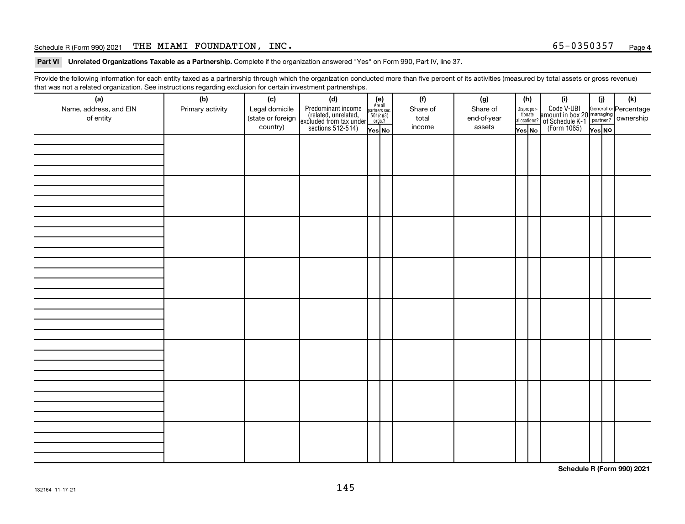#### Schedule R (Form 990) 2021 Page THE MIAMI FOUNDATION, INC. 65-0350357

Part VI Unrelated Organizations Taxable as a Partnership. Complete if the organization answered "Yes" on Form 990, Part IV, line 37.

Provide the following information for each entity taxed as a partnership through which the organization conducted more than five percent of its activities (measured by total assets or gross revenue) that was not a related organization. See instructions regarding exclusion for certain investment partnerships.

| <br>(a)                | (b)              | (c)               | .  . <b>.</b> . <b>.</b><br><br>(d)                                                        |                                                          |  | (f)      | (g)         | (h)                    |  | (i)                                                                                                                                               | (i)    | (k) |
|------------------------|------------------|-------------------|--------------------------------------------------------------------------------------------|----------------------------------------------------------|--|----------|-------------|------------------------|--|---------------------------------------------------------------------------------------------------------------------------------------------------|--------|-----|
| Name, address, and EIN | Primary activity | Legal domicile    |                                                                                            | (e)<br>Are all<br>partners sec.<br>$501(c)(3)$<br>orgs.? |  | Share of | Share of    |                        |  |                                                                                                                                                   |        |     |
| of entity              |                  | (state or foreign |                                                                                            |                                                          |  | total    | end-of-year | Dispropor-<br>tionate  |  |                                                                                                                                                   |        |     |
|                        |                  | country)          | Predominant income<br>(related, unrelated,<br>excluded from tax under<br>sections 512-514) |                                                          |  | income   | assets      | allocations?<br>Yes No |  | Code V-UBI<br>amount in box 20 managing<br>of Schedule K-1<br>(Form 1065)<br>$\overline{V}$<br>$\overline{V}$<br>$\overline{V}$<br>$\overline{V}$ |        |     |
|                        |                  |                   |                                                                                            | Yes No                                                   |  |          |             |                        |  |                                                                                                                                                   | Yes NO |     |
|                        |                  |                   |                                                                                            |                                                          |  |          |             |                        |  |                                                                                                                                                   |        |     |
|                        |                  |                   |                                                                                            |                                                          |  |          |             |                        |  |                                                                                                                                                   |        |     |
|                        |                  |                   |                                                                                            |                                                          |  |          |             |                        |  |                                                                                                                                                   |        |     |
|                        |                  |                   |                                                                                            |                                                          |  |          |             |                        |  |                                                                                                                                                   |        |     |
|                        |                  |                   |                                                                                            |                                                          |  |          |             |                        |  |                                                                                                                                                   |        |     |
|                        |                  |                   |                                                                                            |                                                          |  |          |             |                        |  |                                                                                                                                                   |        |     |
|                        |                  |                   |                                                                                            |                                                          |  |          |             |                        |  |                                                                                                                                                   |        |     |
|                        |                  |                   |                                                                                            |                                                          |  |          |             |                        |  |                                                                                                                                                   |        |     |
|                        |                  |                   |                                                                                            |                                                          |  |          |             |                        |  |                                                                                                                                                   |        |     |
|                        |                  |                   |                                                                                            |                                                          |  |          |             |                        |  |                                                                                                                                                   |        |     |
|                        |                  |                   |                                                                                            |                                                          |  |          |             |                        |  |                                                                                                                                                   |        |     |
|                        |                  |                   |                                                                                            |                                                          |  |          |             |                        |  |                                                                                                                                                   |        |     |
|                        |                  |                   |                                                                                            |                                                          |  |          |             |                        |  |                                                                                                                                                   |        |     |
|                        |                  |                   |                                                                                            |                                                          |  |          |             |                        |  |                                                                                                                                                   |        |     |
|                        |                  |                   |                                                                                            |                                                          |  |          |             |                        |  |                                                                                                                                                   |        |     |
|                        |                  |                   |                                                                                            |                                                          |  |          |             |                        |  |                                                                                                                                                   |        |     |
|                        |                  |                   |                                                                                            |                                                          |  |          |             |                        |  |                                                                                                                                                   |        |     |
|                        |                  |                   |                                                                                            |                                                          |  |          |             |                        |  |                                                                                                                                                   |        |     |
|                        |                  |                   |                                                                                            |                                                          |  |          |             |                        |  |                                                                                                                                                   |        |     |
|                        |                  |                   |                                                                                            |                                                          |  |          |             |                        |  |                                                                                                                                                   |        |     |
|                        |                  |                   |                                                                                            |                                                          |  |          |             |                        |  |                                                                                                                                                   |        |     |
|                        |                  |                   |                                                                                            |                                                          |  |          |             |                        |  |                                                                                                                                                   |        |     |
|                        |                  |                   |                                                                                            |                                                          |  |          |             |                        |  |                                                                                                                                                   |        |     |
|                        |                  |                   |                                                                                            |                                                          |  |          |             |                        |  |                                                                                                                                                   |        |     |
|                        |                  |                   |                                                                                            |                                                          |  |          |             |                        |  |                                                                                                                                                   |        |     |
|                        |                  |                   |                                                                                            |                                                          |  |          |             |                        |  |                                                                                                                                                   |        |     |
|                        |                  |                   |                                                                                            |                                                          |  |          |             |                        |  |                                                                                                                                                   |        |     |
|                        |                  |                   |                                                                                            |                                                          |  |          |             |                        |  |                                                                                                                                                   |        |     |
|                        |                  |                   |                                                                                            |                                                          |  |          |             |                        |  |                                                                                                                                                   |        |     |
|                        |                  |                   |                                                                                            |                                                          |  |          |             |                        |  |                                                                                                                                                   |        |     |
|                        |                  |                   |                                                                                            |                                                          |  |          |             |                        |  |                                                                                                                                                   |        |     |
|                        |                  |                   |                                                                                            |                                                          |  |          |             |                        |  |                                                                                                                                                   |        |     |
|                        |                  |                   |                                                                                            |                                                          |  |          |             |                        |  |                                                                                                                                                   |        |     |
|                        |                  |                   |                                                                                            |                                                          |  |          |             |                        |  |                                                                                                                                                   |        |     |
|                        |                  |                   |                                                                                            |                                                          |  |          |             |                        |  |                                                                                                                                                   |        |     |